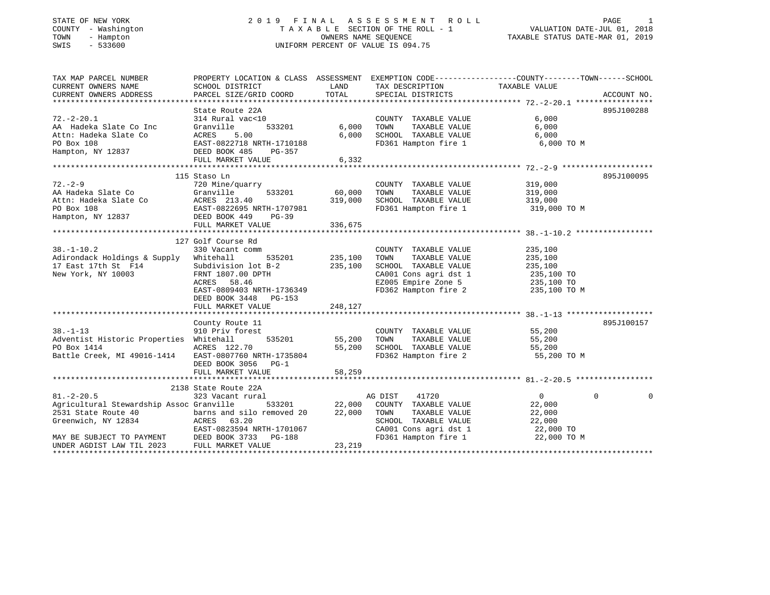### STATE OF NEW YORK 2 0 1 9 F I N A L A S S E S S M E N T R O L L PAGE 1 COUNTY - Washington T A X A B L E SECTION OF THE ROLL - 1 VALUATION DATE-JUL 01, 2018 TOWN - Hampton OWNERS NAME SEQUENCE TAXABLE STATUS DATE-MAR 01, 2019 SWIS - 533600 UNIFORM PERCENT OF VALUE IS 094.75

| TAX MAP PARCEL NUMBER                                                                                                                                                                                 | PROPERTY LOCATION & CLASS ASSESSMENT EXEMPTION CODE----------------COUNTY-------TOWN------SCHOOL |               |                                                                                                                                                                                                                             |                       |               |
|-------------------------------------------------------------------------------------------------------------------------------------------------------------------------------------------------------|--------------------------------------------------------------------------------------------------|---------------|-----------------------------------------------------------------------------------------------------------------------------------------------------------------------------------------------------------------------------|-----------------------|---------------|
|                                                                                                                                                                                                       |                                                                                                  | LAND          | TAX DESCRIPTION                                                                                                                                                                                                             | TAXABLE VALUE         |               |
| CURRENT OWNERS NAME<br>CURRENT OWNERS ADDRESS<br>PARCEL SIZE/GRIL                                                                                                                                     | PARCEL SIZE/GRID COORD                                                                           | TOTAL         | SPECIAL DISTRICTS                                                                                                                                                                                                           |                       | ACCOUNT NO.   |
|                                                                                                                                                                                                       |                                                                                                  |               |                                                                                                                                                                                                                             |                       |               |
|                                                                                                                                                                                                       | State Route 22A                                                                                  |               |                                                                                                                                                                                                                             |                       | 895J100288    |
| $72. - 2 - 20.1$                                                                                                                                                                                      | State noute 22A<br>314 Rural vac<10                                                              |               | COUNTY TAXABLE VALUE                                                                                                                                                                                                        | 6,000                 |               |
|                                                                                                                                                                                                       |                                                                                                  | 533201 6,000  | TAXABLE VALUE<br>TOWN                                                                                                                                                                                                       | 6,000                 |               |
|                                                                                                                                                                                                       |                                                                                                  | 6,000         |                                                                                                                                                                                                                             |                       |               |
|                                                                                                                                                                                                       |                                                                                                  |               | SCHOOL TAXABLE VALUE 6,000<br>FD361 Hampton fire 1 6,000 TO M                                                                                                                                                               |                       |               |
|                                                                                                                                                                                                       |                                                                                                  |               |                                                                                                                                                                                                                             |                       |               |
| A Hadeka Slate Co Inc (Franville 1997)<br>A Hadeka Slate Co (Franville 1997)<br>PO Box 108 (FRANCES 5.00 6,000)<br>Hampton, NY 12837 (FULL MARKET VALUE 1997)<br>FULL MARKET VALUE 1997 (6,332)       |                                                                                                  |               |                                                                                                                                                                                                                             |                       |               |
|                                                                                                                                                                                                       |                                                                                                  |               |                                                                                                                                                                                                                             |                       |               |
|                                                                                                                                                                                                       | 115 Staso Ln                                                                                     |               |                                                                                                                                                                                                                             |                       | 895J100095    |
| $72. - 2 - 9$                                                                                                                                                                                         | 720 Mine/quarry                                                                                  |               | COUNTY TAXABLE VALUE 319,000                                                                                                                                                                                                |                       |               |
|                                                                                                                                                                                                       | $533201$ 60,000                                                                                  |               | TOWN                                                                                                                                                                                                                        | TAXABLE VALUE 319,000 |               |
|                                                                                                                                                                                                       |                                                                                                  | 319,000       | SCHOOL TAXABLE VALUE                                                                                                                                                                                                        | 319,000               |               |
|                                                                                                                                                                                                       |                                                                                                  |               | FD361 Hampton fire 1 319,000 TO M                                                                                                                                                                                           |                       |               |
|                                                                                                                                                                                                       |                                                                                                  |               |                                                                                                                                                                                                                             |                       |               |
| 12.-2-3<br>A Hadeka Slate Co (Granville 1933201)<br>Athr: Hadeka Slate Co (Granville 193201)<br>PO Box 108 (EAST-0822695 NRTH-1707981)<br>Hampton, NY 12837 (DEED BOOK 449 PG-39<br>FULL MARKET VALUE |                                                                                                  |               |                                                                                                                                                                                                                             |                       |               |
|                                                                                                                                                                                                       |                                                                                                  | 336,675       |                                                                                                                                                                                                                             |                       |               |
|                                                                                                                                                                                                       |                                                                                                  |               |                                                                                                                                                                                                                             |                       |               |
|                                                                                                                                                                                                       | 127 Golf Course Rd<br>330 Vacant comm                                                            |               |                                                                                                                                                                                                                             |                       |               |
| $38. - 1 - 10.2$                                                                                                                                                                                      |                                                                                                  |               | COUNTY TAXABLE VALUE                                                                                                                                                                                                        | 235,100               |               |
| 38.-1-10.2<br>Adirondack Holdings & Supply Whitehall 535201 235,100<br>17 Fast 17th St F14 Subdivision lot B-2 235,100                                                                                |                                                                                                  |               |                                                                                                                                                                                                                             |                       |               |
| Aditomach north-page 1988<br>17 East 17th St F14 FRNT 1807.00 DPTH<br>New York, NY 10003 RENT 1807.00 DPTH                                                                                            |                                                                                                  |               | SCHOOL TAXABLE VALUE                                                                                                                                                                                                        |                       |               |
|                                                                                                                                                                                                       |                                                                                                  |               | CA001 Cons agri dst 1 235,100 TO<br>E2005 Empire Zone 5 235,100 TO                                                                                                                                                          |                       |               |
|                                                                                                                                                                                                       |                                                                                                  |               |                                                                                                                                                                                                                             |                       |               |
|                                                                                                                                                                                                       | EAST-0809403 NRTH-1736349                                                                        |               | FD362 Hampton fire 2                                                                                                                                                                                                        | 235,100 TO M          |               |
|                                                                                                                                                                                                       | DEED BOOK 3448 PG-153                                                                            |               |                                                                                                                                                                                                                             |                       |               |
|                                                                                                                                                                                                       | FULL MARKET VALUE                                                                                | 248,127       |                                                                                                                                                                                                                             |                       |               |
|                                                                                                                                                                                                       |                                                                                                  |               |                                                                                                                                                                                                                             |                       |               |
|                                                                                                                                                                                                       | County Route 11                                                                                  |               |                                                                                                                                                                                                                             |                       | 895J100157    |
| $38. - 1 - 13$                                                                                                                                                                                        | 910 Priv forest                                                                                  |               | COUNTY TAXABLE VALUE 55,200                                                                                                                                                                                                 |                       |               |
| Adventist Historic Properties Whitehall                                                                                                                                                               |                                                                                                  | 535201 55,200 |                                                                                                                                                                                                                             |                       |               |
|                                                                                                                                                                                                       | ACRES 122.70                                                                                     |               |                                                                                                                                                                                                                             |                       |               |
|                                                                                                                                                                                                       |                                                                                                  |               | SCHOOL TAXABLE VALUE 55,200<br>FD362 Hampton fire 2 55,200 TO M                                                                                                                                                             |                       |               |
|                                                                                                                                                                                                       | DEED BOOK 3056 PG-1                                                                              |               |                                                                                                                                                                                                                             |                       |               |
|                                                                                                                                                                                                       |                                                                                                  |               |                                                                                                                                                                                                                             |                       |               |
|                                                                                                                                                                                                       |                                                                                                  |               |                                                                                                                                                                                                                             |                       |               |
|                                                                                                                                                                                                       | 2138 State Route 22A                                                                             |               |                                                                                                                                                                                                                             |                       |               |
| $81. - 2 - 20.5$                                                                                                                                                                                      | 323 Vacant rural                                                                                 |               | 41720<br>AG DIST                                                                                                                                                                                                            | $\overline{0}$        | $\Omega$<br>0 |
| Agricultural Stewardship Assoc Granville                                                                                                                                                              |                                                                                                  |               | 533201 22,000 COUNTY TAXABLE VALUE                                                                                                                                                                                          | 22,000                |               |
| 2531 State Route 40                                                                                                                                                                                   | barns and silo removed 20 22,000                                                                 |               | TOWN                                                                                                                                                                                                                        |                       |               |
|                                                                                                                                                                                                       |                                                                                                  |               | $\begin{tabular}{lllllllll} TONN & TAXABLE & \texttt{Value} & & & & & & 22,000\\ SCHOOL & TAXABLE & \texttt{VALUE} & & & & 22,000 & \texttt{TO}\\ & \texttt{1} & \texttt{2} + 1 & & & 22,000 & \texttt{TO}\\ \end{tabular}$ |                       |               |
|                                                                                                                                                                                                       |                                                                                                  |               |                                                                                                                                                                                                                             |                       |               |
|                                                                                                                                                                                                       |                                                                                                  |               | CA001 Cons agri dst 1<br>FD361 Hampton fire 1                                                                                                                                                                               | 22,000 TO M           |               |
| Greenwich, NY 12834<br>MAY BE SUBJECT TO PAYMENT<br>MAY BE SUBJECT TO PAYMENT<br>MAY BE SUBJECT TO PAYMENT<br>DEED BOOK 3733 PG-188<br>UNDER AGDIST LAW TIL 2023<br>FULL MARKET VALUE<br>23,219       |                                                                                                  | 23, 219       |                                                                                                                                                                                                                             |                       |               |
|                                                                                                                                                                                                       |                                                                                                  |               |                                                                                                                                                                                                                             |                       |               |
|                                                                                                                                                                                                       |                                                                                                  |               |                                                                                                                                                                                                                             |                       |               |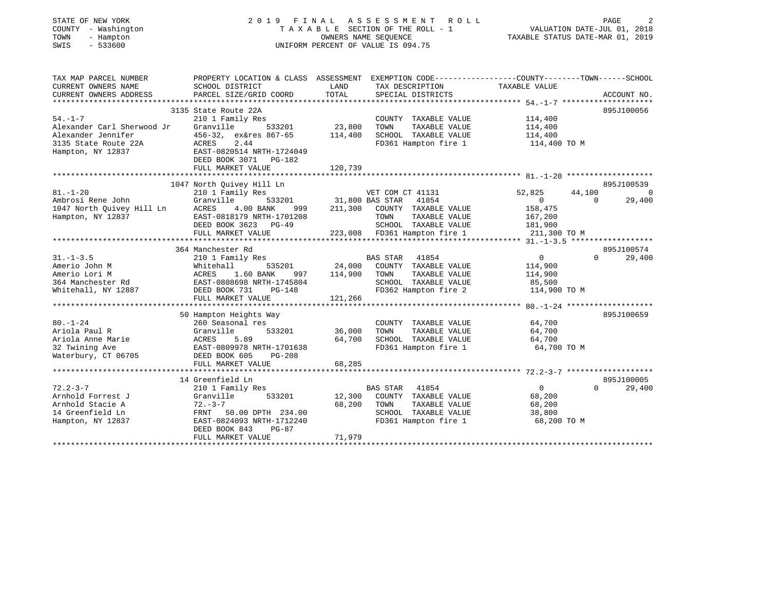| STATE OF NEW YORK<br>COUNTY - Washington<br>- Hampton<br>TOWN<br>$-533600$<br>SWIS                             | 2019 FINAL ASSESSMENT<br>TAXABLE SECTION OF THE ROLL - 1<br>UNIFORM PERCENT OF VALUE IS 094.75                                                                                       |                              | PAGE<br>VALUATION DATE-JUL 01, 2018<br>TAXABLE STATUS DATE-MAR 01, 2019                                                                               |                                                                           |                                                          |
|----------------------------------------------------------------------------------------------------------------|--------------------------------------------------------------------------------------------------------------------------------------------------------------------------------------|------------------------------|-------------------------------------------------------------------------------------------------------------------------------------------------------|---------------------------------------------------------------------------|----------------------------------------------------------|
| TAX MAP PARCEL NUMBER<br>CURRENT OWNERS NAME<br>CURRENT OWNERS ADDRESS                                         | PROPERTY LOCATION & CLASS ASSESSMENT EXEMPTION CODE----------------COUNTY-------TOWN------SCHOOL<br>SCHOOL DISTRICT<br>PARCEL SIZE/GRID COORD                                        | LAND<br>TOTAL                | TAX DESCRIPTION<br>SPECIAL DISTRICTS                                                                                                                  | TAXABLE VALUE                                                             | ACCOUNT NO.                                              |
| $54. - 1 - 7$<br>Alexander Carl Sherwood Jr<br>Alexander Jennifer<br>3135 State Route 22A<br>Hampton, NY 12837 | 3135 State Route 22A<br>210 1 Family Res<br>Granville<br>533201<br>456-32, ex&res 867-65<br>ACRES<br>2.44<br>EAST-0820514 NRTH-1724049<br>DEED BOOK 3071 PG-182<br>FULL MARKET VALUE | 23,800<br>114,400<br>120,739 | COUNTY TAXABLE VALUE<br>TAXABLE VALUE<br>TOWN<br>SCHOOL TAXABLE VALUE<br>FD361 Hampton fire 1                                                         | 114,400<br>114,400<br>114,400<br>114,400 TO M                             | 895J100056                                               |
|                                                                                                                |                                                                                                                                                                                      |                              |                                                                                                                                                       |                                                                           |                                                          |
|                                                                                                                | 1047 North Quivey Hill Ln                                                                                                                                                            |                              |                                                                                                                                                       |                                                                           | 895J100539                                               |
| $81. - 1 - 20$<br>Ambrosi Rene John<br>1047 North Quivey Hill Ln<br>Hampton, NY 12837                          | 210 1 Family Res<br>533201<br>Granville<br>ACRES<br>4.00 BANK<br>999<br>EAST-0818179 NRTH-1701208<br>DEED BOOK 3623 PG-49<br>FULL MARKET VALUE                                       | 211,300                      | VET COM CT 41131<br>31,800 BAS STAR<br>41854<br>COUNTY TAXABLE VALUE<br>TOWN<br>TAXABLE VALUE<br>SCHOOL TAXABLE VALUE<br>223,008 FD361 Hampton fire 1 | 52,825<br>$\overline{0}$<br>158,475<br>167,200<br>181,900<br>211,300 TO M | 44,100<br>$\overline{\phantom{0}}$<br>$\Omega$<br>29,400 |
|                                                                                                                |                                                                                                                                                                                      |                              |                                                                                                                                                       |                                                                           |                                                          |
| $31. - 1 - 3.5$<br>Amerio John M<br>Amerio Lori M<br>364 Manchester Rd<br>Whitehall, NY 12887                  | 364 Manchester Rd<br>210 1 Family Res<br>Whitehall<br>535201<br>1.60 BANK<br>ACRES<br>997<br>EAST-0808698 NRTH-1745804<br>DEED BOOK 731<br>$PG-148$                                  | 24,000<br>114,900            | 41854<br>BAS STAR<br>COUNTY TAXABLE VALUE<br>TAXABLE VALUE<br>TOWN<br>SCHOOL TAXABLE VALUE<br>FD362 Hampton fire 2                                    | 0<br>114,900<br>114,900<br>85,500<br>114,900 TO M                         | 895J100574<br>$\Omega$<br>29,400                         |
|                                                                                                                | FULL MARKET VALUE                                                                                                                                                                    | 121,266                      |                                                                                                                                                       |                                                                           |                                                          |
| $80. - 1 - 24$<br>Ariola Paul R<br>Ariola Anne Marie<br>32 Twining Ave<br>Waterbury, CT 06705                  | 50 Hampton Heights Way<br>260 Seasonal res<br>Granville<br>533201<br>5.89<br>ACRES<br>EAST-0809978 NRTH-1701638<br>DEED BOOK 605<br>$PG-208$<br>FULL MARKET VALUE                    | 36,000<br>64,700<br>68,285   | COUNTY TAXABLE VALUE<br>TAXABLE VALUE<br>TOWN<br>SCHOOL TAXABLE VALUE<br>FD361 Hampton fire 1                                                         | 64,700<br>64,700<br>64,700<br>64,700 TO M                                 | 895J100659                                               |
|                                                                                                                |                                                                                                                                                                                      |                              |                                                                                                                                                       |                                                                           |                                                          |
| $72.2 - 3 - 7$<br>Arnhold Forrest J<br>Arnhold Stacie A<br>14 Greenfield Ln<br>Hampton, NY 12837               | 14 Greenfield Ln<br>210 1 Family Res<br>533201<br>Granville<br>$72. - 3 - 7$<br>FRNT 50.00 DPTH 234.00<br>EAST-0824093 NRTH-1712240<br>DEED BOOK 843<br>$PG-87$<br>FULL MARKET VALUE | 12,300<br>68,200<br>71,979   | <b>BAS STAR</b><br>41854<br>COUNTY TAXABLE VALUE<br>TOWN<br>TAXABLE VALUE<br>SCHOOL TAXABLE VALUE<br>FD361 Hampton fire 1                             | $\overline{0}$<br>68,200<br>68,200<br>38,800<br>68,200 TO M               | 895J100005<br>$\Omega$<br>29,400                         |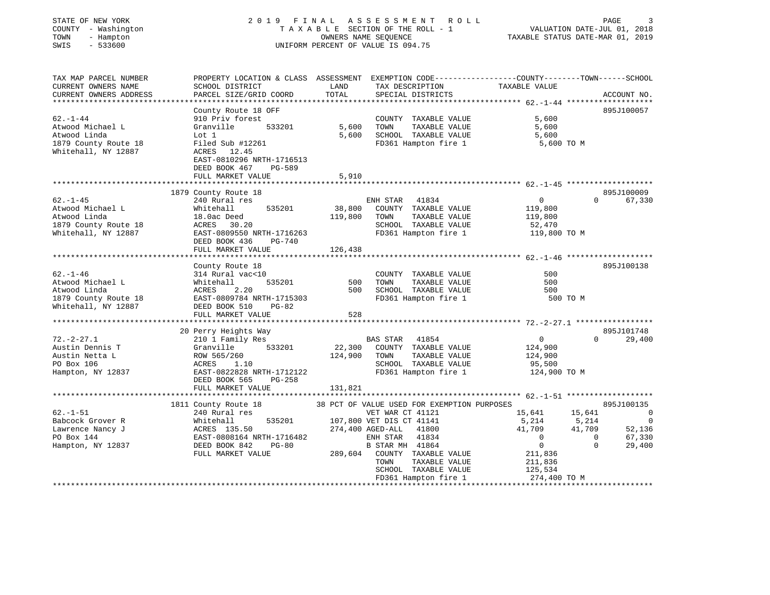| STATE OF NEW YORK |     |              |
|-------------------|-----|--------------|
| COUNTY            |     | - Washington |
| TOWN              | $-$ | Hampton      |
| CM T C            |     | 533600       |

#### STATE OF NEW YORK 2 0 1 9 F I N A L A S S E S S M E N T R O L L PAGE 3 COUNTY - Washington T A X A B L E SECTION OF THE ROLL - 1 VALUATION DATE-JUL 01, 2018 TOWN - Hampton OWNERS NAME SEQUENCE TAXABLE STATUS DATE-MAR 01, 2019 SWIS - 533600 UNIFORM PERCENT OF VALUE IS 094.75

| TAX MAP PARCEL NUMBER<br>CURRENT OWNERS NAME | PROPERTY LOCATION & CLASS ASSESSMENT EXEMPTION CODE----------------COUNTY-------TOWN------SCHOOL<br>SCHOOL DISTRICT | LAND    | TAX DESCRIPTION                              | TAXABLE VALUE           |                                    |
|----------------------------------------------|---------------------------------------------------------------------------------------------------------------------|---------|----------------------------------------------|-------------------------|------------------------------------|
| CURRENT OWNERS ADDRESS                       | PARCEL SIZE/GRID COORD                                                                                              | TOTAL   | SPECIAL DISTRICTS                            |                         | ACCOUNT NO.                        |
|                                              |                                                                                                                     |         |                                              |                         |                                    |
|                                              | County Route 18 OFF                                                                                                 |         |                                              |                         | 895J100057                         |
| $62. - 1 - 44$                               | 910 Priv forest                                                                                                     |         | COUNTY TAXABLE VALUE                         | 5,600                   |                                    |
| Atwood Michael L                             | 533201<br>Granville                                                                                                 | 5,600   | TAXABLE VALUE<br>TOWN                        | 5,600                   |                                    |
| Atwood Linda                                 | Lot 1                                                                                                               | 5,600   | SCHOOL TAXABLE VALUE                         | 5,600                   |                                    |
| 1879 County Route 18                         | Filed Sub #12261                                                                                                    |         | FD361 Hampton fire 1                         | 5,600 TO M              |                                    |
| Whitehall, NY 12887                          | ACRES 12.45                                                                                                         |         |                                              |                         |                                    |
|                                              | EAST-0810296 NRTH-1716513                                                                                           |         |                                              |                         |                                    |
|                                              | DEED BOOK 467<br>PG-589                                                                                             |         |                                              |                         |                                    |
|                                              | FULL MARKET VALUE                                                                                                   | 5,910   |                                              |                         |                                    |
|                                              | 1879 County Route 18                                                                                                |         |                                              |                         | 895J100009                         |
| $62. - 1 - 45$                               | 240 Rural res                                                                                                       |         | ENH STAR 41834                               | $\overline{0}$          | 67,330<br>$\Omega$                 |
| Atwood Michael L                             | 535201<br>Whitehall                                                                                                 | 38,800  | COUNTY TAXABLE VALUE                         | 119,800                 |                                    |
| Atwood Linda                                 | 18.0ac Deed                                                                                                         | 119,800 | TAXABLE VALUE<br>TOWN                        | 119,800                 |                                    |
| 1879 County Route 18                         | ACRES 30.20                                                                                                         |         | SCHOOL TAXABLE VALUE                         | 52,470                  |                                    |
| Whitehall, NY 12887                          | EAST-0809550 NRTH-1716263                                                                                           |         | FD361 Hampton fire 1                         | 119,800 TO M            |                                    |
|                                              | DEED BOOK 436<br>PG-740                                                                                             |         |                                              |                         |                                    |
|                                              | FULL MARKET VALUE                                                                                                   | 126,438 |                                              |                         |                                    |
|                                              |                                                                                                                     |         |                                              |                         |                                    |
|                                              | County Route 18                                                                                                     |         |                                              |                         | 895J100138                         |
| $62 - 1 - 46$                                | 314 Rural vac<10                                                                                                    |         | COUNTY TAXABLE VALUE                         | 500                     |                                    |
| Atwood Michael L                             | Whitehall<br>535201                                                                                                 | 500     | TAXABLE VALUE<br>TOWN                        | 500                     |                                    |
| Atwood Linda                                 | ACRES<br>2.20                                                                                                       | 500     | SCHOOL TAXABLE VALUE                         | 500                     |                                    |
| 1879 County Route 18                         | EAST-0809784 NRTH-1715303                                                                                           |         | FD361 Hampton fire 1                         | 500 TO M                |                                    |
| Whitehall, NY 12887                          | DEED BOOK 510<br>PG-82                                                                                              |         |                                              |                         |                                    |
|                                              | FULL MARKET VALUE                                                                                                   | 528     |                                              |                         |                                    |
|                                              |                                                                                                                     |         |                                              |                         |                                    |
| $72. - 2 - 27.1$                             | 20 Perry Heights Way                                                                                                |         | BAS STAR 41854                               | $\overline{0}$          | 895J101748<br>29,400<br>$\Omega$   |
| Austin Dennis T                              | 210 1 Family Res<br>533201<br>Granville                                                                             | 22,300  | COUNTY TAXABLE VALUE                         | 124,900                 |                                    |
| Austin Netta L                               | ROW 565/260                                                                                                         | 124,900 | TAXABLE VALUE<br>TOWN                        | 124,900                 |                                    |
| PO Box 106                                   | ACRES<br>1.10                                                                                                       |         | SCHOOL TAXABLE VALUE                         | 95,500                  |                                    |
| Hampton, NY 12837                            | EAST-0822828 NRTH-1712122                                                                                           |         | FD361 Hampton fire 1                         | 124,900 TO M            |                                    |
|                                              | DEED BOOK 565<br>PG-258                                                                                             |         |                                              |                         |                                    |
|                                              | FULL MARKET VALUE                                                                                                   | 131,821 |                                              |                         |                                    |
|                                              |                                                                                                                     |         |                                              |                         |                                    |
|                                              | 1811 County Route 18                                                                                                |         | 38 PCT OF VALUE USED FOR EXEMPTION PURPOSES  |                         | 895J100135                         |
| $62. - 1 - 51$                               | 240 Rural res                                                                                                       |         | VET WAR CT 41121                             | 15,641                  | 15,641<br>$\overline{\phantom{0}}$ |
| Babcock Grover R                             | 535201<br>Whitehall                                                                                                 |         | 107,800 VET DIS CT 41141                     | 5,214                   | 5,214<br>$\overline{0}$            |
| Lawrence Nancy J                             | ACRES 135.50                                                                                                        |         | 274,400 AGED-ALL<br>41800                    | 41,709                  | 41,709<br>52,136                   |
| PO Box 144                                   | EAST-0808164 NRTH-1716482                                                                                           |         | ENH STAR 41834                               | $\overline{0}$          | $\overline{0}$<br>67,330           |
| Hampton, NY 12837                            | DEED BOOK 842<br>PG-80                                                                                              |         | B STAR MH 41864                              | $\overline{0}$          | $\Omega$<br>29,400                 |
|                                              | FULL MARKET VALUE                                                                                                   |         | 289,604 COUNTY TAXABLE VALUE                 | 211,836                 |                                    |
|                                              |                                                                                                                     |         | TOWN<br>TAXABLE VALUE                        | 211,836                 |                                    |
|                                              |                                                                                                                     |         | SCHOOL TAXABLE VALUE<br>FD361 Hampton fire 1 | 125,534<br>274,400 TO M |                                    |
|                                              |                                                                                                                     |         |                                              |                         |                                    |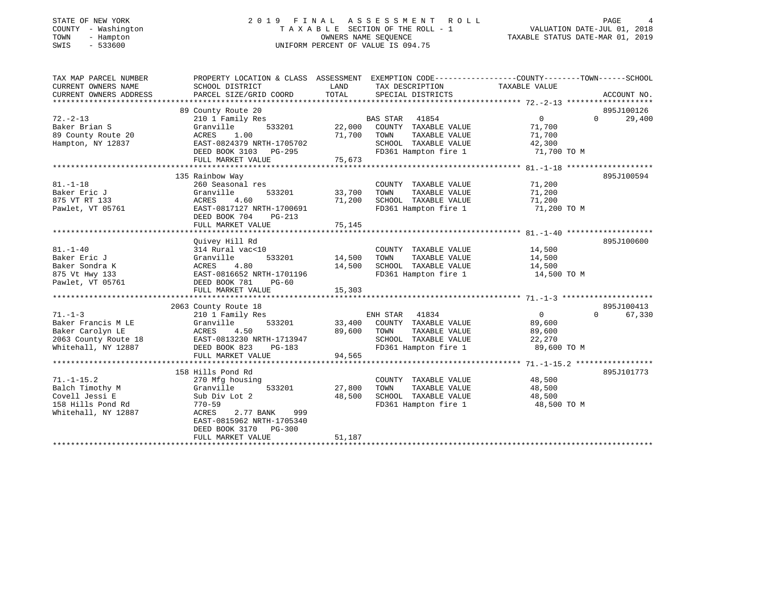| STATE OF NEW YORK   | 2019 FINAL ASSESSMENT ROLL         | PAGE                             |
|---------------------|------------------------------------|----------------------------------|
| COUNTY - Washington | TAXABLE SECTION OF THE ROLL - 1    | VALUATION DATE-JUL 01, 2018      |
| TOWN<br>- Hampton   | OWNERS NAME SEOUENCE               | TAXABLE STATUS DATE-MAR 01, 2019 |
| SWIS<br>- 533600    | UNIFORM PERCENT OF VALUE IS 094.75 |                                  |

| STATE OF NEW YORK |        |           |            |  |
|-------------------|--------|-----------|------------|--|
| COUNTY            | $\sim$ |           | Washington |  |
| TOWN              |        |           | Hampton    |  |
| SWIS              |        | $-533600$ |            |  |
|                   |        |           |            |  |

| TAX MAP PARCEL NUMBER  | PROPERTY LOCATION & CLASS ASSESSMENT EXEMPTION CODE---------------COUNTY-------TOWN-----SCHOOL |             |                                    |                |                    |
|------------------------|------------------------------------------------------------------------------------------------|-------------|------------------------------------|----------------|--------------------|
| CURRENT OWNERS NAME    | SCHOOL DISTRICT                                                                                | LAND        | TAX DESCRIPTION                    | TAXABLE VALUE  |                    |
| CURRENT OWNERS ADDRESS | PARCEL SIZE/GRID COORD                                                                         | TOTAL       | SPECIAL DISTRICTS                  |                | ACCOUNT NO.        |
|                        |                                                                                                |             |                                    |                |                    |
|                        | 89 County Route 20                                                                             |             |                                    |                | 895J100126         |
| $72. - 2 - 13$         | 210 1 Family Res                                                                               |             | BAS STAR 41854                     | $\overline{0}$ | $\Omega$<br>29,400 |
| Baker Brian S          | Granville                                                                                      |             | 533201 22,000 COUNTY TAXABLE VALUE | 71,700         |                    |
| 89 County Route 20     | ACRES<br>1.00                                                                                  | 71,700 TOWN | TAXABLE VALUE                      | 71,700         |                    |
| Hampton, NY 12837      | EAST-0824379 NRTH-1705702                                                                      |             | SCHOOL TAXABLE VALUE               | 42,300         |                    |
|                        | DEED BOOK 3103 PG-295                                                                          |             | FD361 Hampton fire 1 71,700 TO M   |                |                    |
|                        | FULL MARKET VALUE                                                                              | 75,673      |                                    |                |                    |
|                        |                                                                                                |             |                                    |                |                    |
|                        | 135 Rainbow Way                                                                                |             |                                    |                | 895J100594         |
| $81. - 1 - 18$         | 260 Seasonal res                                                                               |             | COUNTY TAXABLE VALUE               | 71,200         |                    |
| Baker Eric J           | 533201<br>Granville                                                                            | 33,700      | TAXABLE VALUE<br>TOWN              | 71,200         |                    |
| 875 VT RT 133          | 4.60<br>ACRES                                                                                  | 71,200      | SCHOOL TAXABLE VALUE               | 71,200         |                    |
| Pawlet, VT 05761       | EAST-0817127 NRTH-1700691                                                                      |             | FD361 Hampton fire 1               | 71,200 TO M    |                    |
|                        | DEED BOOK 704<br>$PG-213$                                                                      |             |                                    |                |                    |
|                        | FULL MARKET VALUE                                                                              | 75,145      |                                    |                |                    |
|                        |                                                                                                |             |                                    |                |                    |
|                        | Ouivey Hill Rd                                                                                 |             |                                    |                | 895J100600         |
| $81. - 1 - 40$         | 314 Rural vac<10                                                                               |             | COUNTY TAXABLE VALUE               | 14,500         |                    |
| Baker Eric J           | Granville<br>533201                                                                            | 14,500      | TOWN<br>TAXABLE VALUE              | 14,500         |                    |
|                        |                                                                                                |             |                                    |                |                    |
| Baker Sondra K         | ACRES 4. ه به ACRES 4. ه به EAST-0816652 NRTH-1701196<br>EAST-0816652 NRTH-1701196             | 14,500      | SCHOOL TAXABLE VALUE 14,500        |                |                    |
| 875 Vt Hwy 133         | DEED BOOK 781                                                                                  |             | FD361 Hampton fire 1               | 14,500 TO M    |                    |
| Pawlet, VT 05761       | PG-60                                                                                          |             |                                    |                |                    |
|                        |                                                                                                |             |                                    |                |                    |
|                        |                                                                                                |             |                                    |                |                    |
|                        | 2063 County Route 18                                                                           |             |                                    |                | 895J100413         |
| $71. - 1 - 3$          | 210 1 Family Res                                                                               |             | ENH STAR 41834                     | $\overline{0}$ | $\Omega$<br>67,330 |
| Baker Francis M LE     | 533201<br>Granville                                                                            |             | 33,400 COUNTY TAXABLE VALUE        | 89,600         |                    |
| Baker Carolyn LE       | ACRES<br>4.50                                                                                  | 89,600      | TAXABLE VALUE<br>TOWN              | 89,600         |                    |
| 2063 County Route 18   | EAST-0813230 NRTH-1713947                                                                      |             | SCHOOL TAXABLE VALUE               | 22,270         |                    |
| Whitehall, NY 12887    | DEED BOOK 823<br>PG-183                                                                        |             | FD361 Hampton fire 1 89,600 TO M   |                |                    |
|                        | FULL MARKET VALUE                                                                              | 94,565      |                                    |                |                    |
|                        |                                                                                                |             |                                    |                |                    |
|                        | 158 Hills Pond Rd                                                                              |             |                                    |                | 895J101773         |
| $71. - 1 - 15.2$       | 270 Mfg housing                                                                                |             | COUNTY TAXABLE VALUE               | 48,500         |                    |
| Balch Timothy M        | Granville<br>533201                                                                            | 27,800      | TAXABLE VALUE<br>TOWN              | 48,500         |                    |
| Covell Jessi E         | Sub Div Lot 2                                                                                  | 48,500      | SCHOOL TAXABLE VALUE               | 48,500         |                    |
| 158 Hills Pond Rd      | $770 - 59$                                                                                     |             | FD361 Hampton fire 1               | 48,500 TO M    |                    |
| Whitehall, NY 12887    | 2.77 BANK<br>999<br>ACRES                                                                      |             |                                    |                |                    |
|                        | EAST-0815962 NRTH-1705340                                                                      |             |                                    |                |                    |
|                        | DEED BOOK 3170 PG-300                                                                          |             |                                    |                |                    |
|                        | FULL MARKET VALUE                                                                              | 51,187      |                                    |                |                    |
|                        |                                                                                                |             |                                    |                |                    |

<sup>5</sup><br>01, 2018<br>01, 2019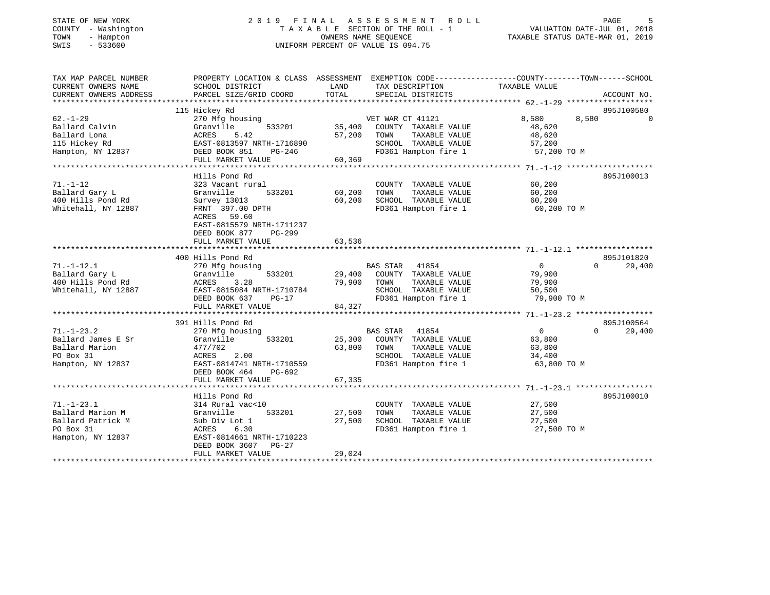| STATE OF NEW YORK<br>COUNTY - Washington<br>- Hampton<br>TOWN<br>$-533600$<br>SWIS | 2019                                                                                     | FINAL<br>A S S E S S M E N T<br>R O L L<br>TAXABLE SECTION OF THE ROLL - 1<br>OWNERS NAME SEQUENCE<br>UNIFORM PERCENT OF VALUE IS 094.75 |                                                                                                                                 |  |
|------------------------------------------------------------------------------------|------------------------------------------------------------------------------------------|------------------------------------------------------------------------------------------------------------------------------------------|---------------------------------------------------------------------------------------------------------------------------------|--|
| TAX MAP PARCEL NUMBER<br>CURRENT OWNERS NAME<br>CURRENT OWNERS ADDRESS             | SCHOOL DISTRICT<br>PARCEL SIZE/GRID COORD                                                | LAND<br>TAX DESCRIPTION<br>TOTAL<br>SPECIAL DISTRICTS                                                                                    | PROPERTY LOCATION & CLASS ASSESSMENT EXEMPTION CODE---------------COUNTY-------TOWN------SCHOOL<br>TAXABLE VALUE<br>ACCOUNT NO. |  |
|                                                                                    |                                                                                          |                                                                                                                                          |                                                                                                                                 |  |
|                                                                                    | 115 Hickey Rd                                                                            |                                                                                                                                          | 895J100580                                                                                                                      |  |
| $62. - 1 - 29$                                                                     | 270 Mfg housing                                                                          | VET WAR CT 41121                                                                                                                         | 8,580<br>8,580<br>$\cap$                                                                                                        |  |
| Ballard Calvin                                                                     | 533201<br>Granville                                                                      | 35,400<br>COUNTY TAXABLE VALUE                                                                                                           | 48,620                                                                                                                          |  |
| Ballard Lona                                                                       | 5.42<br>ACRES                                                                            | TAXABLE VALUE<br>57,200<br>TOWN                                                                                                          | 48,620                                                                                                                          |  |
| 115 Hickey Rd                                                                      | EAST-0813597 NRTH-1716890                                                                | SCHOOL TAXABLE VALUE                                                                                                                     | 57,200                                                                                                                          |  |
| Hampton, NY 12837                                                                  | DEED BOOK 851<br>PG-246                                                                  | FD361 Hampton fire 1                                                                                                                     | 57,200 TO M                                                                                                                     |  |
|                                                                                    | FULL MARKET VALUE                                                                        | 60,369                                                                                                                                   |                                                                                                                                 |  |
|                                                                                    | Hills Pond Rd                                                                            |                                                                                                                                          | 895J100013                                                                                                                      |  |
| $71. - 1 - 12$                                                                     | 323 Vacant rural                                                                         | COUNTY TAXABLE VALUE                                                                                                                     | 60,200                                                                                                                          |  |
| Ballard Gary L                                                                     | Granville<br>533201                                                                      | 60,200<br>TAXABLE VALUE<br>TOWN                                                                                                          | 60,200                                                                                                                          |  |
| 400 Hills Pond Rd                                                                  | Survey 13013                                                                             | 60,200<br>SCHOOL TAXABLE VALUE                                                                                                           | 60,200                                                                                                                          |  |
| Whitehall, NY 12887                                                                | FRNT 397.00 DPTH                                                                         | FD361 Hampton fire 1                                                                                                                     | 60,200 TO M                                                                                                                     |  |
|                                                                                    | ACRES 59.60<br>EAST-0815579 NRTH-1711237<br>DEED BOOK 877<br>PG-299<br>FULL MARKET VALUE | 63,536                                                                                                                                   |                                                                                                                                 |  |
|                                                                                    | *************************                                                                |                                                                                                                                          |                                                                                                                                 |  |
|                                                                                    | 400 Hills Pond Rd                                                                        |                                                                                                                                          | 895J101820                                                                                                                      |  |
| $71. - 1 - 12.1$                                                                   | 270 Mfg housing                                                                          | BAS STAR<br>41854                                                                                                                        | $\overline{0}$<br>29,400<br>$\Omega$                                                                                            |  |
| Ballard Gary L                                                                     | Granville<br>533201                                                                      | 29,400<br>COUNTY TAXABLE VALUE                                                                                                           | 79,900                                                                                                                          |  |
| 400 Hills Pond Rd                                                                  | 3.28<br>ACRES                                                                            | 79,900<br>TAXABLE VALUE<br>TOWN                                                                                                          | 79,900                                                                                                                          |  |
| Whitehall, NY 12887                                                                | EAST-0815084 NRTH-1710784                                                                | SCHOOL TAXABLE VALUE                                                                                                                     | 50,500                                                                                                                          |  |
|                                                                                    | DEED BOOK 637<br>$PG-17$                                                                 | FD361 Hampton fire 1                                                                                                                     | 79,900 TO M                                                                                                                     |  |
|                                                                                    | FULL MARKET VALUE                                                                        | 84,327                                                                                                                                   |                                                                                                                                 |  |
|                                                                                    | 391 Hills Pond Rd                                                                        |                                                                                                                                          | 895J100564                                                                                                                      |  |
| $71. - 1 - 23.2$                                                                   | 270 Mfg housing                                                                          | 41854<br><b>BAS STAR</b>                                                                                                                 | $\mathbf{0}$<br>$\Omega$<br>29,400                                                                                              |  |
| Ballard James E Sr                                                                 | Granville<br>533201                                                                      | 25,300<br>COUNTY TAXABLE VALUE                                                                                                           | 63,800                                                                                                                          |  |
| Ballard Marion                                                                     | 477/702                                                                                  | 63,800<br>TOWN<br>TAXABLE VALUE                                                                                                          | 63,800                                                                                                                          |  |
| PO Box 31                                                                          | ACRES<br>2.00                                                                            | SCHOOL TAXABLE VALUE                                                                                                                     | 34,400                                                                                                                          |  |
| Hampton, NY 12837                                                                  | EAST-0814741 NRTH-1710559                                                                | FD361 Hampton fire 1                                                                                                                     | 63,800 TO M                                                                                                                     |  |
|                                                                                    | DEED BOOK 464<br>PG-692                                                                  |                                                                                                                                          |                                                                                                                                 |  |
|                                                                                    | FULL MARKET VALUE                                                                        | 67,335                                                                                                                                   |                                                                                                                                 |  |
|                                                                                    |                                                                                          |                                                                                                                                          |                                                                                                                                 |  |
|                                                                                    | Hills Pond Rd                                                                            |                                                                                                                                          | 895J100010                                                                                                                      |  |
| $71. - 1 - 23.1$                                                                   | 314 Rural vac<10                                                                         | COUNTY TAXABLE VALUE                                                                                                                     | 27,500                                                                                                                          |  |
| Ballard Marion M                                                                   | Granville<br>533201                                                                      | 27,500<br>TOWN<br>TAXABLE VALUE                                                                                                          | 27,500                                                                                                                          |  |
| Ballard Patrick M                                                                  | Sub Div Lot 1                                                                            | 27,500<br>SCHOOL TAXABLE VALUE                                                                                                           | 27,500                                                                                                                          |  |
| PO Box 31                                                                          | ACRES 6.30                                                                               | FD361 Hampton fire 1                                                                                                                     | 27,500 TO M                                                                                                                     |  |

\*\*\*\*\*\*\*\*\*\*\*\*\*\*\*\*\*\*\*\*\*\*\*\*\*\*\*\*\*\*\*\*\*\*\*\*\*\*\*\*\*\*\*\*\*\*\*\*\*\*\*\*\*\*\*\*\*\*\*\*\*\*\*\*\*\*\*\*\*\*\*\*\*\*\*\*\*\*\*\*\*\*\*\*\*\*\*\*\*\*\*\*\*\*\*\*\*\*\*\*\*\*\*\*\*\*\*\*\*\*\*\*\*\*\*\*\*\*\*\*\*\*\*\*\*\*\*\*\*\*\*\*

Hampton, NY 12837 EAST-0814661 NRTH-1710223

DEED BOOK 3607 PG-27

FULL MARKET VALUE 29,024

FD361 Hampton fire 1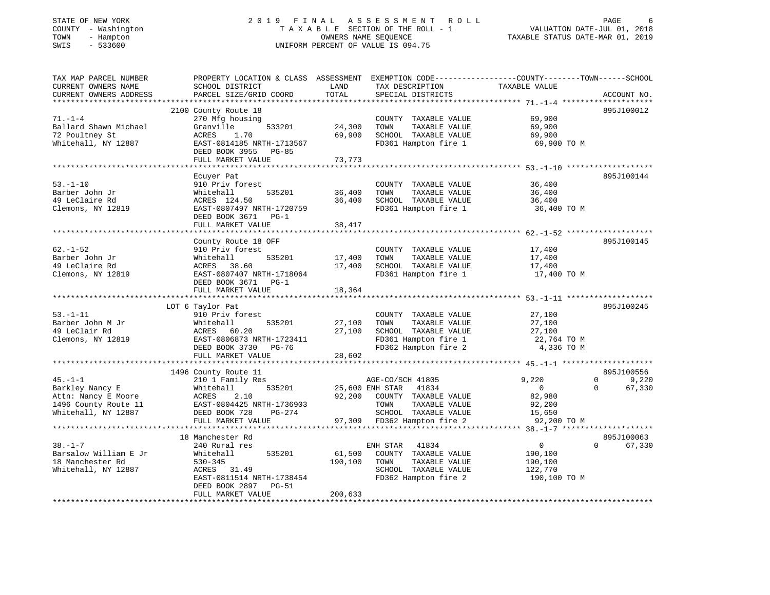### STATE OF NEW YORK 2 0 1 9 F I N A L A S S E S S M E N T R O L L PAGE 6 COUNTY - Washington T A X A B L E SECTION OF THE ROLL - 1 VALUATION DATE-JUL 01, 2018 TOWN - Hampton OWNERS NAME SEQUENCE TAXABLE STATUS DATE-MAR 01, 2019 SWIS - 533600 UNIFORM PERCENT OF VALUE IS 094.75

| TAX MAP PARCEL NUMBER  | PROPERTY LOCATION & CLASS ASSESSMENT EXEMPTION CODE---------------COUNTY-------TOWN------SCHOOL |         |                                                     |                |                         |
|------------------------|-------------------------------------------------------------------------------------------------|---------|-----------------------------------------------------|----------------|-------------------------|
| CURRENT OWNERS NAME    | SCHOOL DISTRICT                                                                                 | LAND    | TAX DESCRIPTION                                     | TAXABLE VALUE  |                         |
| CURRENT OWNERS ADDRESS | PARCEL SIZE/GRID COORD                                                                          | TOTAL   | SPECIAL DISTRICTS                                   |                | ACCOUNT NO.             |
|                        |                                                                                                 |         |                                                     |                |                         |
|                        | 2100 County Route 18                                                                            |         |                                                     |                | 895J100012              |
| $71. - 1 - 4$          | 270 Mfg housing                                                                                 |         | COUNTY TAXABLE VALUE                                | 69,900         |                         |
| Ballard Shawn Michael  | 533201<br>Granville                                                                             | 24,300  | TAXABLE VALUE<br>TOWN                               | 69,900         |                         |
| 72 Poultney St         | ACRES<br>1.70                                                                                   | 69,900  | SCHOOL TAXABLE VALUE                                | 69,900         |                         |
| Whitehall, NY 12887    | EAST-0814185 NRTH-1713567                                                                       |         | FD361 Hampton fire 1                                | 69,900 TO M    |                         |
|                        | DEED BOOK 3955 PG-85                                                                            |         |                                                     |                |                         |
|                        | FULL MARKET VALUE                                                                               | 73,773  |                                                     |                |                         |
|                        |                                                                                                 |         |                                                     |                |                         |
|                        |                                                                                                 |         |                                                     |                |                         |
|                        | Ecuyer Pat                                                                                      |         |                                                     |                | 895J100144              |
| $53. - 1 - 10$         | 910 Priv forest                                                                                 |         | COUNTY TAXABLE VALUE                                | 36,400         |                         |
| Barber John Jr         | 535201<br>Whitehall                                                                             | 36,400  | TAXABLE VALUE<br>TOWN                               | 36,400         |                         |
| 49 LeClaire Rd         | ACRES 124.50                                                                                    | 36,400  | SCHOOL TAXABLE VALUE                                | 36,400         |                         |
| Clemons, NY 12819      | EAST-0807497 NRTH-1720759                                                                       |         | FD361 Hampton fire 1                                | 36,400 TO M    |                         |
|                        | DEED BOOK 3671 PG-1                                                                             |         |                                                     |                |                         |
|                        | FULL MARKET VALUE                                                                               | 38,417  |                                                     |                |                         |
|                        |                                                                                                 |         |                                                     |                |                         |
|                        | County Route 18 OFF                                                                             |         |                                                     |                | 895J100145              |
| $62. - 1 - 52$         | 910 Priv forest                                                                                 |         | COUNTY TAXABLE VALUE                                | 17,400         |                         |
| Barber John Jr         | 535201<br>Whitehall                                                                             | 17,400  | TOWN<br>TAXABLE VALUE                               | 17,400         |                         |
| 49 LeClaire Rd         | ACRES 38.60                                                                                     | 17,400  | SCHOOL TAXABLE VALUE                                | 17,400         |                         |
| Clemons, NY 12819      | EAST-0807407 NRTH-1718064                                                                       |         | FD361 Hampton fire 1                                | 17,400 TO M    |                         |
|                        | DEED BOOK 3671 PG-1                                                                             |         |                                                     |                |                         |
|                        | FULL MARKET VALUE                                                                               | 18,364  |                                                     |                |                         |
|                        |                                                                                                 |         |                                                     |                |                         |
|                        |                                                                                                 |         |                                                     |                | 895J100245              |
|                        | LOT 6 Taylor Pat                                                                                |         |                                                     |                |                         |
| $53. - 1 - 11$         | 910 Priv forest                                                                                 |         | COUNTY TAXABLE VALUE                                | 27,100         |                         |
| Barber John M Jr       | 535201<br>Whitehall                                                                             | 27,100  | TOWN<br>TAXABLE VALUE                               | 27,100         |                         |
| 49 LeClair Rd          | ACRES 60.20                                                                                     | 27,100  | SCHOOL TAXABLE VALUE                                | 27,100         |                         |
| Clemons, NY 12819      | EAST-0806873 NRTH-1723411                                                                       |         | FD361 Hampton fire 1                                | 22,764 TO M    |                         |
|                        | DEED BOOK 3730 PG-76                                                                            |         | FD362 Hampton fire 2                                | 4,336 TO M     |                         |
|                        | FULL MARKET VALUE                                                                               | 28,602  |                                                     |                |                         |
|                        |                                                                                                 |         |                                                     |                |                         |
|                        | 1496 County Route 11                                                                            |         |                                                     |                | 895J100556              |
| $45. -1 -1$            | 210 1 Family Res                                                                                |         | AGE-CO/SCH 41805                                    | 9,220          | $\overline{0}$<br>9,220 |
| Barkley Nancy E        | 535201<br>Whitehall                                                                             |         | 25,600 ENH STAR 41834                               | $\overline{0}$ | 67,330<br>$\Omega$      |
| Attn: Nancy E Moore    |                                                                                                 |         | 92,200 COUNTY TAXABLE VALUE                         | 82,980         |                         |
| 1496 County Route 11   | ACRES 2.10<br>EAST-0804425 NRTH-1736903                                                         |         | TOWN<br>TAXABLE VALUE                               | 92,200         |                         |
| Whitehall, NY 12887    | DEED BOOK 728<br>PG-274                                                                         |         | SCHOOL TAXABLE VALUE                                | 15,650         |                         |
|                        | FULL MARKET VALUE                                                                               |         | SURVUL TAXABLE VALUE<br>97,309 FD362 Hampton fire 2 | 92,200 TO M    |                         |
|                        |                                                                                                 |         |                                                     |                |                         |
|                        | 18 Manchester Rd                                                                                |         |                                                     |                | 895J100063              |
| $38. - 1 - 7$          | 240 Rural res                                                                                   |         | ENH STAR 41834                                      | $\overline{0}$ | $\Omega$<br>67,330      |
| Barsalow William E Jr  | 535201                                                                                          | 61,500  | COUNTY TAXABLE VALUE                                |                |                         |
| 18 Manchester Rd       | Whitehall<br>$530 - 345$                                                                        | 190,100 | TOWN<br>TAXABLE VALUE                               | 190,100        |                         |
|                        |                                                                                                 |         |                                                     | 190,100        |                         |
| Whitehall, NY 12887    | ACRES 31.49                                                                                     |         | SCHOOL TAXABLE VALUE                                | 122,770        |                         |
|                        | EAST-0811514 NRTH-1738454                                                                       |         | FD362 Hampton fire 2                                | 190,100 TO M   |                         |
|                        | DEED BOOK 2897<br>PG-51                                                                         |         |                                                     |                |                         |
|                        | FULL MARKET VALUE                                                                               | 200,633 |                                                     |                |                         |
|                        |                                                                                                 |         |                                                     |                |                         |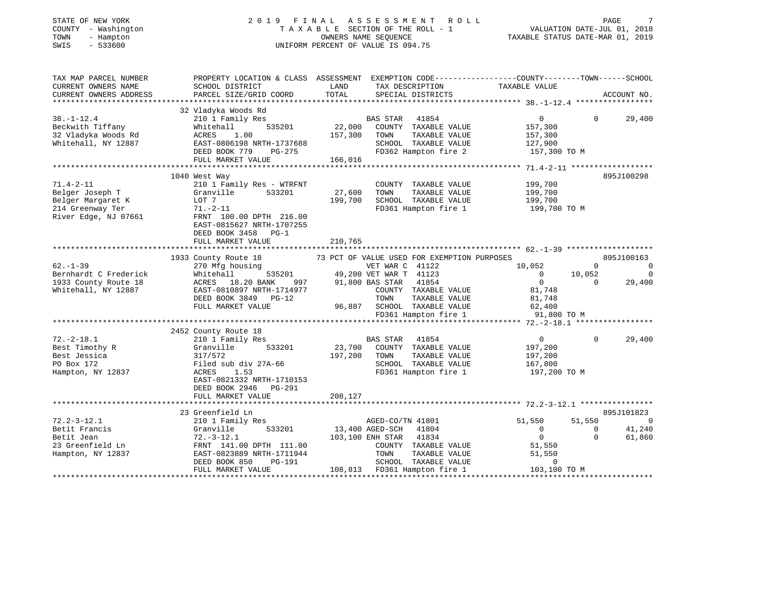| COUNTY - Washington<br>TOWN<br>- Hampton | TAXABLE SECTION OF THE ROLL - 1                                                                 | VALUATION DATE-JUL 01, 2018<br>TAXABLE STATUS DATE-MAR 01, 2019 |                                                       |                          |                                  |                |
|------------------------------------------|-------------------------------------------------------------------------------------------------|-----------------------------------------------------------------|-------------------------------------------------------|--------------------------|----------------------------------|----------------|
| $-533600$<br>SWIS                        |                                                                                                 |                                                                 | UNIFORM PERCENT OF VALUE IS 094.75                    |                          |                                  |                |
| TAX MAP PARCEL NUMBER                    | PROPERTY LOCATION & CLASS ASSESSMENT EXEMPTION CODE---------------COUNTY-------TOWN------SCHOOL |                                                                 |                                                       |                          |                                  |                |
| CURRENT OWNERS NAME                      | SCHOOL DISTRICT                                                                                 | LAND                                                            | TAX DESCRIPTION                                       | TAXABLE VALUE            |                                  |                |
| CURRENT OWNERS ADDRESS                   | PARCEL SIZE/GRID COORD                                                                          | TOTAL                                                           | SPECIAL DISTRICTS                                     |                          | ACCOUNT NO.                      |                |
|                                          | 32 Vladyka Woods Rd                                                                             |                                                                 |                                                       |                          |                                  |                |
| $38. - 1 - 12.4$                         | 210 1 Family Res                                                                                |                                                                 | BAS STAR<br>41854                                     | $\mathbf{0}$             | $\Omega$<br>29,400               |                |
| Beckwith Tiffany                         | 535201<br>Whitehall                                                                             | 22,000                                                          | COUNTY TAXABLE VALUE                                  | 157,300                  |                                  |                |
| 32 Vladyka Woods Rd                      | ACRES<br>1.00                                                                                   | 157,300                                                         | TOWN<br>TAXABLE VALUE                                 | 157,300                  |                                  |                |
| Whitehall, NY 12887                      | EAST-0806198 NRTH-1737688                                                                       |                                                                 | SCHOOL TAXABLE VALUE                                  | 127,900                  |                                  |                |
|                                          | DEED BOOK 779<br>PG-275                                                                         |                                                                 | FD362 Hampton fire 2                                  | 157,300 TO M             |                                  |                |
|                                          | FULL MARKET VALUE                                                                               | 166,016                                                         |                                                       |                          |                                  |                |
|                                          |                                                                                                 |                                                                 |                                                       |                          |                                  |                |
|                                          | 1040 West Way                                                                                   |                                                                 |                                                       |                          | 895J100298                       |                |
| $71.4 - 2 - 11$                          | 210 1 Family Res - WTRFNT                                                                       |                                                                 | COUNTY TAXABLE VALUE                                  | 199,700                  |                                  |                |
| Belger Joseph T                          | Granville<br>533201                                                                             | 27,600                                                          | TOWN<br>TAXABLE VALUE                                 | 199,700                  |                                  |                |
| Belger Margaret K                        | LOT 7                                                                                           | 199,700                                                         | SCHOOL TAXABLE VALUE                                  | 199,700                  |                                  |                |
| 214 Greenway Ter<br>River Edge, NJ 07661 | $71. - 2 - 11$<br>FRNT 100.00 DPTH 216.00                                                       |                                                                 | FD361 Hampton fire 1                                  | 199,700 TO M             |                                  |                |
|                                          | EAST-0815627 NRTH-1707255                                                                       |                                                                 |                                                       |                          |                                  |                |
|                                          | DEED BOOK 3458 PG-1                                                                             |                                                                 |                                                       |                          |                                  |                |
|                                          | FULL MARKET VALUE                                                                               | 210,765                                                         |                                                       |                          |                                  |                |
|                                          |                                                                                                 |                                                                 |                                                       |                          |                                  |                |
|                                          | 1933 County Route 18                                                                            |                                                                 | 73 PCT OF VALUE USED FOR EXEMPTION PURPOSES           |                          | 895J100163                       |                |
| $62 - 1 - 39$                            | 270 Mfg housing                                                                                 |                                                                 | VET WAR C 41122                                       | 10,052                   | $\Omega$                         | $\overline{0}$ |
| Bernhardt C Frederick                    | 535201<br>Whitehall                                                                             |                                                                 | 49,200 VET WAR T 41123                                | $\overline{0}$           | 10,052                           | $\overline{0}$ |
| 1933 County Route 18                     | ACRES 18.20 BANK<br>997                                                                         |                                                                 | 91,800 BAS STAR<br>41854                              | $\overline{0}$           | 29,400<br>0                      |                |
| Whitehall, NY 12887                      | EAST-0810897 NRTH-1714977                                                                       |                                                                 | COUNTY TAXABLE VALUE                                  | 81,748                   |                                  |                |
|                                          | DEED BOOK 3849 PG-12                                                                            |                                                                 | TAXABLE VALUE<br>TOWN                                 | 81,748                   |                                  |                |
|                                          | FULL MARKET VALUE                                                                               |                                                                 | 96,887 SCHOOL TAXABLE VALUE                           | 62,400                   |                                  |                |
|                                          |                                                                                                 |                                                                 | FD361 Hampton fire 1                                  | 91,800 TO M              |                                  |                |
|                                          | 2452 County Route 18                                                                            |                                                                 |                                                       |                          |                                  |                |
| $72. -2 - 18.1$                          | 210 1 Family Res                                                                                |                                                                 | BAS STAR<br>41854                                     | $\overline{0}$           | $\Omega$<br>29,400               |                |
| Best Timothy R                           | Granville<br>533201                                                                             | 23,700                                                          | COUNTY TAXABLE VALUE                                  | 197,200                  |                                  |                |
| Best Jessica                             | 317/572                                                                                         | 197,200                                                         | TOWN<br>TAXABLE VALUE                                 | 197,200                  |                                  |                |
| PO Box 172                               | Filed sub div 27A-66                                                                            |                                                                 | SCHOOL TAXABLE VALUE                                  | 167,800                  |                                  |                |
| Hampton, NY 12837                        | 1.53<br>ACRES                                                                                   |                                                                 | FD361 Hampton fire 1                                  | 197,200 TO M             |                                  |                |
|                                          | EAST-0821332 NRTH-1710153                                                                       |                                                                 |                                                       |                          |                                  |                |
|                                          | DEED BOOK 2946 PG-291                                                                           |                                                                 |                                                       |                          |                                  |                |
|                                          | FULL MARKET VALUE                                                                               | 208,127                                                         |                                                       |                          |                                  |                |
|                                          |                                                                                                 |                                                                 |                                                       |                          |                                  |                |
|                                          | 23 Greenfield Ln                                                                                |                                                                 |                                                       |                          | 895J101823                       | $\Omega$       |
| $72.2 - 3 - 12.1$                        | 210 1 Family Res                                                                                |                                                                 | AGED-CO/TN 41801                                      | 51,550<br>$\overline{0}$ | 51,550<br>$\Omega$               |                |
| Betit Francis<br>Betit Jean              | Granville<br>533201<br>$72.-3-12.1$                                                             |                                                                 | 13,400 AGED-SCH<br>41804<br>103,100 ENH STAR<br>41834 | $\overline{0}$           | 41,240<br>$\mathbf{0}$<br>61,860 |                |
| 23 Greenfield Ln                         | FRNT 141.00 DPTH 111.00                                                                         |                                                                 | COUNTY TAXABLE VALUE                                  | 51,550                   |                                  |                |
| Hampton, NY 12837                        | EAST-0823889 NRTH-1711944                                                                       |                                                                 | TOWN<br>TAXABLE VALUE                                 | 51,550                   |                                  |                |
|                                          | DEED BOOK 850<br>PG-191                                                                         |                                                                 | SCHOOL TAXABLE VALUE                                  | 0                        |                                  |                |
|                                          | FULL MARKET VALUE                                                                               |                                                                 | 108,813 FD361 Hampton fire 1                          | 103,100 TO M             |                                  |                |
|                                          |                                                                                                 |                                                                 |                                                       |                          |                                  |                |

PAGE 7

STATE OF NEW YORK 2019 FINAL ASSESSMENT ROLL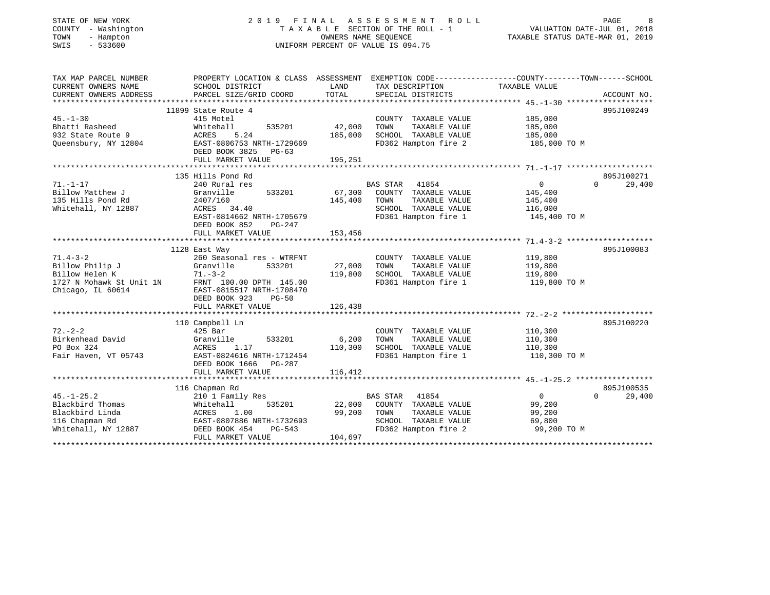| TOWN<br>- Hampton<br>SWIS<br>$-533600$                                                               | OWNERS NAME SEQUENCE<br>UNIFORM PERCENT OF VALUE IS 094.75                                                                                                           |                                                        |                                                                                                | TAXABLE STATUS DATE-MAR 01, 2019                                |                                  |
|------------------------------------------------------------------------------------------------------|----------------------------------------------------------------------------------------------------------------------------------------------------------------------|--------------------------------------------------------|------------------------------------------------------------------------------------------------|-----------------------------------------------------------------|----------------------------------|
| TAX MAP PARCEL NUMBER<br>CURRENT OWNERS NAME<br>CURRENT OWNERS ADDRESS                               | PROPERTY LOCATION & CLASS ASSESSMENT EXEMPTION CODE---------------COUNTY-------TOWN------SCHOOL<br>SCHOOL DISTRICT<br>PARCEL SIZE/GRID COORD                         | LAND<br>TOTAL                                          | TAX DESCRIPTION<br>SPECIAL DISTRICTS                                                           | TAXABLE VALUE                                                   | ACCOUNT NO.                      |
|                                                                                                      | 11899 State Route 4                                                                                                                                                  |                                                        |                                                                                                |                                                                 | 895J100249                       |
| $45. - 1 - 30$<br>Bhatti Rasheed<br>932 State Route 9                                                | 415 Motel<br>Whitehall<br>535201<br>ACRES<br>5.24                                                                                                                    | 42,000<br>TOWN<br>185,000                              | COUNTY TAXABLE VALUE<br>TAXABLE VALUE<br>SCHOOL TAXABLE VALUE                                  | 185,000<br>185,000<br>185,000                                   |                                  |
| Queensbury, NY 12804                                                                                 | EAST-0806753 NRTH-1729669<br>DEED BOOK 3825<br>$PG-63$<br>FULL MARKET VALUE                                                                                          | 195,251                                                | FD362 Hampton fire 2                                                                           | 185,000 TO M                                                    |                                  |
|                                                                                                      |                                                                                                                                                                      |                                                        |                                                                                                |                                                                 |                                  |
| $71. - 1 - 17$<br>Billow Matthew J<br>135 Hills Pond Rd<br>Whitehall, NY 12887                       | 135 Hills Pond Rd<br>240 Rural res<br>Granville<br>533201<br>2407/160<br>ACRES<br>34.40<br>EAST-0814662 NRTH-1705679<br>DEED BOOK 852<br>$PG-247$                    | <b>BAS STAR</b><br>67,300<br>145,400<br>TOWN           | 41854<br>COUNTY TAXABLE VALUE<br>TAXABLE VALUE<br>SCHOOL TAXABLE VALUE<br>FD361 Hampton fire 1 | $\overline{0}$<br>145,400<br>145,400<br>116,000<br>145,400 TO M | 895J100271<br>29,400<br>$\Omega$ |
|                                                                                                      | FULL MARKET VALUE                                                                                                                                                    | 153,456                                                |                                                                                                |                                                                 |                                  |
|                                                                                                      |                                                                                                                                                                      |                                                        |                                                                                                |                                                                 |                                  |
| $71.4 - 3 - 2$<br>Billow Philip J<br>Billow Helen K<br>1727 N Mohawk St Unit 1N<br>Chicago, IL 60614 | 1128 East Way<br>260 Seasonal res - WTRFNT<br>Granville<br>533201<br>$71. - 3 - 2$<br>FRNT 100.00 DPTH 145.00<br>EAST-0815517 NRTH-1708470<br>DEED BOOK 923<br>PG-50 | 27,000<br>TOWN<br>119,800                              | COUNTY TAXABLE VALUE<br>TAXABLE VALUE<br>SCHOOL TAXABLE VALUE<br>FD361 Hampton fire 1          | 119,800<br>119,800<br>119,800<br>119,800 TO M                   | 895J100083                       |
|                                                                                                      | FULL MARKET VALUE                                                                                                                                                    | 126,438                                                |                                                                                                |                                                                 |                                  |
| $72. - 2 - 2$<br>Birkenhead David<br>PO Box 324<br>Fair Haven, VT 05743                              | 110 Campbell Ln<br>$425$ Bar<br>Granville<br>533201<br>ACRES<br>1.17<br>EAST-0824616 NRTH-1712454<br>DEED BOOK 1666<br>PG-287                                        | 6,200<br>TOWN<br>110,300                               | COUNTY TAXABLE VALUE<br>TAXABLE VALUE<br>SCHOOL TAXABLE VALUE<br>FD361 Hampton fire 1          | 110,300<br>110,300<br>110,300<br>110,300 TO M                   | 895J100220                       |
|                                                                                                      | FULL MARKET VALUE                                                                                                                                                    | 116,412                                                |                                                                                                |                                                                 |                                  |
|                                                                                                      |                                                                                                                                                                      |                                                        |                                                                                                |                                                                 |                                  |
| $45. - 1 - 25.2$<br>Blackbird Thomas<br>Blackbird Linda<br>116 Chapman Rd<br>Whitehall, NY 12887     | 116 Chapman Rd<br>210 1 Family Res<br>535201<br>Whitehall<br>1.00<br>ACRES<br>EAST-0807886 NRTH-1732693<br>DEED BOOK 454<br>$PG-543$<br>FULL MARKET VALUE            | <b>BAS STAR</b><br>22,000<br>99,200<br>TOWN<br>104,697 | 41854<br>COUNTY TAXABLE VALUE<br>TAXABLE VALUE<br>SCHOOL TAXABLE VALUE<br>FD362 Hampton fire 2 | $\overline{0}$<br>99,200<br>99,200<br>69,800<br>99,200 TO M     | 895J100535<br>29,400<br>$\Omega$ |
|                                                                                                      |                                                                                                                                                                      |                                                        |                                                                                                |                                                                 |                                  |

STATE OF NEW YORK 2 0 1 9 F I N A L A S S E S S M E N T R O L L PAGE 8 COUNTY - Washington T A X A B L E SECTION OF THE ROLL - 1 VALUATION DATE-JUL 01, 2018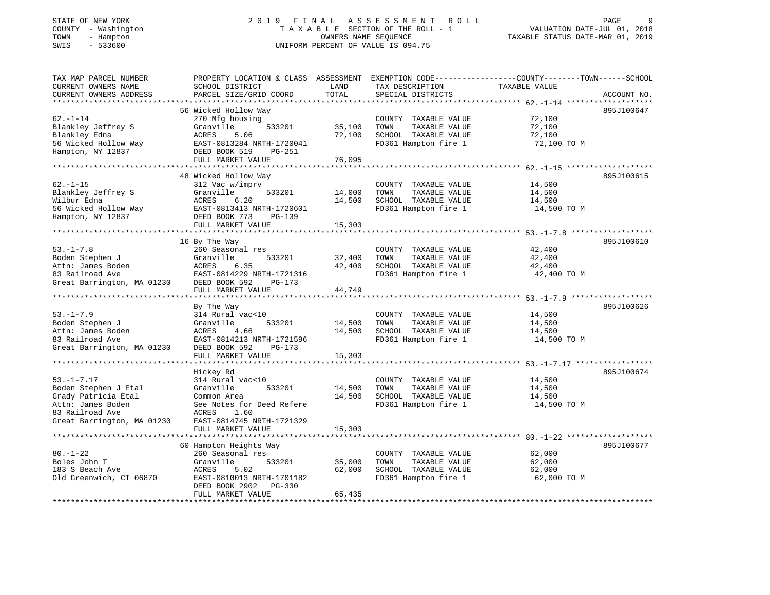#### STATE OF NEW YORK 2 0 1 9 F I N A L A S S E S S M E N T R O L L PAGE 9 COUNTY - Washington T A X A B L E SECTION OF THE ROLL - 1 VALUATION DATE-JUL 01, 2018 TOWN - Hampton OWNERS NAME SEQUENCE TAXABLE STATUS DATE-MAR 01, 2019 SWIS - 533600 UNIFORM PERCENT OF VALUE IS 094.75

| TAX MAP PARCEL NUMBER      | PROPERTY LOCATION & CLASS ASSESSMENT EXEMPTION CODE----------------COUNTY-------TOWN-----SCHOOL |        |                       |                                                                |             |
|----------------------------|-------------------------------------------------------------------------------------------------|--------|-----------------------|----------------------------------------------------------------|-------------|
| CURRENT OWNERS NAME        | SCHOOL DISTRICT                                                                                 | LAND   | TAX DESCRIPTION       | TAXABLE VALUE                                                  |             |
| CURRENT OWNERS ADDRESS     | PARCEL SIZE/GRID COORD                                                                          | TOTAL  | SPECIAL DISTRICTS     |                                                                | ACCOUNT NO. |
|                            |                                                                                                 |        |                       |                                                                |             |
|                            | 56 Wicked Hollow Way                                                                            |        |                       |                                                                | 895J100647  |
| $62. - 1 - 14$             | 270 Mfg housing                                                                                 |        | COUNTY TAXABLE VALUE  | 72,100                                                         |             |
| Blankley Jeffrey S         | 533201                                                                                          |        | TOWN                  | 72,100                                                         |             |
|                            | Granville                                                                                       | 35,100 | TAXABLE VALUE         |                                                                |             |
| Blankley Edna              | ACRES<br>5.06                                                                                   | 72,100 | SCHOOL TAXABLE VALUE  | 72,100                                                         |             |
| 56 Wicked Hollow Way       | EAST-0813284 NRTH-1720041                                                                       |        | FD361 Hampton fire 1  | 72,100 TO M                                                    |             |
| Hampton, NY 12837          | DEED BOOK 519<br>PG-251                                                                         |        |                       |                                                                |             |
|                            | FULL MARKET VALUE                                                                               | 76,095 |                       |                                                                |             |
|                            |                                                                                                 |        |                       |                                                                |             |
|                            | 48 Wicked Hollow Way                                                                            |        |                       |                                                                | 895J100615  |
| $62. - 1 - 15$             | 312 Vac w/imprv                                                                                 |        | COUNTY TAXABLE VALUE  | 14,500                                                         |             |
| Blankley Jeffrey S         | Granville<br>533201                                                                             | 14,000 | TOWN<br>TAXABLE VALUE | 14,500                                                         |             |
| Wilbur Edna                | ACRES<br>6.20                                                                                   | 14,500 | SCHOOL TAXABLE VALUE  | 14,500                                                         |             |
| 56 Wicked Hollow Way       | EAST-0813413 NRTH-1720601                                                                       |        | FD361 Hampton fire 1  | 14,500 TO M                                                    |             |
| Hampton, NY 12837          | DEED BOOK 773<br>$PG-139$                                                                       |        |                       |                                                                |             |
|                            | FULL MARKET VALUE                                                                               | 15,303 |                       |                                                                |             |
|                            |                                                                                                 |        |                       |                                                                |             |
|                            | 16 By The Way                                                                                   |        |                       |                                                                | 895J100610  |
|                            |                                                                                                 |        |                       |                                                                |             |
| $53. - 1 - 7.8$            | 260 Seasonal res                                                                                |        | COUNTY TAXABLE VALUE  | 42,400                                                         |             |
| Boden Stephen J            | Granville<br>533201                                                                             | 32,400 | TOWN<br>TAXABLE VALUE | 42,400                                                         |             |
| Attn: James Boden          | ACRES<br>6.35                                                                                   | 42,400 | SCHOOL TAXABLE VALUE  | 42,400                                                         |             |
| 83 Railroad Ave            | EAST-0814229 NRTH-1721316                                                                       |        | FD361 Hampton fire 1  | 42,400 TO M                                                    |             |
| Great Barrington, MA 01230 | DEED BOOK 592<br>PG-173                                                                         |        |                       |                                                                |             |
|                            | FULL MARKET VALUE                                                                               | 44,749 |                       |                                                                |             |
|                            |                                                                                                 |        |                       |                                                                |             |
|                            | By The Way                                                                                      |        |                       |                                                                | 895J100626  |
| $53. - 1 - 7.9$            | 314 Rural vac<10                                                                                |        | COUNTY TAXABLE VALUE  | 14,500                                                         |             |
| Boden Stephen J            | 533201<br>Granville                                                                             | 14,500 | TAXABLE VALUE<br>TOWN | 14,500                                                         |             |
| Attn: James Boden          | 4.66<br>ACRES                                                                                   | 14,500 | SCHOOL TAXABLE VALUE  | 14,500                                                         |             |
| 83 Railroad Ave            | EAST-0814213 NRTH-1721596                                                                       |        | FD361 Hampton fire 1  | 14,500 TO M                                                    |             |
| Great Barrington, MA 01230 | DEED BOOK 592<br>$PG-173$                                                                       |        |                       |                                                                |             |
|                            | FULL MARKET VALUE                                                                               | 15,303 |                       |                                                                |             |
|                            | ********************                                                                            |        |                       | .******************************** 53.-1-7.17 ***************** |             |
|                            |                                                                                                 |        |                       |                                                                | 895J100674  |
|                            | Hickey Rd                                                                                       |        |                       |                                                                |             |
| $53. - 1 - 7.17$           | 314 Rural vac<10                                                                                |        | COUNTY TAXABLE VALUE  | 14,500                                                         |             |
| Boden Stephen J Etal       | Granville<br>533201                                                                             | 14,500 | TAXABLE VALUE<br>TOWN | 14,500                                                         |             |
| Grady Patricia Etal        | Common Area                                                                                     | 14,500 | SCHOOL TAXABLE VALUE  | 14,500                                                         |             |
| Attn: James Boden          | See Notes for Deed Refere                                                                       |        | FD361 Hampton fire 1  | 14,500 TO M                                                    |             |
| 83 Railroad Ave            | ACRES<br>1.60                                                                                   |        |                       |                                                                |             |
| Great Barrington, MA 01230 | EAST-0814745 NRTH-1721329                                                                       |        |                       |                                                                |             |
|                            | FULL MARKET VALUE                                                                               | 15,303 |                       |                                                                |             |
|                            |                                                                                                 |        |                       |                                                                |             |
|                            | 60 Hampton Heights Way                                                                          |        |                       |                                                                | 895J100677  |
| $80. - 1 - 22$             | 260 Seasonal res                                                                                |        | COUNTY TAXABLE VALUE  | 62,000                                                         |             |
| Boles John T               | Granville<br>533201                                                                             | 35,000 | TOWN<br>TAXABLE VALUE | 62,000                                                         |             |
| 183 S Beach Ave            | 5.02<br>ACRES                                                                                   | 62,000 | SCHOOL TAXABLE VALUE  | 62,000                                                         |             |
|                            | EAST-0810013 NRTH-1701182                                                                       |        |                       |                                                                |             |
| Old Greenwich, CT 06870    |                                                                                                 |        | FD361 Hampton fire 1  | 62,000 TO M                                                    |             |
|                            | DEED BOOK 2902<br>PG-330                                                                        |        |                       |                                                                |             |
|                            | FULL MARKET VALUE                                                                               | 65,435 |                       |                                                                |             |
|                            |                                                                                                 |        |                       |                                                                |             |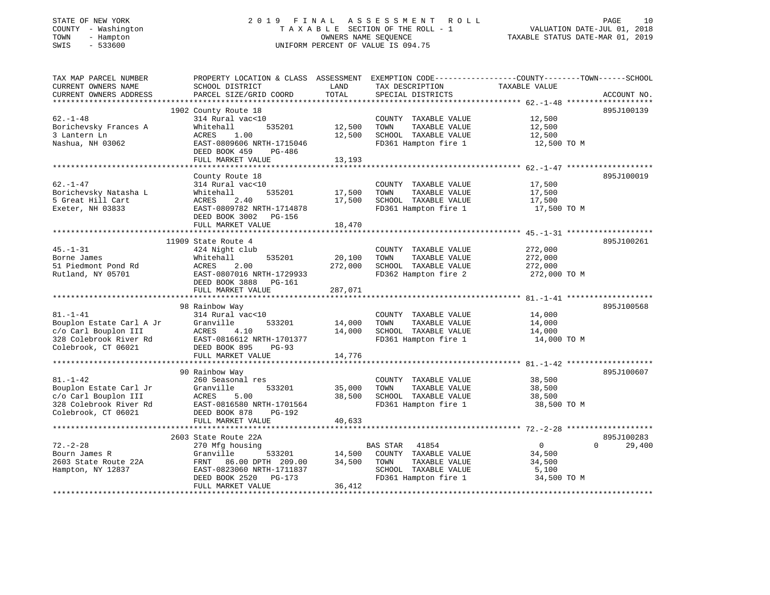## STATE OF NEW YORK 2 0 1 9 F I N A L A S S E S S M E N T R O L L PAGE 10 COUNTY - Washington T A X A B L E SECTION OF THE ROLL - 1 VALUATION DATE-JUL 01, 2018 TOWN - Hampton OWNERS NAME SEQUENCE TAXABLE STATUS DATE-MAR 01, 2019 SWIS - 533600 UNIFORM PERCENT OF VALUE IS 094.75

| TAX MAP PARCEL NUMBER                            | PROPERTY LOCATION & CLASS ASSESSMENT EXEMPTION CODE---------------COUNTY-------TOWN------SCHOOL |         |                       |                |                    |
|--------------------------------------------------|-------------------------------------------------------------------------------------------------|---------|-----------------------|----------------|--------------------|
| CURRENT OWNERS NAME                              | SCHOOL DISTRICT                                                                                 | LAND    | TAX DESCRIPTION       | TAXABLE VALUE  |                    |
| CURRENT OWNERS ADDRESS                           | PARCEL SIZE/GRID COORD                                                                          | TOTAL   | SPECIAL DISTRICTS     |                | ACCOUNT NO.        |
|                                                  |                                                                                                 |         |                       |                |                    |
|                                                  | 1902 County Route 18                                                                            |         |                       |                | 895J100139         |
|                                                  |                                                                                                 |         |                       |                |                    |
| $62. - 1 - 48$                                   | 314 Rural vac<10                                                                                |         | COUNTY TAXABLE VALUE  | 12,500         |                    |
| Borichevsky Frances A                            | 535201<br>Whitehall                                                                             | 12,500  | TOWN<br>TAXABLE VALUE | 12,500         |                    |
| 3 Lantern Ln                                     | ACRES<br>1.00                                                                                   | 12,500  | SCHOOL TAXABLE VALUE  | 12,500         |                    |
| Nashua, NH 03062                                 | EAST-0809606 NRTH-1715046                                                                       |         | FD361 Hampton fire 1  | 12,500 TO M    |                    |
|                                                  | DEED BOOK 459<br>PG-486                                                                         |         |                       |                |                    |
|                                                  | FULL MARKET VALUE                                                                               | 13,193  |                       |                |                    |
|                                                  |                                                                                                 |         |                       |                |                    |
|                                                  |                                                                                                 |         |                       |                |                    |
|                                                  | County Route 18                                                                                 |         |                       |                | 895J100019         |
| $62. - 1 - 47$                                   | 314 Rural vac<10                                                                                |         | COUNTY TAXABLE VALUE  | 17,500         |                    |
| Borichevsky Natasha L                            | Whitehall<br>535201                                                                             | 17,500  | TAXABLE VALUE<br>TOWN | 17,500         |                    |
| 5 Great Hill Cart                                | 2.40<br>ACRES                                                                                   | 17,500  | SCHOOL TAXABLE VALUE  | 17,500         |                    |
| Exeter, NH 03833                                 | EAST-0809782 NRTH-1714878                                                                       |         | FD361 Hampton fire 1  | 17,500 TO M    |                    |
|                                                  | DEED BOOK 3002 PG-156                                                                           |         |                       |                |                    |
|                                                  | FULL MARKET VALUE                                                                               | 18,470  |                       |                |                    |
|                                                  |                                                                                                 |         |                       |                |                    |
|                                                  | 11909 State Route 4                                                                             |         |                       |                | 895J100261         |
|                                                  |                                                                                                 |         |                       |                |                    |
| $45. - 1 - 31$                                   | 424 Night club                                                                                  |         | COUNTY TAXABLE VALUE  | 272,000        |                    |
| Borne James                                      | 535201<br>Whitehall                                                                             | 20,100  | TAXABLE VALUE<br>TOWN | 272,000        |                    |
| 51 Piedmont Pond Rd                              | 2.00<br>ACRES                                                                                   | 272,000 | SCHOOL TAXABLE VALUE  | 272,000        |                    |
| Rutland, NY 05701                                | EAST-0807016 NRTH-1729933                                                                       |         | FD362 Hampton fire 2  | 272,000 TO M   |                    |
|                                                  | DEED BOOK 3888 PG-161                                                                           |         |                       |                |                    |
|                                                  | FULL MARKET VALUE                                                                               | 287,071 |                       |                |                    |
|                                                  |                                                                                                 |         |                       |                |                    |
|                                                  | 98 Rainbow Way                                                                                  |         |                       |                | 895J100568         |
| $81 - 1 - 41$                                    | 314 Rural vac<10                                                                                |         |                       |                |                    |
|                                                  |                                                                                                 |         | COUNTY TAXABLE VALUE  | 14,000         |                    |
| Bouplon Estate Carl A Jr<br>c/o Carl Bouplon III | 533201<br>Granville                                                                             | 14,000  | TOWN<br>TAXABLE VALUE | 14,000         |                    |
| c/o Carl Bouplon III                             | ACRES<br>4.10                                                                                   | 14,000  | SCHOOL TAXABLE VALUE  | 14,000         |                    |
| 328 Colebrook River Rd                           | EAST-0816612 NRTH-1701377                                                                       |         | FD361 Hampton fire 1  | 14,000 TO M    |                    |
| Colebrook, CT 06021                              | DEED BOOK 895<br>$PG-93$                                                                        |         |                       |                |                    |
|                                                  | FULL MARKET VALUE                                                                               | 14,776  |                       |                |                    |
|                                                  |                                                                                                 |         |                       |                |                    |
|                                                  | 90 Rainbow Way                                                                                  |         |                       |                | 895J100607         |
| $81. - 1 - 42$                                   | 260 Seasonal res                                                                                |         | COUNTY TAXABLE VALUE  | 38,500         |                    |
|                                                  |                                                                                                 |         |                       |                |                    |
| Bouplon Estate Carl Jr                           | Granville 533201<br>ACRES 5.00<br>EAST-0816580 NRTH-1701564                                     | 35,000  | TAXABLE VALUE<br>TOWN | 38,500         |                    |
| c/o Carl Bouplon III                             |                                                                                                 | 38,500  | SCHOOL TAXABLE VALUE  | 38,500         |                    |
| 328 Colebrook River Rd                           |                                                                                                 |         | FD361 Hampton fire 1  | 38,500 TO M    |                    |
| Colebrook, CT 06021                              | DEED BOOK 878<br>PG-192                                                                         |         |                       |                |                    |
|                                                  | FULL MARKET VALUE                                                                               | 40,633  |                       |                |                    |
|                                                  |                                                                                                 |         |                       |                |                    |
|                                                  | 2603 State Route 22A                                                                            |         |                       |                | 895J100283         |
| $72. - 2 - 28$                                   | 270 Mfg housing                                                                                 |         | BAS STAR<br>41854     | $\overline{0}$ | 29,400<br>$\Omega$ |
|                                                  |                                                                                                 |         |                       |                |                    |
| Bourn James R                                    | 533201<br>Granville                                                                             | 14,500  | COUNTY TAXABLE VALUE  | 34,500         |                    |
| 2603 State Route 22A                             | 86.00 DPTH 209.00<br>FRNT                                                                       | 34,500  | TAXABLE VALUE<br>TOWN | 34,500         |                    |
| Hampton, NY 12837                                | EAST-0823060 NRTH-1711837                                                                       |         | SCHOOL TAXABLE VALUE  | 5,100          |                    |
|                                                  | DEED BOOK 2520<br>PG-173                                                                        |         | FD361 Hampton fire 1  | 34,500 TO M    |                    |
|                                                  | FULL MARKET VALUE                                                                               | 36,412  |                       |                |                    |
|                                                  |                                                                                                 |         |                       |                |                    |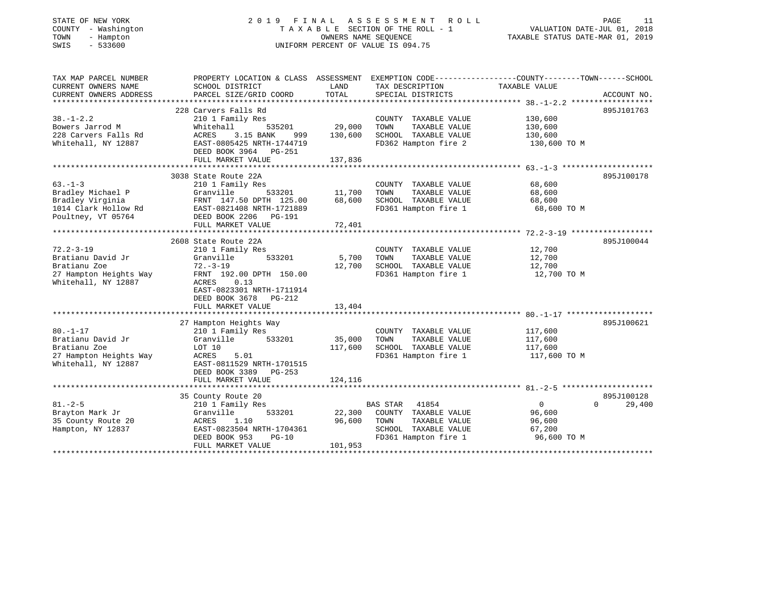| STATE OF NEW YORK<br>COUNTY - Washington<br>TOWN<br>- Hampton<br>SWIS<br>$-533600$ | 2019 FINAL                                    | OWNERS NAME SEQUENCE | A S S E S S M E N T<br>ROLL<br>TAXABLE SECTION OF THE ROLL - 1<br>UNIFORM PERCENT OF VALUE IS 094.75 | PAGE<br>11<br>VALUATION DATE-JUL 01, 2018<br>TAXABLE STATUS DATE-MAR 01, 2019                                    |
|------------------------------------------------------------------------------------|-----------------------------------------------|----------------------|------------------------------------------------------------------------------------------------------|------------------------------------------------------------------------------------------------------------------|
| TAX MAP PARCEL NUMBER<br>CURRENT OWNERS NAME                                       | SCHOOL DISTRICT                               | LAND                 | TAX DESCRIPTION                                                                                      | PROPERTY LOCATION & CLASS ASSESSMENT EXEMPTION CODE---------------COUNTY-------TOWN------SCHOOL<br>TAXABLE VALUE |
| CURRENT OWNERS ADDRESS                                                             | PARCEL SIZE/GRID COORD                        | TOTAL                | SPECIAL DISTRICTS                                                                                    | ACCOUNT NO.                                                                                                      |
|                                                                                    |                                               |                      |                                                                                                      |                                                                                                                  |
|                                                                                    | 228 Carvers Falls Rd                          |                      |                                                                                                      | 895J101763                                                                                                       |
| $38. - 1 - 2.2$                                                                    | 210 1 Family Res                              |                      | COUNTY TAXABLE VALUE                                                                                 | 130,600                                                                                                          |
| Bowers Jarrod M<br>228 Carvers Falls Rd                                            | Whitehall<br>535201<br>ACRES                  | 29,000<br>130,600    | TAXABLE VALUE<br>TOWN                                                                                | 130,600                                                                                                          |
| Whitehall, NY 12887                                                                | 3.15 BANK<br>999<br>EAST-0805425 NRTH-1744719 |                      | SCHOOL TAXABLE VALUE<br>FD362 Hampton fire 2                                                         | 130,600<br>130,600 TO M                                                                                          |
|                                                                                    | DEED BOOK 3964 PG-251                         |                      |                                                                                                      |                                                                                                                  |
|                                                                                    | FULL MARKET VALUE                             | 137,836              |                                                                                                      |                                                                                                                  |
|                                                                                    |                                               |                      |                                                                                                      |                                                                                                                  |
|                                                                                    | 3038 State Route 22A                          |                      |                                                                                                      | 895J100178                                                                                                       |
| $63 - 1 - 3$<br>Bradley Michael P                                                  | 210 1 Family Res<br>Granville<br>533201       | 11,700               | COUNTY TAXABLE VALUE<br>TAXABLE VALUE<br>TOWN                                                        | 68,600<br>68,600                                                                                                 |
| Bradley Virginia                                                                   | FRNT 147.50 DPTH 125.00                       | 68,600               | SCHOOL TAXABLE VALUE                                                                                 | 68,600                                                                                                           |
| 1014 Clark Hollow Rd                                                               | EAST-0821408 NRTH-1721889                     |                      | FD361 Hampton fire 1                                                                                 | 68,600 TO M                                                                                                      |
| Poultney, VT 05764                                                                 | DEED BOOK 2206 PG-191                         |                      |                                                                                                      |                                                                                                                  |
|                                                                                    | FULL MARKET VALUE                             | 72,401               |                                                                                                      |                                                                                                                  |
|                                                                                    |                                               |                      |                                                                                                      |                                                                                                                  |
| $72.2 - 3 - 19$                                                                    | 2608 State Route 22A<br>210 1 Family Res      |                      | COUNTY TAXABLE VALUE                                                                                 | 895J100044<br>12,700                                                                                             |
| Bratianu David Jr                                                                  | Granville<br>533201                           | 5,700                | TOWN<br>TAXABLE VALUE                                                                                | 12,700                                                                                                           |
| Bratianu Zoe                                                                       | $72. - 3 - 19$                                | 12,700               | SCHOOL TAXABLE VALUE                                                                                 | 12,700                                                                                                           |
| 27 Hampton Heights Way                                                             | FRNT 192.00 DPTH 150.00                       |                      | FD361 Hampton fire 1                                                                                 | 12,700 TO M                                                                                                      |
| Whitehall, NY 12887                                                                | ACRES<br>0.13                                 |                      |                                                                                                      |                                                                                                                  |
|                                                                                    | EAST-0823301 NRTH-1711914                     |                      |                                                                                                      |                                                                                                                  |
|                                                                                    | DEED BOOK 3678<br>PG-212<br>FULL MARKET VALUE | 13,404               |                                                                                                      |                                                                                                                  |
|                                                                                    |                                               |                      |                                                                                                      |                                                                                                                  |
|                                                                                    | 27 Hampton Heights Way                        |                      |                                                                                                      | 895J100621                                                                                                       |
| $80. - 1 - 17$                                                                     | 210 1 Family Res                              |                      | COUNTY TAXABLE VALUE                                                                                 | 117,600                                                                                                          |
| Bratianu David Jr                                                                  | Granville<br>533201                           | 35,000               | TOWN<br>TAXABLE VALUE                                                                                | 117,600                                                                                                          |
| Bratianu Zoe                                                                       | LOT 10                                        | 117,600              | SCHOOL TAXABLE VALUE                                                                                 | 117,600                                                                                                          |
| 27 Hampton Heights Way<br>Whitehall, NY 12887                                      | 5.01<br>ACRES<br>EAST-0811529 NRTH-1701515    |                      | FD361 Hampton fire 1                                                                                 | 117,600 TO M                                                                                                     |
|                                                                                    | DEED BOOK 3389 PG-253                         |                      |                                                                                                      |                                                                                                                  |
|                                                                                    | FULL MARKET VALUE                             | 124,116              |                                                                                                      |                                                                                                                  |
|                                                                                    |                                               |                      |                                                                                                      |                                                                                                                  |
|                                                                                    | 35 County Route 20                            |                      |                                                                                                      | 895J100128                                                                                                       |
| $81. - 2 - 5$                                                                      | 210 1 Family Res                              |                      | BAS STAR<br>41854                                                                                    | $\overline{0}$<br>$\Omega$<br>29,400                                                                             |
| Brayton Mark Jr                                                                    | Granville<br>533201<br>ACRES                  | 22,300<br>96,600     | COUNTY TAXABLE VALUE<br>TOWN<br>TAXABLE VALUE                                                        | 96,600                                                                                                           |
| 35 County Route 20<br>Hampton, NY 12837                                            | 1.10<br>EAST-0823504 NRTH-1704361             |                      | SCHOOL TAXABLE VALUE                                                                                 | 96,600<br>67,200                                                                                                 |
|                                                                                    | DEED BOOK 953<br>$PG-10$                      |                      | FD361 Hampton fire 1                                                                                 | 96,600 TO M                                                                                                      |
|                                                                                    | FULL MARKET VALUE                             | 101,953              |                                                                                                      |                                                                                                                  |
|                                                                                    |                                               |                      |                                                                                                      |                                                                                                                  |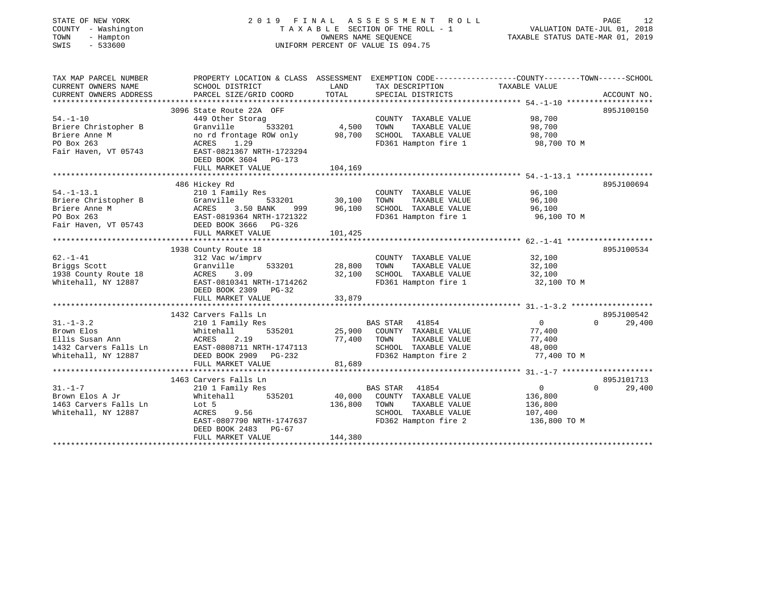| STATE OF NEW YORK<br>COUNTY - Washington<br>TOWN<br>- Hampton<br>$-533600$<br>SWIS | 2019 FINAL ASSESSMENT ROLL<br>TAXABLE SECTION OF THE ROLL - $1$<br>UNIFORM PERCENT OF VALUE IS 094.75 | VALUATION DATE-JUL 01, 2018<br>TAXABLE STATUS DATE-MAR 01, 2019 | PAGE<br>12                                                                                      |                |                    |
|------------------------------------------------------------------------------------|-------------------------------------------------------------------------------------------------------|-----------------------------------------------------------------|-------------------------------------------------------------------------------------------------|----------------|--------------------|
| TAX MAP PARCEL NUMBER                                                              |                                                                                                       |                                                                 | PROPERTY LOCATION & CLASS ASSESSMENT EXEMPTION CODE---------------COUNTY-------TOWN------SCHOOL |                |                    |
| CURRENT OWNERS NAME                                                                | SCHOOL DISTRICT                                                                                       | LAND                                                            | TAX DESCRIPTION TAXABLE VALUE                                                                   |                |                    |
| CURRENT OWNERS ADDRESS                                                             | PARCEL SIZE/GRID COORD                                                                                | TOTAL                                                           | SPECIAL DISTRICTS                                                                               |                | ACCOUNT NO.        |
|                                                                                    | 3096 State Route 22A OFF                                                                              |                                                                 |                                                                                                 |                | 895J100150         |
| $54. - 1 - 10$                                                                     | 449 Other Storag                                                                                      |                                                                 | COUNTY TAXABLE VALUE                                                                            | 98,700         |                    |
| Briere Christopher B                                                               | Granville<br>533201                                                                                   | 4,500                                                           | TOWN<br>TAXABLE VALUE                                                                           | 98,700         |                    |
| Briere Anne M                                                                      | no rd frontage ROW only                                                                               | 98,700                                                          | SCHOOL TAXABLE VALUE                                                                            | 98,700         |                    |
| PO Box 263                                                                         | ACRES<br>1.29                                                                                         |                                                                 | FD361 Hampton fire 1                                                                            | 98,700 TO M    |                    |
| Fair Haven, VT 05743                                                               | EAST-0821367 NRTH-1723294<br>DEED BOOK 3604 PG-173                                                    |                                                                 |                                                                                                 |                |                    |
|                                                                                    | FULL MARKET VALUE                                                                                     | 104,169                                                         |                                                                                                 |                |                    |
|                                                                                    |                                                                                                       |                                                                 |                                                                                                 |                |                    |
|                                                                                    | 486 Hickey Rd                                                                                         |                                                                 |                                                                                                 |                | 895J100694         |
| $54. - 1 - 13.1$                                                                   | 210 1 Family Res                                                                                      |                                                                 | COUNTY TAXABLE VALUE                                                                            | 96,100         |                    |
| Briere Christopher B                                                               | Granville                                                                                             | 533201 30,100                                                   | TOWN<br>TAXABLE VALUE                                                                           | 96,100         |                    |
| Briere Anne M                                                                      | ACRES<br>3.50 BANK<br>999                                                                             | 96,100                                                          | SCHOOL TAXABLE VALUE                                                                            | 96,100         |                    |
| PO Box 263                                                                         | EAST-0819364 NRTH-1721322                                                                             |                                                                 | FD361 Hampton fire 1                                                                            | 96,100 TO M    |                    |
| Fair Haven, VT 05743                                                               | DEED BOOK 3666 PG-326<br>FULL MARKET VALUE                                                            | 101,425                                                         |                                                                                                 |                |                    |
|                                                                                    |                                                                                                       |                                                                 |                                                                                                 |                |                    |
|                                                                                    | 1938 County Route 18                                                                                  |                                                                 |                                                                                                 |                | 895J100534         |
| $62. - 1 - 41$                                                                     | 312 Vac w/imprv                                                                                       |                                                                 | COUNTY TAXABLE VALUE                                                                            | 32,100         |                    |
| Briggs Scott                                                                       | Granville<br>533201                                                                                   | 28,800                                                          | TAXABLE VALUE<br>TOWN                                                                           | 32,100         |                    |
| 1938 County Route 18                                                               | ACRES<br>3.09                                                                                         | 32,100                                                          | SCHOOL TAXABLE VALUE                                                                            | 32,100         |                    |
| Whitehall, NY 12887                                                                | EAST-0810341 NRTH-1714262                                                                             |                                                                 | FD361 Hampton fire 1                                                                            | 32,100 TO M    |                    |
|                                                                                    | DEED BOOK 2309 PG-32<br>FULL MARKET VALUE                                                             | 33,879                                                          |                                                                                                 |                |                    |
|                                                                                    |                                                                                                       |                                                                 |                                                                                                 |                |                    |
|                                                                                    | 1432 Carvers Falls Ln                                                                                 |                                                                 |                                                                                                 |                | 895J100542         |
| $31. - 1 - 3.2$                                                                    | 210 1 Family Res                                                                                      |                                                                 | BAS STAR 41854                                                                                  | $\overline{0}$ | $\Omega$<br>29,400 |
|                                                                                    |                                                                                                       | 25,900                                                          | COUNTY TAXABLE VALUE                                                                            | 77,400         |                    |
|                                                                                    |                                                                                                       | 77,400                                                          | TOWN<br>TAXABLE VALUE                                                                           | 77,400         |                    |
|                                                                                    |                                                                                                       |                                                                 | SCHOOL TAXABLE VALUE                                                                            | 48,000         |                    |
|                                                                                    |                                                                                                       |                                                                 | FD362 Hampton fire 2                                                                            | 77,400 TO M    |                    |
|                                                                                    | FULL MARKET VALUE                                                                                     | 81,689                                                          |                                                                                                 |                |                    |
|                                                                                    | 1463 Carvers Falls Ln                                                                                 |                                                                 |                                                                                                 |                | 895J101713         |
| $31. - 1 - 7$                                                                      | 210 1 Family Res                                                                                      |                                                                 | BAS STAR 41854                                                                                  | $\overline{0}$ | $\Omega$<br>29,400 |
| Brown Elos A Jr                                                                    | Whitehall 535201                                                                                      | 40,000                                                          | COUNTY TAXABLE VALUE                                                                            | 136,800        |                    |
| 1463 Carvers Falls Ln                                                              | Lot 5                                                                                                 | 136,800                                                         | TOWN<br>TAXABLE VALUE                                                                           | 136,800        |                    |
| Whitehall, NY 12887                                                                | ACRES<br>9.56                                                                                         |                                                                 | SCHOOL TAXABLE VALUE                                                                            | 107,400        |                    |
|                                                                                    | EAST-0807790 NRTH-1747637                                                                             |                                                                 | FD362 Hampton fire 2                                                                            | 136,800 TO M   |                    |
|                                                                                    | DEED BOOK 2483 PG-67<br>FULL MARKET VALUE                                                             | 144,380                                                         |                                                                                                 |                |                    |
|                                                                                    |                                                                                                       |                                                                 |                                                                                                 |                |                    |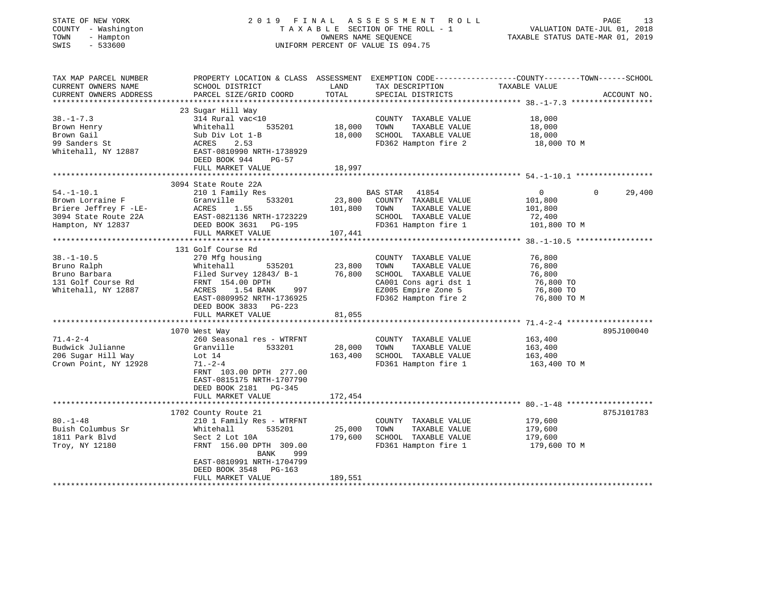| STATE OF NEW YORK       | 2 0 1 9                                                                                         | FINAL   | ASSESSMENT<br>R O L L              |                                  | 13<br>PAGE  |
|-------------------------|-------------------------------------------------------------------------------------------------|---------|------------------------------------|----------------------------------|-------------|
| COUNTY - Washington     |                                                                                                 |         | TAXABLE SECTION OF THE ROLL - 1    | VALUATION DATE-JUL 01, 2018      |             |
| TOWN<br>- Hampton       |                                                                                                 |         | OWNERS NAME SEQUENCE               | TAXABLE STATUS DATE-MAR 01, 2019 |             |
| SWIS<br>$-533600$       |                                                                                                 |         | UNIFORM PERCENT OF VALUE IS 094.75 |                                  |             |
|                         |                                                                                                 |         |                                    |                                  |             |
| TAX MAP PARCEL NUMBER   | PROPERTY LOCATION & CLASS ASSESSMENT EXEMPTION CODE---------------COUNTY-------TOWN------SCHOOL |         |                                    |                                  |             |
| CURRENT OWNERS NAME     | SCHOOL DISTRICT                                                                                 | LAND    | TAX DESCRIPTION                    | TAXABLE VALUE                    |             |
| CURRENT OWNERS ADDRESS  | PARCEL SIZE/GRID COORD                                                                          | TOTAL   | SPECIAL DISTRICTS                  |                                  | ACCOUNT NO. |
| *********************** |                                                                                                 |         |                                    |                                  |             |
|                         | 23 Sugar Hill Way                                                                               |         |                                    |                                  |             |
| $38. - 1 - 7.3$         | 314 Rural vac<10                                                                                |         | COUNTY TAXABLE VALUE               | 18,000                           |             |
| Brown Henry             | 535201<br>Whitehall                                                                             | 18,000  | TAXABLE VALUE<br>TOWN              | 18,000                           |             |
| Brown Gail              | Sub Div Lot 1-B                                                                                 | 18,000  | SCHOOL TAXABLE VALUE               | 18,000                           |             |
| 99 Sanders St           | ACRES<br>2.53                                                                                   |         | FD362 Hampton fire 2               | 18,000 TO M                      |             |
| Whitehall, NY 12887     | EAST-0810990 NRTH-1738929                                                                       |         |                                    |                                  |             |
|                         | DEED BOOK 944<br>$PG-57$                                                                        |         |                                    |                                  |             |
|                         | FULL MARKET VALUE                                                                               | 18,997  |                                    |                                  |             |
|                         |                                                                                                 |         |                                    |                                  |             |
| $54. - 1 - 10.1$        | 3094 State Route 22A<br>210 1 Family Res                                                        |         | 41854                              | $\mathbf{0}$<br>0                | 29,400      |
| Brown Lorraine F        | 533201<br>Granville                                                                             | 23,800  | BAS STAR<br>COUNTY TAXABLE VALUE   | 101,800                          |             |
| Briere Jeffrey F -LE-   | ACRES<br>1.55                                                                                   | 101,800 | TOWN<br>TAXABLE VALUE              | 101,800                          |             |
| 3094 State Route 22A    | EAST-0821136 NRTH-1723229                                                                       |         | SCHOOL TAXABLE VALUE               | 72,400                           |             |
| Hampton, NY 12837       | DEED BOOK 3631<br>PG-195                                                                        |         | FD361 Hampton fire 1               | 101,800 TO M                     |             |
|                         | FULL MARKET VALUE                                                                               | 107,441 |                                    |                                  |             |
|                         | ******************************                                                                  |         |                                    |                                  |             |
|                         | 131 Golf Course Rd                                                                              |         |                                    |                                  |             |
| $38. - 1 - 10.5$        | 270 Mfg housing                                                                                 |         | COUNTY TAXABLE VALUE               | 76,800                           |             |
| Bruno Ralph             | Whitehall<br>535201                                                                             | 23,800  | TOWN<br>TAXABLE VALUE              | 76,800                           |             |
| Bruno Barbara           | Filed Survey 12843/ B-1                                                                         | 76,800  | SCHOOL TAXABLE VALUE               | 76,800                           |             |
| 131 Golf Course Rd      | FRNT 154.00 DPTH                                                                                |         | CA001 Cons agri dst 1              | 76,800 TO                        |             |
| Whitehall, NY 12887     | ACRES<br>1.54 BANK<br>997                                                                       |         | EZ005 Empire Zone 5                | 76,800 TO                        |             |
|                         | EAST-0809952 NRTH-1736925                                                                       |         | FD362 Hampton fire 2               | 76,800 TO M                      |             |
|                         | DEED BOOK 3833<br>PG-223                                                                        |         |                                    |                                  |             |
|                         | FULL MARKET VALUE                                                                               | 81,055  |                                    |                                  |             |
|                         |                                                                                                 |         |                                    |                                  |             |
|                         | 1070 West Way                                                                                   |         |                                    |                                  | 895J100040  |
| $71.4 - 2 - 4$          | 260 Seasonal res - WTRFNT                                                                       |         | COUNTY TAXABLE VALUE               | 163,400                          |             |
| Budwick Julianne        | 533201<br>Granville                                                                             | 28,000  | TAXABLE VALUE<br>TOWN              | 163,400                          |             |
| 206 Sugar Hill Way      | Lot $14$                                                                                        | 163,400 | SCHOOL TAXABLE VALUE               | 163,400                          |             |
| Crown Point, NY 12928   | $71. - 2 - 4$                                                                                   |         | FD361 Hampton fire 1               | 163,400 TO M                     |             |
|                         | FRNT 103.00 DPTH 277.00                                                                         |         |                                    |                                  |             |
|                         | EAST-0815175 NRTH-1707790                                                                       |         |                                    |                                  |             |
|                         | DEED BOOK 2181<br>PG-345                                                                        |         |                                    |                                  |             |
|                         | FULL MARKET VALUE                                                                               | 172,454 |                                    |                                  |             |
|                         | 1702 County Route 21                                                                            |         |                                    |                                  | 875J101783  |
| $80. - 1 - 48$          | 210 1 Family Res - WTRFNT                                                                       |         | COUNTY TAXABLE VALUE               | 179,600                          |             |
| Buish Columbus Sr       | Whitehall<br>535201                                                                             | 25,000  | TOWN<br>TAXABLE VALUE              | 179,600                          |             |
| 1811 Park Blvd          | Sect 2 Lot 10A                                                                                  | 179,600 | SCHOOL TAXABLE VALUE               | 179,600                          |             |
| Troy, NY 12180          | FRNT 156.00 DPTH 309.00                                                                         |         | FD361 Hampton fire 1               | 179,600 TO M                     |             |
|                         | 999<br>BANK                                                                                     |         |                                    |                                  |             |
|                         | EAST-0810991 NRTH-1704799                                                                       |         |                                    |                                  |             |
|                         | DEED BOOK 3548<br>PG-163                                                                        |         |                                    |                                  |             |
|                         | FULL MARKET VALUE                                                                               | 189,551 |                                    |                                  |             |
|                         |                                                                                                 |         |                                    |                                  |             |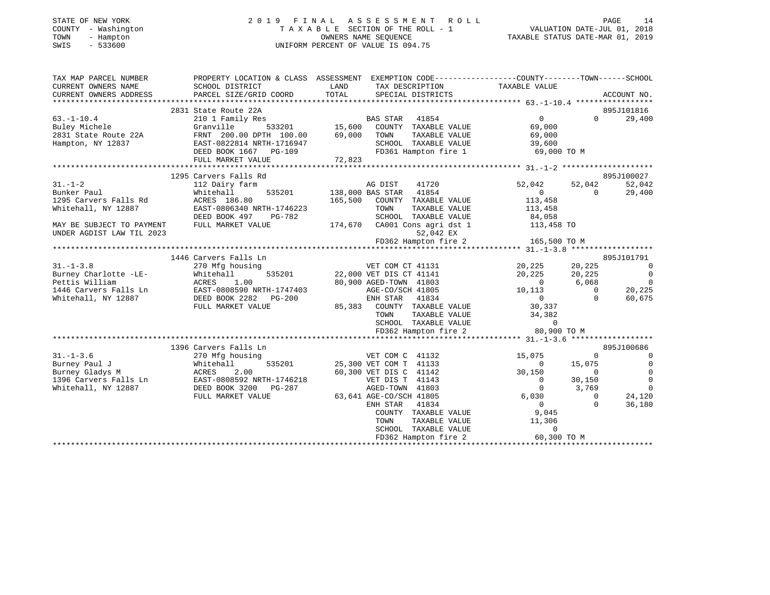| STATE OF NEW YORK<br>COUNTY - Washington<br>TOWN<br>- Hampton<br>$-533600$<br>SWIS | 2019 FINAL ASSESSMENT ROLL<br>TAXABLE SECTION OF THE ROLL - 1<br>OWNERS NAME SEOUENCE<br>UNIFORM PERCENT OF VALUE IS 094.75 | 14<br>PAGE<br>VALUATION DATE-JUL 01, 2018<br>TAXABLE STATUS DATE-MAR 01, 2019 |
|------------------------------------------------------------------------------------|-----------------------------------------------------------------------------------------------------------------------------|-------------------------------------------------------------------------------|
| TAX MAP PARCEL NUMBER                                                              | PROPERTY LOCATION & CLASS ASSESSMENT EXEMPTION CODE---------------COUNTY-------TOWN------SCHOOL                             |                                                                               |

| CURRENT OWNERS NAME       | SCHOOL DISTRICT                         | LAND    | TAX DESCRIPTION                               | TAXABLE VALUE            |                                  |
|---------------------------|-----------------------------------------|---------|-----------------------------------------------|--------------------------|----------------------------------|
| CURRENT OWNERS ADDRESS    | PARCEL SIZE/GRID COORD                  | TOTAL   | SPECIAL DISTRICTS                             |                          | ACCOUNT NO.                      |
|                           |                                         |         |                                               |                          |                                  |
| $63. -1 - 10.4$           | 2831 State Route 22A                    |         | BAS STAR 41854                                | $\overline{0}$           | 895J101816<br>29,400<br>$\Omega$ |
| Buley Michele             | 210 1 Family Res<br>Granville<br>533201 | 15,600  | COUNTY TAXABLE VALUE                          | 69,000                   |                                  |
| 2831 State Route 22A      | FRNT 200.00 DPTH 100.00                 | 69,000  | TOWN<br>TAXABLE VALUE                         | 69,000                   |                                  |
| Hampton, NY 12837         | EAST-0822814 NRTH-1716947               |         | SCHOOL TAXABLE VALUE                          | 39,600                   |                                  |
|                           | DEED BOOK 1667<br>PG-109                |         | FD361 Hampton fire 1                          | 69,000 TO M              |                                  |
|                           | FULL MARKET VALUE                       | 72,823  |                                               |                          |                                  |
|                           |                                         |         |                                               |                          |                                  |
|                           | 1295 Carvers Falls Rd                   |         |                                               |                          | 895J100027                       |
| $31. - 1 - 2$             | 112 Dairy farm                          |         | AG DIST<br>41720                              | 52,042<br>52,042         | 52,042                           |
| Bunker Paul               | 535201<br>Whitehall                     |         | 41854<br>138,000 BAS STAR                     | $\mathbf{0}$             | 29,400<br>$\Omega$               |
| 1295 Carvers Falls Rd     | ACRES 186.80                            |         | 165,500 COUNTY TAXABLE VALUE                  | 113,458                  |                                  |
| Whitehall, NY 12887       | EAST-0806340 NRTH-1746223               |         | TOWN<br>TAXABLE VALUE                         | 113,458                  |                                  |
|                           | DEED BOOK 497<br>PG-782                 |         | SCHOOL TAXABLE VALUE                          | 84,058                   |                                  |
| MAY BE SUBJECT TO PAYMENT | FULL MARKET VALUE                       | 174,670 | CA001 Cons agri dst 1                         | 113,458 TO               |                                  |
| UNDER AGDIST LAW TIL 2023 |                                         |         | 52,042 EX                                     |                          |                                  |
|                           |                                         |         | FD362 Hampton fire 2                          | 165,500 TO M             |                                  |
|                           |                                         |         |                                               |                          |                                  |
|                           | 1446 Carvers Falls Ln                   |         |                                               |                          | 895J101791                       |
| $31. - 1 - 3.8$           | 270 Mfg housing                         |         | VET COM CT 41131                              | 20,225<br>20,225         | $\Omega$                         |
| Burney Charlotte -LE-     | Whitehall<br>535201                     |         | 22,000 VET DIS CT 41141                       | 20,225<br>20,225         | $\overline{0}$                   |
| Pettis William            | ACRES<br>1.00                           |         | 80,900 AGED-TOWN 41803                        | 6,068<br>$\overline{0}$  | $\overline{0}$                   |
| 1446 Carvers Falls Ln     | EAST-0808590 NRTH-1747403               |         | AGE-CO/SCH 41805                              | 10,113                   | $\Omega$<br>20,225               |
| Whitehall, NY 12887       | DEED BOOK 2282 PG-200                   |         | ENH STAR 41834                                | $\overline{0}$           | 60,675<br>$\Omega$               |
|                           | FULL MARKET VALUE                       |         | 85,383 COUNTY TAXABLE VALUE                   | 30,337                   |                                  |
|                           |                                         |         | TOWN<br>TAXABLE VALUE                         | 34,382                   |                                  |
|                           |                                         |         | SCHOOL TAXABLE VALUE                          | $\circ$                  |                                  |
|                           |                                         |         | FD362 Hampton fire 2                          | 80,900 TO M              |                                  |
|                           |                                         |         |                                               |                          |                                  |
|                           | 1396 Carvers Falls Ln                   |         |                                               |                          | 895J100686                       |
| $31. - 1 - 3.6$           | 270 Mfg housing                         |         | VET COM C 41132                               | 15,075                   | $\circ$<br>$\Omega$              |
| Burney Paul J             | 535201<br>Whitehall                     |         | 25,300 VET COM T 41133                        | $\overline{0}$<br>15,075 | $\Omega$                         |
| Burney Gladys M           | ACRES 2.00<br>EAST-0808592 NRTH-1746218 |         | 60,300 VET DIS C 41142                        | 30,150                   | $\Omega$<br>$\Omega$             |
| 1396 Carvers Falls Ln     |                                         |         | VET DIS T 41143                               | $\overline{0}$<br>30,150 | $\Omega$                         |
| Whitehall, NY 12887       | DEED BOOK 3200<br>PG-287                |         | AGED-TOWN 41803                               | $\mathbf{0}$<br>3,769    | $\Omega$                         |
|                           | FULL MARKET VALUE                       |         | 63,641 AGE-CO/SCH 41805                       | 6,030<br>$\overline{0}$  | 24,120<br>$\circ$<br>$\Omega$    |
|                           |                                         |         | ENH STAR 41834                                |                          | 36,180                           |
|                           |                                         |         | COUNTY TAXABLE VALUE                          | 9,045<br>11,306          |                                  |
|                           |                                         |         | TOWN<br>TAXABLE VALUE<br>SCHOOL TAXABLE VALUE | $\Omega$                 |                                  |
|                           |                                         |         | FD362 Hampton fire 2                          | 60,300 TO M              |                                  |
|                           |                                         |         |                                               |                          |                                  |
|                           |                                         |         |                                               |                          |                                  |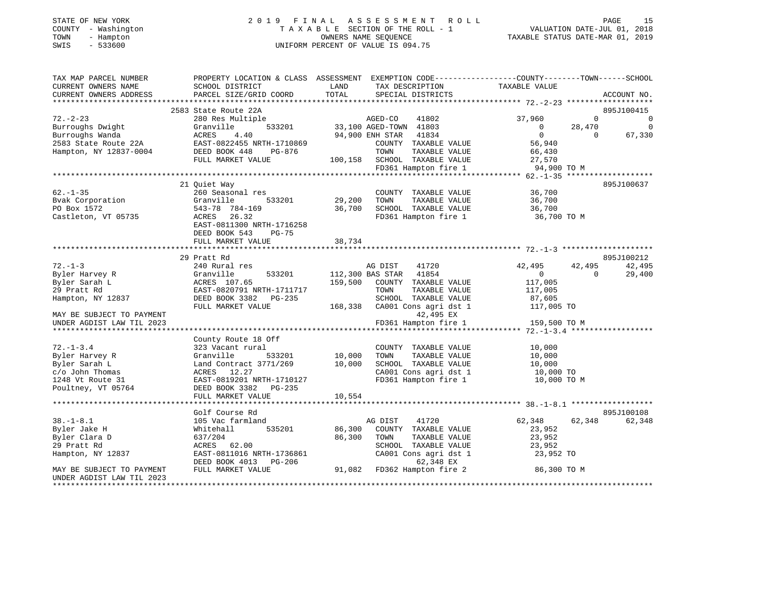| TATE OF NEW YORK |  |                     |
|------------------|--|---------------------|
|                  |  | :OUNTY - Washington |
| 'OWN             |  | - Hampton           |
| -----            |  | ------              |

#### STATE OF NEW YORK 2 0 1 9 F I N A L A S S E S S M E N T R O L L PAGE 15 COUNTY - Washington T A X A B L E SECTION OF THE ROLL - 1 VALUATION DATE-JUL 01, 2018 TOWN - Hampton OWNERS NAME SEQUENCE TAXABLE STATUS DATE-MAR 01, 2019 SWIS - 533600 UNIFORM PERCENT OF VALUE IS 094.75UNIFORM PERCENT OF VALUE IS 094.75

| TAX MAP PARCEL NUMBER                            | PROPERTY LOCATION & CLASS ASSESSMENT EXEMPTION CODE---------------COUNTY-------TOWN-----SCHOOL                                                                                                                                                                                                                                                                                                                                                                                                                                                                                                                     |             |                                                                         |                     |                |             |
|--------------------------------------------------|--------------------------------------------------------------------------------------------------------------------------------------------------------------------------------------------------------------------------------------------------------------------------------------------------------------------------------------------------------------------------------------------------------------------------------------------------------------------------------------------------------------------------------------------------------------------------------------------------------------------|-------------|-------------------------------------------------------------------------|---------------------|----------------|-------------|
| CURRENT OWNERS NAME                              | SCHOOL DISTRICT                                                                                                                                                                                                                                                                                                                                                                                                                                                                                                                                                                                                    | LAND        | TAX DESCRIPTION                                                         | TAXABLE VALUE       |                |             |
| CURRENT OWNERS ADDRESS                           | PARCEL SIZE/GRID COORD                                                                                                                                                                                                                                                                                                                                                                                                                                                                                                                                                                                             | TOTAL       | SPECIAL DISTRICTS                                                       |                     |                | ACCOUNT NO. |
|                                                  |                                                                                                                                                                                                                                                                                                                                                                                                                                                                                                                                                                                                                    |             |                                                                         |                     |                |             |
|                                                  | 2583 State Route 22A                                                                                                                                                                                                                                                                                                                                                                                                                                                                                                                                                                                               |             |                                                                         |                     |                | 895J100415  |
|                                                  | $\begin{tabular}{lllllllllll} \multicolumn{4}{c}{\textcolor{red}{\textcolor{red}{\textcolor{red}{\textcolor{red}{\textcolor{red}{\textcolor{red}{\textcolor{red}{\textcolor{red}{\textcolor{red}{\textcolor{red}{\textcolor{red}{\textcolor{red}{\textcolor{red}{\textcolor{red}{\textcolor{red}{\textcolor{red}{\textcolor{red}{\textcolor{blue}{\textcolor{blue}{\textcolor{blue}{\textcolor{blue}{\textcolor{blue}{\textcolor{blue}{\textcolor{blue}{\textcolor{blue}{\textcolor{blue}{\textcolor{blue}{\textcolor{blue}{\textcolor{blue}{\textcolor{blue}{\textcolor{blue}{\textcolor{blue}{\textcolor{blue}{$ |             | AGED-CO 41802                                                           | 37,960              | $\Omega$       | $\Omega$    |
|                                                  |                                                                                                                                                                                                                                                                                                                                                                                                                                                                                                                                                                                                                    |             | 533201 33,100 AGED-TOWN 41803                                           | $\overline{0}$      | 28,470         | $\Omega$    |
|                                                  |                                                                                                                                                                                                                                                                                                                                                                                                                                                                                                                                                                                                                    |             | 94,900 ENH STAR 41834                                                   | $\overline{0}$      | $\overline{0}$ | 67,330      |
|                                                  |                                                                                                                                                                                                                                                                                                                                                                                                                                                                                                                                                                                                                    |             |                                                                         |                     |                |             |
|                                                  |                                                                                                                                                                                                                                                                                                                                                                                                                                                                                                                                                                                                                    |             | COUNTY TAXABLE VALUE                                                    | 56,940              |                |             |
|                                                  |                                                                                                                                                                                                                                                                                                                                                                                                                                                                                                                                                                                                                    |             | TOWN<br>TAXABLE VALUE                                                   | 66,430              |                |             |
|                                                  |                                                                                                                                                                                                                                                                                                                                                                                                                                                                                                                                                                                                                    |             |                                                                         |                     |                |             |
|                                                  |                                                                                                                                                                                                                                                                                                                                                                                                                                                                                                                                                                                                                    |             | 100,158 SCHOOL TAXABLE VALUE 27,570<br>FD361 Hampton fire 1 94,900 TO M |                     |                |             |
|                                                  |                                                                                                                                                                                                                                                                                                                                                                                                                                                                                                                                                                                                                    |             |                                                                         |                     |                |             |
|                                                  | 21 Ouiet Way                                                                                                                                                                                                                                                                                                                                                                                                                                                                                                                                                                                                       |             |                                                                         |                     |                | 895J100637  |
| $62. - 1 - 35$                                   | 260 Seasonal res                                                                                                                                                                                                                                                                                                                                                                                                                                                                                                                                                                                                   |             | COUNTY TAXABLE VALUE                                                    | 36,700<br>36,700    |                |             |
| Bvak Corporation                                 | 533201<br>Granville                                                                                                                                                                                                                                                                                                                                                                                                                                                                                                                                                                                                | 29,200 TOWN | TAXABLE VALUE                                                           | 36,700              |                |             |
| PO Box 1572                                      |                                                                                                                                                                                                                                                                                                                                                                                                                                                                                                                                                                                                                    |             | 36,700 SCHOOL TAXABLE VALUE                                             | 36,700              |                |             |
| Castleton, VT 05735                              | 543-78 784-169<br>ACRES 26.32                                                                                                                                                                                                                                                                                                                                                                                                                                                                                                                                                                                      |             | FD361 Hampton fire 1                                                    | 36,700 TO M         |                |             |
|                                                  | EAST-0811300 NRTH-1716258                                                                                                                                                                                                                                                                                                                                                                                                                                                                                                                                                                                          |             |                                                                         |                     |                |             |
|                                                  | DEED BOOK 543<br>$PG-75$                                                                                                                                                                                                                                                                                                                                                                                                                                                                                                                                                                                           |             |                                                                         |                     |                |             |
|                                                  | FULL MARKET VALUE                                                                                                                                                                                                                                                                                                                                                                                                                                                                                                                                                                                                  | 38,734      |                                                                         |                     |                |             |
|                                                  |                                                                                                                                                                                                                                                                                                                                                                                                                                                                                                                                                                                                                    |             |                                                                         |                     |                |             |
|                                                  |                                                                                                                                                                                                                                                                                                                                                                                                                                                                                                                                                                                                                    |             |                                                                         |                     |                |             |
|                                                  | 29 Pratt Rd                                                                                                                                                                                                                                                                                                                                                                                                                                                                                                                                                                                                        |             |                                                                         |                     |                | 895J100212  |
| $72. - 1 - 3$                                    | 240 Rural res                                                                                                                                                                                                                                                                                                                                                                                                                                                                                                                                                                                                      |             | AG DIST<br>41720                                                        | 42,495              | 42,495         | 42,495      |
| A.<br>Byler Harvey R<br>Byler Sarah L            | Granville                                                                                                                                                                                                                                                                                                                                                                                                                                                                                                                                                                                                          |             | 533201 112,300 BAS STAR 41854                                           | $\overline{0}$      | $\Omega$       | 29,400      |
|                                                  | ACRES 107.65                                                                                                                                                                                                                                                                                                                                                                                                                                                                                                                                                                                                       |             | 159,500 COUNTY TAXABLE VALUE                                            | 117,005             |                |             |
| 29 Pratt Rd                                      | EAST-0820791 NRTH-1711717                                                                                                                                                                                                                                                                                                                                                                                                                                                                                                                                                                                          |             | TAXABLE VALUE<br>TOWN                                                   | 117,005             |                |             |
| Hampton, NY 12837                                |                                                                                                                                                                                                                                                                                                                                                                                                                                                                                                                                                                                                                    |             |                                                                         | 87,605              |                |             |
|                                                  | EASI-0020731 ARREL --<br>DEED BOOK 3382 PG-235 SCHOOL TAXABLE VALUE<br>FIILL MARKET VALUE 168,338 CA001 Cons agri dst 1                                                                                                                                                                                                                                                                                                                                                                                                                                                                                            |             |                                                                         | 117,005 TO          |                |             |
| MAY BE SUBJECT TO PAYMENT                        |                                                                                                                                                                                                                                                                                                                                                                                                                                                                                                                                                                                                                    |             | 42,495 EX                                                               |                     |                |             |
| UNDER AGDIST LAW TIL 2023                        |                                                                                                                                                                                                                                                                                                                                                                                                                                                                                                                                                                                                                    |             | FD361 Hampton fire 1                                                    | 159,500 TO M        |                |             |
|                                                  |                                                                                                                                                                                                                                                                                                                                                                                                                                                                                                                                                                                                                    |             |                                                                         |                     |                |             |
|                                                  | County Route 18 Off                                                                                                                                                                                                                                                                                                                                                                                                                                                                                                                                                                                                |             |                                                                         |                     |                |             |
| $72. - 1 - 3.4$                                  | 323 Vacant rural                                                                                                                                                                                                                                                                                                                                                                                                                                                                                                                                                                                                   |             | COUNTY TAXABLE VALUE                                                    | 10,000              |                |             |
| Byler Harvey R                                   | Granville<br>533201                                                                                                                                                                                                                                                                                                                                                                                                                                                                                                                                                                                                | 10,000      | TOWN<br>TAXABLE VALUE                                                   | 10,000              |                |             |
|                                                  |                                                                                                                                                                                                                                                                                                                                                                                                                                                                                                                                                                                                                    |             |                                                                         |                     |                |             |
| Byler Sarah L                                    | Land Contract 3771/269 10,000                                                                                                                                                                                                                                                                                                                                                                                                                                                                                                                                                                                      |             | SCHOOL TAXABLE VALUE                                                    | 10,000<br>10,000 TO |                |             |
| c/o John Thomas                                  | ACRES 12.27                                                                                                                                                                                                                                                                                                                                                                                                                                                                                                                                                                                                        |             |                                                                         |                     |                |             |
| 1248 Vt Route 31                                 | EAST-0819201 NRTH-1710127                                                                                                                                                                                                                                                                                                                                                                                                                                                                                                                                                                                          |             |                                                                         |                     |                |             |
| Poultney, VT 05764                               | DEED BOOK 3382 PG-235                                                                                                                                                                                                                                                                                                                                                                                                                                                                                                                                                                                              |             |                                                                         |                     |                |             |
|                                                  | FULL MARKET VALUE                                                                                                                                                                                                                                                                                                                                                                                                                                                                                                                                                                                                  | 10,554      |                                                                         |                     |                |             |
|                                                  |                                                                                                                                                                                                                                                                                                                                                                                                                                                                                                                                                                                                                    |             |                                                                         |                     |                |             |
|                                                  | Golf Course Rd                                                                                                                                                                                                                                                                                                                                                                                                                                                                                                                                                                                                     |             |                                                                         |                     |                | 895J100108  |
| $38. - 1 - 8.1$                                  | 105 Vac farmland                                                                                                                                                                                                                                                                                                                                                                                                                                                                                                                                                                                                   |             | 41720<br>AG DIST                                                        | 62,348              | 62,348         | 62,348      |
| Byler Jake H                                     | 535201<br>Whitehall                                                                                                                                                                                                                                                                                                                                                                                                                                                                                                                                                                                                | 86,300      | COUNTY TAXABLE VALUE                                                    | 23,952              |                |             |
| Byler Clara D                                    | 637/204                                                                                                                                                                                                                                                                                                                                                                                                                                                                                                                                                                                                            | 86,300      | TAXABLE VALUE<br>TOWN                                                   | 23,952              |                |             |
| 29 Pratt Rd                                      | ACRES 62.00                                                                                                                                                                                                                                                                                                                                                                                                                                                                                                                                                                                                        |             | SCHOOL TAXABLE VALUE                                                    | 23,952              |                |             |
| Hampton, NY 12837                                |                                                                                                                                                                                                                                                                                                                                                                                                                                                                                                                                                                                                                    |             | SCHOOL TAXABLE VALUE 23,952<br>CA001 Cons agri dst 1 23,952 TO          |                     |                |             |
|                                                  |                                                                                                                                                                                                                                                                                                                                                                                                                                                                                                                                                                                                                    |             |                                                                         |                     |                |             |
|                                                  | EAST-0811016 NRTH-1736861<br>EAST-0811016 NRTH-1736861<br>DEED BOOK 4013 PG-206<br>FULL MARKET VALUE 91,082 FD362 Hampton fire 2 86,300 TO M                                                                                                                                                                                                                                                                                                                                                                                                                                                                       |             |                                                                         |                     |                |             |
| MAY BE SUBJECT TO PAYMENT                        |                                                                                                                                                                                                                                                                                                                                                                                                                                                                                                                                                                                                                    |             |                                                                         |                     |                |             |
| UNDER AGDIST LAW TIL 2023<br>******************* |                                                                                                                                                                                                                                                                                                                                                                                                                                                                                                                                                                                                                    |             |                                                                         |                     |                |             |
|                                                  |                                                                                                                                                                                                                                                                                                                                                                                                                                                                                                                                                                                                                    |             |                                                                         |                     |                |             |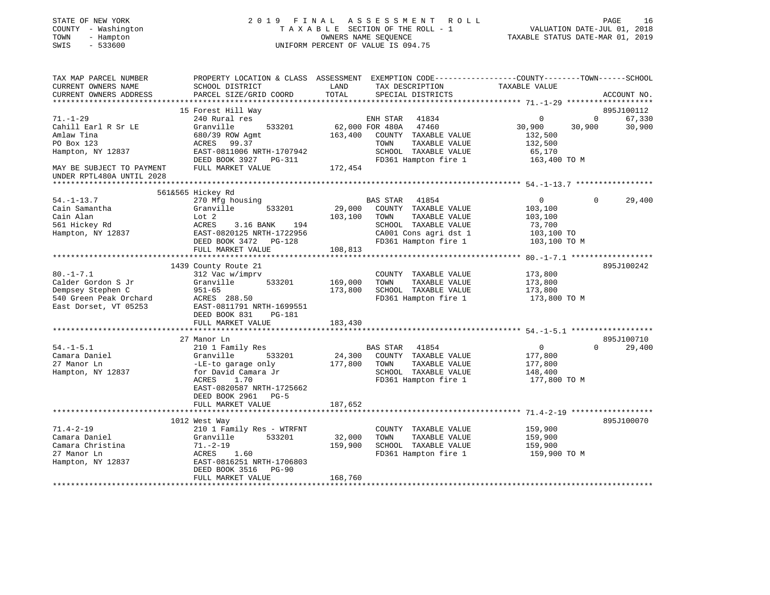| STATE OF NEW YORK                  | 2019<br>F I N A L                                                                               |                                  | A S S E S S M E N T<br>ROLL                   |                            | PAGE<br>-16            |
|------------------------------------|-------------------------------------------------------------------------------------------------|----------------------------------|-----------------------------------------------|----------------------------|------------------------|
| COUNTY - Washington                | TAXABLE SECTION OF THE ROLL - 1                                                                 |                                  | VALUATION DATE-JUL 01, 2018                   |                            |                        |
| TOWN<br>- Hampton                  |                                                                                                 | TAXABLE STATUS DATE-MAR 01, 2019 |                                               |                            |                        |
| SWIS<br>$-533600$                  |                                                                                                 |                                  | UNIFORM PERCENT OF VALUE IS 094.75            |                            |                        |
|                                    |                                                                                                 |                                  |                                               |                            |                        |
| TAX MAP PARCEL NUMBER              | PROPERTY LOCATION & CLASS ASSESSMENT EXEMPTION CODE----------------COUNTY-------TOWN-----SCHOOL |                                  |                                               |                            |                        |
| CURRENT OWNERS NAME                | SCHOOL DISTRICT                                                                                 | LAND                             | TAX DESCRIPTION                               | TAXABLE VALUE              |                        |
| CURRENT OWNERS ADDRESS             | PARCEL SIZE/GRID COORD                                                                          | TOTAL                            | SPECIAL DISTRICTS                             |                            | ACCOUNT NO.            |
|                                    | ***********************                                                                         |                                  |                                               |                            |                        |
|                                    | 15 Forest Hill Way                                                                              |                                  |                                               |                            | 895J100112             |
| $71. - 1 - 29$                     | 240 Rural res                                                                                   |                                  | ENH STAR 41834                                | $\mathbf 0$                | $\mathbf{0}$<br>67,330 |
| Cahill Earl R Sr LE                | Granville<br>533201                                                                             |                                  | 62,000 FOR 480A<br>47460                      | 30,900<br>30,900           | 30,900                 |
| Amlaw Tina                         | 680/39 ROW Agmt                                                                                 | 163,400                          | COUNTY TAXABLE VALUE                          | 132,500                    |                        |
| PO Box 123                         | ACRES 99.37                                                                                     |                                  | TOWN<br>TAXABLE VALUE                         | 132,500                    |                        |
| Hampton, NY 12837                  | EAST-0811006 NRTH-1707942                                                                       |                                  | SCHOOL TAXABLE VALUE                          | 65,170                     |                        |
|                                    | DEED BOOK 3927 PG-311                                                                           |                                  | FD361 Hampton fire 1                          | 163,400 TO M               |                        |
| MAY BE SUBJECT TO PAYMENT          | FULL MARKET VALUE                                                                               | 172,454                          |                                               |                            |                        |
| UNDER RPTL480A UNTIL 2028          |                                                                                                 |                                  |                                               |                            |                        |
|                                    |                                                                                                 |                                  |                                               |                            |                        |
|                                    | 561&565 Hickey Rd                                                                               |                                  |                                               |                            |                        |
| $54. - 1 - 13.7$                   | 270 Mfg housing                                                                                 |                                  | BAS STAR 41854                                | $\overline{0}$             | $\Omega$<br>29,400     |
| Cain Samantha                      | Granville<br>533201                                                                             | 29,000                           | COUNTY TAXABLE VALUE                          | 103,100                    |                        |
| Cain Alan                          | Lot 2                                                                                           | 103,100                          | TOWN<br>TAXABLE VALUE                         | 103,100                    |                        |
| 561 Hickey Rd<br>Hampton, NY 12837 | ACRES<br>3.16 BANK 194<br>EAST-0820125 NRTH-1722956                                             |                                  | SCHOOL TAXABLE VALUE<br>CA001 Cons agri dst 1 | 73,700                     |                        |
|                                    | DEED BOOK 3472 PG-128                                                                           |                                  | FD361 Hampton fire 1                          | 103,100 TO<br>103,100 TO M |                        |
|                                    | FULL MARKET VALUE                                                                               | 108,813                          |                                               |                            |                        |
|                                    | ****************************                                                                    |                                  |                                               |                            |                        |
|                                    | 1439 County Route 21                                                                            |                                  |                                               |                            | 895J100242             |
| $80. - 1 - 7.1$                    | 312 Vac w/imprv                                                                                 |                                  | COUNTY TAXABLE VALUE                          | 173,800                    |                        |
| Calder Gordon S Jr                 | 533201<br>Granville                                                                             | 169,000                          | TOWN<br>TAXABLE VALUE                         | 173,800                    |                        |
| Dempsey Stephen C                  | $951 - 65$                                                                                      | 173,800                          | SCHOOL TAXABLE VALUE                          | 173,800                    |                        |
| 540 Green Peak Orchard             | ACRES 288.50                                                                                    |                                  | FD361 Hampton fire 1                          | 173,800 TO M               |                        |
| East Dorset, VT 05253              | EAST-0811791 NRTH-1699551                                                                       |                                  |                                               |                            |                        |
|                                    | DEED BOOK 831<br>PG-181                                                                         |                                  |                                               |                            |                        |
|                                    | FULL MARKET VALUE                                                                               | 183,430                          |                                               |                            |                        |
|                                    | ************************                                                                        |                                  |                                               |                            |                        |
|                                    | 27 Manor Ln                                                                                     |                                  |                                               |                            | 895J100710             |
| $54. - 1 - 5.1$                    | 210 1 Family Res                                                                                |                                  | BAS STAR<br>41854                             | $\overline{0}$             | $\Omega$<br>29,400     |
| Camara Daniel                      | Granville<br>533201                                                                             | 24,300                           | COUNTY TAXABLE VALUE                          | 177,800                    |                        |
| 27 Manor Ln                        | -LE-to garage only                                                                              | 177,800                          | TOWN<br>TAXABLE VALUE                         | 177,800                    |                        |
| Hampton, NY 12837                  | for David Camara Jr                                                                             |                                  | SCHOOL TAXABLE VALUE                          | 148,400                    |                        |
|                                    | ACRES<br>1.70                                                                                   |                                  | FD361 Hampton fire 1                          | 177,800 TO M               |                        |
|                                    | EAST-0820587 NRTH-1725662                                                                       |                                  |                                               |                            |                        |
|                                    | DEED BOOK 2961 PG-5                                                                             |                                  |                                               |                            |                        |
|                                    | FULL MARKET VALUE                                                                               | 187,652                          |                                               |                            |                        |
|                                    |                                                                                                 |                                  |                                               |                            |                        |
|                                    | 1012 West Way                                                                                   |                                  |                                               |                            | 895J100070             |
| $71.4 - 2 - 19$                    | 210 1 Family Res - WTRFNT                                                                       |                                  | COUNTY TAXABLE VALUE                          | 159,900                    |                        |
| Camara Daniel                      | 533201<br>Granville                                                                             | 32,000                           | TOWN<br>TAXABLE VALUE                         | 159,900                    |                        |
| Camara Christina                   | $71. - 2 - 19$                                                                                  | 159,900                          | SCHOOL TAXABLE VALUE                          | 159,900                    |                        |
| 27 Manor Ln                        | ACRES<br>1.60                                                                                   |                                  | FD361 Hampton fire 1                          | 159,900 TO M               |                        |
| Hampton, NY 12837                  | EAST-0816251 NRTH-1706803<br>DEED BOOK 3516<br>$PG-90$                                          |                                  |                                               |                            |                        |
|                                    | FULL MARKET VALUE                                                                               | 168,760                          |                                               |                            |                        |
|                                    |                                                                                                 |                                  |                                               |                            |                        |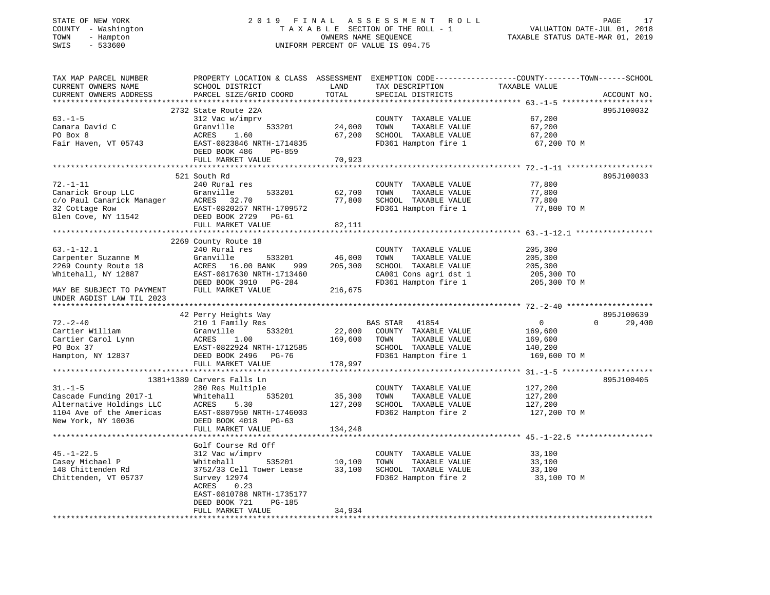| COUNTY - Washington<br>TOWN<br>- Hampton<br>SWIS<br>$-533600$                                                                |                                                                           |                     | TAXABLE SECTION OF THE ROLL - 1<br>OWNERS NAME SEQUENCE<br>UNIFORM PERCENT OF VALUE IS 094.75 | VALUATION DATE-JUL 01, 2018<br>TAXABLE STATUS DATE-MAR 01, 2019                                                                 |        |  |
|------------------------------------------------------------------------------------------------------------------------------|---------------------------------------------------------------------------|---------------------|-----------------------------------------------------------------------------------------------|---------------------------------------------------------------------------------------------------------------------------------|--------|--|
| TAX MAP PARCEL NUMBER<br>CURRENT OWNERS NAME<br>CURRENT OWNERS ADDRESS<br>*************************                          | SCHOOL DISTRICT<br>PARCEL SIZE/GRID COORD                                 | LAND<br>TOTAL       | TAX DESCRIPTION<br>SPECIAL DISTRICTS                                                          | PROPERTY LOCATION & CLASS ASSESSMENT EXEMPTION CODE---------------COUNTY-------TOWN------SCHOOL<br>TAXABLE VALUE<br>ACCOUNT NO. |        |  |
|                                                                                                                              | 2732 State Route 22A                                                      |                     |                                                                                               | 895J100032                                                                                                                      |        |  |
| $63. -1 - 5$                                                                                                                 | 312 Vac w/imprv                                                           |                     | COUNTY TAXABLE VALUE                                                                          | 67,200                                                                                                                          |        |  |
| Camara David C                                                                                                               | Granville<br>533201                                                       | 24,000              | TOWN<br>TAXABLE VALUE                                                                         | 67,200                                                                                                                          |        |  |
| PO Box 8                                                                                                                     | ACRES<br>1.60                                                             | 67,200              | SCHOOL TAXABLE VALUE                                                                          | 67,200                                                                                                                          |        |  |
| Fair Haven, VT 05743                                                                                                         | EAST-0823846 NRTH-1714835<br>DEED BOOK 486<br>PG-859<br>FULL MARKET VALUE | 70,923              | FD361 Hampton fire 1                                                                          | 67,200 TO M                                                                                                                     |        |  |
|                                                                                                                              |                                                                           |                     |                                                                                               |                                                                                                                                 |        |  |
|                                                                                                                              | 521 South Rd                                                              |                     |                                                                                               | 895J100033                                                                                                                      |        |  |
| $72. - 1 - 11$                                                                                                               | 240 Rural res                                                             |                     | COUNTY TAXABLE VALUE                                                                          | 77,800                                                                                                                          |        |  |
|                                                                                                                              | 533201                                                                    | 62,700              | TOWN<br>TAXABLE VALUE                                                                         | 77,800                                                                                                                          |        |  |
| Canarick Group LLC<br>c/o Paul Canarick Manager<br>manager<br>manager<br>manager<br>manager<br>manager<br>manager<br>manager |                                                                           | 77,800              | SCHOOL TAXABLE VALUE                                                                          | 77,800                                                                                                                          |        |  |
| 32 Cottage Row                                                                                                               | EAST-0820257 NRTH-1709572                                                 |                     | FD361 Hampton fire 1                                                                          | 77,800 TO M                                                                                                                     |        |  |
| Glen Cove, NY 11542                                                                                                          | DEED BOOK 2729 PG-61<br>FULL MARKET VALUE                                 | 82,111              |                                                                                               |                                                                                                                                 |        |  |
|                                                                                                                              |                                                                           | * * * * * * * * * * |                                                                                               | ************** 63.-1-12.1 *******************                                                                                   |        |  |
|                                                                                                                              | 2269 County Route 18                                                      |                     |                                                                                               |                                                                                                                                 |        |  |
| $63. - 1 - 12.1$                                                                                                             | 240 Rural res                                                             |                     | COUNTY TAXABLE VALUE                                                                          | 205,300                                                                                                                         |        |  |
| Carpenter Suzanne M                                                                                                          | 533201<br>Granville                                                       | 46,000              | TOWN<br>TAXABLE VALUE                                                                         | 205,300                                                                                                                         |        |  |
| 2269 County Route 18                                                                                                         | ACRES 16.00 BANK<br>999                                                   | 205,300             | SCHOOL TAXABLE VALUE                                                                          | 205,300                                                                                                                         |        |  |
| Whitehall, NY 12887                                                                                                          | EAST-0817630 NRTH-1713460                                                 |                     | CA001 Cons agri dst 1                                                                         | 205,300 TO                                                                                                                      |        |  |
| MAY BE SUBJECT TO PAYMENT<br>UNDER AGDIST LAW TIL 2023                                                                       | DEED BOOK 3910 PG-284<br>FULL MARKET VALUE                                | 216,675             | FD361 Hampton fire 1                                                                          | 205,300 TO M                                                                                                                    |        |  |
| *************************                                                                                                    |                                                                           |                     |                                                                                               |                                                                                                                                 |        |  |
|                                                                                                                              | 42 Perry Heights Way                                                      |                     |                                                                                               | 895J100639                                                                                                                      |        |  |
| $72. - 2 - 40$                                                                                                               | 210 1 Family Res                                                          |                     | BAS STAR<br>41854                                                                             | $\overline{0}$<br>$\Omega$                                                                                                      | 29,400 |  |
| Cartier William                                                                                                              | 533201<br>Granville                                                       | 22,000              | COUNTY TAXABLE VALUE                                                                          | 169,600                                                                                                                         |        |  |
| Cartier Carol Lynn                                                                                                           | ACRES<br>1.00                                                             | 169,600             | TAXABLE VALUE<br>TOWN                                                                         | 169,600                                                                                                                         |        |  |
| PO Box 37<br>Hampton, NY 12837                                                                                               | EAST-0822924 NRTH-1712585<br>DEED BOOK 2496 PG-76                         |                     | SCHOOL TAXABLE VALUE<br>FD361 Hampton fire 1                                                  | 140,200<br>169,600 TO M                                                                                                         |        |  |
|                                                                                                                              | FULL MARKET VALUE                                                         | 178,997             |                                                                                               |                                                                                                                                 |        |  |
|                                                                                                                              | ***********************************                                       |                     |                                                                                               | ************* 31.-1-5 *******************                                                                                       |        |  |
|                                                                                                                              | 1381+1389 Carvers Falls Ln                                                |                     |                                                                                               | 895J100405                                                                                                                      |        |  |
| $31. - 1 - 5$                                                                                                                | 280 Res Multiple                                                          |                     | COUNTY TAXABLE VALUE                                                                          | 127,200                                                                                                                         |        |  |
| Cascade Funding 2017-1                                                                                                       | Whitehall<br>535201                                                       | 35,300              | TOWN<br>TAXABLE VALUE                                                                         | 127,200                                                                                                                         |        |  |
| Alternative Holdings LLC                                                                                                     | ACRES<br>5.30                                                             | 127,200             | SCHOOL TAXABLE VALUE                                                                          | 127,200                                                                                                                         |        |  |
| 1104 Ave of the Americas                                                                                                     | EAST-0807950 NRTH-1746003                                                 |                     | FD362 Hampton fire 2                                                                          | 127,200 TO M                                                                                                                    |        |  |
| New York, NY 10036                                                                                                           | DEED BOOK 4018 PG-63                                                      |                     |                                                                                               |                                                                                                                                 |        |  |
|                                                                                                                              | FULL MARKET VALUE                                                         | 134,248             |                                                                                               |                                                                                                                                 |        |  |
|                                                                                                                              | Golf Course Rd Off                                                        |                     |                                                                                               |                                                                                                                                 |        |  |
| $45. - 1 - 22.5$                                                                                                             | 312 Vac w/imprv                                                           |                     | COUNTY TAXABLE VALUE                                                                          | 33,100                                                                                                                          |        |  |
| Casey Michael P                                                                                                              | 535201<br>Whitehall                                                       | 10,100              | TOWN<br>TAXABLE VALUE                                                                         | 33,100                                                                                                                          |        |  |
| 148 Chittenden Rd                                                                                                            | 3752/33 Cell Tower Lease                                                  | 33,100              | SCHOOL TAXABLE VALUE                                                                          | 33,100                                                                                                                          |        |  |
| Chittenden, VT 05737                                                                                                         | Survey 12974                                                              |                     | FD362 Hampton fire 2                                                                          | 33,100 TO M                                                                                                                     |        |  |
|                                                                                                                              | ACRES<br>0.23                                                             |                     |                                                                                               |                                                                                                                                 |        |  |
|                                                                                                                              | EAST-0810788 NRTH-1735177                                                 |                     |                                                                                               |                                                                                                                                 |        |  |
|                                                                                                                              | <b>PG-185</b><br>DEED BOOK 721                                            |                     |                                                                                               |                                                                                                                                 |        |  |
|                                                                                                                              | FULL MARKET VALUE                                                         | 34,934              |                                                                                               |                                                                                                                                 |        |  |
|                                                                                                                              |                                                                           |                     |                                                                                               |                                                                                                                                 |        |  |

STATE OF NEW YORK 2 0 1 9 F I N A L A S S E S S M E N T R O L L

PAGE 17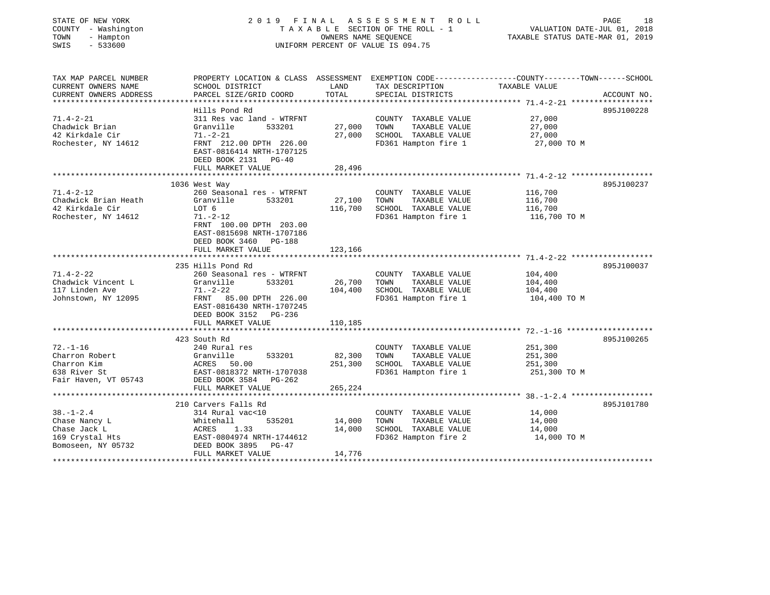| STATE OF NEW YORK<br>COUNTY - Washington<br>TOWN<br>- Hampton<br>$-533600$<br>SWIS |                                                                                                 | OWNERS NAME SEQUENCE | 2019 FINAL ASSESSMENT ROLL<br>TAXABLE SECTION OF THE ROLL - 1<br>UNIFORM PERCENT OF VALUE IS 094.75 | VALUATION DATE-JUL 01, 2018<br>TAXABLE STATUS DATE-MAR 01, 2019 | PAGE<br>18  |
|------------------------------------------------------------------------------------|-------------------------------------------------------------------------------------------------|----------------------|-----------------------------------------------------------------------------------------------------|-----------------------------------------------------------------|-------------|
| TAX MAP PARCEL NUMBER                                                              | PROPERTY LOCATION & CLASS ASSESSMENT EXEMPTION CODE---------------COUNTY-------TOWN------SCHOOL | LAND                 |                                                                                                     | TAXABLE VALUE                                                   |             |
| CURRENT OWNERS NAME<br>CURRENT OWNERS ADDRESS                                      | SCHOOL DISTRICT<br>PARCEL SIZE/GRID COORD                                                       | TOTAL                | TAX DESCRIPTION<br>SPECIAL DISTRICTS                                                                |                                                                 | ACCOUNT NO. |
|                                                                                    |                                                                                                 |                      |                                                                                                     |                                                                 |             |
|                                                                                    | Hills Pond Rd                                                                                   |                      |                                                                                                     |                                                                 | 895J100228  |
| $71.4 - 2 - 21$                                                                    | 311 Res vac land - WTRFNT                                                                       |                      | COUNTY TAXABLE VALUE                                                                                | 27,000                                                          |             |
| Chadwick Brian                                                                     | Granville<br>533201                                                                             | 27,000               | TAXABLE VALUE<br>TOWN                                                                               | 27,000                                                          |             |
| 42 Kirkdale Cir                                                                    | $71. - 2 - 21$                                                                                  | 27,000               | SCHOOL TAXABLE VALUE                                                                                | 27,000                                                          |             |
| Rochester, NY 14612                                                                | FRNT 212.00 DPTH 226.00<br>EAST-0816414 NRTH-1707125<br>DEED BOOK 2131 PG-40                    |                      | FD361 Hampton fire 1                                                                                | 27,000 TO M                                                     |             |
|                                                                                    | FULL MARKET VALUE                                                                               | 28,496               |                                                                                                     |                                                                 |             |
|                                                                                    |                                                                                                 |                      |                                                                                                     |                                                                 |             |
|                                                                                    | 1036 West Way                                                                                   |                      |                                                                                                     |                                                                 | 895J100237  |
| $71.4 - 2 - 12$                                                                    | 260 Seasonal res - WTRFNT<br>533201                                                             |                      | COUNTY TAXABLE VALUE                                                                                | 116,700                                                         |             |
| Chadwick Brian Heath<br>42 Kirkdale Cir                                            | Granville<br>LOT 6                                                                              | 27,100<br>116,700    | TOWN<br>TAXABLE VALUE<br>SCHOOL TAXABLE VALUE                                                       | 116,700<br>116,700                                              |             |
| Rochester, NY 14612                                                                | $71. - 2 - 12$                                                                                  |                      | FD361 Hampton fire 1                                                                                | 116,700 TO M                                                    |             |
|                                                                                    | FRNT 100.00 DPTH 203.00<br>EAST-0815698 NRTH-1707186<br>DEED BOOK 3460 PG-188                   |                      |                                                                                                     |                                                                 |             |
|                                                                                    | FULL MARKET VALUE                                                                               | 123,166              |                                                                                                     |                                                                 |             |
|                                                                                    |                                                                                                 |                      |                                                                                                     |                                                                 |             |
|                                                                                    | 235 Hills Pond Rd                                                                               |                      |                                                                                                     |                                                                 | 895J100037  |
| $71.4 - 2 - 22$                                                                    | 260 Seasonal res - WTRFNT                                                                       |                      | COUNTY TAXABLE VALUE                                                                                | 104,400                                                         |             |
| Chadwick Vincent L                                                                 | Granville<br>533201                                                                             | 26,700               | TAXABLE VALUE<br>TOWN                                                                               | 104,400                                                         |             |
| 117 Linden Ave                                                                     | $71. - 2 - 22$                                                                                  | 104,400              | SCHOOL TAXABLE VALUE                                                                                | 104,400                                                         |             |
| Johnstown, NY 12095                                                                | FRNT 85.00 DPTH 226.00<br>EAST-0816430 NRTH-1707245<br>DEED BOOK 3152 PG-236                    |                      | FD361 Hampton fire 1                                                                                | 104,400 TO M                                                    |             |
|                                                                                    | FULL MARKET VALUE                                                                               | 110,185              |                                                                                                     |                                                                 |             |
|                                                                                    |                                                                                                 |                      |                                                                                                     |                                                                 |             |
|                                                                                    | 423 South Rd                                                                                    |                      |                                                                                                     |                                                                 | 895J100265  |
| $72. - 1 - 16$                                                                     | 240 Rural res                                                                                   |                      | COUNTY TAXABLE VALUE                                                                                | 251,300                                                         |             |
| Charron Robert<br>Charron Kim                                                      | Granville<br>533201                                                                             | 82,300               | TAXABLE VALUE<br>TOWN                                                                               | 251,300                                                         |             |
| 638 River St                                                                       | ACRES<br>50.00<br>EAST-0818372 NRTH-1707038                                                     | 251,300              | SCHOOL TAXABLE VALUE                                                                                | 251,300                                                         |             |
| Fair Haven, VT 05743                                                               | DEED BOOK 3584 PG-262                                                                           |                      | FD361 Hampton fire 1                                                                                | 251,300 TO M                                                    |             |
|                                                                                    | FULL MARKET VALUE                                                                               | 265,224              |                                                                                                     |                                                                 |             |
|                                                                                    | *******************************                                                                 |                      |                                                                                                     |                                                                 |             |
|                                                                                    | 210 Carvers Falls Rd                                                                            |                      |                                                                                                     |                                                                 | 895J101780  |
| $38. - 1 - 2.4$                                                                    | 314 Rural vac<10                                                                                |                      | COUNTY TAXABLE VALUE                                                                                | 14,000                                                          |             |
| Chase Nancy L                                                                      | 535201<br>Whitehall                                                                             | 14,000               | TAXABLE VALUE<br>TOWN                                                                               | 14,000                                                          |             |
| Chase Jack L                                                                       | ACRES<br>1.33                                                                                   | 14,000               | SCHOOL TAXABLE VALUE                                                                                | 14,000                                                          |             |
| 169 Crystal Hts                                                                    | EAST-0804974 NRTH-1744612                                                                       |                      | FD362 Hampton fire 2                                                                                | 14,000 TO M                                                     |             |
| Bomoseen, NY 05732                                                                 | DEED BOOK 3895 PG-47                                                                            |                      |                                                                                                     |                                                                 |             |
|                                                                                    | FULL MARKET VALUE                                                                               | 14,776               |                                                                                                     |                                                                 |             |
|                                                                                    |                                                                                                 |                      |                                                                                                     |                                                                 |             |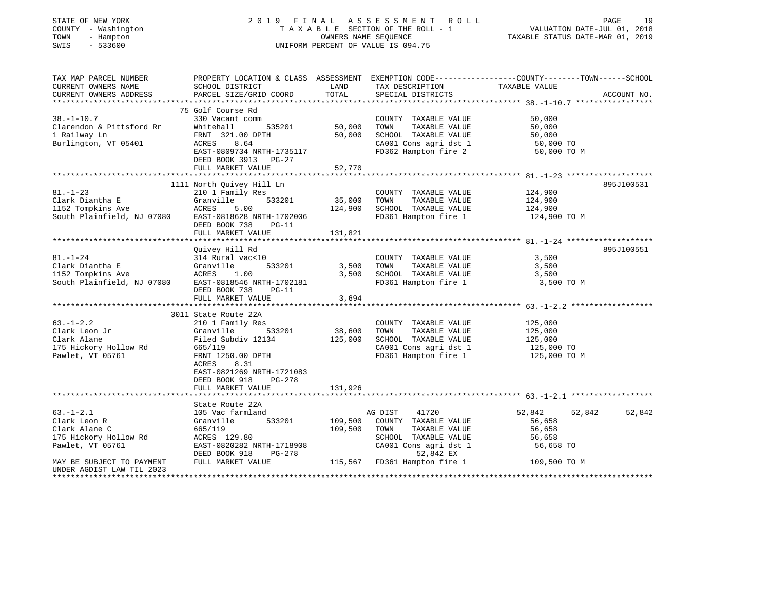| STATE OF NEW YORK<br>COUNTY - Washington<br>- Hampton<br>TOWN<br>$-533600$<br>SWIS                                        |                                                                                                                                                                     | OWNERS NAME SEQUENCE         | 2019 FINAL ASSESSMENT ROLL<br>TAXABLE SECTION OF THE ROLL - 1<br>UNIFORM PERCENT OF VALUE IS 094.75                                                             | VALUATION DATE-JUL 01, 2018<br>TAXABLE STATUS DATE-MAR 01, 2019                                 | PAGE<br>19  |
|---------------------------------------------------------------------------------------------------------------------------|---------------------------------------------------------------------------------------------------------------------------------------------------------------------|------------------------------|-----------------------------------------------------------------------------------------------------------------------------------------------------------------|-------------------------------------------------------------------------------------------------|-------------|
| TAX MAP PARCEL NUMBER<br>CURRENT OWNERS NAME<br>CURRENT OWNERS ADDRESS                                                    | SCHOOL DISTRICT<br>PARCEL SIZE/GRID COORD                                                                                                                           | LAND<br>TOTAL                | TAX DESCRIPTION TAXABLE VALUE<br>SPECIAL DISTRICTS                                                                                                              | PROPERTY LOCATION & CLASS ASSESSMENT EXEMPTION CODE---------------COUNTY-------TOWN------SCHOOL | ACCOUNT NO. |
| $38. - 1 - 10.7$<br>Clarendon & Pittsford Rr<br>1 Railway Ln<br>Burlington, VT 05401                                      | 75 Golf Course Rd<br>330 Vacant comm<br>Whitehall<br>535201<br>FRNT 321.00 DPTH<br>ACRES 8.64<br>EAST-0809734 NRTH-1735117<br>DEED BOOK 3913 PG-27                  | 50,000<br>50,000             | COUNTY TAXABLE VALUE<br>TOWN<br>TAXABLE VALUE<br>SCHOOL TAXABLE VALUE<br>CA001 Cons agri dst 1<br>FD362 Hampton fire 2                                          | 50,000<br>50,000<br>50,000<br>50,000 TO<br>50,000 TO M                                          |             |
|                                                                                                                           | FULL MARKET VALUE                                                                                                                                                   | 52,770                       |                                                                                                                                                                 |                                                                                                 |             |
| $81. - 1 - 23$<br>Clark Diantha E<br>1152 Tompkins Ave<br>South Plainfield, NJ 07080                                      | 1111 North Quivey Hill Ln<br>210 1 Family Res<br>Granville<br>533201<br>ACRES<br>5.00<br>EAST-0818628 NRTH-1702006<br>DEED BOOK 738<br>PG-11<br>FULL MARKET VALUE   | 35,000<br>124,900<br>131,821 | COUNTY TAXABLE VALUE<br>TOWN<br>TAXABLE VALUE<br>SCHOOL TAXABLE VALUE<br>FD361 Hampton fire 1                                                                   | 124,900<br>124,900<br>124,900<br>124,900 TO M                                                   | 895J100531  |
|                                                                                                                           | Quivey Hill Rd                                                                                                                                                      |                              |                                                                                                                                                                 |                                                                                                 | 895J100551  |
| $81. - 1 - 24$<br>Clark Diantha E<br>1152 Tompkins Ave<br>South Plainfield, NJ 07080                                      | 314 Rural vac<10<br>Granville<br>533201<br>ACRES 1.00<br>EAST-0818546 NRTH-1702181<br>DEED BOOK 738<br>$PG-11$<br>FULL MARKET VALUE                                 | 3,500<br>3,500<br>3,694      | COUNTY TAXABLE VALUE<br>TAXABLE VALUE<br>TOWN<br>SCHOOL TAXABLE VALUE<br>FD361 Hampton fire 1                                                                   | 3,500<br>3,500<br>3,500<br>3,500 TO M                                                           |             |
|                                                                                                                           |                                                                                                                                                                     |                              |                                                                                                                                                                 |                                                                                                 |             |
| $63. - 1 - 2.2$<br>Clark Leon Jr<br>Clark Alane<br>175 Hickory Hollow Rd<br>Pawlet, VT 05761                              | 3011 State Route 22A<br>210 1 Family Res<br>533201<br>Granville<br>Filed Subdiv 12134<br>665/119<br>FRNT 1250.00 DPTH<br>8.31<br>ACRES<br>EAST-0821269 NRTH-1721083 | 38,600<br>125,000            | COUNTY TAXABLE VALUE<br>TAXABLE VALUE<br>TOWN<br>SCHOOL TAXABLE VALUE<br>CA001 Cons agri dst 1<br>FD361 Hampton fire 1                                          | 125,000<br>125,000<br>125,000<br>125,000 TO<br>125,000 TO M                                     |             |
|                                                                                                                           | DEED BOOK 918<br>PG-278                                                                                                                                             |                              |                                                                                                                                                                 |                                                                                                 |             |
|                                                                                                                           | FULL MARKET VALUE                                                                                                                                                   | 131,926                      |                                                                                                                                                                 |                                                                                                 |             |
| $63. -1 - 2.1$<br>Clark Leon R<br>Clark Alane C<br>175 Hickory Hollow Rd<br>Pawlet, VT 05761<br>MAY BE SUBJECT TO PAYMENT | State Route 22A<br>105 Vac farmland<br>Granville<br>533201<br>665/119<br>ACRES 129.80<br>EAST-0820282 NRTH-1718908<br>DEED BOOK 918<br>PG-278<br>FULL MARKET VALUE  | 109,500<br>109,500           | 41720<br>AG DIST<br>COUNTY TAXABLE VALUE<br>TAXABLE VALUE<br>TOWN<br>SCHOOL TAXABLE VALUE<br>CA001 Cons agri dst 1<br>52,842 EX<br>115,567 FD361 Hampton fire 1 | 52,842<br>52,842<br>56,658<br>56,658<br>56,658<br>56,658 TO<br>109,500 TO M                     | 52,842      |
| UNDER AGDIST LAW TIL 2023                                                                                                 |                                                                                                                                                                     |                              |                                                                                                                                                                 | *******************                                                                             |             |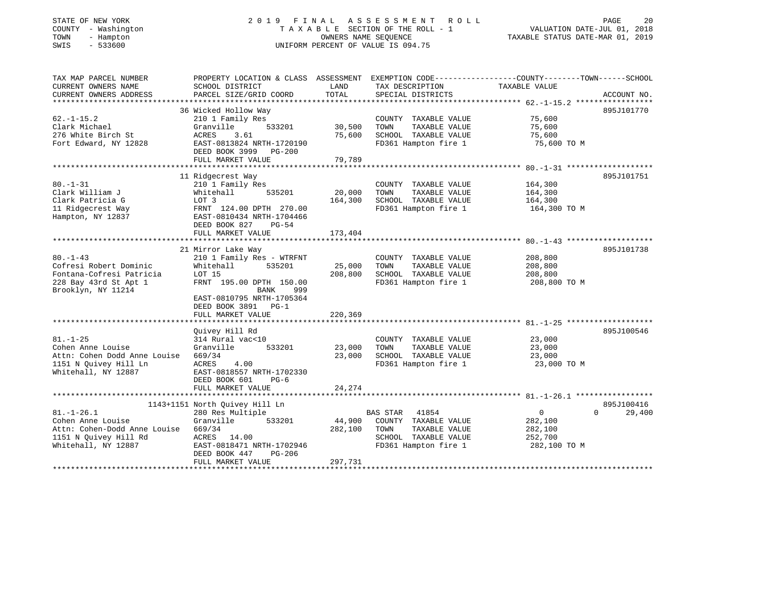| STATE OF NEW YORK |              |
|-------------------|--------------|
| COUNTY            | - Washington |
| TOWN              | - Hampton    |
| OMT O             | E 22500      |

## STATE OF NEW YORK 2 0 1 9 F I N A L A S S E S S M E N T R O L L PAGE 20 COUNTY - Washington T A X A B L E SECTION OF THE ROLL - 1 VALUATION DATE-JUL 01, 2018 TOWN - Hampton OWNERS NAME SEQUENCE TAXABLE STATUS DATE-MAR 01, 2019 SWIS - 533600 UNIFORM PERCENT OF VALUE IS 094.75

| TAX MAP PARCEL NUMBER        | PROPERTY LOCATION & CLASS ASSESSMENT EXEMPTION CODE----------------COUNTY--------TOWN-----SCHOOL |         |                       |               |                    |
|------------------------------|--------------------------------------------------------------------------------------------------|---------|-----------------------|---------------|--------------------|
| CURRENT OWNERS NAME          | SCHOOL DISTRICT                                                                                  | LAND    | TAX DESCRIPTION       | TAXABLE VALUE |                    |
| CURRENT OWNERS ADDRESS       | PARCEL SIZE/GRID COORD                                                                           | TOTAL   | SPECIAL DISTRICTS     |               | ACCOUNT NO.        |
|                              |                                                                                                  |         |                       |               |                    |
|                              | 36 Wicked Hollow Way                                                                             |         |                       |               | 895J101770         |
| $62. -1 - 15.2$              | 210 1 Family Res                                                                                 |         | COUNTY TAXABLE VALUE  | 75,600        |                    |
| Clark Michael                | Granville<br>533201                                                                              | 30,500  | TOWN<br>TAXABLE VALUE | 75,600        |                    |
| 276 White Birch St           | <b>ACRES</b><br>3.61                                                                             | 75,600  | SCHOOL TAXABLE VALUE  | 75,600        |                    |
| Fort Edward, NY 12828        | EAST-0813824 NRTH-1720190                                                                        |         | FD361 Hampton fire 1  | 75,600 TO M   |                    |
|                              | DEED BOOK 3999 PG-200                                                                            |         |                       |               |                    |
|                              | FULL MARKET VALUE                                                                                | 79,789  |                       |               |                    |
|                              |                                                                                                  |         |                       |               |                    |
|                              | 11 Ridgecrest Way                                                                                |         |                       |               | 895J101751         |
| $80. - 1 - 31$               | 210 1 Family Res                                                                                 |         | COUNTY TAXABLE VALUE  | 164,300       |                    |
| Clark William J              | Whitehall<br>535201                                                                              | 20,000  | TOWN<br>TAXABLE VALUE | 164,300       |                    |
| Clark Patricia G             | LOT 3                                                                                            | 164,300 | SCHOOL TAXABLE VALUE  | 164,300       |                    |
| 11 Ridgecrest Way            | FRNT 124.00 DPTH 270.00                                                                          |         | FD361 Hampton fire 1  | 164,300 TO M  |                    |
| Hampton, NY 12837            | EAST-0810434 NRTH-1704466                                                                        |         |                       |               |                    |
|                              | DEED BOOK 827<br>$PG-54$                                                                         |         |                       |               |                    |
|                              | FULL MARKET VALUE                                                                                | 173,404 |                       |               |                    |
|                              |                                                                                                  |         |                       |               |                    |
|                              | 21 Mirror Lake Way                                                                               |         |                       |               | 895J101738         |
| $80. - 1 - 43$               | 210 1 Family Res - WTRFNT                                                                        |         | COUNTY TAXABLE VALUE  | 208,800       |                    |
| Cofresi Robert Dominic       | 535201<br>Whitehall                                                                              | 25,000  | TOWN<br>TAXABLE VALUE | 208,800       |                    |
| Fontana-Cofresi Patricia     | LOT 15                                                                                           | 208,800 | SCHOOL TAXABLE VALUE  | 208,800       |                    |
| 228 Bay 43rd St Apt 1        | FRNT 195.00 DPTH 150.00                                                                          |         | FD361 Hampton fire 1  | 208,800 TO M  |                    |
| Brooklyn, NY 11214           | BANK<br>999                                                                                      |         |                       |               |                    |
|                              | EAST-0810795 NRTH-1705364                                                                        |         |                       |               |                    |
|                              | DEED BOOK 3891 PG-1                                                                              |         |                       |               |                    |
|                              | FULL MARKET VALUE                                                                                | 220,369 |                       |               |                    |
|                              |                                                                                                  |         |                       |               |                    |
|                              | Quivey Hill Rd                                                                                   |         |                       |               | 895J100546         |
| $81. - 1 - 25$               | 314 Rural vac<10                                                                                 |         | COUNTY TAXABLE VALUE  | 23,000        |                    |
| Cohen Anne Louise            | Granville<br>533201                                                                              | 23,000  | TOWN<br>TAXABLE VALUE | 23,000        |                    |
| Attn: Cohen Dodd Anne Louise | 669/34                                                                                           | 23,000  | SCHOOL TAXABLE VALUE  | 23,000        |                    |
| 1151 N Quivey Hill Ln        | ACRES<br>4.00                                                                                    |         | FD361 Hampton fire 1  | 23,000 TO M   |                    |
| Whitehall, NY 12887          | EAST-0818557 NRTH-1702330                                                                        |         |                       |               |                    |
|                              | DEED BOOK 601<br>$PG-6$                                                                          |         |                       |               |                    |
|                              | FULL MARKET VALUE                                                                                | 24,274  |                       |               |                    |
|                              |                                                                                                  |         |                       |               |                    |
|                              | 1143+1151 North Quivey Hill Ln                                                                   |         |                       |               | 895J100416         |
| $81. - 1 - 26.1$             | 280 Res Multiple                                                                                 |         | BAS STAR 41854        | 0             | $\Omega$<br>29,400 |
| Cohen Anne Louise            | 533201<br>Granville                                                                              | 44,900  | COUNTY TAXABLE VALUE  | 282,100       |                    |
| Attn: Cohen-Dodd Anne Louise | 669/34                                                                                           | 282,100 | TAXABLE VALUE<br>TOWN | 282,100       |                    |
| 1151 N Quivey Hill Rd        | ACRES 14.00                                                                                      |         | SCHOOL TAXABLE VALUE  | 252,700       |                    |
| Whitehall, NY 12887          | EAST-0818471 NRTH-1702946                                                                        |         | FD361 Hampton fire 1  | 282,100 TO M  |                    |
|                              | PG-206<br>DEED BOOK 447                                                                          |         |                       |               |                    |
|                              | FULL MARKET VALUE                                                                                | 297,731 |                       |               |                    |
|                              |                                                                                                  |         |                       |               |                    |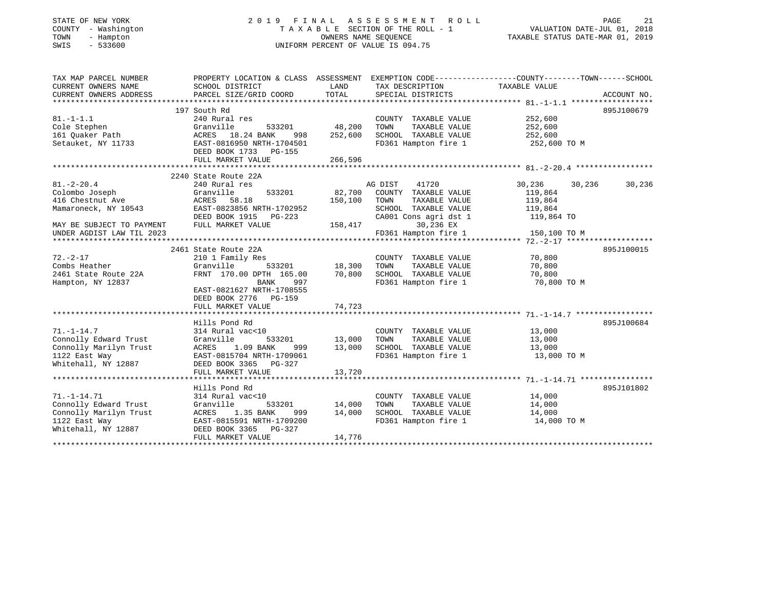## STATE OF NEW YORK 2 0 1 9 F I N A L A S S E S S M E N T R O L L PAGE 21 COUNTY - Washington T A X A B L E SECTION OF THE ROLL - 1 VALUATION DATE-JUL 01, 2018 TOWN - Hampton OWNERS NAME SEQUENCE TAXABLE STATUS DATE-MAR 01, 2019 SWIS - 533600 UNIFORM PERCENT OF VALUE IS 094.75

| TAX MAP PARCEL NUMBER                                | PROPERTY LOCATION & CLASS ASSESSMENT EXEMPTION CODE----------------COUNTY-------TOWN------SCHOOL |               |                                                     |                       |             |
|------------------------------------------------------|--------------------------------------------------------------------------------------------------|---------------|-----------------------------------------------------|-----------------------|-------------|
| CURRENT OWNERS NAME                                  | SCHOOL DISTRICT                                                                                  | LAND          | TAX DESCRIPTION                                     | TAXABLE VALUE         |             |
| CURRENT OWNERS ADDRESS                               | PARCEL SIZE/GRID COORD                                                                           | TOTAL         | SPECIAL DISTRICTS                                   |                       | ACCOUNT NO. |
|                                                      |                                                                                                  |               |                                                     |                       |             |
|                                                      | 197 South Rd                                                                                     |               |                                                     |                       | 895J100679  |
| $81. - 1 - 1.1$                                      | 240 Rural res                                                                                    |               | COUNTY TAXABLE VALUE 252,600                        |                       |             |
| Cole Stephen                                         | Granville                                                                                        | 533201 48,200 | TOWN<br>TAXABLE VALUE                               | 252,600               |             |
| Cole Suephich<br>161 Quaker Path<br>1914 - ATV 11733 | ACRES 18.24 BANK<br>998                                                                          | 252,600       | SCHOOL TAXABLE VALUE 252,600                        |                       |             |
| Setauket, NY 11733                                   | EAST-0816950 NRTH-1704501                                                                        |               | FD361 Hampton fire 1                                | 252,600 TO M          |             |
|                                                      | DEED BOOK 1733 PG-155                                                                            |               |                                                     |                       |             |
|                                                      | FULL MARKET VALUE                                                                                | 266,596       |                                                     |                       |             |
|                                                      |                                                                                                  |               |                                                     |                       |             |
|                                                      | 2240 State Route 22A                                                                             |               |                                                     |                       |             |
| $81. - 2 - 20.4$                                     | 240 Rural res                                                                                    |               | AG DIST<br>41720                                    | 30,236<br>30,236      | 30,236      |
| Colombo Joseph                                       | 533201<br>Granville                                                                              |               | 82,700 COUNTY TAXABLE VALUE                         | 119,864               |             |
| 416 Chestnut Ave                                     | ACRES 58.18                                                                                      | 150,100       | TOWN<br>TAXABLE VALUE                               | 119,864               |             |
| Mamaroneck, NY 10543                                 | EAST-0823856 NRTH-1702952                                                                        |               | SCHOOL TAXABLE VALUE                                | 119,864               |             |
|                                                      | DEED BOOK 1915 PG-223                                                                            |               | CA001 Cons agri dst 1                               | 119,864 TO            |             |
| MAY BE SUBJECT TO PAYMENT                            | FULL MARKET VALUE                                                                                | 158,417       | 30,236 EX                                           |                       |             |
|                                                      |                                                                                                  |               |                                                     |                       |             |
|                                                      |                                                                                                  |               |                                                     |                       |             |
|                                                      | 2461 State Route 22A                                                                             |               |                                                     |                       | 895J100015  |
| $72. - 2 - 17$                                       | 210 1 Family Res                                                                                 |               | COUNTY TAXABLE VALUE                                | 70,800                |             |
| Combs Heather                                        | Granville                                                                                        | 533201 18,300 | TOWN<br>TAXABLE VALUE                               | 70,800                |             |
| 2461 State Route 22A                                 | FRNT 170.00 DPTH 165.00                                                                          | 70,800        | SCHOOL TAXABLE VALUE                                | 70,800                |             |
| Hampton, NY 12837                                    | 997<br>BANK                                                                                      |               | FD361 Hampton fire 1                                | 70,800 TO M           |             |
|                                                      | EAST-0821627 NRTH-1708555                                                                        |               |                                                     |                       |             |
|                                                      | DEED BOOK 2776 PG-159                                                                            |               |                                                     |                       |             |
|                                                      |                                                                                                  |               |                                                     |                       |             |
|                                                      | Hills Pond Rd                                                                                    |               |                                                     |                       | 895J100684  |
| $71. - 1 - 14.7$                                     |                                                                                                  |               | COUNTY TAXABLE VALUE 13,000                         |                       |             |
| Connolly Edward Trust                                | 314 Rural vac<10<br>Granville                                                                    | 533201 13,000 | TOWN<br>TAXABLE VALUE                               | 13,000                |             |
| Connolly Marilyn Trust                               | ACRES 1.09 BANK                                                                                  |               |                                                     |                       |             |
| 1122 East Way                                        | 999<br>EAST-0815704 NRTH-1709061                                                                 | 13,000        | SCHOOL TAXABLE VALUE<br>FD361 Hampton fire 1        | 13,000<br>13,000 TO M |             |
| Whitehall, NY 12887                                  | DEED BOOK 3365 PG-327                                                                            |               |                                                     |                       |             |
|                                                      | FULL MARKET VALUE                                                                                | 13,720        |                                                     |                       |             |
|                                                      |                                                                                                  |               |                                                     |                       |             |
|                                                      | Hills Pond Rd                                                                                    |               |                                                     |                       | 895J101802  |
| $71. - 1 - 14.71$                                    | 314 Rural vac<10                                                                                 |               | COUNTY TAXABLE VALUE 14,000                         |                       |             |
| Connolly Edward Trust                                | Granville                                                                                        | 533201 14,000 | TAXABLE VALUE 14,000<br>TOWN                        |                       |             |
| Connolly Marilyn Trust                               | ACRES 1.35 BANK                                                                                  | 999 14,000    |                                                     |                       |             |
| 1122 East Way                                        | EAST-0815591 NRTH-1709200                                                                        |               | SCHOOL TAXABLE VALUE 14,000<br>FD361 Hampton fire 1 | 14,000 TO M           |             |
| Whitehall, NY 12887                                  | DEED BOOK 3365 PG-327                                                                            |               |                                                     |                       |             |
|                                                      | FULL MARKET VALUE                                                                                | 14,776        |                                                     |                       |             |
|                                                      |                                                                                                  |               |                                                     |                       |             |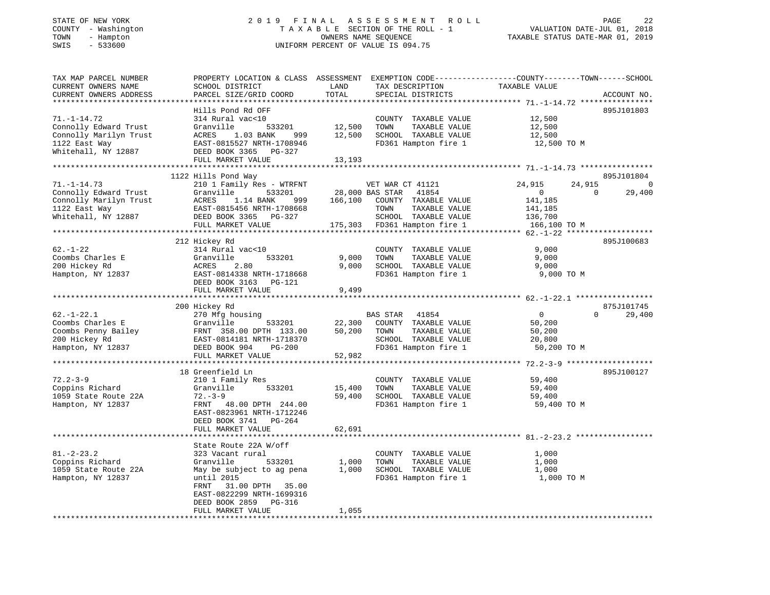| TOWN<br>- Hampton<br>SWIS<br>$-533600$                                  |                                                                                                                                                                                            |        | OWNERS NAME SEQUENCE<br>UNIFORM PERCENT OF VALUE IS 094.75 | TAXABLE STATUS DATE-MAR 01, 2019   |               |
|-------------------------------------------------------------------------|--------------------------------------------------------------------------------------------------------------------------------------------------------------------------------------------|--------|------------------------------------------------------------|------------------------------------|---------------|
|                                                                         |                                                                                                                                                                                            |        |                                                            |                                    |               |
| TAX MAP PARCEL NUMBER                                                   | PROPERTY LOCATION & CLASS ASSESSMENT EXEMPTION CODE---------------COUNTY-------TOWN------SCHOOL                                                                                            |        |                                                            |                                    |               |
| CURRENT OWNERS NAME                                                     | SCHOOL DISTRICT                                                                                                                                                                            | LAND   | TAX DESCRIPTION                                            | TAXABLE VALUE                      |               |
| CURRENT OWNERS ADDRESS                                                  | PARCEL SIZE/GRID COORD                                                                                                                                                                     | TOTAL  | SPECIAL DISTRICTS                                          |                                    | ACCOUNT NO.   |
|                                                                         | Hills Pond Rd OFF                                                                                                                                                                          |        |                                                            |                                    | 895J101803    |
| $71. - 1 - 14.72$                                                       | 314 Rural vac<10                                                                                                                                                                           |        | COUNTY TAXABLE VALUE                                       | 12,500                             |               |
|                                                                         | 533201                                                                                                                                                                                     | 12,500 | TOWN<br>TAXABLE VALUE                                      | 12,500                             |               |
| Connolly Edward Trust Granville<br>Connolly Marilyn Trust ACRES 1.03 BA | ACRES 1.03 BANK<br>999                                                                                                                                                                     | 12,500 | SCHOOL TAXABLE VALUE                                       | 12,500                             |               |
| 1122 East Way                                                           | EAST-0815527 NRTH-1708946                                                                                                                                                                  |        | FD361 Hampton fire 1                                       | 12,500 TO M                        |               |
| Whitehall, NY 12887                                                     | DEED BOOK 3365 PG-327                                                                                                                                                                      |        |                                                            |                                    |               |
|                                                                         | FULL MARKET VALUE                                                                                                                                                                          | 13,193 |                                                            |                                    |               |
|                                                                         |                                                                                                                                                                                            |        |                                                            |                                    |               |
|                                                                         | 1122 Hills Pond Way                                                                                                                                                                        |        |                                                            |                                    | 895J101804    |
| $71. - 1 - 14.73$                                                       | 210 1 Family Res - WTRFNT                                                                                                                                                                  |        | VET WAR CT 41121<br>28,000 BAS STAR 41854                  | 24,915                             | 24,915 0      |
| Connolly Edward Trust                                                   | Granville 533201                                                                                                                                                                           |        |                                                            | $\overline{0}$<br>$\overline{0}$   | 29,400        |
| Connolly Marilyn Trust<br>1122 East Way                                 | ACRES 1.14 BANK 999 166,100 COUNTY TAXABLE VALUE<br>EAST-0815456 NRTH-1708668 TOWN TAXABLE VALUE<br>DEED BOOK 3365 PG-327 SCHOOL TAXABLE VALUE                                             |        |                                                            | 141,185                            |               |
| Whitehall, NY 12887                                                     |                                                                                                                                                                                            |        |                                                            |                                    |               |
|                                                                         | FULL MARKET VALUE                                                                                                                                                                          |        | 175,303 FD361 Hampton fire 1                               | 141,185<br>136,700<br>166,100 TO M |               |
|                                                                         |                                                                                                                                                                                            |        |                                                            |                                    |               |
|                                                                         | 212 Hickey Rd                                                                                                                                                                              |        |                                                            |                                    | 895J100683    |
| $62. - 1 - 22$                                                          | 314 Rural vac<10                                                                                                                                                                           |        | COUNTY TAXABLE VALUE                                       | 9,000                              |               |
| Coombs Charles E                                                        |                                                                                                                                                                                            | 9,000  | TOWN<br>TAXABLE VALUE                                      | 9,000                              |               |
| 200 Hickey Rd                                                           |                                                                                                                                                                                            | 9,000  | SCHOOL TAXABLE VALUE                                       | 9,000                              |               |
| Hampton, NY 12837                                                       | Granville 533201<br>ACRES 2.80<br>EAST-0814338 NRTH-1718668<br>2011-0804338 NRTH-1718668                                                                                                   |        | FD361 Hampton fire 1                                       | 9,000 TO M                         |               |
|                                                                         | DEED BOOK 3163 PG-121                                                                                                                                                                      |        |                                                            |                                    |               |
|                                                                         | FULL MARKET VALUE                                                                                                                                                                          | 9,499  |                                                            |                                    |               |
|                                                                         |                                                                                                                                                                                            |        |                                                            |                                    |               |
|                                                                         | 200 Hickey Rd                                                                                                                                                                              |        |                                                            |                                    | 875J101745    |
| $62. - 1 - 22.1$                                                        | 270 Mfg housing                                                                                                                                                                            |        | BAS STAR 41854                                             | $\sim$ 0                           | $0 \t 29,400$ |
| Coombs Charles E                                                        | Granville 533201                                                                                                                                                                           | 50,200 | 22,300 COUNTY TAXABLE VALUE<br>TOWN<br>TAXABLE VALUE       | 50,200<br>50,200                   |               |
|                                                                         |                                                                                                                                                                                            |        | SCHOOL TAXABLE VALUE                                       | 20,800                             |               |
|                                                                         |                                                                                                                                                                                            |        | FD361 Hampton fire 1                                       | 50,200 TO M                        |               |
|                                                                         | Coombs Charles E Granville 533201<br>Coombs Penny Bailey FRNT 358.00 DPTH 133.00<br>200 Hickey Rd EAST-0814181 NRTH-1718370<br>Hampton, NY 12837 DEED BOOK 904 PG-200<br>FULL MARKET VALUE | 52,982 |                                                            |                                    |               |
|                                                                         |                                                                                                                                                                                            |        |                                                            |                                    |               |
|                                                                         | 18 Greenfield Ln                                                                                                                                                                           |        |                                                            |                                    | 895J100127    |
| $72.2 - 3 - 9$                                                          | 210 1 Family Res                                                                                                                                                                           |        | COUNTY TAXABLE VALUE                                       | 59,400                             |               |
| Coppins Richard                                                         | Granville<br>533201                                                                                                                                                                        | 15,400 | TOWN<br>TAXABLE VALUE                                      | 59,400                             |               |
| 1059 State Route 22A                                                    | $72. - 3 - 9$                                                                                                                                                                              | 59,400 | SCHOOL TAXABLE VALUE                                       | 59,400                             |               |
| Hampton, NY 12837                                                       | FRNT 48.00 DPTH 244.00                                                                                                                                                                     |        | FD361 Hampton fire 1                                       | 59,400 TO M                        |               |
|                                                                         | EAST-0823961 NRTH-1712246                                                                                                                                                                  |        |                                                            |                                    |               |
|                                                                         | DEED BOOK 3741 PG-264                                                                                                                                                                      |        |                                                            |                                    |               |
|                                                                         | FULL MARKET VALUE                                                                                                                                                                          | 62,691 |                                                            |                                    |               |
|                                                                         | State Route 22A W/off                                                                                                                                                                      |        |                                                            |                                    |               |
| $81. - 2 - 23.2$                                                        | 323 Vacant rural                                                                                                                                                                           |        | COUNTY TAXABLE VALUE                                       | 1,000                              |               |
| Coppins Richard                                                         | Granville<br>533201                                                                                                                                                                        | 1,000  | TOWN<br>TAXABLE VALUE                                      | 1,000                              |               |
| 1059 State Route 22A                                                    | May be subject to ag pena                                                                                                                                                                  | 1,000  | SCHOOL TAXABLE VALUE                                       | 1,000                              |               |
| Hampton, NY 12837                                                       | until 2015                                                                                                                                                                                 |        | FD361 Hampton fire 1 1,000 TO M                            |                                    |               |
|                                                                         | 31.00 DPTH 35.00<br>FRNT                                                                                                                                                                   |        |                                                            |                                    |               |
|                                                                         | EAST-0822299 NRTH-1699316                                                                                                                                                                  |        |                                                            |                                    |               |
|                                                                         | DEED BOOK 2859 PG-316                                                                                                                                                                      |        |                                                            |                                    |               |
|                                                                         | FULL MARKET VALUE                                                                                                                                                                          | 1,055  |                                                            |                                    |               |

\*\*\*\*\*\*\*\*\*\*\*\*\*\*\*\*\*\*\*\*\*\*\*\*\*\*\*\*\*\*\*\*\*\*\*\*\*\*\*\*\*\*\*\*\*\*\*\*\*\*\*\*\*\*\*\*\*\*\*\*\*\*\*\*\*\*\*\*\*\*\*\*\*\*\*\*\*\*\*\*\*\*\*\*\*\*\*\*\*\*\*\*\*\*\*\*\*\*\*\*\*\*\*\*\*\*\*\*\*\*\*\*\*\*\*\*\*\*\*\*\*\*\*\*\*\*\*\*\*\*\*\*

# STATE OF NEW YORK 2 0 1 9 F I N A L A S S E S S M E N T R O L L PAGE 22 COUNTY - Washington T A X A B L E SECTION OF THE ROLL - 1 VALUATION DATE-JUL 01, 2018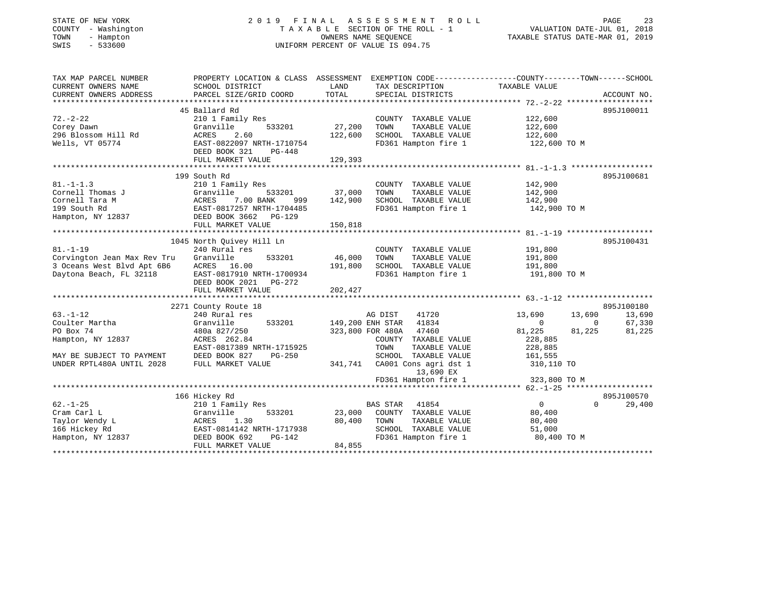### STATE OF NEW YORK 2 0 1 9 F I N A L A S S E S S M E N T R O L L PAGE 23 COUNTY - Washington T A X A B L E SECTION OF THE ROLL - 1 VALUATION DATE-JUL 01, 2018 TOWN - Hampton OWNERS NAME SEQUENCE TAXABLE STATUS DATE-MAR 01, 2019 SWIS - 533600 UNIFORM PERCENT OF VALUE IS 094.75

| TAX MAP PARCEL NUMBER       | PROPERTY LOCATION & CLASS ASSESSMENT EXEMPTION CODE---------------COUNTY-------TOWN------SCHOOL |                  |                           |                  |                    |
|-----------------------------|-------------------------------------------------------------------------------------------------|------------------|---------------------------|------------------|--------------------|
| CURRENT OWNERS NAME         | SCHOOL DISTRICT                                                                                 | LAND             | TAX DESCRIPTION           | TAXABLE VALUE    |                    |
| CURRENT OWNERS ADDRESS      | PARCEL SIZE/GRID COORD                                                                          | TOTAL            | SPECIAL DISTRICTS         |                  | ACCOUNT NO.        |
|                             |                                                                                                 |                  |                           |                  |                    |
|                             | 45 Ballard Rd                                                                                   |                  |                           |                  | 895J100011         |
| $72. - 2 - 22$              | 210 1 Family Res                                                                                |                  | COUNTY TAXABLE VALUE      | 122,600          |                    |
| Corey Dawn                  | 533201<br>Granville                                                                             | 27,200           | TOWN<br>TAXABLE VALUE     | 122,600          |                    |
| 296 Blossom Hill Rd         | ACRES<br>2.60                                                                                   | 122,600          | SCHOOL TAXABLE VALUE      | 122,600          |                    |
| Wells, VT 05774             | EAST-0822097 NRTH-1710754                                                                       |                  | FD361 Hampton fire 1      | 122,600 TO M     |                    |
|                             | DEED BOOK 321<br>PG-448                                                                         |                  |                           |                  |                    |
|                             | FULL MARKET VALUE                                                                               | 129,393          |                           |                  |                    |
|                             |                                                                                                 |                  |                           |                  |                    |
|                             | 199 South Rd                                                                                    |                  |                           |                  | 895J100681         |
| $81. -1 - 1.3$              |                                                                                                 |                  |                           |                  |                    |
| Cornell Thomas J            | 210 1 Family Res                                                                                |                  | COUNTY TAXABLE VALUE      | 142,900          |                    |
|                             | Granville<br>533201                                                                             | 37,000           | TOWN<br>TAXABLE VALUE     | 142,900          |                    |
| Cornell Tara M              | 7.00 BANK<br>ACRES<br>999                                                                       | 142,900          | SCHOOL TAXABLE VALUE      | 142,900          |                    |
| 199 South Rd                | EAST-0817257 NRTH-1704485                                                                       |                  | FD361 Hampton fire 1      | 142,900 TO M     |                    |
| Hampton, NY 12837           | DEED BOOK 3662 PG-129                                                                           |                  |                           |                  |                    |
|                             | FULL MARKET VALUE                                                                               | 150,818          |                           |                  |                    |
|                             |                                                                                                 |                  |                           |                  |                    |
|                             | 1045 North Ouivey Hill Ln                                                                       |                  |                           |                  | 895J100431         |
| $81. - 1 - 19$              | 240 Rural res                                                                                   |                  | COUNTY TAXABLE VALUE      | 191,800          |                    |
| Corvington Jean Max Rev Tru | Granville<br>533201                                                                             | 46,000           | TAXABLE VALUE<br>TOWN     | 191,800          |                    |
| 3 Oceans West Blvd Apt 6B6  | ACRES 16.00                                                                                     | 191,800          | SCHOOL TAXABLE VALUE      | 191,800          |                    |
| Daytona Beach, FL 32118     | EAST-0817910 NRTH-1700934                                                                       |                  | FD361 Hampton fire 1      | 191,800 TO M     |                    |
|                             | DEED BOOK 2021    PG-272                                                                        |                  |                           |                  |                    |
|                             | FULL MARKET VALUE                                                                               | 202,427          |                           |                  |                    |
|                             |                                                                                                 |                  |                           |                  |                    |
|                             | 2271 County Route 18                                                                            |                  |                           |                  | 895J100180         |
| $63. - 1 - 12$              | 240 Rural res                                                                                   |                  | AG DIST<br>41720          | 13,690<br>13,690 | 13,690             |
| Coulter Martha              | Granville<br>533201                                                                             | 149,200 ENH STAR | 41834                     | $\overline{0}$   | 67,330<br>$\Omega$ |
| PO Box 74                   | 480a 827/250                                                                                    |                  | 47460<br>323,800 FOR 480A | 81,225<br>81,225 | 81,225             |
|                             | ACRES 262.84                                                                                    |                  | COUNTY TAXABLE VALUE      | 228,885          |                    |
| Hampton, NY 12837           |                                                                                                 |                  |                           |                  |                    |
|                             | EAST-0817389 NRTH-1715925                                                                       |                  | TOWN<br>TAXABLE VALUE     | 228,885          |                    |
| MAY BE SUBJECT TO PAYMENT   | DEED BOOK 827<br>PG-250                                                                         |                  | SCHOOL TAXABLE VALUE      | 161,555          |                    |
| UNDER RPTL480A UNTIL 2028   | FULL MARKET VALUE                                                                               | 341,741          | CA001 Cons agri dst 1     | 310,110 TO       |                    |
|                             |                                                                                                 |                  | 13,690 EX                 |                  |                    |
|                             |                                                                                                 |                  | FD361 Hampton fire 1      | 323,800 TO M     |                    |
|                             |                                                                                                 |                  |                           |                  |                    |
|                             | 166 Hickey Rd                                                                                   |                  |                           |                  | 895J100570         |
| $62. - 1 - 25$              | 210 1 Family Res                                                                                |                  | <b>BAS STAR</b><br>41854  | $\overline{0}$   | 29,400<br>$\Omega$ |
| Cram Carl L                 | Granville<br>533201                                                                             | 23,000           | COUNTY TAXABLE VALUE      | 80,400           |                    |
| Taylor Wendy L              | ACRES<br>1.30                                                                                   | 80,400           | TOWN<br>TAXABLE VALUE     | 80,400           |                    |
| 166 Hickey Rd               | EAST-0814142 NRTH-1717938                                                                       |                  | SCHOOL TAXABLE VALUE      | 51,000           |                    |
| Hampton, NY 12837           | DEED BOOK 692<br>PG-142                                                                         |                  | FD361 Hampton fire 1      | 80,400 TO M      |                    |
|                             | FULL MARKET VALUE                                                                               | 84,855           |                           |                  |                    |
|                             |                                                                                                 |                  |                           |                  |                    |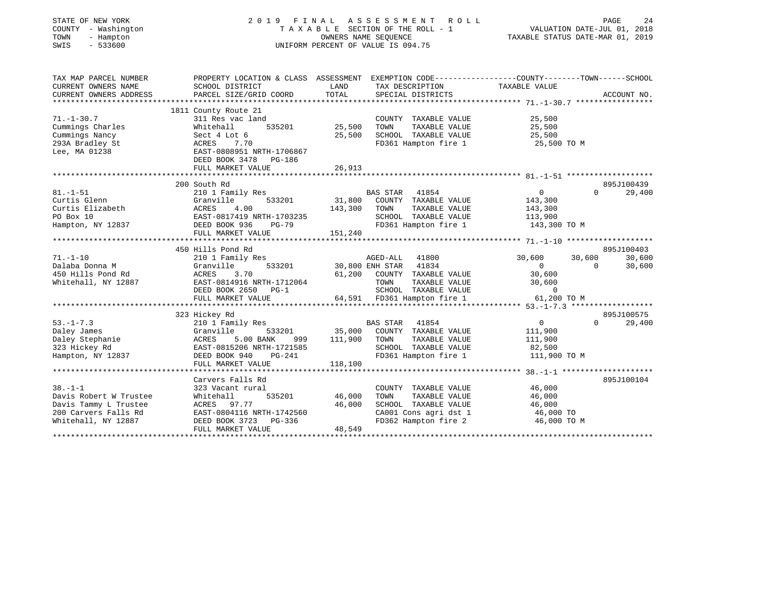| STATE OF NEW YORK<br>COUNTY - Washington<br>TOWN<br>- Hampton<br>$-533600$<br>SWIS | 2019 FINAL                                                                                      | TAXABLE SECTION OF THE ROLL - 1<br>OWNERS NAME SEQUENCE<br>UNIFORM PERCENT OF VALUE IS 094.75 | ASSESSMENT                  | <b>ROLL</b>                           | VALUATION DATE-JUL 01, 2018<br>TAXABLE STATUS DATE-MAR 01, 2019 | PAGE     | 24               |
|------------------------------------------------------------------------------------|-------------------------------------------------------------------------------------------------|-----------------------------------------------------------------------------------------------|-----------------------------|---------------------------------------|-----------------------------------------------------------------|----------|------------------|
| TAX MAP PARCEL NUMBER                                                              | PROPERTY LOCATION & CLASS ASSESSMENT EXEMPTION CODE---------------COUNTY-------TOWN------SCHOOL |                                                                                               |                             |                                       |                                                                 |          |                  |
| CURRENT OWNERS NAME<br>CURRENT OWNERS ADDRESS                                      | SCHOOL DISTRICT<br>PARCEL SIZE/GRID COORD                                                       | LAND<br>TOTAL                                                                                 |                             | TAX DESCRIPTION<br>SPECIAL DISTRICTS  | TAXABLE VALUE                                                   |          |                  |
| ***********************                                                            |                                                                                                 |                                                                                               |                             |                                       |                                                                 |          | ACCOUNT NO.      |
|                                                                                    | 1811 County Route 21                                                                            |                                                                                               |                             |                                       |                                                                 |          |                  |
| $71. - 1 - 30.7$                                                                   | 311 Res vac land                                                                                |                                                                                               |                             | COUNTY TAXABLE VALUE                  | 25,500                                                          |          |                  |
| Cummings Charles                                                                   | Whitehall<br>535201                                                                             | 25,500                                                                                        | TOWN                        | TAXABLE VALUE                         | 25,500                                                          |          |                  |
| Cummings Nancy                                                                     | Sect 4 Lot 6                                                                                    | 25,500                                                                                        |                             | SCHOOL TAXABLE VALUE                  | 25,500                                                          |          |                  |
| 293A Bradley St                                                                    | 7.70<br>ACRES                                                                                   |                                                                                               |                             | FD361 Hampton fire 1                  | 25,500 TO M                                                     |          |                  |
| Lee, MA 01238                                                                      | EAST-0808951 NRTH-1706867<br>DEED BOOK 3478 PG-186                                              |                                                                                               |                             |                                       |                                                                 |          |                  |
|                                                                                    | FULL MARKET VALUE                                                                               | 26,913                                                                                        |                             |                                       |                                                                 |          |                  |
|                                                                                    |                                                                                                 |                                                                                               |                             |                                       |                                                                 |          |                  |
|                                                                                    | 200 South Rd                                                                                    |                                                                                               |                             |                                       |                                                                 |          | 895J100439       |
| $81. - 1 - 51$                                                                     | 210 1 Family Res                                                                                |                                                                                               | BAS STAR                    | 41854                                 | $\overline{0}$                                                  | $\Omega$ | 29,400           |
| Curtis Glenn                                                                       | Granville<br>533201                                                                             | 31,800                                                                                        |                             | COUNTY TAXABLE VALUE                  | 143,300                                                         |          |                  |
| Curtis Elizabeth                                                                   | ACRES<br>4.00                                                                                   | 143,300                                                                                       | TOWN                        | TAXABLE VALUE                         | 143,300                                                         |          |                  |
| PO Box 10                                                                          | EAST-0817419 NRTH-1703235                                                                       |                                                                                               |                             | SCHOOL TAXABLE VALUE                  | 113,900                                                         |          |                  |
| Hampton, NY 12837                                                                  | DEED BOOK 936<br>$PG-79$                                                                        |                                                                                               |                             | FD361 Hampton fire 1                  | 143,300 TO M                                                    |          |                  |
|                                                                                    | FULL MARKET VALUE                                                                               | 151,240                                                                                       |                             |                                       |                                                                 |          |                  |
|                                                                                    |                                                                                                 |                                                                                               |                             |                                       |                                                                 |          |                  |
| $71. - 1 - 10$                                                                     | 450 Hills Pond Rd                                                                               |                                                                                               |                             | 41800                                 |                                                                 | 30,600   | 895J100403       |
| Dalaba Donna M                                                                     | 210 1 Family Res<br>Granville<br>533201                                                         |                                                                                               | AGED-ALL<br>30,800 ENH STAR | 41834                                 | 30,600<br>$\Omega$                                              | $\Omega$ | 30,600<br>30,600 |
| 450 Hills Pond Rd                                                                  | ACRES<br>3.70                                                                                   | 61,200                                                                                        |                             | COUNTY TAXABLE VALUE                  | 30,600                                                          |          |                  |
| Whitehall, NY 12887                                                                | EAST-0814916 NRTH-1712064                                                                       |                                                                                               | TOWN                        | TAXABLE VALUE                         | 30,600                                                          |          |                  |
|                                                                                    | DEED BOOK 2650<br>$PG-1$                                                                        |                                                                                               |                             | SCHOOL TAXABLE VALUE                  | $\mathbf 0$                                                     |          |                  |
|                                                                                    | FULL MARKET VALUE                                                                               |                                                                                               |                             | 64,591 FD361 Hampton fire 1           | 61,200 TO M                                                     |          |                  |
|                                                                                    | ***************************                                                                     |                                                                                               |                             |                                       |                                                                 |          |                  |
|                                                                                    | 323 Hickey Rd                                                                                   |                                                                                               |                             |                                       |                                                                 |          | 895J100575       |
| $53. - 1 - 7.3$                                                                    | 210 1 Family Res                                                                                |                                                                                               | BAS STAR                    | 41854                                 | $\mathbf 0$                                                     | $\Omega$ | 29,400           |
| Daley James                                                                        | 533201<br>Granville                                                                             | 35,000                                                                                        |                             | COUNTY TAXABLE VALUE                  | 111,900                                                         |          |                  |
| Daley Stephanie                                                                    | ACRES<br>5.00 BANK<br>999                                                                       | 111,900                                                                                       | TOWN                        | TAXABLE VALUE                         | 111,900                                                         |          |                  |
| 323 Hickey Rd                                                                      | EAST-0815206 NRTH-1721585                                                                       |                                                                                               |                             | SCHOOL TAXABLE VALUE                  | 82,500                                                          |          |                  |
| Hampton, NY 12837                                                                  | DEED BOOK 940<br>PG-241                                                                         |                                                                                               |                             | FD361 Hampton fire 1                  | 111,900 TO M                                                    |          |                  |
|                                                                                    | FULL MARKET VALUE                                                                               | 118,100<br>*******************************                                                    |                             |                                       |                                                                 |          |                  |
|                                                                                    |                                                                                                 |                                                                                               |                             |                                       | ************** 38. -1-1 *********************                   |          |                  |
| $38. - 1 - 1$                                                                      | Carvers Falls Rd                                                                                |                                                                                               |                             |                                       |                                                                 |          | 895J100104       |
| Davis Robert W Trustee                                                             | 323 Vacant rural<br>535201<br>Whitehall                                                         | 46,000                                                                                        | TOWN                        | COUNTY TAXABLE VALUE<br>TAXABLE VALUE | 46,000<br>46,000                                                |          |                  |
| Davis Tammy L Trustee                                                              | ACRES<br>97.77                                                                                  | 46,000                                                                                        |                             | SCHOOL TAXABLE VALUE                  | 46,000                                                          |          |                  |
| 200 Carvers Falls Rd                                                               | EAST-0804116 NRTH-1742560                                                                       |                                                                                               |                             | CA001 Cons agri dst 1                 | 46,000 TO                                                       |          |                  |
| Whitehall, NY 12887                                                                | DEED BOOK 3723<br>PG-336                                                                        |                                                                                               |                             | FD362 Hampton fire 2                  | 46,000 TO M                                                     |          |                  |
|                                                                                    | FULL MARKET VALUE                                                                               | 48,549                                                                                        |                             |                                       |                                                                 |          |                  |
|                                                                                    |                                                                                                 |                                                                                               |                             |                                       |                                                                 |          |                  |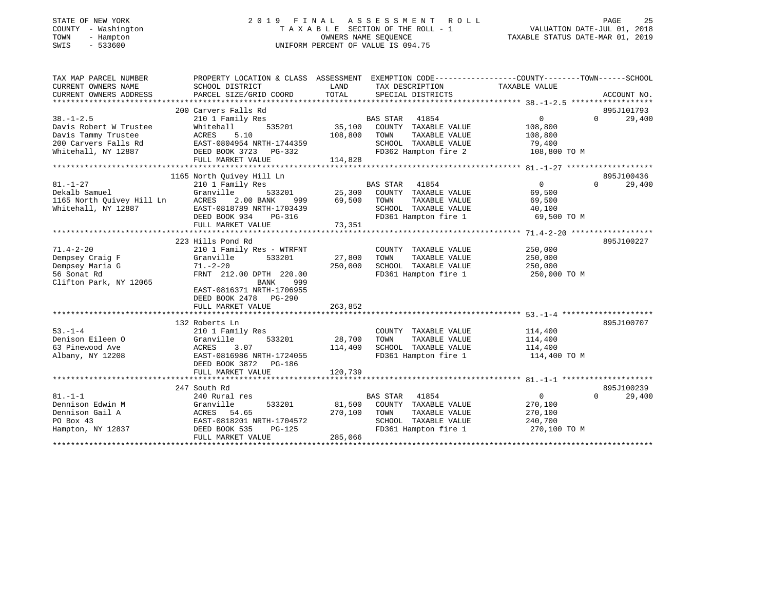| STATE OF NEW YORK<br>COUNTY - Washington<br>TOWN<br>- Hampton<br>$-533600$<br>SWIS |                                                                                                                          |         | 2019 FINAL ASSESSMENT ROLL<br>T A X A B L E SECTION OF THE ROLL - 1 VALUATION DATE-JUL 01, 2018<br>OWNERS NAME SEQUENCE TAXABLE STATUS DATE-MAR 01, 2019<br>UNIFORM PERCENT OF VALUE IS 094.75 |                   | PAGE                   | 25     |
|------------------------------------------------------------------------------------|--------------------------------------------------------------------------------------------------------------------------|---------|------------------------------------------------------------------------------------------------------------------------------------------------------------------------------------------------|-------------------|------------------------|--------|
|                                                                                    | TAX MAP PARCEL NUMBER THE PROPERTY LOCATION & CLASS ASSESSMENT EXEMPTION CODE--------------COUNTY-------TOWN------SCHOOL |         |                                                                                                                                                                                                |                   |                        |        |
| CURRENT OWNERS NAME                                                                | SCHOOL DISTRICT                                                                                                          | LAND    | TAX DESCRIPTION TAXABLE VALUE                                                                                                                                                                  |                   |                        |        |
|                                                                                    | CURRENT OWNERS ADDRESS PARCEL SIZE/GRID COORD                                                                            | TOTAL   | SPECIAL DISTRICTS                                                                                                                                                                              |                   | ACCOUNT NO.            |        |
|                                                                                    | 200 Carvers Falls Rd                                                                                                     |         |                                                                                                                                                                                                |                   | 895J101793             |        |
| $38. - 1 - 2.5$                                                                    | 210 1 Family Res                                                                                                         |         | BAS STAR 41854                                                                                                                                                                                 | $0 \qquad \qquad$ | $\Omega$               | 29,400 |
|                                                                                    | Davis Robert W Trustee Mhitehall 535201 35,100                                                                           |         | COUNTY TAXABLE VALUE                                                                                                                                                                           | 108,800           |                        |        |
| Davis Tammy Trustee                                                                | ACRES 5.10                                                                                                               | 108,800 | TOWN<br>TAXABLE VALUE 108,800                                                                                                                                                                  |                   |                        |        |
|                                                                                    | 200 Carvers Falls Rd EAST-0804954 NRTH-1744359                                                                           |         | SCHOOL TAXABLE VALUE 79,400                                                                                                                                                                    |                   |                        |        |
|                                                                                    | Whitehall, NY 12887 DEED BOOK 3723 PG-332                                                                                |         | FD362 Hampton fire 2 108,800 TO M                                                                                                                                                              |                   |                        |        |
|                                                                                    | FULL MARKET VALUE                                                                                                        | 114,828 |                                                                                                                                                                                                |                   |                        |        |
|                                                                                    |                                                                                                                          |         |                                                                                                                                                                                                |                   |                        |        |
| $81. - 1 - 27$                                                                     | 1165 North Quivey Hill Ln<br>210 1 Family Res                                                                            |         | BAS STAR 41854                                                                                                                                                                                 | $\sim$ 0          | 895J100436<br>$\Omega$ | 29,400 |
| Dekalb Samuel                                                                      | Granville                                                                                                                |         | 533201 25,300 COUNTY TAXABLE VALUE 69,500                                                                                                                                                      |                   |                        |        |
|                                                                                    |                                                                                                                          |         | TAXABLE VALUE 69,500<br>TOWN                                                                                                                                                                   |                   |                        |        |
|                                                                                    | 1165 North Quivey Hill Ln RCRES 2.00 BANK 999 69,500<br>Whitehall, NY 12887 BAST-0818789 NRTH-1703439 69,500             |         | SCHOOL TAXABLE VALUE 40,100                                                                                                                                                                    |                   |                        |        |
|                                                                                    | DEED BOOK 934<br>PG-316                                                                                                  |         | FD361 Hampton fire 1                                                                                                                                                                           | 69,500 TO M       |                        |        |
|                                                                                    | FULL MARKET VALUE                                                                                                        | 73,351  |                                                                                                                                                                                                |                   |                        |        |
|                                                                                    |                                                                                                                          |         |                                                                                                                                                                                                |                   |                        |        |
|                                                                                    | 223 Hills Pond Rd                                                                                                        |         |                                                                                                                                                                                                |                   | 895J100227             |        |
| $71.4 - 2 - 20$                                                                    | 210 1 Family Res - WTRFNT                                                                                                |         | COUNTY TAXABLE VALUE                                                                                                                                                                           | 250,000           |                        |        |
| Dempsey Craig F                                                                    | Granville 533201                                                                                                         | 27,800  | TOWN<br>TAXABLE VALUE                                                                                                                                                                          | 250,000           |                        |        |
| Dempsey Maria G<br>56 Sonat Rd                                                     | $71 - 2 - 20$<br>FRNT 212.00 DPTH 220.00                                                                                 | 250,000 | SCHOOL TAXABLE VALUE<br>FD361 Hampton fire 1 250,000 TO M                                                                                                                                      | 250,000           |                        |        |
| Clifton Park, NY 12065                                                             | BANK<br>999                                                                                                              |         |                                                                                                                                                                                                |                   |                        |        |
|                                                                                    | EAST-0816371 NRTH-1706955                                                                                                |         |                                                                                                                                                                                                |                   |                        |        |
|                                                                                    | DEED BOOK 2478 PG-290                                                                                                    |         |                                                                                                                                                                                                |                   |                        |        |
|                                                                                    | FULL MARKET VALUE                                                                                                        | 263,852 |                                                                                                                                                                                                |                   |                        |        |
|                                                                                    |                                                                                                                          |         |                                                                                                                                                                                                |                   |                        |        |

|                   | 132 Roberts Ln            |                                    | 895J100707         |
|-------------------|---------------------------|------------------------------------|--------------------|
| $53. - 1 - 4$     | 210 1 Family Res          | TAXABLE VALUE<br>COUNTY            | 114,400            |
| Denison Eileen O  | Granville<br>533201       | 28,700<br>TAXABLE VALUE<br>TOWN    | 114,400            |
| 63 Pinewood Ave   | 3.07<br>ACRES             | 114,400<br>SCHOOL<br>TAXABLE VALUE | 114,400            |
| Albany, NY 12208  | EAST-0816986 NRTH-1724055 | FD361 Hampton fire 1               | 114,400 TO M       |
|                   | DEED BOOK 3872 PG-186     |                                    |                    |
|                   | FULL MARKET VALUE         | 120,739                            |                    |
|                   |                           |                                    |                    |
|                   | 247 South Rd              |                                    | 895J100239         |
| $81 - 1 - 1$      | 240 Rural res             | 41854<br>BAS STAR                  | 29,400<br>$\Omega$ |
| Dennison Edwin M  | 533201<br>Granville       | 81,500<br>COUNTY<br>TAXABLE VALUE  | 270,100            |
| Dennison Gail A   | ACRES 54.65               | 270,100<br>TAXABLE VALUE<br>TOWN   | 270,100            |
| PO Box 43         | EAST-0818201 NRTH-1704572 | SCHOOL<br>TAXABLE VALUE            | 240,700            |
| Hampton, NY 12837 | DEED BOOK 535<br>PG-125   | FD361 Hampton fire 1               | 270,100 TO M       |
|                   | FULL MARKET VALUE         | 285,066                            |                    |
|                   |                           |                                    |                    |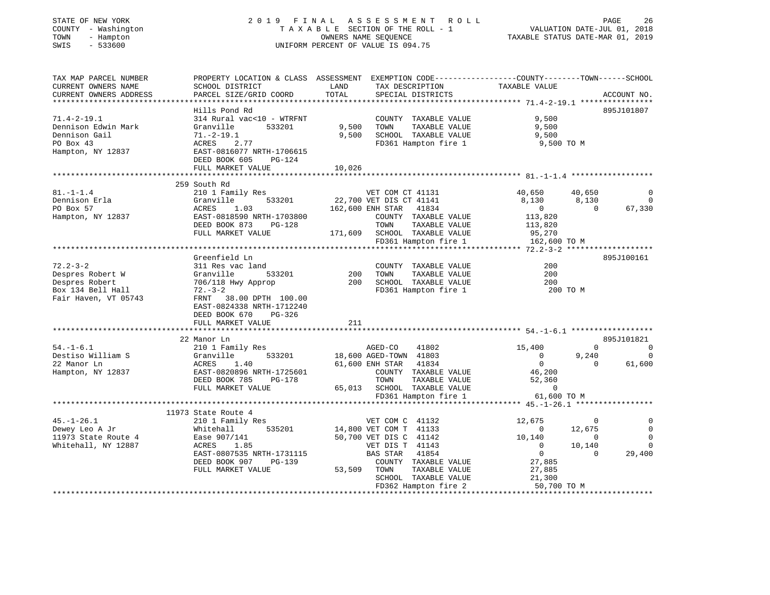| STATE OF NEW YORK<br>COUNTY - Washington<br>TOWN<br>- Hampton<br>$-533600$<br>SWIS                |                                                                                                                                                                              |                 | 2019 FINAL ASSESSMENT ROLL<br>TAXABLE SECTION OF THE ROLL - 1<br>OWNERS NAME SEQUENCE<br>UNIFORM PERCENT OF VALUE IS 094.75                                                              | VALUATION DATE-JUL 01, 2018<br>TAXABLE STATUS DATE-MAR 01, 2019                                                |                                                        | PAGE<br>26                                                   |
|---------------------------------------------------------------------------------------------------|------------------------------------------------------------------------------------------------------------------------------------------------------------------------------|-----------------|------------------------------------------------------------------------------------------------------------------------------------------------------------------------------------------|----------------------------------------------------------------------------------------------------------------|--------------------------------------------------------|--------------------------------------------------------------|
| TAX MAP PARCEL NUMBER<br>CURRENT OWNERS NAME<br>CURRENT OWNERS ADDRESS                            | PROPERTY LOCATION & CLASS ASSESSMENT EXEMPTION CODE---------------COUNTY-------TOWN-----SCHOOL<br>SCHOOL DISTRICT<br>PARCEL SIZE/GRID COORD                                  | LAND<br>TOTAL   | TAX DESCRIPTION<br>SPECIAL DISTRICTS                                                                                                                                                     | TAXABLE VALUE                                                                                                  |                                                        | ACCOUNT NO.                                                  |
| $71.4 - 2 - 19.1$<br>Dennison Edwin Mark<br>Dennison Gail<br>PO Box 43                            | Hills Pond Rd<br>314 Rural vac<10 - WTRFNT<br>Granville<br>533201<br>$71.-2-19.1$<br>ACRES<br>2.77                                                                           | 9,500<br>9,500  | COUNTY TAXABLE VALUE<br>TOWN<br>TAXABLE VALUE<br>SCHOOL TAXABLE VALUE<br>FD361 Hampton fire 1                                                                                            | 9,500<br>9,500<br>9,500<br>9,500 TO M                                                                          |                                                        | 895J101807                                                   |
| Hampton, NY 12837                                                                                 | EAST-0816077 NRTH-1706615<br>DEED BOOK 605<br>PG-124<br>FULL MARKET VALUE                                                                                                    | 10,026          |                                                                                                                                                                                          |                                                                                                                |                                                        |                                                              |
|                                                                                                   | 259 South Rd                                                                                                                                                                 |                 |                                                                                                                                                                                          |                                                                                                                |                                                        |                                                              |
| $81. - 1 - 1.4$<br>Dennison Erla<br>PO Box 57<br>Hampton, NY 12837                                | 210 1 Family Res<br>Granville 533201<br>ACRES<br>1.03<br>EAST-0818590 NRTH-1703800<br>DEED BOOK 873 PG-128                                                                   |                 | VET COM CT 41131<br>22,700 VET DIS CT 41141<br>162,600 ENH STAR 41834<br>COUNTY TAXABLE VALUE<br>TOWN<br>TAXABLE VALUE                                                                   | 40,650<br>8,130<br>$\overline{0}$<br>113,820<br>113,820                                                        | 40,650<br>8,130<br>$\Omega$                            | 0<br>$\overline{0}$<br>67,330                                |
|                                                                                                   | FULL MARKET VALUE                                                                                                                                                            |                 | 171,609 SCHOOL TAXABLE VALUE<br>FD361 Hampton fire 1                                                                                                                                     | 95,270<br>162,600 TO M                                                                                         |                                                        |                                                              |
|                                                                                                   | Greenfield Ln                                                                                                                                                                |                 |                                                                                                                                                                                          |                                                                                                                |                                                        | 895J100161                                                   |
| $72.2 - 3 - 2$<br>Despres Robert W<br>Despres Robert<br>Box 134 Bell Hall<br>Fair Haven, VT 05743 | 311 Res vac land<br>Granville<br>533201<br>706/118 Hwy Approp<br>$72 - 3 - 2$<br>FRNT 38.00 DPTH 100.00<br>EAST-0824338 NRTH-1712240<br>DEED BOOK 670<br>PG-326              | 200             | COUNTY TAXABLE VALUE<br>TAXABLE VALUE<br>TOWN<br>200 SCHOOL TAXABLE VALUE<br>FD361 Hampton fire 1                                                                                        | 200<br>200<br>200<br>200 TO M                                                                                  |                                                        |                                                              |
|                                                                                                   | FULL MARKET VALUE                                                                                                                                                            | 211<br>$******$ |                                                                                                                                                                                          |                                                                                                                |                                                        |                                                              |
|                                                                                                   | 22 Manor Ln                                                                                                                                                                  |                 |                                                                                                                                                                                          | **************************** 54. -1-6.1 *******************                                                    |                                                        | 895J101821                                                   |
| $54. - 1 - 6.1$<br>Destiso William S<br>22 Manor Ln<br>Hampton, NY 12837                          | 210 1 Family Res<br>533201<br>Granville<br>ACRES<br>1.40<br>EAST-0820896 NRTH-1725601<br>DEED BOOK 785<br>PG-178<br>FULL MARKET VALUE                                        |                 | AGED-CO<br>41802<br>18,600 AGED-TOWN 41803<br>61,600 ENH STAR 41834<br>COUNTY TAXABLE VALUE<br>TOWN<br>TAXABLE VALUE<br>65,013 SCHOOL TAXABLE VALUE                                      | 15,400<br>$\overline{0}$<br>$\overline{0}$<br>46,200<br>52,360<br>$\mathbf 0$                                  | $\circ$<br>9,240<br>$\overline{0}$                     | $\overline{0}$<br>$\mathbf 0$<br>61,600                      |
|                                                                                                   |                                                                                                                                                                              |                 | FD361 Hampton fire 1                                                                                                                                                                     | 61,600 TO M                                                                                                    |                                                        |                                                              |
|                                                                                                   |                                                                                                                                                                              |                 |                                                                                                                                                                                          |                                                                                                                |                                                        |                                                              |
| $45. - 1 - 26.1$<br>Dewey Leo A Jr<br>11973 State Route 4<br>Whitehall, NY 12887                  | 11973 State Route 4<br>210 1 Family Res<br>535201<br>Whitehall<br>Ease 907/141<br>ACRES<br>1.85<br>EAST-0807535 NRTH-1731115<br>DEED BOOK 907<br>PG-139<br>FULL MARKET VALUE |                 | VET COM C 41132<br>14,800 VET COM T 41133<br>50,700 VET DIS C 41142<br>VET DIS T 41143<br>BAS STAR 41854<br>COUNTY TAXABLE VALUE<br>TAXABLE VALUE<br>53,509 TOWN<br>SCHOOL TAXABLE VALUE | 12,675<br>$\overline{0}$<br>10,140<br>$\overline{\phantom{0}}$<br>$\overline{0}$<br>27,885<br>27,885<br>21,300 | 0<br>12,675<br>$\overline{0}$<br>10,140<br>$\mathbf 0$ | $\Omega$<br>$\mathbf 0$<br>$\mathbf 0$<br>$\Omega$<br>29,400 |
|                                                                                                   |                                                                                                                                                                              |                 | FD362 Hampton fire 2                                                                                                                                                                     | 50,700 TO M                                                                                                    |                                                        |                                                              |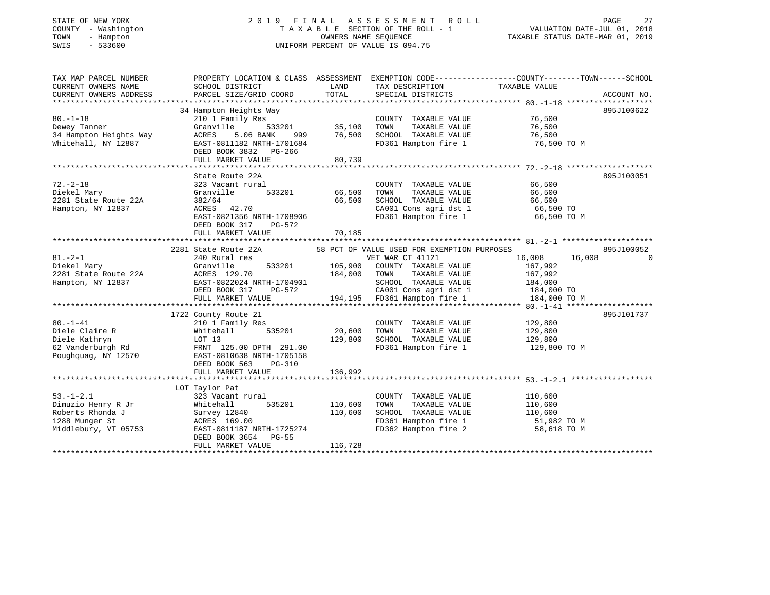### STATE OF NEW YORK 2 0 1 9 F I N A L A S S E S S M E N T R O L L PAGE 27 COUNTY - Washington T A X A B L E SECTION OF THE ROLL - 1 VALUATION DATE-JUL 01, 2018 TOWN - Hampton OWNERS NAME SEQUENCE TAXABLE STATUS DATE-MAR 01, 2019 SWIS - 533600 UNIFORM PERCENT OF VALUE IS 094.75

| TAX MAP PARCEL NUMBER              | PROPERTY LOCATION & CLASS ASSESSMENT EXEMPTION CODE---------------COUNTY-------TOWN-----SCHOOL                                                                                                     |               |                                                                                              |                                              |            |
|------------------------------------|----------------------------------------------------------------------------------------------------------------------------------------------------------------------------------------------------|---------------|----------------------------------------------------------------------------------------------|----------------------------------------------|------------|
| CURRENT OWNERS NAME                | SCHOOL DISTRICT                                                                                                                                                                                    | LAND          | TAX DESCRIPTION TAXABLE VALUE                                                                |                                              |            |
|                                    |                                                                                                                                                                                                    |               |                                                                                              |                                              |            |
|                                    |                                                                                                                                                                                                    |               |                                                                                              |                                              |            |
|                                    | 34 Hampton Heights Way                                                                                                                                                                             |               |                                                                                              |                                              | 895J100622 |
| $80. - 1 - 18$                     |                                                                                                                                                                                                    |               | COUNTY TAXABLE VALUE 76,500                                                                  |                                              |            |
| Dewey Tanner                       |                                                                                                                                                                                                    |               |                                                                                              |                                              |            |
| 34 Hampton Heights Way             |                                                                                                                                                                                                    |               |                                                                                              |                                              |            |
| Whitehall, NY 12887                | 34 Hampton Helgnts way<br>210 1 Family Res<br>Granville 533201 35,100<br>ACRES 5.06 BANK 999 76,500<br>EAST-0811182 NRTH-1701684                                                                   |               | TOWN TAXABLE VALUE 76,500<br>SCHOOL TAXABLE VALUE 76,500<br>FD361 Hampton fire 1 76,500 TO M |                                              |            |
|                                    | DEED BOOK 3832 PG-266                                                                                                                                                                              |               |                                                                                              |                                              |            |
|                                    | FULL MARKET VALUE                                                                                                                                                                                  | 80,739        |                                                                                              |                                              |            |
|                                    |                                                                                                                                                                                                    |               |                                                                                              |                                              |            |
|                                    | State Route 22A                                                                                                                                                                                    |               |                                                                                              |                                              | 895J100051 |
| $72. - 2 - 18$                     | 323 Vacant rural                                                                                                                                                                                   |               | COUNTY TAXABLE VALUE 66,500                                                                  |                                              |            |
| Diekel Mary                        | Granville                                                                                                                                                                                          | 533201 66,500 | TOWN                                                                                         |                                              |            |
| 2281 State Route 22A               | 382/64                                                                                                                                                                                             | 66,500        | SCHOOL TAXABLE VALUE                                                                         | TAXABLE VALUE 66,500<br>TAXABLE VALUE 66,500 |            |
| Hampton, NY 12837                  |                                                                                                                                                                                                    |               | CA001 Cons agri dst 1 66,500 TO                                                              |                                              |            |
|                                    | ACRES 42.70<br>EAST-0821356 NRTH-1708906<br>EAST-0821.315 PS 550                                                                                                                                   |               | FD361 Hampton fire 1 66,500 TO M                                                             |                                              |            |
|                                    | DEED BOOK 317 PG-572                                                                                                                                                                               |               |                                                                                              |                                              |            |
|                                    |                                                                                                                                                                                                    |               |                                                                                              |                                              |            |
|                                    |                                                                                                                                                                                                    |               |                                                                                              |                                              |            |
|                                    | 2281 State Route 22A                                                                                                                                                                               |               | 58 PCT OF VALUE USED FOR EXEMPTION PURPOSES                                                  |                                              | 895J100052 |
| $81. - 2 - 1$                      | 240 Rural res                                                                                                                                                                                      |               |                                                                                              | 16,008 16,008                                |            |
| Diekel Mary                        | 240 Rural<br>Granville                                                                                                                                                                             |               | VET WAR CT 41121<br>533201 105,900 COUNTY TAXABLE VALUE                                      | 167,992                                      |            |
|                                    |                                                                                                                                                                                                    |               |                                                                                              |                                              |            |
|                                    | Diekel Mary 184,000 TOWN TAXABLE VALUE 107,992<br>2281 State Route 22A 202024 NRTH-1704901 SCHOOL TAXABLE VALUE 184,000<br>Hampton, NY 12837 BEED BOOK 317 PG-572 CA001 Cons agri dst 1 184,000 TO |               |                                                                                              |                                              |            |
|                                    |                                                                                                                                                                                                    |               |                                                                                              |                                              |            |
|                                    |                                                                                                                                                                                                    |               | 194,195 FD361 Hampton fire 1                                                                 |                                              |            |
|                                    | FULL MARKET VALUE                                                                                                                                                                                  |               |                                                                                              | 184,000 TO M                                 |            |
|                                    |                                                                                                                                                                                                    |               |                                                                                              |                                              |            |
|                                    | 1722 County Route 21<br>County Route 21<br>210 1 Family Res                                                                                                                                        |               |                                                                                              |                                              | 895J101737 |
| $80. - 1 - 41$                     |                                                                                                                                                                                                    |               | COUNTY TAXABLE VALUE 129,800                                                                 |                                              |            |
| Diele Claire R                     | Whitehall                                                                                                                                                                                          | 535201 20,600 | TOWN                                                                                         | TAXABLE VALUE 129,800                        |            |
| Diele Kathryn<br>62 Vanderburgh Rd | LOT 13<br>FRNT 125.00 DPTH 291.00<br>129,800                                                                                                                                                       |               | SCHOOL TAXABLE VALUE 129,800                                                                 |                                              |            |
|                                    |                                                                                                                                                                                                    |               | FD361 Hampton fire 1                                                                         | 129,800 TO M                                 |            |
|                                    | Poughquag, NY 12570 EAST-0810638 NRTH-1705158                                                                                                                                                      |               |                                                                                              |                                              |            |
|                                    | DEED BOOK 563 PG-310                                                                                                                                                                               |               |                                                                                              |                                              |            |
|                                    | FULL MARKET VALUE                                                                                                                                                                                  | 136,992       |                                                                                              |                                              |            |
|                                    |                                                                                                                                                                                                    |               |                                                                                              |                                              |            |
|                                    | LOT Taylor Pat                                                                                                                                                                                     |               |                                                                                              |                                              |            |
| $53. - 1 - 2.1$                    | 323 Vacant rural                                                                                                                                                                                   |               | COUNTY TAXABLE VALUE                                                                         | 110,600                                      |            |
| Dimuzio Henry R Jr                 |                                                                                                                                                                                                    |               | TAXABLE VALUE<br>TOWN                                                                        | 110,600                                      |            |
| Roberts Rhonda J                   |                                                                                                                                                                                                    |               | SCHOOL TAXABLE VALUE 110,600                                                                 |                                              |            |
| 1288 Munger St                     |                                                                                                                                                                                                    |               | FD361 Hampton fire 1 51,982 TO M<br>FD362 Hampton fire 2 58,618 TO M                         |                                              |            |
| Middlebury, VT 05753               |                                                                                                                                                                                                    |               |                                                                                              |                                              |            |
|                                    | DEED BOOK 3654 PG-55                                                                                                                                                                               |               |                                                                                              |                                              |            |
|                                    | FULL MARKET VALUE                                                                                                                                                                                  | 116,728       |                                                                                              |                                              |            |
|                                    |                                                                                                                                                                                                    |               |                                                                                              |                                              |            |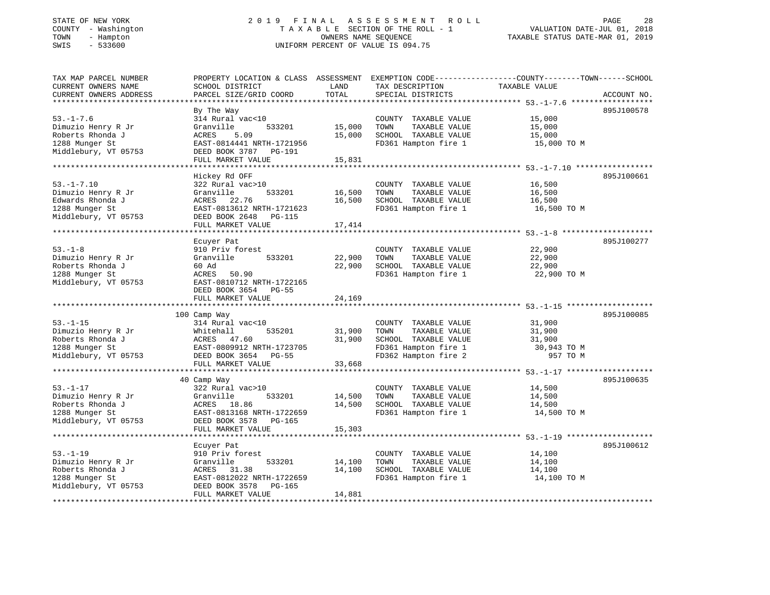#### STATE OF NEW YORK 2 0 1 9 F I N A L A S S E S S M E N T R O L L PAGE 28 COUNTY - Washington T A X A B L E SECTION OF THE ROLL - 1 VALUATION DATE-JUL 01, 2018 TOWN - Hampton OWNERS NAME SEQUENCE TAXABLE STATUS DATE-MAR 01, 2019 SWIS - 533600 UNIFORM PERCENT OF VALUE IS 094.75UNIFORM PERCENT OF VALUE IS 094.75

| TAX MAP PARCEL NUMBER  | PROPERTY LOCATION & CLASS ASSESSMENT EXEMPTION CODE---------------COUNTY-------TOWN-----SCHOOL |        |                       |               |             |
|------------------------|------------------------------------------------------------------------------------------------|--------|-----------------------|---------------|-------------|
| CURRENT OWNERS NAME    | SCHOOL DISTRICT                                                                                | LAND   | TAX DESCRIPTION       | TAXABLE VALUE |             |
| CURRENT OWNERS ADDRESS | PARCEL SIZE/GRID COORD                                                                         | TOTAL  | SPECIAL DISTRICTS     |               | ACCOUNT NO. |
|                        |                                                                                                |        |                       |               |             |
|                        | By The Way                                                                                     |        |                       |               | 895J100578  |
| $53. - 1 - 7.6$        | 314 Rural vac<10                                                                               |        | COUNTY TAXABLE VALUE  | 15,000        |             |
| Dimuzio Henry R Jr     | Granville<br>533201                                                                            | 15,000 | TAXABLE VALUE<br>TOWN | 15,000        |             |
| Roberts Rhonda J       | 5.09<br>ACRES                                                                                  | 15,000 | SCHOOL TAXABLE VALUE  | 15,000        |             |
| 1288 Munger St         | EAST-0814441 NRTH-1721956                                                                      |        | FD361 Hampton fire 1  | 15,000 TO M   |             |
| Middlebury, VT 05753   | DEED BOOK 3787 PG-191                                                                          |        |                       |               |             |
|                        | FULL MARKET VALUE                                                                              | 15,831 |                       |               |             |
|                        |                                                                                                |        |                       |               |             |
|                        |                                                                                                |        |                       |               |             |
|                        | Hickey Rd OFF                                                                                  |        |                       |               | 895J100661  |
| $53. -1 - 7.10$        | 322 Rural vac>10                                                                               |        | COUNTY TAXABLE VALUE  | 16,500        |             |
| Dimuzio Henry R Jr     | 533201<br>Granville                                                                            | 16,500 | TAXABLE VALUE<br>TOWN | 16,500        |             |
| Edwards Rhonda J       | ACRES 22.76                                                                                    | 16,500 | SCHOOL TAXABLE VALUE  | 16,500        |             |
| 1288 Munger St         | EAST-0813612 NRTH-1721623                                                                      |        | FD361 Hampton fire 1  | 16,500 TO M   |             |
| Middlebury, VT 05753   | DEED BOOK 2648 PG-115                                                                          |        |                       |               |             |
|                        | FULL MARKET VALUE                                                                              | 17,414 |                       |               |             |
|                        |                                                                                                |        |                       |               |             |
|                        | Ecuyer Pat                                                                                     |        |                       |               | 895J100277  |
| $53. - 1 - 8$          | 910 Priv forest                                                                                |        | COUNTY TAXABLE VALUE  | 22,900        |             |
| Dimuzio Henry R Jr     | Granville<br>533201                                                                            | 22,900 | TOWN<br>TAXABLE VALUE | 22,900        |             |
| Roberts Rhonda J       | 60 Ad                                                                                          | 22,900 | SCHOOL TAXABLE VALUE  | 22,900        |             |
| 1288 Munger St         | ACRES<br>50.90                                                                                 |        | FD361 Hampton fire 1  | 22,900 TO M   |             |
| Middlebury, VT 05753   | EAST-0810712 NRTH-1722165                                                                      |        |                       |               |             |
|                        | DEED BOOK 3654 PG-55                                                                           |        |                       |               |             |
|                        | FULL MARKET VALUE                                                                              | 24,169 |                       |               |             |
|                        |                                                                                                |        |                       |               |             |
|                        | 100 Camp Way                                                                                   |        |                       |               | 895J100085  |
| $53. - 1 - 15$         |                                                                                                |        |                       |               |             |
|                        | 314 Rural vac<10                                                                               |        | COUNTY TAXABLE VALUE  | 31,900        |             |
| Dimuzio Henry R Jr     | Whitehall<br>535201                                                                            | 31,900 | TAXABLE VALUE<br>TOWN | 31,900        |             |
| Roberts Rhonda J       | ACRES 47.60                                                                                    | 31,900 | SCHOOL TAXABLE VALUE  | 31,900        |             |
| 1288 Munger St         | EAST-0809912 NRTH-1723705                                                                      |        | FD361 Hampton fire 1  | 30,943 TO M   |             |
| Middlebury, VT 05753   | DEED BOOK 3654 PG-55                                                                           |        | FD362 Hampton fire 2  | 957 TO M      |             |
|                        | FULL MARKET VALUE                                                                              | 33,668 |                       |               |             |
|                        |                                                                                                |        |                       |               |             |
|                        | 40 Camp Way                                                                                    |        |                       |               | 895J100635  |
| $53. - 1 - 17$         | 322 Rural vac>10                                                                               |        | COUNTY TAXABLE VALUE  | 14,500        |             |
| Dimuzio Henry R Jr     | 533201<br>Granville                                                                            | 14,500 | TOWN<br>TAXABLE VALUE | 14,500        |             |
| Roberts Rhonda J       | ACRES 18.86                                                                                    | 14,500 | SCHOOL TAXABLE VALUE  | 14,500        |             |
| 1288 Munger St         | EAST-0813168 NRTH-1722659                                                                      |        | FD361 Hampton fire 1  | 14,500 TO M   |             |
| Middlebury, VT 05753   | DEED BOOK 3578 PG-165                                                                          |        |                       |               |             |
|                        | FULL MARKET VALUE                                                                              | 15,303 |                       |               |             |
|                        |                                                                                                |        |                       |               |             |
|                        | Ecuyer Pat                                                                                     |        |                       |               | 895J100612  |
|                        |                                                                                                |        |                       |               |             |
| $53. - 1 - 19$         | 910 Priv forest                                                                                |        | COUNTY TAXABLE VALUE  | 14,100        |             |
| Dimuzio Henry R Jr     | 533201<br>Granville                                                                            | 14,100 | TAXABLE VALUE<br>TOWN | 14,100        |             |
| Roberts Rhonda J       | ACRES 31.38                                                                                    | 14,100 | SCHOOL TAXABLE VALUE  | 14,100        |             |
| 1288 Munger St         | EAST-0812022 NRTH-1722659                                                                      |        | FD361 Hampton fire 1  | 14,100 TO M   |             |
| Middlebury, VT 05753   | DEED BOOK 3578<br>PG-165                                                                       |        |                       |               |             |
|                        | FULL MARKET VALUE                                                                              | 14,881 |                       |               |             |
|                        |                                                                                                |        |                       |               |             |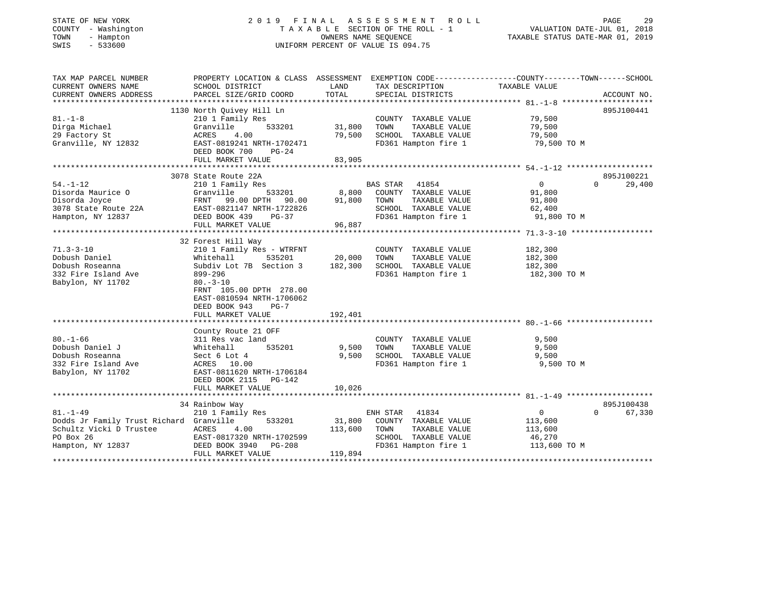| STATE OF NEW YORK<br>COUNTY - Washington<br>TOWN<br>- Hampton<br>SWIS<br>$-533600$ | 2019                                                                                                              | FINAL   | A S S E S S M E N T<br>R O L L<br>TAXABLE SECTION OF THE ROLL - 1<br>OWNERS NAME SEQUENCE<br>UNIFORM PERCENT OF VALUE IS 094.75 | VALUATION DATE-JUL 01, 2018<br>TAXABLE STATUS DATE-MAR 01, 2019 | PAGE<br>29         |
|------------------------------------------------------------------------------------|-------------------------------------------------------------------------------------------------------------------|---------|---------------------------------------------------------------------------------------------------------------------------------|-----------------------------------------------------------------|--------------------|
| TAX MAP PARCEL NUMBER<br>CURRENT OWNERS NAME                                       | PROPERTY LOCATION & CLASS ASSESSMENT EXEMPTION CODE---------------COUNTY-------TOWN-----SCHOOL<br>SCHOOL DISTRICT | LAND    | TAX DESCRIPTION                                                                                                                 | TAXABLE VALUE                                                   |                    |
| CURRENT OWNERS ADDRESS                                                             | PARCEL SIZE/GRID COORD                                                                                            | TOTAL   | SPECIAL DISTRICTS                                                                                                               |                                                                 | ACCOUNT NO.        |
|                                                                                    |                                                                                                                   |         |                                                                                                                                 |                                                                 |                    |
|                                                                                    | 1130 North Quivey Hill Ln                                                                                         |         |                                                                                                                                 |                                                                 | 895J100441         |
| $81. - 1 - 8$                                                                      | 210 1 Family Res                                                                                                  |         | COUNTY TAXABLE VALUE                                                                                                            | 79,500                                                          |                    |
| Dirga Michael                                                                      | Granville<br>533201                                                                                               | 31,800  | TOWN<br>TAXABLE VALUE                                                                                                           | 79,500                                                          |                    |
| 29 Factory St                                                                      | ACRES<br>4.00                                                                                                     | 79,500  | SCHOOL TAXABLE VALUE                                                                                                            | 79,500                                                          |                    |
| Granville, NY 12832                                                                | EAST-0819241 NRTH-1702471<br>DEED BOOK 700<br>$PG-24$<br>FULL MARKET VALUE                                        | 83,905  | FD361 Hampton fire 1                                                                                                            | 79,500 TO M                                                     |                    |
|                                                                                    |                                                                                                                   |         |                                                                                                                                 |                                                                 |                    |
|                                                                                    | 3078 State Route 22A                                                                                              |         |                                                                                                                                 |                                                                 | 895J100221         |
| $54. - 1 - 12$                                                                     | 210 1 Family Res                                                                                                  |         | BAS STAR<br>41854                                                                                                               | $\overline{0}$                                                  | $\Omega$<br>29,400 |
| Disorda Maurice O                                                                  | Granville<br>533201                                                                                               | 8,800   | COUNTY TAXABLE VALUE                                                                                                            | 91,800                                                          |                    |
| Disorda Joyce                                                                      | 99.00 DPTH<br>FRNT<br>90.00                                                                                       | 91,800  | TOWN<br>TAXABLE VALUE                                                                                                           | 91,800                                                          |                    |
| 3078 State Route 22A                                                               | EAST-0821147 NRTH-1722826                                                                                         |         | SCHOOL TAXABLE VALUE                                                                                                            | 62,400                                                          |                    |
| Hampton, NY 12837                                                                  | DEED BOOK 439<br>$PG-37$                                                                                          |         | FD361 Hampton fire 1                                                                                                            | 91,800 TO M                                                     |                    |
|                                                                                    | FULL MARKET VALUE                                                                                                 | 96,887  |                                                                                                                                 |                                                                 |                    |
|                                                                                    |                                                                                                                   |         |                                                                                                                                 |                                                                 |                    |
|                                                                                    | 32 Forest Hill Way                                                                                                |         |                                                                                                                                 |                                                                 |                    |
| $71.3 - 3 - 10$                                                                    | 210 1 Family Res - WTRFNT                                                                                         |         | COUNTY TAXABLE VALUE                                                                                                            | 182,300                                                         |                    |
| Dobush Daniel                                                                      | Whitehall<br>535201                                                                                               | 20,000  | TOWN<br>TAXABLE VALUE                                                                                                           | 182,300                                                         |                    |
| Dobush Roseanna                                                                    | Subdiv Lot 7B Section 3                                                                                           | 182,300 | SCHOOL TAXABLE VALUE                                                                                                            | 182,300                                                         |                    |
| 332 Fire Island Ave                                                                | 899-296                                                                                                           |         | FD361 Hampton fire 1                                                                                                            | 182,300 TO M                                                    |                    |
| Babylon, NY 11702                                                                  | $80. - 3 - 10$<br>FRNT 105.00 DPTH 278.00<br>EAST-0810594 NRTH-1706062<br>DEED BOOK 943<br>$PG-7$                 |         |                                                                                                                                 |                                                                 |                    |
|                                                                                    | FULL MARKET VALUE                                                                                                 | 192,401 |                                                                                                                                 |                                                                 |                    |
|                                                                                    | * * * * * * * * * * * * * * * * * *                                                                               |         |                                                                                                                                 |                                                                 |                    |
|                                                                                    | County Route 21 OFF                                                                                               |         |                                                                                                                                 |                                                                 |                    |
| $80. - 1 - 66$                                                                     | 311 Res vac land                                                                                                  |         | COUNTY TAXABLE VALUE                                                                                                            | 9,500                                                           |                    |
| Dobush Daniel J                                                                    | Whitehall<br>535201                                                                                               | 9,500   | TOWN<br>TAXABLE VALUE                                                                                                           | 9,500                                                           |                    |
| Dobush Roseanna                                                                    | Sect 6 Lot 4                                                                                                      | 9,500   | SCHOOL TAXABLE VALUE                                                                                                            | 9,500                                                           |                    |
| 332 Fire Island Ave                                                                | ACRES 10.00<br>EAST-0811620 NRTH-1706184                                                                          |         | FD361 Hampton fire 1                                                                                                            | 9,500 TO M                                                      |                    |
| Babylon, NY 11702                                                                  | DEED BOOK 2115<br>$PG-142$                                                                                        |         |                                                                                                                                 |                                                                 |                    |
|                                                                                    | FULL MARKET VALUE                                                                                                 | 10,026  |                                                                                                                                 |                                                                 |                    |
|                                                                                    |                                                                                                                   |         |                                                                                                                                 |                                                                 |                    |
|                                                                                    | 34 Rainbow Way                                                                                                    |         |                                                                                                                                 |                                                                 | 895J100438         |
| $81. - 1 - 49$                                                                     | 210 1 Family Res                                                                                                  |         | ENH STAR<br>41834                                                                                                               | $\overline{0}$                                                  | 67,330<br>$\Omega$ |
| Dodds Jr Family Trust Richard Granville                                            | 533201                                                                                                            | 31,800  | COUNTY TAXABLE VALUE                                                                                                            | 113,600                                                         |                    |
| Schultz Vicki D Trustee                                                            | ACRES<br>4.00                                                                                                     | 113,600 | TOWN<br>TAXABLE VALUE                                                                                                           | 113,600                                                         |                    |
| PO Box 26                                                                          | EAST-0817320 NRTH-1702599                                                                                         |         | SCHOOL TAXABLE VALUE                                                                                                            | 46,270                                                          |                    |
| Hampton, NY 12837                                                                  | DEED BOOK 3940<br>PG-208                                                                                          |         | FD361 Hampton fire 1                                                                                                            | 113,600 TO M                                                    |                    |
|                                                                                    | FULL MARKET VALUE                                                                                                 | 119,894 |                                                                                                                                 |                                                                 |                    |
|                                                                                    |                                                                                                                   |         |                                                                                                                                 |                                                                 |                    |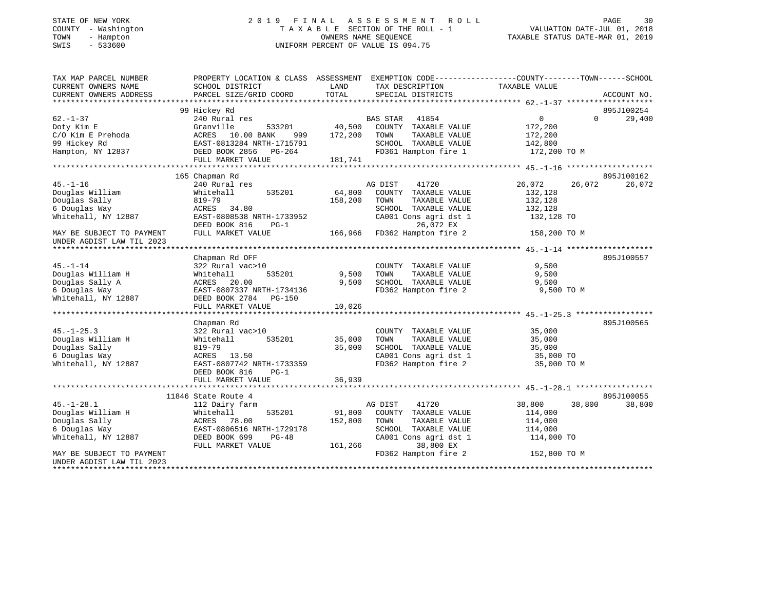#### STATE OF NEW YORK 2019 FINAL ASSESSMENT ROLL PAGE 30 COUNTY - Washington T A X A B L E SECTION OF THE ROLL - 1<br>TOWN - Hampton DWNERS NAME SEQUENCE TOWN - Hampton OWNERS NAME SEQUENCE TAXABLE STATUS DATE-MAR 01, 2019 SWIS - 533600 UNIFORM PERCENT OF VALUE IS 094.75

VALUATION DATE-JUL 01, 2018

| TAX MAP PARCEL NUMBER                  | PROPERTY LOCATION & CLASS ASSESSMENT EXEMPTION CODE---------------COUNTY-------TOWN------SCHOOL |             |                                           |                    |                   |             |
|----------------------------------------|-------------------------------------------------------------------------------------------------|-------------|-------------------------------------------|--------------------|-------------------|-------------|
| CURRENT OWNERS NAME                    | SCHOOL DISTRICT                                                                                 | LAND        | TAX DESCRIPTION                           | TAXABLE VALUE      |                   |             |
| CURRENT OWNERS ADDRESS                 | PARCEL SIZE/GRID COORD                                                                          | TOTAL       | SPECIAL DISTRICTS                         |                    |                   | ACCOUNT NO. |
|                                        |                                                                                                 |             |                                           |                    |                   |             |
|                                        | 99 Hickey Rd                                                                                    |             |                                           |                    |                   | 895J100254  |
| $62. - 1 - 37$                         | 240 Rural res                                                                                   |             | BAS STAR 41854                            | $\overline{0}$     | $0 \qquad \qquad$ | 29,400      |
| Doty Kim E                             | Granville                                                                                       |             | 533201 40,500 COUNTY TAXABLE VALUE        | 172,200<br>172,200 |                   |             |
| C/O Kim E Prehoda                      | ACRES 10.00 BANK                                                                                | 999 172,200 | TOWN<br>TAXABLE VALUE                     |                    |                   |             |
|                                        | EAST-0813284 NRTH-1715791<br>DEED BOOK 2856 PG-264                                              |             | SCHOOL TAXABLE VALUE                      | 142,800            |                   |             |
| 99 Hickey Rd<br>Hampton, NY 12837      |                                                                                                 |             | FD361 Hampton fire 1                      | 172,200 TO M       |                   |             |
|                                        | FULL MARKET VALUE                                                                               | 181,741     |                                           |                    |                   |             |
|                                        |                                                                                                 |             |                                           |                    |                   |             |
|                                        | 165 Chapman Rd                                                                                  |             |                                           |                    |                   | 895J100162  |
| $45. -1 - 16$                          | 240 Rural res                                                                                   |             | AG DIST 41720                             | 26,072             | 26,072            | 26,072      |
| Douglas William                        | 535201<br>Whitehall                                                                             | 64,800      | COUNTY TAXABLE VALUE                      | 132,128            |                   |             |
| Douglas Sally                          | 819-79                                                                                          | 158,200     | TOWN<br>TAXABLE VALUE                     | 132,128            |                   |             |
| 6 Douglas Way                          | ACRES 34.80                                                                                     |             | SCHOOL TAXABLE VALUE                      | 132,128            |                   |             |
| Whitehall, NY 12887                    | EAST-0808538 NRTH-1733952                                                                       |             | CA001 Cons agri dst 1 132,128 TO          |                    |                   |             |
|                                        | DEED BOOK 816<br>$PG-1$                                                                         |             | 26,072 EX                                 |                    |                   |             |
| MAY BE SUBJECT TO PAYMENT              | FULL MARKET VALUE                                                                               |             | 166,966 FD362 Hampton fire 2 158,200 TO M |                    |                   |             |
| UNDER AGDIST LAW TIL 2023              |                                                                                                 |             |                                           |                    |                   |             |
|                                        |                                                                                                 |             |                                           |                    |                   |             |
|                                        | Chapman Rd OFF                                                                                  |             |                                           |                    |                   | 895J100557  |
| $45. - 1 - 14$                         | 322 Rural vac>10                                                                                |             | COUNTY TAXABLE VALUE                      | 9,500              |                   |             |
| Douglas William H                      | Whitehall<br>535201                                                                             | 9,500 TOWN  | TAXABLE VALUE                             | 9,500              |                   |             |
| Douglas Sally A                        | ACRES 20.00                                                                                     |             | 9,500 SCHOOL TAXABLE VALUE 9,500          |                    |                   |             |
| 6 Douglas Way                          | EAST-0807337 NRTH-1734136                                                                       |             | FD362 Hampton fire 2                      | 9,500 TO M         |                   |             |
| Whitehall, $\overline{NY}$ 12887       | DEED BOOK 2784 PG-150                                                                           |             |                                           |                    |                   |             |
|                                        | FULL MARKET VALUE                                                                               | 10,026      |                                           |                    |                   |             |
|                                        |                                                                                                 |             |                                           |                    |                   |             |
|                                        | Chapman Rd                                                                                      |             |                                           |                    |                   | 895J100565  |
| $45. - 1 - 25.3$                       | 322 Rural vac>10                                                                                |             | COUNTY TAXABLE VALUE                      | 35,000             |                   |             |
| Douglas William H                      | 535201<br>Whitehall                                                                             | 35,000      | TOWN<br>TAXABLE VALUE                     | 35,000             |                   |             |
| Douglas Sally                          | 819-79                                                                                          | 35,000      | SCHOOL TAXABLE VALUE                      | 35,000             |                   |             |
| 6 Douglas Way                          |                                                                                                 |             | CA001 Cons agri dst 1                     | 35,000 TO          |                   |             |
| Whitehall, NY 12887                    | ACRES 13.50<br>EAST-0807742 NRTH-1733359                                                        |             | FD362 Hampton fire 2                      | 35,000 TO M        |                   |             |
|                                        | DEED BOOK 816<br>$PG-1$                                                                         |             |                                           |                    |                   |             |
|                                        | FULL MARKET VALUE                                                                               | 36,939      |                                           |                    |                   |             |
|                                        |                                                                                                 |             |                                           |                    |                   |             |
|                                        | 11846 State Route 4                                                                             |             |                                           |                    |                   | 895J100055  |
| $45. - 1 - 28.1$                       | 112 Dairy farm                                                                                  |             | 41720<br>AG DIST                          | 38,800             | 38,800            | 38,800      |
|                                        | 535201                                                                                          |             | 91,800 COUNTY TAXABLE VALUE               | 114,000            |                   |             |
| <br>Douglas William H<br>Douglas Sally | Whitehall<br>ACRES 78.00<br>EAST-0806516 N<br>DEED BOOK 699                                     | 152,800     | TOWN<br>TAXABLE VALUE                     | 114,000            |                   |             |
|                                        | EAST-0806516 NRTH-1729178                                                                       |             | SCHOOL TAXABLE VALUE                      | 114,000            |                   |             |
| 6 Douglas Way<br>Whitehall, NY 12887   | $PG-48$                                                                                         |             | CA001 Cons agri dst 1                     | 114,000 TO         |                   |             |
|                                        | FULL MARKET VALUE                                                                               |             | 38,800 EX<br>161,266                      |                    |                   |             |
| MAY BE SUBJECT TO PAYMENT              |                                                                                                 |             | FD362 Hampton fire 2                      | 152,800 TO M       |                   |             |
| UNDER AGDIST LAW TIL 2023              |                                                                                                 |             |                                           |                    |                   |             |
|                                        |                                                                                                 |             |                                           |                    |                   |             |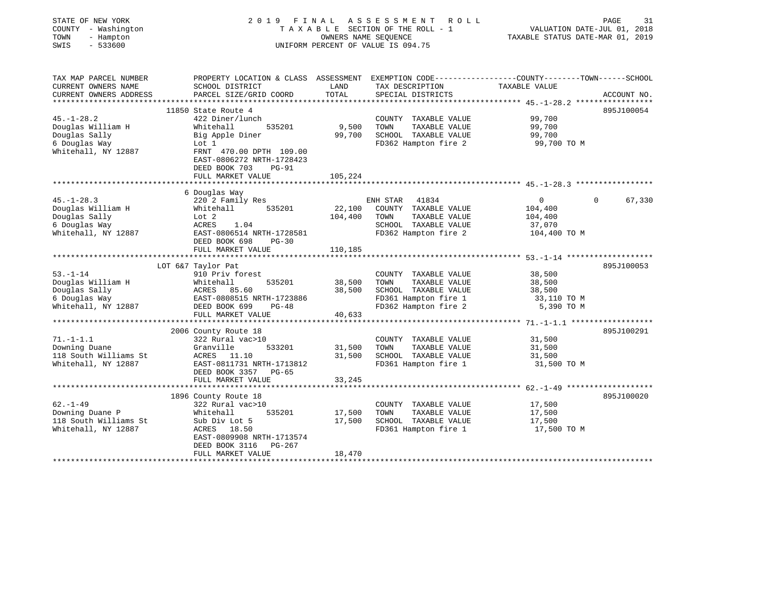| STATE OF NEW YORK<br>COUNTY - Washington<br>- Hampton<br>TOWN<br>$-533600$<br>SWIS             |                                                                                                                                                                             | OWNERS NAME SEQUENCE       | 2019 FINAL ASSESSMENT ROLL<br>TAXABLE SECTION OF THE ROLL - 1<br>UNIFORM PERCENT OF VALUE IS 094.75                          | PAGE<br>VALUATION DATE-JUL 01, 2018<br>TAXABLE STATUS DATE-MAR 01, 2019                                          | 31          |
|------------------------------------------------------------------------------------------------|-----------------------------------------------------------------------------------------------------------------------------------------------------------------------------|----------------------------|------------------------------------------------------------------------------------------------------------------------------|------------------------------------------------------------------------------------------------------------------|-------------|
| TAX MAP PARCEL NUMBER<br>CURRENT OWNERS NAME<br>CURRENT OWNERS ADDRESS                         | SCHOOL DISTRICT<br>PARCEL SIZE/GRID COORD                                                                                                                                   | LAND<br>TOTAL              | TAX DESCRIPTION<br>SPECIAL DISTRICTS                                                                                         | PROPERTY LOCATION & CLASS ASSESSMENT EXEMPTION CODE---------------COUNTY-------TOWN------SCHOOL<br>TAXABLE VALUE | ACCOUNT NO. |
| $45. - 1 - 28.2$<br>Douglas William H<br>Douglas Sally<br>6 Douglas Way<br>Whitehall, NY 12887 | 11850 State Route 4<br>422 Diner/lunch<br>Whitehall<br>535201<br>Big Apple Diner<br>Lot 1<br>FRNT 470.00 DPTH 109.00<br>EAST-0806272 NRTH-1728423<br>DEED BOOK 703<br>PG-91 | 9,500<br>99,700            | COUNTY TAXABLE VALUE<br>TAXABLE VALUE<br>TOWN<br>SCHOOL TAXABLE VALUE<br>FD362 Hampton fire 2                                | 99,700<br>99,700<br>99,700<br>99,700 TO M                                                                        | 895J100054  |
|                                                                                                | FULL MARKET VALUE                                                                                                                                                           | 105,224                    |                                                                                                                              |                                                                                                                  |             |
|                                                                                                | 6 Douglas Way                                                                                                                                                               |                            |                                                                                                                              |                                                                                                                  |             |
| $45. - 1 - 28.3$<br>Douglas William H<br>Douglas Sally<br>6 Douglas Way<br>Whitehall, NY 12887 | 220 2 Family Res<br>535201<br>Whitehall<br>Lot 2<br>ACRES<br>1.04<br>EAST-0806514 NRTH-1728581<br>DEED BOOK 698<br>$PG-30$                                                  | 22,100<br>104,400          | ENH STAR 41834<br>COUNTY TAXABLE VALUE<br>TAXABLE VALUE<br>TOWN<br>SCHOOL TAXABLE VALUE<br>FD362 Hampton fire 2 104,400 TO M | $\overline{0}$<br>$\Omega$ and $\Omega$<br>104,400<br>104,400<br>37,070                                          | 67,330      |
|                                                                                                | FULL MARKET VALUE                                                                                                                                                           | 110,185                    |                                                                                                                              |                                                                                                                  |             |
|                                                                                                | LOT 6&7 Taylor Pat                                                                                                                                                          |                            |                                                                                                                              |                                                                                                                  | 895J100053  |
| $53. - 1 - 14$<br>Douglas William H<br>Douglas Sally<br>6 Douglas Way<br>Whitehall, NY 12887   | 910 Priv forest<br>535201<br>Whitehall<br>ACRES 85.00<br>EAST-0808515 NRTH-1723886<br>---- 200 PG-48<br>DEED BOOK 699<br>$PG-48$<br>FULL MARKET VALUE                       | 38,500<br>38,500<br>40,633 | COUNTY TAXABLE VALUE<br>TAXABLE VALUE<br>TOWN<br>SCHOOL TAXABLE VALUE<br>FD361 Hampton fire 1<br>FD362 Hampton fire 2        | 38,500<br>38,500<br>38,500<br>33,110 TO M<br>5,390 TO M                                                          |             |
|                                                                                                |                                                                                                                                                                             |                            |                                                                                                                              |                                                                                                                  |             |
| $71. - 1 - 1.1$<br>Downing Duane<br>118 South Williams St<br>Whitehall, NY 12887               | 2006 County Route 18<br>322 Rural vac>10<br>Granville<br>533201<br>ACRES 11.10<br>EAST-0811731 NRTH-1713812<br>DEED BOOK 3357 PG-65<br>FULL MARKET VALUE                    | 31,500<br>31,500<br>33,245 | COUNTY TAXABLE VALUE<br>TAXABLE VALUE<br>TOWN<br>SCHOOL TAXABLE VALUE<br>FD361 Hampton fire 1                                | 31,500<br>31,500<br>31,500<br>31,500 TO M                                                                        | 895J100291  |
|                                                                                                |                                                                                                                                                                             |                            |                                                                                                                              |                                                                                                                  |             |
| $62. - 1 - 49$<br>Downing Duane P<br>118 South Williams St<br>Whitehall, NY 12887              | 1896 County Route 18<br>322 Rural vac>10<br>Whitehall<br>535201<br>Sub Div Lot 5<br>ACRES 18.50<br>EAST-0809908 NRTH-1713574<br>DEED BOOK 3116 PG-267<br>FULL MARKET VALUE  | 17,500<br>17,500<br>18,470 | COUNTY TAXABLE VALUE<br>TOWN<br>TAXABLE VALUE<br>SCHOOL TAXABLE VALUE<br>FD361 Hampton fire 1                                | 17,500<br>17,500<br>17,500<br>17,500 TO M                                                                        | 895J100020  |
|                                                                                                |                                                                                                                                                                             |                            |                                                                                                                              |                                                                                                                  |             |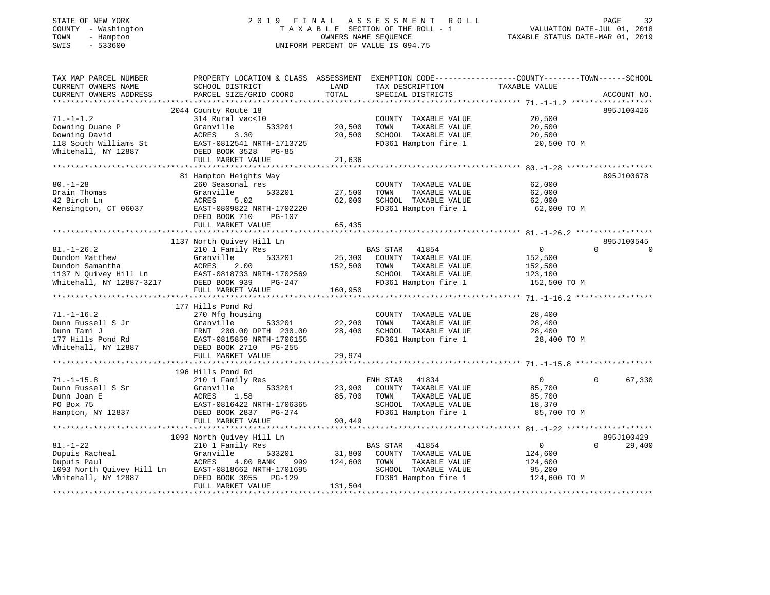#### STATE OF NEW YORK 2 0 1 9 F I N A L A S S E S S M E N T R O L L PAGE 32 COUNTY - Washington T A X A B L E SECTION OF THE ROLL - 1 VALUATION DATE-JUL 01, 2018 TOWN - Hampton OWNERS NAME SEQUENCE TAXABLE STATUS DATE-MAR 01, 2019 SWIS - 533600 UNIFORM PERCENT OF VALUE IS 094.75

| TAX MAP PARCEL NUMBER                   | PROPERTY LOCATION & CLASS ASSESSMENT EXEMPTION CODE---------------COUNTY-------TOWN------SCHOOL                                                                                                                             |                                   |                                                                     |                                              |                    |
|-----------------------------------------|-----------------------------------------------------------------------------------------------------------------------------------------------------------------------------------------------------------------------------|-----------------------------------|---------------------------------------------------------------------|----------------------------------------------|--------------------|
| CURRENT OWNERS NAME                     | SCHOOL DISTRICT                                                                                                                                                                                                             | LAND                              | TAX DESCRIPTION                                                     | TAXABLE VALUE                                |                    |
| CURRENT OWNERS ADDRESS                  | PARCEL SIZE/GRID COORD                                                                                                                                                                                                      | TOTAL                             | SPECIAL DISTRICTS                                                   |                                              | ACCOUNT NO.        |
|                                         |                                                                                                                                                                                                                             |                                   |                                                                     |                                              |                    |
|                                         | 2044 County Route 18                                                                                                                                                                                                        |                                   |                                                                     |                                              | 895J100426         |
| $71. - 1 - 1.2$                         | 314 Rural vac<10                                                                                                                                                                                                            |                                   | COUNTY TAXABLE VALUE                                                | 20,500                                       |                    |
| Downing Duane P<br>Downing David        | Granville                                                                                                                                                                                                                   |                                   | TAXABLE VALUE<br>TOWN                                               | 20,500                                       |                    |
| Downing David                           | ACRES<br>3.30                                                                                                                                                                                                               | 20,500                            | SCHOOL TAXABLE VALUE                                                | 20,500                                       |                    |
|                                         |                                                                                                                                                                                                                             |                                   | FD361 Hampton fire 1                                                | 20,500 TO M                                  |                    |
|                                         | Downing David<br>118 South Williams St<br>Whitehall, NY 12887<br>EAST-0812541 NRTH-1713725<br>DEED BOOK 3528<br>PG-85<br>FULL MARKET VALUE                                                                                  |                                   |                                                                     |                                              |                    |
|                                         |                                                                                                                                                                                                                             | 21,636                            |                                                                     |                                              |                    |
|                                         | 81 Hampton Heights Way                                                                                                                                                                                                      |                                   |                                                                     |                                              | 895J100678         |
| $80. - 1 - 28$                          | 260 Seasonal res                                                                                                                                                                                                            |                                   | COUNTY TAXABLE VALUE                                                | 62,000                                       |                    |
| Drain Thomas                            | 533201<br>Granville                                                                                                                                                                                                         |                                   | TOWN<br>TAXABLE VALUE                                               | 62,000                                       |                    |
| 42 Birch Ln                             | 5.02<br>ACRES                                                                                                                                                                                                               | 27,500<br>62,000                  | SCHOOL TAXABLE VALUE                                                |                                              |                    |
|                                         |                                                                                                                                                                                                                             |                                   |                                                                     | 62,000                                       |                    |
| Kensington, CT 06037                    | EAST-0809822 NRTH-1702220                                                                                                                                                                                                   |                                   | FD361 Hampton fire 1                                                | 62,000 TO M                                  |                    |
|                                         | DEED BOOK 710<br>PG-107                                                                                                                                                                                                     |                                   |                                                                     |                                              |                    |
|                                         | FULL MARKET VALUE                                                                                                                                                                                                           | 65,435                            |                                                                     |                                              |                    |
|                                         | 1137 North Quivey Hill Ln                                                                                                                                                                                                   |                                   |                                                                     |                                              | 895J100545         |
| $81. - 1 - 26.2$                        | 210 1 Family Res                                                                                                                                                                                                            |                                   |                                                                     | $0 \qquad \qquad$                            | $\cap$<br>$\Omega$ |
|                                         |                                                                                                                                                                                                                             |                                   | BAS STAR 41854<br>25,300 COUNTY TAXABLE VALUE                       | 152,500                                      |                    |
|                                         | 152,500 TOWN                                                                                                                                                                                                                |                                   | TAXABLE VALUE                                                       | 152,500                                      |                    |
|                                         |                                                                                                                                                                                                                             |                                   | SCHOOL TAXABLE VALUE                                                | 123,100                                      |                    |
|                                         |                                                                                                                                                                                                                             |                                   |                                                                     |                                              |                    |
|                                         | 81.-1-20.2<br>Dundon Matthew Granville 533201 25,300<br>Dundon Samantha ACRES 2.00 152,500<br>1137 N Quivey Hill Ln EAST-0818733 NRTH-1702569<br>Whitehall, NY 12887-3217 DEED BOOK 939 PG-247<br>FULL MARKET VALUE 160,950 |                                   | FD361 Hampton fire 1 152,500 TO M                                   |                                              |                    |
|                                         |                                                                                                                                                                                                                             |                                   |                                                                     |                                              |                    |
|                                         | 177 Hills Pond Rd                                                                                                                                                                                                           |                                   |                                                                     |                                              |                    |
| $71. - 1 - 16.2$                        | 270 Mfg housing                                                                                                                                                                                                             |                                   | COUNTY TAXABLE VALUE                                                | 28,400                                       |                    |
| Dunn Russell S Jr                       |                                                                                                                                                                                                                             |                                   | TOWN                                                                |                                              |                    |
|                                         |                                                                                                                                                                                                                             | 533201 22,200<br>TH 230.00 28,400 |                                                                     | TAXABLE VALUE 28,400<br>TAXABLE VALUE 28,400 |                    |
|                                         |                                                                                                                                                                                                                             |                                   | 28,400 SCHOOL TAXABLE VALUE 28,400 PD361 Hampton fire 1 28,400 TO M |                                              |                    |
|                                         |                                                                                                                                                                                                                             |                                   |                                                                     |                                              |                    |
|                                         | FULL MARKET VALUE                                                                                                                                                                                                           | 29,974                            |                                                                     |                                              |                    |
|                                         |                                                                                                                                                                                                                             |                                   |                                                                     |                                              |                    |
|                                         | 196 Hills Pond Rd                                                                                                                                                                                                           |                                   |                                                                     |                                              |                    |
| $71. -1 -15.8$                          | 210 1 Family Res                                                                                                                                                                                                            |                                   | ENH STAR<br>41834                                                   | $\overline{0}$                               | 67,330<br>$\Omega$ |
| Dunn Russell S Sr                       | 533201<br>Granville                                                                                                                                                                                                         |                                   | 23,900 COUNTY TAXABLE VALUE                                         | 85,700                                       |                    |
| Dunn Joan E                             |                                                                                                                                                                                                                             | 85,700 TOWN                       | TAXABLE VALUE                                                       |                                              |                    |
| PO Box 75                               | ACRES 1.58<br>EAST-0816422 NRTH-1706365                                                                                                                                                                                     |                                   | SCHOOL TAXABLE VALUE                                                | 85,700<br>18,370                             |                    |
| Hampton, NY 12837 DEED BOOK 2837 PG-274 |                                                                                                                                                                                                                             | 00, 449                           | FD361 Hampton fire 1                                                | 85,700 TO M                                  |                    |
|                                         | FULL MARKET VALUE                                                                                                                                                                                                           | 90,449                            |                                                                     |                                              |                    |
|                                         |                                                                                                                                                                                                                             |                                   |                                                                     |                                              |                    |
|                                         | 1093 North Quivey Hill Ln                                                                                                                                                                                                   |                                   |                                                                     |                                              | 895J100429         |
| $81. - 1 - 22$                          | 210 1 Family Res                                                                                                                                                                                                            |                                   | BAS STAR<br>41854                                                   | $\overline{0}$                               | $\Omega$<br>29,400 |
|                                         |                                                                                                                                                                                                                             |                                   |                                                                     | 124,600                                      |                    |
|                                         |                                                                                                                                                                                                                             |                                   | TAXABLE VALUE                                                       | 124,600                                      |                    |
|                                         |                                                                                                                                                                                                                             |                                   | SCHOOL TAXABLE VALUE                                                |                                              |                    |
|                                         |                                                                                                                                                                                                                             |                                   | FD361 Hampton fire 1                                                | 95,200<br>124,600 TO M                       |                    |
|                                         | FULL MARKET VALUE                                                                                                                                                                                                           | 131,504                           |                                                                     |                                              |                    |
|                                         |                                                                                                                                                                                                                             |                                   |                                                                     |                                              |                    |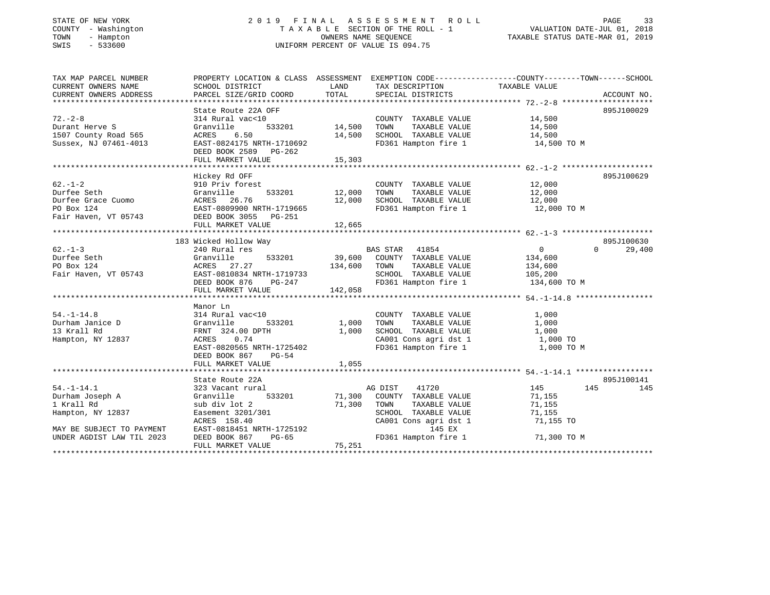### STATE OF NEW YORK 2 0 1 9 F I N A L A S S E S S M E N T R O L L PAGE 33 COUNTY - Washington T A X A B L E SECTION OF THE ROLL - 1 VALUATION DATE-JUL 01, 2018 TOWN - Hampton OWNERS NAME SEQUENCE TAXABLE STATUS DATE-MAR 01, 2019 SWIS - 533600 UNIFORM PERCENT OF VALUE IS 094.75

| TAX MAP PARCEL NUMBER                      | PROPERTY LOCATION & CLASS ASSESSMENT EXEMPTION CODE---------------COUNTY-------TOWN------SCHOOL |               |                                  |                                              |                    |
|--------------------------------------------|-------------------------------------------------------------------------------------------------|---------------|----------------------------------|----------------------------------------------|--------------------|
| CURRENT OWNERS NAME                        | SCHOOL DISTRICT                                                                                 | LAND          | TAX DESCRIPTION                  | TAXABLE VALUE                                |                    |
| CURRENT OWNERS ADDRESS                     | PARCEL SIZE/GRID COORD                                                                          | TOTAL         | SPECIAL DISTRICTS                |                                              | ACCOUNT NO.        |
|                                            |                                                                                                 |               |                                  |                                              |                    |
|                                            | State Route 22A OFF                                                                             |               |                                  |                                              | 895J100029         |
| $72 - 2 - 8$                               | 314 Rural vac<10                                                                                |               | COUNTY TAXABLE VALUE 14,500      |                                              |                    |
| Durant Herve S                             | Granville                                                                                       | 533201 14,500 | TOWN                             | TAXABLE VALUE 14,500                         |                    |
| 1507 County Road 565                       | ACRES 6.50                                                                                      | 14,500        | SCHOOL TAXABLE VALUE             | 14,500                                       |                    |
| Sussex, NJ 07461-4013                      | EAST-0824175 NRTH-1710692                                                                       |               | FD361 Hampton fire 1             | 14,500 TO M                                  |                    |
|                                            | DEED BOOK 2589 PG-262                                                                           |               |                                  |                                              |                    |
|                                            |                                                                                                 |               |                                  |                                              |                    |
|                                            |                                                                                                 |               |                                  |                                              |                    |
|                                            |                                                                                                 |               |                                  |                                              |                    |
|                                            | Hickey Rd OFF                                                                                   |               |                                  |                                              | 895J100629         |
| $62. - 1 - 2$                              | 910 Priv forest                                                                                 |               | COUNTY TAXABLE VALUE 12,000      |                                              |                    |
| Durfee Seth                                | 533201 12,000<br>Granville                                                                      |               | TOWN                             | TAXABLE VALUE 12,000<br>TAXABLE VALUE 12,000 |                    |
| Durfee Grace Cuomo                         | ACRES 26.76                                                                                     | 12,000        | SCHOOL TAXABLE VALUE             |                                              |                    |
| PO Box 124                                 | EAST-0809900 NRTH-1719665                                                                       |               | FD361 Hampton fire 1 12,000 TO M |                                              |                    |
| Fair Haven, VT 05743 DEED BOOK 3055 PG-251 |                                                                                                 |               |                                  |                                              |                    |
|                                            | FULL MARKET VALUE                                                                               | 12,665        |                                  |                                              |                    |
|                                            |                                                                                                 |               |                                  |                                              |                    |
|                                            | 183 Wicked Hollow Way                                                                           |               |                                  |                                              | 895J100630         |
| $62 - 1 - 3$                               | 240 Rural res                                                                                   |               | BAS STAR 41854                   | $\overline{0}$                               | $\Omega$<br>29,400 |
| Durfee Seth                                | Granville<br>533201                                                                             |               | 39,600 COUNTY TAXABLE VALUE      | 134,600                                      |                    |
| PO Box 124                                 | ACRES 27.27                                                                                     | 134,600 TOWN  | TAXABLE VALUE                    | 134,600                                      |                    |
| Fair Haven, VT 05743                       |                                                                                                 |               | SCHOOL TAXABLE VALUE 105,200     |                                              |                    |
|                                            | EAST-0810834 NRTH-1719733<br>DEED BOOK 876 PG-247                                               |               | FD361 Hampton fire 1             | 134,600 TO M                                 |                    |
|                                            | FULL MARKET VALUE                                                                               | 142,058       |                                  |                                              |                    |
|                                            |                                                                                                 |               |                                  |                                              |                    |
|                                            | Manor Ln                                                                                        |               |                                  |                                              |                    |
| $54. - 1 - 14.8$                           | 314 Rural vac<10                                                                                |               | COUNTY TAXABLE VALUE             | 1,000                                        |                    |
| Durham Janice D                            | Granville<br>533201                                                                             | 1,000         | TAXABLE VALUE<br>TOWN            | 1,000                                        |                    |
| 13 Krall Rd                                | FRNT 324.00 DPTH                                                                                | 1,000         | SCHOOL TAXABLE VALUE             | 1,000                                        |                    |
| Hampton, NY 12837                          | ACRES 0.74                                                                                      |               | CA001 Cons agri dst 1 $1,000$ TO |                                              |                    |
|                                            | EAST-0820565 NRTH-1725402                                                                       |               |                                  | 1,000 TO M                                   |                    |
|                                            |                                                                                                 |               | FD361 Hampton fire 1             |                                              |                    |
|                                            | DEED BOOK 867<br>$PG-54$                                                                        |               |                                  |                                              |                    |
|                                            | FULL MARKET VALUE                                                                               | 1,055         |                                  |                                              |                    |
|                                            |                                                                                                 |               |                                  |                                              |                    |
|                                            | State Route 22A                                                                                 |               |                                  |                                              | 895J100141         |
| $54. -1 - 14.1$                            | 323 Vacant rural                                                                                |               | AG DIST<br>41720                 | 145<br>145                                   | 145                |
| Durham Joseph A                            | 533201<br>Granville                                                                             |               | 71,300 COUNTY TAXABLE VALUE      | 71,155                                       |                    |
| 1 Krall Rd                                 | sub div lot 2                                                                                   | 71,300        | TOWN<br>TAXABLE VALUE            | 71,155                                       |                    |
| Hampton, NY 12837                          | Easement 3201/301                                                                               |               | SCHOOL TAXABLE VALUE             | 71,155                                       |                    |
|                                            | ACRES 158.40                                                                                    |               | CA001 Cons agri dst 1            | 71,155 TO                                    |                    |
| MAY BE SUBJECT TO PAYMENT                  | EAST-0818451 NRTH-1725192<br>DEED BOOK 867 PG-65                                                |               | 145 EX                           |                                              |                    |
| UNDER AGDIST LAW TIL 2023                  |                                                                                                 |               | FD361 Hampton fire 1             | 71,300 TO M                                  |                    |
|                                            | FULL MARKET VALUE                                                                               | 75,251        |                                  |                                              |                    |
|                                            |                                                                                                 |               |                                  |                                              |                    |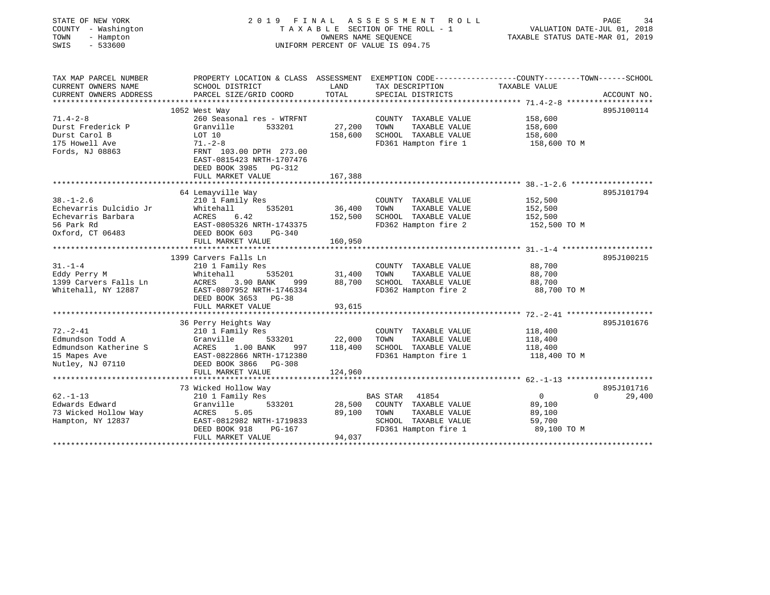| STATE OF NEW YORK<br>COUNTY - Washington<br>- Hampton<br>TOWN<br>SWIS<br>$-533600$ |                                                                        | OWNERS NAME SEQUENCE | 2019 FINAL ASSESSMENT<br>ROLL<br>TAXABLE SECTION OF THE ROLL - 1<br>UNIFORM PERCENT OF VALUE IS 094.75 | VALUATION DATE-JUL 01, 2018<br>TAXABLE STATUS DATE-MAR 01, 2019 | PAGE<br>34  |
|------------------------------------------------------------------------------------|------------------------------------------------------------------------|----------------------|--------------------------------------------------------------------------------------------------------|-----------------------------------------------------------------|-------------|
| TAX MAP PARCEL NUMBER                                                              |                                                                        |                      | PROPERTY LOCATION & CLASS ASSESSMENT EXEMPTION CODE---------------COUNTY-------TOWN------SCHOOL        |                                                                 |             |
| CURRENT OWNERS NAME<br>CURRENT OWNERS ADDRESS                                      | SCHOOL DISTRICT<br>PARCEL SIZE/GRID COORD                              | LAND<br>TOTAL        | TAX DESCRIPTION<br>SPECIAL DISTRICTS                                                                   | TAXABLE VALUE                                                   | ACCOUNT NO. |
|                                                                                    |                                                                        |                      |                                                                                                        |                                                                 |             |
|                                                                                    | 1052 West Way                                                          |                      |                                                                                                        |                                                                 | 895J100114  |
| $71.4 - 2 - 8$                                                                     | 260 Seasonal res - WTRFNT                                              |                      | COUNTY TAXABLE VALUE                                                                                   | 158,600                                                         |             |
| Durst Frederick P                                                                  | Granville<br>533201                                                    | 27,200               | TOWN<br>TAXABLE VALUE                                                                                  | 158,600                                                         |             |
| Durst Carol B                                                                      | LOT 10                                                                 | 158,600              | SCHOOL TAXABLE VALUE                                                                                   | 158,600                                                         |             |
| 175 Howell Ave                                                                     | $71. - 2 - 8$                                                          |                      | FD361 Hampton fire 1                                                                                   | 158,600 TO M                                                    |             |
| Fords, NJ 08863                                                                    | FRNT 103.00 DPTH 273.00<br>EAST-0815423 NRTH-1707476                   |                      |                                                                                                        |                                                                 |             |
|                                                                                    | DEED BOOK 3985 PG-312                                                  |                      |                                                                                                        |                                                                 |             |
|                                                                                    | FULL MARKET VALUE                                                      | 167,388              |                                                                                                        |                                                                 |             |
|                                                                                    |                                                                        |                      |                                                                                                        |                                                                 |             |
|                                                                                    | 64 Lemayville Way                                                      |                      |                                                                                                        |                                                                 | 895J101794  |
| $38. - 1 - 2.6$                                                                    | 210 1 Family Res                                                       |                      | COUNTY TAXABLE VALUE                                                                                   | 152,500                                                         |             |
| Echevarris Dulcidio Jr                                                             | Whitehall<br>535201                                                    | 36,400               | TAXABLE VALUE<br>TOWN                                                                                  | 152,500                                                         |             |
| Echevarris Barbara                                                                 | ACRES<br>6.42                                                          | 152,500              | SCHOOL TAXABLE VALUE                                                                                   | 152,500                                                         |             |
| 56 Park Rd<br>Oxford, CT 06483                                                     | EAST-0805326 N<br>DEED BOOK 603<br>EAST-0805326 NRTH-1743375<br>PG-340 |                      | FD362 Hampton fire 2                                                                                   | 152,500 TO M                                                    |             |
|                                                                                    | FULL MARKET VALUE                                                      | 160,950              |                                                                                                        |                                                                 |             |
|                                                                                    |                                                                        |                      |                                                                                                        |                                                                 |             |
|                                                                                    | 1399 Carvers Falls Ln                                                  |                      |                                                                                                        |                                                                 | 895J100215  |
| $31. - 1 - 4$                                                                      | 210 1 Family Res                                                       |                      | COUNTY TAXABLE VALUE                                                                                   | 88,700                                                          |             |
| Eddy Perry M                                                                       | Whitehall<br>535201                                                    | 31,400               | TOWN<br>TAXABLE VALUE                                                                                  | 88,700                                                          |             |
| 1399 Carvers Falls Ln                                                              | ACRES 3.90 BANK<br>999 — 1                                             | 88,700               | SCHOOL TAXABLE VALUE                                                                                   | 88,700                                                          |             |
| Whitehall, NY 12887                                                                | EAST-0807952 NRTH-1746334<br>DEED BOOK 3653 PG-38                      |                      | FD362 Hampton fire 2                                                                                   | 88,700 TO M                                                     |             |
|                                                                                    | FULL MARKET VALUE                                                      | 93,615               |                                                                                                        |                                                                 |             |
|                                                                                    | 36 Perry Heights Way                                                   |                      |                                                                                                        |                                                                 | 895J101676  |
| $72. - 2 - 41$                                                                     | 210 1 Family Res                                                       |                      | COUNTY TAXABLE VALUE                                                                                   | 118,400                                                         |             |
| Edmundson Todd A                                                                   | 533201<br>Granville                                                    | 22,000               | TOWN<br>TAXABLE VALUE                                                                                  | 118,400                                                         |             |
| Edmundson Katherine S                                                              | ACRES<br>1.00 BANK<br>997                                              | 118,400              | SCHOOL TAXABLE VALUE                                                                                   | 118,400                                                         |             |
| 15 Mapes Ave                                                                       | EAST-0822866 NRTH-1712380                                              |                      | FD361 Hampton fire 1                                                                                   | 118,400 TO M                                                    |             |
| Nutley, NJ 07110                                                                   | DEED BOOK 3866 PG-308                                                  |                      |                                                                                                        |                                                                 |             |
|                                                                                    | FULL MARKET VALUE                                                      | 124,960              |                                                                                                        |                                                                 |             |
|                                                                                    | 73 Wicked Hollow Way                                                   |                      |                                                                                                        |                                                                 | 895J101716  |
| $62. - 1 - 13$                                                                     | 210 1 Family Res                                                       |                      | BAS STAR<br>41854                                                                                      | $\overline{0}$<br>$\Omega$                                      | 29,400      |
| Edwards Edward                                                                     | Granville<br>533201                                                    | 28,500               | COUNTY TAXABLE VALUE                                                                                   | 89,100                                                          |             |
| 73 Wicked Hollow Way                                                               | ACRES<br>5.05                                                          | 89,100               | TOWN<br>TAXABLE VALUE                                                                                  | 89,100                                                          |             |
| Hampton, NY 12837                                                                  | EAST-0812982 NRTH-1719833                                              |                      | SCHOOL TAXABLE VALUE                                                                                   | 59,700                                                          |             |
|                                                                                    | DEED BOOK 918<br>PG-167                                                |                      | FD361 Hampton fire 1                                                                                   | 89,100 TO M                                                     |             |
|                                                                                    | FULL MARKET VALUE                                                      | 94,037               |                                                                                                        |                                                                 |             |
|                                                                                    |                                                                        |                      |                                                                                                        |                                                                 |             |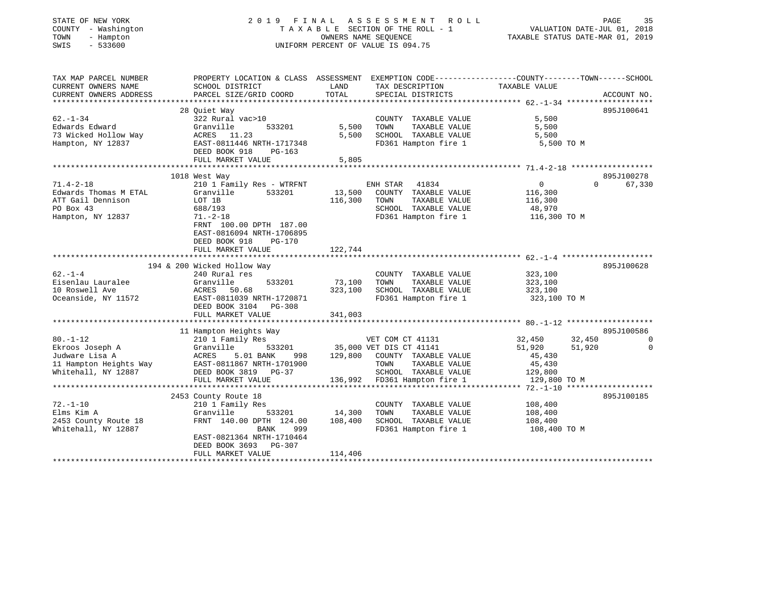| STATE OF NEW YORK |     |                   |
|-------------------|-----|-------------------|
| COUNTY            |     | - Washington      |
| TOWN              | $-$ | Hampton           |
| $\alpha$          |     | $F \cap T \cap A$ |

## STATE OF NEW YORK 2 0 1 9 F I N A L A S S E S S M E N T R O L L PAGE 35 COUNTY - Washington T A X A B L E SECTION OF THE ROLL - 1 VALUATION DATE-JUL 01, 2018 TOWN - Hampton OWNERS NAME SEQUENCE TAXABLE STATUS DATE-MAR 01, 2019 SWIS - 533600 UNIFORM PERCENT OF VALUE IS 094.75

| TAX MAP PARCEL NUMBER  | PROPERTY LOCATION & CLASS ASSESSMENT EXEMPTION CODE----------------COUNTY--------TOWN-----SCHOOL |         |                                                                           |                  |                    |
|------------------------|--------------------------------------------------------------------------------------------------|---------|---------------------------------------------------------------------------|------------------|--------------------|
| CURRENT OWNERS NAME    | SCHOOL DISTRICT                                                                                  | LAND    | TAX DESCRIPTION                                                           | TAXABLE VALUE    |                    |
| CURRENT OWNERS ADDRESS | PARCEL SIZE/GRID COORD                                                                           | TOTAL   | SPECIAL DISTRICTS                                                         |                  | ACCOUNT NO.        |
|                        | 28 Ouiet Way                                                                                     |         |                                                                           |                  | 895J100641         |
| $62. - 1 - 34$         | 322 Rural vac>10                                                                                 |         | COUNTY TAXABLE VALUE                                                      | 5,500            |                    |
| Edwards Edward         | 533201<br>Granville                                                                              | 5,500   | TOWN<br>TAXABLE VALUE                                                     | 5,500            |                    |
| 73 Wicked Hollow Way   | ACRES 11.23                                                                                      | 5,500   | SCHOOL TAXABLE VALUE                                                      | 5,500            |                    |
| Hampton, NY 12837      | EAST-0811446 NRTH-1717348                                                                        |         | FD361 Hampton fire 1 5,500 TO M                                           |                  |                    |
|                        | DEED BOOK 918<br>PG-163                                                                          |         |                                                                           |                  |                    |
|                        | FULL MARKET VALUE                                                                                | 5,805   |                                                                           |                  |                    |
|                        |                                                                                                  |         |                                                                           |                  |                    |
|                        | 1018 West Way                                                                                    |         |                                                                           |                  | 895J100278         |
| $71.4 - 2 - 18$        | 210 1 Family Res - WTRFNT                                                                        |         | ENH STAR<br>41834                                                         | $\overline{0}$   | 67,330<br>$\Omega$ |
| Edwards Thomas M ETAL  | 533201<br>Granville                                                                              | 13,500  | COUNTY TAXABLE VALUE                                                      | 116,300          |                    |
| ATT Gail Dennison      | LOT 1B                                                                                           | 116,300 | TAXABLE VALUE<br>TOWN                                                     | 116,300          |                    |
| PO Box 43              | 688/193                                                                                          |         | SCHOOL TAXABLE VALUE                                                      | 48,970           |                    |
| Hampton, NY 12837      | $71. - 2 - 18$                                                                                   |         | FD361 Hampton fire 1 116,300 TO M                                         |                  |                    |
|                        | FRNT 100.00 DPTH 187.00                                                                          |         |                                                                           |                  |                    |
|                        | EAST-0816094 NRTH-1706895                                                                        |         |                                                                           |                  |                    |
|                        | DEED BOOK 918<br>PG-170                                                                          |         |                                                                           |                  |                    |
|                        | FULL MARKET VALUE                                                                                | 122,744 |                                                                           |                  |                    |
|                        |                                                                                                  |         |                                                                           |                  |                    |
|                        | 194 & 200 Wicked Hollow Way                                                                      |         |                                                                           |                  | 895J100628         |
| $62 - 1 - 4$           | 240 Rural res                                                                                    |         | COUNTY TAXABLE VALUE                                                      | 323,100          |                    |
| Eisenlau Lauralee      | 533201<br>Granville                                                                              | 73,100  | TAXABLE VALUE<br>TOWN                                                     | 323,100          |                    |
| 10 Roswell Ave         | ACRES 50.68                                                                                      | 323,100 | SCHOOL TAXABLE VALUE 323,100                                              |                  |                    |
| Oceanside, NY 11572    | EAST-0811039 NRTH-1720871                                                                        |         | FD361 Hampton fire 1 323,100 TO M                                         |                  |                    |
|                        | DEED BOOK 3104 PG-308                                                                            |         |                                                                           |                  |                    |
|                        | FULL MARKET VALUE                                                                                | 341,003 |                                                                           |                  |                    |
|                        | 11 Hampton Heights Way                                                                           |         |                                                                           |                  | 895J100586         |
| $80. - 1 - 12$         | 210 1 Family Res                                                                                 |         | VET COM CT 41131                                                          | 32,450<br>32,450 | $\overline{0}$     |
| Ekroos Joseph A        | Granville                                                                                        |         | 533201 35,000 VET DIS CT 41141                                            | 51,920<br>51,920 | $\Omega$           |
| Judware Lisa A         | ACRES<br>5.01 BANK                                                                               |         | 998 129,800 COUNTY TAXABLE VALUE                                          | 45,430           |                    |
|                        | 11 Hampton Heights Way EAST-0811867 NRTH-1701900                                                 |         | TOWN<br>TAXABLE VALUE                                                     | 45,430           |                    |
| Whitehall, NY 12887    | DEED BOOK 3819 PG-37                                                                             |         | SCHOOL TAXABLE VALUE                                                      |                  |                    |
|                        | FULL MARKET VALUE                                                                                |         | SCHOOL TAXABLE VALUE 129,800<br>136,992 FD361 Hampton fire 1 129,800 TO M |                  |                    |
|                        |                                                                                                  |         |                                                                           |                  |                    |
|                        | 2453 County Route 18                                                                             |         |                                                                           |                  | 895J100185         |
| $72. - 1 - 10$         | 210 1 Family Res                                                                                 |         | COUNTY TAXABLE VALUE                                                      | 108,400          |                    |
| Elms Kim A             | Granville<br>533201                                                                              | 14,300  | TAXABLE VALUE<br>TOWN                                                     | 108,400          |                    |
| 2453 County Route 18   | FRNT 140.00 DPTH 124.00                                                                          | 108,400 | SCHOOL TAXABLE VALUE                                                      | 108,400          |                    |
| Whitehall, NY 12887    | 999<br>BANK                                                                                      |         | FD361 Hampton fire 1                                                      | 108,400 TO M     |                    |
|                        | EAST-0821364 NRTH-1710464                                                                        |         |                                                                           |                  |                    |
|                        | DEED BOOK 3693 PG-307                                                                            |         |                                                                           |                  |                    |
|                        | FULL MARKET VALUE                                                                                | 114,406 |                                                                           |                  |                    |
|                        |                                                                                                  |         |                                                                           |                  |                    |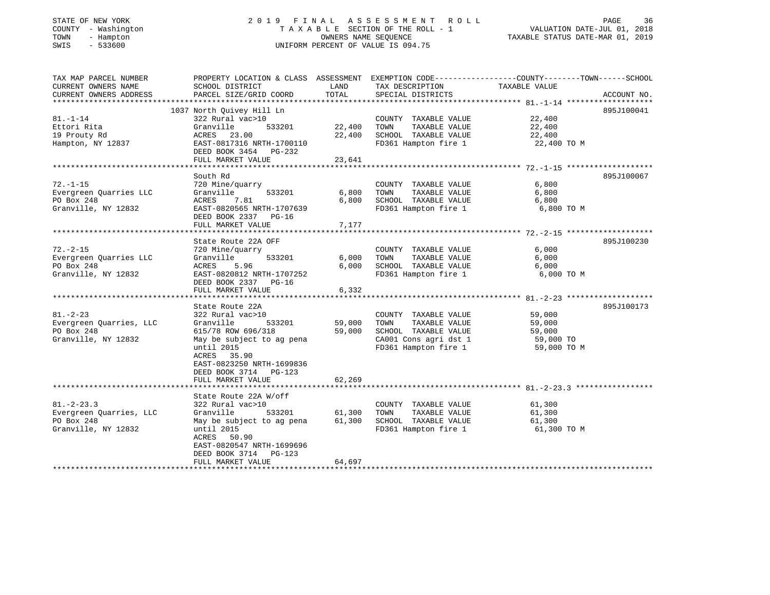| STATE OF NEW YORK |              |
|-------------------|--------------|
| COUNTY            | - Washington |
| TOWN<br>$-$       | Hampton      |
| CM T C            | 522600       |

### STATE OF NEW YORK 2 0 1 9 F I N A L A S S E S S M E N T R O L L PAGE 36 COUNTY - Washington T A X A B L E SECTION OF THE ROLL - 1 VALUATION DATE-JUL 01, 2018 TOWN - Hampton OWNERS NAME SEQUENCE TAXABLE STATUS DATE-MAR 01, 2019 SWIS - 533600 UNIFORM PERCENT OF VALUE IS 094.75

| TAX MAP PARCEL NUMBER   | PROPERTY LOCATION & CLASS ASSESSMENT EXEMPTION CODE----------------COUNTY-------TOWN-----SCHOOL |        |                                               |               |             |
|-------------------------|-------------------------------------------------------------------------------------------------|--------|-----------------------------------------------|---------------|-------------|
| CURRENT OWNERS NAME     | SCHOOL DISTRICT                                                                                 | LAND   | TAX DESCRIPTION                               | TAXABLE VALUE |             |
| CURRENT OWNERS ADDRESS  | PARCEL SIZE/GRID COORD                                                                          | TOTAL  | SPECIAL DISTRICTS                             |               | ACCOUNT NO. |
| **********************  |                                                                                                 |        |                                               |               |             |
|                         | 1037 North Quivey Hill Ln                                                                       |        |                                               |               | 895J100041  |
| $81. - 1 - 14$          | 322 Rural vac>10                                                                                |        | COUNTY TAXABLE VALUE                          | 22,400        |             |
| Ettori Rita             | Granville<br>533201                                                                             |        | 22,400 TOWN<br>TAXABLE VALUE                  | 22,400        |             |
| 19 Prouty Rd            | ACRES<br>23.00                                                                                  | 22,400 | SCHOOL TAXABLE VALUE                          | 22,400        |             |
| Hampton, NY 12837       | EAST-0817316 NRTH-1700110                                                                       |        | FD361 Hampton fire 1                          | 22,400 TO M   |             |
|                         | DEED BOOK 3454 PG-232                                                                           |        |                                               |               |             |
|                         | FULL MARKET VALUE                                                                               | 23,641 |                                               |               |             |
|                         |                                                                                                 |        |                                               |               |             |
|                         |                                                                                                 |        |                                               |               | 895J100067  |
|                         | South Rd                                                                                        |        |                                               |               |             |
| $72. - 1 - 15$          | 720 Mine/quarry                                                                                 |        | COUNTY TAXABLE VALUE                          | 6,800         |             |
| Evergreen Quarries LLC  | 533201<br>Granville                                                                             | 6,800  | TAXABLE VALUE<br>TOWN                         | 6,800         |             |
| PO Box 248              | ACRES<br>7.81                                                                                   | 6,800  | SCHOOL TAXABLE VALUE                          | 6,800         |             |
| Granville, NY 12832     | EAST-0820565 NRTH-1707639                                                                       |        | FD361 Hampton fire 1 6,800 TO M               |               |             |
|                         | DEED BOOK 2337 PG-16                                                                            |        |                                               |               |             |
|                         | FULL MARKET VALUE                                                                               | 7,177  |                                               |               |             |
|                         |                                                                                                 |        |                                               |               |             |
|                         | State Route 22A OFF                                                                             |        |                                               |               | 895J100230  |
| $72. - 2 - 15$          | 720 Mine/quarry                                                                                 |        | COUNTY TAXABLE VALUE                          | 6,000         |             |
| Evergreen Quarries LLC  | Granville<br>533201                                                                             |        | 6,000 TOWN<br>TAXABLE VALUE                   | 6,000         |             |
| PO Box 248              | ACRES<br>5.96                                                                                   | 6,000  | SCHOOL TAXABLE VALUE                          | 6,000         |             |
| Granville, NY 12832     | EAST-0820812 NRTH-1707252                                                                       |        | FD361 Hampton fire 1                          | 6,000 TO M    |             |
|                         | DEED BOOK 2337 PG-16                                                                            |        |                                               |               |             |
|                         | FULL MARKET VALUE                                                                               | 6,332  |                                               |               |             |
|                         |                                                                                                 |        |                                               |               |             |
|                         |                                                                                                 |        |                                               |               |             |
|                         | State Route 22A                                                                                 |        |                                               |               | 895J100173  |
| $81. - 2 - 23$          | 322 Rural vac>10                                                                                |        | COUNTY TAXABLE VALUE                          | 59,000        |             |
| Evergreen Quarries, LLC | Granville<br>533201                                                                             | 59,000 | TOWN<br>TAXABLE VALUE                         | 59,000        |             |
| PO Box 248              | 615/78 ROW 696/318                                                                              | 59,000 | SCHOOL TAXABLE VALUE                          | 59,000        |             |
| Granville, NY 12832     | May be subject to ag pena                                                                       |        | CA001 Cons agri dst 1<br>FD361 Hampton fire 1 | 59,000 TO     |             |
|                         | until 2015                                                                                      |        |                                               | 59,000 TO M   |             |
|                         | ACRES 35.90                                                                                     |        |                                               |               |             |
|                         | EAST-0823250 NRTH-1699836                                                                       |        |                                               |               |             |
|                         | DEED BOOK 3714 PG-123                                                                           |        |                                               |               |             |
|                         | FULL MARKET VALUE                                                                               | 62,269 |                                               |               |             |
|                         |                                                                                                 |        |                                               |               |             |
|                         | State Route 22A W/off                                                                           |        |                                               |               |             |
| $81 - 2 - 23.3$         | 322 Rural vac>10                                                                                |        | COUNTY TAXABLE VALUE                          | 61,300        |             |
| Evergreen Quarries, LLC | 533201<br>Granville                                                                             |        | 61,300 TOWN<br>TAXABLE VALUE                  | 61,300        |             |
| PO Box 248              | May be subject to ag pena 61,300 SCHOOL TAXABLE VALUE                                           |        |                                               | 61,300        |             |
| Granville, NY 12832     | until 2015                                                                                      |        | FD361 Hampton fire 1                          | 61,300 TO M   |             |
|                         |                                                                                                 |        |                                               |               |             |
|                         | ACRES 50.90                                                                                     |        |                                               |               |             |
|                         | EAST-0820547 NRTH-1699696                                                                       |        |                                               |               |             |
|                         | DEED BOOK 3714 PG-123                                                                           |        |                                               |               |             |
|                         | FULL MARKET VALUE                                                                               | 64,697 |                                               |               |             |
|                         |                                                                                                 |        |                                               |               |             |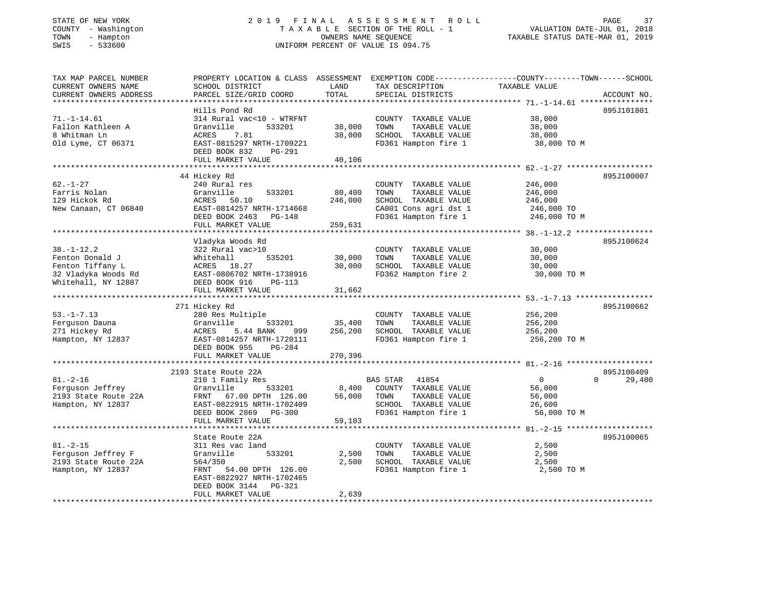# STATE OF NEW YORK 2 0 1 9 F I N A L A S S E S S M E N T R O L L PAGE 37 COUNTY - Washington T A X A B L E SECTION OF THE ROLL - 1 VALUATION DATE-JUL 01, 2018 TOWN - Hampton OWNERS NAME SEQUENCE TAXABLE STATUS DATE-MAR 01, 2019 SWIS - 533600 UNIFORM PERCENT OF VALUE IS 094.75

| TAX MAP PARCEL NUMBER  | PROPERTY LOCATION & CLASS ASSESSMENT EXEMPTION CODE---------------COUNTY-------TOWN------SCHOOL |               |                                   |                |                    |
|------------------------|-------------------------------------------------------------------------------------------------|---------------|-----------------------------------|----------------|--------------------|
| CURRENT OWNERS NAME    | SCHOOL DISTRICT                                                                                 | LAND          | TAX DESCRIPTION                   | TAXABLE VALUE  |                    |
| CURRENT OWNERS ADDRESS | PARCEL SIZE/GRID COORD                                                                          | TOTAL         | SPECIAL DISTRICTS                 |                | ACCOUNT NO.        |
|                        |                                                                                                 |               |                                   |                |                    |
|                        | Hills Pond Rd                                                                                   |               |                                   |                | 895J101801         |
| $71. - 1 - 14.61$      | 314 Rural vac<10 - WTRFNT                                                                       |               | COUNTY TAXABLE VALUE              |                |                    |
|                        |                                                                                                 |               |                                   | 38,000         |                    |
| Fallon Kathleen A      | Granville<br>533201                                                                             | 38,000        | TAXABLE VALUE<br>TOWN             | 38,000         |                    |
| 8 Whitman Ln           | ACRES<br>7.81                                                                                   | 38,000        | SCHOOL TAXABLE VALUE              | 38,000         |                    |
| Old Lyme, CT 06371     | EAST-0815297 NRTH-1709221                                                                       |               | FD361 Hampton fire 1              | 38,000 TO M    |                    |
|                        | DEED BOOK 832<br>PG-291                                                                         |               |                                   |                |                    |
|                        | FULL MARKET VALUE                                                                               | 40,106        |                                   |                |                    |
|                        |                                                                                                 |               |                                   |                |                    |
|                        | 44 Hickey Rd                                                                                    |               |                                   |                | 895J100007         |
| $62. - 1 - 27$         | 240 Rural res                                                                                   |               | COUNTY TAXABLE VALUE              | 246,000        |                    |
| Farris Nolan           | Granville<br>533201                                                                             | 80,400        | TAXABLE VALUE<br>TOWN             | 246,000        |                    |
| 129 Hickok Rd          | ACRES 50.10                                                                                     | 246,000       | SCHOOL TAXABLE VALUE              | 246,000        |                    |
| New Canaan, CT 06840   | EAST-0814257 NRTH-1714668                                                                       |               | CA001 Cons agri dst 1             | 246,000 TO     |                    |
|                        | DEED BOOK 2463 PG-148                                                                           |               |                                   |                |                    |
|                        |                                                                                                 |               | FD361 Hampton fire 1              | 246,000 TO M   |                    |
|                        | FULL MARKET VALUE                                                                               | 259,631       |                                   |                |                    |
|                        |                                                                                                 |               |                                   |                |                    |
|                        | Vladyka Woods Rd                                                                                |               |                                   |                | 895J100624         |
| $38. - 1 - 12.2$       | 322 Rural vac>10                                                                                |               | COUNTY TAXABLE VALUE              | 30,000         |                    |
| Fenton Donald J        | 535201<br>Whitehall                                                                             | 30,000        | TOWN<br>TAXABLE VALUE             | 30,000         |                    |
| Fenton Tiffany L       | ACRES 18.27                                                                                     | 30,000        | SCHOOL TAXABLE VALUE              | 30,000         |                    |
| 32 Vladyka Woods Rd    | ACRES 10.2,<br>EAST-0806702 NRTH-1738916<br>EAST-0806702 DG-113                                 |               | FD362 Hampton fire 2              | 30,000 TO M    |                    |
| Whitehall, NY 12887    | DEED BOOK 916<br>PG-113                                                                         |               |                                   |                |                    |
|                        | FULL MARKET VALUE                                                                               | 31,662        |                                   |                |                    |
|                        |                                                                                                 |               |                                   |                |                    |
|                        | 271 Hickey Rd                                                                                   |               |                                   |                | 895J100662         |
| $53. - 1 - 7.13$       | 280 Res Multiple                                                                                |               | COUNTY TAXABLE VALUE              | 256,200        |                    |
|                        | Granville                                                                                       | 533201 35,400 | TAXABLE VALUE<br>TOWN             | 256,200        |                    |
| Ferguson Dauna         |                                                                                                 |               |                                   |                |                    |
| 271 Hickey Rd          | ACRES<br>5.44 BANK<br>999                                                                       | 256,200       | SCHOOL TAXABLE VALUE              | 256,200        |                    |
| Hampton, NY 12837      | EAST-0814257 NRTH-1720111                                                                       |               | FD361 Hampton fire 1 256,200 TO M |                |                    |
|                        | PG-284<br>DEED BOOK 955                                                                         |               |                                   |                |                    |
|                        | FULL MARKET VALUE                                                                               | 270,396       |                                   |                |                    |
|                        |                                                                                                 |               |                                   |                |                    |
|                        | 2193 State Route 22A                                                                            |               |                                   |                | 895J100409         |
| $81. - 2 - 16$         | 210 1 Family Res                                                                                |               | BAS STAR<br>41854                 | $\overline{0}$ | $\Omega$<br>29,400 |
| Ferguson Jeffrey       | Granville<br>533201                                                                             | 8,400         | COUNTY TAXABLE VALUE              | 56,000         |                    |
| 2193 State Route 22A   | FRNT 67.00 DPTH 126.00                                                                          | 56,000        | TOWN<br>TAXABLE VALUE             | 56,000         |                    |
| Hampton, NY 12837      | EAST-0822915 NRTH-1702409                                                                       |               | SCHOOL TAXABLE VALUE              | 26,600         |                    |
|                        | DEED BOOK 2869 PG-300                                                                           |               | FD361 Hampton fire 1              | 56,000 TO M    |                    |
|                        | FULL MARKET VALUE                                                                               | 59,103        |                                   |                |                    |
|                        |                                                                                                 |               |                                   |                |                    |
|                        |                                                                                                 |               |                                   |                |                    |
|                        | State Route 22A                                                                                 |               |                                   |                | 895J100065         |
| $81. - 2 - 15$         | 311 Res vac land                                                                                |               | COUNTY TAXABLE VALUE              | 2,500          |                    |
| Ferguson Jeffrey F     | 533201<br>Granville                                                                             | 2,500         | TAXABLE VALUE<br>TOWN             | 2,500          |                    |
| 2193 State Route 22A   | 564/350                                                                                         | 2,500         | SCHOOL TAXABLE VALUE              | 2,500          |                    |
| Hampton, NY 12837      | FRNT<br>54.00 DPTH 126.00                                                                       |               | FD361 Hampton fire 1 2,500 TO M   |                |                    |
|                        | EAST-0822927 NRTH-1702465                                                                       |               |                                   |                |                    |
|                        | DEED BOOK 3144<br>PG-321                                                                        |               |                                   |                |                    |
|                        | FULL MARKET VALUE                                                                               | 2,639         |                                   |                |                    |
|                        |                                                                                                 |               |                                   |                |                    |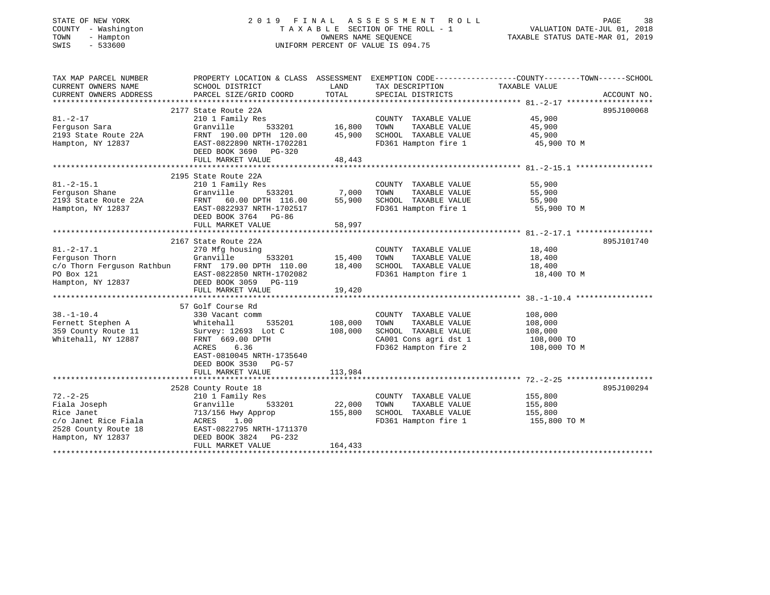# STATE OF NEW YORK 2 0 1 9 F I N A L A S S E S S M E N T R O L L PAGE 38 COUNTY - Washington T A X A B L E SECTION OF THE ROLL - 1 VALUATION DATE-JUL 01, 2018 TOWN - Hampton OWNERS NAME SEQUENCE TAXABLE STATUS DATE-MAR 01, 2019 SWIS - 533600 UNIFORM PERCENT OF VALUE IS 094.75

| TAX MAP PARCEL NUMBER                                                           | PROPERTY LOCATION & CLASS ASSESSMENT EXEMPTION CODE---------------COUNTY-------TOWN------SCHOOL |                                   |                                                                 |                  |             |
|---------------------------------------------------------------------------------|-------------------------------------------------------------------------------------------------|-----------------------------------|-----------------------------------------------------------------|------------------|-------------|
| CURRENT OWNERS NAME                                                             | SCHOOL DISTRICT                                                                                 | LAND                              | TAX DESCRIPTION                                                 | TAXABLE VALUE    |             |
| CURRENT OWNERS ADDRESS                                                          | PARCEL SIZE/GRID COORD                                                                          | TOTAL                             | SPECIAL DISTRICTS                                               |                  | ACCOUNT NO. |
|                                                                                 |                                                                                                 |                                   |                                                                 |                  |             |
|                                                                                 | 2177 State Route 22A                                                                            |                                   |                                                                 |                  | 895J100068  |
| $81. -2 - 17$<br>Ferguson Sara                                                  | 210 1 Family Res                                                                                | 。<br>533201     16,800            | COUNTY TAXABLE VALUE                                            | 45,900<br>45,900 |             |
|                                                                                 | Granville                                                                                       |                                   | TAXABLE VALUE<br>TOWN                                           |                  |             |
| 2193 State Route 22A                                                            | FRNT 190.00 DPTH 120.00 45,900                                                                  |                                   | SCHOOL TAXABLE VALUE 45,900<br>FD361 Hampton fire 1 45,900 TO M |                  |             |
| Hampton, NY 12837                                                               | EAST-0822890 NRTH-1702281                                                                       |                                   |                                                                 |                  |             |
|                                                                                 | DEED BOOK 3690 PG-320                                                                           |                                   |                                                                 |                  |             |
|                                                                                 | FULL MARKET VALUE                                                                               | 48,443                            |                                                                 |                  |             |
|                                                                                 |                                                                                                 |                                   |                                                                 |                  |             |
| $81. -2 - 15.1$                                                                 | 2195 State Route 22A                                                                            |                                   |                                                                 |                  |             |
|                                                                                 | 210 1 Family Res                                                                                |                                   | COUNTY TAXABLE VALUE<br>TAXABLE VALUE                           | 55,900           |             |
|                                                                                 |                                                                                                 | 533201 7,000                      | TOWN                                                            | 55,900           |             |
|                                                                                 |                                                                                                 | 55,900                            | SCHOOL TAXABLE VALUE<br>FD361 Hampton fire 1                    | 55,900           |             |
|                                                                                 |                                                                                                 |                                   |                                                                 | 55,900 TO M      |             |
|                                                                                 | DEED BOOK 3764 PG-86                                                                            |                                   |                                                                 |                  |             |
|                                                                                 | FULL MARKET VALUE                                                                               | 58,997                            |                                                                 |                  |             |
|                                                                                 | 2167 State Route 22A                                                                            |                                   |                                                                 |                  | 895J101740  |
|                                                                                 |                                                                                                 |                                   | COUNTY TAXABLE VALUE 18,400                                     |                  |             |
| $81. -2 - 17.1$                                                                 | 270 Mfg housing                                                                                 |                                   |                                                                 |                  |             |
| Ferguson Thorn<br>c/o Thorn Ferguson Rathbun FRNT 179.00 DPTH 110.00            |                                                                                                 | 533201 15,400<br>TH 110.00 18,400 | TAXABLE VALUE 18,400<br>TAXABLE VALUE 18,400<br>TOWN            |                  |             |
|                                                                                 |                                                                                                 |                                   | SCHOOL TAXABLE VALUE<br>FD361 Hampton fire 1 18,400 TO M        |                  |             |
| PO Box 121 EAST-0822850 NRTH-1702082<br>Hampton, NY 12837 DEED BOOK 3059 PG-119 |                                                                                                 |                                   |                                                                 |                  |             |
|                                                                                 |                                                                                                 | 19,420                            |                                                                 |                  |             |
|                                                                                 | FULL MARKET VALUE                                                                               |                                   |                                                                 |                  |             |
|                                                                                 | 57 Golf Course Rd                                                                               |                                   |                                                                 |                  |             |
| $38. - 1 - 10.4$                                                                | 330 Vacant comm                                                                                 |                                   | COUNTY TAXABLE VALUE                                            | 108,000          |             |
| Fernett Stephen A                                                               | Whitehall                                                                                       | 535201 108,000                    | TAXABLE VALUE<br>TOWN                                           | 108,000          |             |
| 359 County Route 11                                                             | Survey: 12693 Lot C                                                                             | 108,000                           | SCHOOL TAXABLE VALUE                                            | 108,000          |             |
| Whitehall, NY 12887                                                             | FRNT 669.00 DPTH                                                                                |                                   |                                                                 |                  |             |
|                                                                                 | ACRES<br>6.36                                                                                   |                                   | CA001 Cons agri dst 1 108,000 TO<br>FD362 Hampton fire 2        | 108,000 TO M     |             |
|                                                                                 | EAST-0810045 NRTH-1735640                                                                       |                                   |                                                                 |                  |             |
|                                                                                 | DEED BOOK 3530 PG-57                                                                            |                                   |                                                                 |                  |             |
|                                                                                 | FULL MARKET VALUE                                                                               | 113,984                           |                                                                 |                  |             |
|                                                                                 |                                                                                                 |                                   |                                                                 |                  |             |
|                                                                                 | 2528 County Route 18                                                                            |                                   |                                                                 |                  | 895J100294  |
| $72. - 2 - 25$                                                                  | 210 1 Family Res                                                                                |                                   | COUNTY TAXABLE VALUE                                            | 155,800          |             |
| Fiala Joseph                                                                    | Granville<br>533201                                                                             | 22,000                            | TAXABLE VALUE<br>TOWN                                           | 155,800          |             |
| Rice Janet                                                                      | 713/156 Hwy Approp                                                                              | 155,800                           | SCHOOL TAXABLE VALUE                                            | 155,800          |             |
| c/o Janet Rice Fiala                                                            |                                                                                                 |                                   | FD361 Hampton fire 1 155,800 TO M                               |                  |             |
| 2528 County Route 18                                                            | ACRES 1.00<br>EAST-0822795 NRTH-1711370                                                         |                                   |                                                                 |                  |             |
| Hampton, NY 12837                                                               | DEED BOOK 3824 PG-232                                                                           |                                   |                                                                 |                  |             |
|                                                                                 | FULL MARKET VALUE                                                                               | 164,433                           |                                                                 |                  |             |
|                                                                                 |                                                                                                 |                                   |                                                                 |                  |             |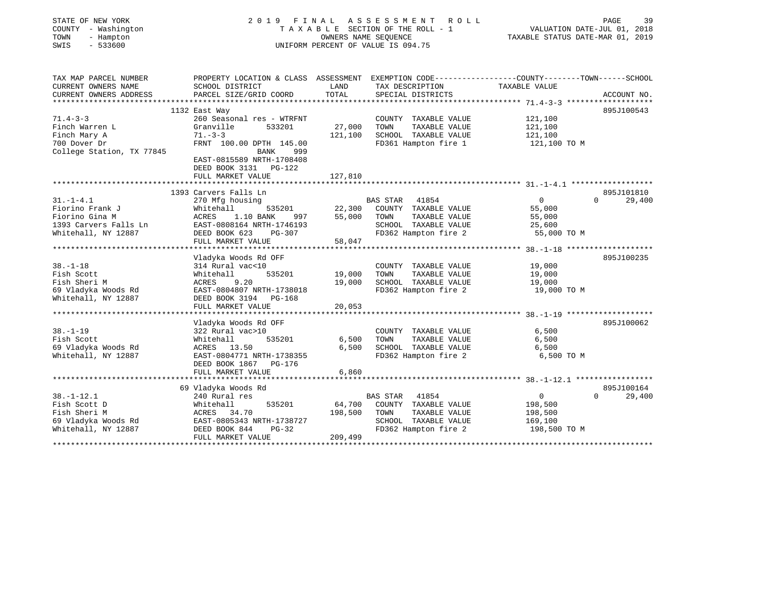| STATE OF NEW YORK<br>COUNTY - Washington<br>TOWN<br>- Hampton<br>SWIS<br>$-533600$ |                                                       | OWNERS NAME SEQUENCE | 2019 FINAL ASSESSMENT<br>ROLL<br>TAXABLE SECTION OF THE ROLL - 1<br>UNIFORM PERCENT OF VALUE IS 094.75             | VALUATION DATE-JUL 01, 2018<br>TAXABLE STATUS DATE-MAR 01, 2019 | PAGE<br>39         |
|------------------------------------------------------------------------------------|-------------------------------------------------------|----------------------|--------------------------------------------------------------------------------------------------------------------|-----------------------------------------------------------------|--------------------|
| TAX MAP PARCEL NUMBER<br>CURRENT OWNERS NAME                                       | SCHOOL DISTRICT                                       | LAND                 | PROPERTY LOCATION & CLASS ASSESSMENT EXEMPTION CODE---------------COUNTY-------TOWN------SCHOOL<br>TAX DESCRIPTION | TAXABLE VALUE                                                   |                    |
| CURRENT OWNERS ADDRESS                                                             | PARCEL SIZE/GRID COORD                                | TOTAL                | SPECIAL DISTRICTS                                                                                                  |                                                                 | ACCOUNT NO.        |
|                                                                                    |                                                       |                      |                                                                                                                    |                                                                 |                    |
|                                                                                    | 1132 East Way                                         |                      |                                                                                                                    |                                                                 | 895J100543         |
| $71.4 - 3 - 3$                                                                     | 260 Seasonal res - WTRFNT                             |                      | COUNTY TAXABLE VALUE                                                                                               | 121,100                                                         |                    |
| Finch Warren L                                                                     | Granville<br>533201                                   | 27,000               | TOWN<br>TAXABLE VALUE                                                                                              | 121,100                                                         |                    |
| Finch Mary A<br>700 Dover Dr                                                       | $71 - 3 - 3$<br>FRNT 100.00 DPTH 145.00               | 121,100              | SCHOOL TAXABLE VALUE<br>FD361 Hampton fire 1                                                                       | 121,100<br>121,100 TO M                                         |                    |
| College Station, TX 77845                                                          | 999<br>BANK                                           |                      |                                                                                                                    |                                                                 |                    |
|                                                                                    | EAST-0815589 NRTH-1708408<br>DEED BOOK 3131 PG-122    |                      |                                                                                                                    |                                                                 |                    |
|                                                                                    | FULL MARKET VALUE                                     | 127,810              |                                                                                                                    |                                                                 |                    |
|                                                                                    |                                                       | ***********          |                                                                                                                    |                                                                 |                    |
|                                                                                    | 1393 Carvers Falls Ln                                 |                      |                                                                                                                    |                                                                 | 895J101810         |
| $31. - 1 - 4.1$                                                                    | 270 Mfg housing                                       |                      | BAS STAR 41854                                                                                                     | $\overline{0}$                                                  | $\Omega$<br>29,400 |
| Fiorino Frank J                                                                    | Whitehall<br>535201                                   | 22,300               | COUNTY TAXABLE VALUE                                                                                               | 55,000                                                          |                    |
| Fiorino Gina M                                                                     | ACRES<br>1.10 BANK<br>997                             | 55,000               | TAXABLE VALUE<br>TOWN                                                                                              | 55,000                                                          |                    |
| 1393 Carvers Falls Ln<br>Whitehall, NY 12887                                       | EAST-0808164 NRTH-1746193<br>DEED BOOK 623<br>PG-307  |                      | SCHOOL TAXABLE VALUE<br>FD362 Hampton fire 2                                                                       | 25,600<br>55,000 TO M                                           |                    |
|                                                                                    | FULL MARKET VALUE                                     | 58,047               |                                                                                                                    |                                                                 |                    |
|                                                                                    |                                                       |                      |                                                                                                                    |                                                                 |                    |
|                                                                                    | Vladyka Woods Rd OFF                                  |                      |                                                                                                                    |                                                                 | 895J100235         |
| $38. - 1 - 18$                                                                     | 314 Rural vac<10                                      |                      | COUNTY TAXABLE VALUE                                                                                               | 19,000                                                          |                    |
| Fish Scott                                                                         | 535201<br>Whitehall                                   | 19,000               | TAXABLE VALUE<br>TOWN                                                                                              | 19,000                                                          |                    |
| Fish Sheri M                                                                       | ACRES<br>9.20                                         | 19,000               | SCHOOL TAXABLE VALUE                                                                                               | 19,000                                                          |                    |
| 69 Vladyka Woods Rd                                                                | EAST-0804807 NRTH-1738018                             |                      | FD362 Hampton fire 2                                                                                               | 19,000 TO M                                                     |                    |
| Whitehall, NY 12887                                                                | DEED BOOK 3194 PG-168                                 |                      |                                                                                                                    |                                                                 |                    |
|                                                                                    | FULL MARKET VALUE                                     | 20,053               |                                                                                                                    |                                                                 |                    |
|                                                                                    | Vladyka Woods Rd OFF                                  |                      |                                                                                                                    |                                                                 | 895J100062         |
| $38. - 1 - 19$                                                                     | 322 Rural vac>10                                      |                      | COUNTY TAXABLE VALUE                                                                                               | 6,500                                                           |                    |
| Fish Scott                                                                         | 535201<br>Whitehall                                   | 6,500                | TOWN<br>TAXABLE VALUE                                                                                              | 6,500                                                           |                    |
| 69 Vladyka Woods Rd                                                                | ACRES 13.50                                           | 6,500                | SCHOOL TAXABLE VALUE                                                                                               | 6,500                                                           |                    |
| Whitehall, NY 12887                                                                | EAST-0804771 NRTH-1738355                             |                      | FD362 Hampton fire 2                                                                                               | 6,500 TO M                                                      |                    |
|                                                                                    | DEED BOOK 1867 PG-176                                 |                      |                                                                                                                    |                                                                 |                    |
|                                                                                    | FULL MARKET VALUE                                     | 6,860                |                                                                                                                    |                                                                 |                    |
|                                                                                    |                                                       |                      |                                                                                                                    |                                                                 |                    |
|                                                                                    | 69 Vladyka Woods Rd                                   |                      |                                                                                                                    |                                                                 | 895J100164         |
| $38. - 1 - 12.1$                                                                   | 240 Rural res                                         |                      | <b>BAS STAR</b><br>41854                                                                                           | $\overline{0}$                                                  | 29,400<br>$\Omega$ |
| Fish Scott D                                                                       | Whitehall<br>535201                                   | 64,700               | COUNTY TAXABLE VALUE                                                                                               | 198,500                                                         |                    |
| Fish Sheri M                                                                       | ACRES 34.70                                           | 198,500              | TAXABLE VALUE<br>TOWN                                                                                              | 198,500                                                         |                    |
| 69 Vladyka Woods Rd                                                                | EAST-0805343 NRTH-1738727<br>DEED BOOK 844<br>$PG-32$ |                      | SCHOOL TAXABLE VALUE<br>FD362 Hampton fire 2                                                                       | 169,100                                                         |                    |
| Whitehall, NY 12887                                                                | FULL MARKET VALUE                                     | 209,499              |                                                                                                                    | 198,500 TO M                                                    |                    |
|                                                                                    |                                                       |                      |                                                                                                                    |                                                                 |                    |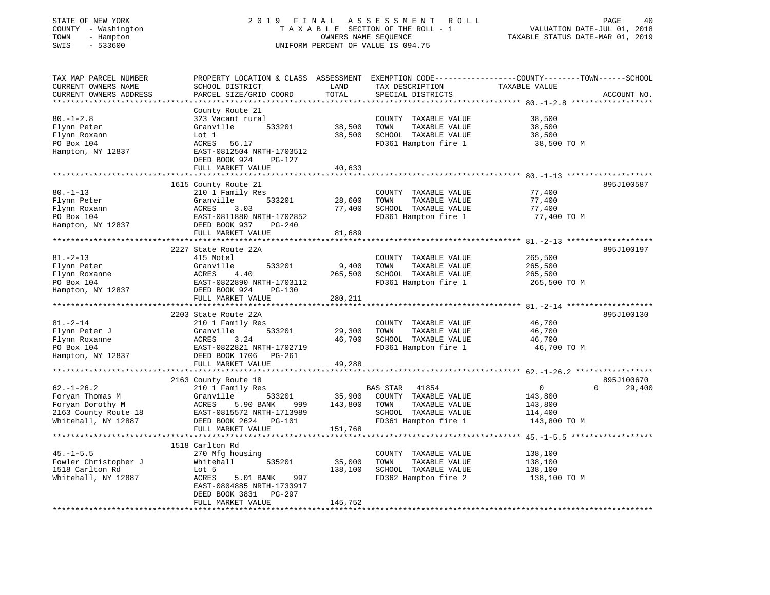| STATE OF NEW YORK |     |                   |
|-------------------|-----|-------------------|
| COUNTY            |     | - Washington      |
| TOWN              | $-$ | Hampton           |
| $\alpha$          |     | $F \cap C \cap C$ |

# STATE OF NEW YORK 2 0 1 9 F I N A L A S S E S S M E N T R O L L PAGE 40 COUNTY - Washington T A X A B L E SECTION OF THE ROLL - 1 VALUATION DATE-JUL 01, 2018 TOWN - Hampton OWNERS NAME SEQUENCE TAXABLE STATUS DATE-MAR 01, 2019 SWIS - 533600 UNIFORM PERCENT OF VALUE IS 094.75

| TAX MAP PARCEL NUMBER  | PROPERTY LOCATION & CLASS ASSESSMENT EXEMPTION CODE----------------COUNTY-------TOWN------SCHOOL |            |                       |                |             |
|------------------------|--------------------------------------------------------------------------------------------------|------------|-----------------------|----------------|-------------|
| CURRENT OWNERS NAME    | SCHOOL DISTRICT                                                                                  | LAND       | TAX DESCRIPTION       | TAXABLE VALUE  |             |
| CURRENT OWNERS ADDRESS | PARCEL SIZE/GRID COORD                                                                           | TOTAL      | SPECIAL DISTRICTS     |                | ACCOUNT NO. |
|                        |                                                                                                  |            |                       |                |             |
|                        | County Route 21                                                                                  |            |                       |                |             |
| $80. - 1 - 2.8$        | 323 Vacant rural                                                                                 |            | COUNTY TAXABLE VALUE  | 38,500         |             |
| Flynn Peter            | 533201<br>Granville                                                                              | 38,500     | TAXABLE VALUE<br>TOWN | 38,500         |             |
| Flynn Roxann           | Lot 1                                                                                            | 38,500     | SCHOOL TAXABLE VALUE  | 38,500         |             |
| PO Box 104             | ACRES<br>56.17                                                                                   |            | FD361 Hampton fire 1  | 38,500 TO M    |             |
| Hampton, NY 12837      | EAST-0812504 NRTH-1703512                                                                        |            |                       |                |             |
|                        | DEED BOOK 924<br>PG-127                                                                          |            |                       |                |             |
|                        | FULL MARKET VALUE                                                                                | 40,633     |                       |                |             |
|                        |                                                                                                  | ********** |                       |                |             |
|                        | 1615 County Route 21                                                                             |            |                       |                | 895J100587  |
| $80. -1 - 13$          |                                                                                                  |            |                       |                |             |
|                        | 210 1 Family Res                                                                                 |            | COUNTY TAXABLE VALUE  | 77,400         |             |
| Flynn Peter            | Granville<br>533201                                                                              | 28,600     | TOWN<br>TAXABLE VALUE | 77,400         |             |
| Flynn Roxann           | 3.03<br>ACRES                                                                                    | 77,400     | SCHOOL TAXABLE VALUE  | 77,400         |             |
| PO Box 104             | EAST-0811880 NRTH-1702852                                                                        |            | FD361 Hampton fire 1  | 77,400 TO M    |             |
| Hampton, NY 12837      | EAST-U811000<br>DEED BOOK 937<br>PG-240                                                          |            |                       |                |             |
|                        | FULL MARKET VALUE                                                                                | 81,689     |                       |                |             |
|                        |                                                                                                  |            |                       |                |             |
|                        | 2227 State Route 22A                                                                             |            |                       |                | 895J100197  |
| $81. - 2 - 13$         | 415 Motel                                                                                        |            | COUNTY TAXABLE VALUE  | 265,500        |             |
| Flynn Peter            | Granville<br>533201                                                                              | 9,400      | TOWN<br>TAXABLE VALUE | 265,500        |             |
| Flynn Roxanne          | 4.40<br>ACRES                                                                                    | 265,500    | SCHOOL TAXABLE VALUE  | 265,500        |             |
| PO Box 104             | EAST-0822890 NRTH-1703112                                                                        |            | FD361 Hampton fire 1  | 265,500 TO M   |             |
| Hampton, NY 12837      | DEED BOOK 924<br>PG-130                                                                          |            |                       |                |             |
|                        | FULL MARKET VALUE                                                                                | 280,211    |                       |                |             |
|                        |                                                                                                  |            |                       |                |             |
|                        | 2203 State Route 22A                                                                             |            |                       |                | 895J100130  |
| $81. - 2 - 14$         | 210 1 Family Res                                                                                 |            | COUNTY TAXABLE VALUE  | 46,700         |             |
| Flynn Peter J          | 533201<br>Granville                                                                              | 29,300     | TOWN<br>TAXABLE VALUE | 46,700         |             |
| Flynn Roxanne          | ACRES<br>3.24                                                                                    | 46,700     | SCHOOL TAXABLE VALUE  | 46,700         |             |
| PO Box 104             | EAST-0822821 NRTH-1702719                                                                        |            | FD361 Hampton fire 1  | 46,700 TO M    |             |
| Hampton, NY 12837      | DEED BOOK 1706 PG-261                                                                            |            |                       |                |             |
|                        | FULL MARKET VALUE                                                                                | 49,288     |                       |                |             |
|                        |                                                                                                  |            |                       |                |             |
|                        | 2163 County Route 18                                                                             |            |                       |                | 895J100670  |
|                        |                                                                                                  |            |                       |                | $\Omega$    |
| $62. - 1 - 26.2$       | 210 1 Family Res                                                                                 |            | BAS STAR 41854        | $\overline{0}$ | 29,400      |
| Foryan Thomas M        | Granville<br>533201                                                                              | 35,900     | COUNTY TAXABLE VALUE  | 143,800        |             |
| Foryan Dorothy M       | ACRES<br>5.90 BANK<br>999                                                                        | 143,800    | TAXABLE VALUE<br>TOWN | 143,800        |             |
| 2163 County Route 18   | EAST-0815572 NRTH-1713989                                                                        |            | SCHOOL TAXABLE VALUE  | 114,400        |             |
| Whitehall, NY 12887    | DEED BOOK 2624 PG-101                                                                            |            | FD361 Hampton fire 1  | 143,800 TO M   |             |
|                        | FULL MARKET VALUE                                                                                | 151,768    |                       |                |             |
|                        |                                                                                                  |            |                       |                |             |
|                        | 1518 Carlton Rd                                                                                  |            |                       |                |             |
| $45. - 1 - 5.5$        | 270 Mfg housing                                                                                  |            | COUNTY TAXABLE VALUE  | 138,100        |             |
| Fowler Christopher J   | 535201<br>Whitehall                                                                              | 35,000     | TOWN<br>TAXABLE VALUE | 138,100        |             |
| 1518 Carlton Rd        | Lot 5                                                                                            | 138,100    | SCHOOL TAXABLE VALUE  | 138,100        |             |
| Whitehall, NY 12887    | ACRES<br>997<br>5.01 BANK                                                                        |            | FD362 Hampton fire 2  | 138,100 TO M   |             |
|                        | EAST-0804885 NRTH-1733917                                                                        |            |                       |                |             |
|                        | PG-297<br>DEED BOOK 3831                                                                         |            |                       |                |             |
|                        | FULL MARKET VALUE                                                                                | 145,752    |                       |                |             |
|                        |                                                                                                  |            |                       |                |             |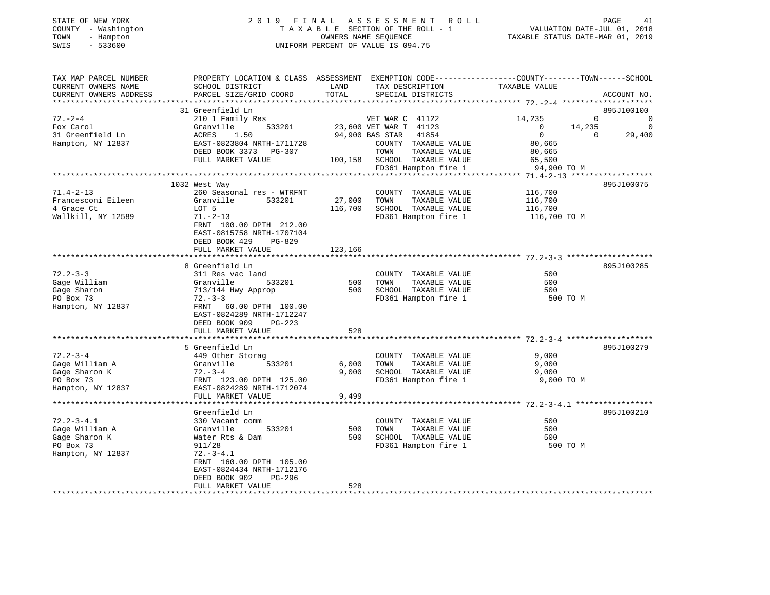| STATE OF NEW YORK<br>COUNTY - Washington<br>TOWN<br>- Hampton<br>SWIS<br>$-533600$                | 2019<br>FINAL<br>TAXABLE SECTION OF THE ROLL - 1<br>UNIFORM PERCENT OF VALUE IS 094.75                                                       | PAGE<br>41<br>VALUATION DATE-JUL 01, 2018<br>TAXABLE STATUS DATE-MAR 01, 2019 |                                              |                         |              |             |
|---------------------------------------------------------------------------------------------------|----------------------------------------------------------------------------------------------------------------------------------------------|-------------------------------------------------------------------------------|----------------------------------------------|-------------------------|--------------|-------------|
| TAX MAP PARCEL NUMBER<br>CURRENT OWNERS NAME<br>CURRENT OWNERS ADDRESS<br>*********************** | PROPERTY LOCATION & CLASS ASSESSMENT EXEMPTION CODE---------------COUNTY-------TOWN------SCHOOL<br>SCHOOL DISTRICT<br>PARCEL SIZE/GRID COORD | LAND<br>TOTAL                                                                 | TAX DESCRIPTION<br>SPECIAL DISTRICTS         | TAXABLE VALUE           |              | ACCOUNT NO. |
|                                                                                                   | 31 Greenfield Ln                                                                                                                             |                                                                               |                                              |                         |              | 895J100100  |
| $72. - 2 - 4$                                                                                     | 210 1 Family Res                                                                                                                             |                                                                               | VET WAR C 41122                              | 14,235                  | $\mathbf{0}$ | 0           |
| Fox Carol                                                                                         | Granville<br>533201                                                                                                                          |                                                                               | 23,600 VET WAR T 41123                       | $\overline{0}$          | 14,235       | $\Omega$    |
| 31 Greenfield Ln                                                                                  | ACRES<br>1.50                                                                                                                                |                                                                               | 94,900 BAS STAR<br>41854                     | $\overline{0}$          | $\Omega$     | 29,400      |
| Hampton, NY 12837                                                                                 | EAST-0823804 NRTH-1711728                                                                                                                    |                                                                               | COUNTY TAXABLE VALUE                         | 80,665                  |              |             |
|                                                                                                   | DEED BOOK 3373 PG-307                                                                                                                        |                                                                               | TOWN<br>TAXABLE VALUE                        | 80,665                  |              |             |
|                                                                                                   | FULL MARKET VALUE                                                                                                                            | 100,158                                                                       | SCHOOL TAXABLE VALUE                         | 65,500                  |              |             |
|                                                                                                   |                                                                                                                                              |                                                                               | FD361 Hampton fire 1                         | 94,900 TO M             |              |             |
|                                                                                                   |                                                                                                                                              |                                                                               |                                              |                         |              |             |
|                                                                                                   | 1032 West Way                                                                                                                                |                                                                               |                                              |                         |              | 895J100075  |
| $71.4 - 2 - 13$                                                                                   | 260 Seasonal res - WTRFNT                                                                                                                    |                                                                               | COUNTY TAXABLE VALUE                         | 116,700                 |              |             |
| Francesconi Eileen                                                                                | Granville<br>533201                                                                                                                          | 27,000                                                                        | TOWN<br>TAXABLE VALUE                        | 116,700                 |              |             |
| 4 Grace Ct<br>Wallkill, NY 12589                                                                  | LOT 5<br>$71. - 2 - 13$                                                                                                                      | 116,700                                                                       | SCHOOL TAXABLE VALUE<br>FD361 Hampton fire 1 | 116,700<br>116,700 TO M |              |             |
|                                                                                                   | FRNT 100.00 DPTH 212.00<br>EAST-0815758 NRTH-1707104<br>DEED BOOK 429<br>PG-829<br>FULL MARKET VALUE                                         | 123,166                                                                       |                                              |                         |              |             |
|                                                                                                   |                                                                                                                                              |                                                                               |                                              |                         |              |             |
|                                                                                                   | 8 Greenfield Ln                                                                                                                              |                                                                               |                                              |                         |              | 895J100285  |
| $72.2 - 3 - 3$                                                                                    | 311 Res vac land                                                                                                                             |                                                                               | COUNTY TAXABLE VALUE                         | 500                     |              |             |
| Gage William                                                                                      | Granville<br>533201                                                                                                                          | 500                                                                           | TAXABLE VALUE<br>TOWN                        | 500                     |              |             |
| Gage Sharon                                                                                       | 713/144 Hwy Approp                                                                                                                           | 500                                                                           | SCHOOL TAXABLE VALUE                         | 500                     |              |             |
| PO Box 73                                                                                         | $72. - 3 - 3$                                                                                                                                |                                                                               | FD361 Hampton fire 1                         | 500 TO M                |              |             |
| Hampton, NY 12837                                                                                 | FRNT 60.00 DPTH 100.00<br>EAST-0824289 NRTH-1712247<br>DEED BOOK 909<br>PG-223                                                               |                                                                               |                                              |                         |              |             |
|                                                                                                   | FULL MARKET VALUE                                                                                                                            | 528                                                                           |                                              |                         |              |             |
|                                                                                                   | 5 Greenfield Ln                                                                                                                              |                                                                               |                                              |                         |              | 895J100279  |
| $72.2 - 3 - 4$                                                                                    | 449 Other Storag                                                                                                                             |                                                                               | COUNTY TAXABLE VALUE                         | 9,000                   |              |             |
| Gage William A                                                                                    | Granville<br>533201                                                                                                                          | 6,000                                                                         | TAXABLE VALUE<br>TOWN                        | 9,000                   |              |             |
| Gage Sharon K                                                                                     | $72 - 3 - 4$                                                                                                                                 | 9,000                                                                         | SCHOOL TAXABLE VALUE                         | 9,000                   |              |             |
| PO Box 73                                                                                         | FRNT 123.00 DPTH 125.00                                                                                                                      |                                                                               | FD361 Hampton fire 1                         | 9,000 TO M              |              |             |
| Hampton, NY 12837                                                                                 | EAST-0824289 NRTH-1712074                                                                                                                    |                                                                               |                                              |                         |              |             |
|                                                                                                   | FULL MARKET VALUE                                                                                                                            | 9,499                                                                         |                                              |                         |              |             |
|                                                                                                   |                                                                                                                                              |                                                                               |                                              |                         |              |             |
|                                                                                                   | Greenfield Ln                                                                                                                                |                                                                               |                                              |                         |              | 895J100210  |
| $72.2 - 3 - 4.1$                                                                                  | 330 Vacant comm                                                                                                                              |                                                                               | COUNTY TAXABLE VALUE                         | 500                     |              |             |
| Gage William A                                                                                    | Granville<br>533201                                                                                                                          | 500                                                                           | TOWN<br>TAXABLE VALUE                        | 500                     |              |             |
| Gage Sharon K                                                                                     | Water Rts & Dam                                                                                                                              | 500                                                                           | SCHOOL TAXABLE VALUE                         | 500                     |              |             |
| PO Box 73                                                                                         | 911/28                                                                                                                                       |                                                                               | FD361 Hampton fire 1                         | 500 TO M                |              |             |
| Hampton, NY 12837                                                                                 | $72. - 3 - 4.1$                                                                                                                              |                                                                               |                                              |                         |              |             |
|                                                                                                   | FRNT 160.00 DPTH 105.00<br>EAST-0824434 NRTH-1712176                                                                                         |                                                                               |                                              |                         |              |             |

528 \*\*\*\*\*\*\*\*\*\*\*\*\*\*\*\*\*\*\*\*\*\*\*\*\*\*\*\*\*\*\*\*\*\*\*\*\*\*\*\*\*\*\*\*\*\*\*\*\*\*\*\*\*\*\*\*\*\*\*\*\*\*\*\*\*\*\*\*\*\*\*\*\*\*\*\*\*\*\*\*\*\*\*\*\*\*\*\*\*\*\*\*\*\*\*\*\*\*\*\*\*\*\*\*\*\*\*\*\*\*\*\*\*\*\*\*\*\*\*\*\*\*\*\*\*\*\*\*\*\*\*\*

DEED BOOK 902 PG-296

FULL MARKET VALUE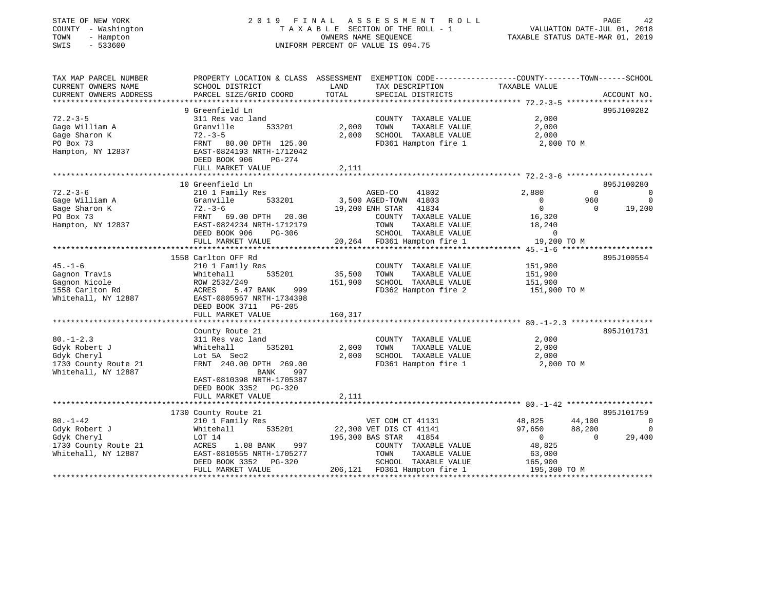| STATE OF NEW YORK                      | 2019<br>F I N A L                                                                                |         | A S S E S S M E N T<br>R O L L                    |                                  | PAGE<br>42                  |
|----------------------------------------|--------------------------------------------------------------------------------------------------|---------|---------------------------------------------------|----------------------------------|-----------------------------|
| COUNTY - Washington                    | TAXABLE SECTION OF THE ROLL - 1                                                                  |         |                                                   |                                  | VALUATION DATE-JUL 01, 2018 |
| TOWN<br>- Hampton<br>SWIS<br>$-533600$ | OWNERS NAME SEQUENCE<br>UNIFORM PERCENT OF VALUE IS 094.75                                       |         |                                                   | TAXABLE STATUS DATE-MAR 01, 2019 |                             |
|                                        |                                                                                                  |         |                                                   |                                  |                             |
| TAX MAP PARCEL NUMBER                  | PROPERTY LOCATION & CLASS ASSESSMENT EXEMPTION CODE----------------COUNTY-------TOWN------SCHOOL |         |                                                   |                                  |                             |
| CURRENT OWNERS NAME                    | SCHOOL DISTRICT                                                                                  | LAND    | TAX DESCRIPTION                                   | TAXABLE VALUE                    |                             |
| CURRENT OWNERS ADDRESS                 | PARCEL SIZE/GRID COORD                                                                           | TOTAL   | SPECIAL DISTRICTS                                 |                                  | ACCOUNT NO.                 |
|                                        |                                                                                                  |         |                                                   |                                  |                             |
|                                        | 9 Greenfield Ln                                                                                  |         |                                                   |                                  | 895J100282                  |
| $72.2 - 3 - 5$                         | 311 Res vac land                                                                                 |         | COUNTY TAXABLE VALUE                              | 2,000                            |                             |
| Gage William A                         | 533201<br>Granville                                                                              | 2,000   | TOWN<br>TAXABLE VALUE                             | 2,000                            |                             |
| Gage Sharon K                          | $72. - 3 - 5$                                                                                    | 2,000   | SCHOOL TAXABLE VALUE                              | 2,000                            |                             |
| PO Box 73<br>Hampton, NY 12837         | FRNT 80.00 DPTH 125.00<br>EAST-0824193 NRTH-1712042                                              |         | FD361 Hampton fire 1                              | 2,000 TO M                       |                             |
|                                        | DEED BOOK 906<br>PG-274                                                                          |         |                                                   |                                  |                             |
|                                        | FULL MARKET VALUE                                                                                | 2,111   |                                                   |                                  |                             |
|                                        | ******************************                                                                   |         |                                                   |                                  |                             |
|                                        | 10 Greenfield Ln                                                                                 |         |                                                   |                                  | 895J100280                  |
| $72.2 - 3 - 6$                         | 210 1 Family Res                                                                                 |         | AGED-CO<br>41802                                  | 2,880                            | $\Omega$<br>$\overline{0}$  |
| Gaqe William A                         | 533201<br>Granville                                                                              |         | 3,500 AGED-TOWN 41803                             | $\mathbf 0$                      | 960<br>$\overline{0}$       |
| Gage Sharon K                          | $72. - 3 - 6$                                                                                    |         | 19,200 ENH STAR<br>41834                          | $\Omega$                         | 19,200<br>$\Omega$          |
| PO Box 73                              | FRNT 69.00 DPTH 20.00                                                                            |         | COUNTY TAXABLE VALUE                              | 16,320                           |                             |
| Hampton, NY 12837                      | EAST-0824234 NRTH-1712179                                                                        |         | TOWN<br>TAXABLE VALUE                             | 18,240                           |                             |
|                                        | DEED BOOK 906<br>PG-306                                                                          |         | SCHOOL TAXABLE VALUE                              | 0                                |                             |
|                                        | FULL MARKET VALUE                                                                                |         | 20,264 FD361 Hampton fire 1                       | 19,200 TO M                      |                             |
|                                        |                                                                                                  |         |                                                   |                                  |                             |
|                                        | 1558 Carlton OFF Rd                                                                              |         |                                                   |                                  | 895J100554                  |
| $45. - 1 - 6$                          | 210 1 Family Res                                                                                 |         | COUNTY TAXABLE VALUE                              | 151,900                          |                             |
| Gaqnon Travis                          | 535201<br>Whitehall                                                                              | 35,500  | TOWN<br>TAXABLE VALUE                             | 151,900                          |                             |
| Gagnon Nicole                          | ROW 2532/249                                                                                     | 151,900 | SCHOOL TAXABLE VALUE                              | 151,900                          |                             |
| 1558 Carlton Rd<br>Whitehall, NY 12887 | ACRES<br>5.47 BANK<br>999<br>EAST-0805957 NRTH-1734398                                           |         | FD362 Hampton fire 2                              | 151,900 TO M                     |                             |
|                                        | DEED BOOK 3711 PG-205                                                                            |         |                                                   |                                  |                             |
|                                        | FULL MARKET VALUE                                                                                | 160,317 |                                                   |                                  |                             |
|                                        | *********************************                                                                |         |                                                   |                                  |                             |
|                                        | County Route 21                                                                                  |         |                                                   |                                  | 895J101731                  |
| $80. - 1 - 2.3$                        | 311 Res vac land                                                                                 |         | COUNTY TAXABLE VALUE                              | 2,000                            |                             |
| Gdyk Robert J                          | 535201<br>Whitehall                                                                              | 2,000   | TAXABLE VALUE<br>TOWN                             | 2,000                            |                             |
| Gdyk Cheryl                            | Lot 5A Sec2                                                                                      | 2,000   | SCHOOL TAXABLE VALUE                              | 2,000                            |                             |
| 1730 County Route 21                   | FRNT 240.00 DPTH 269.00                                                                          |         | FD361 Hampton fire 1                              | 2,000 TO M                       |                             |
| Whitehall, NY 12887                    | BANK<br>997                                                                                      |         |                                                   |                                  |                             |
|                                        | EAST-0810398 NRTH-1705387                                                                        |         |                                                   |                                  |                             |
|                                        | DEED BOOK 3352 PG-320                                                                            |         |                                                   |                                  |                             |
|                                        | FULL MARKET VALUE                                                                                | 2,111   |                                                   |                                  |                             |
|                                        |                                                                                                  |         |                                                   |                                  |                             |
|                                        | 1730 County Route 21                                                                             |         |                                                   |                                  | 895J101759                  |
| $80. - 1 - 42$                         | 210 1 Family Res                                                                                 |         | VET COM CT 41131                                  | 48,825<br>44,100                 | $\overline{\phantom{0}}$    |
| Gdyk Robert J                          | Whitehall<br>535201                                                                              |         | 22,300 VET DIS CT 41141                           | 88,200<br>97,650                 | $\overline{0}$              |
| Gdyk Cheryl<br>1730 County Route 21    | LOT 14<br>ACRES<br>1.08 BANK<br>997                                                              |         | 195,300 BAS STAR<br>41854<br>COUNTY TAXABLE VALUE | $\overline{0}$<br>48,825         | $\Omega$<br>29,400          |
| Whitehall, NY 12887                    | EAST-0810555 NRTH-1705277                                                                        |         | TAXABLE VALUE<br>TOWN                             | 63,000                           |                             |
|                                        | DEED BOOK 3352<br>PG-320                                                                         |         | SCHOOL TAXABLE VALUE                              | 165,900                          |                             |
|                                        | FULL MARKET VALUE                                                                                |         | 206,121 FD361 Hampton fire 1                      | 195,300 TO M                     |                             |
|                                        |                                                                                                  |         |                                                   |                                  |                             |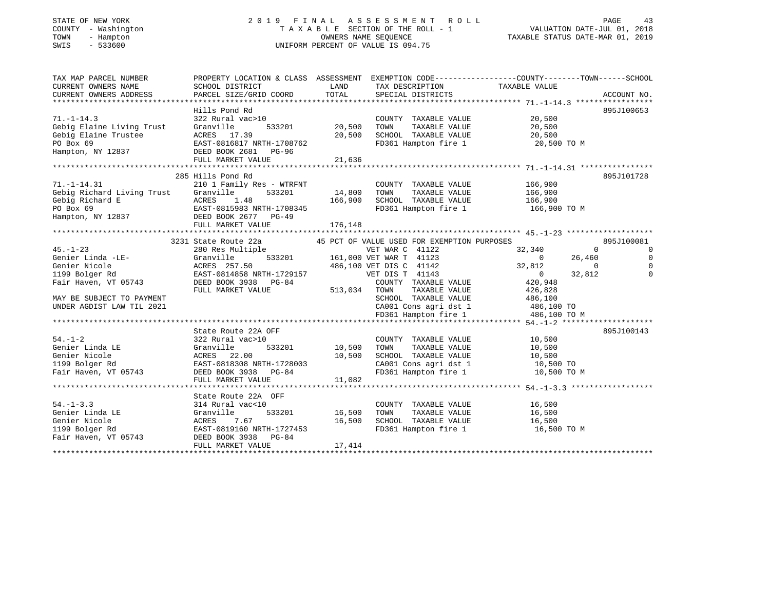# STATE OF NEW YORK 2 0 1 9 F I N A L A S S E S S M E N T R O L L PAGE 43 COUNTY - Washington T A X A B L E SECTION OF THE ROLL - 1 VALUATION DATE-JUL 01, 2018 TOWN - Hampton OWNERS NAME SEQUENCE TAXABLE STATUS DATE-MAR 01, 2019 SWIS - 533600 UNIFORM PERCENT OF VALUE IS 094.75

| TAX MAP PARCEL NUMBER<br>CURRENT OWNERS NAME<br>CURRENT OWNERS ADDRESS                                                            | PROPERTY LOCATION & CLASS ASSESSMENT EXEMPTION CODE----------------COUNTY--------TOWN------SCHOOL<br>SCHOOL DISTRICT<br>PARCEL SIZE/GRID COORD | LAND<br>TOTAL | TAX DESCRIPTION TAXABLE VALUE<br>SPECIAL DISTRICTS                  |                                  | ACCOUNT NO.         |
|-----------------------------------------------------------------------------------------------------------------------------------|------------------------------------------------------------------------------------------------------------------------------------------------|---------------|---------------------------------------------------------------------|----------------------------------|---------------------|
|                                                                                                                                   |                                                                                                                                                |               |                                                                     |                                  |                     |
|                                                                                                                                   | Hills Pond Rd                                                                                                                                  |               |                                                                     |                                  | 895J100653          |
| $71. - 1 - 14.3$                                                                                                                  | 322 Rural vac>10                                                                                                                               |               | COUNTY TAXABLE VALUE                                                | 20,500                           |                     |
| Gebig Elaine Living Trust                                                                                                         | Granville<br>533201                                                                                                                            | 20,500        | TOWN       TAXABLE  VALUE<br>SCHOOL    TAXABLE  VALUE               | 20,500                           |                     |
|                                                                                                                                   |                                                                                                                                                | 20,500        |                                                                     | 20,500                           |                     |
|                                                                                                                                   |                                                                                                                                                |               |                                                                     | FD361 Hampton fire 1 20,500 TO M |                     |
| Gebig Elaine Trustee<br>Po Box 69<br>Hampton, NY 12837<br>Hampton, NY 12837<br>BEED BOOK 2681<br>PG-96<br>BEED BOOK 2681<br>PG-96 |                                                                                                                                                |               |                                                                     |                                  |                     |
|                                                                                                                                   |                                                                                                                                                |               |                                                                     |                                  |                     |
|                                                                                                                                   |                                                                                                                                                |               |                                                                     |                                  |                     |
|                                                                                                                                   | 285 Hills Pond Rd                                                                                                                              |               |                                                                     |                                  | 895J101728          |
| $71. - 1 - 14.31$                                                                                                                 | 210 1 Family Res - WTRFNT                                                                                                                      |               | COUNTY TAXABLE VALUE                                                | 166,900                          |                     |
| Gebig Richard Living Trust Granville                                                                                              | 533201                                                                                                                                         | 14,800        | TAXABLE VALUE<br>TAXABLE VALUE<br>TOWN                              | 166,900                          |                     |
|                                                                                                                                   |                                                                                                                                                | 166,900       | SCHOOL TAXABLE VALUE 166,900                                        |                                  |                     |
|                                                                                                                                   |                                                                                                                                                |               | FD361 Hampton fire 1                                                | 166,900 TO M                     |                     |
| Gebig Richard E<br>PO Box 69<br>Hampton, NY 12837<br>Hampton, NY 12837<br>DEED BOOK 2677<br>PG-49                                 |                                                                                                                                                |               |                                                                     |                                  |                     |
|                                                                                                                                   | FULL MARKET VALUE                                                                                                                              | 176,148       |                                                                     |                                  |                     |
|                                                                                                                                   |                                                                                                                                                |               |                                                                     |                                  |                     |
|                                                                                                                                   |                                                                                                                                                |               |                                                                     |                                  | 895J100081          |
| $45. -1 - 23$                                                                                                                     | 3231 State Route 22a 45 PCT OF VALUE USED FOR EXEMPTION PURPOSES 280 Res Multiple 6 VET WAR C 41122 3                                          |               |                                                                     | 32,340                           | $\overline{0}$<br>0 |
| Genier Linda -LE-                                                                                                                 | Granville                                                                                                                                      |               | 533201 161,000 VET WAR T 41123                                      | $\overline{0}$<br>26,460         |                     |
| Genier Nicole                                                                                                                     |                                                                                                                                                |               |                                                                     | 32,812<br>$\sim$ 0               |                     |
| 1199 Bolger Rd                                                                                                                    | ACRES 257.50 486,100 VET DIS C 41142<br>EAST-0814858 NRTH-1729157 VET DIS T 41143                                                              |               |                                                                     | $\overline{0}$<br>32,812         | $\Omega$            |
| Fair Haven, VT 05743                                                                                                              |                                                                                                                                                |               | COUNTY TAXABLE VALUE 420,948                                        |                                  |                     |
|                                                                                                                                   | DEED BOOK 3938 PG-84                                                                                                                           |               |                                                                     |                                  |                     |
|                                                                                                                                   | FULL MARKET VALUE                                                                                                                              | 513,034 TOWN  | TAXABLE VALUE<br>SCHOOL TAXABLE VALUE 486,100                       | 426,828                          |                     |
| MAY BE SUBJECT TO PAYMENT                                                                                                         |                                                                                                                                                |               |                                                                     |                                  |                     |
| UNDER AGDIST LAW TIL 2021                                                                                                         |                                                                                                                                                |               | CA001 Cons agri dst 1 486,100 TO<br>FD361 Hampton fire 1 486,100 TO |                                  |                     |
|                                                                                                                                   |                                                                                                                                                |               |                                                                     | 486,100 TO M                     |                     |
|                                                                                                                                   |                                                                                                                                                |               |                                                                     |                                  |                     |
|                                                                                                                                   | State Route 22A OFF                                                                                                                            |               |                                                                     |                                  | 895J100143          |
| $54. - 1 - 2$                                                                                                                     | 322 Rural vac>10                                                                                                                               |               | COUNTY TAXABLE VALUE                                                | 10,500                           |                     |
|                                                                                                                                   |                                                                                                                                                | 10,500        | TOWN<br>TOWN      TAXABLE  VALUE<br>SCHOOL    TAXABLE  VALUE        | 10,500                           |                     |
|                                                                                                                                   |                                                                                                                                                | 10,500        |                                                                     | 10,500                           |                     |
|                                                                                                                                   |                                                                                                                                                |               | CA001 Cons agri dst 1 $10,500$ TO                                   |                                  |                     |
|                                                                                                                                   |                                                                                                                                                |               | FD361 Hampton fire 1                                                | 10,500 TO M                      |                     |
|                                                                                                                                   | FULL MARKET VALUE                                                                                                                              | 11,082        |                                                                     |                                  |                     |
|                                                                                                                                   |                                                                                                                                                |               |                                                                     |                                  |                     |
|                                                                                                                                   | State Route 22A OFF                                                                                                                            |               |                                                                     |                                  |                     |
| $54. - 1 - 3.3$                                                                                                                   | 314 Rural vac<10                                                                                                                               |               | COUNTY TAXABLE VALUE                                                | 16,500                           |                     |
| Genier Linda LE                                                                                                                   | 533201<br>Granville                                                                                                                            | 16,500        | TAXABLE VALUE<br>TOWN                                               | 16,500                           |                     |
| Genier Nicole                                                                                                                     | ACRES<br>7.67                                                                                                                                  | 16,500        | SCHOOL TAXABLE VALUE                                                | 16,500                           |                     |
| 1199 Bolger Rd                                                                                                                    | EAST-0819160 NRTH-1727453                                                                                                                      |               | FD361 Hampton fire 1                                                | 16,500 TO M                      |                     |
| Fair Haven, VT 05743                                                                                                              | DEED BOOK 3938 PG-84                                                                                                                           |               |                                                                     |                                  |                     |
|                                                                                                                                   | FULL MARKET VALUE                                                                                                                              | 17,414        |                                                                     |                                  |                     |
|                                                                                                                                   |                                                                                                                                                |               |                                                                     |                                  |                     |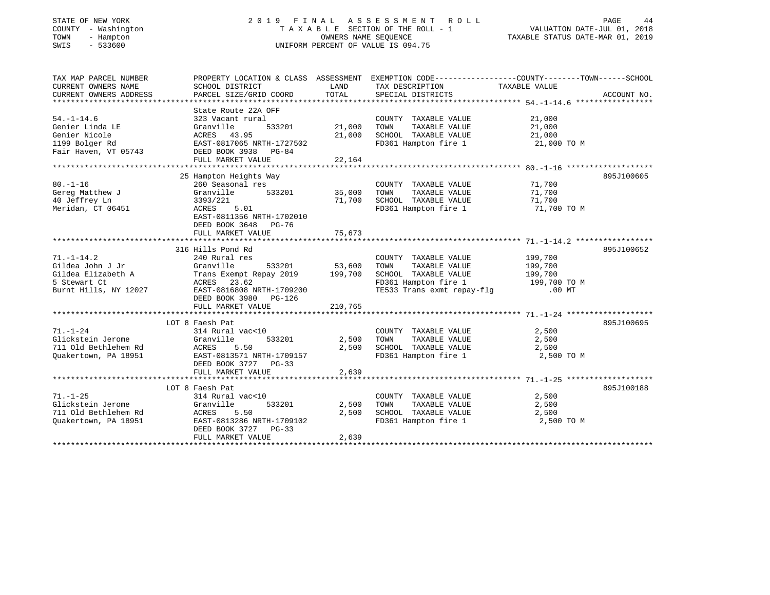# STATE OF NEW YORK 2 0 1 9 F I N A L A S S E S S M E N T R O L L PAGE 44 COUNTY - Washington T A X A B L E SECTION OF THE ROLL - 1 VALUATION DATE-JUL 01, 2018 TOWN - Hampton OWNERS NAME SEQUENCE TAXABLE STATUS DATE-MAR 01, 2019 SWIS - 533600 UNIFORM PERCENT OF VALUE IS 094.75

| TAX MAP PARCEL NUMBER  |                                                                              |         | PROPERTY LOCATION & CLASS ASSESSMENT EXEMPTION CODE---------------COUNTY-------TOWN------SCHOOL |               |             |
|------------------------|------------------------------------------------------------------------------|---------|-------------------------------------------------------------------------------------------------|---------------|-------------|
| CURRENT OWNERS NAME    | SCHOOL DISTRICT                                                              | LAND    | TAX DESCRIPTION                                                                                 | TAXABLE VALUE |             |
| CURRENT OWNERS ADDRESS | PARCEL SIZE/GRID COORD                                                       | TOTAL   | SPECIAL DISTRICTS                                                                               |               | ACCOUNT NO. |
|                        |                                                                              |         |                                                                                                 |               |             |
|                        | State Route 22A OFF                                                          |         |                                                                                                 |               |             |
| $54. - 1 - 14.6$       | 323 Vacant rural                                                             |         | COUNTY TAXABLE VALUE                                                                            | 21,000        |             |
| Genier Linda LE        | Granville<br>533201                                                          | 21,000  | TAXABLE VALUE<br>TOWN                                                                           | 21,000        |             |
| Genier Nicole          | ACRES 43.95                                                                  | 21,000  | SCHOOL TAXABLE VALUE                                                                            | 21,000        |             |
| 1199 Bolger Rd         | EAST-0817065 NRTH-1727502<br>EAST-0817065 NRTH-17275<br>DEED BOOK 3938 PG-84 |         | FD361 Hampton fire 1                                                                            | 21,000 TO M   |             |
| Fair Haven, VT 05743   |                                                                              |         |                                                                                                 |               |             |
|                        | FULL MARKET VALUE                                                            | 22,164  |                                                                                                 |               |             |
|                        |                                                                              |         |                                                                                                 |               |             |
|                        | 25 Hampton Heights Way                                                       |         |                                                                                                 |               | 895J100605  |
| $80. - 1 - 16$         | 260 Seasonal res                                                             |         | COUNTY TAXABLE VALUE                                                                            | 71,700        |             |
| Gereg Matthew J        | Granville 533201                                                             | 35,000  | TOWN<br>TAXABLE VALUE                                                                           | 71,700        |             |
| 40 Jeffrey Ln          | 3393/221                                                                     | 71,700  | SCHOOL TAXABLE VALUE                                                                            | 71,700        |             |
| Meridan, CT 06451      | ACRES<br>5.01                                                                |         | FD361 Hampton fire 1 71,700 TO M                                                                |               |             |
|                        | EAST-0811356 NRTH-1702010                                                    |         |                                                                                                 |               |             |
|                        | DEED BOOK 3648<br>PG-76                                                      |         |                                                                                                 |               |             |
|                        | FULL MARKET VALUE                                                            | 75,673  |                                                                                                 |               |             |
|                        |                                                                              |         |                                                                                                 |               |             |
|                        | 316 Hills Pond Rd                                                            |         |                                                                                                 |               | 895J100652  |
| $71. - 1 - 14.2$       | 240 Rural res                                                                |         | COUNTY TAXABLE VALUE                                                                            | 199,700       |             |
| Gildea John J Jr       | Granville<br>533201                                                          | 53,600  | TAXABLE VALUE<br>TOWN                                                                           | 199,700       |             |
|                        | Gildea Elizabeth A Trans Exempt Repay 2019 199,700                           |         | SCHOOL TAXABLE VALUE                                                                            | 199,700       |             |
| 5 Stewart Ct           | ACRES 23.62                                                                  |         | FD361 Hampton fire 1 199,700 TO M<br>TE533 Trans exmt repay-flg .00 MT                          |               |             |
| Burnt Hills, NY 12027  | EAST-0816808 NRTH-1709200                                                    |         |                                                                                                 |               |             |
|                        | DEED BOOK 3980 PG-126                                                        |         |                                                                                                 |               |             |
|                        | FULL MARKET VALUE                                                            | 210,765 |                                                                                                 |               |             |
|                        |                                                                              |         |                                                                                                 |               |             |
|                        | LOT 8 Faesh Pat                                                              |         |                                                                                                 |               | 895J100695  |
| $71. - 1 - 24$         | 314 Rural vac<10                                                             |         | COUNTY TAXABLE VALUE                                                                            | 2,500         |             |
| Glickstein Jerome      | Granville<br>533201                                                          | 2,500   | TOWN<br>TAXABLE VALUE                                                                           | 2,500         |             |
| 711 Old Bethlehem Rd   | ACRES<br>5.50                                                                | 2,500   | SCHOOL TAXABLE VALUE                                                                            | 2,500         |             |
| Ouakertown, PA 18951   | EAST-0813571 NRTH-1709157                                                    |         | FD361 Hampton fire 1                                                                            | 2,500 TO M    |             |
|                        | DEED BOOK 3727 PG-33                                                         |         |                                                                                                 |               |             |
|                        | FULL MARKET VALUE                                                            | 2,639   |                                                                                                 |               |             |
|                        |                                                                              |         |                                                                                                 |               |             |
|                        | LOT 8 Faesh Pat                                                              |         |                                                                                                 |               | 895J100188  |
| $71. - 1 - 25$         | 314 Rural vac<10                                                             |         | COUNTY TAXABLE VALUE                                                                            | 2,500         |             |
| Glickstein Jerome      | 533201<br>Granville                                                          | 2,500   | TAXABLE VALUE<br>TOWN                                                                           | 2,500         |             |
| 711 Old Bethlehem Rd   | ACRES<br>5.50                                                                | 2,500   | SCHOOL TAXABLE VALUE                                                                            | 2,500         |             |
| Quakertown, PA 18951   | EAST-0813286 NRTH-1709102                                                    |         | FD361 Hampton fire 1                                                                            | 2,500 TO M    |             |
|                        | DEED BOOK 3727 PG-33                                                         |         |                                                                                                 |               |             |
|                        | FULL MARKET VALUE                                                            | 2,639   |                                                                                                 |               |             |
|                        |                                                                              |         |                                                                                                 |               |             |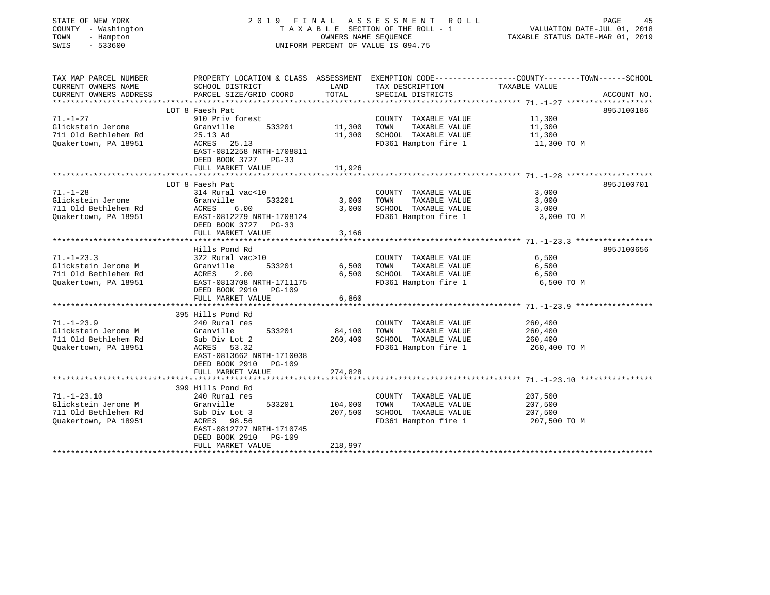| STATE OF NEW YORK<br>COUNTY - Washington<br>- Hampton<br>TOWN<br>SWIS<br>$-533600$       |                                                                                                                                                                            | OWNERS NAME SEQUENCE          | 2019 FINAL ASSESSMENT<br>R O L L<br>TAXABLE SECTION OF THE ROLL - 1<br>UNIFORM PERCENT OF VALUE IS 094.75 | PAGE<br>45<br>VALUATION DATE-JUL 01, 2018<br>TAXABLE STATUS DATE-MAR 01, 2019                                                   |
|------------------------------------------------------------------------------------------|----------------------------------------------------------------------------------------------------------------------------------------------------------------------------|-------------------------------|-----------------------------------------------------------------------------------------------------------|---------------------------------------------------------------------------------------------------------------------------------|
| TAX MAP PARCEL NUMBER<br>CURRENT OWNERS NAME<br>CURRENT OWNERS ADDRESS                   | SCHOOL DISTRICT<br>PARCEL SIZE/GRID COORD                                                                                                                                  | LAND<br>TOTAL                 | TAX DESCRIPTION<br>SPECIAL DISTRICTS                                                                      | PROPERTY LOCATION & CLASS ASSESSMENT EXEMPTION CODE---------------COUNTY-------TOWN------SCHOOL<br>TAXABLE VALUE<br>ACCOUNT NO. |
| $71. - 1 - 27$<br>Glickstein Jerome<br>711 Old Bethlehem Rd<br>Ouakertown, PA 18951      | LOT 8 Faesh Pat<br>910 Priv forest<br>533201<br>Granville<br>25.13 Ad<br>ACRES<br>25.13<br>EAST-0812258 NRTH-1708811<br>DEED BOOK 3727 PG-33<br>FULL MARKET VALUE          | 11,300<br>11,300<br>11,926    | COUNTY TAXABLE VALUE<br>TAXABLE VALUE<br>TOWN<br>SCHOOL TAXABLE VALUE<br>FD361 Hampton fire 1             | 895J100186<br>11,300<br>11,300<br>11,300<br>11,300 TO M                                                                         |
|                                                                                          | LOT 8 Faesh Pat                                                                                                                                                            |                               |                                                                                                           | 895J100701                                                                                                                      |
| $71. - 1 - 28$<br>Glickstein Jerome<br>711 Old Bethlehem Rd<br>Quakertown, PA 18951      | 314 Rural vac<10<br>Granville<br>533201<br>ACRES<br>6.00<br>EAST-0812279 NRTH-1708124<br>DEED BOOK 3727 PG-33<br>FULL MARKET VALUE                                         | 3,000<br>3,000<br>3,166       | COUNTY TAXABLE VALUE<br>TAXABLE VALUE<br>TOWN<br>SCHOOL TAXABLE VALUE<br>FD361 Hampton fire 1             | 3,000<br>3,000<br>3,000<br>3,000 TO M                                                                                           |
|                                                                                          |                                                                                                                                                                            |                               |                                                                                                           |                                                                                                                                 |
| $71. - 1 - 23.3$<br>Glickstein Jerome M<br>711 Old Bethlehem Rd<br>Quakertown, PA 18951  | Hills Pond Rd<br>322 Rural vac>10<br>Granville<br>533201<br>ACRES<br>2.00<br>EAST-0813708 NRTH-1711175<br>DEED BOOK 2910 PG-109                                            | 6,500<br>6,500                | COUNTY TAXABLE VALUE<br>TAXABLE VALUE<br>TOWN<br>SCHOOL TAXABLE VALUE<br>FD361 Hampton fire 1             | 895J100656<br>6,500<br>6,500<br>6,500<br>6,500 TO M                                                                             |
|                                                                                          | FULL MARKET VALUE                                                                                                                                                          | 6,860                         |                                                                                                           |                                                                                                                                 |
| $71. - 1 - 23.9$<br>Glickstein Jerome M<br>711 Old Bethlehem Rd<br>Quakertown, PA 18951  | 395 Hills Pond Rd<br>240 Rural res<br>Granville<br>533201<br>Sub Div Lot 2<br>53.32<br>ACRES<br>EAST-0813662 NRTH-1710038<br>DEED BOOK 2910<br>PG-109<br>FULL MARKET VALUE | 84,100<br>260,400<br>274,828  | COUNTY TAXABLE VALUE<br>TOWN<br>TAXABLE VALUE<br>SCHOOL TAXABLE VALUE<br>FD361 Hampton fire 1             | 260,400<br>260,400<br>260,400<br>260,400 TO M                                                                                   |
|                                                                                          | *******************                                                                                                                                                        |                               |                                                                                                           |                                                                                                                                 |
| $71. - 1 - 23.10$<br>Glickstein Jerome M<br>711 Old Bethlehem Rd<br>Quakertown, PA 18951 | 399 Hills Pond Rd<br>240 Rural res<br>533201<br>Granville<br>Sub Div Lot 3<br>ACRES 98.56<br>EAST-0812727 NRTH-1710745<br>DEED BOOK 2910<br>PG-109<br>FULL MARKET VALUE    | 104,000<br>207,500<br>218,997 | COUNTY TAXABLE VALUE<br>TOWN<br>TAXABLE VALUE<br>SCHOOL TAXABLE VALUE<br>FD361 Hampton fire 1             | 207,500<br>207,500<br>207,500<br>207,500 TO M                                                                                   |
|                                                                                          |                                                                                                                                                                            |                               |                                                                                                           |                                                                                                                                 |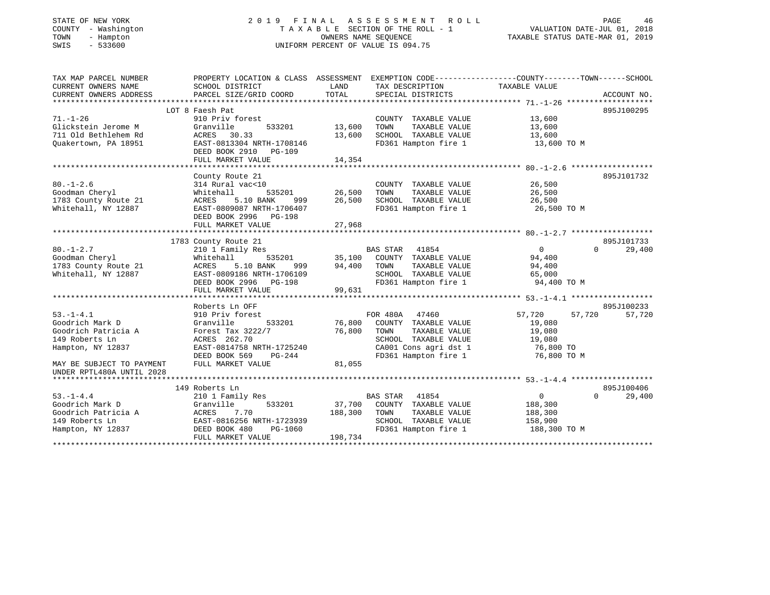# STATE OF NEW YORK 2 0 1 9 F I N A L A S S E S S M E N T R O L L PAGE 46 COUNTY - Washington T A X A B L E SECTION OF THE ROLL - 1 VALUATION DATE-JUL 01, 2018 TOWN - Hampton OWNERS NAME SEQUENCE TAXABLE STATUS DATE-MAR 01, 2019 SWIS - 533600 UNIFORM PERCENT OF VALUE IS 094.75

| TAX MAP PARCEL NUMBER     | PROPERTY LOCATION & CLASS ASSESSMENT EXEMPTION CODE----------------COUNTY-------TOWN------SCHOOL |               |                                                                                  |                  |                    |
|---------------------------|--------------------------------------------------------------------------------------------------|---------------|----------------------------------------------------------------------------------|------------------|--------------------|
| CURRENT OWNERS NAME       | SCHOOL DISTRICT                                                                                  | LAND          | TAX DESCRIPTION                                                                  | TAXABLE VALUE    |                    |
| CURRENT OWNERS ADDRESS    | PARCEL SIZE/GRID COORD                                                                           | TOTAL         | SPECIAL DISTRICTS                                                                |                  | ACCOUNT NO.        |
|                           |                                                                                                  |               |                                                                                  |                  |                    |
|                           | LOT 8 Faesh Pat                                                                                  |               |                                                                                  |                  | 895J100295         |
| $71. - 1 - 26$            | 910 Priv forest                                                                                  |               | COUNTY TAXABLE VALUE                                                             | 13,600           |                    |
| Glickstein Jerome M       | Granville                                                                                        | 533201 13,600 | TOWN<br>TAXABLE VALUE                                                            | 13,600           |                    |
| 711 Old Bethlehem Rd      | ACRES 30.33                                                                                      | 13,600        | SCHOOL TAXABLE VALUE                                                             | 13,600           |                    |
| Ouakertown, PA 18951      | EAST-0813304 NRTH-1708146                                                                        |               | FD361 Hampton fire 1                                                             | 13,600 TO M      |                    |
|                           | DEED BOOK 2910 PG-109                                                                            |               |                                                                                  |                  |                    |
|                           | FULL MARKET VALUE                                                                                | 14,354        |                                                                                  |                  |                    |
|                           |                                                                                                  |               |                                                                                  |                  |                    |
|                           | County Route 21                                                                                  |               |                                                                                  |                  | 895J101732         |
| $80. - 1 - 2.6$           | 314 Rural vac<10                                                                                 |               | COUNTY TAXABLE VALUE                                                             | 26,500           |                    |
| Goodman Cheryl            | Whitehall                                                                                        |               | TAXABLE VALUE                                                                    | 26,500           |                    |
| 1783 County Route 21      | 5.10 BANK<br>ACRES                                                                               |               | 999 26,500 SCHOOL TAXABLE VALUE                                                  | 26,500           |                    |
| Whitehall, NY 12887       | EAST-0809087 NRTH-1706407                                                                        |               | FD361 Hampton fire 1                                                             | 26,500 TO M      |                    |
|                           | DEED BOOK 2996 PG-198                                                                            |               |                                                                                  |                  |                    |
|                           | FULL MARKET VALUE                                                                                | 27,968        |                                                                                  |                  |                    |
|                           |                                                                                                  |               |                                                                                  |                  | 895J101733         |
| $80. - 1 - 2.7$           | 1783 County Route 21                                                                             |               |                                                                                  | $\overline{0}$   | $\Omega$<br>29,400 |
| Goodman Cheryl            | 210 1 Family Res<br>Whitehall                                                                    |               |                                                                                  | 94,400           |                    |
| 1783 County Route 21      | 5.10 BANK<br>ACRES                                                                               |               |                                                                                  | 94,400           |                    |
| Whitehall, NY 12887       | EAST-0809186 NRTH-1706109                                                                        |               |                                                                                  | 65,000           |                    |
|                           | DEED BOOK 2996 PG-198                                                                            |               | SCHOOL TAXABLE VALUE<br>FD361 Hampton fire 1                                     | 94,400 TO M      |                    |
|                           | FULL MARKET VALUE                                                                                | 99,631        |                                                                                  |                  |                    |
|                           |                                                                                                  |               |                                                                                  |                  |                    |
|                           | Roberts Ln OFF                                                                                   |               |                                                                                  |                  | 895J100233         |
| $53. -1 - 4.1$            | 910 Priv forest                                                                                  |               |                                                                                  | 57,720<br>57,720 | 57,720             |
| Goodrich Mark D           | 533201<br>Granville                                                                              |               | FOR 480A 47460<br>33201 76,800 COUNTY TAXABLE VALUE<br>76,800 TOWN TAXABLE VALUE | 19,080           |                    |
| Goodrich Patricia A       | Forest Tax 3222/7                                                                                |               |                                                                                  | 19,080           |                    |
| 149 Roberts Ln            | ACRES 262.70                                                                                     |               | SCHOOL TAXABLE VALUE                                                             | 19,080           |                    |
| Hampton, NY 12837         | EAST-0814758 NRTH-1725240                                                                        |               |                                                                                  | 76,800 TO        |                    |
|                           | DEED BOOK 569<br>PG-244                                                                          |               | CA001 Cons agri dst 1<br>FD361 Hampton fire 1                                    | 76,800 TO M      |                    |
| MAY BE SUBJECT TO PAYMENT | FULL MARKET VALUE                                                                                | 81,055        |                                                                                  |                  |                    |
| UNDER RPTL480A UNTIL 2028 |                                                                                                  |               |                                                                                  |                  |                    |
|                           |                                                                                                  |               |                                                                                  |                  |                    |
|                           | 149 Roberts Ln                                                                                   |               |                                                                                  |                  | 895J100406         |
| $53. -1 - 4.4$            | 210 1 Family Res                                                                                 |               | BAS STAR 41854                                                                   | $\sim$ 0         | $\Omega$<br>29,400 |
| Goodrich Mark D           | Granville                                                                                        |               | 533201 37,700 COUNTY TAXABLE VALUE 188,300                                       |                  |                    |
| Goodrich Patricia A       |                                                                                                  |               |                                                                                  | 188,300          |                    |
| 149 Roberts Ln            | ACRES 7.70 188,300 TOWN<br>EAST-0816256 NRTH-1723939 SCHOOL                                      |               | TOWN TAXABLE VALUE<br>SCHOOL TAXABLE VALUE                                       | 158,900          |                    |
| Hampton, NY 12837         | DEED BOOK 480<br>PG-1060                                                                         |               | FD361 Hampton fire 1                                                             | 188,300 TO M     |                    |
|                           | FULL MARKET VALUE                                                                                | 198,734       |                                                                                  |                  |                    |
|                           |                                                                                                  |               |                                                                                  |                  |                    |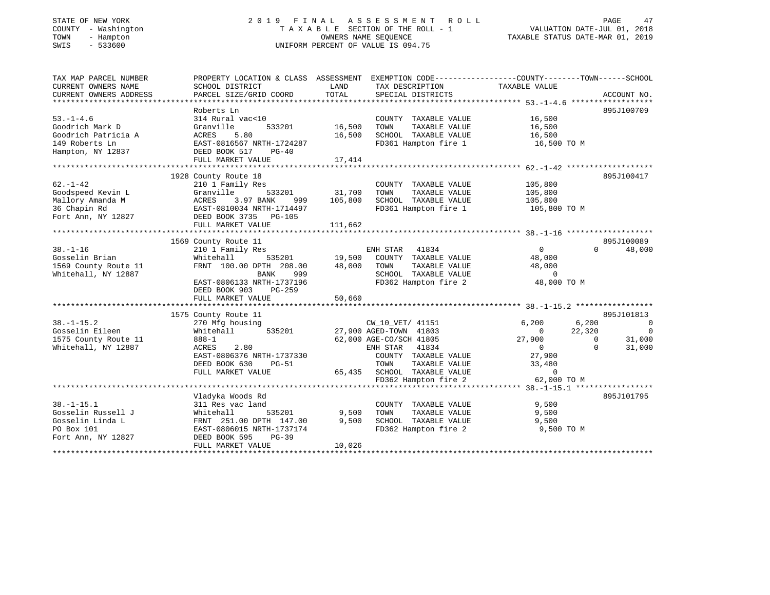| STATE OF NEW YORK |                          |                   |            |
|-------------------|--------------------------|-------------------|------------|
| COUNTY            | $\overline{\phantom{0}}$ |                   | Washington |
| TOWN              |                          |                   | - Hampton  |
| $\alpha$          |                          | $F \cap T \cap P$ |            |

# STATE OF NEW YORK 2 0 1 9 F I N A L A S S E S S M E N T R O L L PAGE 47 COUNTY - Washington T A X A B L E SECTION OF THE ROLL - 1 VALUATION DATE-JUL 01, 2018 TOWN - Hampton OWNERS NAME SEQUENCE TAXABLE STATUS DATE-MAR 01, 2019 SWIS - 533600 UNIFORM PERCENT OF VALUE IS 094.75

| TAX MAP PARCEL NUMBER  | PROPERTY LOCATION & CLASS ASSESSMENT EXEMPTION CODE---------------COUNTY-------TOWN------SCHOOL |               |                                   |                          |                                  |
|------------------------|-------------------------------------------------------------------------------------------------|---------------|-----------------------------------|--------------------------|----------------------------------|
| CURRENT OWNERS NAME    | SCHOOL DISTRICT                                                                                 | LAND          | TAX DESCRIPTION                   | TAXABLE VALUE            |                                  |
| CURRENT OWNERS ADDRESS | PARCEL SIZE/GRID COORD                                                                          | TOTAL         | SPECIAL DISTRICTS                 |                          | ACCOUNT NO.                      |
|                        |                                                                                                 |               |                                   |                          |                                  |
|                        | Roberts Ln                                                                                      |               |                                   |                          | 895J100709                       |
| $53. - 1 - 4.6$        | 314 Rural vac<10                                                                                |               | COUNTY TAXABLE VALUE              | 16,500                   |                                  |
| Goodrich Mark D        | 533201<br>Granville                                                                             | 16,500        | TOWN<br>TAXABLE VALUE             | 16,500                   |                                  |
| Goodrich Patricia A    | ACRES<br>5.80                                                                                   | 16,500        | SCHOOL TAXABLE VALUE              | 16,500                   |                                  |
| 149 Roberts Ln         | EAST-0816567 NRTH-1724287                                                                       |               | FD361 Hampton fire 1              | 16,500 TO M              |                                  |
| Hampton, NY 12837      | DEED BOOK 517<br>$PG-40$                                                                        |               |                                   |                          |                                  |
|                        | FULL MARKET VALUE                                                                               | 17,414        |                                   |                          |                                  |
|                        |                                                                                                 |               |                                   |                          |                                  |
|                        | 1928 County Route 18                                                                            |               |                                   |                          | 895J100417                       |
| $62. - 1 - 42$         |                                                                                                 |               | COUNTY TAXABLE VALUE              | 105,800                  |                                  |
| Goodspeed Kevin L      | 210 1 Family Res<br>Granville                                                                   | 533201 31,700 | TAXABLE VALUE<br>TOWN             | 105,800                  |                                  |
| Mallory Amanda M       | 3.97 BANK<br>ACRES<br>999                                                                       | 105,800       | SCHOOL TAXABLE VALUE              |                          |                                  |
|                        |                                                                                                 |               |                                   | 105,800                  |                                  |
| 36 Chapin Rd           | EAST-0810034 NRTH-1714497<br>DEED BOOK 3735 PG-105                                              |               | FD361 Hampton fire 1 105,800 TO M |                          |                                  |
| Fort Ann, NY 12827     |                                                                                                 |               |                                   |                          |                                  |
|                        | FULL MARKET VALUE                                                                               | 111,662       |                                   |                          |                                  |
|                        |                                                                                                 |               |                                   |                          |                                  |
|                        | 1569 County Route 11                                                                            |               |                                   |                          | 895J100089                       |
| $38. - 1 - 16$         | 210 1 Family Res                                                                                |               | ENH STAR<br>41834                 | $\overline{0}$           | $\Omega$<br>48,000               |
| Gosselin Brian         | 535201<br>Whitehall                                                                             |               | 19,500 COUNTY TAXABLE VALUE       | 48,000                   |                                  |
| 1569 County Route 11   | FRNT 100.00 DPTH 208.00                                                                         | 48,000        | TAXABLE VALUE<br>TOWN             | 48,000                   |                                  |
| Whitehall, NY 12887    | BANK<br>999                                                                                     |               | SCHOOL TAXABLE VALUE              | $\overline{0}$           |                                  |
|                        | EAST-0806133 NRTH-1737196                                                                       |               | FD362 Hampton fire 2              | 48,000 TO M              |                                  |
|                        | DEED BOOK 903<br>$PG-259$                                                                       |               |                                   |                          |                                  |
|                        | FULL MARKET VALUE                                                                               | 50,660        |                                   |                          |                                  |
|                        |                                                                                                 |               |                                   |                          |                                  |
|                        | 1575 County Route 11                                                                            |               |                                   |                          | 895J101813                       |
| $38. - 1 - 15.2$       | 270 Mfg housing                                                                                 |               | CW_10_VET/ 41151                  | 6,200                    | 6,200<br>$\overline{\mathbf{0}}$ |
| Gosselin Eileen        | Whitehall                                                                                       |               | 535201 27,900 AGED-TOWN 41803     | 22,320<br>$\overline{0}$ | 0                                |
| 1575 County Route 11   | 888-1                                                                                           |               | 62,000 AGE-CO/SCH 41805           | 27,900                   | 31,000<br>$\overline{0}$         |
| Whitehall, NY 12887    | 2.80<br>ACRES                                                                                   |               | ENH STAR 41834                    | $\overline{0}$           | $\Omega$<br>31,000               |
|                        | EAST-0806376 NRTH-1737330                                                                       |               | COUNTY TAXABLE VALUE              | 27,900                   |                                  |
|                        | DEED BOOK 630<br>PG-51                                                                          |               | TAXABLE VALUE<br>TOWN             | 33,480                   |                                  |
|                        | FULL MARKET VALUE                                                                               |               | 65,435 SCHOOL TAXABLE VALUE       | $\overline{0}$           |                                  |
|                        |                                                                                                 |               | FD362 Hampton fire 2              | 62,000 TO M              |                                  |
|                        |                                                                                                 |               |                                   |                          |                                  |
|                        | Vladyka Woods Rd                                                                                |               |                                   |                          | 895J101795                       |
| $38. - 1 - 15.1$       | 311 Res vac land                                                                                |               | COUNTY TAXABLE VALUE              | 9,500                    |                                  |
| Gosselin Russell J     | Whitehall<br>535201                                                                             | 9,500         | TOWN<br>TAXABLE VALUE             | 9,500                    |                                  |
| Gosselin Linda L       | FRNT 251.00 DPTH 147.00                                                                         | 9,500         | SCHOOL TAXABLE VALUE              | 9,500                    |                                  |
| PO Box 101             | EAST-0806015 NRTH-1737174                                                                       |               | FD362 Hampton fire 2              | 9,500 TO M               |                                  |
| Fort Ann, NY 12827     | DEED BOOK 595<br>$PG-39$                                                                        |               |                                   |                          |                                  |
|                        | FULL MARKET VALUE                                                                               | 10,026        |                                   |                          |                                  |
|                        |                                                                                                 |               |                                   |                          |                                  |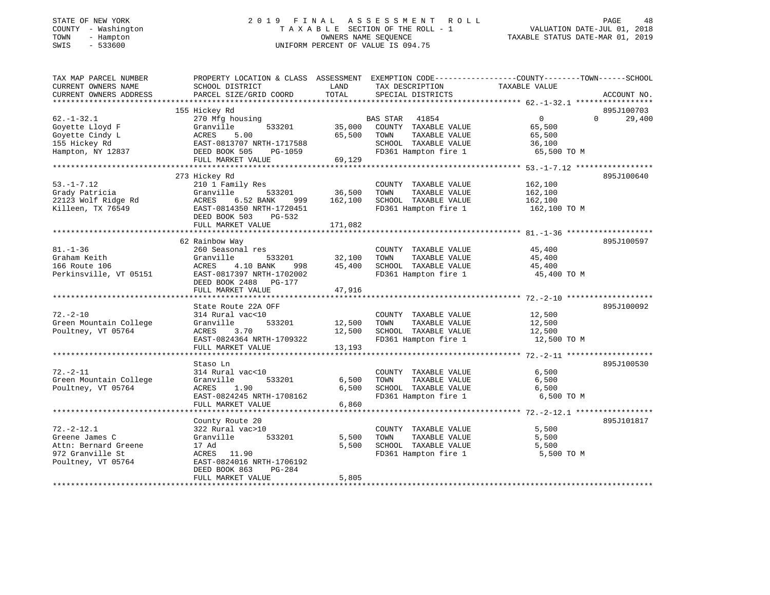| STATE OF NEW YORK |              |
|-------------------|--------------|
| COUNTY            | - Washington |
| TOWN              | - Hampton    |
| CTTTTC            | E 22500      |

# STATE OF NEW YORK 2 0 1 9 F I N A L A S S E S S M E N T R O L L PAGE 48 COUNTY - Washington T A X A B L E SECTION OF THE ROLL - 1 VALUATION DATE-JUL 01, 2018 TOWN - Hampton OWNERS NAME SEQUENCE TAXABLE STATUS DATE-MAR 01, 2019 SWIS - 533600 UNIFORM PERCENT OF VALUE IS 094.75

| TAX MAP PARCEL NUMBER  |                                                                                                                                   |               |                                    | PROPERTY LOCATION & CLASS ASSESSMENT EXEMPTION CODE----------------COUNTY-------TOWN-----SCHOOL |             |
|------------------------|-----------------------------------------------------------------------------------------------------------------------------------|---------------|------------------------------------|-------------------------------------------------------------------------------------------------|-------------|
| CURRENT OWNERS NAME    | SCHOOL DISTRICT                                                                                                                   | LAND          | TAX DESCRIPTION                    | TAXABLE VALUE                                                                                   |             |
| CURRENT OWNERS ADDRESS | PARCEL SIZE/GRID COORD                                                                                                            | TOTAL         | SPECIAL DISTRICTS                  |                                                                                                 | ACCOUNT NO. |
|                        |                                                                                                                                   |               |                                    |                                                                                                 |             |
|                        | 155 Hickey Rd                                                                                                                     |               |                                    |                                                                                                 | 895J100703  |
| $62. - 1 - 32.1$       | 270 Mfg housing                                                                                                                   |               | BAS STAR 41854                     | $\overline{0}$<br>$\Omega$                                                                      | 29,400      |
| Goyette Lloyd F        | Granville                                                                                                                         |               | 533201 35,000 COUNTY TAXABLE VALUE | 65,500                                                                                          |             |
| Goyette Cindy L        | ACRES<br>5.00                                                                                                                     | 65,500        | TAXABLE VALUE<br>TOWN              | 65,500                                                                                          |             |
| 155 Hickey Rd          | ACRES 5.00<br>EAST-0813707 NRTH-1717588<br>DEED BOOK 505 PG-1059                                                                  |               | SCHOOL TAXABLE VALUE               | 36,100                                                                                          |             |
| Hampton, NY 12837      |                                                                                                                                   |               | FD361 Hampton fire 1               | 65,500 TO M                                                                                     |             |
|                        | FULL MARKET VALUE                                                                                                                 | 69,129        |                                    |                                                                                                 |             |
|                        |                                                                                                                                   |               |                                    |                                                                                                 |             |
|                        | 273 Hickey Rd                                                                                                                     |               |                                    |                                                                                                 | 895J100640  |
| $53. - 1 - 7.12$       | 210 1 Family Res                                                                                                                  |               | COUNTY TAXABLE VALUE               | 162,100                                                                                         |             |
|                        | Grady Patricia<br>22123 Wolf Ridge Rd<br>22123 Wolf Ridge Rd<br>23123 Wolf Ridge Rd<br>231250 NRTH-1720451<br>241350 NRTH-1720451 | 533201 36,500 | TOWN<br>TAXABLE VALUE              | 162,100                                                                                         |             |
|                        | 999                                                                                                                               | 162,100       | SCHOOL TAXABLE VALUE               | 162,100                                                                                         |             |
|                        |                                                                                                                                   |               | FD361 Hampton fire 1               | 162,100 TO M                                                                                    |             |
|                        | DEED BOOK 503<br>PG-532                                                                                                           |               |                                    |                                                                                                 |             |
|                        | FULL MARKET VALUE                                                                                                                 | 171,082       |                                    |                                                                                                 |             |
|                        |                                                                                                                                   |               |                                    |                                                                                                 |             |
|                        | 62 Rainbow Way                                                                                                                    |               |                                    |                                                                                                 | 895J100597  |
| $81. - 1 - 36$         | 260 Seasonal res                                                                                                                  |               | COUNTY TAXABLE VALUE               | 45,400                                                                                          |             |
| Graham Keith           | Granville                                                                                                                         | 533201 32,100 | TAXABLE VALUE<br>TOWN              | 45,400                                                                                          |             |
| 166 Route 106          | ACRES 4.10 BANK<br>998                                                                                                            | 45,400        | SCHOOL TAXABLE VALUE               | 45,400                                                                                          |             |
|                        | Perkinsville, VT 05151 EAST-0817397 NRTH-1702002                                                                                  |               | FD361 Hampton fire 1               | 45,400 TO M                                                                                     |             |
|                        | DEED BOOK 2488 PG-177                                                                                                             |               |                                    |                                                                                                 |             |
|                        | FULL MARKET VALUE                                                                                                                 | 47,916        |                                    |                                                                                                 |             |
|                        |                                                                                                                                   |               |                                    |                                                                                                 |             |
|                        | State Route 22A OFF                                                                                                               |               |                                    |                                                                                                 | 895J100092  |
| $72. - 2 - 10$         | 314 Rural vac<10                                                                                                                  |               | COUNTY TAXABLE VALUE               | 12,500                                                                                          |             |
| Green Mountain College | Granville                                                                                                                         | 533201 12,500 | TAXABLE VALUE<br>TOWN              | 12,500                                                                                          |             |
| Poultney, VT 05764     | ACRES<br>3.70                                                                                                                     | 12,500        | SCHOOL TAXABLE VALUE               | 12,500                                                                                          |             |
|                        | EAST-0824364 NRTH-1709322                                                                                                         |               | FD361 Hampton fire 1               | 12,500 TO M                                                                                     |             |
|                        | FULL MARKET VALUE                                                                                                                 | 13,193        |                                    |                                                                                                 |             |
|                        |                                                                                                                                   |               |                                    |                                                                                                 |             |
|                        | Staso Ln                                                                                                                          |               |                                    |                                                                                                 | 895J100530  |
| $72. - 2 - 11$         | 314 Rural vac<10                                                                                                                  |               | COUNTY TAXABLE VALUE               | 6,500                                                                                           |             |
| Green Mountain College | 533201<br>Granville                                                                                                               | 6,500         | TAXABLE VALUE<br>TOWN              | 6,500                                                                                           |             |
| Poultney, VT 05764     | ACRES 1.90                                                                                                                        | 6,500         | SCHOOL TAXABLE VALUE               | 6,500                                                                                           |             |
|                        | EAST-0824245 NRTH-1708162                                                                                                         |               | FD361 Hampton fire 1               | 6,500 TO M                                                                                      |             |
|                        | FULL MARKET VALUE                                                                                                                 | 6,860         |                                    |                                                                                                 |             |
|                        |                                                                                                                                   |               |                                    |                                                                                                 |             |
|                        | County Route 20                                                                                                                   |               |                                    |                                                                                                 | 895J101817  |
| $72. - 2 - 12.1$       | 322 Rural vac>10                                                                                                                  |               | COUNTY TAXABLE VALUE               | 5,500                                                                                           |             |
| Greene James C         | Granville<br>533201                                                                                                               | 5,500         | TOWN<br>TAXABLE VALUE              | 5,500                                                                                           |             |
| Attn: Bernard Greene   | 17 Ad                                                                                                                             | 5,500         | SCHOOL TAXABLE VALUE               | 5,500                                                                                           |             |
| 972 Granville St       | ACRES 11.90                                                                                                                       |               | FD361 Hampton fire 1               | 5,500 TO M                                                                                      |             |
|                        | Poultney, VT 05764 EAST-0824016 NRTH-1706192                                                                                      |               |                                    |                                                                                                 |             |
|                        | DEED BOOK 863<br>PG-284                                                                                                           |               |                                    |                                                                                                 |             |
|                        | FULL MARKET VALUE                                                                                                                 | 5,805         |                                    |                                                                                                 |             |
|                        |                                                                                                                                   |               |                                    |                                                                                                 |             |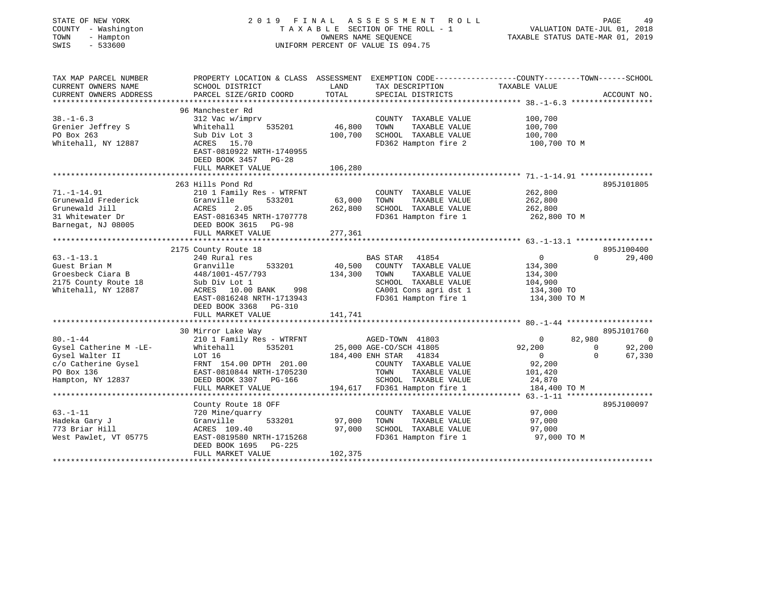| STATE OF NEW YORK<br>COUNTY - Washington<br>TOWN<br>- Hampton<br>SWIS<br>$-533600$ |                                                                                                                   |         | 2019 FINAL ASSESSMENT ROLL<br>TAXABLE SECTION OF THE ROLL - 1<br>OWNERS NAME SEOUENCE<br>UNIFORM PERCENT OF VALUE IS 094.75 | TAXABLE STATUS DATE-MAR 01, 2019 | PAGE<br>49<br>VALUATION DATE-JUL 01, 2018 |
|------------------------------------------------------------------------------------|-------------------------------------------------------------------------------------------------------------------|---------|-----------------------------------------------------------------------------------------------------------------------------|----------------------------------|-------------------------------------------|
| TAX MAP PARCEL NUMBER<br>CURRENT OWNERS NAME                                       | PROPERTY LOCATION & CLASS ASSESSMENT EXEMPTION CODE---------------COUNTY-------TOWN-----SCHOOL<br>SCHOOL DISTRICT | LAND    | TAX DESCRIPTION                                                                                                             | TAXABLE VALUE                    |                                           |
| CURRENT OWNERS ADDRESS                                                             | PARCEL SIZE/GRID COORD                                                                                            | TOTAL   | SPECIAL DISTRICTS                                                                                                           |                                  | ACCOUNT NO.                               |
|                                                                                    | 96 Manchester Rd                                                                                                  |         |                                                                                                                             |                                  |                                           |
| $38. - 1 - 6.3$                                                                    | 312 Vac w/imprv                                                                                                   |         | COUNTY TAXABLE VALUE                                                                                                        | 100,700                          |                                           |
| Grenier Jeffrey S                                                                  | 535201<br>Whitehall                                                                                               | 46,800  | TOWN<br>TAXABLE VALUE                                                                                                       | 100,700                          |                                           |
| PO Box 263                                                                         | Sub Div Lot 3                                                                                                     | 100,700 | SCHOOL TAXABLE VALUE                                                                                                        | 100,700                          |                                           |
| Whitehall, NY 12887                                                                | ACRES 15.70                                                                                                       |         | FD362 Hampton fire 2                                                                                                        | 100,700 TO M                     |                                           |
|                                                                                    | EAST-0810922 NRTH-1740955<br>DEED BOOK 3457 PG-28                                                                 |         |                                                                                                                             |                                  |                                           |
|                                                                                    | FULL MARKET VALUE                                                                                                 | 106,280 |                                                                                                                             |                                  |                                           |
|                                                                                    | **********************                                                                                            |         |                                                                                                                             |                                  |                                           |
|                                                                                    | 263 Hills Pond Rd                                                                                                 |         |                                                                                                                             |                                  | 895J101805                                |
| $71. - 1 - 14.91$                                                                  | 210 1 Family Res - WTRFNT                                                                                         |         | COUNTY TAXABLE VALUE                                                                                                        | 262,800                          |                                           |
| Grunewald Frederick                                                                | Granville<br>533201                                                                                               | 63,000  | TOWN<br>TAXABLE VALUE                                                                                                       | 262,800                          |                                           |
| Grunewald Jill                                                                     | ACRES<br>2.05                                                                                                     | 262,800 | SCHOOL TAXABLE VALUE                                                                                                        | 262,800                          |                                           |
| 31 Whitewater Dr                                                                   | EAST-0816345 NRTH-1707778                                                                                         |         | FD361 Hampton fire 1                                                                                                        | 262,800 TO M                     |                                           |
| Barnegat, NJ 08005                                                                 | DEED BOOK 3615 PG-98                                                                                              |         |                                                                                                                             |                                  |                                           |
|                                                                                    | FULL MARKET VALUE                                                                                                 | 277,361 |                                                                                                                             |                                  |                                           |
|                                                                                    |                                                                                                                   |         |                                                                                                                             |                                  |                                           |
|                                                                                    | 2175 County Route 18                                                                                              |         |                                                                                                                             |                                  | 895J100400                                |
| $63. - 1 - 13.1$                                                                   | 240 Rural res                                                                                                     |         | BAS STAR 41854                                                                                                              | $\overline{0}$                   | $\Omega$<br>29,400                        |
| Guest Brian M                                                                      | 533201<br>Granville                                                                                               | 40,500  | COUNTY TAXABLE VALUE                                                                                                        | 134,300                          |                                           |
| Groesbeck Ciara B                                                                  | 448/1001-457/793                                                                                                  | 134,300 | TOWN<br>TAXABLE VALUE                                                                                                       | 134,300                          |                                           |
| 2175 County Route 18                                                               | Sub Div Lot 1                                                                                                     |         | SCHOOL TAXABLE VALUE                                                                                                        | 104,900                          |                                           |
| Whitehall, NY 12887                                                                | ACRES 10.00 BANK<br>998                                                                                           |         | CA001 Cons agri dst 1                                                                                                       | 134,300 TO                       |                                           |
|                                                                                    | EAST-0816248 NRTH-1713943                                                                                         |         | FD361 Hampton fire 1                                                                                                        | 134,300 TO M                     |                                           |
|                                                                                    | DEED BOOK 3368 PG-310                                                                                             |         |                                                                                                                             |                                  |                                           |
|                                                                                    | FULL MARKET VALUE                                                                                                 | 141,741 |                                                                                                                             |                                  |                                           |
|                                                                                    |                                                                                                                   |         |                                                                                                                             |                                  |                                           |
|                                                                                    | 30 Mirror Lake Way                                                                                                |         |                                                                                                                             |                                  | 895J101760                                |
| $80. - 1 - 44$                                                                     | 210 1 Family Res - WTRFNT                                                                                         |         | AGED-TOWN 41803                                                                                                             | 82,980<br>$\overline{0}$         | $\overline{\phantom{0}}$                  |
| Gysel Catherine M -LE-                                                             | 535201<br>Whitehall                                                                                               |         | 25,000 AGE-CO/SCH 41805                                                                                                     | 92,200                           | 92,200<br>$\mathbf 0$                     |
| Gysel Walter II                                                                    | LOT 16                                                                                                            |         | 184,400 ENH STAR 41834                                                                                                      | $\overline{0}$                   | 67,330<br>$\Omega$                        |
| c/o Catherine Gysel                                                                | FRNT 154.00 DPTH 201.00                                                                                           |         | COUNTY TAXABLE VALUE                                                                                                        | 92,200                           |                                           |
| PO Box 136                                                                         | EAST-0810844 NRTH-1705230                                                                                         |         | TOWN<br>TAXABLE VALUE                                                                                                       | 101,420                          |                                           |
| Hampton, NY 12837                                                                  | DEED BOOK 3307 PG-166                                                                                             |         | SCHOOL TAXABLE VALUE                                                                                                        | 24,870                           |                                           |
|                                                                                    | FULL MARKET VALUE                                                                                                 |         | 194,617 FD361 Hampton fire 1                                                                                                | 184,400 TO M                     |                                           |
|                                                                                    |                                                                                                                   |         |                                                                                                                             |                                  |                                           |
|                                                                                    | County Route 18 OFF                                                                                               |         |                                                                                                                             |                                  | 895J100097                                |
| $63. -1 - 11$                                                                      | 720 Mine/quarry                                                                                                   |         | COUNTY TAXABLE VALUE                                                                                                        | 97,000                           |                                           |
| Hadeka Gary J                                                                      | Granville<br>533201                                                                                               | 97,000  | TOWN<br>TAXABLE VALUE                                                                                                       | 97,000                           |                                           |
| 773 Briar Hill                                                                     | ACRES 109.40                                                                                                      | 97,000  | SCHOOL TAXABLE VALUE                                                                                                        | 97,000                           |                                           |
| West Pawlet, VT 05775                                                              | EAST-0819580 NRTH-1715268                                                                                         |         | FD361 Hampton fire 1                                                                                                        | 97,000 TO M                      |                                           |
|                                                                                    | DEED BOOK 1695<br>PG-225                                                                                          |         |                                                                                                                             |                                  |                                           |
|                                                                                    | FULL MARKET VALUE<br>********************                                                                         | 102,375 |                                                                                                                             |                                  |                                           |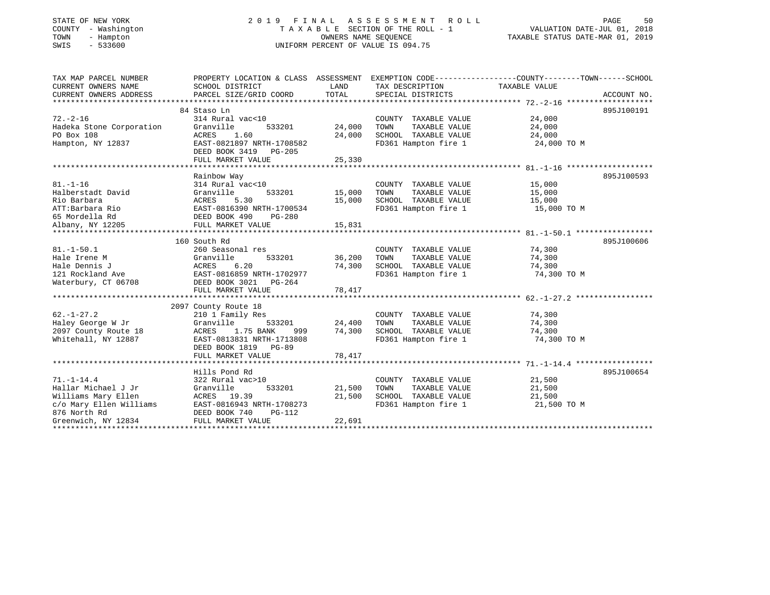#### STATE OF NEW YORK 2 0 1 9 F I N A L A S S E S S M E N T R O L L PAGE 50 COUNTY - Washington T A X A B L E SECTION OF THE ROLL - 1 VALUATION DATE-JUL 01, 2018 TOWN - Hampton OWNERS NAME SEQUENCE TAXABLE STATUS DATE-MAR 01, 2019 SWIS - 533600 UNIFORM PERCENT OF VALUE IS 094.75UNIFORM PERCENT OF VALUE IS 094.75

| TAX MAP PARCEL NUMBER<br>CURRENT OWNERS NAME<br>CURRENT OWNERS ADDRESS                                                           | SCHOOL DISTRICT<br>PARCEL SIZE/GRID COORD                                                                                                                              | LAND<br>TOTAL                     | TAX DESCRIPTION<br>SPECIAL DISTRICTS                                                          | PROPERTY LOCATION & CLASS ASSESSMENT EXEMPTION CODE---------------COUNTY-------TOWN-----SCHOOL<br>TAXABLE VALUE<br>ACCOUNT NO. |  |
|----------------------------------------------------------------------------------------------------------------------------------|------------------------------------------------------------------------------------------------------------------------------------------------------------------------|-----------------------------------|-----------------------------------------------------------------------------------------------|--------------------------------------------------------------------------------------------------------------------------------|--|
| $72. - 2 - 16$<br>Hadeka Stone Corporation<br>PO Box 108<br>Hampton, NY 12837                                                    | 84 Staso Ln<br>314 Rural vac<10<br>Granville<br>533201<br>ACRES<br>1.60<br>EAST-0821897 NRTH-1708582<br>DEED BOOK 3419 PG-205<br>FULL MARKET VALUE                     | 24,000<br>24,000<br>25,330        | COUNTY TAXABLE VALUE<br>TAXABLE VALUE<br>TOWN<br>SCHOOL TAXABLE VALUE<br>FD361 Hampton fire 1 | 895J100191<br>24,000<br>24,000<br>24,000<br>24,000 TO M                                                                        |  |
| $81. - 1 - 16$<br>Halberstadt David<br>Rio Barbara<br>ATT:Barbara Rio<br>65 Mordella Rd<br>Albany, NY 12205                      | Rainbow Way<br>314 Rural vac<10<br>Granville<br>ACRES<br>5.30<br>EAST-0816390 NRTH-1700534<br>DEED BOOK 490<br>PG-280<br>FULL MARKET VALUE                             | 533201 15,000<br>15,000<br>15,831 | COUNTY TAXABLE VALUE<br>TOWN<br>TAXABLE VALUE<br>SCHOOL TAXABLE VALUE<br>FD361 Hampton fire 1 | 895J100593<br>15,000<br>15,000<br>15,000<br>15,000 TO M                                                                        |  |
| $81. - 1 - 50.1$<br>Hale Irene M<br>Hale Dennis J<br>121 Rockland Ave<br>Waterbury, CT 06708                                     | 160 South Rd<br>260 Seasonal res<br>Granville<br>533201<br>ACRES<br>6.20<br>EAST-0816859 NRTH-1702977<br>DEED BOOK 3021 PG-264<br>FULL MARKET VALUE                    | 36,200<br>74,300<br>78,417        | COUNTY TAXABLE VALUE<br>TAXABLE VALUE<br>TOWN<br>SCHOOL TAXABLE VALUE<br>FD361 Hampton fire 1 | 895J100606<br>74,300<br>74,300<br>74,300<br>74,300 TO M                                                                        |  |
| $62. - 1 - 27.2$<br>Haley George W Jr<br>2097 County Route 18<br>Whitehall, NY 12887                                             | 2097 County Route 18<br>210 1 Family Res<br>Granville<br>533201<br>1.75 BANK<br>ACRES<br>999<br>EAST-0813831 NRTH-1713808<br>DEED BOOK 1819 PG-89<br>FULL MARKET VALUE | 24,400<br>74,300<br>78,417        | COUNTY TAXABLE VALUE<br>TOWN<br>TAXABLE VALUE<br>SCHOOL TAXABLE VALUE<br>FD361 Hampton fire 1 | 74,300<br>74,300<br>74,300<br>74,300 TO M                                                                                      |  |
| $71. - 1 - 14.4$<br>Hallar Michael J Jr<br>Williams Mary Ellen<br>c/o Mary Ellen Williams<br>876 North Rd<br>Greenwich, NY 12834 | Hills Pond Rd<br>322 Rural vac>10<br>Granville<br>533201<br>ACRES 19.39<br>EAST-0816943 NRTH-1708273<br>DEED BOOK 740<br>PG-112<br>FULL MARKET VALUE                   | 21,500<br>21,500<br>22,691        | COUNTY TAXABLE VALUE<br>TOWN<br>TAXABLE VALUE<br>SCHOOL TAXABLE VALUE<br>FD361 Hampton fire 1 | 895J100654<br>21,500<br>21,500<br>21,500<br>21,500 TO M                                                                        |  |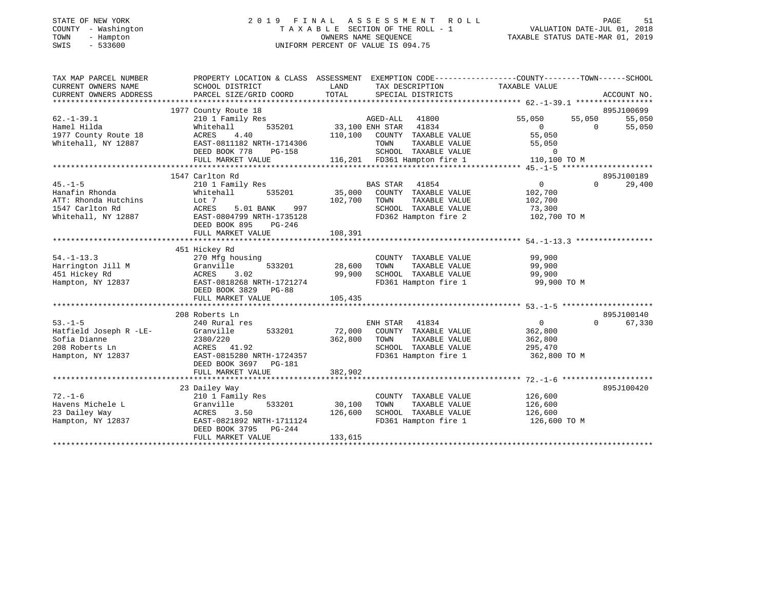### STATE OF NEW YORK 2 0 1 9 F I N A L A S S E S S M E N T R O L L PAGE 51 COUNTY - Washington T A X A B L E SECTION OF THE ROLL - 1 VALUATION DATE-JUL 01, 2018 TOWN - Hampton OWNERS NAME SEQUENCE TAXABLE STATUS DATE-MAR 01, 2019 SWIS - 533600 UNIFORM PERCENT OF VALUE IS 094.75UNIFORM PERCENT OF VALUE IS 094.75

| TAX MAP PARCEL NUMBER                         |                                               |                                                                   | PROPERTY LOCATION & CLASS ASSESSMENT EXEMPTION CODE----------------COUNTY-------TOWN------SCHOOL |
|-----------------------------------------------|-----------------------------------------------|-------------------------------------------------------------------|--------------------------------------------------------------------------------------------------|
| CURRENT OWNERS NAME<br>CURRENT OWNERS ADDRESS | SCHOOL DISTRICT                               | LAND<br>TAX DESCRIPTION                                           | TAXABLE VALUE                                                                                    |
|                                               |                                               |                                                                   |                                                                                                  |
|                                               | 1977 County Route 18                          |                                                                   | 895J100699                                                                                       |
| $62. - 1 - 39.1$                              | 210 1 Family Res                              | AGED-ALL 41800                                                    | 55,050<br>55,050<br>55,050                                                                       |
| Hamel Hilda                                   | 535201<br>Whitehall                           | 33,100 ENH STAR 41834                                             | $\Omega$<br>55,050<br>$\overline{0}$                                                             |
| 1977 County Route 18                          | ACRES<br>4.40                                 | 110,100 COUNTY TAXABLE VALUE                                      | 55,050                                                                                           |
| Whitehall, NY 12887                           | EAST-0811182 NRTH-1714306                     | TOWN<br>TAXABLE VALUE                                             | 55,050                                                                                           |
|                                               |                                               |                                                                   |                                                                                                  |
|                                               |                                               |                                                                   |                                                                                                  |
|                                               |                                               |                                                                   |                                                                                                  |
|                                               | 1547 Carlton Rd                               |                                                                   | 895J100189                                                                                       |
| $45. -1 - 5$                                  | 210 1 Family Res                              | BAS STAR 41854                                                    | $0 \qquad \qquad$<br>$\Omega$<br>29,400                                                          |
| Hanafin Rhonda                                | 535201<br>Whitehall                           | 35,000<br>COUNTY TAXABLE VALUE                                    | 102,700                                                                                          |
| ATT: Rhonda Hutchins                          | Lot 7                                         | 102,700<br>TOWN<br>TAXABLE VALUE                                  | 102,700                                                                                          |
| 1547 Carlton Rd                               | 997<br>ACRES<br>5.01 BANK                     | SCHOOL TAXABLE VALUE                                              | 73,300                                                                                           |
|                                               | Whitehall, NY 12887 EAST-0804799 NRTH-1735128 | FD362 Hampton fire 2                                              | 102,700 TO M                                                                                     |
|                                               | DEED BOOK 895<br>PG-246                       |                                                                   |                                                                                                  |
|                                               | FULL MARKET VALUE                             | 108,391                                                           |                                                                                                  |
|                                               |                                               |                                                                   |                                                                                                  |
|                                               | 451 Hickey Rd                                 |                                                                   |                                                                                                  |
| $54. -1 - 13.3$                               | 270 Mfg housing                               | COUNTY TAXABLE VALUE                                              | 99,900                                                                                           |
| Harrington Jill M<br>451 Hickey Rd            | 533201<br>Granville<br>ACRES<br>3.02          | 28,600<br>TAXABLE VALUE<br>TOWN<br>99,900<br>SCHOOL TAXABLE VALUE | 99,900<br>99,900                                                                                 |
| Hampton, NY 12837                             | EAST-0818268 NRTH-1721274                     | FD361 Hampton fire 1                                              | 99,900 TO M                                                                                      |
|                                               | DEED BOOK 3829 PG-88                          |                                                                   |                                                                                                  |
|                                               | FULL MARKET VALUE                             | 105,435                                                           |                                                                                                  |
|                                               |                                               |                                                                   |                                                                                                  |
|                                               | 208 Roberts Ln                                |                                                                   | 895J100140                                                                                       |
| $53. -1 - 5$                                  | 240 Rural res                                 | ENH STAR 41834                                                    | $\overline{0}$<br>67,330<br>$\Omega$                                                             |
| Hatfield Joseph R -LE-                        | 533201<br>Granville                           | 72,000<br>COUNTY TAXABLE VALUE                                    | 362,800                                                                                          |
| Sofia Dianne                                  | 2380/220                                      | 362,800<br>TOWN<br>TAXABLE VALUE                                  | 362,800                                                                                          |
| 208 Roberts Ln                                | ACRES 41.92                                   | SCHOOL TAXABLE VALUE                                              | 295,470                                                                                          |
| Hampton, NY 12837                             | EAST-0815280 NRTH-1724357                     | FD361 Hampton fire 1                                              | 362,800 TO M                                                                                     |
|                                               | DEED BOOK 3697 PG-181                         |                                                                   |                                                                                                  |
|                                               | FULL MARKET VALUE                             | 382,902                                                           |                                                                                                  |
|                                               |                                               |                                                                   |                                                                                                  |
|                                               | 23 Dailey Way                                 |                                                                   | 895J100420                                                                                       |
| $72. - 1 - 6$                                 | 210 1 Family Res                              | COUNTY TAXABLE VALUE                                              | 126,600                                                                                          |
| Havens Michele L                              | 533201<br>Granville                           | 30,100<br>TOWN<br>TAXABLE VALUE                                   | 126,600                                                                                          |
| 23 Dailey Way                                 | ACRES<br>3.50                                 | 126,600<br>SCHOOL TAXABLE VALUE                                   | 126,600                                                                                          |
| Hampton, NY 12837                             | EAST-0821892 NRTH-1711124                     | FD361 Hampton fire 1                                              | 126,600 TO M                                                                                     |
|                                               | DEED BOOK 3795 PG-244                         |                                                                   |                                                                                                  |
|                                               | FULL MARKET VALUE                             | 133,615                                                           |                                                                                                  |
|                                               |                                               |                                                                   |                                                                                                  |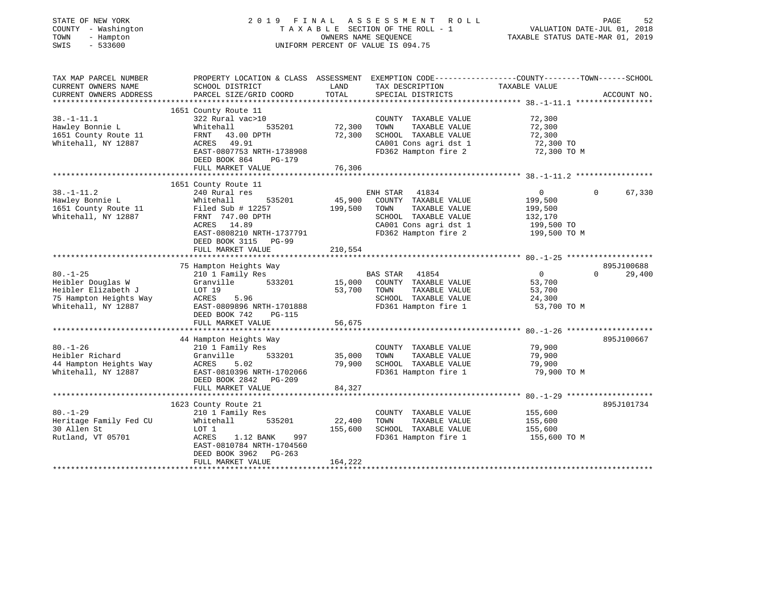| STATE OF NEW YORK<br>COUNTY - Washington<br>TOWN<br>- Hampton<br>SWIS<br>$-533600$                          |                                                                                                                                                                                                   | OWNERS NAME SEOUENCE         | 2019 FINAL ASSESSMENT ROLL<br>TAXABLE SECTION OF THE ROLL - 1<br>UNIFORM PERCENT OF VALUE IS 094.75                                      | PAGE<br>52<br>VALUATION DATE-JUL 01, 2018<br>TAXABLE STATUS DATE-MAR 01, 2019                                                  |
|-------------------------------------------------------------------------------------------------------------|---------------------------------------------------------------------------------------------------------------------------------------------------------------------------------------------------|------------------------------|------------------------------------------------------------------------------------------------------------------------------------------|--------------------------------------------------------------------------------------------------------------------------------|
| TAX MAP PARCEL NUMBER<br>CURRENT OWNERS NAME<br>CURRENT OWNERS ADDRESS<br>*********************             | SCHOOL DISTRICT<br>PARCEL SIZE/GRID COORD                                                                                                                                                         | LAND<br>TOTAL                | TAX DESCRIPTION<br>SPECIAL DISTRICTS                                                                                                     | PROPERTY LOCATION & CLASS ASSESSMENT EXEMPTION CODE---------------COUNTY-------TOWN-----SCHOOL<br>TAXABLE VALUE<br>ACCOUNT NO. |
| $38. - 1 - 11.1$<br>Hawley Bonnie L<br>1651 County Route 11<br>Whitehall, NY 12887                          | 1651 County Route 11<br>322 Rural vac>10<br>Whitehall<br>535201<br>FRNT 43.00 DPTH<br>ACRES 49.91<br>EAST-0807753 NRTH-1738908<br>DEED BOOK 864<br>PG-179<br>FULL MARKET VALUE                    | 72,300<br>72,300<br>76,306   | COUNTY TAXABLE VALUE<br>TOWN<br>TAXABLE VALUE<br>SCHOOL TAXABLE VALUE<br>CA001 Cons agri dst 1<br>FD362 Hampton fire 2                   | 72,300<br>72,300<br>72,300<br>72,300 TO<br>72,300 TO M                                                                         |
|                                                                                                             |                                                                                                                                                                                                   |                              |                                                                                                                                          |                                                                                                                                |
| $38. - 1 - 11.2$<br>Hawley Bonnie L<br>1651 County Route 11<br>Whitehall, NY 12887                          | 1651 County Route 11<br>240 Rural res<br>Whitehall<br>535201<br>Filed Sub $\#$ 12257<br>FRNT 747.00 DPTH<br>ACRES 14.89<br>EAST-0808210 NRTH-1737791<br>DEED BOOK 3115 PG-99<br>FULL MARKET VALUE | 45,900<br>199,500<br>210,554 | ENH STAR 41834<br>COUNTY TAXABLE VALUE<br>TOWN<br>TAXABLE VALUE<br>SCHOOL TAXABLE VALUE<br>CA001 Cons agri dst 1<br>FD362 Hampton fire 2 | 67,330<br>$\overline{0}$<br>$\Omega$<br>199,500<br>199,500<br>132,170<br>199,500 TO<br>199,500 TO M                            |
|                                                                                                             | *********************                                                                                                                                                                             |                              |                                                                                                                                          |                                                                                                                                |
| $80. - 1 - 25$<br>Heibler Douglas W<br>Heibler Elizabeth J<br>75 Hampton Heights Way<br>Whitehall, NY 12887 | 75 Hampton Heights Way<br>210 1 Family Res<br>Granville 533201<br>LOT 19<br>ACRES<br>5.96<br>EAST-0809896 NRTH-1701888<br>DEED BOOK 742<br><b>PG-115</b><br>FULL MARKET VALUE                     | 15,000<br>53,700<br>56,675   | BAS STAR<br>41854<br>COUNTY TAXABLE VALUE<br>TAXABLE VALUE<br>TOWN<br>SCHOOL TAXABLE VALUE<br>FD361 Hampton fire 1                       | 895J100688<br>$\Omega$<br>29,400<br>$\overline{0}$<br>53,700<br>53,700<br>24,300<br>53,700 TO M                                |
|                                                                                                             | 44 Hampton Heights Way                                                                                                                                                                            |                              |                                                                                                                                          | 895J100667                                                                                                                     |
| $80. - 1 - 26$<br>Heibler Richard<br>44 Hampton Heights Way<br>Whitehall, NY 12887                          | 210 1 Family Res<br>533201<br>Granville<br>ACRES<br>5.02<br>EAST-0810396 NRTH-1702066<br>DEED BOOK 2842 PG-209                                                                                    | 35,000<br>79,900             | COUNTY TAXABLE VALUE<br>TOWN<br>TAXABLE VALUE<br>SCHOOL TAXABLE VALUE<br>FD361 Hampton fire 1                                            | 79,900<br>79,900<br>79,900<br>79,900 TO M                                                                                      |
|                                                                                                             | FULL MARKET VALUE                                                                                                                                                                                 | 84,327                       |                                                                                                                                          |                                                                                                                                |
|                                                                                                             | 1623 County Route 21                                                                                                                                                                              |                              |                                                                                                                                          | 895J101734                                                                                                                     |
| $80. - 1 - 29$<br>Heritage Family Fed CU<br>30 Allen St<br>Rutland, VT 05701                                | 210 1 Family Res<br>Whitehall<br>535201<br>LOT 1<br>ACRES<br>1.12 BANK<br>997<br>EAST-0810784 NRTH-1704560<br>DEED BOOK 3962<br>PG-263<br>FULL MARKET VALUE                                       | 22,400<br>155,600<br>164,222 | COUNTY TAXABLE VALUE<br>TAXABLE VALUE<br>TOWN<br>SCHOOL TAXABLE VALUE<br>FD361 Hampton fire 1                                            | 155,600<br>155,600<br>155,600<br>155,600 TO M                                                                                  |
|                                                                                                             |                                                                                                                                                                                                   |                              |                                                                                                                                          |                                                                                                                                |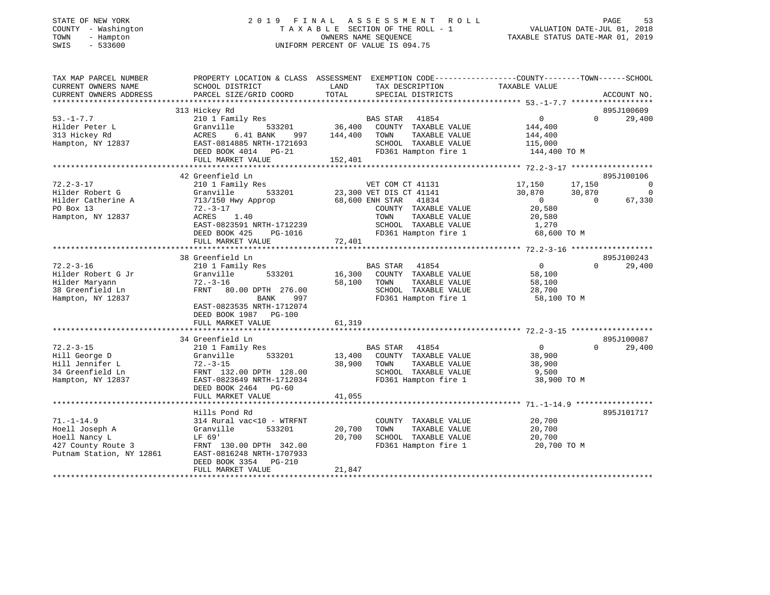|        | STATE OF NEW YORK |
|--------|-------------------|
| COUNTY | - Washington      |
| TOWN   | - Hampton         |
| OMT O  | E 22500           |

## STATE OF NEW YORK 2 0 1 9 F I N A L A S S E S S M E N T R O L L PAGE 53 COUNTY - Washington T A X A B L E SECTION OF THE ROLL - 1 VALUATION DATE-JUL 01, 2018 TOWN - Hampton OWNERS NAME SEQUENCE TAXABLE STATUS DATE-MAR 01, 2019 SWIS - 533600 UNIFORM PERCENT OF VALUE IS 094.75

| TAX MAP PARCEL NUMBER     | PROPERTY LOCATION & CLASS ASSESSMENT EXEMPTION CODE---------------COUNTY-------TOWN------SCHOOL |         |                          |                |          |             |
|---------------------------|-------------------------------------------------------------------------------------------------|---------|--------------------------|----------------|----------|-------------|
| CURRENT OWNERS NAME       | SCHOOL DISTRICT                                                                                 | LAND    | TAX DESCRIPTION          | TAXABLE VALUE  |          |             |
| CURRENT OWNERS ADDRESS    | PARCEL SIZE/GRID COORD                                                                          | TOTAL   | SPECIAL DISTRICTS        |                |          | ACCOUNT NO. |
| ************************* |                                                                                                 |         |                          |                |          |             |
|                           | 313 Hickey Rd                                                                                   |         |                          |                |          | 895J100609  |
| $53. - 1 - 7.7$           | 210 1 Family Res                                                                                |         | <b>BAS STAR</b><br>41854 | $\overline{0}$ | $\Omega$ | 29,400      |
| Hilder Peter L            | Granville<br>533201                                                                             | 36,400  | COUNTY TAXABLE VALUE     | 144,400        |          |             |
| 313 Hickey Rd             | ACRES<br>6.41 BANK<br>997                                                                       | 144,400 | TOWN<br>TAXABLE VALUE    | 144,400        |          |             |
| Hampton, NY 12837         | EAST-0814885 NRTH-1721693                                                                       |         | SCHOOL TAXABLE VALUE     | 115,000        |          |             |
|                           | DEED BOOK 4014 PG-21                                                                            |         | FD361 Hampton fire 1     | 144,400 TO M   |          |             |
|                           | FULL MARKET VALUE                                                                               | 152,401 |                          |                |          |             |
|                           |                                                                                                 |         |                          |                |          |             |
|                           | 42 Greenfield Ln                                                                                |         |                          |                |          | 895J100106  |
| $72.2 - 3 - 17$           | 210 1 Family Res                                                                                |         | VET COM CT 41131         | 17,150         | 17,150   | 0           |
| Hilder Robert G           | 533201<br>Granville                                                                             |         | 23,300 VET DIS CT 41141  | 30,870         | 30,870   | $\mathbf 0$ |
| Hilder Catherine A        | 713/150 Hwy Approp                                                                              |         | 68,600 ENH STAR<br>41834 | $\overline{0}$ | $\Omega$ | 67,330      |
| PO Box 13                 | $72. - 3 - 17$                                                                                  |         | COUNTY TAXABLE VALUE     | 20,580         |          |             |
| Hampton, NY 12837         | ACRES<br>1.40                                                                                   |         |                          |                |          |             |
|                           |                                                                                                 |         | TAXABLE VALUE<br>TOWN    | 20,580         |          |             |
|                           | EAST-0823591 NRTH-1712239                                                                       |         | SCHOOL TAXABLE VALUE     | 1,270          |          |             |
|                           | DEED BOOK 425<br>PG-1016                                                                        |         | FD361 Hampton fire 1     | 68,600 TO M    |          |             |
|                           | FULL MARKET VALUE                                                                               | 72,401  |                          |                |          |             |
|                           |                                                                                                 |         |                          |                |          |             |
|                           | 38 Greenfield Ln                                                                                |         |                          |                |          | 895J100243  |
| $72.2 - 3 - 16$           | 210 1 Family Res                                                                                |         | <b>BAS STAR</b><br>41854 | $\overline{0}$ | $\Omega$ | 29,400      |
| Hilder Robert G Jr        | 533201<br>Granville                                                                             | 16,300  | COUNTY TAXABLE VALUE     | 58,100         |          |             |
| Hilder Maryann            | $72. - 3 - 16$                                                                                  | 58,100  | TAXABLE VALUE<br>TOWN    | 58,100         |          |             |
| 38 Greenfield Ln          | FRNT 80.00 DPTH 276.00                                                                          |         | SCHOOL TAXABLE VALUE     | 28,700         |          |             |
| Hampton, NY 12837         | <b>BANK</b><br>997                                                                              |         | FD361 Hampton fire 1     | 58,100 TO M    |          |             |
|                           | EAST-0823535 NRTH-1712074                                                                       |         |                          |                |          |             |
|                           | DEED BOOK 1987<br><b>PG-100</b>                                                                 |         |                          |                |          |             |
|                           | FULL MARKET VALUE                                                                               | 61,319  |                          |                |          |             |
|                           |                                                                                                 |         |                          |                |          |             |
|                           | 34 Greenfield Ln                                                                                |         |                          |                |          | 895J100087  |
| $72.2 - 3 - 15$           | 210 1 Family Res                                                                                |         | BAS STAR 41854           | $\overline{0}$ | $\Omega$ | 29,400      |
| Hill George D             | Granville<br>533201                                                                             | 13,400  | COUNTY TAXABLE VALUE     | 38,900         |          |             |
| Hill Jennifer L           | $72. - 3 - 15$                                                                                  | 38,900  | TAXABLE VALUE<br>TOWN    | 38,900         |          |             |
| 34 Greenfield Ln          | FRNT 132.00 DPTH 128.00                                                                         |         | SCHOOL TAXABLE VALUE     | 9,500          |          |             |
| Hampton, NY 12837         | EAST-0823649 NRTH-1712034                                                                       |         | FD361 Hampton fire 1     | 38,900 TO M    |          |             |
|                           | DEED BOOK 2464<br>$PG-60$                                                                       |         |                          |                |          |             |
|                           | FULL MARKET VALUE                                                                               | 41,055  |                          |                |          |             |
|                           |                                                                                                 |         |                          |                |          |             |
|                           | Hills Pond Rd                                                                                   |         |                          |                |          | 895J101717  |
| $71. - 1 - 14.9$          | 314 Rural vac<10 - WTRFNT                                                                       |         | COUNTY TAXABLE VALUE     | 20,700         |          |             |
| Hoell Joseph A            | 533201<br>Granville                                                                             | 20,700  | TAXABLE VALUE<br>TOWN    | 20,700         |          |             |
| Hoell Nancy L             | LF 69'                                                                                          | 20,700  | SCHOOL TAXABLE VALUE     | 20,700         |          |             |
| 427 County Route 3        | FRNT 130.00 DPTH 342.00                                                                         |         | FD361 Hampton fire 1     | 20,700 TO M    |          |             |
| Putnam Station, NY 12861  | EAST-0816248 NRTH-1707933                                                                       |         |                          |                |          |             |
|                           | <b>PG-210</b><br>DEED BOOK 3354                                                                 |         |                          |                |          |             |
|                           | FULL MARKET VALUE                                                                               | 21,847  |                          |                |          |             |
|                           |                                                                                                 |         |                          |                |          |             |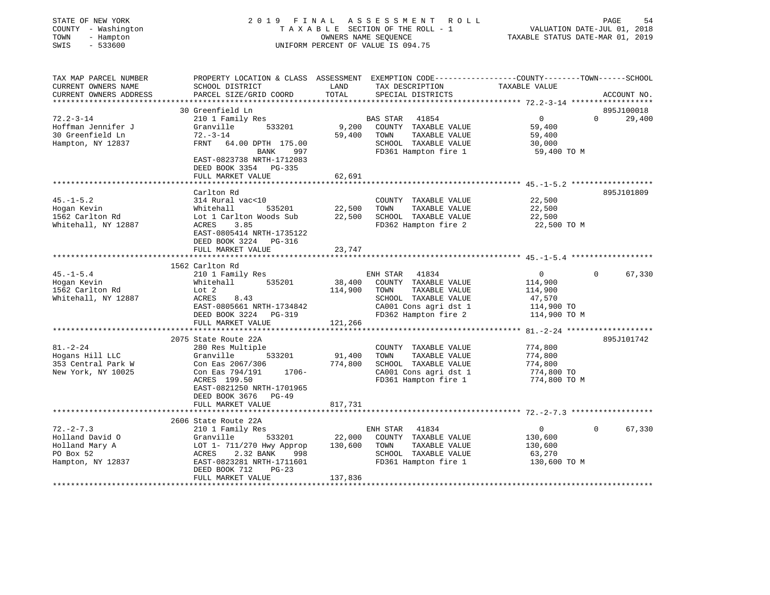| STATE OF NEW YORK<br>COUNTY - Washington<br>- Hampton<br>TOWN<br>SWIS<br>$-533600$ |                                                                                                                                              | OWNERS NAME SEQUENCE | 2019 FINAL ASSESSMENT ROLL<br>T A X A B L E SECTION OF THE ROLL - 1<br>UNIFORM PERCENT OF VALUE IS 094.75 | VALUATION DATE-JUL 01, 2018<br>TAXABLE STATUS DATE-MAR 01, 2019 | PAGE<br>54                       |
|------------------------------------------------------------------------------------|----------------------------------------------------------------------------------------------------------------------------------------------|----------------------|-----------------------------------------------------------------------------------------------------------|-----------------------------------------------------------------|----------------------------------|
| TAX MAP PARCEL NUMBER<br>CURRENT OWNERS NAME<br>CURRENT OWNERS ADDRESS             | PROPERTY LOCATION & CLASS ASSESSMENT EXEMPTION CODE----------------COUNTY-------TOWN-----SCHOOL<br>SCHOOL DISTRICT<br>PARCEL SIZE/GRID COORD | LAND<br>TOTAL        | TAX DESCRIPTION TAXABLE VALUE<br>SPECIAL DISTRICTS                                                        |                                                                 | ACCOUNT NO.                      |
|                                                                                    |                                                                                                                                              |                      |                                                                                                           |                                                                 |                                  |
| $72.2 - 3 - 14$                                                                    | 30 Greenfield Ln                                                                                                                             |                      |                                                                                                           |                                                                 | 895J100018<br>$\Omega$<br>29,400 |
| Hoffman Jennifer J                                                                 | 210 1 Family Res<br>Granville 533201                                                                                                         | 9,200                | BAS STAR 41854<br>COUNTY TAXABLE VALUE                                                                    | $\overline{\mathbf{0}}$<br>59,400                               |                                  |
| 30 Greenfield Ln                                                                   | $72 - 3 - 14$                                                                                                                                | 59,400               | TOWN TAXABLE VALUE                                                                                        | 59,400                                                          |                                  |
| Hampton, NY 12837                                                                  | FRNT 64.00 DPTH 175.00                                                                                                                       |                      | SCHOOL TAXABLE VALUE                                                                                      | 30,000                                                          |                                  |
|                                                                                    | BANK 997                                                                                                                                     |                      | FD361 Hampton fire 1                                                                                      | 59,400 TO M                                                     |                                  |
|                                                                                    | EAST-0823738 NRTH-1712083<br>DEED BOOK 3354 PG-335                                                                                           |                      |                                                                                                           |                                                                 |                                  |
|                                                                                    | FULL MARKET VALUE                                                                                                                            | 62,691               |                                                                                                           |                                                                 |                                  |
|                                                                                    |                                                                                                                                              |                      |                                                                                                           |                                                                 |                                  |
| $45. - 1 - 5.2$                                                                    | Carlton Rd<br>314 Rural vac<10                                                                                                               |                      | COUNTY TAXABLE VALUE                                                                                      | 22,500                                                          | 895J101809                       |
| Hogan Kevin                                                                        | Whitehall 535201                                                                                                                             | 22,500               | TOWN<br>TAXABLE VALUE                                                                                     | 22,500                                                          |                                  |
| 1562 Carlton Rd                                                                    | Lot 1 Carlton Woods Sub                                                                                                                      |                      | 22,500 SCHOOL TAXABLE VALUE                                                                               | 22,500                                                          |                                  |
| Whitehall, NY 12887                                                                | ACRES<br>3.85                                                                                                                                |                      | FD362 Hampton fire 2                                                                                      | 22,500 TO M                                                     |                                  |
|                                                                                    | EAST-0805414 NRTH-1735122                                                                                                                    |                      |                                                                                                           |                                                                 |                                  |
|                                                                                    | DEED BOOK 3224 PG-316                                                                                                                        |                      |                                                                                                           |                                                                 |                                  |
|                                                                                    | FULL MARKET VALUE                                                                                                                            | 23,747               |                                                                                                           |                                                                 |                                  |
|                                                                                    | 1562 Carlton Rd                                                                                                                              |                      |                                                                                                           |                                                                 |                                  |
| $45. - 1 - 5.4$                                                                    | 210 1 Family Res                                                                                                                             |                      | ENH STAR 41834                                                                                            | 0                                                               | $\Omega$<br>67,330               |
| Hogan Kevin                                                                        | 535201<br>Whitehall                                                                                                                          | 38,400               | COUNTY TAXABLE VALUE                                                                                      | 114,900                                                         |                                  |
| 1562 Carlton Rd                                                                    | Lot 2                                                                                                                                        | 114,900              | TAXABLE VALUE<br>TOWN                                                                                     | 114,900                                                         |                                  |
| Whitehall, NY 12887                                                                | ACRES<br>8.43                                                                                                                                |                      | SCHOOL TAXABLE VALUE                                                                                      | 47,570                                                          |                                  |
|                                                                                    | EAST-0805661 NRTH-1734842                                                                                                                    |                      | CA001 Cons agri dst 1                                                                                     | 114,900 TO                                                      |                                  |
|                                                                                    | DEED BOOK 3224 PG-319                                                                                                                        |                      | FD362 Hampton fire 2                                                                                      | 114,900 TO M                                                    |                                  |
|                                                                                    | FULL MARKET VALUE                                                                                                                            | 121,266              |                                                                                                           |                                                                 |                                  |
|                                                                                    |                                                                                                                                              |                      |                                                                                                           |                                                                 | 895J101742                       |
| $81. - 2 - 24$                                                                     | 2075 State Route 22A<br>280 Res Multiple                                                                                                     |                      | COUNTY TAXABLE VALUE                                                                                      | 774,800                                                         |                                  |
| Hogans Hill LLC                                                                    | 533201<br>Granville                                                                                                                          | 91,400               | TOWN TAXABLE VALUE                                                                                        | 774,800                                                         |                                  |
| 353 Central Park W                                                                 | Con Eas 2067/306                                                                                                                             | 774,800              | SCHOOL TAXABLE VALUE                                                                                      | 774,800                                                         |                                  |
| New York, NY 10025                                                                 | Con Eas 794/191<br>1706-                                                                                                                     |                      | CA001 Cons agri dst 1                                                                                     | 774,800 TO                                                      |                                  |
|                                                                                    | ACRES 199.50                                                                                                                                 |                      | FD361 Hampton fire 1                                                                                      | 774,800 TO M                                                    |                                  |
|                                                                                    | EAST-0821250 NRTH-1701965                                                                                                                    |                      |                                                                                                           |                                                                 |                                  |
|                                                                                    | DEED BOOK 3676 PG-49                                                                                                                         |                      |                                                                                                           |                                                                 |                                  |
|                                                                                    | FULL MARKET VALUE                                                                                                                            | 817,731              |                                                                                                           |                                                                 |                                  |
|                                                                                    | 2606 State Route 22A                                                                                                                         |                      |                                                                                                           |                                                                 |                                  |
| $72. - 2 - 7.3$                                                                    | 210 1 Family Res                                                                                                                             |                      | ENH STAR 41834                                                                                            | $\overline{0}$                                                  | $\Omega$<br>67,330               |
| Holland David O                                                                    | 533201<br>Granville                                                                                                                          | 22,000               | COUNTY TAXABLE VALUE                                                                                      | 130,600                                                         |                                  |
| Holland Mary A                                                                     | LOT 1- 711/270 Hwy Approp 130,600                                                                                                            |                      | TAXABLE VALUE<br>TOWN                                                                                     | 130,600                                                         |                                  |
| PO Box 52                                                                          | ACRES<br>2.32 BANK<br>998                                                                                                                    |                      | SCHOOL TAXABLE VALUE                                                                                      | 63,270                                                          |                                  |
| Hampton, NY 12837                                                                  | EAST-0823281 NRTH-1711601                                                                                                                    |                      | FD361 Hampton fire 1                                                                                      | 130,600 TO M                                                    |                                  |
|                                                                                    | DEED BOOK 712<br>$PG-23$                                                                                                                     |                      |                                                                                                           |                                                                 |                                  |
|                                                                                    | FULL MARKET VALUE                                                                                                                            | 137,836              |                                                                                                           |                                                                 |                                  |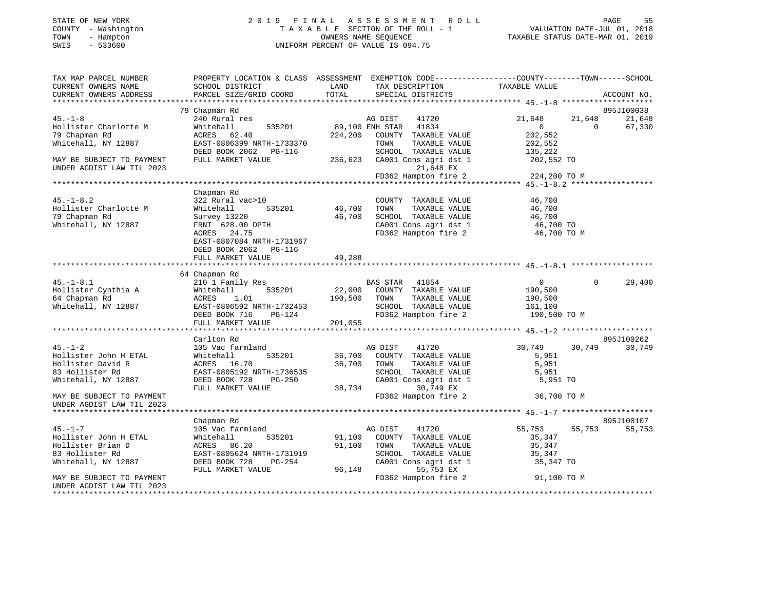# STATE OF NEW YORK 2 0 1 9 F I N A L A S S E S S M E N T R O L L PAGE 55 COUNTY - Washington T A X A B L E SECTION OF THE ROLL - 1 VALUATION DATE-JUL 01, 2018 TOWN - Hampton OWNERS NAME SEQUENCE TAXABLE STATUS DATE-MAR 01, 2019 SWIS - 533600 UNIFORM PERCENT OF VALUE IS 094.75

| TAX MAP PARCEL NUMBER<br>CURRENT OWNERS NAME | SCHOOL DISTRICT          | LAND TAX DESCRIPTION TAXABLE VALUE                                                                                                                                                                                                                                                                                                                                                                                             | PROPERTY LOCATION & CLASS ASSESSMENT EXEMPTION CODE---------------COUNTY--------TOWN------SCHOOL |
|----------------------------------------------|--------------------------|--------------------------------------------------------------------------------------------------------------------------------------------------------------------------------------------------------------------------------------------------------------------------------------------------------------------------------------------------------------------------------------------------------------------------------|--------------------------------------------------------------------------------------------------|
| CURRENT OWNERS ADDRESS                       |                          | PARCEL SIZE/GRID COORD TOTAL SPECIAL DISTRICTS                                                                                                                                                                                                                                                                                                                                                                                 | ACCOUNT NO.                                                                                      |
|                                              |                          |                                                                                                                                                                                                                                                                                                                                                                                                                                |                                                                                                  |
|                                              | 79 Chapman Rd            |                                                                                                                                                                                                                                                                                                                                                                                                                                | 895J100038                                                                                       |
| $45. - 1 - 8$                                |                          | % Chapman kd<br>21,648 and 1 res<br>21,648 and 1 res<br>21,648 and 1 res<br>21,648 and 234,200 country TAXABLE VALUE<br>202,552<br>202,552<br>202,552<br>202,552<br>DEED BOOK 2062 PG-116<br>202,552<br>PULL MARKET VALUE<br>202,552<br>202,552<br>202,55                                                                                                                                                                      | $21,648$ $21,648$ 0<br>21,648                                                                    |
| Hollister Charlotte M                        |                          |                                                                                                                                                                                                                                                                                                                                                                                                                                | 67,330                                                                                           |
| 79 Chapman Rd                                |                          |                                                                                                                                                                                                                                                                                                                                                                                                                                |                                                                                                  |
| Whitehall, NY 12887                          |                          |                                                                                                                                                                                                                                                                                                                                                                                                                                |                                                                                                  |
|                                              |                          |                                                                                                                                                                                                                                                                                                                                                                                                                                |                                                                                                  |
| MAY BE SUBJECT TO PAYMENT                    |                          |                                                                                                                                                                                                                                                                                                                                                                                                                                |                                                                                                  |
| UNDER AGDIST LAW TIL 2023                    |                          |                                                                                                                                                                                                                                                                                                                                                                                                                                | 21,648 EX<br>FD362 Hampton fire 2 224,200 TO M                                                   |
|                                              |                          |                                                                                                                                                                                                                                                                                                                                                                                                                                |                                                                                                  |
|                                              |                          |                                                                                                                                                                                                                                                                                                                                                                                                                                |                                                                                                  |
|                                              |                          | Country TAXABLE VALUE<br>322 Rural vac>10<br>Whitehall 535201 46,700 TOWN TAXABLE VALUE<br>Survey 13220 46,700 SCHOOL TAXABLE VALUE 46,700<br>FRNT 628.00 DPTH CA001 CONS agri dst 1 46,700 TOWN FD362 Hampton fire 2 46,700 TO M                                                                                                                                                                                              |                                                                                                  |
| $45. -1 - 8.2$                               |                          |                                                                                                                                                                                                                                                                                                                                                                                                                                |                                                                                                  |
| Hollister Charlotte M                        |                          |                                                                                                                                                                                                                                                                                                                                                                                                                                |                                                                                                  |
| 79 Chapman Rd                                |                          |                                                                                                                                                                                                                                                                                                                                                                                                                                |                                                                                                  |
| Whitehall, NY 12887                          |                          |                                                                                                                                                                                                                                                                                                                                                                                                                                |                                                                                                  |
|                                              |                          |                                                                                                                                                                                                                                                                                                                                                                                                                                |                                                                                                  |
|                                              |                          |                                                                                                                                                                                                                                                                                                                                                                                                                                |                                                                                                  |
|                                              | DEED BOOK 2062    PG-116 |                                                                                                                                                                                                                                                                                                                                                                                                                                |                                                                                                  |
|                                              |                          |                                                                                                                                                                                                                                                                                                                                                                                                                                |                                                                                                  |
|                                              |                          |                                                                                                                                                                                                                                                                                                                                                                                                                                |                                                                                                  |
|                                              | 64 Chapman Rd            |                                                                                                                                                                                                                                                                                                                                                                                                                                |                                                                                                  |
|                                              |                          |                                                                                                                                                                                                                                                                                                                                                                                                                                | $\Omega$<br>29,400<br>$\overline{0}$                                                             |
|                                              |                          |                                                                                                                                                                                                                                                                                                                                                                                                                                |                                                                                                  |
|                                              |                          |                                                                                                                                                                                                                                                                                                                                                                                                                                |                                                                                                  |
|                                              |                          |                                                                                                                                                                                                                                                                                                                                                                                                                                |                                                                                                  |
|                                              |                          |                                                                                                                                                                                                                                                                                                                                                                                                                                |                                                                                                  |
|                                              |                          | 64 Chapman Rd<br>22,000 COUNTY TAXABLE VALUE<br>335201 1 Family Res<br>4 Chapman Rd<br>4 Chapman Rd<br>22,000 COUNTY TAXABLE VALUE<br>335201 22,000 COUNTY TAXABLE VALUE<br>390,500 TOWN TAXABLE VALUE<br>390,500 TOWN TAXABLE VALUE<br>390,500                                                                                                                                                                                |                                                                                                  |
|                                              |                          |                                                                                                                                                                                                                                                                                                                                                                                                                                |                                                                                                  |
|                                              | Carlton Rd               |                                                                                                                                                                                                                                                                                                                                                                                                                                | 895J100262                                                                                       |
| $45. - 1 - 2$                                |                          |                                                                                                                                                                                                                                                                                                                                                                                                                                | 30,749 30,749<br>30,749                                                                          |
| Hollister John H ETAL<br>Hollister David R   |                          |                                                                                                                                                                                                                                                                                                                                                                                                                                |                                                                                                  |
|                                              |                          |                                                                                                                                                                                                                                                                                                                                                                                                                                |                                                                                                  |
| 83 Hollister Rd                              |                          |                                                                                                                                                                                                                                                                                                                                                                                                                                |                                                                                                  |
| Whitehall, NY 12887                          |                          |                                                                                                                                                                                                                                                                                                                                                                                                                                |                                                                                                  |
|                                              |                          | $\begin{tabular}{lcccccc} \multicolumn{4}{c }{\texttt{Carilton Rd}} & \multicolumn{4}{c }{\texttt{AG DIST}} & \multicolumn{4}{c }{\texttt{41720}} & \multicolumn{4}{c }{\texttt{30,749}} & \multicolumn{4}{c }{\texttt{30,749}} & \multicolumn{4}{c }{\texttt{30,749}} & \multicolumn{4}{c }{\texttt{30,749}} & \multicolumn{4}{c }{\texttt{30,749}} & \multicolumn{4}{c }{\texttt{30,749}} & \multicolumn{4}{c }{\texttt{30,$ |                                                                                                  |
| MAY BE SUBJECT TO PAYMENT                    |                          | $FD362$ Hampton fire 2 36,700 TO M                                                                                                                                                                                                                                                                                                                                                                                             |                                                                                                  |
| UNDER AGDIST LAW TIL 2023                    |                          |                                                                                                                                                                                                                                                                                                                                                                                                                                |                                                                                                  |
|                                              |                          |                                                                                                                                                                                                                                                                                                                                                                                                                                |                                                                                                  |
|                                              | Chapman Rd               |                                                                                                                                                                                                                                                                                                                                                                                                                                | 895J100107                                                                                       |
| $45. - 1 - 7$                                |                          |                                                                                                                                                                                                                                                                                                                                                                                                                                | 55,753<br>55,753                                                                                 |
| Hollister John H ETAL                        |                          |                                                                                                                                                                                                                                                                                                                                                                                                                                |                                                                                                  |
| Hollister Brian D                            |                          |                                                                                                                                                                                                                                                                                                                                                                                                                                |                                                                                                  |
| 83 Hollister Rd                              |                          |                                                                                                                                                                                                                                                                                                                                                                                                                                |                                                                                                  |
| Whitehall, NY 12887                          |                          |                                                                                                                                                                                                                                                                                                                                                                                                                                |                                                                                                  |
|                                              |                          |                                                                                                                                                                                                                                                                                                                                                                                                                                |                                                                                                  |
| MAY BE SUBJECT TO PAYMENT                    |                          |                                                                                                                                                                                                                                                                                                                                                                                                                                |                                                                                                  |
| UNDER AGDIST LAW TIL 2023                    |                          |                                                                                                                                                                                                                                                                                                                                                                                                                                |                                                                                                  |
|                                              |                          |                                                                                                                                                                                                                                                                                                                                                                                                                                |                                                                                                  |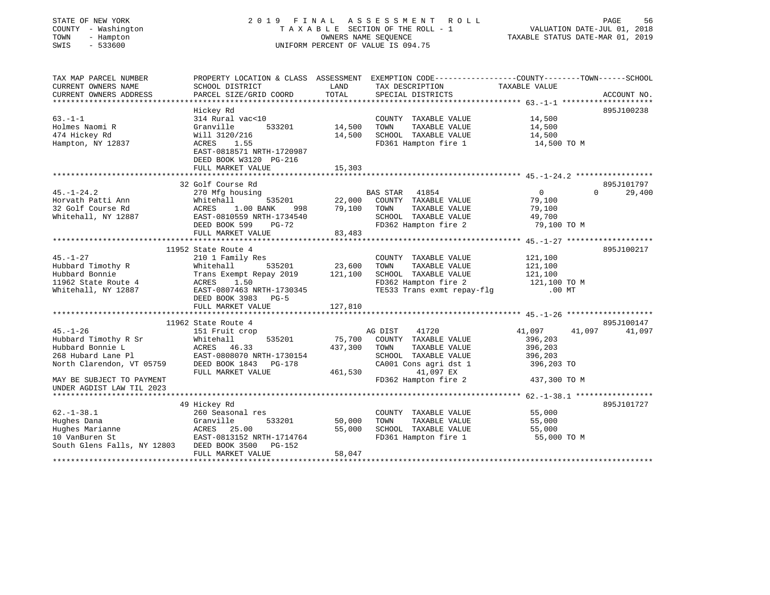| STATE OF NEW YORK<br>COUNTY - Washington<br>TOWN<br>- Hampton<br>SWIS<br>$-533600$ |                                                        |         | 2019 FINAL ASSESSMENT ROLL<br>TAXABLE SECTION OF THE ROLL - 1<br>OWNERS NAME SEQUENCE<br>UNIFORM PERCENT OF VALUE IS 094.75 | VALUATION DATE-JUL 01, 2018<br>TAXABLE STATUS DATE-MAR 01, 2019                                 | PAGE<br>56         |
|------------------------------------------------------------------------------------|--------------------------------------------------------|---------|-----------------------------------------------------------------------------------------------------------------------------|-------------------------------------------------------------------------------------------------|--------------------|
| TAX MAP PARCEL NUMBER                                                              |                                                        |         |                                                                                                                             | PROPERTY LOCATION & CLASS ASSESSMENT EXEMPTION CODE----------------COUNTY-------TOWN-----SCHOOL |                    |
| CURRENT OWNERS NAME                                                                | SCHOOL DISTRICT                                        | LAND    | TAX DESCRIPTION                                                                                                             | TAXABLE VALUE                                                                                   |                    |
| CURRENT OWNERS ADDRESS<br>************************                                 | PARCEL SIZE/GRID COORD                                 | TOTAL   | SPECIAL DISTRICTS                                                                                                           |                                                                                                 | ACCOUNT NO.        |
|                                                                                    | Hickey Rd                                              |         |                                                                                                                             |                                                                                                 | 895J100238         |
| $63. -1 - 1$                                                                       | 314 Rural vac<10                                       |         | COUNTY TAXABLE VALUE                                                                                                        | 14,500                                                                                          |                    |
| Holmes Naomi R                                                                     | Granville<br>533201                                    | 14,500  | TOWN<br>TAXABLE VALUE                                                                                                       | 14,500                                                                                          |                    |
| 474 Hickey Rd                                                                      | Will 3120/216                                          | 14,500  | SCHOOL TAXABLE VALUE                                                                                                        | 14,500                                                                                          |                    |
| Hampton, NY 12837                                                                  | ACRES<br>1.55                                          |         | FD361 Hampton fire 1                                                                                                        | 14,500 TO M                                                                                     |                    |
|                                                                                    | EAST-0818571 NRTH-1720987<br>DEED BOOK W3120 PG-216    |         |                                                                                                                             |                                                                                                 |                    |
|                                                                                    | FULL MARKET VALUE                                      | 15,303  |                                                                                                                             |                                                                                                 |                    |
|                                                                                    |                                                        |         |                                                                                                                             |                                                                                                 |                    |
|                                                                                    | 32 Golf Course Rd                                      |         |                                                                                                                             |                                                                                                 | 895J101797         |
| $45. - 1 - 24.2$                                                                   | 270 Mfg housing                                        |         | BAS STAR 41854                                                                                                              | $\overline{0}$                                                                                  | $\Omega$<br>29,400 |
| Horvath Patti Ann                                                                  | Whitehall<br>535201                                    | 22,000  | COUNTY TAXABLE VALUE                                                                                                        | 79,100                                                                                          |                    |
| 32 Golf Course Rd<br>Whitehall, NY 12887                                           | ACRES<br>1.00 BANK<br>998<br>EAST-0810559 NRTH-1734540 | 79,100  | TOWN<br>TAXABLE VALUE<br>SCHOOL TAXABLE VALUE                                                                               | 79,100<br>49,700                                                                                |                    |
|                                                                                    | DEED BOOK 599<br>PG-72                                 |         | FD362 Hampton fire 2                                                                                                        | 79,100 TO M                                                                                     |                    |
|                                                                                    | FULL MARKET VALUE                                      | 83,483  |                                                                                                                             |                                                                                                 |                    |
|                                                                                    |                                                        |         |                                                                                                                             |                                                                                                 |                    |
|                                                                                    | 11952 State Route 4                                    |         |                                                                                                                             |                                                                                                 | 895J100217         |
| $45. - 1 - 27$                                                                     | 210 1 Family Res                                       |         | COUNTY TAXABLE VALUE                                                                                                        | 121,100                                                                                         |                    |
| Hubbard Timothy R                                                                  | Whitehall<br>535201                                    | 23,600  | TOWN<br>TAXABLE VALUE                                                                                                       | 121,100                                                                                         |                    |
| Hubbard Bonnie                                                                     | Trans Exempt Repay 2019                                | 121,100 | SCHOOL TAXABLE VALUE                                                                                                        | 121,100                                                                                         |                    |
| 11962 State Route 4                                                                | ACRES<br>1.50                                          |         | FD362 Hampton fire 2                                                                                                        | 121,100 TO M                                                                                    |                    |
| Whitehall, NY 12887                                                                | EAST-0807463 NRTH-1730345                              |         | TE533 Trans exmt repay-flg                                                                                                  | $.00$ MT                                                                                        |                    |
|                                                                                    | DEED BOOK 3983 PG-5                                    |         |                                                                                                                             |                                                                                                 |                    |
|                                                                                    | FULL MARKET VALUE                                      | 127,810 |                                                                                                                             |                                                                                                 |                    |
|                                                                                    | 11962 State Route 4                                    |         |                                                                                                                             |                                                                                                 | 895J100147         |
| $45. - 1 - 26$                                                                     | 151 Fruit crop                                         |         | AG DIST<br>41720                                                                                                            | 41,097<br>41,097                                                                                | 41,097             |
| Hubbard Timothy R Sr                                                               | Whitehall<br>535201                                    | 75,700  | COUNTY TAXABLE VALUE                                                                                                        | 396,203                                                                                         |                    |
| Hubbard Bonnie L                                                                   | ACRES 46.33                                            | 437,300 | TAXABLE VALUE<br>TOWN                                                                                                       | 396,203                                                                                         |                    |
|                                                                                    |                                                        |         | SCHOOL TAXABLE VALUE                                                                                                        | 396,203                                                                                         |                    |
| 268 Hubard Lane Pl<br>North Clarendon, VT 05759 DEED BOOK 1843 PG-178              |                                                        |         | CA001 Cons agri dst 1                                                                                                       | 396,203 TO                                                                                      |                    |
|                                                                                    | FULL MARKET VALUE                                      | 461,530 | 41,097 EX                                                                                                                   |                                                                                                 |                    |
| MAY BE SUBJECT TO PAYMENT                                                          |                                                        |         | FD362 Hampton fire 2                                                                                                        | 437,300 TO M                                                                                    |                    |
| UNDER AGDIST LAW TIL 2023                                                          |                                                        |         |                                                                                                                             |                                                                                                 |                    |
|                                                                                    |                                                        |         |                                                                                                                             |                                                                                                 |                    |
|                                                                                    | 49 Hickey Rd                                           |         |                                                                                                                             |                                                                                                 | 895J101727         |
| $62. - 1 - 38.1$<br>Hughes Dana                                                    | 260 Seasonal res<br>Granville<br>533201                | 50,000  | COUNTY TAXABLE VALUE<br>TOWN<br>TAXABLE VALUE                                                                               | 55,000<br>55,000                                                                                |                    |
|                                                                                    | ACRES 25.00                                            | 55,000  | SCHOOL TAXABLE VALUE                                                                                                        | 55,000                                                                                          |                    |
| Hughes Marianne<br>10 VanBuren St<br>10 VanBuren St                                | EAST-0813152 NRTH-1714764                              |         | FD361 Hampton fire 1                                                                                                        | 55,000 TO M                                                                                     |                    |
| South Glens Falls, NY 12803 DEED BOOK 3500                                         | PG-152                                                 |         |                                                                                                                             |                                                                                                 |                    |
|                                                                                    | FULL MARKET VALUE                                      | 58,047  |                                                                                                                             |                                                                                                 |                    |
|                                                                                    |                                                        |         |                                                                                                                             |                                                                                                 |                    |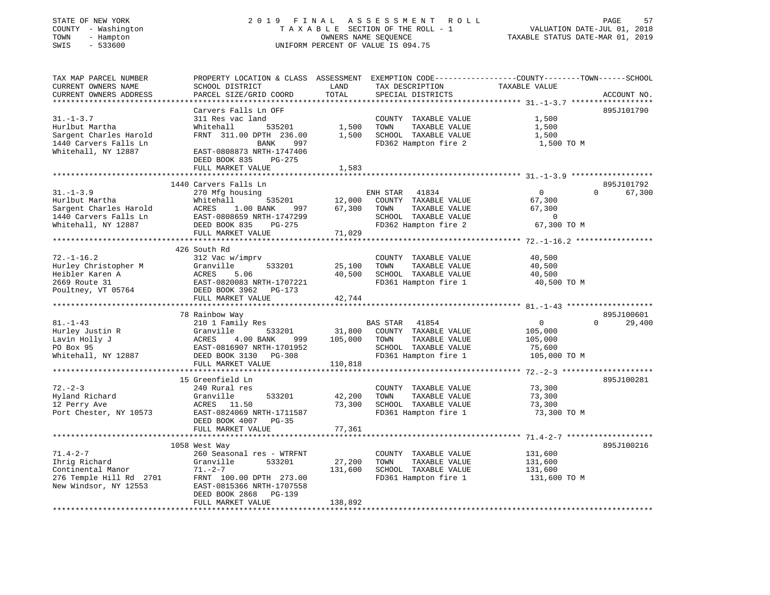| COUNTY - Washington                      | T A X A B L E SECTION OF THE ROLL - 1                                      |                  |                                               | VALUATION DATE-JUL 01, 2018                                                                     |
|------------------------------------------|----------------------------------------------------------------------------|------------------|-----------------------------------------------|-------------------------------------------------------------------------------------------------|
| TOWN<br>- Hampton<br>SWIS<br>$-533600$   |                                                                            |                  | OWNERS NAME SEQUENCE                          | TAXABLE STATUS DATE-MAR 01, 2019                                                                |
|                                          |                                                                            |                  | UNIFORM PERCENT OF VALUE IS 094.75            |                                                                                                 |
| TAX MAP PARCEL NUMBER                    |                                                                            |                  |                                               | PROPERTY LOCATION & CLASS ASSESSMENT EXEMPTION CODE----------------COUNTY-------TOWN-----SCHOOL |
| CURRENT OWNERS NAME                      | SCHOOL DISTRICT                                                            | LAND             | TAX DESCRIPTION                               | TAXABLE VALUE                                                                                   |
| CURRENT OWNERS ADDRESS                   | PARCEL SIZE/GRID COORD                                                     | TOTAL            | SPECIAL DISTRICTS                             | ACCOUNT NO.                                                                                     |
|                                          |                                                                            |                  |                                               |                                                                                                 |
|                                          | Carvers Falls Ln OFF                                                       |                  |                                               | 895J101790                                                                                      |
| $31. - 1 - 3.7$                          | 311 Res vac land                                                           |                  | COUNTY TAXABLE VALUE                          | 1,500                                                                                           |
| Hurlbut Martha<br>Sargent Charles Harold | Whitehall<br>535201<br>FRNT 311.00 DPTH 236.00                             | 1,500<br>1,500   | TOWN<br>TAXABLE VALUE<br>SCHOOL TAXABLE VALUE | 1,500<br>1,500                                                                                  |
| 1440 Carvers Falls Ln                    | <b>BANK</b><br>997                                                         |                  | FD362 Hampton fire 2                          | 1,500 TO M                                                                                      |
| Whitehall, NY 12887                      | EAST-0808873 NRTH-1747406<br>DEED BOOK 835<br>PG-275                       |                  |                                               |                                                                                                 |
|                                          | FULL MARKET VALUE                                                          | 1,583            |                                               |                                                                                                 |
|                                          | **************************                                                 | ************     |                                               |                                                                                                 |
|                                          | 1440 Carvers Falls Ln                                                      |                  |                                               | 895J101792                                                                                      |
| $31. - 1 - 3.9$                          | 270 Mfg housing                                                            |                  | ENH STAR<br>41834                             | $\Omega$<br>$\Omega$<br>67,300                                                                  |
| Hurlbut Martha<br>Sargent Charles Harold | Whitehall<br>535201                                                        | 12,000<br>67,300 | COUNTY TAXABLE VALUE<br>TOWN<br>TAXABLE VALUE | 67,300<br>67,300                                                                                |
| 1440 Carvers Falls Ln                    | ACRES<br>1.00 BANK<br>997<br>EAST-0808659 NRTH-1747299                     |                  | SCHOOL TAXABLE VALUE                          | $\overline{\phantom{0}}$                                                                        |
| Whitehall, NY 12887                      | DEED BOOK 835<br>$PG-275$                                                  |                  | FD362 Hampton fire 2                          | 67,300 TO M                                                                                     |
|                                          | FULL MARKET VALUE                                                          | 71,029           |                                               |                                                                                                 |
|                                          | **************************                                                 |                  | ********************                          | ********************* 72.-1-16.2 ******************                                             |
|                                          | 426 South Rd                                                               |                  |                                               |                                                                                                 |
| $72. - 1 - 16.2$                         | 312 Vac w/imprv                                                            |                  | COUNTY TAXABLE VALUE                          | 40,500                                                                                          |
| Hurley Christopher M                     | Granville<br>533201                                                        | 25,100           | TOWN<br>TAXABLE VALUE                         | 40,500                                                                                          |
| Heibler Karen A                          | ACRES<br>5.06                                                              | 40,500           | SCHOOL TAXABLE VALUE                          | 40,500                                                                                          |
| 2669 Route 31                            | EAST-0820083 NRTH-1707221                                                  |                  | FD361 Hampton fire 1                          | 40,500 TO M                                                                                     |
| Poultney, VT 05764                       | DEED BOOK 3962 PG-173<br>FULL MARKET VALUE                                 | 42,744           |                                               |                                                                                                 |
|                                          |                                                                            |                  |                                               |                                                                                                 |
|                                          | 78 Rainbow Way                                                             |                  |                                               | 895J100601                                                                                      |
| $81. - 1 - 43$                           | 210 1 Family Res                                                           |                  | BAS STAR<br>41854                             | $\mathsf{O}$<br>$\Omega$<br>29,400                                                              |
| Hurley Justin R                          | Granville<br>533201                                                        | 31,800           | COUNTY TAXABLE VALUE                          | 105,000                                                                                         |
| Lavin Holly J<br>PO Box 95               | ACRES<br>4.00 BANK<br>999<br>EAST-0816907 NRTH-1701952                     | 105,000          | TOWN<br>TAXABLE VALUE<br>SCHOOL TAXABLE VALUE | 105,000<br>75,600                                                                               |
| Whitehall, NY 12887                      | DEED BOOK 3130<br>PG-308                                                   |                  | FD361 Hampton fire 1                          | 105,000 TO M                                                                                    |
|                                          | FULL MARKET VALUE                                                          | 110,818          |                                               |                                                                                                 |
|                                          |                                                                            |                  |                                               |                                                                                                 |
|                                          | 15 Greenfield Ln                                                           |                  |                                               | 895J100281                                                                                      |
| $72 - 2 - 3$                             | 240 Rural res                                                              |                  | COUNTY TAXABLE VALUE                          | 73,300                                                                                          |
| Hyland Richard                           | Granville<br>533201                                                        | 42,200           | TOWN<br>TAXABLE VALUE                         | 73,300                                                                                          |
| 12 Perry Ave                             | ACRES 11.50                                                                | 73,300           | SCHOOL TAXABLE VALUE                          | 73,300                                                                                          |
| Port Chester, NY 10573                   | EAST-0824069 NRTH-1711587<br>DEED BOOK 4007 PG-35                          |                  | FD361 Hampton fire 1                          | 73,300 TO M                                                                                     |
|                                          | FULL MARKET VALUE                                                          | 77,361           |                                               |                                                                                                 |
|                                          |                                                                            |                  |                                               | ********** 71.4-2-7 *******************<br>895J100216                                           |
| $71.4 - 2 - 7$                           | 1058 West Way                                                              |                  | COUNTY TAXABLE VALUE                          | 131,600                                                                                         |
| Ihrig Richard                            | 260 Seasonal res - WTRFNT<br>Granville<br>533201                           | 27,200           | TAXABLE VALUE<br>TOWN                         | 131,600                                                                                         |
| Continental Manor                        | $71. - 2 - 7$                                                              | 131,600          | SCHOOL TAXABLE VALUE                          | 131,600                                                                                         |
| 276 Temple Hill Rd 2701                  | FRNT 100.00 DPTH 273.00                                                    |                  | FD361 Hampton fire 1                          | 131,600 TO M                                                                                    |
| New Windsor, NY 12553                    | EAST-0815366 NRTH-1707558<br>DEED BOOK 2868<br>PG-139<br>FULL MARKET VALUE | 138,892          |                                               |                                                                                                 |
|                                          |                                                                            |                  |                                               |                                                                                                 |

STATE OF NEW YORK 2019 FINAL ASSESSMENT ROLL

PAGE 57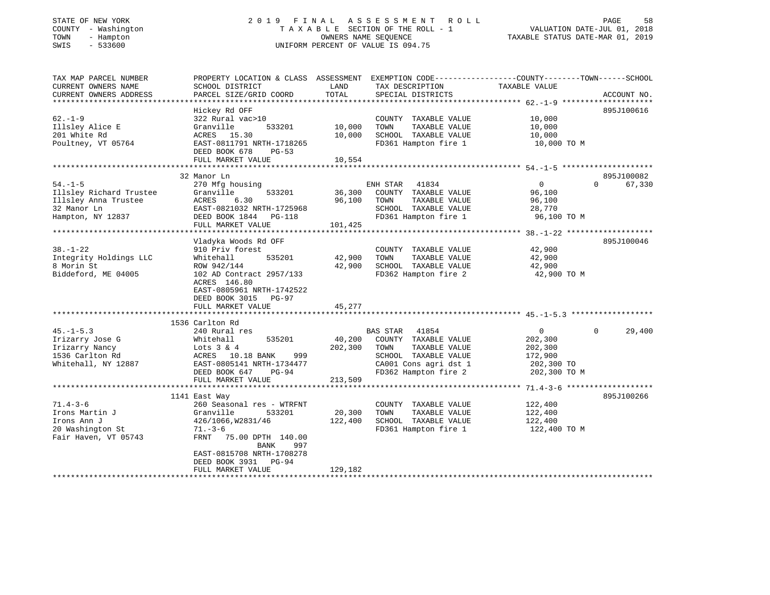# STATE OF NEW YORK 2 0 1 9 F I N A L A S S E S S M E N T R O L L PAGE 58 COUNTY - Washington T A X A B L E SECTION OF THE ROLL - 1 VALUATION DATE-JUL 01, 2018 TOWN - Hampton OWNERS NAME SEQUENCE TAXABLE STATUS DATE-MAR 01, 2019 SWIS - 533600 UNIFORM PERCENT OF VALUE IS 094.75

| TAX MAP PARCEL NUMBER   | PROPERTY LOCATION & CLASS ASSESSMENT EXEMPTION CODE---------------COUNTY-------TOWN-----SCHOOL |         |                       |                |                    |
|-------------------------|------------------------------------------------------------------------------------------------|---------|-----------------------|----------------|--------------------|
| CURRENT OWNERS NAME     | SCHOOL DISTRICT                                                                                | LAND    | TAX DESCRIPTION       | TAXABLE VALUE  |                    |
| CURRENT OWNERS ADDRESS  | PARCEL SIZE/GRID COORD                                                                         | TOTAL   | SPECIAL DISTRICTS     |                | ACCOUNT NO.        |
|                         |                                                                                                |         |                       |                |                    |
|                         | Hickey Rd OFF                                                                                  |         |                       |                | 895J100616         |
| $62 - 1 - 9$            | 322 Rural vac>10                                                                               |         | COUNTY TAXABLE VALUE  | 10,000         |                    |
|                         | Granville<br>533201                                                                            |         | TOWN                  |                |                    |
| Illsley Alice E         |                                                                                                | 10,000  | TAXABLE VALUE         | 10,000         |                    |
| 201 White Rd            | ACRES 15.30                                                                                    | 10,000  | SCHOOL TAXABLE VALUE  | 10,000         |                    |
| Poultney, VT 05764      | EAST-0811791 NRTH-1718265                                                                      |         | FD361 Hampton fire 1  | 10,000 TO M    |                    |
|                         | DEED BOOK 678<br>$PG-53$                                                                       |         |                       |                |                    |
|                         | FULL MARKET VALUE                                                                              | 10,554  |                       |                |                    |
|                         |                                                                                                |         |                       |                |                    |
|                         | 32 Manor Ln                                                                                    |         |                       |                | 895J100082         |
| $54. -1 - 5$            | 270 Mfg housing                                                                                |         | ENH STAR<br>41834     | $\overline{0}$ | $\Omega$<br>67,330 |
| Illsley Richard Trustee | 533201<br>Granville                                                                            | 36,300  | COUNTY TAXABLE VALUE  | 96,100         |                    |
| Illsley Anna Trustee    |                                                                                                | 96,100  | TAXABLE VALUE<br>TOWN | 96,100         |                    |
| 32 Manor Ln             | ACRES 6.30<br>EAST-0821032 NRTH-1725968                                                        |         | SCHOOL TAXABLE VALUE  | 28,770         |                    |
|                         |                                                                                                |         |                       |                |                    |
|                         | Hampton, NY 12837 DEED BOOK 1844 PG-118                                                        |         | FD361 Hampton fire 1  | 96,100 TO M    |                    |
|                         | FULL MARKET VALUE                                                                              | 101,425 |                       |                |                    |
|                         |                                                                                                |         |                       |                |                    |
|                         | Vladyka Woods Rd OFF                                                                           |         |                       |                | 895J100046         |
| $38. - 1 - 22$          | 910 Priv forest                                                                                |         | COUNTY TAXABLE VALUE  | 42,900         |                    |
| Integrity Holdings LLC  | Whitehall<br>535201                                                                            | 42,900  | TOWN<br>TAXABLE VALUE | 42,900         |                    |
| 8 Morin St              | ROW 942/144                                                                                    | 42,900  | SCHOOL TAXABLE VALUE  | 42,900         |                    |
| Biddeford, ME 04005     | 102 AD Contract 2957/133                                                                       |         | FD362 Hampton fire 2  | 42,900 TO M    |                    |
|                         | ACRES 146.80                                                                                   |         |                       |                |                    |
|                         | EAST-0805961 NRTH-1742522                                                                      |         |                       |                |                    |
|                         |                                                                                                |         |                       |                |                    |
|                         | DEED BOOK 3015 PG-97                                                                           |         |                       |                |                    |
|                         | FULL MARKET VALUE                                                                              | 45,277  |                       |                |                    |
|                         |                                                                                                |         |                       |                |                    |
|                         | 1536 Carlton Rd                                                                                |         |                       |                |                    |
| $45. - 1 - 5.3$         | 240 Rural res                                                                                  |         | BAS STAR 41854        | $\overline{0}$ | 29,400<br>$\Omega$ |
| Irizarry Jose G         | 535201<br>Whitehall                                                                            | 40,200  | COUNTY TAXABLE VALUE  | 202,300        |                    |
| Irizarry Nancy          | Lots 3 & 4<br>ACRES 10.                                                                        | 202,300 | TAXABLE VALUE<br>TOWN | 202,300        |                    |
| 1536 Carlton Rd         | 999<br>ACRES 10.18 BANK                                                                        |         | SCHOOL TAXABLE VALUE  | 172,900        |                    |
| Whitehall, NY 12887     | EAST-0805141 NRTH-1734477                                                                      |         | CA001 Cons agri dst 1 | 202,300 TO     |                    |
|                         | DEED BOOK 647<br>$PG-94$                                                                       |         | FD362 Hampton fire 2  | 202,300 TO M   |                    |
|                         | FULL MARKET VALUE                                                                              | 213,509 |                       |                |                    |
|                         |                                                                                                |         |                       |                |                    |
|                         |                                                                                                |         |                       |                |                    |
|                         | 1141 East Way                                                                                  |         |                       |                | 895J100266         |
| $71.4 - 3 - 6$          | 260 Seasonal res - WTRFNT                                                                      |         | COUNTY TAXABLE VALUE  | 122,400        |                    |
| Irons Martin J          | Granville<br>533201                                                                            | 20,300  | TAXABLE VALUE<br>TOWN | 122,400        |                    |
| Irons Ann J             | 426/1066,W2831/46                                                                              | 122,400 | SCHOOL TAXABLE VALUE  | 122,400        |                    |
| 20 Washington St        | $71. - 3 - 6$                                                                                  |         | FD361 Hampton fire 1  | 122,400 TO M   |                    |
| Fair Haven, VT 05743    | FRNT 75.00 DPTH 140.00                                                                         |         |                       |                |                    |
|                         | BANK<br>997                                                                                    |         |                       |                |                    |
|                         | EAST-0815708 NRTH-1708278                                                                      |         |                       |                |                    |
|                         | DEED BOOK 3931 PG-94                                                                           |         |                       |                |                    |
|                         |                                                                                                |         |                       |                |                    |
|                         | FULL MARKET VALUE                                                                              | 129,182 |                       |                |                    |
|                         |                                                                                                |         |                       |                |                    |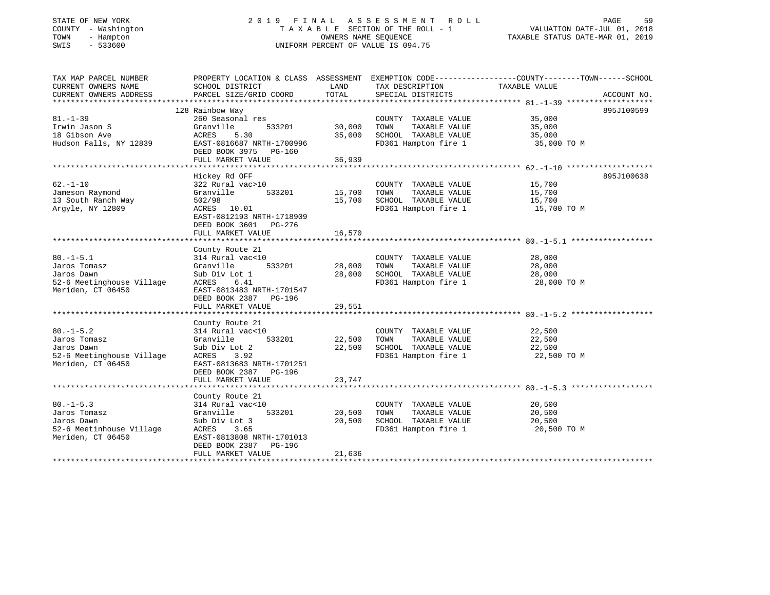# STATE OF NEW YORK 2 0 1 9 F I N A L A S S E S S M E N T R O L L PAGE 59 COUNTY - Washington T A X A B L E SECTION OF THE ROLL - 1 VALUATION DATE-JUL 01, 2018 TOWN - Hampton OWNERS NAME SEQUENCE TAXABLE STATUS DATE-MAR 01, 2019 SWIS - 533600 UNIFORM PERCENT OF VALUE IS 094.75

| TAX MAP PARCEL NUMBER     | PROPERTY LOCATION & CLASS ASSESSMENT EXEMPTION CODE---------------COUNTY-------TOWN------SCHOOL |        |                       |               |             |
|---------------------------|-------------------------------------------------------------------------------------------------|--------|-----------------------|---------------|-------------|
| CURRENT OWNERS NAME       | SCHOOL DISTRICT                                                                                 | LAND   | TAX DESCRIPTION       | TAXABLE VALUE |             |
| CURRENT OWNERS ADDRESS    | PARCEL SIZE/GRID COORD                                                                          | TOTAL  | SPECIAL DISTRICTS     |               | ACCOUNT NO. |
|                           |                                                                                                 |        |                       |               |             |
|                           | 128 Rainbow Way                                                                                 |        |                       |               | 895J100599  |
| $81. - 1 - 39$            | 260 Seasonal res                                                                                |        | COUNTY TAXABLE VALUE  | 35,000        |             |
| Irwin Jason S             | Granville<br>533201                                                                             | 30,000 | TAXABLE VALUE<br>TOWN | 35,000        |             |
| 18 Gibson Ave             | ACRES<br>5.30                                                                                   | 35,000 | SCHOOL TAXABLE VALUE  | 35,000        |             |
| Hudson Falls, NY 12839    | EAST-0816687 NRTH-1700996                                                                       |        | FD361 Hampton fire 1  | 35,000 TO M   |             |
|                           | DEED BOOK 3975<br>PG-160                                                                        |        |                       |               |             |
|                           | FULL MARKET VALUE                                                                               | 36,939 |                       |               |             |
|                           |                                                                                                 |        |                       |               |             |
|                           |                                                                                                 |        |                       |               |             |
|                           | Hickey Rd OFF                                                                                   |        |                       |               | 895J100638  |
| $62 - 1 - 10$             | 322 Rural vac>10                                                                                |        | COUNTY TAXABLE VALUE  | 15,700        |             |
| Jameson Raymond           | Granville<br>533201                                                                             | 15,700 | TOWN<br>TAXABLE VALUE | 15,700        |             |
| 13 South Ranch Way        | 502/98                                                                                          | 15,700 | SCHOOL TAXABLE VALUE  | 15,700        |             |
| Arqyle, NY 12809          | ACRES 10.01                                                                                     |        | FD361 Hampton fire 1  | 15,700 TO M   |             |
|                           | EAST-0812193 NRTH-1718909                                                                       |        |                       |               |             |
|                           | DEED BOOK 3601<br>PG-276                                                                        |        |                       |               |             |
|                           | FULL MARKET VALUE                                                                               | 16,570 |                       |               |             |
|                           |                                                                                                 |        |                       |               |             |
|                           | County Route 21                                                                                 |        |                       |               |             |
| $80. -1 - 5.1$            | 314 Rural vac<10                                                                                |        | COUNTY TAXABLE VALUE  | 28,000        |             |
| Jaros Tomasz              | Granville<br>533201                                                                             | 28,000 | TAXABLE VALUE<br>TOWN | 28,000        |             |
| Jaros Dawn                | Sub Div Lot 1                                                                                   | 28,000 | SCHOOL TAXABLE VALUE  | 28,000        |             |
| 52-6 Meetinghouse Village | ACRES<br>6.41                                                                                   |        | FD361 Hampton fire 1  | 28,000 TO M   |             |
| Meriden, CT 06450         | EAST-0813483 NRTH-1701547                                                                       |        |                       |               |             |
|                           | DEED BOOK 2387 PG-196                                                                           |        |                       |               |             |
|                           |                                                                                                 |        |                       |               |             |
|                           | FULL MARKET VALUE                                                                               | 29,551 |                       |               |             |
|                           |                                                                                                 |        |                       |               |             |
|                           | County Route 21                                                                                 |        |                       |               |             |
| $80. -1 - 5.2$            | 314 Rural vac<10                                                                                |        | COUNTY TAXABLE VALUE  | 22,500        |             |
| Jaros Tomasz              | Granville<br>533201                                                                             | 22,500 | TOWN<br>TAXABLE VALUE | 22,500        |             |
| Jaros Dawn                | Sub Div Lot 2                                                                                   | 22,500 | SCHOOL TAXABLE VALUE  | 22,500        |             |
| 52-6 Meetinghouse Village | ACRES<br>3.92                                                                                   |        | FD361 Hampton fire 1  | 22,500 TO M   |             |
| Meriden, CT 06450         | EAST-0813683 NRTH-1701251                                                                       |        |                       |               |             |
|                           | DEED BOOK 2387 PG-196                                                                           |        |                       |               |             |
|                           | FULL MARKET VALUE                                                                               | 23,747 |                       |               |             |
|                           |                                                                                                 |        |                       |               |             |
|                           | County Route 21                                                                                 |        |                       |               |             |
| $80. -1 - 5.3$            | 314 Rural vac<10                                                                                |        | COUNTY TAXABLE VALUE  | 20,500        |             |
| Jaros Tomasz              | Granville<br>533201                                                                             | 20,500 | TAXABLE VALUE<br>TOWN | 20,500        |             |
| Jaros Dawn                | Sub Div Lot 3                                                                                   | 20,500 | SCHOOL TAXABLE VALUE  | 20,500        |             |
| 52-6 Meetinhouse Village  | ACRES<br>3.65                                                                                   |        | FD361 Hampton fire 1  | 20,500 TO M   |             |
| Meriden, CT 06450         | EAST-0813808 NRTH-1701013                                                                       |        |                       |               |             |
|                           | DEED BOOK 2387<br>PG-196                                                                        |        |                       |               |             |
|                           |                                                                                                 |        |                       |               |             |
|                           | FULL MARKET VALUE                                                                               | 21,636 |                       |               |             |
|                           |                                                                                                 |        |                       |               |             |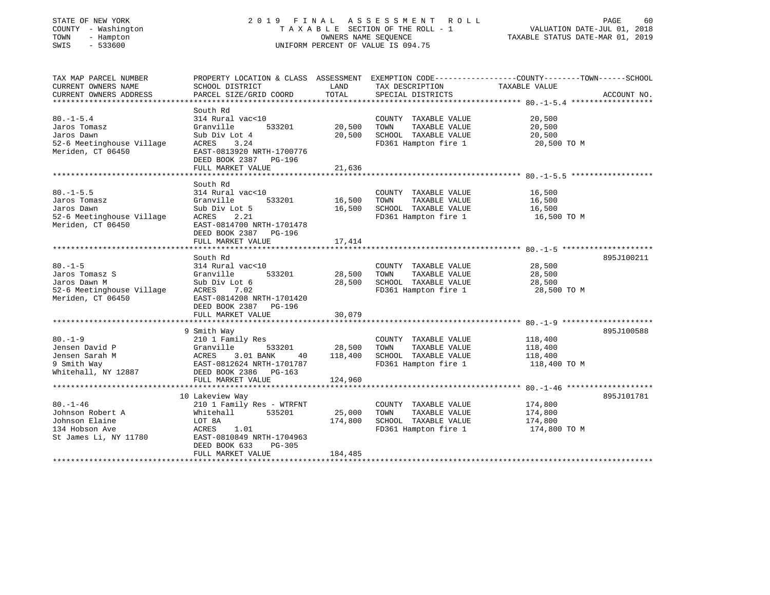# STATE OF NEW YORK 2 0 1 9 F I N A L A S S E S S M E N T R O L L PAGE 60 COUNTY - Washington T A X A B L E SECTION OF THE ROLL - 1 VALUATION DATE-JUL 01, 2018 TOWN - Hampton OWNERS NAME SEQUENCE TAXABLE STATUS DATE-MAR 01, 2019 SWIS - 533600 UNIFORM PERCENT OF VALUE IS 094.75

| TAX MAP PARCEL NUMBER     |                                                                     |         |                       | PROPERTY LOCATION & CLASS ASSESSMENT EXEMPTION CODE----------------COUNTY-------TOWN------SCHOOL |             |
|---------------------------|---------------------------------------------------------------------|---------|-----------------------|--------------------------------------------------------------------------------------------------|-------------|
| CURRENT OWNERS NAME       | SCHOOL DISTRICT                                                     | LAND    | TAX DESCRIPTION       | TAXABLE VALUE                                                                                    |             |
| CURRENT OWNERS ADDRESS    | PARCEL SIZE/GRID COORD                                              | TOTAL   | SPECIAL DISTRICTS     |                                                                                                  | ACCOUNT NO. |
|                           |                                                                     |         |                       |                                                                                                  |             |
|                           | South Rd                                                            |         |                       |                                                                                                  |             |
| $80. -1 - 5.4$            | 314 Rural vac<10                                                    |         | COUNTY TAXABLE VALUE  | 20,500                                                                                           |             |
| Jaros Tomasz              | Granville<br>533201                                                 | 20,500  | TAXABLE VALUE<br>TOWN | 20,500                                                                                           |             |
| Jaros Dawn                | Sub Div Lot 4                                                       | 20,500  | SCHOOL TAXABLE VALUE  | 20,500                                                                                           |             |
| 52-6 Meetinghouse Village | 3.24<br>ACRES                                                       |         | FD361 Hampton fire 1  | 20,500 TO M                                                                                      |             |
| Meriden, CT 06450         | EAST-0813920 NRTH-1700776                                           |         |                       |                                                                                                  |             |
|                           | DEED BOOK 2387 PG-196                                               |         |                       |                                                                                                  |             |
|                           | FULL MARKET VALUE                                                   | 21,636  |                       |                                                                                                  |             |
|                           |                                                                     |         |                       |                                                                                                  |             |
|                           |                                                                     |         |                       |                                                                                                  |             |
|                           | South Rd                                                            |         |                       |                                                                                                  |             |
| $80. -1 - 5.5$            | 314 Rural vac<10                                                    |         | COUNTY TAXABLE VALUE  | 16,500                                                                                           |             |
| Jaros Tomasz              | 533201<br>Granville                                                 | 16,500  | TOWN<br>TAXABLE VALUE | 16,500                                                                                           |             |
| Jaros Dawn                | Sub Div Lot 5                                                       | 16,500  | SCHOOL TAXABLE VALUE  | 16,500                                                                                           |             |
| 52-6 Meetinghouse Village | ACRES<br>2.21                                                       |         | FD361 Hampton fire 1  | 16,500 TO M                                                                                      |             |
| Meriden, CT 06450         | EAST-0814700 NRTH-1701478                                           |         |                       |                                                                                                  |             |
|                           | DEED BOOK 2387<br>PG-196                                            |         |                       |                                                                                                  |             |
|                           | FULL MARKET VALUE                                                   | 17,414  |                       |                                                                                                  |             |
|                           |                                                                     |         |                       |                                                                                                  |             |
|                           | South Rd                                                            |         |                       |                                                                                                  | 895J100211  |
| $80. -1 - 5$              | 314 Rural vac<10                                                    |         | COUNTY TAXABLE VALUE  | 28,500                                                                                           |             |
| Jaros Tomasz S            | 533201<br>Granville                                                 | 28,500  | TAXABLE VALUE<br>TOWN | 28,500                                                                                           |             |
| Jaros Dawn M              | Sub Div Lot 6                                                       | 28,500  | SCHOOL TAXABLE VALUE  | 28,500                                                                                           |             |
| 52-6 Meetinghouse Village | ACRES<br>7.02                                                       |         | FD361 Hampton fire 1  | 28,500 TO M                                                                                      |             |
| Meriden, CT 06450         | EAST-0814208 NRTH-1701420                                           |         |                       |                                                                                                  |             |
|                           | DEED BOOK 2387<br>PG-196                                            |         |                       |                                                                                                  |             |
|                           | FULL MARKET VALUE                                                   | 30,079  |                       |                                                                                                  |             |
|                           |                                                                     |         |                       |                                                                                                  |             |
|                           | 9 Smith Way                                                         |         |                       |                                                                                                  | 895J100588  |
| $80 - 1 - 9$              | 210 1 Family Res                                                    |         | COUNTY TAXABLE VALUE  | 118,400                                                                                          |             |
| Jensen David P            | Granville<br>533201                                                 | 28,500  | TOWN<br>TAXABLE VALUE | 118,400                                                                                          |             |
| Jensen Sarah M            | 40                                                                  | 118,400 | SCHOOL TAXABLE VALUE  | 118,400                                                                                          |             |
| 9 Smith Way               | Granville 533201<br>ACRES 3.01 BANK 40<br>EAST-0812624 NRTH-1701787 |         | FD361 Hampton fire 1  | 118,400 TO M                                                                                     |             |
| Whitehall, NY 12887       | DEED BOOK 2386 PG-163                                               |         |                       |                                                                                                  |             |
|                           | FULL MARKET VALUE                                                   | 124,960 |                       |                                                                                                  |             |
|                           |                                                                     |         |                       |                                                                                                  |             |
|                           | 10 Lakeview Way                                                     |         |                       |                                                                                                  | 895J101781  |
| $80. - 1 - 46$            | 210 1 Family Res - WTRFNT                                           |         | COUNTY TAXABLE VALUE  | 174,800                                                                                          |             |
| Johnson Robert A          | 535201<br>Whitehall                                                 | 25,000  | TAXABLE VALUE<br>TOWN | 174,800                                                                                          |             |
|                           |                                                                     |         |                       |                                                                                                  |             |
| Johnson Elaine            | LOT 8A                                                              | 174,800 | SCHOOL TAXABLE VALUE  | 174,800                                                                                          |             |
| 134 Hobson Ave            | ACRES<br>1.01                                                       |         | FD361 Hampton fire 1  | 174,800 TO M                                                                                     |             |
| St James Li, NY 11780     | EAST-0810849 NRTH-1704963                                           |         |                       |                                                                                                  |             |
|                           | DEED BOOK 633<br>PG-305                                             |         |                       |                                                                                                  |             |
|                           | FULL MARKET VALUE                                                   | 184,485 |                       |                                                                                                  |             |
|                           |                                                                     |         |                       |                                                                                                  |             |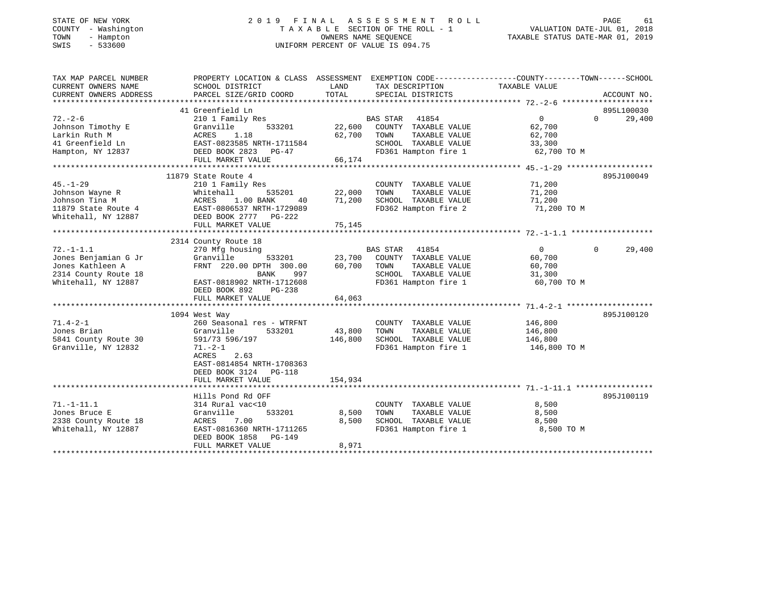|        | STATE OF NEW YORK |
|--------|-------------------|
| COUNTY | - Washington      |
| TOWN   | - Hampton         |
| CM T C | $-533600$         |

# STATE OF NEW YORK 2 0 1 9 F I N A L A S S E S S M E N T R O L L PAGE 61 COUNTY - Washington T A X A B L E SECTION OF THE ROLL - 1 VALUATION DATE-JUL 01, 2018 TOWN - Hampton OWNERS NAME SEQUENCE TAXABLE STATUS DATE-MAR 01, 2019 SWIS - 533600 UNIFORM PERCENT OF VALUE IS 094.75

| TAX MAP PARCEL NUMBER  | PROPERTY LOCATION & CLASS ASSESSMENT EXEMPTION CODE----------------COUNTY--------TOWN-----SCHOOL                                                                                                                                     |               |                             |                  |               |
|------------------------|--------------------------------------------------------------------------------------------------------------------------------------------------------------------------------------------------------------------------------------|---------------|-----------------------------|------------------|---------------|
| CURRENT OWNERS NAME    | SCHOOL DISTRICT                                                                                                                                                                                                                      | LAND          | TAX DESCRIPTION             | TAXABLE VALUE    |               |
| CURRENT OWNERS ADDRESS | PARCEL SIZE/GRID COORD                                                                                                                                                                                                               | TOTAL         | SPECIAL DISTRICTS           |                  | ACCOUNT NO.   |
|                        |                                                                                                                                                                                                                                      |               |                             |                  |               |
|                        | 41 Greenfield Ln                                                                                                                                                                                                                     |               |                             |                  | 895L100030    |
| $72. - 2 - 6$          | 210 1 Family Res                                                                                                                                                                                                                     |               | BAS STAR 41854              | $\overline{0}$   | $0 \t 29,400$ |
|                        |                                                                                                                                                                                                                                      |               |                             |                  |               |
|                        |                                                                                                                                                                                                                                      |               |                             |                  |               |
|                        |                                                                                                                                                                                                                                      |               |                             |                  |               |
|                        |                                                                                                                                                                                                                                      |               |                             |                  |               |
|                        |                                                                                                                                                                                                                                      |               |                             |                  |               |
|                        |                                                                                                                                                                                                                                      |               |                             |                  |               |
|                        | 11879 State Route 4                                                                                                                                                                                                                  |               |                             |                  | 895J100049    |
| $45. - 1 - 29$         | 210 1 Family Res                                                                                                                                                                                                                     |               | COUNTY TAXABLE VALUE        | 71,200           |               |
|                        |                                                                                                                                                                                                                                      | 535201 22,000 | TOWN<br>TAXABLE VALUE       | 71,200           |               |
|                        |                                                                                                                                                                                                                                      | 71,200        | SCHOOL TAXABLE VALUE        | 71,200           |               |
|                        | Forms on Wayne R<br>Tohnson Wayne R<br>Tohnson Tina M<br>11879 State Route 4<br>Whitehall B35201<br>Mitehall, NY 12887<br>DEED BOOK 2777 PG-222<br>Nitehall, NY 12887<br>DEED BOOK 2777 PG-222                                       |               | FD362 Hampton fire 2        | 71,200 TO M      |               |
|                        |                                                                                                                                                                                                                                      |               |                             |                  |               |
|                        |                                                                                                                                                                                                                                      |               |                             |                  |               |
|                        |                                                                                                                                                                                                                                      |               |                             |                  |               |
|                        | 2314 County Route 18                                                                                                                                                                                                                 |               |                             |                  |               |
| $72. - 1 - 1.1$        | 270 Mfg housing                                                                                                                                                                                                                      |               | BAS STAR 41854              | $\overline{0}$   | $0 \t 29,400$ |
|                        |                                                                                                                                                                                                                                      |               |                             |                  |               |
|                        | Value of the country of the country that the sending ones Athle Granville 533201 23,700 COUNTY TAXABLE VALUE<br>Jones Kathleen A FRNT 220.00 DPTH 300.00 60,700 TOWN TAXABLE VALUE<br>2314 County Route 18 BANK 997 SCHOOL TAXABLE V |               |                             | 60,700<br>60,700 |               |
|                        |                                                                                                                                                                                                                                      |               | SCHOOL TAXABLE VALUE 31,300 |                  |               |
|                        |                                                                                                                                                                                                                                      |               | FD361 Hampton fire 1        | 60,700 TO M      |               |
|                        | 2314 County Route 18<br>Whitehall, NY 12887 EAST-0818902 NRTH-1712608<br>DEED BOOK 892 PG-238                                                                                                                                        |               |                             |                  |               |
|                        |                                                                                                                                                                                                                                      | 64,063        |                             |                  |               |
|                        | FULL MARKET VALUE                                                                                                                                                                                                                    |               |                             |                  |               |
|                        |                                                                                                                                                                                                                                      |               |                             |                  | 895J100120    |
|                        | 1094 West Way                                                                                                                                                                                                                        |               |                             |                  |               |
| $71.4 - 2 - 1$         | 260 Seasonal res - WTRFNT<br>Granville                                                                                                                                                                                               |               | COUNTY TAXABLE VALUE        | 146,800          |               |
| Jones Brian            | 533201                                                                                                                                                                                                                               | 43,800        | TOWN<br>TAXABLE VALUE       | 146,800          |               |
| 5841 County Route 30   | 591/73 596/197                                                                                                                                                                                                                       | 146,800       | SCHOOL TAXABLE VALUE        | 146,800          |               |
| Granville, NY 12832    | $71. - 2 - 1$                                                                                                                                                                                                                        |               | FD361 Hampton fire 1        | 146,800 TO M     |               |
|                        | 2.63<br>ACRES                                                                                                                                                                                                                        |               |                             |                  |               |
|                        | EAST-0814854 NRTH-1708363                                                                                                                                                                                                            |               |                             |                  |               |
|                        | DEED BOOK 3124 PG-118                                                                                                                                                                                                                |               |                             |                  |               |
|                        | FULL MARKET VALUE                                                                                                                                                                                                                    | 154,934       |                             |                  |               |
|                        |                                                                                                                                                                                                                                      |               |                             |                  |               |
|                        | Hills Pond Rd OFF                                                                                                                                                                                                                    |               |                             |                  | 895J100119    |
| $71. - 1 - 11.1$       | 314 Rural vac<10                                                                                                                                                                                                                     |               | COUNTY TAXABLE VALUE        | 8,500            |               |
| Jones Bruce E          | Granville                                                                                                                                                                                                                            | 533201 8,500  | TOWN<br>TAXABLE VALUE       | 8,500            |               |
|                        |                                                                                                                                                                                                                                      | 8,500         | SCHOOL TAXABLE VALUE        | 8,500            |               |
|                        | 2338 County Route 18<br>Whitehall, NY 12887<br>Whitehall, NY 12887<br>There Rook 1858 PG-149                                                                                                                                         |               | FD361 Hampton fire 1        | 8,500 TO M       |               |
|                        | DEED BOOK 1858 PG-149                                                                                                                                                                                                                |               |                             |                  |               |
|                        | FULL MARKET VALUE                                                                                                                                                                                                                    | 8,971         |                             |                  |               |
|                        |                                                                                                                                                                                                                                      |               |                             |                  |               |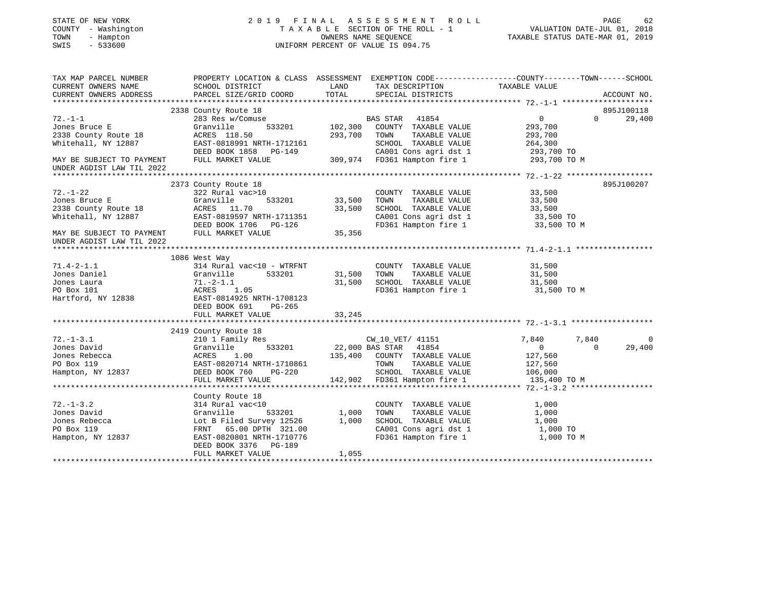| STATE OF NEW YORK<br>COUNTY - Washington<br>TOWN<br>- Hampton<br>$-533600$<br>SWIS | 2019 FINAL                                                                                                        |                    | A S S E S S M E N T<br>R O L L<br>TAXABLE SECTION OF THE ROLL - 1<br>OWNERS NAME SEQUENCE<br>UNIFORM PERCENT OF VALUE IS 094.75 | TAXABLE STATUS DATE-MAR 01, 2019 | PAGE<br>62<br>VALUATION DATE-JUL 01, 2018 |
|------------------------------------------------------------------------------------|-------------------------------------------------------------------------------------------------------------------|--------------------|---------------------------------------------------------------------------------------------------------------------------------|----------------------------------|-------------------------------------------|
| TAX MAP PARCEL NUMBER<br>CURRENT OWNERS NAME                                       | PROPERTY LOCATION & CLASS ASSESSMENT EXEMPTION CODE---------------COUNTY-------TOWN-----SCHOOL<br>SCHOOL DISTRICT | LAND               | TAX DESCRIPTION                                                                                                                 | TAXABLE VALUE                    |                                           |
| CURRENT OWNERS ADDRESS                                                             | PARCEL SIZE/GRID COORD                                                                                            | TOTAL              | SPECIAL DISTRICTS                                                                                                               |                                  | ACCOUNT NO.                               |
|                                                                                    |                                                                                                                   |                    |                                                                                                                                 |                                  |                                           |
|                                                                                    | 2338 County Route 18                                                                                              |                    |                                                                                                                                 |                                  | 895J100118                                |
| $72. - 1 - 1$<br>Jones Bruce E                                                     | 283 Res w/Comuse                                                                                                  |                    | BAS STAR<br>41854                                                                                                               | $\circ$                          | $\Omega$<br>29,400                        |
| 2338 County Route 18                                                               | Granville<br>533201<br>ACRES 118.50                                                                               | 102,300<br>293,700 | COUNTY TAXABLE VALUE<br>TAXABLE VALUE<br>TOWN                                                                                   | 293,700<br>293,700               |                                           |
| Whitehall, NY 12887                                                                | EAST-0818991 NRTH-1712161                                                                                         |                    | SCHOOL TAXABLE VALUE                                                                                                            | 264,300                          |                                           |
|                                                                                    | DEED BOOK 1858 PG-149                                                                                             |                    | CA001 Cons agri dst 1                                                                                                           | 293,700 TO                       |                                           |
| MAY BE SUBJECT TO PAYMENT                                                          | FULL MARKET VALUE                                                                                                 |                    | 309,974 FD361 Hampton fire 1                                                                                                    | 293,700 TO M                     |                                           |
| UNDER AGDIST LAW TIL 2022                                                          |                                                                                                                   |                    |                                                                                                                                 |                                  |                                           |
|                                                                                    |                                                                                                                   |                    |                                                                                                                                 |                                  |                                           |
|                                                                                    | 2373 County Route 18                                                                                              |                    |                                                                                                                                 |                                  | 895J100207                                |
| $72. - 1 - 22$                                                                     | 322 Rural vac>10                                                                                                  |                    | COUNTY TAXABLE VALUE                                                                                                            | 33,500                           |                                           |
| Jones Bruce E                                                                      | Granville<br>533201                                                                                               | 33,500             | TAXABLE VALUE<br>TOWN                                                                                                           | 33,500                           |                                           |
| 2338 County Route 18                                                               | ACRES 11.70                                                                                                       | 33,500             | SCHOOL TAXABLE VALUE                                                                                                            | 33,500                           |                                           |
| Whitehall, NY 12887                                                                | EAST-0819597 NRTH-1711351                                                                                         |                    | CA001 Cons agri dst 1                                                                                                           | 33,500 TO                        |                                           |
|                                                                                    | DEED BOOK 1706 PG-126                                                                                             |                    | FD361 Hampton fire 1                                                                                                            | 33,500 TO M                      |                                           |
| MAY BE SUBJECT TO PAYMENT                                                          | FULL MARKET VALUE                                                                                                 | 35,356             |                                                                                                                                 |                                  |                                           |
| UNDER AGDIST LAW TIL 2022                                                          |                                                                                                                   |                    |                                                                                                                                 |                                  |                                           |
|                                                                                    |                                                                                                                   |                    |                                                                                                                                 |                                  |                                           |
| $71.4 - 2 - 1.1$                                                                   | 1086 West Way<br>314 Rural vac<10 - WTRFNT                                                                        |                    |                                                                                                                                 | 31,500                           |                                           |
| Jones Daniel                                                                       | Granville<br>533201                                                                                               | 31,500             | COUNTY TAXABLE VALUE<br>TAXABLE VALUE<br>TOWN                                                                                   | 31,500                           |                                           |
| Jones Laura                                                                        | $71. - 2 - 1.1$                                                                                                   | 31,500             | SCHOOL TAXABLE VALUE                                                                                                            | 31,500                           |                                           |
| PO Box 101                                                                         | ACRES 1.05                                                                                                        |                    | FD361 Hampton fire 1                                                                                                            | 31,500 TO M                      |                                           |
| Hartford, NY 12838                                                                 | EAST-0814925 NRTH-1708123                                                                                         |                    |                                                                                                                                 |                                  |                                           |
|                                                                                    | DEED BOOK 691<br>$PG-265$                                                                                         |                    |                                                                                                                                 |                                  |                                           |
|                                                                                    | FULL MARKET VALUE                                                                                                 | 33,245             |                                                                                                                                 |                                  |                                           |
|                                                                                    |                                                                                                                   |                    |                                                                                                                                 |                                  |                                           |
|                                                                                    | 2419 County Route 18                                                                                              |                    |                                                                                                                                 |                                  |                                           |
| $72. - 1 - 3.1$                                                                    | 210 1 Family Res                                                                                                  |                    | CW 10 VET/ 41151                                                                                                                | 7,840                            | 7,840<br>$\Omega$                         |
| Jones David                                                                        | Granville<br>533201                                                                                               |                    | 22,000 BAS STAR 41854                                                                                                           | $\overline{0}$                   | $\Omega$<br>29,400                        |
| Jones Rebecca                                                                      | ACRES<br>1.00                                                                                                     | 135,400            | COUNTY TAXABLE VALUE                                                                                                            | 127,560                          |                                           |
| PO Box 119                                                                         | EAST-0820714 NRTH-1710861                                                                                         |                    | TOWN<br>TAXABLE VALUE                                                                                                           | 127,560                          |                                           |
| Hampton, NY 12837                                                                  | DEED BOOK 760<br>PG-220                                                                                           |                    | SCHOOL TAXABLE VALUE                                                                                                            | 106,000                          |                                           |
|                                                                                    | FULL MARKET VALUE                                                                                                 | 142,902            | FD361 Hampton fire 1                                                                                                            | 135,400 TO M                     |                                           |
|                                                                                    |                                                                                                                   |                    |                                                                                                                                 |                                  |                                           |
|                                                                                    | County Route 18                                                                                                   |                    |                                                                                                                                 |                                  |                                           |
| $72. - 1 - 3.2$                                                                    | 314 Rural vac<10                                                                                                  |                    | COUNTY TAXABLE VALUE                                                                                                            | 1,000                            |                                           |
| Jones David<br>Jones Rebecca                                                       | Granville<br>533201<br>Lot B Filed Survey 12526                                                                   | 1,000<br>1,000     | TOWN<br>TAXABLE VALUE<br>SCHOOL TAXABLE VALUE                                                                                   | 1,000<br>1,000                   |                                           |
| PO Box 119                                                                         | FRNT 65.00 DPTH 321.00                                                                                            |                    | CA001 Cons agri dst 1                                                                                                           | 1,000 TO                         |                                           |
| Hampton, NY 12837                                                                  | EAST-0820801 NRTH-1710776                                                                                         |                    | FD361 Hampton fire 1                                                                                                            | 1,000 TO M                       |                                           |
|                                                                                    | PG-189<br>DEED BOOK 3376                                                                                          |                    |                                                                                                                                 |                                  |                                           |
|                                                                                    | FULL MARKET VALUE                                                                                                 | 1,055              |                                                                                                                                 |                                  |                                           |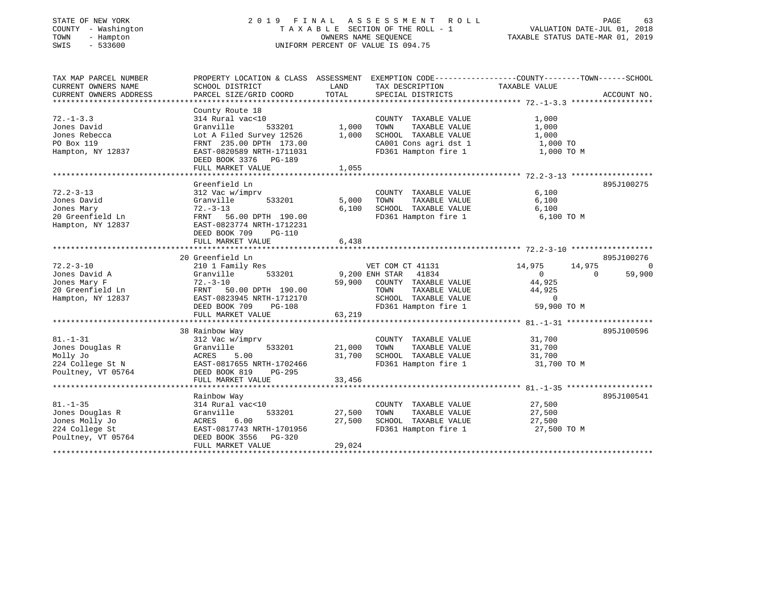| STATE OF NEW YORK |              |
|-------------------|--------------|
| COUNTY            | - Washington |
| TOWN<br>$-$       | Hampton      |
| CM T C            | $-533600$    |

### STATE OF NEW YORK 2 0 1 9 F I N A L A S S E S S M E N T R O L L PAGE 63 COUNTY - Washington T A X A B L E SECTION OF THE ROLL - 1 VALUATION DATE-JUL 01, 2018 TOWN - Hampton OWNERS NAME SEQUENCE TAXABLE STATUS DATE-MAR 01, 2019 SWIS - 533600 UNIFORM PERCENT OF VALUE IS 094.75UNIFORM PERCENT OF VALUE IS 094.75

| TAX MAP PARCEL NUMBER       | PROPERTY LOCATION & CLASS ASSESSMENT EXEMPTION CODE---------------COUNTY-------TOWN------SCHOOL |                |                                       |                        |             |
|-----------------------------|-------------------------------------------------------------------------------------------------|----------------|---------------------------------------|------------------------|-------------|
| CURRENT OWNERS NAME         | SCHOOL DISTRICT                                                                                 | LAND           | TAX DESCRIPTION                       | TAXABLE VALUE          |             |
| CURRENT OWNERS ADDRESS      | PARCEL SIZE/GRID COORD                                                                          | TOTAL          | SPECIAL DISTRICTS                     |                        | ACCOUNT NO. |
|                             |                                                                                                 |                |                                       |                        |             |
|                             | County Route 18                                                                                 |                |                                       |                        |             |
| $72. - 1 - 3.3$             | 314 Rural vac<10                                                                                |                | COUNTY TAXABLE VALUE                  | 1,000                  |             |
| Jones David                 | Granville<br>533201                                                                             | 1,000          | TOWN<br>TAXABLE VALUE                 | 1,000                  |             |
| Jones Rebecca               | Lot A Filed Survey 12526                                                                        | 1,000          | SCHOOL TAXABLE VALUE                  | 1,000                  |             |
| PO Box 119                  | FRNT 235.00 DPTH 173.00                                                                         |                | CA001 Cons agri dst 1                 | 1,000 TO               |             |
| Hampton, NY 12837           | EAST-0820589 NRTH-1711031                                                                       |                | FD361 Hampton fire 1                  | 1,000 TO M             |             |
|                             | DEED BOOK 3376 PG-189                                                                           |                |                                       |                        |             |
|                             | FULL MARKET VALUE                                                                               | 1,055          |                                       |                        |             |
|                             |                                                                                                 |                |                                       |                        |             |
|                             | Greenfield Ln                                                                                   |                |                                       |                        | 895J100275  |
| $72.2 - 3 - 13$             | 312 Vac w/imprv                                                                                 |                | COUNTY TAXABLE VALUE                  | 6,100                  |             |
| Jones David                 | 533201<br>Granville                                                                             | 5,000          | TAXABLE VALUE<br>TOWN                 | 6,100                  |             |
| Jones Mary                  | $72. - 3 - 13$                                                                                  | 6.100          | SCHOOL TAXABLE VALUE                  | 6,100                  |             |
| 20 Greenfield Ln            | FRNT 56.00 DPTH 190.00                                                                          |                | FD361 Hampton fire 1                  | 6,100 TO M             |             |
| Hampton, NY 12837           | EAST-0823774 NRTH-1712231                                                                       |                |                                       |                        |             |
|                             | DEED BOOK 709<br><b>PG-110</b>                                                                  |                |                                       |                        |             |
|                             | FULL MARKET VALUE                                                                               | 6,438          |                                       |                        |             |
|                             |                                                                                                 |                |                                       |                        |             |
|                             | 20 Greenfield Ln                                                                                |                |                                       |                        | 895J100276  |
| $72.2 - 3 - 10$             | 210 1 Family Res                                                                                |                | VET COM CT 41131                      | 14,975<br>14,975       | 0           |
| Jones David A               | Granville<br>533201                                                                             | 9,200 ENH STAR | 41834                                 | $\bigcirc$<br>$\Omega$ | 59,900      |
| Jones Mary F                | $72. - 3 - 10$                                                                                  | 59,900         | COUNTY TAXABLE VALUE                  | 44,925                 |             |
| 20 Greenfield Ln            | FRNT<br>50.00 DPTH 190.00                                                                       |                | TOWN<br>TAXABLE VALUE                 | 44,925                 |             |
| Hampton, NY 12837           | EAST-0823945 NRTH-1712170                                                                       |                | SCHOOL TAXABLE VALUE                  | $\overline{0}$         |             |
|                             | DEED BOOK 709<br>PG-108                                                                         |                | FD361 Hampton fire 1                  | 59,900 TO M            |             |
|                             | FULL MARKET VALUE                                                                               | 63,219         |                                       |                        |             |
|                             | 38 Rainbow Way                                                                                  |                |                                       |                        | 895J100596  |
| $81. - 1 - 31$              | 312 Vac w/imprv                                                                                 |                | COUNTY TAXABLE VALUE                  | 31,700                 |             |
|                             | 533201                                                                                          | 21,000         | TOWN                                  |                        |             |
| Jones Douglas R<br>Molly Jo | Granville<br>5.00                                                                               | 31,700         | TAXABLE VALUE<br>SCHOOL TAXABLE VALUE | 31,700<br>31,700       |             |
| 224 College St N            | ACRES<br>EAST-0817655 NRTH-1702466                                                              |                | FD361 Hampton fire 1                  | 31,700 TO M            |             |
| Poultney, VT 05764          | DEED BOOK 819<br>PG-295                                                                         |                |                                       |                        |             |
|                             | FULL MARKET VALUE                                                                               | 33,456         |                                       |                        |             |
|                             |                                                                                                 |                |                                       |                        |             |
|                             | Rainbow Way                                                                                     |                |                                       |                        | 895J100541  |
| $81. - 1 - 35$              | 314 Rural vac<10                                                                                |                | COUNTY TAXABLE VALUE                  | 27,500                 |             |
| Jones Douglas R             | 533201<br>Granville                                                                             | 27,500         | TOWN<br>TAXABLE VALUE                 | 27,500                 |             |
| Jones Molly Jo              | ACRES 6.00                                                                                      | 27,500         | SCHOOL TAXABLE VALUE                  | 27,500                 |             |
| 224 College St              | EAST-0817743 NRTH-1701956                                                                       |                | FD361 Hampton fire 1                  | 27,500 TO M            |             |
| Poultney, VT 05764          | DEED BOOK 3556 PG-320                                                                           |                |                                       |                        |             |
|                             | FULL MARKET VALUE                                                                               | 29,024         |                                       |                        |             |
|                             |                                                                                                 |                |                                       |                        |             |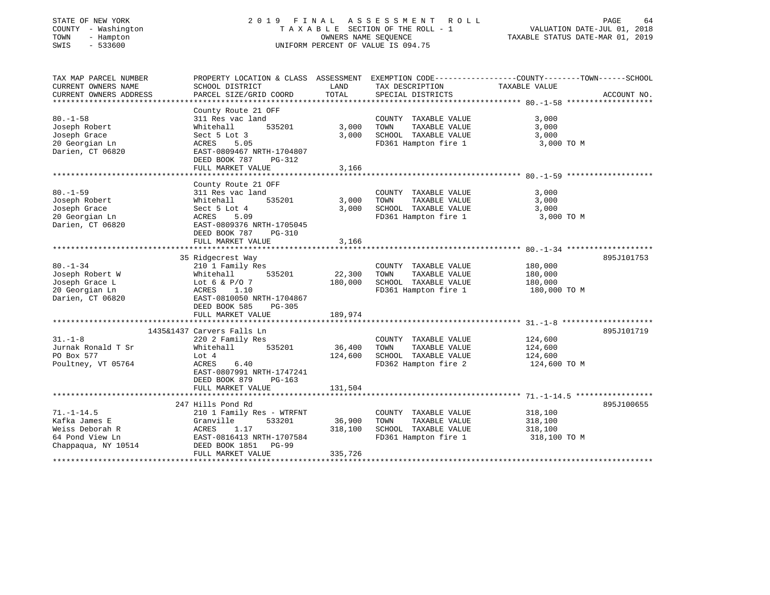| STATE OF NEW YORK<br>COUNTY - Washington<br>TOWN<br>- Hampton<br>$-533600$<br>SWIS | 2019 FINAL                                           | OWNERS NAME SEQUENCE | A S S E S S M E N T<br>R O L L<br>TAXABLE SECTION OF THE ROLL - 1<br>UNIFORM PERCENT OF VALUE IS 094.75 | PAGE<br>64<br>VALUATION DATE-JUL 01, 2018<br>TAXABLE STATUS DATE-MAR 01, 2019                  |
|------------------------------------------------------------------------------------|------------------------------------------------------|----------------------|---------------------------------------------------------------------------------------------------------|------------------------------------------------------------------------------------------------|
| TAX MAP PARCEL NUMBER                                                              |                                                      |                      |                                                                                                         | PROPERTY LOCATION & CLASS ASSESSMENT EXEMPTION CODE---------------COUNTY-------TOWN-----SCHOOL |
| CURRENT OWNERS NAME<br>CURRENT OWNERS ADDRESS                                      | SCHOOL DISTRICT<br>PARCEL SIZE/GRID COORD            | LAND<br>TOTAL        | TAX DESCRIPTION<br>SPECIAL DISTRICTS                                                                    | TAXABLE VALUE<br>ACCOUNT NO.                                                                   |
|                                                                                    | County Route 21 OFF                                  |                      |                                                                                                         |                                                                                                |
| $80. -1 - 58$                                                                      | 311 Res vac land                                     |                      | COUNTY TAXABLE VALUE                                                                                    | 3,000                                                                                          |
| Joseph Robert                                                                      | 535201<br>Whitehall                                  | 3,000                | TAXABLE VALUE<br>TOWN                                                                                   | 3,000                                                                                          |
| Joseph Grace                                                                       | Sect 5 Lot 3                                         | 3,000                | SCHOOL TAXABLE VALUE                                                                                    | 3,000                                                                                          |
| 20 Georgian Ln                                                                     | 5.05<br>ACRES                                        |                      | FD361 Hampton fire 1                                                                                    | 3,000 TO M                                                                                     |
| Darien, CT 06820                                                                   | EAST-0809467 NRTH-1704807<br>DEED BOOK 787<br>PG-312 |                      |                                                                                                         |                                                                                                |
|                                                                                    | FULL MARKET VALUE                                    | 3,166                |                                                                                                         |                                                                                                |
|                                                                                    | *****************************                        |                      |                                                                                                         |                                                                                                |
|                                                                                    | County Route 21 OFF                                  |                      |                                                                                                         |                                                                                                |
| $80. - 1 - 59$                                                                     | 311 Res vac land                                     |                      | COUNTY TAXABLE VALUE                                                                                    | 3,000                                                                                          |
| Joseph Robert                                                                      | 535201<br>Whitehall                                  | 3,000<br>3,000       | TOWN<br>TAXABLE VALUE                                                                                   | 3,000                                                                                          |
| Joseph Grace<br>20 Georgian Ln                                                     | Sect 5 Lot 4<br>ACRES<br>5.09                        |                      | SCHOOL TAXABLE VALUE<br>FD361 Hampton fire 1                                                            | 3,000<br>3,000 TO M                                                                            |
| Darien, CT 06820                                                                   | EAST-0809376 NRTH-1705045                            |                      |                                                                                                         |                                                                                                |
|                                                                                    | DEED BOOK 787<br>PG-310                              |                      |                                                                                                         |                                                                                                |
|                                                                                    | FULL MARKET VALUE                                    | 3,166                |                                                                                                         |                                                                                                |
|                                                                                    | 35 Ridgecrest Way                                    |                      |                                                                                                         | 895J101753                                                                                     |
| $80. - 1 - 34$                                                                     | 210 1 Family Res                                     |                      | COUNTY TAXABLE VALUE                                                                                    | 180,000                                                                                        |
| Joseph Robert W                                                                    | Whitehall<br>535201                                  | 22,300               | TAXABLE VALUE<br>TOWN                                                                                   | 180,000                                                                                        |
| Joseph Grace L                                                                     | Lot 6 & $P/O$ 7                                      | 180,000              | SCHOOL TAXABLE VALUE                                                                                    | 180,000                                                                                        |
| 20 Georgian Ln                                                                     | 1.10<br>ACRES                                        |                      | FD361 Hampton fire 1                                                                                    | 180,000 TO M                                                                                   |
| Darien, CT 06820                                                                   | EAST-0810050 NRTH-1704867                            |                      |                                                                                                         |                                                                                                |
|                                                                                    | DEED BOOK 585<br>$PG-305$                            |                      |                                                                                                         |                                                                                                |
|                                                                                    | FULL MARKET VALUE                                    | 189,974              |                                                                                                         |                                                                                                |
|                                                                                    |                                                      |                      |                                                                                                         |                                                                                                |
|                                                                                    | 1435&1437 Carvers Falls Ln                           |                      |                                                                                                         | 895J101719                                                                                     |
| $31. - 1 - 8$                                                                      | 220 2 Family Res                                     |                      | COUNTY TAXABLE VALUE                                                                                    | 124,600                                                                                        |
| Jurnak Ronald T Sr                                                                 | Whitehall<br>535201                                  | 36,400               | TOWN<br>TAXABLE VALUE                                                                                   | 124,600                                                                                        |
| PO Box 577                                                                         | Lot 4                                                | 124,600              | SCHOOL TAXABLE VALUE                                                                                    | 124,600                                                                                        |
| Poultney, VT 05764                                                                 | ACRES<br>6.40                                        |                      | FD362 Hampton fire 2                                                                                    | 124,600 TO M                                                                                   |
|                                                                                    | EAST-0807991 NRTH-1747241                            |                      |                                                                                                         |                                                                                                |
|                                                                                    | DEED BOOK 879<br>PG-163                              |                      |                                                                                                         |                                                                                                |
|                                                                                    | FULL MARKET VALUE                                    | 131,504              |                                                                                                         |                                                                                                |
|                                                                                    | 247 Hills Pond Rd                                    |                      |                                                                                                         | 895J100655                                                                                     |
| $71. - 1 - 14.5$                                                                   | 210 1 Family Res - WTRFNT                            |                      | COUNTY TAXABLE VALUE                                                                                    | 318,100                                                                                        |
| Kafka James E                                                                      | 533201<br>Granville                                  | 36,900               | TOWN<br>TAXABLE VALUE                                                                                   | 318,100                                                                                        |
| Weiss Deborah R                                                                    | ACRES<br>1.17                                        | 318,100              | SCHOOL TAXABLE VALUE                                                                                    | 318,100                                                                                        |
| 64 Pond View Ln                                                                    | EAST-0816413 NRTH-1707584                            |                      | FD361 Hampton fire 1                                                                                    | 318,100 TO M                                                                                   |
| Chappaqua, NY 10514                                                                | DEED BOOK 1851<br>PG-99                              |                      |                                                                                                         |                                                                                                |
|                                                                                    | FULL MARKET VALUE                                    | 335,726              |                                                                                                         |                                                                                                |
|                                                                                    |                                                      |                      |                                                                                                         |                                                                                                |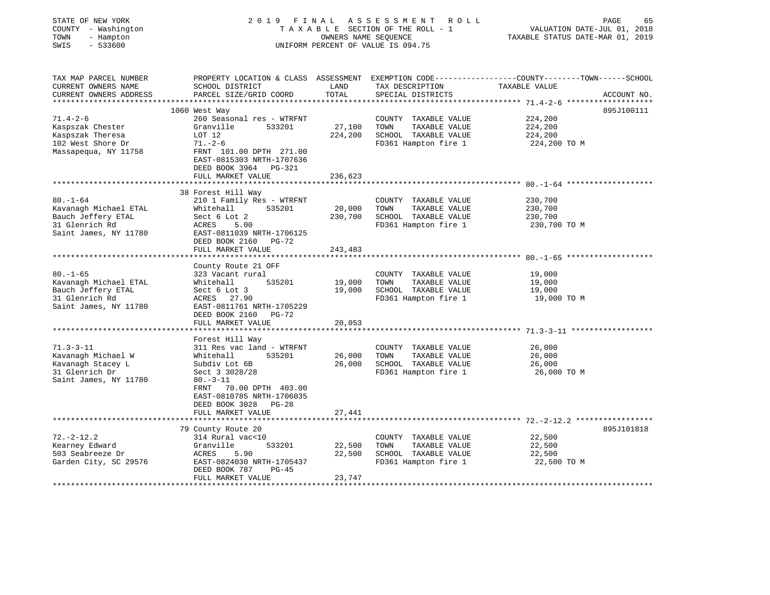| STATE OF NEW YORK<br>COUNTY - Washington<br>- Hampton<br>TOWN<br>SWIS<br>$-533600$                  | 2019 FINAL                                                                       | OWNERS NAME SEQUENCE | A S S E S S M E N T<br>ROLL<br>TAXABLE SECTION OF THE ROLL - 1<br>UNIFORM PERCENT OF VALUE IS 094.75 | PAGE<br>65<br>VALUATION DATE-JUL 01, 2018<br>TAXABLE STATUS DATE-MAR 01, 2019                                                   |
|-----------------------------------------------------------------------------------------------------|----------------------------------------------------------------------------------|----------------------|------------------------------------------------------------------------------------------------------|---------------------------------------------------------------------------------------------------------------------------------|
| TAX MAP PARCEL NUMBER<br>CURRENT OWNERS NAME<br>CURRENT OWNERS ADDRESS<br>************************* | SCHOOL DISTRICT<br>PARCEL SIZE/GRID COORD                                        | LAND<br>TOTAL        | TAX DESCRIPTION<br>SPECIAL DISTRICTS                                                                 | PROPERTY LOCATION & CLASS ASSESSMENT EXEMPTION CODE---------------COUNTY-------TOWN------SCHOOL<br>TAXABLE VALUE<br>ACCOUNT NO. |
|                                                                                                     | 1060 West Way                                                                    |                      |                                                                                                      | 895J100111                                                                                                                      |
| $71.4 - 2 - 6$                                                                                      | 260 Seasonal res - WTRFNT                                                        |                      | COUNTY TAXABLE VALUE                                                                                 | 224,200                                                                                                                         |
| Kaspszak Chester                                                                                    | Granville<br>533201                                                              | 27,100               | TOWN<br>TAXABLE VALUE                                                                                | 224,200                                                                                                                         |
| Kaspszak Theresa                                                                                    | LOT 12                                                                           | 224,200              | SCHOOL TAXABLE VALUE                                                                                 | 224,200                                                                                                                         |
| 102 West Shore Dr                                                                                   | $71. - 2 - 6$                                                                    |                      | FD361 Hampton fire 1                                                                                 | 224,200 TO M                                                                                                                    |
| Massapequa, NY 11758                                                                                | FRNT 101.00 DPTH 271.00<br>EAST-0815303 NRTH-1707636<br>DEED BOOK 3964<br>PG-321 |                      |                                                                                                      |                                                                                                                                 |
|                                                                                                     | FULL MARKET VALUE                                                                | 236,623              |                                                                                                      |                                                                                                                                 |
|                                                                                                     |                                                                                  |                      |                                                                                                      |                                                                                                                                 |
| $80. - 1 - 64$                                                                                      | 38 Forest Hill Way<br>210 1 Family Res - WTRFNT                                  |                      | COUNTY TAXABLE VALUE                                                                                 | 230,700                                                                                                                         |
| Kavanagh Michael ETAL                                                                               | Whitehall<br>535201                                                              | 20,000               | TOWN<br>TAXABLE VALUE                                                                                | 230,700                                                                                                                         |
| Bauch Jeffery ETAL                                                                                  | Sect 6 Lot 2                                                                     | 230,700              | SCHOOL TAXABLE VALUE                                                                                 | 230,700                                                                                                                         |
| 31 Glenrich Rd                                                                                      | ACRES<br>5.00                                                                    |                      | FD361 Hampton fire 1                                                                                 | 230,700 TO M                                                                                                                    |
| Saint James, NY 11780                                                                               | EAST-0811039 NRTH-1706125<br>DEED BOOK 2160<br>PG-72                             |                      |                                                                                                      |                                                                                                                                 |
|                                                                                                     | FULL MARKET VALUE                                                                | 243,483              |                                                                                                      |                                                                                                                                 |
|                                                                                                     |                                                                                  |                      |                                                                                                      | ********************* 80.-1-65                                                                                                  |
| $80. - 1 - 65$                                                                                      | County Route 21 OFF<br>323 Vacant rural                                          |                      | COUNTY TAXABLE VALUE                                                                                 | 19,000                                                                                                                          |
| Kavanagh Michael ETAL                                                                               | 535201<br>Whitehall                                                              | 19,000               | TOWN<br>TAXABLE VALUE                                                                                | 19,000                                                                                                                          |
| Bauch Jeffery ETAL                                                                                  | Sect 6 Lot 3                                                                     | 19,000               | SCHOOL TAXABLE VALUE                                                                                 | 19,000                                                                                                                          |
| 31 Glenrich Rd                                                                                      | ACRES 27.90                                                                      |                      | FD361 Hampton fire 1                                                                                 | 19,000 TO M                                                                                                                     |
| Saint James, NY 11780                                                                               | EAST-0811761 NRTH-1705229                                                        |                      |                                                                                                      |                                                                                                                                 |
|                                                                                                     | DEED BOOK 2160 PG-72                                                             |                      |                                                                                                      |                                                                                                                                 |
|                                                                                                     | FULL MARKET VALUE                                                                | 20,053               |                                                                                                      |                                                                                                                                 |
|                                                                                                     |                                                                                  |                      |                                                                                                      |                                                                                                                                 |
|                                                                                                     | Forest Hill Way                                                                  |                      |                                                                                                      |                                                                                                                                 |
| $71.3 - 3 - 11$                                                                                     | 311 Res vac land - WTRFNT                                                        |                      | COUNTY TAXABLE VALUE                                                                                 | 26,000                                                                                                                          |
| Kavanagh Michael W                                                                                  | Whitehall<br>535201                                                              | 26,000<br>26,000     | TOWN<br>TAXABLE VALUE<br>SCHOOL TAXABLE VALUE                                                        | 26,000<br>26,000                                                                                                                |
| Kavanagh Stacey L<br>31 Glenrich Dr                                                                 | Subdiv Lot 6B<br>Sect 3 3028/28                                                  |                      | FD361 Hampton fire 1                                                                                 | 26,000 TO M                                                                                                                     |
| Saint James, NY 11780                                                                               | $80. - 3 - 11$                                                                   |                      |                                                                                                      |                                                                                                                                 |
|                                                                                                     | 70.00 DPTH 403.00<br>FRNT                                                        |                      |                                                                                                      |                                                                                                                                 |
|                                                                                                     | EAST-0810785 NRTH-1706035                                                        |                      |                                                                                                      |                                                                                                                                 |
|                                                                                                     | DEED BOOK 3028<br>$PG-28$                                                        |                      |                                                                                                      |                                                                                                                                 |
|                                                                                                     | FULL MARKET VALUE                                                                | 27,441               |                                                                                                      |                                                                                                                                 |
|                                                                                                     |                                                                                  |                      |                                                                                                      |                                                                                                                                 |
|                                                                                                     | 79 County Route 20                                                               |                      |                                                                                                      | 895J101818                                                                                                                      |
| $72. - 2 - 12.2$                                                                                    | 314 Rural vac<10                                                                 |                      | COUNTY TAXABLE VALUE                                                                                 | 22,500                                                                                                                          |
| Kearney Edward                                                                                      | 533201<br>Granville                                                              | 22,500               | TOWN<br>TAXABLE VALUE                                                                                | 22,500                                                                                                                          |
| 503 Seabreeze Dr                                                                                    | ACRES<br>5.90                                                                    | 22,500               | SCHOOL TAXABLE VALUE                                                                                 | 22,500                                                                                                                          |
| Garden City, SC 29576                                                                               | EAST-0824030 NRTH-1705437<br>DEED BOOK 787<br>$PG-45$                            |                      | FD361 Hampton fire 1                                                                                 | 22,500 TO M                                                                                                                     |
|                                                                                                     | FULL MARKET VALUE                                                                | 23,747               |                                                                                                      |                                                                                                                                 |
|                                                                                                     |                                                                                  |                      |                                                                                                      |                                                                                                                                 |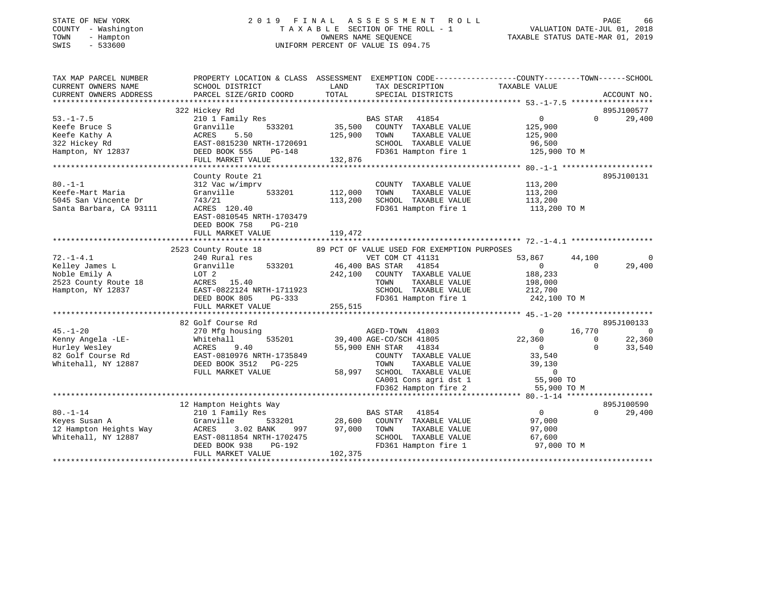| COUNTY - Washington<br>TOWN<br>- Hampton<br>SWIS<br>$-533600$ | TAXABLE SECTION OF THE ROLL - 1<br>OWNERS NAME SEQUENCE<br>UNIFORM PERCENT OF VALUE IS 094.75     |               | VALUATION DATE-JUL 01, 2018<br>TAXABLE STATUS DATE-MAR 01, 2019  |                          |                                      |
|---------------------------------------------------------------|---------------------------------------------------------------------------------------------------|---------------|------------------------------------------------------------------|--------------------------|--------------------------------------|
| TAX MAP PARCEL NUMBER                                         | PROPERTY LOCATION & CLASS ASSESSMENT EXEMPTION CODE-----------------COUNTY-------TOWN------SCHOOL |               |                                                                  |                          |                                      |
| CURRENT OWNERS NAME                                           | SCHOOL DISTRICT                                                                                   | LAND          | TAX DESCRIPTION                                                  | TAXABLE VALUE            |                                      |
| CURRENT OWNERS ADDRESS                                        | PARCEL SIZE/GRID COORD                                                                            | TOTAL         | SPECIAL DISTRICTS                                                |                          | ACCOUNT NO.                          |
|                                                               |                                                                                                   |               |                                                                  |                          |                                      |
|                                                               | 322 Hickey Rd                                                                                     |               |                                                                  |                          | 895J100577                           |
| $53. - 1 - 7.5$                                               | 210 1 Family Res                                                                                  |               | BAS STAR 41854                                                   | $\overline{0}$           | $0 \qquad \qquad$<br>29,400          |
| Keefe Bruce S<br>Keefe Kathy A                                |                                                                                                   | 125,900       | 35,500 COUNTY TAXABLE VALUE<br>TOWN<br>TAXABLE VALUE             | 125,900<br>125,900       |                                      |
|                                                               | Granville 533201<br>ACRES 5.50<br>EAST-0815230 NRTH-1720691<br>DEED BOOK 555 PG-148               |               | SCHOOL TAXABLE VALUE                                             | 96,500                   |                                      |
| ----- ------- --<br>322 Hickey Rd<br>Hampton, NY 12837        |                                                                                                   |               | FD361 Hampton fire 1                                             | 125,900 TO M             |                                      |
|                                                               | FULL MARKET VALUE                                                                                 | 132,876       |                                                                  |                          |                                      |
|                                                               |                                                                                                   |               |                                                                  |                          |                                      |
|                                                               | County Route 21                                                                                   |               |                                                                  |                          | 895J100131                           |
| $80. - 1 - 1$                                                 | 312 Vac w/imprv                                                                                   |               | COUNTY TAXABLE VALUE                                             | 113,200                  |                                      |
| Keefe-Mart Maria                                              | Granville<br>533201                                                                               | 112,000       | TOWN<br>TAXABLE VALUE                                            | 113,200                  |                                      |
| 5045 San Vincente Dr                                          | 743/21                                                                                            | 113,200       | SCHOOL TAXABLE VALUE                                             | 113,200                  |                                      |
| Santa Barbara, CA 93111                                       | ACRES 120.40                                                                                      |               | FD361 Hampton fire 1                                             | 113,200 TO M             |                                      |
|                                                               | EAST-0810545 NRTH-1703479                                                                         |               |                                                                  |                          |                                      |
|                                                               | DEED BOOK 758<br>PG-210                                                                           |               |                                                                  |                          |                                      |
|                                                               | FULL MARKET VALUE                                                                                 | 119,472       |                                                                  |                          |                                      |
|                                                               | 2523 County Route 18                                                                              |               | 89 PCT OF VALUE USED FOR EXEMPTION PURPOSES                      |                          |                                      |
| $72. - 1 - 4.1$                                               | 240 Rural res                                                                                     |               | VET COM CT 41131                                                 | 53,867<br>44,100         | $\overline{0}$                       |
| Kelley James L                                                | 533201                                                                                            |               | 46,400 BAS STAR 41854                                            | $\sim$ 0                 | 29,400<br>$\Omega$                   |
| Noble Emily A                                                 | Granville<br>LOT 2                                                                                | 242,100       | COUNTY TAXABLE VALUE                                             | 188,233                  |                                      |
| 2523 County Route 18                                          | ACRES 15.40                                                                                       |               | TOWN<br>TAXABLE VALUE                                            | 198,000                  |                                      |
| Hampton, NY 12837                                             | EAST-0822124 NRTH-1711923                                                                         |               | SCHOOL TAXABLE VALUE                                             | 212,700                  |                                      |
|                                                               | DEED BOOK 805<br>PG-333                                                                           |               | FD361 Hampton fire 1                                             | 242,100 TO M             |                                      |
|                                                               | FULL MARKET VALUE                                                                                 | 255,515       |                                                                  |                          |                                      |
|                                                               |                                                                                                   |               |                                                                  |                          |                                      |
|                                                               | 82 Golf Course Rd                                                                                 |               |                                                                  |                          | 895J100133                           |
| 45.-1-20                                                      | 270 Mfg housing                                                                                   |               | AGED-TOWN 41803                                                  | 16,770<br>$\overline{0}$ | $\overline{0}$                       |
| Kenny Angela -LE-                                             | Whitehall 535201<br>ACRES 9.40<br>EAST-0810976 NRTH-1735849<br>DEED BOOK 3512 PG-225              |               | 39,400 AGE-CO/SCH 41805<br>55,900 ENH STAR 41834                 | 22,360<br>$\sim$ 0       | 22,360<br>$\overline{0}$<br>$\Omega$ |
| Hurley Wesley<br>82 Golf Course Rd<br>12887 - אחר יור         |                                                                                                   |               | COUNTY TAXABLE VALUE                                             | 33,540                   | 33,540                               |
|                                                               |                                                                                                   |               | TAXABLE VALUE<br>TOWN                                            | 39,130                   |                                      |
|                                                               | FULL MARKET VALUE                                                                                 |               |                                                                  |                          |                                      |
|                                                               |                                                                                                   |               | 58,997 SCHOOL TAXABLE VALUE 0<br>CA001 Cons agri dst 1 55,900 TO |                          |                                      |
|                                                               |                                                                                                   |               | FD362 Hampton fire 2                                             | 55,900 TO M              |                                      |
|                                                               |                                                                                                   |               |                                                                  |                          |                                      |
|                                                               | 12 Hampton Heights Way                                                                            |               |                                                                  |                          | 895J100590                           |
| $80. - 1 - 14$                                                | 210 1 Family Res<br>Granville [                                                                   |               | BAS STAR 41854                                                   | $\overline{0}$           | $\Omega$<br>29,400                   |
| --• - --<br>Keyes Susan A                                     |                                                                                                   | 533201 28,600 | COUNTY TAXABLE VALUE                                             | 97,000                   |                                      |
|                                                               |                                                                                                   | 997 97,000    | TOWN<br>TAXABLE VALUE                                            | 97,000                   |                                      |
|                                                               |                                                                                                   |               | SCHOOL TAXABLE VALUE                                             | 67,600                   |                                      |
|                                                               | DEED BOOK 938<br>PG-192                                                                           |               | FD361 Hampton fire 1                                             | 97,000 TO M              |                                      |
|                                                               | FULL MARKET VALUE                                                                                 | 102,375       |                                                                  |                          |                                      |

\*\*\*\*\*\*\*\*\*\*\*\*\*\*\*\*\*\*\*\*\*\*\*\*\*\*\*\*\*\*\*\*\*\*\*\*\*\*\*\*\*\*\*\*\*\*\*\*\*\*\*\*\*\*\*\*\*\*\*\*\*\*\*\*\*\*\*\*\*\*\*\*\*\*\*\*\*\*\*\*\*\*\*\*\*\*\*\*\*\*\*\*\*\*\*\*\*\*\*\*\*\*\*\*\*\*\*\*\*\*\*\*\*\*\*\*\*\*\*\*\*\*\*\*\*\*\*\*\*\*\*\*

STATE OF NEW YORK 2 0 1 9 F I N A L A S S E S S M E N T R O L L PAGE 66

66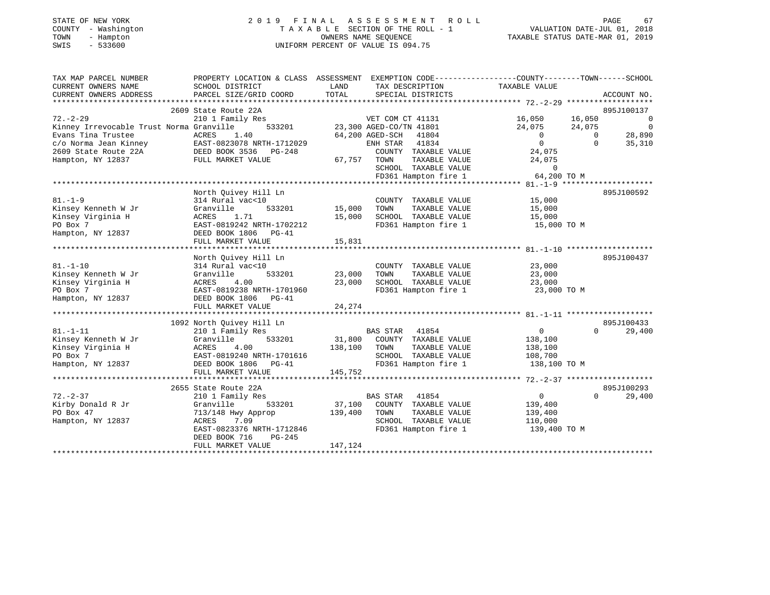|      | STATE OF NEW YORK   |  | 2019 FINAL ASSESSMENT ROLL         |                                  | PAGE | 67 |
|------|---------------------|--|------------------------------------|----------------------------------|------|----|
|      | COUNTY - Washington |  | TAXABLE SECTION OF THE ROLL - 1    | VALUATION DATE-JUL 01, 2018      |      |    |
| TOWN | - Hampton           |  | OWNERS NAME SEOUENCE               | TAXABLE STATUS DATE-MAR 01, 2019 |      |    |
| SWIS | - 533600            |  | UNIFORM PERCENT OF VALUE IS 094.75 |                                  |      |    |

| TAX MAP PARCEL NUMBER<br>CURRENT OWNERS NAME<br>CURRENT OWNERS ADDRESS | PROPERTY LOCATION & CLASS ASSESSMENT<br>SCHOOL DISTRICT<br>PARCEL SIZE/GRID COORD | LAND<br>TOTAL | EXEMPTION CODE----------------COUNTY-------TOWN------SCHOOL<br>TAX DESCRIPTION<br>SPECIAL DISTRICTS | TAXABLE VALUE  |          | ACCOUNT NO.    |
|------------------------------------------------------------------------|-----------------------------------------------------------------------------------|---------------|-----------------------------------------------------------------------------------------------------|----------------|----------|----------------|
|                                                                        |                                                                                   |               |                                                                                                     |                |          |                |
|                                                                        | 2609 State Route 22A                                                              |               |                                                                                                     |                |          | 895J100137     |
| $72. - 2 - 29$                                                         | 210 1 Family Res                                                                  |               | VET COM CT 41131                                                                                    | 16,050         | 16,050   | $\mathbf 0$    |
| Kinney Irrevocable Trust Norma Granville                               | 533201                                                                            |               | 23,300 AGED-CO/TN 41801                                                                             | 24,075         | 24,075   | $\overline{0}$ |
| Evans Tina Trustee                                                     | <b>ACRES</b><br>1.40                                                              |               | 64,200 AGED-SCH<br>41804                                                                            | $\Omega$       | $\Omega$ | 28,890         |
| c/o Norma Jean Kinney                                                  | EAST-0823078 NRTH-1712029                                                         |               | 41834<br>ENH STAR                                                                                   | $\Omega$       | $\Omega$ | 35,310         |
| 2609 State Route 22A                                                   | EAST-0823078 NF<br>DEED BOOK 3536<br>PG-248                                       |               | COUNTY TAXABLE VALUE                                                                                | 24,075         |          |                |
| Hampton, NY 12837                                                      | FULL MARKET VALUE                                                                 | 67,757        | TAXABLE VALUE<br>TOWN                                                                               | 24,075         |          |                |
|                                                                        |                                                                                   |               | SCHOOL TAXABLE VALUE                                                                                | $\overline{0}$ |          |                |
|                                                                        |                                                                                   |               | FD361 Hampton fire 1                                                                                | 64,200 TO M    |          |                |
|                                                                        |                                                                                   |               |                                                                                                     |                |          |                |
|                                                                        | North Ouivey Hill Ln                                                              |               |                                                                                                     |                |          | 895J100592     |
| $81. - 1 - 9$                                                          | 314 Rural vac<10                                                                  |               | COUNTY TAXABLE VALUE                                                                                | 15,000         |          |                |
| Kinsey Kenneth W Jr                                                    | 533201<br>Granville                                                               | 15,000        | TOWN<br>TAXABLE VALUE                                                                               | 15,000         |          |                |
| Kinsey Virginia H                                                      | ACRES<br>1.71                                                                     | 15,000        | SCHOOL TAXABLE VALUE                                                                                | 15,000         |          |                |
| PO Box 7                                                               | EAST-0819242 NRTH-1702212                                                         |               | FD361 Hampton fire 1                                                                                | 15,000 TO M    |          |                |
| Hampton, NY 12837                                                      | DEED BOOK 1806 PG-41                                                              |               |                                                                                                     |                |          |                |
|                                                                        | FULL MARKET VALUE                                                                 | 15,831        |                                                                                                     |                |          |                |
|                                                                        |                                                                                   |               |                                                                                                     |                |          |                |
|                                                                        | North Quivey Hill Ln                                                              |               |                                                                                                     |                |          | 895J100437     |
| $81. - 1 - 10$                                                         | 314 Rural vac<10                                                                  |               | COUNTY TAXABLE VALUE                                                                                | 23,000         |          |                |
| Kinsey Kenneth W Jr                                                    | 533201<br>Granville                                                               | 23,000        | TAXABLE VALUE<br>TOWN                                                                               | 23,000         |          |                |
| Kinsey Virginia H                                                      | 4.00<br>ACRES                                                                     | 23,000        | SCHOOL TAXABLE VALUE                                                                                | 23,000         |          |                |
| PO Box 7                                                               | EAST-0819238 NRTH-1701960                                                         |               | FD361 Hampton fire 1                                                                                | 23,000 TO M    |          |                |
| Hampton, NY 12837                                                      | DEED BOOK 1806<br>PG-41                                                           |               |                                                                                                     |                |          |                |
|                                                                        | FULL MARKET VALUE                                                                 | 24,274        |                                                                                                     |                |          |                |
|                                                                        |                                                                                   |               |                                                                                                     |                |          |                |
|                                                                        | 1092 North Quivey Hill Ln                                                         |               |                                                                                                     |                |          | 895J100433     |
| $81. - 1 - 11$                                                         | 210 1 Family Res                                                                  |               | BAS STAR<br>41854                                                                                   | $\overline{0}$ | $\Omega$ | 29,400         |
| Kinsey Kenneth W Jr                                                    | 533201<br>Granville                                                               | 31,800        | COUNTY TAXABLE VALUE                                                                                | 138,100        |          |                |
| Kinsey Virginia H                                                      | ACRES<br>4.00                                                                     | 138,100       | TAXABLE VALUE<br>TOWN                                                                               | 138,100        |          |                |
| PO Box 7                                                               | EAST-0819240 NRTH-1701616                                                         |               | SCHOOL TAXABLE VALUE                                                                                | 108,700        |          |                |
| Hampton, NY 12837                                                      | DEED BOOK 1806 PG-41                                                              |               | FD361 Hampton fire 1                                                                                | 138,100 TO M   |          |                |
|                                                                        | FULL MARKET VALUE                                                                 | 145,752       |                                                                                                     |                |          |                |
|                                                                        |                                                                                   |               |                                                                                                     |                |          |                |
|                                                                        | 2655 State Route 22A                                                              |               |                                                                                                     |                |          | 895J100293     |
| $72. - 2 - 37$                                                         | 210 1 Family Res                                                                  |               | <b>BAS STAR</b><br>41854                                                                            | $\mathbf 0$    | $\Omega$ | 29,400         |
| Kirby Donald R Jr                                                      | Granville<br>533201                                                               | 37,100        | COUNTY TAXABLE VALUE                                                                                | 139,400        |          |                |
| PO Box 47                                                              | 713/148 Hwy Approp                                                                | 139,400       | TAXABLE VALUE<br>TOWN                                                                               | 139,400        |          |                |
| Hampton, NY 12837                                                      | ACRES<br>7.09                                                                     |               | SCHOOL TAXABLE VALUE                                                                                | 110,000        |          |                |
|                                                                        | EAST-0823376 NRTH-1712846                                                         |               | FD361 Hampton fire 1                                                                                | 139,400 TO M   |          |                |
|                                                                        | DEED BOOK 716<br>$PG-245$                                                         |               |                                                                                                     |                |          |                |
|                                                                        | FULL MARKET VALUE                                                                 | 147,124       |                                                                                                     |                |          |                |
|                                                                        |                                                                                   |               |                                                                                                     |                |          |                |

TOWN - Hampton<br>SWIS - 533600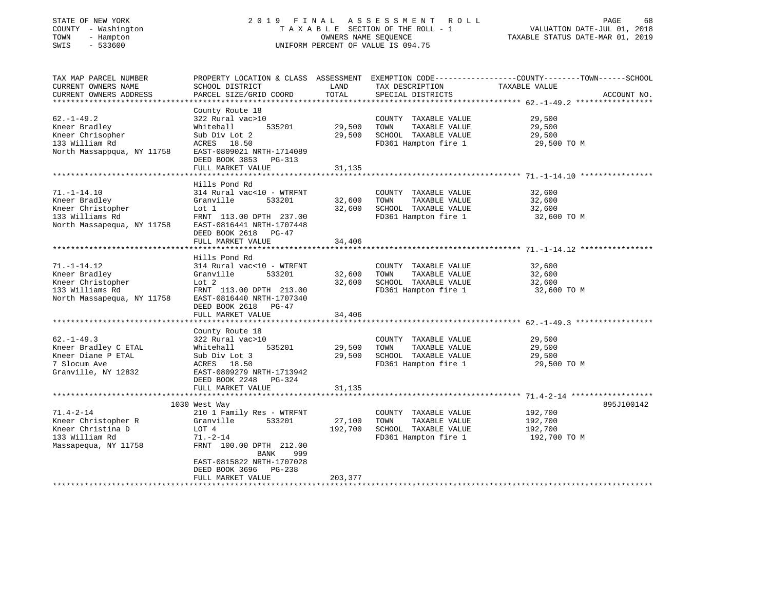| COUNTY - Washington<br>TOWN<br>- Hampton<br>$-533600$<br>SWIS           | TAXABLE SECTION OF THE ROLL - 1<br>UNIFORM PERCENT OF VALUE IS 094.75 | VALUATION DATE-JUL 01, 2018<br>TAXABLE STATUS DATE-MAR 01, 2019 |                                               |                                                                                                                                |
|-------------------------------------------------------------------------|-----------------------------------------------------------------------|-----------------------------------------------------------------|-----------------------------------------------|--------------------------------------------------------------------------------------------------------------------------------|
| TAX MAP PARCEL NUMBER<br>CURRENT OWNERS NAME<br>CURRENT OWNERS ADDRESS  | SCHOOL DISTRICT<br>PARCEL SIZE/GRID COORD                             | LAND<br>TOTAL                                                   | TAX DESCRIPTION<br>SPECIAL DISTRICTS          | PROPERTY LOCATION & CLASS ASSESSMENT EXEMPTION CODE---------------COUNTY-------TOWN-----SCHOOL<br>TAXABLE VALUE<br>ACCOUNT NO. |
|                                                                         | County Route 18                                                       |                                                                 |                                               |                                                                                                                                |
| 62.-1-49.2                                                              | 322 Rural vac>10                                                      |                                                                 | COUNTY TAXABLE VALUE                          | 29,500                                                                                                                         |
| Kneer Bradley                                                           | 535201<br>Whitehall                                                   | 29,500                                                          | TOWN<br>TAXABLE VALUE                         | 29,500                                                                                                                         |
| Kneer Chrisopher                                                        | Sub Div Lot 2                                                         | 29,500                                                          | SCHOOL TAXABLE VALUE                          | 29,500                                                                                                                         |
| 133 William Rd<br>North Massappqua, NY 11758 EAST-0809021 NRTH-1714089  | ACRES 18.50<br>DEED BOOK 3853 PG-313                                  |                                                                 | FD361 Hampton fire 1                          | 29,500 TO M                                                                                                                    |
|                                                                         | FULL MARKET VALUE                                                     | 31,135                                                          |                                               |                                                                                                                                |
|                                                                         | Hills Pond Rd                                                         |                                                                 |                                               |                                                                                                                                |
| $71, -1 - 14, 10$                                                       | 314 Rural vac<10 - WTRFNT                                             |                                                                 | COUNTY TAXABLE VALUE                          | 32,600                                                                                                                         |
| Kneer Bradley                                                           | 533201<br>Granville                                                   | 32,600                                                          | TOWN<br>TAXABLE VALUE                         | 32,600                                                                                                                         |
| Kneer Christopher                                                       | Lot 1                                                                 | 32,600                                                          | SCHOOL TAXABLE VALUE                          | 32,600                                                                                                                         |
| 133 Williams Rd<br>North Massapequa, NY 11758 EAST-0816441 NRTH-1707448 | FRNT 113.00 DPTH 237.00<br>DEED BOOK 2618 PG-47                       |                                                                 | FD361 Hampton fire 1                          | 32,600 TO M                                                                                                                    |
|                                                                         | FULL MARKET VALUE                                                     | 34,406                                                          |                                               |                                                                                                                                |
|                                                                         |                                                                       |                                                                 |                                               |                                                                                                                                |
|                                                                         | Hills Pond Rd                                                         |                                                                 |                                               |                                                                                                                                |
| 71.-1-14.12<br>Kneer Bradley                                            | 314 Rural vac<10 - WTRFNT                                             | 32,600                                                          | COUNTY TAXABLE VALUE<br>TOWN<br>TAXABLE VALUE | 32,600<br>32,600                                                                                                               |
| Kneer Christopher                                                       |                                                                       | 32,600                                                          | SCHOOL TAXABLE VALUE                          | 32,600                                                                                                                         |
| 133 Williams Rd                                                         | Granville 533201<br>Lot 2<br>FRNT 113.00 DPTH 213.00                  |                                                                 | FD361 Hampton fire 1                          | 32,600 TO M                                                                                                                    |
| North Massapequa, NY 11758 EAST-0816440 NRTH-1707340                    | DEED BOOK 2618 PG-47                                                  |                                                                 |                                               |                                                                                                                                |
|                                                                         | FULL MARKET VALUE                                                     | 34,406                                                          |                                               |                                                                                                                                |
|                                                                         | County Route 18                                                       |                                                                 |                                               |                                                                                                                                |
| 62.-1-49.3                                                              | 322 Rural vac>10                                                      |                                                                 | COUNTY TAXABLE VALUE                          | 29,500                                                                                                                         |
| Kneer Bradley C ETAL                                                    | 535201<br>Whitehall                                                   | 29,500                                                          | TOWN<br>TAXABLE VALUE                         | 29,500                                                                                                                         |
| Kneer Diane P ETAL                                                      | Sub Div Lot 3                                                         | 29,500                                                          | SCHOOL TAXABLE VALUE                          | 29,500                                                                                                                         |
| 7 Slocum Ave                                                            | ACRES 18.50                                                           |                                                                 | FD361 Hampton fire 1                          | 29,500 TO M                                                                                                                    |
| Granville, NY 12832                                                     | EAST-0809279 NRTH-1713942                                             |                                                                 |                                               |                                                                                                                                |
|                                                                         | DEED BOOK 2248 PG-324                                                 |                                                                 |                                               |                                                                                                                                |
|                                                                         | FULL MARKET VALUE                                                     | 31,135                                                          |                                               |                                                                                                                                |
|                                                                         | 1030 West Way                                                         |                                                                 |                                               | 895J100142                                                                                                                     |
| 71.4-2-14                                                               | 210 1 Family Res - WTRFNT                                             |                                                                 | COUNTY TAXABLE VALUE                          | 192,700                                                                                                                        |
| Kneer Christopher R                                                     | 533201<br>Granville                                                   | 27,100                                                          | TOWN<br>TAXABLE VALUE                         | 192,700                                                                                                                        |
| Kneer Christina D                                                       | LOT 4                                                                 | 192,700                                                         | SCHOOL TAXABLE VALUE                          | 192,700                                                                                                                        |
| 133 William Rd                                                          | $71. - 2 - 14$                                                        |                                                                 | FD361 Hampton fire 1                          | 192,700 TO M                                                                                                                   |
| Massapequa, NY 11758                                                    | FRNT 100.00 DPTH 212.00                                               |                                                                 |                                               |                                                                                                                                |
|                                                                         | BANK<br>999                                                           |                                                                 |                                               |                                                                                                                                |
|                                                                         | EAST-0815822 NRTH-1707028<br>DEED BOOK 3696 PG-238                    |                                                                 |                                               |                                                                                                                                |
|                                                                         | FULL MARKET VALUE                                                     | 203,377                                                         |                                               |                                                                                                                                |
|                                                                         |                                                                       |                                                                 |                                               |                                                                                                                                |

STATE OF NEW YORK GALL 2019 FINAL ASSESSMENT ROLL PAGE

68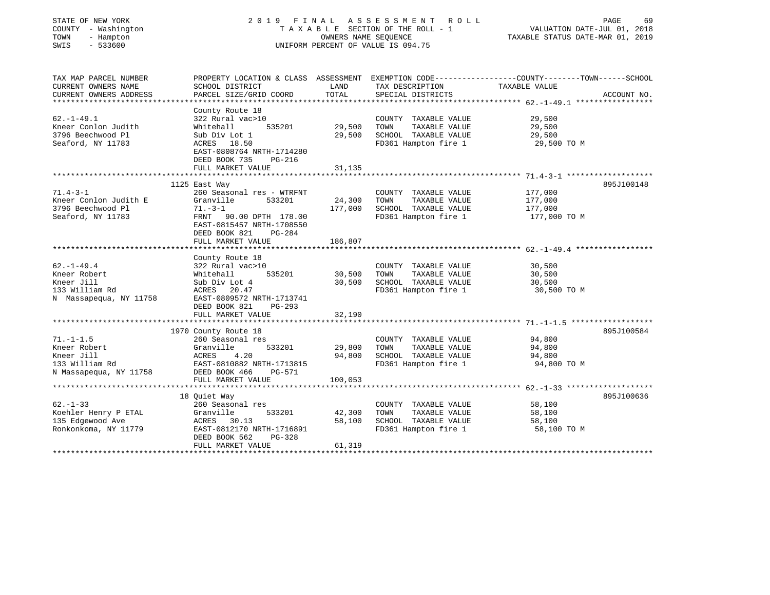| STATE OF NEW YORK<br>COUNTY - Washington<br>- Hampton<br>TOWN<br>$-533600$<br>SWIS         | 2019 FINAL                                                                                                                                                                     | OWNERS NAME SEQUENCE       | A S S E S S M E N T<br>R O L L<br>TAXABLE SECTION OF THE ROLL - 1<br>UNIFORM PERCENT OF VALUE IS 094.75 | PAGE<br>69<br>VALUATION DATE-JUL 01, 2018<br>TAXABLE STATUS DATE-MAR 01, 2019                                    |
|--------------------------------------------------------------------------------------------|--------------------------------------------------------------------------------------------------------------------------------------------------------------------------------|----------------------------|---------------------------------------------------------------------------------------------------------|------------------------------------------------------------------------------------------------------------------|
| TAX MAP PARCEL NUMBER<br>CURRENT OWNERS NAME                                               | SCHOOL DISTRICT                                                                                                                                                                | LAND                       | TAX DESCRIPTION                                                                                         | PROPERTY LOCATION & CLASS ASSESSMENT EXEMPTION CODE---------------COUNTY-------TOWN------SCHOOL<br>TAXABLE VALUE |
| CURRENT OWNERS ADDRESS                                                                     | PARCEL SIZE/GRID COORD                                                                                                                                                         | TOTAL                      | SPECIAL DISTRICTS                                                                                       | ACCOUNT NO.                                                                                                      |
| $62. -1 - 49.1$<br>Kneer Conlon Judith<br>3796 Beechwood Pl<br>Seaford, NY 11783           | County Route 18<br>322 Rural vac>10<br>Whitehall<br>535201<br>Sub Div Lot 1<br>ACRES 18.50<br>EAST-0808764 NRTH-1714280<br>DEED BOOK 735<br><b>PG-216</b>                      | 29,500<br>29,500           | COUNTY TAXABLE VALUE<br>TAXABLE VALUE<br>TOWN<br>SCHOOL TAXABLE VALUE<br>FD361 Hampton fire 1           | 29,500<br>29,500<br>29,500<br>29,500 TO M                                                                        |
|                                                                                            | FULL MARKET VALUE                                                                                                                                                              | 31,135                     |                                                                                                         |                                                                                                                  |
|                                                                                            |                                                                                                                                                                                |                            |                                                                                                         |                                                                                                                  |
| $71.4 - 3 - 1$<br>Kneer Conlon Judith E<br>3796 Beechwood Pl<br>Seaford, NY 11783          | 1125 East Way<br>260 Seasonal res - WTRFNT<br>Granville<br>533201<br>$71. - 3 - 1$<br>FRNT<br>90.00 DPTH 178.00<br>EAST-0815457 NRTH-1708550<br>DEED BOOK 821<br><b>PG-284</b> | 24,300<br>177,000          | COUNTY TAXABLE VALUE<br>TAXABLE VALUE<br>TOWN<br>SCHOOL TAXABLE VALUE<br>FD361 Hampton fire 1           | 895J100148<br>177,000<br>177,000<br>177,000<br>177,000 TO M                                                      |
|                                                                                            | FULL MARKET VALUE                                                                                                                                                              | 186,807                    |                                                                                                         |                                                                                                                  |
| $62. - 1 - 49.4$<br>Kneer Robert<br>Kneer Jill<br>133 William Rd<br>N Massapequa, NY 11758 | County Route 18<br>322 Rural vac>10<br>535201<br>Whitehall<br>Sub Div Lot 4<br>ACRES 20.47<br>EAST-0809572 NRTH-1713741<br>DEED BOOK 821<br>PG-293                             | 30,500<br>30,500           | COUNTY TAXABLE VALUE<br>TAXABLE VALUE<br>TOWN<br>SCHOOL TAXABLE VALUE<br>FD361 Hampton fire 1           | 30,500<br>30,500<br>30,500<br>30,500 TO M                                                                        |
|                                                                                            | FULL MARKET VALUE                                                                                                                                                              | 32,190                     |                                                                                                         |                                                                                                                  |
| $71. - 1 - 1.5$<br>Kneer Robert<br>Kneer Jill<br>133 William Rd<br>N Massapequa, NY 11758  | 1970 County Route 18<br>260 Seasonal res<br>Granville<br>533201<br>ACRES<br>4.20<br>EAST-0810882 NRTH-1713815<br>DEED BOOK 466<br><b>PG-571</b>                                | 29,800<br>94,800           | COUNTY TAXABLE VALUE<br>TAXABLE VALUE<br>TOWN<br>SCHOOL TAXABLE VALUE<br>FD361 Hampton fire 1           | 895J100584<br>94,800<br>94,800<br>94,800<br>94,800 TO M                                                          |
|                                                                                            | FULL MARKET VALUE                                                                                                                                                              | 100,053                    |                                                                                                         |                                                                                                                  |
|                                                                                            |                                                                                                                                                                                |                            |                                                                                                         |                                                                                                                  |
| $62. - 1 - 33$<br>Koehler Henry P ETAL<br>135 Edgewood Ave<br>Ronkonkoma, NY 11779         | 18 Ouiet Way<br>260 Seasonal res<br>533201<br>Granville<br>ACRES<br>30.13<br>EAST-0812170 NRTH-1716891<br>DEED BOOK 562<br>$PG-328$<br>FULL MARKET VALUE                       | 42,300<br>58,100<br>61,319 | COUNTY TAXABLE VALUE<br>TAXABLE VALUE<br>TOWN<br>SCHOOL TAXABLE VALUE<br>FD361 Hampton fire 1           | 895J100636<br>58,100<br>58,100<br>58,100<br>58,100 TO M                                                          |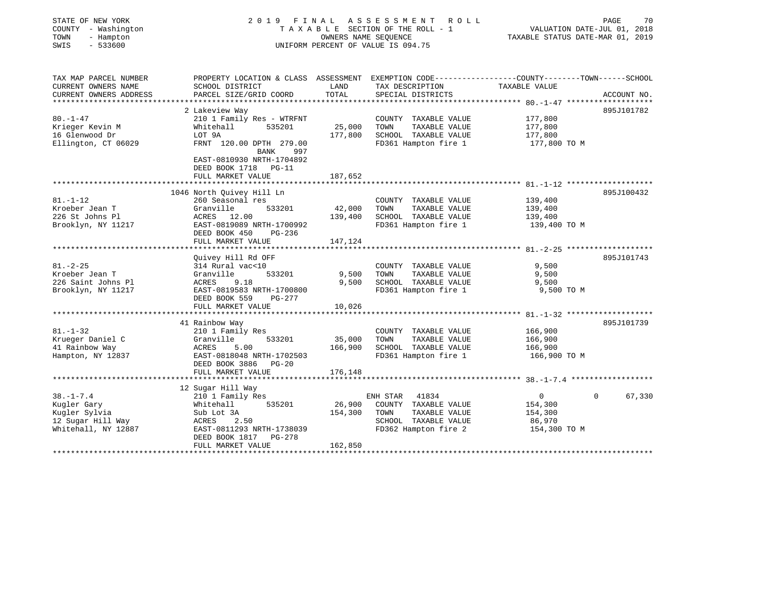| STATE OF NEW YORK<br>COUNTY - Washington<br>- Hampton<br>TOWN<br>$-533600$<br>SWIS | 2019 FINAL ASSESSMENT<br>TAXABLE SECTION OF THE ROLL - 1<br>UNIFORM PERCENT OF VALUE IS 094.75                                               | PAGE<br>70<br>VALUATION DATE-JUL 01, 2018<br>TAXABLE STATUS DATE-MAR 01, 2019 |                                               |                     |                    |
|------------------------------------------------------------------------------------|----------------------------------------------------------------------------------------------------------------------------------------------|-------------------------------------------------------------------------------|-----------------------------------------------|---------------------|--------------------|
| TAX MAP PARCEL NUMBER<br>CURRENT OWNERS NAME<br>CURRENT OWNERS ADDRESS             | PROPERTY LOCATION & CLASS ASSESSMENT EXEMPTION CODE---------------COUNTY-------TOWN------SCHOOL<br>SCHOOL DISTRICT<br>PARCEL SIZE/GRID COORD | LAND<br>TOTAL                                                                 | TAX DESCRIPTION<br>SPECIAL DISTRICTS          | TAXABLE VALUE       | ACCOUNT NO.        |
|                                                                                    |                                                                                                                                              |                                                                               |                                               |                     |                    |
|                                                                                    | 2 Lakeview Way                                                                                                                               |                                                                               |                                               |                     | 895J101782         |
| $80. - 1 - 47$                                                                     | 210 1 Family Res - WTRFNT                                                                                                                    |                                                                               | COUNTY TAXABLE VALUE                          | 177,800             |                    |
| Krieger Kevin M                                                                    | Whitehall<br>535201                                                                                                                          | 25,000                                                                        | TOWN<br>TAXABLE VALUE                         | 177,800             |                    |
| 16 Glenwood Dr                                                                     | LOT 9A<br>FRNT 120.00 DPTH 279.00                                                                                                            | 177,800                                                                       | SCHOOL TAXABLE VALUE<br>FD361 Hampton fire 1  | 177,800             |                    |
| Ellington, CT 06029                                                                | BANK<br>997<br>EAST-0810930 NRTH-1704892<br>DEED BOOK 1718 PG-11<br>FULL MARKET VALUE                                                        | 187,652                                                                       |                                               | 177,800 TO M        |                    |
|                                                                                    | 1046 North Quivey Hill Ln                                                                                                                    |                                                                               |                                               |                     | 895J100432         |
| $81. - 1 - 12$                                                                     | 260 Seasonal res                                                                                                                             |                                                                               | COUNTY TAXABLE VALUE                          | 139,400             |                    |
| Kroeber Jean T                                                                     | Granville<br>533201                                                                                                                          | 42,000                                                                        | TAXABLE VALUE<br>TOWN                         | 139,400             |                    |
| 226 St Johns Pl                                                                    | ACRES 12.00                                                                                                                                  | 139,400                                                                       | SCHOOL TAXABLE VALUE                          | 139,400             |                    |
| Brooklyn, NY 11217                                                                 | EAST-0819089 NRTH-1700992<br>DEED BOOK 450<br>PG-236<br>FULL MARKET VALUE                                                                    | 147,124                                                                       | FD361 Hampton fire 1                          | 139,400 TO M        |                    |
|                                                                                    |                                                                                                                                              |                                                                               |                                               |                     |                    |
|                                                                                    | Quivey Hill Rd OFF                                                                                                                           |                                                                               |                                               |                     | 895J101743         |
| $81. - 2 - 25$                                                                     | 314 Rural vac<10                                                                                                                             |                                                                               | COUNTY TAXABLE VALUE                          | 9,500               |                    |
| Kroeber Jean T                                                                     | 533201<br>Granville                                                                                                                          | 9,500                                                                         | TOWN<br>TAXABLE VALUE                         | 9,500               |                    |
| 226 Saint Johns Pl<br>Brooklyn, NY 11217                                           | ACRES<br>9.18<br>EAST-0819583 NRTH-1700800                                                                                                   | 9,500                                                                         | SCHOOL TAXABLE VALUE<br>FD361 Hampton fire 1  | 9,500<br>9,500 TO M |                    |
|                                                                                    | DEED BOOK 559<br>PG-277                                                                                                                      |                                                                               |                                               |                     |                    |
|                                                                                    | FULL MARKET VALUE                                                                                                                            | 10,026                                                                        |                                               |                     |                    |
|                                                                                    |                                                                                                                                              |                                                                               |                                               |                     |                    |
|                                                                                    | 41 Rainbow Way                                                                                                                               |                                                                               |                                               |                     | 895J101739         |
| $81. - 1 - 32$<br>Krueger Daniel C                                                 | 210 1 Family Res<br>533201<br>Granville                                                                                                      | 35,000                                                                        | COUNTY TAXABLE VALUE<br>TAXABLE VALUE<br>TOWN | 166,900<br>166,900  |                    |
| 41 Rainbow Way                                                                     | ACRES<br>5.00                                                                                                                                | 166,900                                                                       | SCHOOL TAXABLE VALUE                          | 166,900             |                    |
| Hampton, NY 12837                                                                  | EAST-0818048 NRTH-1702503<br>DEED BOOK 3886 PG-20                                                                                            |                                                                               | FD361 Hampton fire 1                          | 166,900 TO M        |                    |
|                                                                                    | FULL MARKET VALUE                                                                                                                            | 176,148                                                                       |                                               |                     |                    |
|                                                                                    | 12 Sugar Hill Way                                                                                                                            |                                                                               |                                               |                     |                    |
| $38. - 1 - 7.4$                                                                    | 210 1 Family Res                                                                                                                             |                                                                               | ENH STAR 41834                                | $\overline{0}$      | $\Omega$<br>67,330 |
| Kugler Gary                                                                        | Whitehall<br>535201                                                                                                                          | 26,900                                                                        | COUNTY TAXABLE VALUE                          | 154,300             |                    |
| Kugler Sylvia                                                                      | Sub Lot 3A                                                                                                                                   | 154,300                                                                       | TOWN<br>TAXABLE VALUE                         | 154,300             |                    |
| 12 Sugar Hill Way                                                                  | ACRES<br>2.50                                                                                                                                |                                                                               | SCHOOL TAXABLE VALUE                          | 86,970              |                    |
| Whitehall, NY 12887                                                                | EAST-0811293 NRTH-1738039<br>DEED BOOK 1817<br>PG-278                                                                                        |                                                                               | FD362 Hampton fire 2                          | 154,300 TO M        |                    |
|                                                                                    | FULL MARKET VALUE                                                                                                                            | 162,850                                                                       |                                               |                     |                    |
|                                                                                    |                                                                                                                                              |                                                                               |                                               |                     |                    |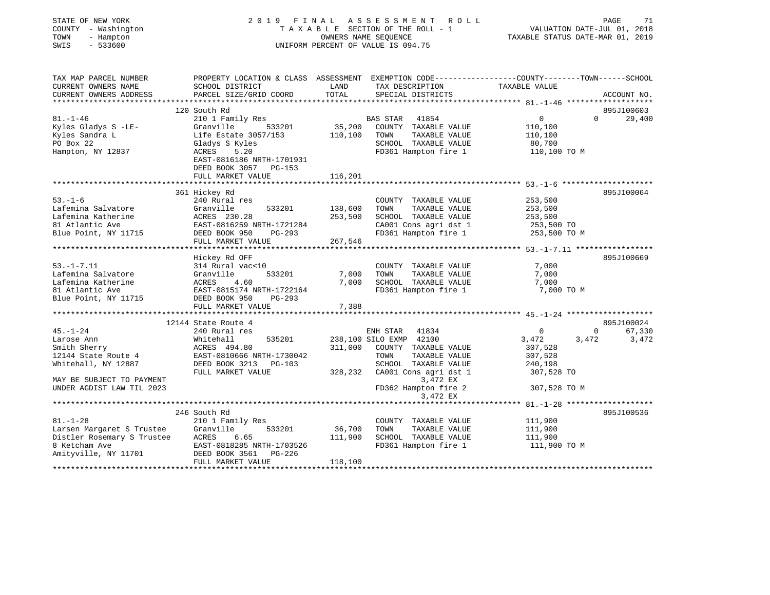| STATE OF NEW YORK<br>COUNTY - Washington<br>- Hampton<br>TOWN<br>$-533600$<br>SWIS | 2019 FINAL                                                                                                        |                    | A S S E S S M E N T<br>ROLL<br>TAXABLE SECTION OF THE ROLL - 1<br>OWNERS NAME SEQUENCE<br>UNIFORM PERCENT OF VALUE IS 094.75 | VALUATION DATE-JUL 01, 2018<br>TAXABLE STATUS DATE-MAR 01, 2019 | PAGE<br>71  |
|------------------------------------------------------------------------------------|-------------------------------------------------------------------------------------------------------------------|--------------------|------------------------------------------------------------------------------------------------------------------------------|-----------------------------------------------------------------|-------------|
| TAX MAP PARCEL NUMBER<br>CURRENT OWNERS NAME                                       | PROPERTY LOCATION & CLASS ASSESSMENT EXEMPTION CODE---------------COUNTY-------TOWN-----SCHOOL<br>SCHOOL DISTRICT | LAND               | TAX DESCRIPTION                                                                                                              | TAXABLE VALUE                                                   |             |
| CURRENT OWNERS ADDRESS<br>**********************                                   | PARCEL SIZE/GRID COORD                                                                                            | TOTAL              | SPECIAL DISTRICTS                                                                                                            |                                                                 | ACCOUNT NO. |
|                                                                                    | 120 South Rd                                                                                                      |                    |                                                                                                                              |                                                                 | 895J100603  |
| $81. - 1 - 46$                                                                     | 210 1 Family Res                                                                                                  |                    | BAS STAR<br>41854                                                                                                            | $\Omega$<br>$\overline{0}$                                      | 29,400      |
| Kyles Gladys S -LE-                                                                | Granville<br>533201                                                                                               | 35,200             | COUNTY TAXABLE VALUE                                                                                                         | 110,100                                                         |             |
| Kyles Sandra L                                                                     | Life Estate 3057/153                                                                                              | 110,100            | TOWN<br>TAXABLE VALUE                                                                                                        | 110,100                                                         |             |
| PO Box 22                                                                          | Gladys S Kyles                                                                                                    |                    | SCHOOL TAXABLE VALUE                                                                                                         | 80,700                                                          |             |
| Hampton, NY 12837                                                                  | 5.20<br>ACRES<br>EAST-0816186 NRTH-1701931<br>DEED BOOK 3057<br>PG-153                                            |                    | FD361 Hampton fire 1                                                                                                         | 110,100 TO M                                                    |             |
|                                                                                    | FULL MARKET VALUE                                                                                                 | 116,201            |                                                                                                                              |                                                                 |             |
|                                                                                    |                                                                                                                   |                    |                                                                                                                              |                                                                 |             |
|                                                                                    | 361 Hickey Rd                                                                                                     |                    |                                                                                                                              |                                                                 | 895J100064  |
| $53. - 1 - 6$                                                                      | 240 Rural res                                                                                                     |                    | COUNTY TAXABLE VALUE                                                                                                         | 253,500                                                         |             |
| Lafemina Salvatore                                                                 | Granville<br>533201                                                                                               | 138,600            | TOWN<br>TAXABLE VALUE                                                                                                        | 253,500                                                         |             |
| Lafemina Katherine                                                                 | ACRES 230.28                                                                                                      | 253,500            | SCHOOL TAXABLE VALUE                                                                                                         | 253,500                                                         |             |
| 81 Atlantic Ave<br>Blue Point, NY 11715                                            | EAST-0816259 NRTH-1721284<br>DEED BOOK 950<br>PG-293                                                              |                    | CA001 Cons agri dst 1<br>FD361 Hampton fire 1                                                                                | 253,500 TO<br>253,500 TO M                                      |             |
|                                                                                    | FULL MARKET VALUE                                                                                                 | 267,546            |                                                                                                                              |                                                                 |             |
|                                                                                    | ***********************                                                                                           |                    |                                                                                                                              |                                                                 |             |
|                                                                                    | Hickey Rd OFF                                                                                                     |                    |                                                                                                                              |                                                                 | 895J100669  |
| $53. - 1 - 7.11$                                                                   | 314 Rural vac<10                                                                                                  |                    | COUNTY TAXABLE VALUE                                                                                                         | 7,000                                                           |             |
| Lafemina Salvatore                                                                 | Granville<br>533201                                                                                               | 7,000              | TOWN<br>TAXABLE VALUE                                                                                                        | 7,000                                                           |             |
| Lafemina Katherine                                                                 | ACRES<br>4.60                                                                                                     | 7,000              | SCHOOL TAXABLE VALUE                                                                                                         | 7,000                                                           |             |
| 81 Atlantic Ave                                                                    | EAST-0815174 NRTH-1722164                                                                                         |                    | FD361 Hampton fire 1                                                                                                         | 7,000 TO M                                                      |             |
| Blue Point, NY 11715                                                               | DEED BOOK 950<br>PG-293<br>FULL MARKET VALUE                                                                      | 7,388              |                                                                                                                              |                                                                 |             |
|                                                                                    | **********************                                                                                            |                    |                                                                                                                              |                                                                 |             |
|                                                                                    | 12144 State Route 4                                                                                               |                    |                                                                                                                              |                                                                 | 895J100024  |
| $45. - 1 - 24$                                                                     | 240 Rural res                                                                                                     |                    | ENH STAR<br>41834                                                                                                            | $\overline{0}$<br>$\overline{0}$                                | 67,330      |
| Larose Ann                                                                         | 535201<br>Whitehall                                                                                               |                    | 238,100 SILO EXMP 42100                                                                                                      | 3,472<br>3,472                                                  | 3,472       |
| Smith Sherry                                                                       | ACRES 494.80                                                                                                      | 311,000            | COUNTY TAXABLE VALUE                                                                                                         | 307,528                                                         |             |
| 12144 State Route 4                                                                | EAST-0810666 NRTH-1730042                                                                                         |                    | TOWN<br>TAXABLE VALUE                                                                                                        | 307,528                                                         |             |
| Whitehall, NY 12887                                                                | DEED BOOK 3213 PG-103                                                                                             |                    | SCHOOL TAXABLE VALUE                                                                                                         | 240,198                                                         |             |
| MAY BE SUBJECT TO PAYMENT                                                          | FULL MARKET VALUE                                                                                                 | 328,232            | CA001 Cons agri dst 1<br>3,472 EX                                                                                            | 307,528 TO                                                      |             |
| UNDER AGDIST LAW TIL 2023                                                          |                                                                                                                   |                    | FD362 Hampton fire 2                                                                                                         | 307,528 TO M                                                    |             |
|                                                                                    |                                                                                                                   |                    | 3,472 EX                                                                                                                     |                                                                 |             |
|                                                                                    |                                                                                                                   |                    |                                                                                                                              | ********************** 81.-1-28 ********************            |             |
|                                                                                    | 246 South Rd                                                                                                      |                    |                                                                                                                              |                                                                 | 895J100536  |
| $81. - 1 - 28$                                                                     | 210 1 Family Res                                                                                                  |                    | COUNTY TAXABLE VALUE                                                                                                         | 111,900                                                         |             |
| Larsen Margaret S Trustee<br>Distler Rosemary S Trustee                            | 533201<br>Granville                                                                                               | 36,700             | TOWN<br>TAXABLE VALUE                                                                                                        | 111,900                                                         |             |
|                                                                                    | ACRES<br>6.65                                                                                                     | 111,900            | SCHOOL TAXABLE VALUE                                                                                                         | 111,900                                                         |             |
| 8 Ketcham Ave                                                                      | EAST-0818285 NRTH-1703526                                                                                         |                    | FD361 Hampton fire 1                                                                                                         | 111,900 TO M                                                    |             |
| Amityville, NY 11701                                                               | DEED BOOK 3561<br>PG-226<br>FULL MARKET VALUE                                                                     | 118,100            |                                                                                                                              |                                                                 |             |
|                                                                                    |                                                                                                                   | <b>+++++++++++</b> |                                                                                                                              |                                                                 |             |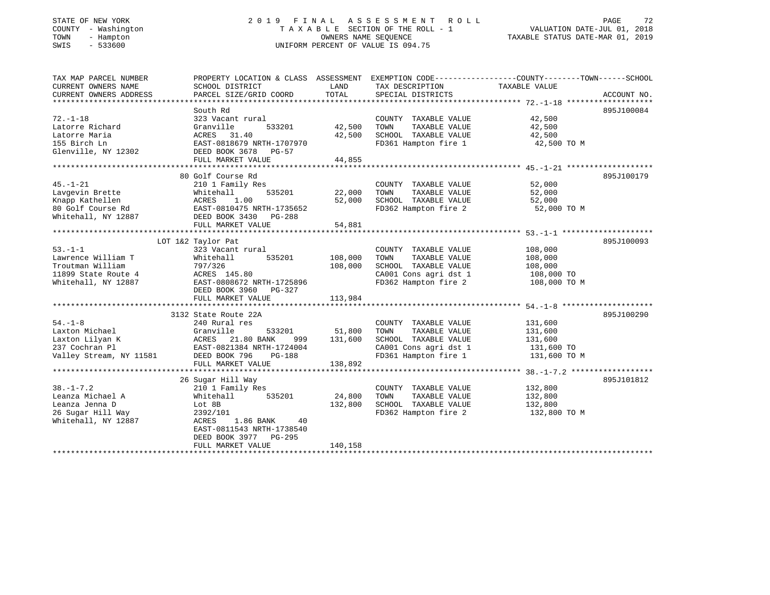# STATE OF NEW YORK 2 0 1 9 F I N A L A S S E S S M E N T R O L L PAGE 72 COUNTY - Washington T A X A B L E SECTION OF THE ROLL - 1 VALUATION DATE-JUL 01, 2018 TOWN - Hampton OWNERS NAME SEQUENCE TAXABLE STATUS DATE-MAR 01, 2019 SWIS - 533600 UNIFORM PERCENT OF VALUE IS 094.75

| TAX MAP PARCEL NUMBER<br>CURRENT OWNERS NAME<br>CURRENT OWNERS ADDRESS | PROPERTY LOCATION & CLASS ASSESSMENT<br>SCHOOL DISTRICT<br>PARCEL SIZE/GRID COORD | LAND<br>TOTAL | EXEMPTION CODE-----------------COUNTY-------TOWN------SCHOOL<br>TAX DESCRIPTION<br>SPECIAL DISTRICTS | TAXABLE VALUE      | ACCOUNT NO. |
|------------------------------------------------------------------------|-----------------------------------------------------------------------------------|---------------|------------------------------------------------------------------------------------------------------|--------------------|-------------|
|                                                                        |                                                                                   |               |                                                                                                      |                    |             |
| $72. - 1 - 18$                                                         | South Rd<br>323 Vacant rural                                                      |               | COUNTY TAXABLE VALUE                                                                                 | 42,500             | 895J100084  |
| Latorre Richard                                                        | 533201<br>Granville                                                               | 42,500        | TAXABLE VALUE<br>TOWN                                                                                | 42,500             |             |
| Latorre Maria                                                          | ACRES 31.40                                                                       | 42,500        | SCHOOL TAXABLE VALUE                                                                                 | 42,500             |             |
| 155 Birch Ln                                                           | EAST-0818679 NRTH-1707970                                                         |               | FD361 Hampton fire 1                                                                                 | 42,500 TO M        |             |
| Glenville, NY 12302 DEED BOOK 3678 PG-57                               | FULL MARKET VALUE                                                                 | 44,855        |                                                                                                      |                    |             |
|                                                                        |                                                                                   |               |                                                                                                      |                    |             |
|                                                                        | 80 Golf Course Rd                                                                 |               |                                                                                                      |                    | 895J100179  |
| $45. - 1 - 21$                                                         | 210 1 Family Res                                                                  |               | COUNTY TAXABLE VALUE                                                                                 | 52,000             |             |
| Lavgevin Brette                                                        | 535201<br>Whitehall                                                               | 22,000        | TOWN<br>TAXABLE VALUE                                                                                | 52,000             |             |
| Knapp Kathellen                                                        | 1.00<br>ACRES                                                                     | 52,000        | SCHOOL TAXABLE VALUE                                                                                 | 52,000             |             |
| 80 Golf Course Rd                                                      | EAST-0810475 NRTH-1735652                                                         |               | FD362 Hampton fire 2                                                                                 | 52,000 TO M        |             |
| Whitehall, NY 12887                                                    | DEED BOOK 3430 PG-288                                                             |               |                                                                                                      |                    |             |
|                                                                        | FULL MARKET VALUE                                                                 | 54,881        |                                                                                                      |                    |             |
|                                                                        |                                                                                   |               |                                                                                                      |                    |             |
|                                                                        | LOT 1&2 Taylor Pat                                                                |               |                                                                                                      |                    | 895J100093  |
| $53. - 1 - 1$                                                          | 323 Vacant rural                                                                  |               | COUNTY TAXABLE VALUE                                                                                 | 108,000            |             |
| Lawrence William T                                                     | 535201<br>Whitehall                                                               | 108,000       | TOWN<br>TAXABLE VALUE                                                                                | 108,000            |             |
| Troutman William                                                       | 797/326                                                                           | 108,000       | SCHOOL TAXABLE VALUE                                                                                 | 108,000            |             |
| 11899 State Route 4                                                    | ACRES 145.80                                                                      |               | CA001 Cons agri dst 1                                                                                | 108,000 TO         |             |
| Whitehall, NY 12887                                                    | EAST-0808672 NRTH-1725896                                                         |               | FD362 Hampton fire 2                                                                                 | 108,000 TO M       |             |
|                                                                        | DEED BOOK 3960<br>PG-327                                                          |               |                                                                                                      |                    |             |
|                                                                        | FULL MARKET VALUE                                                                 | 113,984       |                                                                                                      |                    |             |
|                                                                        |                                                                                   |               |                                                                                                      |                    |             |
| $54. - 1 - 8$                                                          | 3132 State Route 22A                                                              |               |                                                                                                      |                    | 895J100290  |
| Laxton Michael                                                         | 240 Rural res<br>Granville                                                        | 51,800        | COUNTY TAXABLE VALUE                                                                                 | 131,600            |             |
| Laxton Lilyan K                                                        | 533201<br>ACRES 21.80 BANK<br>999                                                 | 131,600       | TOWN<br>TAXABLE VALUE<br>SCHOOL TAXABLE VALUE                                                        | 131,600<br>131,600 |             |
| 237 Cochran Pl                                                         | EAST-0821384 NRTH-1724004                                                         |               | CA001 Cons agri dst 1                                                                                | 131,600 TO         |             |
| Valley Stream, NY 11581                                                | DEED BOOK 796<br>$PG-188$                                                         |               | FD361 Hampton fire 1                                                                                 | 131,600 TO M       |             |
|                                                                        | FULL MARKET VALUE                                                                 | 138,892       |                                                                                                      |                    |             |
|                                                                        |                                                                                   |               |                                                                                                      |                    |             |
|                                                                        | 26 Sugar Hill Way                                                                 |               |                                                                                                      |                    | 895J101812  |
| $38. - 1 - 7.2$                                                        | 210 1 Family Res                                                                  |               | COUNTY TAXABLE VALUE                                                                                 | 132,800            |             |
| Leanza Michael A                                                       | 535201<br>Whitehall                                                               | 24,800        | TAXABLE VALUE<br>TOWN                                                                                | 132,800            |             |
| Leanza Jenna D                                                         | Lot 8B                                                                            | 132,800       | SCHOOL TAXABLE VALUE                                                                                 | 132,800            |             |
| 26 Sugar Hill Way                                                      | 2392/101                                                                          |               | FD362 Hampton fire 2                                                                                 | 132,800 TO M       |             |
| Whitehall, NY 12887                                                    | 40<br>ACRES<br>1.86 BANK                                                          |               |                                                                                                      |                    |             |
|                                                                        | EAST-0811543 NRTH-1738540                                                         |               |                                                                                                      |                    |             |
|                                                                        | DEED BOOK 3977 PG-295                                                             |               |                                                                                                      |                    |             |
|                                                                        | FULL MARKET VALUE                                                                 | 140,158       |                                                                                                      |                    |             |
|                                                                        |                                                                                   |               |                                                                                                      |                    |             |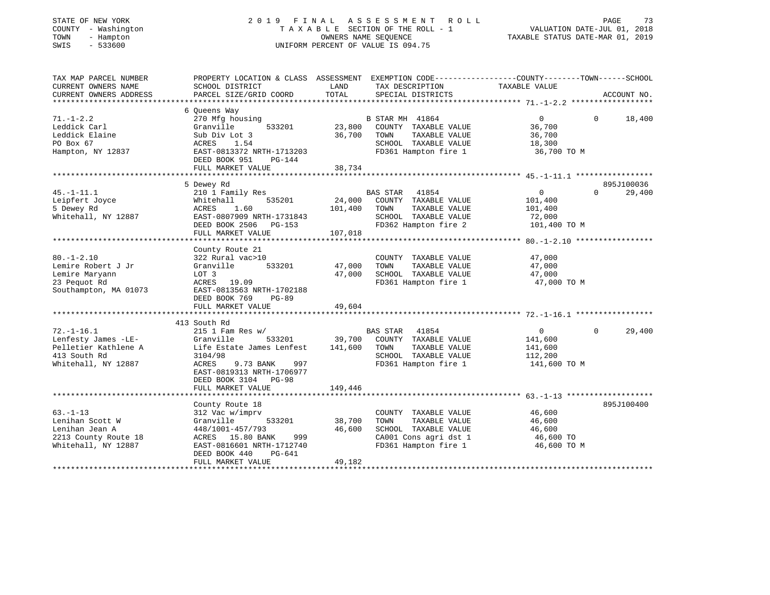#### STATE OF NEW YORK 2019 FINAL ASSESSMENT ROLL PAGE 73 COUNTY - Washington T A X A B L E SECTION OF THE ROLL - 1<br>
TOWN - Hampton COUNTERS NAME SEQUENCE<br>
SWIS - 533600 COUNTERM PERCENT OF VALUE IS 094.75 SWIS - 533600 UNIFORM PERCENT OF VALUE IS 094.75

VALUATION DATE-JUL 01, 2018 TAXABLE STATUS DATE-MAR 01, 2019

| TAX MAP PARCEL NUMBER<br>CURRENT OWNERS NAME                                                           | PROPERTY LOCATION & CLASS ASSESSMENT EXEMPTION CODE---------------COUNTY-------TOWN-----SCHOOL<br>SCHOOL DISTRICT                                                                   | LAND                         | TAX DESCRIPTION                                                                                                           | TAXABLE VALUE                                                   |          |                      |
|--------------------------------------------------------------------------------------------------------|-------------------------------------------------------------------------------------------------------------------------------------------------------------------------------------|------------------------------|---------------------------------------------------------------------------------------------------------------------------|-----------------------------------------------------------------|----------|----------------------|
| CURRENT OWNERS ADDRESS                                                                                 | PARCEL SIZE/GRID COORD                                                                                                                                                              | TOTAL                        | SPECIAL DISTRICTS                                                                                                         |                                                                 |          | ACCOUNT NO.          |
|                                                                                                        | 6 Oueens Way                                                                                                                                                                        |                              |                                                                                                                           |                                                                 |          |                      |
| $71. - 1 - 2.2$<br>Leddick Carl<br>Leddick Elaine<br>PO Box 67<br>Hampton, NY 12837                    | 270 Mfg housing<br>Granville<br>533201<br>Sub Div Lot 3<br>ACRES<br>1.54<br>EAST-0813372 NRTH-1713203<br>DEED BOOK 951<br>PG-144<br>FULL MARKET VALUE                               | 23,800<br>36,700<br>38,734   | B STAR MH 41864<br>COUNTY TAXABLE VALUE<br>TAXABLE VALUE<br>TOWN<br>SCHOOL TAXABLE VALUE<br>FD361 Hampton fire 1          | $\overline{0}$<br>36,700<br>36,700<br>18,300<br>36,700 TO M     | $\Omega$ | 18,400               |
|                                                                                                        |                                                                                                                                                                                     |                              |                                                                                                                           |                                                                 |          |                      |
| $45. - 1 - 11.1$<br>Leipfert Joyce<br>5 Dewey Rd<br>Whitehall, NY 12887                                | 5 Dewey Rd<br>210 1 Family Res<br>535201<br>Whitehall<br>1.60<br>ACRES<br>EAST-0807909 NRTH-1731843<br>DEED BOOK 2506 PG-153<br>FULL MARKET VALUE                                   | 24,000<br>101,400<br>107,018 | <b>BAS STAR</b><br>41854<br>COUNTY TAXABLE VALUE<br>TAXABLE VALUE<br>TOWN<br>SCHOOL TAXABLE VALUE<br>FD362 Hampton fire 2 | $\overline{0}$<br>101,400<br>101,400<br>72,000<br>101,400 TO M  | $\Omega$ | 895J100036<br>29,400 |
|                                                                                                        |                                                                                                                                                                                     |                              |                                                                                                                           |                                                                 |          |                      |
| $80. - 1 - 2.10$<br>Lemire Robert J Jr<br>Lemire Maryann<br>23 Pequot Rd<br>Southampton, MA 01073      | County Route 21<br>322 Rural vac>10<br>Granville<br>533201<br>LOT 3<br>ACRES 19.09<br>EAST-0813563 NRTH-1702188<br>DEED BOOK 769<br>$PG-89$<br>FULL MARKET VALUE                    | 47,000<br>47,000<br>49,604   | COUNTY TAXABLE VALUE<br>TOWN<br>TAXABLE VALUE<br>SCHOOL TAXABLE VALUE<br>FD361 Hampton fire 1                             | 47,000<br>47,000<br>47,000<br>47,000 TO M                       |          |                      |
|                                                                                                        |                                                                                                                                                                                     |                              |                                                                                                                           |                                                                 |          |                      |
| $72. - 1 - 16.1$<br>Lenfesty James -LE-<br>Pelletier Kathlene A<br>413 South Rd<br>Whitehall, NY 12887 | 413 South Rd<br>$215$ 1 Fam Res w/<br>533201<br>Granville<br>Life Estate James Lenfest<br>3104/98<br>9.73 BANK<br>ACRES<br>997<br>EAST-0819313 NRTH-1706977<br>DEED BOOK 3104 PG-98 | 39,700<br>141,600            | BAS STAR 41854<br>COUNTY TAXABLE VALUE<br>TOWN<br>TAXABLE VALUE<br>SCHOOL TAXABLE VALUE<br>FD361 Hampton fire 1           | $\overline{0}$<br>141,600<br>141,600<br>112,200<br>141,600 TO M | $\Omega$ | 29,400               |
|                                                                                                        | FULL MARKET VALUE                                                                                                                                                                   | 149,446                      |                                                                                                                           |                                                                 |          |                      |
| $63. - 1 - 13$<br>Lenihan Scott W<br>Lenihan Jean A<br>2213 County Route 18<br>Whitehall, NY 12887     | County Route 18<br>312 Vac w/imprv<br>533201<br>Granville<br>448/1001-457/793<br>ACRES 15.80 BANK<br>999<br>EAST-0816601 NRTH-1712740                                               | 38,700<br>46,600             | COUNTY TAXABLE VALUE<br>TAXABLE VALUE<br>TOWN<br>SCHOOL TAXABLE VALUE<br>CA001 Cons agri dst 1<br>FD361 Hampton fire 1    | 46,600<br>46,600<br>46,600<br>46,600 TO<br>46,600 TO M          |          | 895J100400           |
|                                                                                                        | PG-641<br>DEED BOOK 440<br>FULL MARKET VALUE                                                                                                                                        | 49,182                       |                                                                                                                           |                                                                 |          |                      |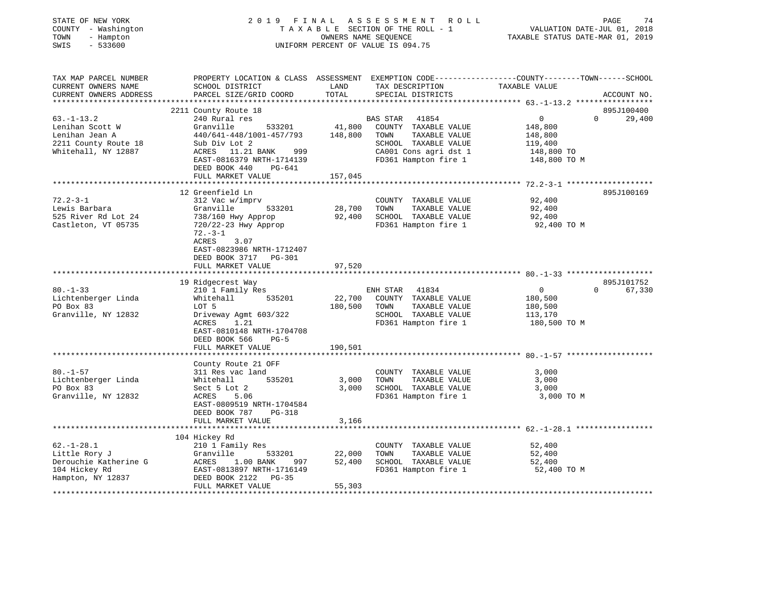| COUNTY - Washington<br>TOWN<br>- Hampton<br>SWIS<br>$-533600$ |                                                  |                  | TAXABLE SECTION OF THE ROLL - 1<br>OWNERS NAME SEQUENCE<br>UNIFORM PERCENT OF VALUE IS 094.75 | VALUATION DATE-JUL 01, 2018<br>TAXABLE STATUS DATE-MAR 01, 2019                                                  |
|---------------------------------------------------------------|--------------------------------------------------|------------------|-----------------------------------------------------------------------------------------------|------------------------------------------------------------------------------------------------------------------|
|                                                               |                                                  |                  |                                                                                               |                                                                                                                  |
| TAX MAP PARCEL NUMBER<br>CURRENT OWNERS NAME                  | SCHOOL DISTRICT                                  | LAND             | TAX DESCRIPTION                                                                               | PROPERTY LOCATION & CLASS ASSESSMENT EXEMPTION CODE---------------COUNTY-------TOWN------SCHOOL<br>TAXABLE VALUE |
| CURRENT OWNERS ADDRESS                                        | PARCEL SIZE/GRID COORD                           | TOTAL            | SPECIAL DISTRICTS                                                                             | ACCOUNT NO.                                                                                                      |
|                                                               |                                                  |                  |                                                                                               |                                                                                                                  |
| $63. - 1 - 13.2$                                              | 2211 County Route 18<br>240 Rural res            |                  | BAS STAR 41854                                                                                | 895J100400<br>$\overline{0}$<br>$\Omega$<br>29,400                                                               |
| Lenihan Scott W                                               | Granville<br>533201                              | 41,800           | COUNTY TAXABLE VALUE                                                                          | 148,800                                                                                                          |
| Lenihan Jean A                                                | 440/641-448/1001-457/793                         | 148,800          | TOWN<br>TAXABLE VALUE                                                                         | 148,800                                                                                                          |
| 2211 County Route 18                                          | Sub Div Lot 2                                    |                  | SCHOOL TAXABLE VALUE                                                                          | 119,400                                                                                                          |
| Whitehall, NY 12887                                           | ACRES 11.21 BANK<br>999                          |                  | CA001 Cons agri dst 1                                                                         | 148,800 TO                                                                                                       |
|                                                               | EAST-0816379 NRTH-1714139                        |                  | FD361 Hampton fire 1                                                                          | 148,800 TO M                                                                                                     |
|                                                               | DEED BOOK 440<br>PG-641                          |                  |                                                                                               |                                                                                                                  |
|                                                               | FULL MARKET VALUE                                | 157,045          |                                                                                               |                                                                                                                  |
|                                                               |                                                  |                  |                                                                                               |                                                                                                                  |
| $72.2 - 3 - 1$                                                | 12 Greenfield Ln<br>312 Vac w/imprv              |                  |                                                                                               | 895J100169<br>92,400                                                                                             |
| Lewis Barbara                                                 | Granville<br>533201                              | 28,700           | COUNTY TAXABLE VALUE<br>TOWN<br>TAXABLE VALUE                                                 | 92,400                                                                                                           |
| 525 River Rd Lot 24                                           | 738/160 Hwy Approp                               | 92,400           | SCHOOL TAXABLE VALUE                                                                          | 92,400                                                                                                           |
| Castleton, VT 05735                                           | 720/22-23 Hwy Approp                             |                  | FD361 Hampton fire 1                                                                          | 92,400 TO M                                                                                                      |
|                                                               | $72. - 3 - 1$                                    |                  |                                                                                               |                                                                                                                  |
|                                                               | ACRES<br>3.07                                    |                  |                                                                                               |                                                                                                                  |
|                                                               | EAST-0823986 NRTH-1712407                        |                  |                                                                                               |                                                                                                                  |
|                                                               | DEED BOOK 3717 PG-301                            |                  |                                                                                               |                                                                                                                  |
|                                                               | FULL MARKET VALUE                                | 97,520           |                                                                                               |                                                                                                                  |
|                                                               | 19 Ridgecrest Way                                |                  |                                                                                               | 895J101752                                                                                                       |
| $80. - 1 - 33$                                                | 210 1 Family Res                                 |                  | 41834<br>ENH STAR                                                                             | 67,330<br>$\overline{0}$<br>$\Omega$                                                                             |
| Lichtenberger Linda                                           | Whitehall<br>535201                              | 22,700           | COUNTY TAXABLE VALUE                                                                          | 180,500                                                                                                          |
| PO Box 83                                                     | LOT 5                                            | 180,500          | TOWN<br>TAXABLE VALUE                                                                         | 180,500                                                                                                          |
| Granville, NY 12832                                           | Driveway Agmt 603/322                            |                  | SCHOOL TAXABLE VALUE                                                                          | 113,170                                                                                                          |
|                                                               | ACRES<br>1.21                                    |                  | FD361 Hampton fire 1                                                                          | 180,500 TO M                                                                                                     |
|                                                               | EAST-0810148 NRTH-1704708                        |                  |                                                                                               |                                                                                                                  |
|                                                               | DEED BOOK 566<br>$PG-5$                          |                  |                                                                                               |                                                                                                                  |
|                                                               | FULL MARKET VALUE                                | 190,501          |                                                                                               |                                                                                                                  |
|                                                               | County Route 21 OFF                              |                  |                                                                                               |                                                                                                                  |
| $80. - 1 - 57$                                                | 311 Res vac land                                 |                  | COUNTY TAXABLE VALUE                                                                          | 3,000                                                                                                            |
| Lichtenberger Linda                                           | 535201<br>Whitehall                              | 3,000            | TAXABLE VALUE<br>TOWN                                                                         | 3,000                                                                                                            |
| PO Box 83                                                     | Sect 5 Lot 2                                     | 3,000            | SCHOOL TAXABLE VALUE                                                                          | 3,000                                                                                                            |
| Granville, NY 12832                                           | ACRES<br>5.06                                    |                  | FD361 Hampton fire 1                                                                          | 3,000 TO M                                                                                                       |
|                                                               | EAST-0809519 NRTH-1704584                        |                  |                                                                                               |                                                                                                                  |
|                                                               | DEED BOOK 787<br>$PG-318$                        |                  |                                                                                               |                                                                                                                  |
|                                                               | FULL MARKET VALUE                                | 3,166            |                                                                                               |                                                                                                                  |
|                                                               |                                                  |                  |                                                                                               |                                                                                                                  |
|                                                               | 104 Hickey Rd                                    |                  |                                                                                               |                                                                                                                  |
| $62. - 1 - 28.1$                                              | 210 1 Family Res                                 |                  | COUNTY TAXABLE VALUE                                                                          | 52,400                                                                                                           |
| Little Rory J<br>Derouchie Katherine G                        | Granville<br>533201<br>ACRES<br>1.00 BANK<br>997 | 22,000<br>52,400 | TOWN<br>TAXABLE VALUE<br>SCHOOL TAXABLE VALUE                                                 | 52,400<br>52,400                                                                                                 |
| 104 Hickey Rd                                                 | EAST-0813897 NRTH-1716149                        |                  | FD361 Hampton fire 1                                                                          | 52,400 TO M                                                                                                      |
| Hampton, NY 12837                                             | DEED BOOK 2122<br>$PG-35$                        |                  |                                                                                               |                                                                                                                  |
|                                                               | FULL MARKET VALUE                                | 55,303           |                                                                                               |                                                                                                                  |
|                                                               |                                                  |                  |                                                                                               |                                                                                                                  |

STATE OF NEW YORK 2019 FINAL ASSESSMENT ROLL

PAGE 74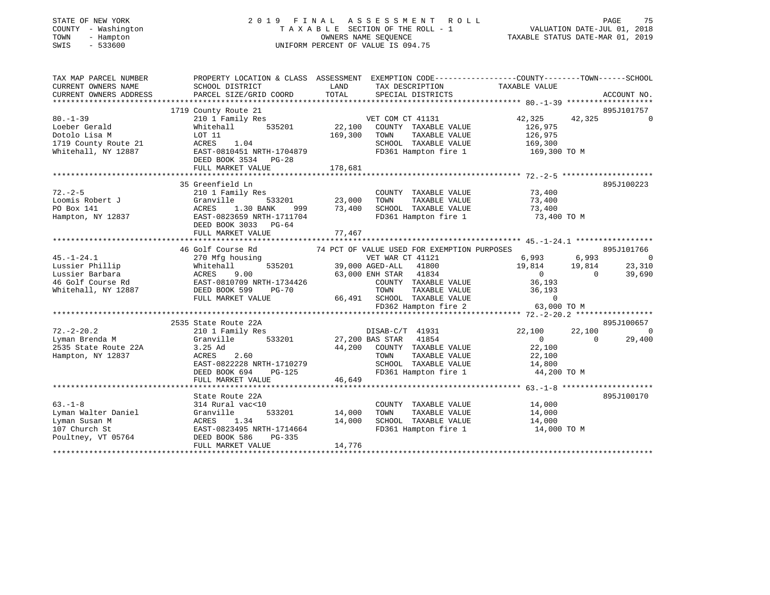| COUNTY - Washington<br>TOWN<br>- Hampton<br>$-533600$<br>SWIS                                      |                                                                                                                                                                                 |                            | TAXABLE SECTION OF THE ROLL - 1<br>OWNERS NAME SEOUENCE<br>UNIFORM PERCENT OF VALUE IS 094.75                                                                                                     | VALUATION DATE-JUL 01, 2018<br>TAXABLE STATUS DATE-MAR 01, 2019         |                                                                                       |
|----------------------------------------------------------------------------------------------------|---------------------------------------------------------------------------------------------------------------------------------------------------------------------------------|----------------------------|---------------------------------------------------------------------------------------------------------------------------------------------------------------------------------------------------|-------------------------------------------------------------------------|---------------------------------------------------------------------------------------|
| TAX MAP PARCEL NUMBER<br>CURRENT OWNERS NAME<br>CURRENT OWNERS ADDRESS                             | PROPERTY LOCATION & CLASS ASSESSMENT EXEMPTION CODE---------------COUNTY-------TOWN------SCHOOL<br>SCHOOL DISTRICT<br>PARCEL SIZE/GRID COORD                                    | LAND<br>TOTAL              | TAX DESCRIPTION<br>SPECIAL DISTRICTS                                                                                                                                                              | TAXABLE VALUE                                                           | ACCOUNT NO.                                                                           |
|                                                                                                    | 1719 County Route 21                                                                                                                                                            |                            |                                                                                                                                                                                                   |                                                                         | 895J101757                                                                            |
| $80. - 1 - 39$                                                                                     | 210 1 Family Res                                                                                                                                                                |                            | VET COM CT 41131                                                                                                                                                                                  | 42,325                                                                  | 42,325 0                                                                              |
| Loeber Gerald<br>Dotolo Lisa M<br>1719 County Route 21<br>Whitehall, NY 12887                      | 535201<br>Whitehall<br>LOT 11<br>ACRES<br>1.04<br>EAST-0810451 NRTH-1704879<br>DEED BOOK 3534 PG-28                                                                             | 22,100<br>169,300          | COUNTY TAXABLE VALUE<br>TOWN<br>TAXABLE VALUE<br>SCHOOL TAXABLE VALUE<br>FD361 Hampton fire 1 169,300 TO M                                                                                        | 126,975<br>126,975<br>169,300                                           |                                                                                       |
|                                                                                                    | FULL MARKET VALUE                                                                                                                                                               | 178,681                    |                                                                                                                                                                                                   |                                                                         |                                                                                       |
|                                                                                                    |                                                                                                                                                                                 |                            |                                                                                                                                                                                                   |                                                                         |                                                                                       |
| $72. - 2 - 5$<br>Loomis Robert J<br>PO Box 141<br>Hampton, NY 12837                                | 35 Greenfield Ln<br>210 1 Family Res<br>Granville<br>533201<br>1.30 BANK<br>ACRES<br>999<br>EAST-0823659 NRTH-1711704<br>DEED BOOK 3033 PG-64                                   | 23,000<br>73,400           | COUNTY TAXABLE VALUE<br>TAXABLE VALUE<br>TOWN<br>SCHOOL TAXABLE VALUE<br>FD361 Hampton fire 1                                                                                                     | 73,400<br>73,400<br>73,400<br>73,400 TO M                               | 895J100223                                                                            |
|                                                                                                    | FULL MARKET VALUE                                                                                                                                                               | 77,467                     |                                                                                                                                                                                                   |                                                                         |                                                                                       |
|                                                                                                    |                                                                                                                                                                                 |                            |                                                                                                                                                                                                   |                                                                         |                                                                                       |
| $45. - 1 - 24.1$<br>Lussier Phillip<br>Lussier Barbara<br>46 Golf Course Rd<br>Whitehall, NY 12887 | 46 Golf Course Rd<br>270 Mfg housing<br>Whitehall<br>535201<br>ACRES 9.00<br>EAST-0810709 NRTH-1734426<br>DEED BOOK 599<br>$PG-70$<br>FULL MARKET VALUE                         |                            | 74 PCT OF VALUE USED FOR EXEMPTION PURPOSES<br>VET WAR CT 41121<br>39,000 AGED-ALL 41800<br>63,000 ENH STAR 41834<br>COUNTY TAXABLE VALUE<br>TAXABLE VALUE<br>TOWN<br>66,491 SCHOOL TAXABLE VALUE | 6,993<br>19,814<br>$\overline{0}$<br>36,193<br>36,193<br>$\overline{0}$ | 895J101766<br>6,993<br>$\overline{0}$<br>19,814<br>23,310<br>$\overline{0}$<br>39,690 |
|                                                                                                    |                                                                                                                                                                                 |                            | FD362 Hampton fire 2                                                                                                                                                                              | 63,000 TO M                                                             |                                                                                       |
|                                                                                                    |                                                                                                                                                                                 |                            |                                                                                                                                                                                                   |                                                                         |                                                                                       |
| $72. - 2 - 20.2$<br>Lyman Brenda M<br>2535 State Route 22A<br>Hampton, NY 12837                    | 2535 State Route 22A<br>210 1 Family Res<br>Granville<br>533201<br>3.25 Ad<br>2.60<br>ACRES<br>EAST-0822228 NRTH-1710279<br>DEED BOOK 694<br><b>PG-125</b><br>FULL MARKET VALUE | 46,649                     | DISAB-C/T 41931<br>27,200 BAS STAR 41854<br>44,200 COUNTY TAXABLE VALUE<br>TOWN<br>TAXABLE VALUE<br>SCHOOL TAXABLE VALUE<br>FD361 Hampton fire 1                                                  | 22,100<br>$\overline{0}$<br>22,100<br>22,100<br>14,800<br>44,200 TO M   | 895J100657<br>22,100<br>$\overline{\phantom{0}}$<br>29,400<br>$\Omega$                |
|                                                                                                    |                                                                                                                                                                                 |                            |                                                                                                                                                                                                   |                                                                         |                                                                                       |
| $63. -1 - 8$<br>Lyman Walter Daniel<br>Lyman Susan M<br>107 Church St<br>Poultney, VT 05764        | State Route 22A<br>314 Rural vac<10<br>Granville<br>533201<br>ACRES 1.34<br>EAST-0823495 NRTH-1714664<br>DEED BOOK 586<br>$PG-335$<br>FULL MARKET VALUE                         | 14,000<br>14,000<br>14,776 | COUNTY TAXABLE VALUE<br>TOWN<br>TAXABLE VALUE<br>SCHOOL TAXABLE VALUE<br>FD361 Hampton fire 1                                                                                                     | 14,000<br>14,000<br>14,000<br>14,000 TO M                               | 895J100170                                                                            |

\*\*\*\*\*\*\*\*\*\*\*\*\*\*\*\*\*\*\*\*\*\*\*\*\*\*\*\*\*\*\*\*\*\*\*\*\*\*\*\*\*\*\*\*\*\*\*\*\*\*\*\*\*\*\*\*\*\*\*\*\*\*\*\*\*\*\*\*\*\*\*\*\*\*\*\*\*\*\*\*\*\*\*\*\*\*\*\*\*\*\*\*\*\*\*\*\*\*\*\*\*\*\*\*\*\*\*\*\*\*\*\*\*\*\*\*\*\*\*\*\*\*\*\*\*\*\*\*\*\*\*\*

STATE OF NEW YORK CORPORATION OF A LOOD SERVICE OF A LOOP OF I N A LOOP AS SERVICE SOLUTION OF A LOOP OF A LOOP AND THE FAGE

75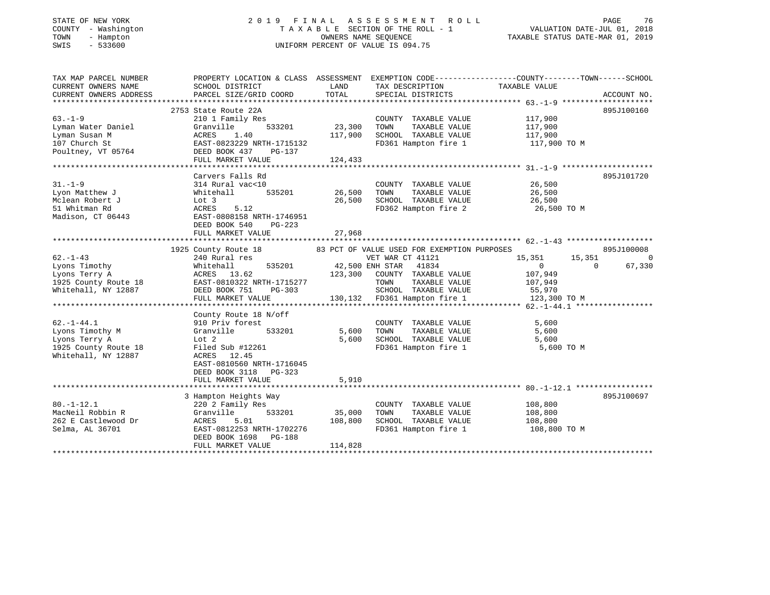## STATE OF NEW YORK 2 0 1 9 F I N A L A S S E S S M E N T R O L L PAGE 76 COUNTY - Washington T A X A B L E SECTION OF THE ROLL - 1 VALUATION DATE-JUL 01, 2018 TOWN - Hampton OWNERS NAME SEQUENCE TAXABLE STATUS DATE-MAR 01, 2019 SWIS - 533600 UNIFORM PERCENT OF VALUE IS 094.75

| TAX MAP PARCEL NUMBER            | PROPERTY LOCATION & CLASS ASSESSMENT                                          |               |                                           | EXEMPTION CODE-----------------COUNTY-------TOWN------SCHOOL |                          |
|----------------------------------|-------------------------------------------------------------------------------|---------------|-------------------------------------------|--------------------------------------------------------------|--------------------------|
| CURRENT OWNERS NAME              | SCHOOL DISTRICT                                                               | LAND          | TAX DESCRIPTION                           | TAXABLE VALUE                                                |                          |
| CURRENT OWNERS ADDRESS           | PARCEL SIZE/GRID COORD                                                        | TOTAL         | SPECIAL DISTRICTS                         |                                                              | ACCOUNT NO.              |
|                                  |                                                                               |               |                                           |                                                              |                          |
|                                  | 2753 State Route 22A                                                          |               |                                           |                                                              | 895J100160               |
| $63. - 1 - 9$                    | 210 1 Family Res                                                              |               | COUNTY TAXABLE VALUE 117,900              |                                                              |                          |
| Lyman Water Daniel               | Granville<br>533201                                                           | 23,300        | TOWN<br>TAXABLE VALUE                     | 117,900                                                      |                          |
| Lyman Susan M                    | ACRES 1.40                                                                    | 117,900       | SCHOOL TAXABLE VALUE                      | 117,900                                                      |                          |
| 107 Church St                    | EAST-0823229 NRTH-1715132                                                     |               | FD361 Hampton fire 1                      | 117,900 TO M                                                 |                          |
| Poultney, VT 05764 DEED BOOK 437 | PG-137                                                                        |               |                                           |                                                              |                          |
|                                  | FULL MARKET VALUE                                                             | 124,433       |                                           |                                                              |                          |
|                                  |                                                                               |               |                                           |                                                              |                          |
|                                  | Carvers Falls Rd                                                              |               |                                           |                                                              | 895J101720               |
| $31. - 1 - 9$                    | 314 Rural vac<10                                                              |               | COUNTY TAXABLE VALUE                      | 26,500                                                       |                          |
| Lyon Matthew J                   | Whitehall                                                                     | 535201 26,500 | TAXABLE VALUE<br>TOWN                     |                                                              |                          |
| Mclean Robert J                  | Lot 3                                                                         | 26,500        | SCHOOL TAXABLE VALUE                      | 26,500<br>26,500                                             |                          |
| 51 Whitman Rd                    | ACRES<br>5.12                                                                 |               |                                           | FD362 Hampton fire 2 26,500 TO M                             |                          |
| Madison, CT 06443                | EAST-0808158 NRTH-1746951                                                     |               |                                           |                                                              |                          |
|                                  | DEED BOOK 540<br>PG-223                                                       |               |                                           |                                                              |                          |
|                                  |                                                                               |               |                                           |                                                              |                          |
|                                  |                                                                               |               |                                           |                                                              |                          |
|                                  | 1925 County Route 18 63 PCT OF VALUE USED FOR EXEMPTION PURPOSES              |               |                                           |                                                              | 895J100008               |
| $62. - 1 - 43$                   | 240 Rural res                                                                 |               | VET WAR CT 41121                          | 15,351 15,351                                                | $\mathbf 0$              |
| Lyons Timothy                    | Whitehaii<br>ACRES 13.62<br>EAST-0810322 NRTH-1715277<br>PEED BOOK 751 PG-303 |               | 535201 42,500 ENH STAR 41834              | $\overline{0}$                                               | $\overline{0}$<br>67,330 |
| Lyons Terry A                    |                                                                               |               | 123,300 COUNTY TAXABLE VALUE              | 107,949                                                      |                          |
| 1925 County Route 18             |                                                                               |               | TAXABLE VALUE<br>TOWN                     | 107,949                                                      |                          |
| Whitehall, NY 12887              |                                                                               |               | SCHOOL TAXABLE VALUE 55,970               |                                                              |                          |
|                                  |                                                                               |               | 130,132 FD361 Hampton fire 1 123,300 TO M |                                                              |                          |
|                                  |                                                                               |               |                                           |                                                              |                          |
|                                  | County Route 18 N/off                                                         |               |                                           |                                                              |                          |
| $62. - 1 - 44.1$                 | 910 Priv forest                                                               |               | COUNTY TAXABLE VALUE                      | 5,600                                                        |                          |
| Lyons Timothy M                  | Granville<br>533201                                                           | 5,600         | TOWN<br>TAXABLE VALUE                     | 5,600                                                        |                          |
| Lyons Terry A                    |                                                                               | 5,600         | SCHOOL TAXABLE VALUE 5,600                |                                                              |                          |
| 1925 County Route 18             | Lot 2<br>e 18 Filed Sub #12261                                                |               | FD361 Hampton fire 1                      | 5,600 TO M                                                   |                          |
| Whitehall, NY 12887              | ACRES<br>12.45                                                                |               |                                           |                                                              |                          |
|                                  | EAST-0810560 NRTH-1716045                                                     |               |                                           |                                                              |                          |
|                                  | DEED BOOK 3118<br>$PG-323$                                                    |               |                                           |                                                              |                          |
|                                  | FULL MARKET VALUE                                                             | 5,910         |                                           |                                                              |                          |
|                                  |                                                                               |               |                                           |                                                              |                          |
|                                  | 3 Hampton Heights Way                                                         |               |                                           |                                                              | 895J100697               |
| $80. - 1 - 12.1$                 | 220 2 Family Res                                                              |               | COUNTY TAXABLE VALUE                      | 108,800                                                      |                          |
| MacNeil Robbin R                 | Granville<br>533201                                                           | 35,000        | TOWN<br>TAXABLE VALUE                     | 108,800                                                      |                          |
| 262 E Castlewood Dr              |                                                                               | 108,800       | SCHOOL TAXABLE VALUE 108,800              |                                                              |                          |
| Selma, AL 36701                  |                                                                               |               | FD361 Hampton fire 1                      | 108,800 TO M                                                 |                          |
|                                  | DEED BOOK 1698 PG-188                                                         |               |                                           |                                                              |                          |
|                                  | FULL MARKET VALUE                                                             | 114,828       |                                           |                                                              |                          |
|                                  |                                                                               |               |                                           |                                                              |                          |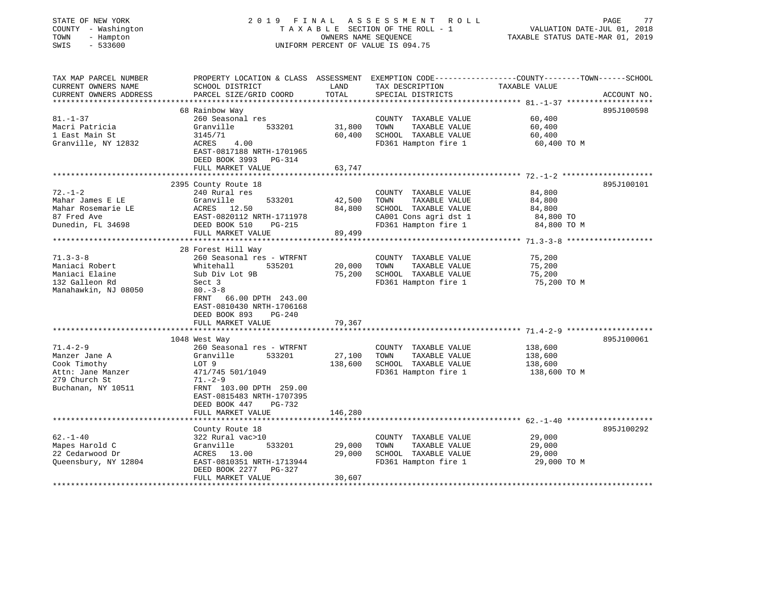| STATE OF NEW YORK<br>COUNTY - Washington<br>TOWN<br>- Hampton<br>SWIS<br>$-533600$ | 2019 FINAL                                                                                     | OWNERS NAME SEQUENCE | A S S E S S M E N T<br>ROLL<br>TAXABLE SECTION OF THE ROLL - 1<br>UNIFORM PERCENT OF VALUE IS 094.75 | PAGE<br>77<br>VALUATION DATE-JUL 01, 2018<br>TAXABLE STATUS DATE-MAR 01, 2019                                                   |
|------------------------------------------------------------------------------------|------------------------------------------------------------------------------------------------|----------------------|------------------------------------------------------------------------------------------------------|---------------------------------------------------------------------------------------------------------------------------------|
| TAX MAP PARCEL NUMBER<br>CURRENT OWNERS NAME<br>CURRENT OWNERS ADDRESS             | SCHOOL DISTRICT<br>PARCEL SIZE/GRID COORD                                                      | LAND<br>TOTAL        | TAX DESCRIPTION<br>SPECIAL DISTRICTS                                                                 | PROPERTY LOCATION & CLASS ASSESSMENT EXEMPTION CODE---------------COUNTY-------TOWN------SCHOOL<br>TAXABLE VALUE<br>ACCOUNT NO. |
|                                                                                    |                                                                                                |                      |                                                                                                      |                                                                                                                                 |
|                                                                                    | 68 Rainbow Way                                                                                 |                      |                                                                                                      | 895J100598                                                                                                                      |
| $81. - 1 - 37$<br>Macri Patricia                                                   | 260 Seasonal res<br>Granville<br>533201                                                        | 31,800               | COUNTY TAXABLE VALUE<br>TOWN<br>TAXABLE VALUE                                                        | 60,400<br>60,400                                                                                                                |
| 1 East Main St                                                                     | 3145/71                                                                                        | 60,400               | SCHOOL TAXABLE VALUE                                                                                 | 60,400                                                                                                                          |
| Granville, NY 12832                                                                | ACRES<br>4.00                                                                                  |                      | FD361 Hampton fire 1                                                                                 | 60,400 TO M                                                                                                                     |
|                                                                                    | EAST-0817188 NRTH-1701965<br>DEED BOOK 3993<br>PG-314                                          |                      |                                                                                                      |                                                                                                                                 |
|                                                                                    | FULL MARKET VALUE                                                                              | 63,747               |                                                                                                      |                                                                                                                                 |
|                                                                                    |                                                                                                |                      |                                                                                                      |                                                                                                                                 |
|                                                                                    | 2395 County Route 18                                                                           |                      |                                                                                                      | 895J100101                                                                                                                      |
| $72. - 1 - 2$                                                                      | 240 Rural res                                                                                  |                      | COUNTY TAXABLE VALUE                                                                                 | 84,800                                                                                                                          |
| Mahar James E LE                                                                   | Granville<br>533201                                                                            | 42,500               | TOWN<br>TAXABLE VALUE                                                                                | 84,800                                                                                                                          |
| Mahar Rosemarie LE                                                                 | ACRES 12.50                                                                                    | 84,800               | SCHOOL TAXABLE VALUE                                                                                 | 84,800                                                                                                                          |
| 87 Fred Ave                                                                        | EAST-0820112 NRTH-1711978                                                                      |                      | CA001 Cons agri dst 1                                                                                | 84,800 TO                                                                                                                       |
| Dunedin, FL 34698                                                                  | DEED BOOK 510<br>$PG-215$                                                                      |                      | FD361 Hampton fire 1                                                                                 | 84,800 TO M                                                                                                                     |
|                                                                                    | FULL MARKET VALUE                                                                              | 89,499               |                                                                                                      |                                                                                                                                 |
|                                                                                    | 28 Forest Hill Way                                                                             |                      |                                                                                                      |                                                                                                                                 |
| $71.3 - 3 - 8$                                                                     | 260 Seasonal res - WTRFNT                                                                      |                      | COUNTY TAXABLE VALUE                                                                                 | 75,200                                                                                                                          |
| Maniaci Robert                                                                     | Whitehall<br>535201                                                                            | 20,000               | TOWN<br>TAXABLE VALUE                                                                                | 75,200                                                                                                                          |
| Maniaci Elaine                                                                     | Sub Div Lot 9B                                                                                 | 75,200               | SCHOOL TAXABLE VALUE                                                                                 | 75,200                                                                                                                          |
| 132 Galleon Rd                                                                     | Sect 3                                                                                         |                      | FD361 Hampton fire 1                                                                                 | 75,200 TO M                                                                                                                     |
| Manahawkin, NJ 08050                                                               | $80 - 3 - 8$<br>FRNT 66.00 DPTH 243.00<br>EAST-0810430 NRTH-1706168<br>DEED BOOK 893<br>PG-240 |                      |                                                                                                      |                                                                                                                                 |
|                                                                                    | FULL MARKET VALUE                                                                              | 79,367               |                                                                                                      |                                                                                                                                 |
|                                                                                    |                                                                                                |                      |                                                                                                      |                                                                                                                                 |
|                                                                                    | 1048 West Way                                                                                  |                      |                                                                                                      | 895J100061                                                                                                                      |
| $71.4 - 2 - 9$                                                                     | 260 Seasonal res - WTRFNT                                                                      |                      | COUNTY TAXABLE VALUE                                                                                 | 138,600                                                                                                                         |
| Manzer Jane A                                                                      | Granville<br>533201                                                                            | 27,100<br>138,600    | TAXABLE VALUE<br>TOWN                                                                                | 138,600                                                                                                                         |
| Cook Timothy<br>Attn: Jane Manzer                                                  | LOT 9<br>471/745 501/1049                                                                      |                      | SCHOOL TAXABLE VALUE<br>FD361 Hampton fire 1                                                         | 138,600                                                                                                                         |
| 279 Church St                                                                      | $71. - 2 - 9$                                                                                  |                      |                                                                                                      | 138,600 TO M                                                                                                                    |
| Buchanan, NY 10511                                                                 | FRNT 103.00 DPTH 259.00                                                                        |                      |                                                                                                      |                                                                                                                                 |
|                                                                                    | EAST-0815483 NRTH-1707395<br>DEED BOOK 447<br>PG-732                                           |                      |                                                                                                      |                                                                                                                                 |
|                                                                                    | FULL MARKET VALUE                                                                              | 146,280              |                                                                                                      |                                                                                                                                 |
|                                                                                    |                                                                                                |                      |                                                                                                      |                                                                                                                                 |
|                                                                                    | County Route 18                                                                                |                      |                                                                                                      | 895J100292                                                                                                                      |
| $62. - 1 - 40$                                                                     | 322 Rural vac>10                                                                               |                      | COUNTY TAXABLE VALUE                                                                                 | 29,000                                                                                                                          |
| Mapes Harold C                                                                     | 533201<br>Granville                                                                            | 29,000               | TAXABLE VALUE<br>TOWN                                                                                | 29,000                                                                                                                          |
| 22 Cedarwood Dr<br>Queensbury, NY 12804                                            | ACRES 13.00<br>EAST-0810351 NRTH-1713944<br>DEED BOOK 2277<br>PG-327                           | 29,000               | SCHOOL TAXABLE VALUE<br>FD361 Hampton fire 1                                                         | 29,000<br>29,000 TO M                                                                                                           |
| *********************                                                              | FULL MARKET VALUE                                                                              | 30,607               |                                                                                                      |                                                                                                                                 |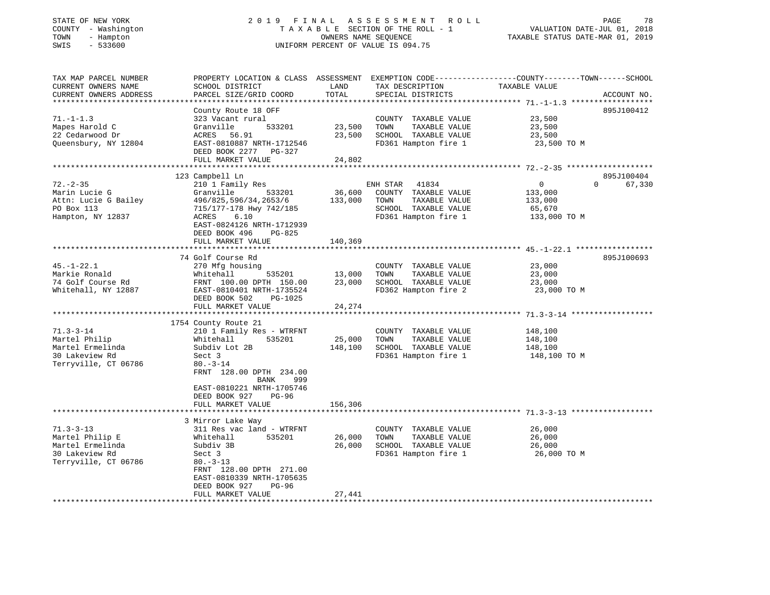#### STATE OF NEW YORK 2 0 1 9 F I N A L A S S E S S M E N T R O L L PAGE 78 COUNTY - Washington T A X A B L E SECTION OF THE ROLL - 1 VALUATION DATE-JUL 01, 2018 TOWN - Hampton OWNERS NAME SEQUENCE TAXABLE STATUS DATE-MAR 01, 2019 SWIS - 533600 UNIFORM PERCENT OF VALUE IS 094.75UNIFORM PERCENT OF VALUE IS 094.75

| TAX MAP PARCEL NUMBER<br>CURRENT OWNERS NAME                                                     | PROPERTY LOCATION & CLASS ASSESSMENT EXEMPTION CODE---------------COUNTY-------TOWN------SCHOOL<br>SCHOOL DISTRICT                                                                                                                                 | LAND                         | TAX DESCRIPTION                                                                                                    | TAXABLE VALUE                                                |                                  |
|--------------------------------------------------------------------------------------------------|----------------------------------------------------------------------------------------------------------------------------------------------------------------------------------------------------------------------------------------------------|------------------------------|--------------------------------------------------------------------------------------------------------------------|--------------------------------------------------------------|----------------------------------|
| CURRENT OWNERS ADDRESS                                                                           | PARCEL SIZE/GRID COORD                                                                                                                                                                                                                             | TOTAL                        | SPECIAL DISTRICTS                                                                                                  |                                                              | ACCOUNT NO.                      |
|                                                                                                  |                                                                                                                                                                                                                                                    |                              |                                                                                                                    |                                                              |                                  |
| $71. - 1 - 1.3$<br>Mapes Harold C<br>22 Cedarwood Dr                                             | County Route 18 OFF<br>323 Vacant rural<br>533201<br>Granville<br>ACRES 56.91                                                                                                                                                                      | 23,500<br>23,500             | COUNTY TAXABLE VALUE<br>TOWN<br>TAXABLE VALUE<br>SCHOOL TAXABLE VALUE                                              | 23,500<br>23,500<br>23,500                                   | 895J100412                       |
| Queensbury, NY 12804                                                                             | EAST-0810887 NRTH-1712546<br>DEED BOOK 2277 PG-327<br>FULL MARKET VALUE                                                                                                                                                                            | 24,802                       | FD361 Hampton fire 1                                                                                               | 23,500 TO M                                                  |                                  |
|                                                                                                  |                                                                                                                                                                                                                                                    |                              |                                                                                                                    |                                                              |                                  |
| $72. - 2 - 35$<br>Marin Lucie G<br>Attn: Lucie G Bailey<br>PO Box 113<br>Hampton, NY 12837       | 123 Campbell Ln<br>210 1 Family Res<br>Granville<br>533201<br>496/825,596/34,2653/6<br>715/177-178 Hwy 742/185<br>ACRES<br>6.10<br>EAST-0824126 NRTH-1712939<br>DEED BOOK 496<br>PG-825                                                            | 36,600<br>133,000            | ENH STAR<br>41834<br>COUNTY TAXABLE VALUE<br>TOWN<br>TAXABLE VALUE<br>SCHOOL TAXABLE VALUE<br>FD361 Hampton fire 1 | $\mathbf{0}$<br>133,000<br>133,000<br>65,670<br>133,000 TO M | 895J100404<br>67,330<br>$\Omega$ |
|                                                                                                  | FULL MARKET VALUE                                                                                                                                                                                                                                  | 140,369                      |                                                                                                                    |                                                              |                                  |
|                                                                                                  |                                                                                                                                                                                                                                                    |                              |                                                                                                                    |                                                              |                                  |
| $45. - 1 - 22.1$<br>Markie Ronald<br>74 Golf Course Rd<br>Whitehall, NY 12887                    | 74 Golf Course Rd<br>270 Mfg housing<br>535201<br>Whitehall<br>FRNT 100.00 DPTH 150.00<br>EAST-0810401 NRTH-1735524<br>DEED BOOK 502<br>PG-1025                                                                                                    | 13,000<br>23,000             | COUNTY TAXABLE VALUE<br>TAXABLE VALUE<br>TOWN<br>SCHOOL TAXABLE VALUE<br>FD362 Hampton fire 2                      | 23,000<br>23,000<br>23,000<br>23,000 TO M                    | 895J100693                       |
|                                                                                                  | FULL MARKET VALUE                                                                                                                                                                                                                                  | 24,274                       |                                                                                                                    |                                                              |                                  |
|                                                                                                  |                                                                                                                                                                                                                                                    |                              |                                                                                                                    |                                                              |                                  |
| $71.3 - 3 - 14$<br>Martel Philip<br>Martel Ermelinda<br>30 Lakeview Rd<br>Terryville, CT 06786   | 1754 County Route 21<br>210 1 Family Res - WTRFNT<br>535201<br>Whitehall<br>Subdiv Lot 2B<br>Sect 3<br>$80. - 3 - 14$<br>FRNT 128.00 DPTH 234.00<br>BANK<br>999<br>EAST-0810221 NRTH-1705746<br>DEED BOOK 927<br><b>PG-96</b><br>FULL MARKET VALUE | 25,000<br>148,100<br>156,306 | COUNTY TAXABLE VALUE<br>TAXABLE VALUE<br>TOWN<br>SCHOOL TAXABLE VALUE<br>FD361 Hampton fire 1                      | 148,100<br>148,100<br>148,100<br>148,100 TO M                |                                  |
|                                                                                                  |                                                                                                                                                                                                                                                    |                              |                                                                                                                    |                                                              |                                  |
| $71.3 - 3 - 13$<br>Martel Philip E<br>Martel Ermelinda<br>30 Lakeview Rd<br>Terryville, CT 06786 | 3 Mirror Lake Way<br>311 Res vac land - WTRFNT<br>535201<br>Whitehall<br>Subdiv 3B<br>Sect 3<br>$80. -3 - 13$<br>FRNT 128.00 DPTH 271.00<br>EAST-0810339 NRTH-1705635<br>DEED BOOK 927<br>$PG-96$                                                  | 26,000<br>26,000             | COUNTY TAXABLE VALUE<br>TOWN<br>TAXABLE VALUE<br>SCHOOL TAXABLE VALUE<br>FD361 Hampton fire 1                      | 26,000<br>26,000<br>26,000<br>26,000 TO M                    |                                  |
|                                                                                                  | FULL MARKET VALUE                                                                                                                                                                                                                                  | 27,441                       |                                                                                                                    |                                                              |                                  |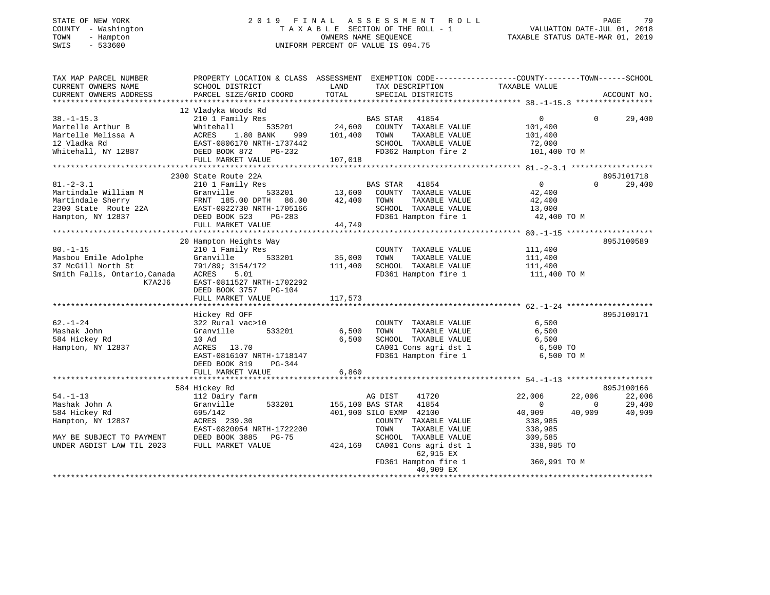| COUNTY - Washington<br>TOWN<br>- Hampton<br>$-533600$<br>SWIS                                                                | TAXABLE SECTION OF THE ROLL - 1<br>OWNERS NAME SEQUENCE<br>UNIFORM PERCENT OF VALUE IS 094.75    |               | VALUATION DATE-JUL 01, 2018<br>TAXABLE STATUS DATE-MAR 01, 2019 |                |                       |
|------------------------------------------------------------------------------------------------------------------------------|--------------------------------------------------------------------------------------------------|---------------|-----------------------------------------------------------------|----------------|-----------------------|
| TAX MAP PARCEL NUMBER                                                                                                        | PROPERTY LOCATION & CLASS ASSESSMENT EXEMPTION CODE----------------COUNTY-------TOWN------SCHOOL |               |                                                                 |                |                       |
| CURRENT OWNERS NAME                                                                                                          | SCHOOL DISTRICT                                                                                  | LAND          | TAX DESCRIPTION                                                 | TAXABLE VALUE  |                       |
| CURRENT OWNERS ADDRESS                                                                                                       | PARCEL SIZE/GRID COORD                                                                           | TOTAL         | SPECIAL DISTRICTS                                               |                | ACCOUNT NO.           |
|                                                                                                                              | 12 Vladyka Woods Rd                                                                              |               |                                                                 |                |                       |
| $38. - 1 - 15.3$                                                                                                             | 210 1 Family Res                                                                                 |               | BAS STAR 41854                                                  | $\overline{0}$ | $\Omega$<br>29,400    |
| Martelle Arthur B                                                                                                            | 535201<br>Whitehall                                                                              | 24,600        | COUNTY TAXABLE VALUE                                            | 101,400        |                       |
| Martelle Melissa A                                                                                                           | ACRES 1.80 BANK<br>999                                                                           | 101,400       | TOWN<br>TAXABLE VALUE                                           | 101,400        |                       |
| 12 Vladka Rd                                                                                                                 |                                                                                                  |               | SCHOOL TAXABLE VALUE                                            | 72,000         |                       |
| Whitehall, NY 12887                                                                                                          | EAST-0806170 NRTH-1737442<br>DEED BOOK 872 PG-232                                                |               | FD362 Hampton fire 2                                            | 101,400 TO M   |                       |
|                                                                                                                              | FULL MARKET VALUE                                                                                | 107,018       |                                                                 |                |                       |
|                                                                                                                              |                                                                                                  |               |                                                                 |                |                       |
|                                                                                                                              | 2300 State Route 22A                                                                             |               |                                                                 |                | 895J101718            |
| 81.-2-3.1                                                                                                                    | 210 1 Family Res                                                                                 |               | 41854<br>BAS STAR                                               | $\overline{0}$ | $\Omega$<br>29,400    |
| Martindale William M                                                                                                         | Granville                                                                                        | 533201 13,600 | COUNTY TAXABLE VALUE                                            | 42,400         |                       |
| Martindale Sherry                                                                                                            |                                                                                                  | 42,400        | TAXABLE VALUE<br>TOWN                                           | 42,400         |                       |
| 2300 State Route 22A                                                                                                         | FRNT 185.00 DPTH 86.00<br>EAST-0822730 NRTH-1705166<br>DEED BOOK 523 PG-283                      |               | SCHOOL TAXABLE VALUE                                            | 13,000         |                       |
| Hampton, NY 12837                                                                                                            |                                                                                                  |               | FD361 Hampton fire 1                                            | 42,400 TO M    |                       |
|                                                                                                                              | FULL MARKET VALUE                                                                                | 44,749        |                                                                 |                |                       |
|                                                                                                                              | 20 Hampton Heights Way                                                                           |               |                                                                 |                | 895J100589            |
| $80. - 1 - 15$                                                                                                               | 210 1 Family Res                                                                                 |               | COUNTY TAXABLE VALUE                                            | 111,400        |                       |
| Masbou Emile Adolphe                                                                                                         | 533201                                                                                           | 35,000        | TOWN<br>TAXABLE VALUE                                           | 111,400        |                       |
| 37 McGill North St                                                                                                           | Granville              5<br>791/89;  3154/172                                                    | 111,400       | SCHOOL TAXABLE VALUE                                            | 111,400        |                       |
| Smith Falls, Ontario,Canada                                                                                                  | ACRES<br>5.01                                                                                    |               | FD361 Hampton fire 1                                            | 111,400 TO M   |                       |
| K7A2J6                                                                                                                       | EAST-0811527 NRTH-1702292                                                                        |               |                                                                 |                |                       |
|                                                                                                                              | DEED BOOK 3757 PG-104                                                                            |               |                                                                 |                |                       |
|                                                                                                                              | FULL MARKET VALUE                                                                                | 117,573       |                                                                 |                |                       |
|                                                                                                                              |                                                                                                  |               |                                                                 |                |                       |
|                                                                                                                              | Hickey Rd OFF                                                                                    |               |                                                                 |                | 895J100171            |
| 62.-1-24                                                                                                                     | 322 Rural vac>10                                                                                 |               | COUNTY TAXABLE VALUE                                            | 6,500          |                       |
| Mashak John                                                                                                                  | Granville<br>533201                                                                              | $6,500$       | TOWN<br>TAXABLE VALUE                                           | 6,500          |                       |
| 584 Hickey Rd                                                                                                                | 10 Ad                                                                                            | 6,500         | SCHOOL TAXABLE VALUE                                            | 6,500          |                       |
| Hampton, NY 12837                                                                                                            | ACRES 13.70                                                                                      |               | CA001 Cons agri dst 1                                           | 6,500 TO       |                       |
|                                                                                                                              | EAST-0816107 NRTH-1718147<br>DEED BOOK 819<br>PG-344                                             |               | FD361 Hampton fire 1                                            | 6,500 TO M     |                       |
|                                                                                                                              | FULL MARKET VALUE                                                                                | 6,860         |                                                                 |                |                       |
|                                                                                                                              |                                                                                                  |               |                                                                 |                |                       |
|                                                                                                                              | 584 Hickey Rd                                                                                    |               |                                                                 |                | 895J100166            |
| 54.-1-13                                                                                                                     | 112 Dairy farm                                                                                   |               | AG DIST<br>41720                                                | 22,006         | 22,006<br>22,006      |
| Mashak John A                                                                                                                | 533201<br>Granville                                                                              |               | 155,100 BAS STAR<br>41854                                       | $\mathbf{0}$   | 29,400<br>$\mathbf 0$ |
| 584 Hickey Rd                                                                                                                | 695/142                                                                                          |               | 401,900 SILO EXMP 42100                                         | 40,909         | 40,909<br>40,909      |
| Hampton, NY 12837                                                                                                            | ACRES 239.30                                                                                     |               | COUNTY TAXABLE VALUE                                            | 338,985        |                       |
|                                                                                                                              | EAST-0820054 NRTH-1722200                                                                        |               | TAXABLE VALUE<br>TOWN                                           | 338,985        |                       |
|                                                                                                                              |                                                                                                  |               | SCHOOL TAXABLE VALUE                                            | 309,585        |                       |
| EAST-0820054 NKIN-1722<br>MAY BE SUBJECT TO PAYMENT DEED BOOK 3885 PG-75<br>THE BOOK SUBJECT TO PAYMENT DEED BOOK 3885 PG-75 |                                                                                                  | 424,169       | CA001 Cons agri dst 1                                           | 338,985 TO     |                       |
|                                                                                                                              |                                                                                                  |               | 62,915 EX                                                       |                |                       |
|                                                                                                                              |                                                                                                  |               | FD361 Hampton fire 1                                            | 360,991 TO M   |                       |

\*\*\*\*\*\*\*\*\*\*\*\*\*\*\*\*\*\*\*\*\*\*\*\*\*\*\*\*\*\*\*\*\*\*\*\*\*\*\*\*\*\*\*\*\*\*\*\*\*\*\*\*\*\*\*\*\*\*\*\*\*\*\*\*\*\*\*\*\*\*\*\*\*\*\*\*\*\*\*\*\*\*\*\*\*\*\*\*\*\*\*\*\*\*\*\*\*\*\*\*\*\*\*\*\*\*\*\*\*\*\*\*\*\*\*\*\*\*\*\*\*\*\*\*\*\*\*\*\*\*\*\*

40,909 EX

STATE OF NEW YORK 2 0 1 9 F I N A L A S S E S S M E N T R O L L PAGE 79

79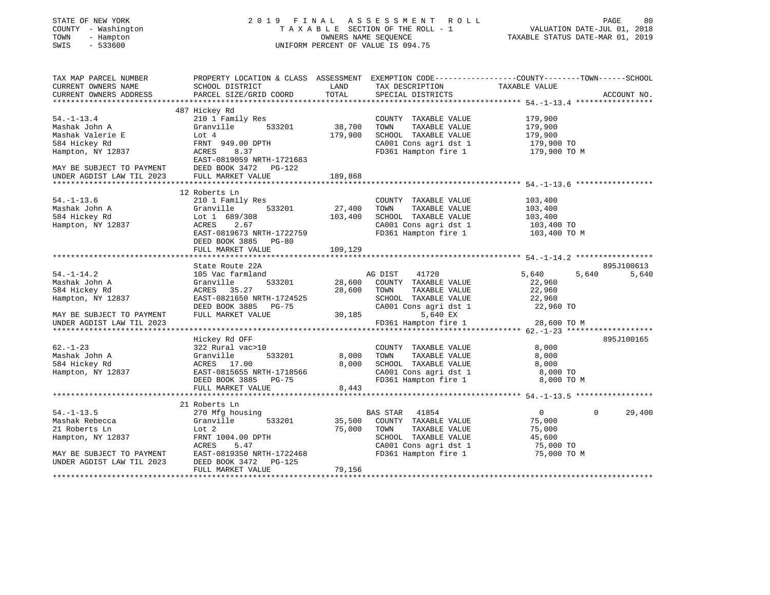| STATE OF NEW YORK |  |              |  |
|-------------------|--|--------------|--|
| COUNTY            |  | - Washington |  |
| TOWN              |  | - Hampton    |  |
| $-$               |  | $-2222$      |  |

# STATE OF NEW YORK 2 0 1 9 F I N A L A S S E S S M E N T R O L L PAGE 80 COUNTY - Washington T A X A B L E SECTION OF THE ROLL - 1 VALUATION DATE-JUL 01, 2018 TOWN - Hampton OWNERS NAME SEQUENCE TAXABLE STATUS DATE-MAR 01, 2019 SWIS - 533600 UNIFORM PERCENT OF VALUE IS 094.75

| TAX MAP PARCEL NUMBER                                  |                           |             |                                                                       | PROPERTY LOCATION & CLASS ASSESSMENT EXEMPTION CODE---------------COUNTY-------TOWN------SCHOOL |             |
|--------------------------------------------------------|---------------------------|-------------|-----------------------------------------------------------------------|-------------------------------------------------------------------------------------------------|-------------|
| CURRENT OWNERS NAME                                    | SCHOOL DISTRICT           | LAND        | TAX DESCRIPTION                                                       | TAXABLE VALUE                                                                                   |             |
| CURRENT OWNERS ADDRESS                                 | PARCEL SIZE/GRID COORD    | TOTAL       | SPECIAL DISTRICTS                                                     |                                                                                                 | ACCOUNT NO. |
|                                                        |                           |             |                                                                       |                                                                                                 |             |
|                                                        | 487 Hickey Rd             |             |                                                                       |                                                                                                 |             |
| $54. - 1 - 13.4$                                       | 210 1 Family Res          |             | COUNTY TAXABLE VALUE                                                  | 179,900                                                                                         |             |
| Mashak John A                                          | 533201<br>Granville       | 38,700      | TOWN<br>TAXABLE VALUE                                                 | 179,900                                                                                         |             |
| Mashak Valerie E                                       | Lot 4                     | 179,900     | SCHOOL TAXABLE VALUE                                                  |                                                                                                 |             |
| 584 Hickey Rd                                          | FRNT 949.00 DPTH          |             | CA001 Cons agri dst 1                                                 | 179,900<br>179,900 TO                                                                           |             |
| Hampton, NY 12837                                      | ACRES<br>8.37             |             | FD361 Hampton fire 1 179,900 TO M                                     |                                                                                                 |             |
|                                                        | EAST-0819059 NRTH-1721683 |             |                                                                       |                                                                                                 |             |
| MAY BE SUBJECT TO PAYMENT<br>UNDER AGDIST LAW TIL 2023 | DEED BOOK 3472 PG-122     |             |                                                                       |                                                                                                 |             |
|                                                        | FULL MARKET VALUE         | 189,868     |                                                                       |                                                                                                 |             |
|                                                        |                           |             |                                                                       |                                                                                                 |             |
|                                                        | 12 Roberts Ln             |             |                                                                       |                                                                                                 |             |
| $54. - 1 - 13.6$                                       | 210 1 Family Res          |             | COUNTY TAXABLE VALUE                                                  | 103,400                                                                                         |             |
| Mashak John A                                          | Granville<br>533201       | 27,400      | TOWN<br>TAXABLE VALUE                                                 | 103,400                                                                                         |             |
| 584 Hickey Rd                                          | Lot 1 689/308             | 103,400     | SCHOOL TAXABLE VALUE                                                  | 103,400                                                                                         |             |
| Hampton, NY 12837                                      | 2.67<br>ACRES             |             |                                                                       |                                                                                                 |             |
|                                                        | EAST-0819673 NRTH-1722759 |             | CA001 Cons agri dst 1 103,400 TO<br>FD361 Hampton fire 1 103,400 TO M |                                                                                                 |             |
|                                                        | DEED BOOK 3885 PG-80      |             |                                                                       |                                                                                                 |             |
|                                                        | FULL MARKET VALUE         | 109,129     |                                                                       |                                                                                                 |             |
|                                                        |                           |             |                                                                       |                                                                                                 |             |
|                                                        | State Route 22A           |             |                                                                       |                                                                                                 | 895J100613  |
| $54. - 1 - 14.2$                                       | 105 Vac farmland          |             | AG DIST 41720                                                         | 5,640<br>5,640                                                                                  | 5,640       |
| Mashak John A                                          | 533201<br>Granville       | 28,600      | COUNTY TAXABLE VALUE                                                  | 22,960                                                                                          |             |
| 584 Hickey Rd                                          | ACRES 35.27               | 28,600 TOWN | TAXABLE VALUE                                                         | 22,960                                                                                          |             |
| Hampton, NY 12837                                      | EAST-0821650 NRTH-1724525 |             | SCHOOL TAXABLE VALUE 22,960                                           |                                                                                                 |             |
|                                                        | DEED BOOK 3885 PG-75      |             | CA001 Cons agri dst 1                                                 | 22,960 TO                                                                                       |             |
| MAY BE SUBJECT TO PAYMENT                              | FULL MARKET VALUE         |             | 30,185<br>5,640 EX                                                    |                                                                                                 |             |
| UNDER AGDIST LAW TIL 2023                              |                           |             | FD361 Hampton fire 1                                                  | 28,600 TO M                                                                                     |             |
|                                                        |                           |             |                                                                       |                                                                                                 |             |
|                                                        | Hickey Rd OFF             |             |                                                                       |                                                                                                 | 895J100165  |
| $62. - 1 - 23$                                         | 322 Rural vac>10          |             | COUNTY TAXABLE VALUE                                                  | 8,000                                                                                           |             |
| Mashak John A                                          | Granville<br>533201       | 8,000       | TOWN      TAXABLE VALUE<br>SCHOOL   TAXABLE VALUE                     | 8,000                                                                                           |             |
| 584 Hickey Rd                                          | ACRES 17.00               | 8,000       |                                                                       | 8,000                                                                                           |             |
| Hampton, NY 12837                                      | EAST-0815655 NRTH-1718566 |             |                                                                       | 8,000 TO                                                                                        |             |
|                                                        | DEED BOOK 3885<br>PG-75   |             | CA001 Cons agri dst 1<br>FD361 Hampton fire 1                         | 8,000 TO M                                                                                      |             |
|                                                        | FULL MARKET VALUE         | 8,443       |                                                                       |                                                                                                 |             |
|                                                        |                           |             |                                                                       |                                                                                                 |             |
|                                                        | 21 Roberts Ln             |             |                                                                       |                                                                                                 |             |
| $54. - 1 - 13.5$                                       | 270 Mfg housing           |             | BAS STAR 41854                                                        | $\overline{0}$<br>$\Omega$                                                                      | 29,400      |
| Mashak Rebecca                                         | 533201<br>Granville       |             | 35,500 COUNTY TAXABLE VALUE                                           | 75,000                                                                                          |             |
| 21 Roberts Ln                                          | Lot 2                     | 75,000      | TOWN<br>TAXABLE VALUE                                                 | 75,000                                                                                          |             |
| Hampton, NY 12837                                      | FRNT 1004.00 DPTH         |             |                                                                       |                                                                                                 |             |
|                                                        | ACRES<br>5.47             |             | SCHOOL TAXABLE VALUE 45,600<br>CA001 Cons agri dst 1 75,000 TO        |                                                                                                 |             |
| MAY BE SUBJECT TO PAYMENT                              | EAST-0819350 NRTH-1722468 |             | FD361 Hampton fire 1                                                  | 75,000 TO M                                                                                     |             |
| UNDER AGDIST LAW TIL 2023                              | DEED BOOK 3472<br>PG-125  |             |                                                                       |                                                                                                 |             |
|                                                        | FULL MARKET VALUE         | 79,156      |                                                                       |                                                                                                 |             |
|                                                        |                           |             |                                                                       |                                                                                                 |             |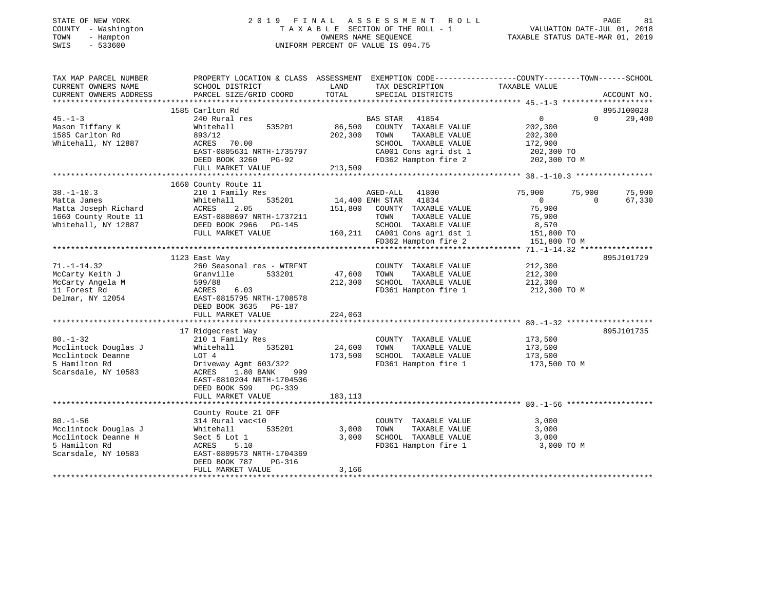| STATE OF NEW YORK<br>COUNTY - Washington<br>TOWN<br>- Hampton<br>$-533600$<br>SWIS |                                                                                                                                                |               | 2019 FINAL ASSESSMENT ROLL<br>TAXABLE SECTION OF THE ROLL - 1<br>OWNERS NAME SEQUENCE<br>UNIFORM PERCENT OF VALUE IS 094.75 | VALUATION DATE-JUL 01, 2018<br>TAXABLE STATUS DATE-MAR 01, 2019 |          | PAGE<br>81  |
|------------------------------------------------------------------------------------|------------------------------------------------------------------------------------------------------------------------------------------------|---------------|-----------------------------------------------------------------------------------------------------------------------------|-----------------------------------------------------------------|----------|-------------|
| TAX MAP PARCEL NUMBER<br>CURRENT OWNERS NAME<br>CURRENT OWNERS ADDRESS             | PROPERTY LOCATION & CLASS ASSESSMENT EXEMPTION CODE----------------COUNTY--------TOWN------SCHOOL<br>SCHOOL DISTRICT<br>PARCEL SIZE/GRID COORD | LAND<br>TOTAL | TAX DESCRIPTION<br>SPECIAL DISTRICTS                                                                                        | TAXABLE VALUE                                                   |          | ACCOUNT NO. |
|                                                                                    |                                                                                                                                                |               |                                                                                                                             |                                                                 |          |             |
|                                                                                    | 1585 Carlton Rd                                                                                                                                |               |                                                                                                                             |                                                                 |          | 895J100028  |
| $45. - 1 - 3$                                                                      | 240 Rural res                                                                                                                                  |               | BAS STAR 41854                                                                                                              | $\overline{0}$                                                  | $\Omega$ | 29,400      |
| Mason Tiffany K                                                                    | Whitehall<br>535201                                                                                                                            | 86,500        | COUNTY TAXABLE VALUE                                                                                                        | 202,300                                                         |          |             |
| 1585 Carlton Rd                                                                    | 893/12                                                                                                                                         | 202,300       | TAXABLE VALUE<br>TOWN                                                                                                       | 202,300                                                         |          |             |
| Whitehall, NY 12887                                                                | ACRES 70.00                                                                                                                                    |               | SCHOOL TAXABLE VALUE                                                                                                        | 172,900                                                         |          |             |
|                                                                                    | EAST-0805631 NRTH-1735797                                                                                                                      |               | CA001 Cons agri dst 1                                                                                                       | 202,300 TO                                                      |          |             |
|                                                                                    | DEED BOOK 3260 PG-92                                                                                                                           | 213,509       | FD362 Hampton fire 2                                                                                                        | 202,300 TO M                                                    |          |             |
|                                                                                    | FULL MARKET VALUE                                                                                                                              |               |                                                                                                                             |                                                                 |          |             |
|                                                                                    | 1660 County Route 11                                                                                                                           |               |                                                                                                                             |                                                                 |          |             |
| $38. - 1 - 10.3$                                                                   | 210 1 Family Res                                                                                                                               |               | AGED-ALL 41800                                                                                                              | 75,900                                                          | 75,900   | 75,900      |
| Matta James                                                                        | 535201<br>Whitehall                                                                                                                            |               | 14,400 ENH STAR 41834                                                                                                       | $\overline{0}$                                                  | $\Omega$ | 67,330      |
| Matta Joseph Richard                                                               | ACRES<br>2.05                                                                                                                                  | 151,800       | COUNTY TAXABLE VALUE                                                                                                        | 75,900                                                          |          |             |
| 1660 County Route 11                                                               | EAST-0808697 NRTH-1737211                                                                                                                      |               | TOWN<br>TAXABLE VALUE                                                                                                       | 75,900                                                          |          |             |
| Whitehall, NY 12887                                                                | DEED BOOK 2966 PG-145                                                                                                                          |               | SCHOOL TAXABLE VALUE                                                                                                        | 8,570                                                           |          |             |
|                                                                                    | FULL MARKET VALUE                                                                                                                              |               | 160,211 CA001 Cons agri dst 1                                                                                               | 151,800 TO                                                      |          |             |
|                                                                                    |                                                                                                                                                |               | FD362 Hampton fire 2                                                                                                        | 151,800 TO M                                                    |          |             |
|                                                                                    |                                                                                                                                                |               |                                                                                                                             |                                                                 |          |             |
|                                                                                    | 1123 East Way                                                                                                                                  |               |                                                                                                                             |                                                                 |          | 895J101729  |
| $71. - 1 - 14.32$                                                                  | 260 Seasonal res - WTRFNT                                                                                                                      |               | COUNTY TAXABLE VALUE                                                                                                        | 212,300                                                         |          |             |
| McCarty Keith J                                                                    | Granville<br>533201                                                                                                                            | 47,600        | TOWN<br>TAXABLE VALUE                                                                                                       | 212,300                                                         |          |             |
| McCarty Angela M                                                                   | 599/88                                                                                                                                         | 212,300       | SCHOOL TAXABLE VALUE                                                                                                        | 212,300                                                         |          |             |
| 11 Forest Rd                                                                       | ACRES<br>6.03                                                                                                                                  |               | FD361 Hampton fire 1                                                                                                        | 212,300 TO M                                                    |          |             |
| Delmar, NY 12054                                                                   | EAST-0815795 NRTH-1708578                                                                                                                      |               |                                                                                                                             |                                                                 |          |             |
|                                                                                    | DEED BOOK 3635 PG-187                                                                                                                          |               |                                                                                                                             |                                                                 |          |             |
|                                                                                    | FULL MARKET VALUE                                                                                                                              | 224,063       |                                                                                                                             |                                                                 |          |             |
|                                                                                    |                                                                                                                                                |               |                                                                                                                             |                                                                 |          |             |
|                                                                                    | 17 Ridgecrest Way                                                                                                                              |               |                                                                                                                             |                                                                 |          | 895J101735  |
| $80. - 1 - 32$                                                                     | 210 1 Family Res                                                                                                                               |               | COUNTY TAXABLE VALUE                                                                                                        | 173,500                                                         |          |             |
| Mcclintock Douglas J                                                               | Whitehall<br>535201                                                                                                                            | 24,600        | TOWN<br>TAXABLE VALUE                                                                                                       | 173,500                                                         |          |             |
| Mcclintock Deanne                                                                  | LOT 4                                                                                                                                          | 173,500       | SCHOOL TAXABLE VALUE                                                                                                        | 173,500                                                         |          |             |
| 5 Hamilton Rd                                                                      | Driveway Agmt 603/322                                                                                                                          |               | FD361 Hampton fire 1                                                                                                        | 173,500 TO M                                                    |          |             |
| Scarsdale, NY 10583                                                                | ACRES<br>1.80 BANK<br>999                                                                                                                      |               |                                                                                                                             |                                                                 |          |             |
|                                                                                    | EAST-0810204 NRTH-1704506                                                                                                                      |               |                                                                                                                             |                                                                 |          |             |
|                                                                                    | DEED BOOK 599<br>$PG-339$<br>FULL MARKET VALUE                                                                                                 | 183,113       |                                                                                                                             |                                                                 |          |             |
|                                                                                    |                                                                                                                                                |               |                                                                                                                             |                                                                 |          |             |
|                                                                                    | County Route 21 OFF                                                                                                                            |               |                                                                                                                             |                                                                 |          |             |
| $80. - 1 - 56$                                                                     | 314 Rural vac<10                                                                                                                               |               | COUNTY TAXABLE VALUE                                                                                                        | 3,000                                                           |          |             |
| Mcclintock Douglas J                                                               | 535201<br>Whitehall                                                                                                                            | 3,000         | TAXABLE VALUE<br>TOWN                                                                                                       | 3,000                                                           |          |             |
| Mcclintock Deanne H                                                                | Sect 5 Lot 1                                                                                                                                   | 3,000         | SCHOOL TAXABLE VALUE                                                                                                        | 3,000                                                           |          |             |
| 5 Hamilton Rd                                                                      | ACRES<br>5.10                                                                                                                                  |               | FD361 Hampton fire 1                                                                                                        | 3,000 TO M                                                      |          |             |
| Scarsdale, NY 10583                                                                | EAST-0809573 NRTH-1704369                                                                                                                      |               |                                                                                                                             |                                                                 |          |             |
|                                                                                    | PG-316<br>DEED BOOK 787                                                                                                                        |               |                                                                                                                             |                                                                 |          |             |
|                                                                                    | FULL MARKET VALUE                                                                                                                              | 3,166         |                                                                                                                             |                                                                 |          |             |
|                                                                                    |                                                                                                                                                |               |                                                                                                                             |                                                                 |          |             |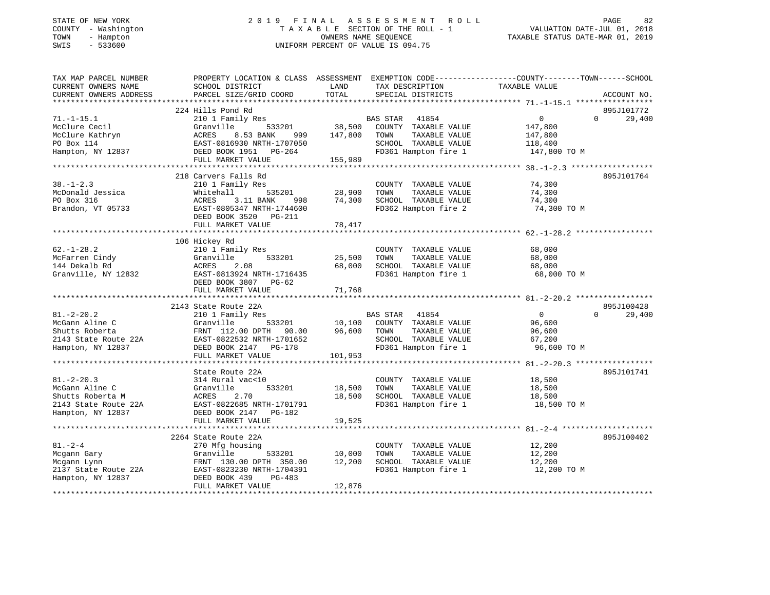## STATE OF NEW YORK 2 0 1 9 F I N A L A S S E S S M E N T R O L L PAGE 82 COUNTY - Washington T A X A B L E SECTION OF THE ROLL - 1 VALUATION DATE-JUL 01, 2018 TOWN - Hampton OWNERS NAME SEQUENCE TAXABLE STATUS DATE-MAR 01, 2019 SWIS - 533600 UNIFORM PERCENT OF VALUE IS 094.75

| TAX MAP PARCEL NUMBER  | PROPERTY LOCATION & CLASS ASSESSMENT EXEMPTION CODE----------------COUNTY-------TOWN------SCHOOL |         |                                    |                |                    |
|------------------------|--------------------------------------------------------------------------------------------------|---------|------------------------------------|----------------|--------------------|
| CURRENT OWNERS NAME    | SCHOOL DISTRICT                                                                                  | LAND    | TAX DESCRIPTION                    | TAXABLE VALUE  |                    |
| CURRENT OWNERS ADDRESS | PARCEL SIZE/GRID COORD                                                                           | TOTAL   | SPECIAL DISTRICTS                  |                | ACCOUNT NO.        |
|                        |                                                                                                  |         |                                    |                |                    |
|                        | 224 Hills Pond Rd                                                                                |         |                                    |                | 895J101772         |
| $71. - 1 - 15.1$       | 210 1 Family Res                                                                                 |         | BAS STAR 41854                     | $\overline{0}$ | $\Omega$<br>29,400 |
| McClure Cecil          | 533201<br>Granville                                                                              | 38,500  | COUNTY TAXABLE VALUE               | 147,800        |                    |
| McClure Kathryn        | ACRES<br>8.53 BANK<br>999                                                                        | 147,800 | TOWN<br>TAXABLE VALUE              | 147,800        |                    |
| PO Box 114             | EAST-0816930 NRTH-1707050                                                                        |         | SCHOOL TAXABLE VALUE               | 118,400        |                    |
| Hampton, NY 12837      | DEED BOOK 1951 PG-264                                                                            |         | FD361 Hampton fire 1               | 147,800 TO M   |                    |
|                        | FULL MARKET VALUE                                                                                | 155,989 |                                    |                |                    |
|                        |                                                                                                  |         |                                    |                |                    |
|                        | 218 Carvers Falls Rd                                                                             |         |                                    |                | 895J101764         |
| $38. - 1 - 2.3$        | 210 1 Family Res                                                                                 |         | COUNTY TAXABLE VALUE               | 74,300         |                    |
| McDonald Jessica       | 535201<br>Whitehall                                                                              | 28,900  | TAXABLE VALUE<br>TOWN              | 74,300         |                    |
| PO Box 316             | ACRES<br>3.11 BANK<br>998                                                                        | 74,300  | SCHOOL TAXABLE VALUE               | 74,300         |                    |
| Brandon, VT 05733      | EAST-0805347 NRTH-1744600                                                                        |         | FD362 Hampton fire 2               | 74,300 TO M    |                    |
|                        | DEED BOOK 3520 PG-211                                                                            |         |                                    |                |                    |
|                        | FULL MARKET VALUE                                                                                | 78,417  |                                    |                |                    |
|                        |                                                                                                  |         |                                    |                |                    |
|                        | 106 Hickey Rd                                                                                    |         |                                    |                |                    |
| $62. - 1 - 28.2$       | 210 1 Family Res                                                                                 |         | COUNTY TAXABLE VALUE               | 68,000         |                    |
| McFarren Cindy         | Granville<br>533201                                                                              | 25,500  | TAXABLE VALUE<br>TOWN              | 68,000         |                    |
|                        | ACRES<br>2.08                                                                                    | 68,000  | SCHOOL TAXABLE VALUE               |                |                    |
| 144 Dekalb Rd          |                                                                                                  |         | FD361 Hampton fire 1               | 68,000         |                    |
| Granville, NY 12832    | EAST-0813924 NRTH-1716435                                                                        |         |                                    | 68,000 TO M    |                    |
|                        | DEED BOOK 3807 PG-62                                                                             |         |                                    |                |                    |
|                        | FULL MARKET VALUE                                                                                | 71,768  |                                    |                |                    |
|                        |                                                                                                  |         |                                    |                |                    |
|                        | 2143 State Route 22A                                                                             |         |                                    |                | 895J100428         |
| $81 - 2 - 20.2$        | 210 1 Family Res                                                                                 |         | BAS STAR 41854                     | $\overline{0}$ | 29,400<br>$\Omega$ |
| McGann Aline C         | Granville                                                                                        |         | 533201 10,100 COUNTY TAXABLE VALUE | 96,600         |                    |
| Shutts Roberta         | FRNT 112.00 DPTH 90.00                                                                           | 96,600  | TAXABLE VALUE<br>TOWN              | 96,600         |                    |
| 2143 State Route 22A   | EAST-0822532 NRTH-1701652                                                                        |         | SCHOOL TAXABLE VALUE               | 67,200         |                    |
| Hampton, NY 12837      | DEED BOOK 2147<br>$PG-178$                                                                       |         | FD361 Hampton fire 1               | 96,600 TO M    |                    |
|                        | FULL MARKET VALUE                                                                                | 101,953 |                                    |                |                    |
|                        |                                                                                                  |         |                                    |                |                    |
|                        | State Route 22A                                                                                  |         |                                    |                | 895J101741         |
| $81. - 2 - 20.3$       | 314 Rural vac<10                                                                                 |         | COUNTY TAXABLE VALUE               | 18,500         |                    |
| McGann Aline C         | Granville<br>533201                                                                              | 18,500  | TOWN<br>TAXABLE VALUE              | 18,500         |                    |
| Shutts Roberta M       | ACRES<br>2.70                                                                                    | 18,500  | SCHOOL TAXABLE VALUE               | 18,500         |                    |
| 2143 State Route 22A   | EAST-0822685 NRTH-1701791                                                                        |         | FD361 Hampton fire 1               | 18,500 TO M    |                    |
| Hampton, NY 12837      | DEED BOOK 2147 PG-182                                                                            |         |                                    |                |                    |
|                        | FULL MARKET VALUE                                                                                | 19,525  |                                    |                |                    |
|                        |                                                                                                  |         |                                    |                |                    |
|                        | 2264 State Route 22A                                                                             |         |                                    |                | 895J100402         |
| $81. - 2 - 4$          | 270 Mfg housing                                                                                  |         | COUNTY TAXABLE VALUE               | 12,200         |                    |
| Mcgann Gary            | Granville<br>533201                                                                              | 10,000  | TOWN<br>TAXABLE VALUE              | 12,200         |                    |
| Mcgann Lynn            | FRNT 130.00 DPTH 350.00                                                                          | 12,200  | SCHOOL TAXABLE VALUE               | 12,200         |                    |
| 2137 State Route 22A   | EAST-0823230 NRTH-1704391                                                                        |         | FD361 Hampton fire 1               | 12,200 TO M    |                    |
| Hampton, NY 12837      | DEED BOOK 439<br>PG-483                                                                          |         |                                    |                |                    |
|                        | FULL MARKET VALUE                                                                                | 12,876  |                                    |                |                    |
|                        |                                                                                                  |         |                                    |                |                    |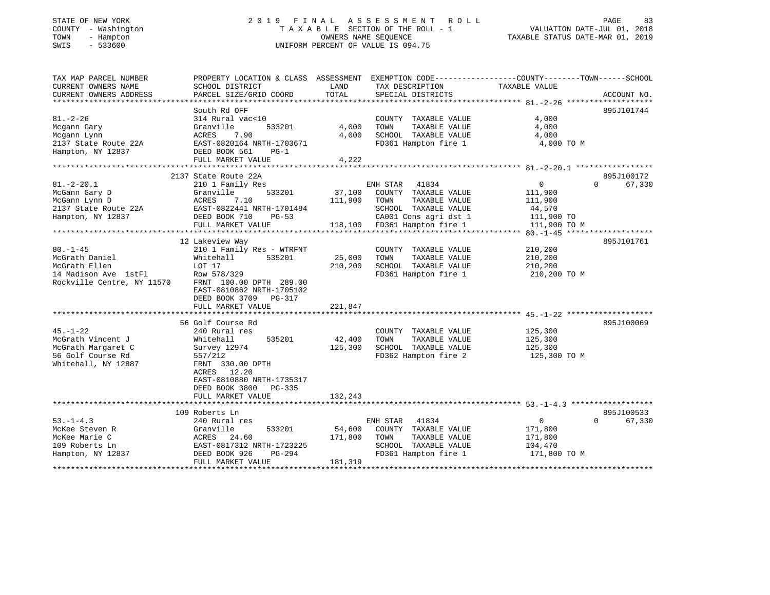#### STATE OF NEW YORK GOALLY A LOST COLL CONTROLL THE STATE OF NEW YORK AS SERIES SOME NT ROLL STATE OF NEW YORK ASSESSMENT ROLL COUNTY - Washington T A X A B L E SECTION OF THE ROLL - 1 VALUATION DATE-JUL 01, 2018 SWIS - 533600 UNIFORM PERCENT OF VALUE IS 094.75

VALUATION DATE-JUL 01, 2018

TAXABLE STATUS DATE-MAR 01, 2019

| TAX MAP PARCEL NUMBER      | PROPERTY LOCATION & CLASS ASSESSMENT EXEMPTION CODE----------------COUNTY-------TOWN------SCHOOL |         |                              |                |                    |
|----------------------------|--------------------------------------------------------------------------------------------------|---------|------------------------------|----------------|--------------------|
| CURRENT OWNERS NAME        | SCHOOL DISTRICT                                                                                  | LAND    | TAX DESCRIPTION              | TAXABLE VALUE  |                    |
| CURRENT OWNERS ADDRESS     | PARCEL SIZE/GRID COORD                                                                           | TOTAL   | SPECIAL DISTRICTS            |                | ACCOUNT NO.        |
|                            | South Rd OFF                                                                                     |         |                              |                | 895J101744         |
| $81. - 2 - 26$             | 314 Rural vac<10                                                                                 |         | COUNTY TAXABLE VALUE         | 4,000          |                    |
| Mcgann Gary                | Granville<br>533201                                                                              | 4,000   | TOWN<br>TAXABLE VALUE        | 4,000          |                    |
| Mcgann Lynn                | ACRES<br>7.90                                                                                    | 4,000   | SCHOOL TAXABLE VALUE         | 4,000          |                    |
| 2137 State Route 22A       | EAST-0820164 NRTH-1703671                                                                        |         | FD361 Hampton fire 1         | 4,000 TO M     |                    |
| Hampton, NY 12837          | DEED BOOK 561<br>$PG-1$                                                                          |         |                              |                |                    |
|                            | FULL MARKET VALUE                                                                                | 4,222   |                              |                |                    |
|                            |                                                                                                  |         |                              |                |                    |
|                            | 2137 State Route 22A                                                                             |         |                              |                | 895J100172         |
| $81. - 2 - 20.1$           | 210 1 Family Res                                                                                 |         | ENH STAR<br>41834            | $\overline{0}$ | 67,330<br>$\Omega$ |
| McGann Gary D              | Granville<br>533201                                                                              | 37,100  | COUNTY TAXABLE VALUE         | 111,900        |                    |
| McGann Lynn D              | ACRES<br>7.10                                                                                    | 111,900 | TOWN<br>TAXABLE VALUE        | 111,900        |                    |
| 2137 State Route 22A       | EAST-0822441 NRTH-1701484                                                                        |         | SCHOOL TAXABLE VALUE         | 44,570         |                    |
| Hampton, NY 12837          | DEED BOOK 710<br>$PG-53$                                                                         |         | CA001 Cons agri dst 1        | 111,900 TO     |                    |
|                            | FULL MARKET VALUE                                                                                |         | 118,100 FD361 Hampton fire 1 | 111,900 TO M   |                    |
|                            |                                                                                                  |         |                              |                |                    |
|                            | 12 Lakeview Way                                                                                  |         |                              |                | 895J101761         |
| $80. - 1 - 45$             | 210 1 Family Res - WTRFNT                                                                        |         | COUNTY TAXABLE VALUE         | 210,200        |                    |
| McGrath Daniel             | 535201<br>Whitehall                                                                              | 25,000  | TOWN<br>TAXABLE VALUE        | 210,200        |                    |
| McGrath Ellen              | LOT 17                                                                                           | 210,200 | SCHOOL TAXABLE VALUE         | 210,200        |                    |
| 14 Madison Ave 1stFl       | Row 578/329                                                                                      |         | FD361 Hampton fire 1         | 210,200 TO M   |                    |
| Rockville Centre, NY 11570 | FRNT 100.00 DPTH 289.00                                                                          |         |                              |                |                    |
|                            | EAST-0810862 NRTH-1705102                                                                        |         |                              |                |                    |
|                            | DEED BOOK 3709<br>PG-317                                                                         |         |                              |                |                    |
|                            | FULL MARKET VALUE                                                                                | 221,847 |                              |                |                    |
|                            | 56 Golf Course Rd                                                                                |         |                              |                | 895J100069         |
| $45. - 1 - 22$             | 240 Rural res                                                                                    |         | COUNTY TAXABLE VALUE         | 125,300        |                    |
| McGrath Vincent J          | 535201<br>Whitehall                                                                              | 42,400  | TOWN<br>TAXABLE VALUE        | 125,300        |                    |
| McGrath Margaret C         | Survey 12974                                                                                     | 125,300 | SCHOOL TAXABLE VALUE         | 125,300        |                    |
| 56 Golf Course Rd          | 557/212                                                                                          |         | FD362 Hampton fire 2         | 125,300 TO M   |                    |
| Whitehall, NY 12887        | FRNT 330.00 DPTH                                                                                 |         |                              |                |                    |
|                            | 12.20<br>ACRES                                                                                   |         |                              |                |                    |
|                            | EAST-0810880 NRTH-1735317                                                                        |         |                              |                |                    |
|                            | DEED BOOK 3800<br>$PG-335$                                                                       |         |                              |                |                    |
|                            | FULL MARKET VALUE                                                                                | 132,243 |                              |                |                    |
|                            |                                                                                                  |         |                              |                |                    |
|                            | 109 Roberts Ln                                                                                   |         |                              |                | 895J100533         |
| $53. -1 - 4.3$             | 240 Rural res                                                                                    |         | ENH STAR<br>41834            | $\mathbf{0}$   | 67,330<br>$\Omega$ |
| McKee Steven R             | 533201<br>Granville                                                                              | 54,600  | COUNTY TAXABLE VALUE         | 171,800        |                    |
| McKee Marie C              | 24.60<br>ACRES                                                                                   | 171,800 | TAXABLE VALUE<br>TOWN        | 171,800        |                    |
| 109 Roberts Ln             | EAST-0817312 NRTH-1723225                                                                        |         | SCHOOL TAXABLE VALUE         | 104,470        |                    |
| Hampton, NY 12837          | DEED BOOK 926<br>PG-294                                                                          |         | FD361 Hampton fire 1         | 171,800 TO M   |                    |
|                            | FULL MARKET VALUE                                                                                | 181,319 |                              |                |                    |
|                            |                                                                                                  |         |                              |                |                    |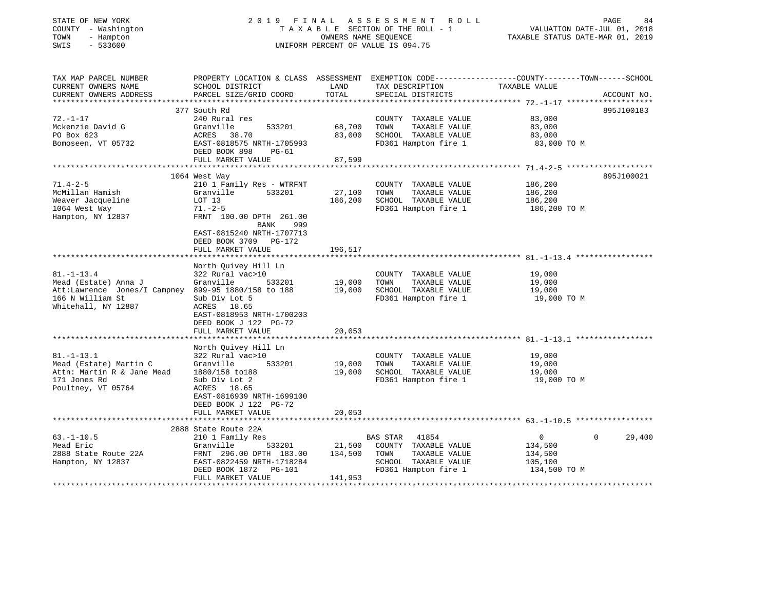| COUNTY - Washington<br>- Hampton<br>TOWN<br>SWIS<br>$-533600$               | TAXABLE SECTION OF THE ROLL - 1<br>OWNERS NAME SEQUENCE<br>UNIFORM PERCENT OF VALUE IS 094.75 |                  |                                               | VALUATION DATE-JUL 01, 2018<br>TAXABLE STATUS DATE-MAR 01, 2019                                                  |        |
|-----------------------------------------------------------------------------|-----------------------------------------------------------------------------------------------|------------------|-----------------------------------------------|------------------------------------------------------------------------------------------------------------------|--------|
| TAX MAP PARCEL NUMBER<br>CURRENT OWNERS NAME                                | SCHOOL DISTRICT                                                                               | LAND             | TAX DESCRIPTION                               | PROPERTY LOCATION & CLASS ASSESSMENT EXEMPTION CODE----------------COUNTY-------TOWN-----SCHOOL<br>TAXABLE VALUE |        |
| CURRENT OWNERS ADDRESS                                                      | PARCEL SIZE/GRID COORD                                                                        | TOTAL            | SPECIAL DISTRICTS                             | ACCOUNT NO.                                                                                                      |        |
|                                                                             |                                                                                               |                  |                                               |                                                                                                                  |        |
| $72. - 1 - 17$                                                              | 377 South Rd<br>240 Rural res                                                                 |                  | COUNTY TAXABLE VALUE                          | 895J100183<br>83,000                                                                                             |        |
| Mckenzie David G                                                            | 533201<br>Granville                                                                           | 68,700           | TAXABLE VALUE<br>TOWN                         | 83,000                                                                                                           |        |
| PO Box 623                                                                  | ACRES 38.70                                                                                   | 83,000           | SCHOOL TAXABLE VALUE                          | 83,000                                                                                                           |        |
| Bomoseen, VT 05732                                                          | EAST-0818575 NRTH-1705993<br>DEED BOOK 898<br>PG-61                                           |                  | FD361 Hampton fire 1                          | 83,000 TO M                                                                                                      |        |
|                                                                             | FULL MARKET VALUE                                                                             | 87,599           |                                               |                                                                                                                  |        |
|                                                                             |                                                                                               |                  |                                               |                                                                                                                  |        |
|                                                                             | 1064 West Way                                                                                 |                  |                                               | 895J100021                                                                                                       |        |
| $71.4 - 2 - 5$                                                              | 210 1 Family Res - WTRFNT                                                                     |                  | COUNTY TAXABLE VALUE                          | 186,200                                                                                                          |        |
| McMillan Hamish                                                             | Granville<br>533201                                                                           | 27,100           | TOWN<br>TAXABLE VALUE                         | 186,200                                                                                                          |        |
| Weaver Jacqueline<br>1064 West Way                                          | LOT 13<br>$71. - 2 - 5$                                                                       | 186,200          | SCHOOL TAXABLE VALUE<br>FD361 Hampton fire 1  | 186,200<br>186,200 TO M                                                                                          |        |
| Hampton, NY 12837                                                           | FRNT 100.00 DPTH 261.00                                                                       |                  |                                               |                                                                                                                  |        |
|                                                                             | BANK<br>999                                                                                   |                  |                                               |                                                                                                                  |        |
|                                                                             | EAST-0815240 NRTH-1707713                                                                     |                  |                                               |                                                                                                                  |        |
|                                                                             | DEED BOOK 3709 PG-172                                                                         |                  |                                               |                                                                                                                  |        |
|                                                                             | FULL MARKET VALUE                                                                             | 196,517          |                                               |                                                                                                                  |        |
|                                                                             |                                                                                               |                  |                                               |                                                                                                                  |        |
|                                                                             | North Quivey Hill Ln                                                                          |                  |                                               |                                                                                                                  |        |
| $81. - 1 - 13.4$                                                            | 322 Rural vac>10                                                                              |                  | COUNTY TAXABLE VALUE                          | 19,000                                                                                                           |        |
| Mead (Estate) Anna J<br>Att:Lawrence Jones/I Campney 899-95 1880/158 to 188 | 533201<br>Granville                                                                           | 19,000<br>19,000 | TOWN<br>TAXABLE VALUE<br>SCHOOL TAXABLE VALUE | 19,000<br>19,000                                                                                                 |        |
| 166 N William St                                                            | Sub Div Lot 5                                                                                 |                  | FD361 Hampton fire 1                          | 19,000 TO M                                                                                                      |        |
| Whitehall, NY 12887                                                         | ACRES 18.65                                                                                   |                  |                                               |                                                                                                                  |        |
|                                                                             | EAST-0818953 NRTH-1700203                                                                     |                  |                                               |                                                                                                                  |        |
|                                                                             | DEED BOOK J 122 PG-72                                                                         |                  |                                               |                                                                                                                  |        |
|                                                                             | FULL MARKET VALUE                                                                             | 20,053           |                                               |                                                                                                                  |        |
|                                                                             |                                                                                               |                  |                                               |                                                                                                                  |        |
|                                                                             | North Quivey Hill Ln                                                                          |                  |                                               |                                                                                                                  |        |
| $81. - 1 - 13.1$                                                            | 322 Rural vac>10<br>533201                                                                    |                  | COUNTY TAXABLE VALUE<br>TOWN                  | 19,000                                                                                                           |        |
| Mead (Estate) Martin C<br>Attn: Martin R & Jane Mead                        | Granville<br>1880/158 to188                                                                   | 19,000<br>19,000 | TAXABLE VALUE<br>SCHOOL TAXABLE VALUE         | 19,000<br>19,000                                                                                                 |        |
| 171 Jones Rd                                                                | Sub Div Lot 2                                                                                 |                  | FD361 Hampton fire 1                          | 19,000 TO M                                                                                                      |        |
| Poultney, VT 05764                                                          | ACRES 18.65                                                                                   |                  |                                               |                                                                                                                  |        |
|                                                                             | EAST-0816939 NRTH-1699100                                                                     |                  |                                               |                                                                                                                  |        |
|                                                                             | DEED BOOK J 122 PG-72                                                                         |                  |                                               |                                                                                                                  |        |
|                                                                             | FULL MARKET VALUE                                                                             | 20,053           |                                               |                                                                                                                  |        |
|                                                                             |                                                                                               |                  |                                               |                                                                                                                  |        |
|                                                                             | 2888 State Route 22A                                                                          |                  |                                               |                                                                                                                  |        |
| $63. - 1 - 10.5$                                                            | 210 1 Family Res                                                                              |                  | BAS STAR 41854                                | $\overline{0}$<br>$\Omega$                                                                                       | 29,400 |
| Mead Eric                                                                   | Granville<br>533201                                                                           | 21,500           | COUNTY TAXABLE VALUE                          | 134,500                                                                                                          |        |
| 2888 State Route 22A                                                        | FRNT 296.00 DPTH 183.00                                                                       | 134,500          | TAXABLE VALUE<br>TOWN                         | 134,500                                                                                                          |        |
| Hampton, NY 12837                                                           | EAST-0822459 NRTH-1718284<br>DEED BOOK 1872<br>PG-101                                         |                  | SCHOOL TAXABLE VALUE<br>FD361 Hampton fire 1  | 105,100<br>134,500 TO M                                                                                          |        |
|                                                                             | FULL MARKET VALUE                                                                             | 141,953          |                                               |                                                                                                                  |        |
|                                                                             |                                                                                               |                  |                                               |                                                                                                                  |        |

STATE OF NEW YORK 2 0 1 9 F I N A L A S S E S S M E N T R O L L PAGE 84

84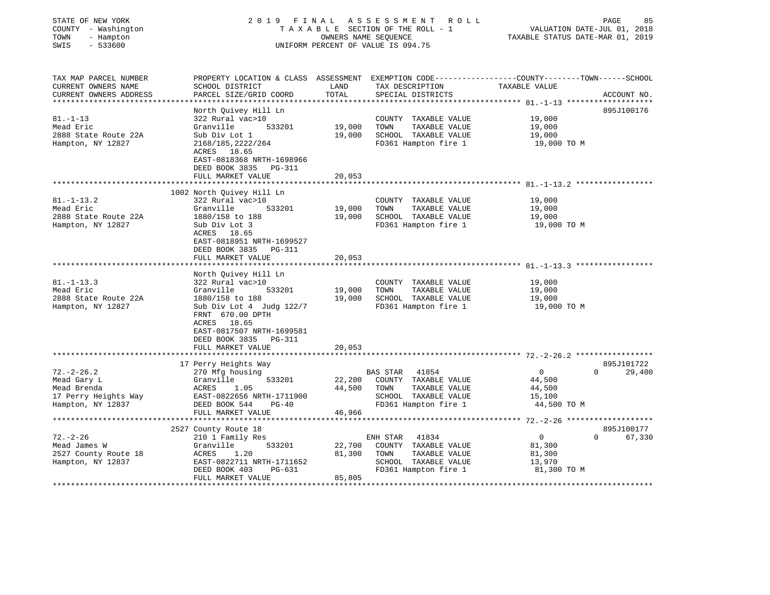| COUNTY<br>- Washington<br>TOWN<br>- Hampton<br>SWIS<br>$-533600$           | TAXABLE SECTION OF THE ROLL - 1<br>OWNERS NAME SEQUENCE<br>UNIFORM PERCENT OF VALUE IS 094.75                                                 |                  |                                                                                               | VALUATION DATE-JUL 01, 2018<br>TAXABLE STATUS DATE-MAR 01, 2019 |             |
|----------------------------------------------------------------------------|-----------------------------------------------------------------------------------------------------------------------------------------------|------------------|-----------------------------------------------------------------------------------------------|-----------------------------------------------------------------|-------------|
| TAX MAP PARCEL NUMBER<br>CURRENT OWNERS NAME<br>CURRENT OWNERS ADDRESS     | PROPERTY LOCATION & CLASS ASSESSMENT EXEMPTION CODE----------------COUNTY-------TOWN------SCHOOL<br>SCHOOL DISTRICT<br>PARCEL SIZE/GRID COORD | LAND<br>TOTAL    | TAX DESCRIPTION<br>SPECIAL DISTRICTS                                                          | TAXABLE VALUE                                                   | ACCOUNT NO. |
| ***********************                                                    |                                                                                                                                               |                  |                                                                                               |                                                                 |             |
|                                                                            | North Quivey Hill Ln                                                                                                                          |                  |                                                                                               |                                                                 | 895J100176  |
| $81. - 1 - 13$                                                             | 322 Rural vac>10                                                                                                                              |                  | COUNTY TAXABLE VALUE                                                                          | 19,000                                                          |             |
| Mead Eric                                                                  | Granville<br>533201                                                                                                                           | 19,000           | TOWN<br>TAXABLE VALUE                                                                         | 19,000                                                          |             |
| 2888 State Route 22A                                                       | Sub Div Lot 1                                                                                                                                 | 19,000           | SCHOOL TAXABLE VALUE                                                                          | 19,000                                                          |             |
| Hampton, NY 12827                                                          | 2168/185, 2222/264<br>ACRES 18.65<br>EAST-0818368 NRTH-1698966<br>DEED BOOK 3835<br><b>PG-311</b>                                             |                  | FD361 Hampton fire 1                                                                          | 19,000 TO M                                                     |             |
|                                                                            | FULL MARKET VALUE                                                                                                                             | 20,053           |                                                                                               |                                                                 |             |
|                                                                            |                                                                                                                                               |                  |                                                                                               |                                                                 |             |
| $81. - 1 - 13.2$<br>Mead Eric<br>2888 State Route 22A<br>Hampton, NY 12827 | 1002 North Quivey Hill Ln<br>322 Rural vac>10<br>Granville<br>533201<br>1880/158 to 188<br>Sub Div Lot 3                                      | 19,000<br>19,000 | COUNTY TAXABLE VALUE<br>TOWN<br>TAXABLE VALUE<br>SCHOOL TAXABLE VALUE<br>FD361 Hampton fire 1 | 19,000<br>19,000<br>19,000<br>19,000 TO M                       |             |
|                                                                            | ACRES 18.65<br>EAST-0818951 NRTH-1699527<br>DEED BOOK 3835<br><b>PG-311</b><br>FULL MARKET VALUE                                              | 20,053           |                                                                                               |                                                                 |             |
|                                                                            | North Quivey Hill Ln                                                                                                                          |                  |                                                                                               |                                                                 |             |
| $81. - 1 - 13.3$                                                           | 322 Rural vac>10                                                                                                                              |                  | COUNTY TAXABLE VALUE                                                                          | 19,000                                                          |             |
| Mead Eric                                                                  | Granville<br>533201                                                                                                                           | 19,000           | TAXABLE VALUE<br>TOWN                                                                         | 19,000                                                          |             |
| 2888 State Route 22A                                                       | 1880/158 to 188                                                                                                                               | 19,000           | SCHOOL TAXABLE VALUE                                                                          | 19,000                                                          |             |
| Hampton, NY 12827                                                          | Sub Div Lot 4 Judg 122/7<br>FRNT 670.00 DPTH<br>ACRES 18.65<br>EAST-0817507 NRTH-1699581<br>DEED BOOK 3835<br>PG-311                          |                  | FD361 Hampton fire 1                                                                          | 19,000 TO M                                                     |             |
|                                                                            | FULL MARKET VALUE                                                                                                                             | 20,053           |                                                                                               |                                                                 |             |
|                                                                            | **********************************                                                                                                            |                  |                                                                                               |                                                                 |             |
|                                                                            | 17 Perry Heights Way                                                                                                                          |                  |                                                                                               |                                                                 | 895J101722  |
| $72. - 2 - 26.2$<br>Mead Gary L                                            | 270 Mfg housing<br>Granville<br>533201                                                                                                        | 22,200           | <b>BAS STAR</b><br>41854<br>COUNTY TAXABLE VALUE                                              | 0<br>$\overline{0}$<br>44,500                                   | 29,400      |
| Mead Brenda                                                                | ACRES<br>1.05                                                                                                                                 | 44,500           | TAXABLE VALUE<br>TOWN                                                                         | 44,500                                                          |             |
| 17 Perry Heights Way                                                       | EAST-0822656 NRTH-1711900                                                                                                                     |                  | SCHOOL TAXABLE VALUE                                                                          | 15,100                                                          |             |
| Hampton, NY 12837                                                          | DEED BOOK 544<br>$PG-40$                                                                                                                      |                  | FD361 Hampton fire 1                                                                          | 44,500 TO M                                                     |             |
|                                                                            | FULL MARKET VALUE                                                                                                                             | 46,966           |                                                                                               |                                                                 |             |
|                                                                            | **********************                                                                                                                        |                  |                                                                                               |                                                                 |             |
|                                                                            | 2527 County Route 18                                                                                                                          |                  |                                                                                               |                                                                 | 895J100177  |
| $72. - 2 - 26$                                                             | 210 1 Family Res                                                                                                                              |                  | ENH STAR<br>41834                                                                             | $\overline{0}$<br>$\Omega$                                      | 67,330      |
| Mead James W                                                               | 533201<br>Granville                                                                                                                           | 22,700           | COUNTY TAXABLE VALUE                                                                          | 81,300                                                          |             |
| 2527 County Route 18                                                       | ACRES<br>1.20                                                                                                                                 | 81,300           | TAXABLE VALUE<br>TOWN                                                                         | 81,300                                                          |             |
| Hampton, NY 12837                                                          | EAST-0822711 NRTH-1711652                                                                                                                     |                  | SCHOOL TAXABLE VALUE                                                                          | 13,970                                                          |             |
|                                                                            | DEED BOOK 403<br>PG-631                                                                                                                       |                  | FD361 Hampton fire 1                                                                          | 81,300 TO M                                                     |             |
|                                                                            | FULL MARKET VALUE                                                                                                                             | 85,805           |                                                                                               |                                                                 |             |

STATE OF NEW YORK 2 0 1 9 F I N A L A S S E S S M E N T R O L L PAGE 85

85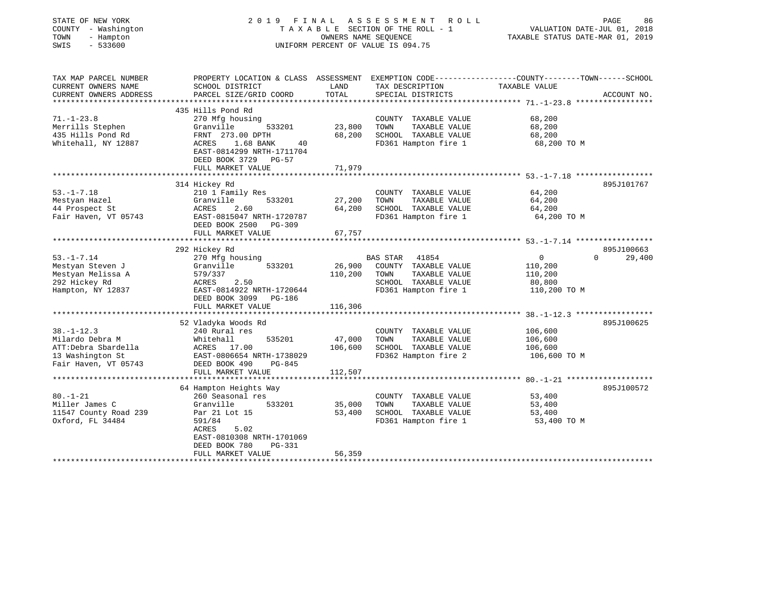| STATE OF NEW YORK<br>COUNTY - Washington<br>- Hampton<br>TOWN<br>$-533600$<br>SWIS | 2019 FINAL                                            | OWNERS NAME SEQUENCE | ASSESSMENT ROLL<br>TAXABLE SECTION OF THE ROLL - 1<br>UNIFORM PERCENT OF VALUE IS 094.75 | PAGE<br>86<br>VALUATION DATE-JUL 01, 2018<br>TAXABLE STATUS DATE-MAR 01, 2019                                    |
|------------------------------------------------------------------------------------|-------------------------------------------------------|----------------------|------------------------------------------------------------------------------------------|------------------------------------------------------------------------------------------------------------------|
| TAX MAP PARCEL NUMBER<br>CURRENT OWNERS NAME                                       | SCHOOL DISTRICT                                       | LAND                 | TAX DESCRIPTION                                                                          | PROPERTY LOCATION & CLASS ASSESSMENT EXEMPTION CODE---------------COUNTY-------TOWN------SCHOOL<br>TAXABLE VALUE |
| CURRENT OWNERS ADDRESS                                                             | PARCEL SIZE/GRID COORD                                | TOTAL                | SPECIAL DISTRICTS                                                                        | ACCOUNT NO.                                                                                                      |
|                                                                                    |                                                       |                      |                                                                                          |                                                                                                                  |
| $71. - 1 - 23.8$                                                                   | 435 Hills Pond Rd<br>270 Mfg housing                  |                      | COUNTY TAXABLE VALUE                                                                     | 68,200                                                                                                           |
| Merrills Stephen                                                                   | Granville<br>533201                                   | 23,800               | TOWN<br>TAXABLE VALUE                                                                    | 68,200                                                                                                           |
| 435 Hills Pond Rd                                                                  | FRNT 273.00 DPTH                                      | 68,200               | SCHOOL TAXABLE VALUE                                                                     | 68,200                                                                                                           |
| Whitehall, NY 12887                                                                | ACRES<br>1.68 BANK<br>40                              |                      | FD361 Hampton fire 1                                                                     | 68,200 TO M                                                                                                      |
|                                                                                    | EAST-0814299 NRTH-1711704<br>DEED BOOK 3729 PG-57     |                      |                                                                                          |                                                                                                                  |
|                                                                                    | FULL MARKET VALUE                                     | 71,979               |                                                                                          |                                                                                                                  |
|                                                                                    |                                                       |                      |                                                                                          |                                                                                                                  |
|                                                                                    | 314 Hickey Rd                                         |                      |                                                                                          | 895J101767                                                                                                       |
| $53. -1 - 7.18$                                                                    | 210 1 Family Res                                      |                      | COUNTY TAXABLE VALUE                                                                     | 64,200                                                                                                           |
| Mestyan Hazel                                                                      | Granville<br>533201                                   | 27,200               | TOWN<br>TAXABLE VALUE                                                                    | 64,200                                                                                                           |
| 44 Prospect St                                                                     | ACRES<br>2.60                                         | 64,200               | SCHOOL TAXABLE VALUE                                                                     | 64,200                                                                                                           |
| Fair Haven, VT 05743                                                               | EAST-0815047 NRTH-1720787<br>DEED BOOK 2500<br>PG-309 |                      | FD361 Hampton fire 1                                                                     | 64,200 TO M                                                                                                      |
|                                                                                    | FULL MARKET VALUE                                     | 67,757               |                                                                                          |                                                                                                                  |
|                                                                                    |                                                       |                      |                                                                                          | ******************************** 53.-1-7.14 ***************                                                      |
|                                                                                    | 292 Hickey Rd                                         |                      |                                                                                          | 895J100663                                                                                                       |
| $53. -1 - 7.14$                                                                    | 270 Mfg housing                                       |                      | BAS STAR<br>41854                                                                        | 29,400<br>$\Omega$<br>$\overline{0}$                                                                             |
| Mestyan Steven J                                                                   | Granville<br>533201                                   | 26,900               | COUNTY TAXABLE VALUE                                                                     | 110,200                                                                                                          |
| Mestyan Melissa A                                                                  | 579/337                                               | 110,200              | TAXABLE VALUE<br>TOWN                                                                    | 110,200                                                                                                          |
| 292 Hickey Rd                                                                      | 2.50<br>ACRES                                         |                      | SCHOOL TAXABLE VALUE                                                                     | 80,800                                                                                                           |
| Hampton, NY 12837                                                                  | EAST-0814922 NRTH-1720644                             |                      | FD361 Hampton fire 1                                                                     | 110,200 TO M                                                                                                     |
|                                                                                    | DEED BOOK 3099 PG-186                                 |                      |                                                                                          |                                                                                                                  |
|                                                                                    | FULL MARKET VALUE                                     | 116,306              |                                                                                          |                                                                                                                  |
|                                                                                    | 52 Vladyka Woods Rd                                   |                      |                                                                                          | 895J100625                                                                                                       |
| $38. - 1 - 12.3$                                                                   | 240 Rural res                                         |                      | COUNTY TAXABLE VALUE                                                                     | 106,600                                                                                                          |
| Milardo Debra M                                                                    | 535201<br>Whitehall                                   | 47,000               | TOWN<br>TAXABLE VALUE                                                                    | 106,600                                                                                                          |
| ATT:Debra Sbardella                                                                | ACRES 17.00                                           | 106,600              | SCHOOL TAXABLE VALUE                                                                     | 106,600                                                                                                          |
| 13 Washington St                                                                   | EAST-0806654 NRTH-1738029                             |                      | FD362 Hampton fire 2                                                                     | 106,600 TO M                                                                                                     |
| Fair Haven, VT 05743                                                               | DEED BOOK 490<br>PG-845                               |                      |                                                                                          |                                                                                                                  |
|                                                                                    | FULL MARKET VALUE                                     | 112,507              |                                                                                          |                                                                                                                  |
|                                                                                    |                                                       |                      |                                                                                          |                                                                                                                  |
|                                                                                    | 64 Hampton Heights Way                                |                      |                                                                                          | 895J100572                                                                                                       |
| $80. - 1 - 21$                                                                     | 260 Seasonal res                                      |                      | COUNTY TAXABLE VALUE                                                                     | 53,400                                                                                                           |
| Miller James C                                                                     | Granville<br>533201                                   | 35,000               | TOWN<br>TAXABLE VALUE                                                                    | 53,400                                                                                                           |
| 11547 County Road 239                                                              | Par 21 Lot 15                                         | 53,400               | SCHOOL TAXABLE VALUE                                                                     | 53,400                                                                                                           |
| Oxford, FL 34484                                                                   | 591/84                                                |                      | FD361 Hampton fire 1                                                                     | 53,400 TO M                                                                                                      |
|                                                                                    | ACRES<br>5.02<br>EAST-0810308 NRTH-1701069            |                      |                                                                                          |                                                                                                                  |
|                                                                                    |                                                       |                      |                                                                                          |                                                                                                                  |
|                                                                                    |                                                       |                      |                                                                                          |                                                                                                                  |
|                                                                                    | DEED BOOK 780<br>PG-331<br>FULL MARKET VALUE          | 56,359               |                                                                                          |                                                                                                                  |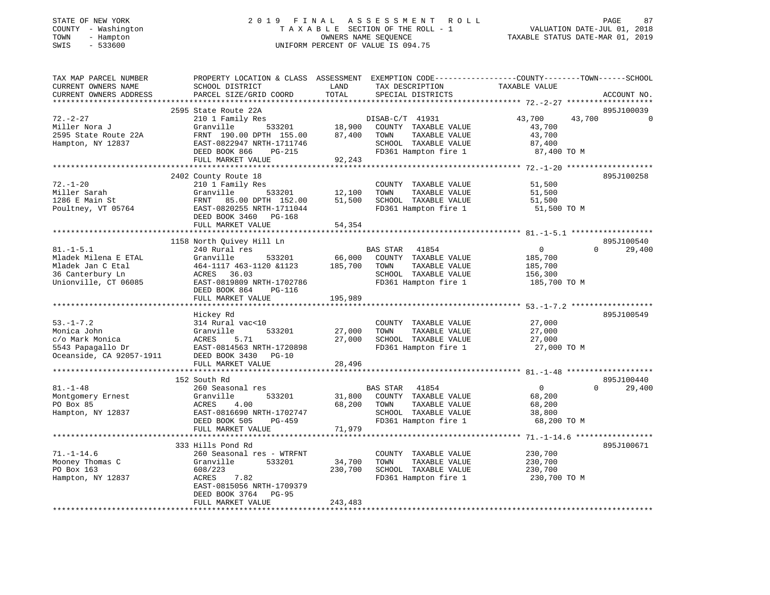| STATE OF NEW YORK<br>COUNTY - Washington | 2019 FINAL ASSESSMENT ROLL<br>TAXABLE SECTION OF THE ROLL - 1 | 87<br>PAGE<br>VALUATION DATE-JUL 01, 2018 |
|------------------------------------------|---------------------------------------------------------------|-------------------------------------------|
| TOWN<br>- Hampton                        | OWNERS NAME SEOUENCE                                          | TAXABLE STATUS DATE-MAR 01, 2019          |
| SWIS<br>- 533600                         | UNIFORM PERCENT OF VALUE IS 094.75                            |                                           |

| TAX MAP PARCEL NUMBER  | PROPERTY LOCATION & CLASS ASSESSMENT EXEMPTION CODE----------------COUNTY-------TOWN------SCHOOL                                                                                             |              |                                                     |                  |                                 |
|------------------------|----------------------------------------------------------------------------------------------------------------------------------------------------------------------------------------------|--------------|-----------------------------------------------------|------------------|---------------------------------|
| CURRENT OWNERS NAME    | SCHOOL DISTRICT                                                                                                                                                                              | LAND         | TAX DESCRIPTION                                     | TAXABLE VALUE    |                                 |
| CURRENT OWNERS ADDRESS | PARCEL SIZE/GRID COORD                                                                                                                                                                       | TOTAL        | SPECIAL DISTRICTS                                   |                  | ACCOUNT NO.                     |
|                        |                                                                                                                                                                                              |              |                                                     |                  |                                 |
|                        | 2595 State Route 22A                                                                                                                                                                         |              |                                                     |                  | 895J100039                      |
| $72. - 2 - 27$         | 210 1 Family Res<br>Granville 533201 18,900 COUNTY TAXABLE VALUE<br>FRNT 190.00 DPTH 155.00 87,400 TOWN TAXABLE VALUE<br>FAST-0822047 NDTH 151.04                                            |              |                                                     | 43,700<br>43,700 | $\Omega$                        |
|                        |                                                                                                                                                                                              |              |                                                     |                  |                                 |
| Miller Nora J          |                                                                                                                                                                                              |              |                                                     | 43,700           |                                 |
| 2595 State Route 22A   |                                                                                                                                                                                              |              | TAXABLE VALUE                                       | 43,700           |                                 |
| Hampton, NY 12837      |                                                                                                                                                                                              |              | SCHOOL TAXABLE VALUE                                | 87,400           |                                 |
|                        |                                                                                                                                                                                              |              | FD361 Hampton fire 1 87,400 TO M                    |                  |                                 |
|                        |                                                                                                                                                                                              | 92,243       |                                                     |                  |                                 |
|                        |                                                                                                                                                                                              |              |                                                     |                  |                                 |
|                        | 2402 County Route 18                                                                                                                                                                         |              |                                                     |                  | 895J100258                      |
| $72. - 1 - 20$         | 210 1 Family Res                                                                                                                                                                             |              | COUNTY TAXABLE VALUE                                | 51,500           |                                 |
| Miller Sarah           |                                                                                                                                                                                              |              |                                                     | 51,500           |                                 |
| 1286 E Main St         | Granville 533201 12,100 TOWN TAXABLE VALUE<br>FRNT 85.00 DPTH 152.00 51,500 SCHOOL TAXABLE VALUE                                                                                             |              |                                                     | 51,500           |                                 |
| Poultney, VT 05764     | EAST-0820255 NRTH-1711044                                                                                                                                                                    |              | FD361 Hampton fire 1                                | 51,500 TO M      |                                 |
|                        |                                                                                                                                                                                              |              |                                                     |                  |                                 |
|                        | DEED BOOK 3460 PG-168                                                                                                                                                                        |              |                                                     |                  |                                 |
|                        | FULL MARKET VALUE                                                                                                                                                                            | 54,354       |                                                     |                  |                                 |
|                        |                                                                                                                                                                                              |              |                                                     |                  |                                 |
|                        | 1158 North Quivey Hill Ln                                                                                                                                                                    |              |                                                     |                  | 895J100540                      |
| $81. - 1 - 5.1$        | 240 Rural res                                                                                                                                                                                |              | BAS STAR 41854                                      | $\overline{0}$   | $\Omega$<br>29,400              |
|                        |                                                                                                                                                                                              |              | 66,000 COUNTY TAXABLE VALUE                         | 185,700          |                                 |
|                        | Mladek Milena E ETAL 67 (1117 463-1120 61123)<br>Mladek Jan C Etal 164-1117 463-1120 61123<br>36 Canterbury Ln (16085 603)<br>Thionville, CT 06085 6857-0819809 NRTH-1702786                 | 185,700 TOWN | TAXABLE VALUE                                       | 185,700          |                                 |
|                        |                                                                                                                                                                                              |              | SCHOOL TAXABLE VALUE                                | 156,300          |                                 |
|                        |                                                                                                                                                                                              |              | FD361 Hampton fire 1 185,700 TO M                   |                  |                                 |
|                        | DEED BOOK 864 PG-116                                                                                                                                                                         |              |                                                     |                  |                                 |
|                        | FULL MARKET VALUE                                                                                                                                                                            | 195,989      |                                                     |                  |                                 |
|                        |                                                                                                                                                                                              |              |                                                     |                  |                                 |
|                        |                                                                                                                                                                                              |              |                                                     |                  | 895J100549                      |
|                        | Hickey Rd<br>Hickey Ru<br>314 Rural vac<10<br>Granville 533201 - 27,000                                                                                                                      |              |                                                     |                  |                                 |
| $53. - 1 - 7.2$        |                                                                                                                                                                                              |              | COUNTY TAXABLE VALUE 27,000                         |                  |                                 |
|                        | Monica John Granville 533201<br>c/o Mark Monica ACRES 5.71<br>5543 Papagallo Dr EAST-0814563 NRTH-1720898<br>Oceanside, CA 92057-1911 DEED BOOK 3430<br>DEED BOOK 3430<br>THE DEED BOOK 3430 |              | TOWN<br>TAXABLE VALUE                               | 27,000           |                                 |
|                        |                                                                                                                                                                                              |              | 27,000 SCHOOL TAXABLE VALUE<br>FD361 Hampton fire 1 | 27,000           |                                 |
|                        |                                                                                                                                                                                              |              |                                                     | 27,000 TO M      |                                 |
|                        |                                                                                                                                                                                              |              |                                                     |                  |                                 |
|                        | FULL MARKET VALUE                                                                                                                                                                            | 28,496       |                                                     |                  |                                 |
|                        |                                                                                                                                                                                              |              |                                                     |                  |                                 |
|                        | 152 South Rd                                                                                                                                                                                 |              |                                                     |                  | 895J100440                      |
| $81. - 1 - 48$         | 260 Seasonal res                                                                                                                                                                             |              | BAS STAR 41854                                      | $\overline{0}$   | $\Omega$ and $\Omega$<br>29,400 |
| Montgomery Ernest      | 533201<br>Granville                                                                                                                                                                          |              | 31,800 COUNTY TAXABLE VALUE                         | 68,200           |                                 |
| PO Box 85              | ACRES<br>4.00                                                                                                                                                                                |              | 68,200 TOWN<br>TAXABLE VALUE                        | 68,200           |                                 |
|                        |                                                                                                                                                                                              |              |                                                     |                  |                                 |
| Hampton, NY 12837      | EAST-0816690 NRTH-1702747                                                                                                                                                                    |              | SCHOOL TAXABLE VALUE                                | 38,800           |                                 |
|                        | DEED BOOK 505<br>PG-459                                                                                                                                                                      |              | FD361 Hampton fire 1                                | 68,200 TO M      |                                 |
|                        | FULL MARKET VALUE                                                                                                                                                                            | 71,979       |                                                     |                  |                                 |
|                        |                                                                                                                                                                                              |              |                                                     |                  |                                 |
|                        | 333 Hills Pond Rd                                                                                                                                                                            |              |                                                     |                  | 895J100671                      |
| $71. - 1 - 14.6$       | 260 Seasonal res - WTRFNT                                                                                                                                                                    |              | COUNTY TAXABLE VALUE 230,700                        |                  |                                 |
| Mooney Thomas C        | Granville 533201                                                                                                                                                                             | 34,700       | TOWN<br>TAXABLE VALUE                               | 230,700          |                                 |
| PO Box 163             | 608/223                                                                                                                                                                                      | 230,700      | SCHOOL TAXABLE VALUE                                | 230,700          |                                 |
| Hampton, NY 12837      | ACRES<br>7.82                                                                                                                                                                                |              | FD361 Hampton fire 1                                | 230,700 TO M     |                                 |
|                        | EAST-0815056 NRTH-1709379                                                                                                                                                                    |              |                                                     |                  |                                 |
|                        | DEED BOOK 3764 PG-95                                                                                                                                                                         |              |                                                     |                  |                                 |
|                        | FULL MARKET VALUE                                                                                                                                                                            | 243,483      |                                                     |                  |                                 |
|                        |                                                                                                                                                                                              |              |                                                     |                  |                                 |
|                        |                                                                                                                                                                                              |              |                                                     |                  |                                 |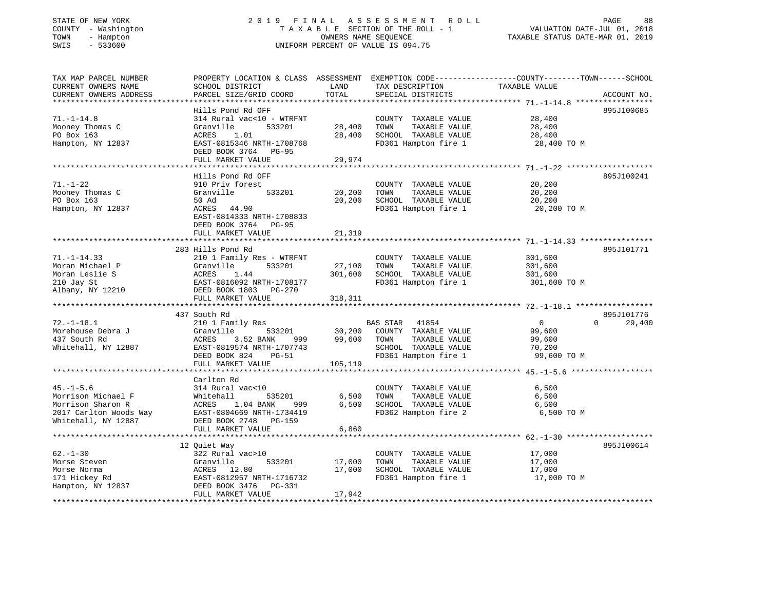# STATE OF NEW YORK 2 0 1 9 F I N A L A S S E S S M E N T R O L L PAGE 88 COUNTY - Washington T A X A B L E SECTION OF THE ROLL - 1 VALUATION DATE-JUL 01, 2018 TOWN - Hampton OWNERS NAME SEQUENCE TAXABLE STATUS DATE-MAR 01, 2019 SWIS - 533600 UNIFORM PERCENT OF VALUE IS 094.75

| TAX MAP PARCEL NUMBER  | PROPERTY LOCATION & CLASS ASSESSMENT EXEMPTION CODE---------------COUNTY-------TOWN-----SCHOOL                                      |         |                       |                |                    |
|------------------------|-------------------------------------------------------------------------------------------------------------------------------------|---------|-----------------------|----------------|--------------------|
| CURRENT OWNERS NAME    | SCHOOL DISTRICT                                                                                                                     | LAND    | TAX DESCRIPTION       | TAXABLE VALUE  |                    |
| CURRENT OWNERS ADDRESS | PARCEL SIZE/GRID COORD                                                                                                              | TOTAL   | SPECIAL DISTRICTS     |                | ACCOUNT NO.        |
|                        |                                                                                                                                     |         |                       |                |                    |
|                        | Hills Pond Rd OFF                                                                                                                   |         |                       |                | 895J100685         |
| $71. - 1 - 14.8$       | 314 Rural vac<10 - WTRFNT                                                                                                           |         | COUNTY TAXABLE VALUE  | 28,400         |                    |
| Mooney Thomas C        | Granville<br>533201                                                                                                                 | 28,400  | TOWN<br>TAXABLE VALUE | 28,400         |                    |
| PO Box 163             | ACRES<br>1.01                                                                                                                       | 28,400  | SCHOOL TAXABLE VALUE  | 28,400         |                    |
| Hampton, NY 12837      | EAST-0815346 NRTH-1708768                                                                                                           |         | FD361 Hampton fire 1  | 28,400 TO M    |                    |
|                        | DEED BOOK 3764 PG-95                                                                                                                |         |                       |                |                    |
|                        | FULL MARKET VALUE                                                                                                                   | 29,974  |                       |                |                    |
|                        |                                                                                                                                     |         |                       |                |                    |
|                        |                                                                                                                                     |         |                       |                | 895J100241         |
|                        | Hills Pond Rd OFF                                                                                                                   |         |                       |                |                    |
| $71. - 1 - 22$         | 910 Priv forest                                                                                                                     |         | COUNTY TAXABLE VALUE  | 20,200         |                    |
| Mooney Thomas C        | Granville<br>533201                                                                                                                 | 20,200  | TOWN<br>TAXABLE VALUE | 20,200         |                    |
| PO Box 163             | 50 Ad                                                                                                                               | 20,200  | SCHOOL TAXABLE VALUE  | 20,200         |                    |
| Hampton, NY 12837      | ACRES 44.90                                                                                                                         |         | FD361 Hampton fire 1  | 20,200 TO M    |                    |
|                        | EAST-0814333 NRTH-1708833                                                                                                           |         |                       |                |                    |
|                        | DEED BOOK 3764 PG-95                                                                                                                |         |                       |                |                    |
|                        | FULL MARKET VALUE                                                                                                                   | 21,319  |                       |                |                    |
|                        |                                                                                                                                     |         |                       |                |                    |
|                        | 283 Hills Pond Rd                                                                                                                   |         |                       |                | 895J101771         |
| $71. - 1 - 14.33$      | 210 1 Family Res - WTRFNT                                                                                                           |         | COUNTY TAXABLE VALUE  | 301,600        |                    |
| Moran Michael P        | Granville<br>533201                                                                                                                 | 27,100  | TAXABLE VALUE<br>TOWN | 301,600        |                    |
|                        |                                                                                                                                     | 301,600 | SCHOOL TAXABLE VALUE  | 301,600        |                    |
|                        | EAST-0816092 NRTH-1708177                                                                                                           |         | FD361 Hampton fire 1  | 301,600 TO M   |                    |
|                        |                                                                                                                                     |         |                       |                |                    |
|                        |                                                                                                                                     | 318,311 |                       |                |                    |
|                        | WORAN THE S<br>MOTAN DESIRE S<br>210 Jay St EAST-0816092 NRTH-170817<br>Albany, NY 12210 PEED BOOK 1803 PG-270<br>FULL MARKET VALUE |         |                       |                |                    |
|                        | 437 South Rd                                                                                                                        |         |                       |                | 895J101776         |
| $72. - 1 - 18.1$       | 210 1 Family Res                                                                                                                    |         | BAS STAR 41854        | $\overline{0}$ | $\Omega$<br>29,400 |
| Morehouse Debra J      | Granville<br>533201                                                                                                                 | 30,200  | COUNTY TAXABLE VALUE  | 99,600         |                    |
| 437 South Rd           | ACRES 3.52 BANK<br>999 —                                                                                                            | 99,600  | TOWN<br>TAXABLE VALUE | 99,600         |                    |
|                        | Whitehall, NY 12887 EAST-0819574 NRTH-1707743                                                                                       |         | SCHOOL TAXABLE VALUE  | 70,200         |                    |
|                        | DEED BOOK 824<br>$PG-51$                                                                                                            |         | FD361 Hampton fire 1  | 99,600 TO M    |                    |
|                        | FULL MARKET VALUE                                                                                                                   | 105,119 |                       |                |                    |
|                        |                                                                                                                                     |         |                       |                |                    |
|                        | Carlton Rd                                                                                                                          |         |                       |                |                    |
| $45. - 1 - 5.6$        | 314 Rural vac<10                                                                                                                    |         | COUNTY TAXABLE VALUE  | 6,500          |                    |
| Morrison Michael F     | 535201<br>Whitehall                                                                                                                 | 6,500   | TOWN<br>TAXABLE VALUE | 6,500          |                    |
| Morrison Sharon R      | ACRES<br>1.04 BANK<br>999                                                                                                           | 6,500   | SCHOOL TAXABLE VALUE  | 6,500          |                    |
|                        | EAST-0804669 NRTH-1734419                                                                                                           |         |                       |                |                    |
| 2017 Carlton Woods Way |                                                                                                                                     |         | FD362 Hampton fire 2  | 6,500 TO M     |                    |
| Whitehall, NY 12887    | DEED BOOK 2748 PG-159                                                                                                               |         |                       |                |                    |
|                        | FULL MARKET VALUE                                                                                                                   | 6,860   |                       |                |                    |
|                        |                                                                                                                                     |         |                       |                |                    |
|                        | 12 Quiet Way                                                                                                                        |         |                       |                | 895J100614         |
| $62 - 1 - 30$          | 322 Rural vac>10                                                                                                                    |         | COUNTY TAXABLE VALUE  | 17,000         |                    |
|                        |                                                                                                                                     | 17,000  | TOWN<br>TAXABLE VALUE | 17,000         |                    |
|                        |                                                                                                                                     | 17,000  | SCHOOL TAXABLE VALUE  | 17,000         |                    |
|                        |                                                                                                                                     |         | FD361 Hampton fire 1  | 17,000 TO M    |                    |
|                        |                                                                                                                                     |         |                       |                |                    |
|                        | FULL MARKET VALUE                                                                                                                   | 17,942  |                       |                |                    |
|                        |                                                                                                                                     |         |                       |                |                    |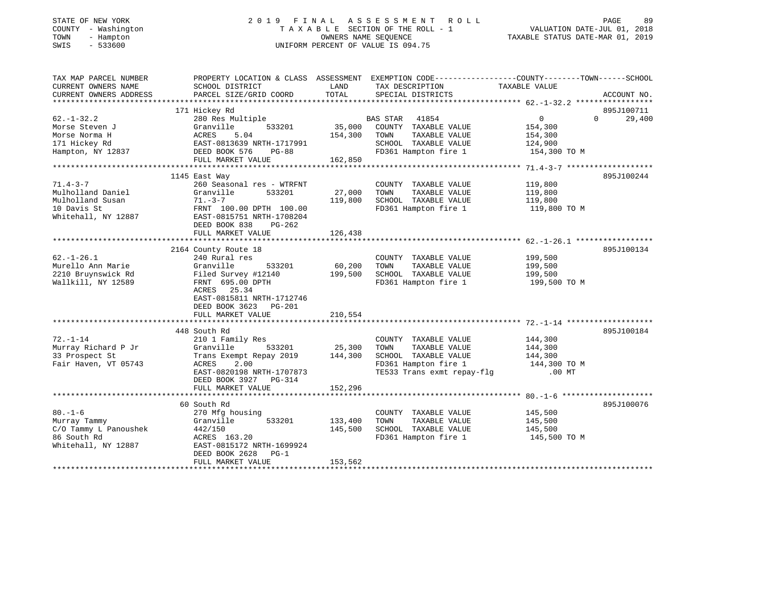#### STATE OF NEW YORK CORPORATION CONTROLLED AS SESS OF THE RELATION TO A LIMIT AS SESS OF THE RELATIONS OF THE RELATIONS OF THE RELATIONS OF THE RELATIONS OF THE RELATIONS OF THE RELATIONS OF THE RELATIONS OF THE RELATIONS OF COUNTY - Washington  $\begin{array}{ccc} 2.33600 & 5.33600 \end{array}$  T A X A B L E SECTION OF THE ROLL - 1<br>
TOWN - Hampton DATES NAME SEQUENCE<br>
SWIS - 533600 SWIS - 533600 UNIFORM PERCENT OF VALUE IS 094.75

VALUATION DATE-JUL 01, 2018 TAXABLE STATUS DATE-MAR 01, 2019

| TAX MAP PARCEL NUMBER                 | PROPERTY LOCATION & CLASS ASSESSMENT EXEMPTION CODE---------------COUNTY-------TOWN-----SCHOOL |                   |                                                              |                         |                    |
|---------------------------------------|------------------------------------------------------------------------------------------------|-------------------|--------------------------------------------------------------|-------------------------|--------------------|
| CURRENT OWNERS NAME                   | SCHOOL DISTRICT                                                                                | LAND              | TAX DESCRIPTION                                              | TAXABLE VALUE           |                    |
| CURRENT OWNERS ADDRESS                | PARCEL SIZE/GRID COORD                                                                         | TOTAL             | SPECIAL DISTRICTS                                            |                         | ACCOUNT NO.        |
|                                       | 171 Hickey Rd                                                                                  |                   |                                                              |                         | 895J100711         |
| $62. - 1 - 32.2$                      | 280 Res Multiple                                                                               |                   | BAS STAR 41854                                               | $\overline{0}$          | $\Omega$<br>29,400 |
| Morse Steven J                        | 533201<br>Granville                                                                            |                   | 35,000 COUNTY TAXABLE VALUE                                  | 154,300                 |                    |
| Morse Norma H                         | ACRES<br>5.04                                                                                  | 154,300 TOWN      | TAXABLE VALUE                                                | 154,300                 |                    |
|                                       |                                                                                                |                   | SCHOOL TAXABLE VALUE 124,900                                 |                         |                    |
| 171 Hickey Rd<br>Hampton, NY 12837    | EAST-0813639 NRTH-1717991<br>DEED BOOK 576 PG-88                                               |                   | FD361 Hampton fire 1                                         | 154,300 TO M            |                    |
|                                       | FULL MARKET VALUE                                                                              | 162,850           |                                                              |                         |                    |
|                                       |                                                                                                |                   |                                                              |                         |                    |
|                                       | 1145 East Way                                                                                  |                   |                                                              |                         | 895J100244         |
| $71.4 - 3 - 7$                        | 260 Seasonal res - WTRFNT                                                                      |                   | COUNTY TAXABLE VALUE                                         | 119,800                 |                    |
| Mulholland Daniel                     | Granville<br>533201                                                                            | 27,000            | TAXABLE VALUE<br>TOWN                                        | 119,800                 |                    |
| Mulholland Susan                      | $71. - 3 - 7$                                                                                  | 119,800           | SCHOOL TAXABLE VALUE                                         | 119,800<br>119,800 TO M |                    |
| 10 Davis St                           | $71.737$ ,<br>FRNT 100.00 DPTH 100.00                                                          |                   | FD361 Hampton fire 1                                         |                         |                    |
| Whitehall, NY 12887                   | EAST-0815751 NRTH-1708204                                                                      |                   |                                                              |                         |                    |
|                                       | DEED BOOK 838<br>PG-262                                                                        |                   |                                                              |                         |                    |
|                                       | FULL MARKET VALUE                                                                              | 126,438           |                                                              |                         |                    |
|                                       |                                                                                                |                   |                                                              |                         |                    |
| $62. - 1 - 26.1$                      | 2164 County Route 18<br>240 Rural res                                                          |                   | COUNTY TAXABLE VALUE                                         | 199,500                 | 895J100134         |
| Murello Ann Marie                     | Granville<br>533201                                                                            |                   | TOWN<br>TAXABLE VALUE                                        |                         |                    |
| 2210 Bruynswick Rd                    | Filed Survey #12140                                                                            | 60,200<br>199,500 | SCHOOL TAXABLE VALUE                                         | 199,500<br>199,500      |                    |
| Wallkill, NY 12589                    | FRNT 695.00 DPTH                                                                               |                   | FD361 Hampton fire 1                                         | 199,500 TO M            |                    |
|                                       | ACRES 25.34                                                                                    |                   |                                                              |                         |                    |
|                                       | EAST-0815811 NRTH-1712746                                                                      |                   |                                                              |                         |                    |
|                                       | DEED BOOK 3623 PG-201                                                                          |                   |                                                              |                         |                    |
|                                       | FULL MARKET VALUE                                                                              | 210,554           |                                                              |                         |                    |
|                                       |                                                                                                |                   |                                                              |                         |                    |
|                                       | 448 South Rd                                                                                   |                   |                                                              |                         | 895J100184         |
| $72. - 1 - 14$                        | 210 1 Family Res                                                                               | 25,300            | COUNTY TAXABLE VALUE                                         | 144,300                 |                    |
| Murray Richard P Jr                   | 533201<br>Granville                                                                            |                   | TOWN<br>TAXABLE VALUE                                        | 144,300                 |                    |
| 33 Prospect St                        | Trans Exempt Repay 2019 144,300                                                                |                   | SCHOOL TAXABLE VALUE 144,300<br>FD361 Hampton fire 1 144,300 |                         |                    |
| Fair Haven, VT 05743                  | ACRES<br>2.00                                                                                  |                   |                                                              | 144,300 TO M            |                    |
|                                       | EAST-0820198 NRTH-1707873                                                                      |                   | TE533 Trans exmt repay-flg .00 MT                            |                         |                    |
|                                       | DEED BOOK 3927 PG-314                                                                          |                   |                                                              |                         |                    |
|                                       | FULL MARKET VALUE                                                                              | 152,296           |                                                              |                         |                    |
|                                       |                                                                                                |                   |                                                              |                         |                    |
|                                       | 60 South Rd                                                                                    |                   |                                                              |                         | 895J100076         |
| $80. - 1 - 6$                         | 270 Mfg housing<br>533201<br>Granville                                                         | 133,400           | COUNTY TAXABLE VALUE<br>TAXABLE VALUE<br>TOWN                | 145,500<br>145,500      |                    |
| Murray Tammy<br>C/O Tammy L Panoushek |                                                                                                | 145,500           | SCHOOL TAXABLE VALUE                                         |                         |                    |
| 86 South Rd                           | 442/150<br>ACRES 163.20                                                                        |                   | FD361 Hampton fire 1                                         | 145,500<br>145,500 TO M |                    |
| Whitehall, NY 12887                   | EAST-0815172 NRTH-1699924                                                                      |                   |                                                              |                         |                    |
|                                       | DEED BOOK 2628 PG-1                                                                            |                   |                                                              |                         |                    |
|                                       | FULL MARKET VALUE                                                                              | 153,562           |                                                              |                         |                    |
|                                       |                                                                                                |                   |                                                              |                         |                    |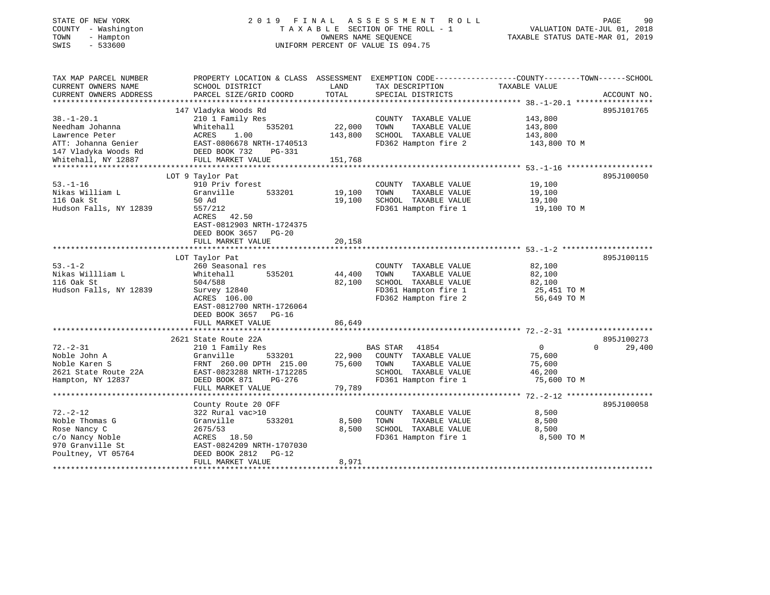| TOWN<br>- Hampton<br>SWIS<br>$-533600$                                                                                      | OWNERS NAME SEQUENCE<br>UNIFORM PERCENT OF VALUE IS 094.75                                                                                                                          |                              |                                                                                                                       | TAXABLE STATUS DATE-MAR 01, 2019                                                                                                |  |
|-----------------------------------------------------------------------------------------------------------------------------|-------------------------------------------------------------------------------------------------------------------------------------------------------------------------------------|------------------------------|-----------------------------------------------------------------------------------------------------------------------|---------------------------------------------------------------------------------------------------------------------------------|--|
| TAX MAP PARCEL NUMBER<br>CURRENT OWNERS NAME<br>CURRENT OWNERS ADDRESS                                                      | SCHOOL DISTRICT<br>PARCEL SIZE/GRID COORD                                                                                                                                           | LAND<br>TOTAL                | TAX DESCRIPTION<br>SPECIAL DISTRICTS                                                                                  | PROPERTY LOCATION & CLASS ASSESSMENT EXEMPTION CODE---------------COUNTY-------TOWN------SCHOOL<br>TAXABLE VALUE<br>ACCOUNT NO. |  |
| $38. - 1 - 20.1$<br>Needham Johanna<br>Lawrence Peter<br>ATT: Johanna Genier<br>147 Vladyka Woods Rd<br>Whitehall, NY 12887 | 147 Vladyka Woods Rd<br>210 1 Family Res<br>Whitehall<br>535201<br>ACRES<br>1.00<br>EAST-0806678 NRTH-1740513<br>DEED BOOK 732<br>PG-331<br>FULL MARKET VALUE                       | 22,000<br>143,800<br>151,768 | COUNTY TAXABLE VALUE<br>TOWN<br>TAXABLE VALUE<br>SCHOOL TAXABLE VALUE<br>FD362 Hampton fire 2                         | 895J101765<br>143,800<br>143,800<br>143,800<br>143,800 TO M                                                                     |  |
| $53. - 1 - 16$<br>Nikas William L<br>116 Oak St<br>Hudson Falls, NY 12839                                                   | LOT 9 Taylor Pat<br>910 Priv forest<br>533201<br>Granville<br>50 Ad<br>557/212<br>ACRES<br>42.50<br>EAST-0812903 NRTH-1724375<br>DEED BOOK 3657 PG-20<br>FULL MARKET VALUE          | 19,100<br>19,100<br>20,158   | COUNTY TAXABLE VALUE<br>TOWN<br>TAXABLE VALUE<br>SCHOOL TAXABLE VALUE<br>FD361 Hampton fire 1                         | 895J100050<br>19,100<br>19,100<br>19,100<br>19,100 TO M                                                                         |  |
| $53. - 1 - 2$<br>Nikas Willliam L<br>116 Oak St<br>Hudson Falls, NY 12839                                                   | LOT Taylor Pat<br>260 Seasonal res<br>Whitehall<br>535201<br>504/588<br>Survey 12840<br>ACRES 106.00<br>EAST-0812700 NRTH-1726064<br>DEED BOOK 3657<br>$PG-16$<br>FULL MARKET VALUE | 44,400<br>82,100<br>86,649   | COUNTY TAXABLE VALUE<br>TOWN<br>TAXABLE VALUE<br>SCHOOL TAXABLE VALUE<br>FD361 Hampton fire 1<br>FD362 Hampton fire 2 | 895J100115<br>82,100<br>82,100<br>82,100<br>25,451 TO M<br>56,649 TO M                                                          |  |
| $72. - 2 - 31$<br>Noble John A<br>Noble Karen S<br>2621 State Route 22A<br>Hampton, NY 12837                                | 2621 State Route 22A<br>210 1 Family Res<br>Granville<br>533201<br>FRNT 260.00 DPTH 215.00<br>EAST-0823288 NRTH-1712285<br>DEED BOOK 871<br>PG-276<br>FULL MARKET VALUE             | 22,900<br>75,600<br>79,789   | BAS STAR<br>41854<br>COUNTY TAXABLE VALUE<br>TOWN<br>TAXABLE VALUE<br>SCHOOL TAXABLE VALUE<br>FD361 Hampton fire 1    | 895J100273<br>$\overline{0}$<br>$\Omega$<br>29,400<br>75,600<br>75,600<br>46,200<br>75,600 TO M                                 |  |
| $72. - 2 - 12$<br>Noble Thomas G<br>Rose Nancy C<br>c/o Nancy Noble<br>970 Granville St<br>Poultney, VT 05764               | County Route 20 OFF<br>322 Rural vac>10<br>Granville<br>533201<br>2675/53<br>ACRES 18.50<br>EAST-0824209 NRTH-1707030<br>DEED BOOK 2812<br>$PG-12$<br>FULL MARKET VALUE             | 8,500<br>8,500<br>8,971      | COUNTY TAXABLE VALUE<br>TAXABLE VALUE<br>TOWN<br>SCHOOL TAXABLE VALUE<br>FD361 Hampton fire 1                         | 895J100058<br>8,500<br>8,500<br>8,500<br>8,500 TO M                                                                             |  |

STATE OF NEW YORK 2 0 1 9 F I N A L A S S E S S M E N T R O L L PAGE 90 COUNTY - Washington T A X A B L E SECTION OF THE ROLL - 1 VALUATION DATE-JUL 01, 2018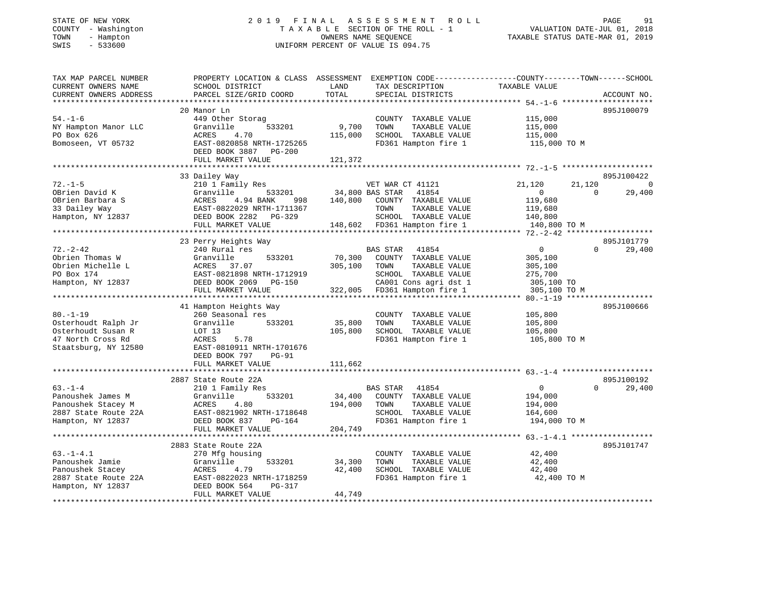#### STATE OF NEW YORK 2 0 1 9 F I N A L A S S E S S M E N T R O L L PAGE 91 COUNTY - Washington T A X A B L E SECTION OF THE ROLL - 1 VALUATION DATE-JUL 01, 2018 TOWN - Hampton OWNERS NAME SEQUENCE TAXABLE STATUS DATE-MAR 01, 2019 SWIS - 533600 UNIFORM PERCENT OF VALUE IS 094.75

| TAX MAP PARCEL NUMBER  | PROPERTY LOCATION & CLASS ASSESSMENT EXEMPTION CODE---------------COUNTY-------TOWN------SCHOOL |         |                              |                  |                    |
|------------------------|-------------------------------------------------------------------------------------------------|---------|------------------------------|------------------|--------------------|
| CURRENT OWNERS NAME    | SCHOOL DISTRICT                                                                                 | LAND    | TAX DESCRIPTION              | TAXABLE VALUE    |                    |
| CURRENT OWNERS ADDRESS | PARCEL SIZE/GRID COORD                                                                          | TOTAL   | SPECIAL DISTRICTS            |                  | ACCOUNT NO.        |
|                        |                                                                                                 |         |                              |                  |                    |
|                        | 20 Manor Ln                                                                                     |         |                              |                  | 895J100079         |
| $54. - 1 - 6$          | 449 Other Storag                                                                                |         | COUNTY TAXABLE VALUE         | 115,000          |                    |
| NY Hampton Manor LLC   | Granville<br>533201                                                                             | 9,700   | TOWN<br>TAXABLE VALUE        | 115,000          |                    |
| PO Box 626             | 4.70<br>ACRES                                                                                   | 115,000 | SCHOOL TAXABLE VALUE         | 115,000          |                    |
|                        |                                                                                                 |         |                              |                  |                    |
| Bomoseen, VT 05732     | EAST-0820858 NRTH-1725265                                                                       |         | FD361 Hampton fire 1         | 115,000 TO M     |                    |
|                        | DEED BOOK 3887 PG-200                                                                           |         |                              |                  |                    |
|                        | FULL MARKET VALUE                                                                               | 121,372 |                              |                  |                    |
|                        |                                                                                                 |         |                              |                  |                    |
|                        | 33 Dailey Way                                                                                   |         |                              |                  | 895J100422         |
| $72. - 1 - 5$          | 210 1 Family Res                                                                                |         | VET WAR CT 41121             | 21,120<br>21,120 | 0                  |
| OBrien David K         | Granville<br>533201                                                                             |         | 34,800 BAS STAR<br>41854     | $\Omega$         | 29,400<br>$\Omega$ |
| OBrien Barbara S       | ACRES<br>4.94 BANK<br>998                                                                       | 140,800 | COUNTY TAXABLE VALUE         | 119,680          |                    |
| 33 Dailey Way          | EAST-0822029 NRTH-1711367                                                                       |         | TAXABLE VALUE<br>TOWN        | 119,680          |                    |
| Hampton, NY 12837      | DEED BOOK 2282 PG-329                                                                           |         | SCHOOL TAXABLE VALUE         | 140,800          |                    |
|                        | FULL MARKET VALUE                                                                               |         | 148,602 FD361 Hampton fire 1 | 140,800 TO M     |                    |
|                        | ****************************                                                                    |         |                              |                  |                    |
|                        | 23 Perry Heights Way                                                                            |         |                              |                  | 895J101779         |
| $72. - 2 - 42$         | 240 Rural res                                                                                   |         | 41854<br><b>BAS STAR</b>     | $\overline{0}$   | $\Omega$<br>29,400 |
| Obrien Thomas W        | Granville<br>533201                                                                             | 70,300  |                              |                  |                    |
|                        |                                                                                                 |         | COUNTY TAXABLE VALUE         | 305,100          |                    |
| Obrien Michelle L      | ACRES<br>37.07                                                                                  | 305,100 | TAXABLE VALUE<br>TOWN        | 305,100          |                    |
| PO Box 174             | EAST-0821898 NRTH-1712919                                                                       |         | SCHOOL TAXABLE VALUE         | 275,700          |                    |
| Hampton, NY 12837      | DEED BOOK 2069<br>PG-150                                                                        |         | CA001 Cons agri dst 1        | 305,100 TO       |                    |
|                        | FULL MARKET VALUE                                                                               | 322,005 | FD361 Hampton fire 1         | 305,100 TO M     |                    |
|                        |                                                                                                 |         |                              |                  |                    |
|                        | 41 Hampton Heights Way                                                                          |         |                              |                  | 895J100666         |
| $80. - 1 - 19$         | 260 Seasonal res                                                                                |         | COUNTY TAXABLE VALUE         | 105,800          |                    |
| Osterhoudt Ralph Jr    | Granville<br>533201                                                                             | 35,800  | TAXABLE VALUE<br>TOWN        | 105,800          |                    |
| Osterhoudt Susan R     | LOT 13                                                                                          | 105,800 | SCHOOL TAXABLE VALUE         | 105,800          |                    |
| 47 North Cross Rd      | ACRES<br>5.78                                                                                   |         | FD361 Hampton fire 1         | 105,800 TO M     |                    |
| Staatsburg, NY 12580   | EAST-0810911 NRTH-1701676                                                                       |         |                              |                  |                    |
|                        | DEED BOOK 797<br>PG-91                                                                          |         |                              |                  |                    |
|                        | FULL MARKET VALUE                                                                               | 111,662 |                              |                  |                    |
|                        |                                                                                                 |         |                              |                  |                    |
|                        |                                                                                                 |         |                              |                  |                    |
|                        | 2887 State Route 22A                                                                            |         |                              |                  | 895J100192         |
| $63. -1 -4$            | 210 1 Family Res                                                                                |         | <b>BAS STAR</b><br>41854     | $\overline{0}$   | $\Omega$<br>29,400 |
| Panoushek James M      | 533201<br>Granville                                                                             | 34,400  | COUNTY TAXABLE VALUE         | 194,000          |                    |
| Panoushek Stacey M     | ACRES<br>4.80                                                                                   | 194,000 | TOWN<br>TAXABLE VALUE        | 194,000          |                    |
| 2887 State Route 22A   | EAST-0821902 NRTH-1718648                                                                       |         | SCHOOL TAXABLE VALUE         | 164,600          |                    |
| Hampton, NY 12837      | DEED BOOK 837<br>PG-164                                                                         |         | FD361 Hampton fire 1         | 194,000 TO M     |                    |
|                        | FULL MARKET VALUE                                                                               | 204,749 |                              |                  |                    |
|                        |                                                                                                 |         |                              |                  |                    |
|                        | 2883 State Route 22A                                                                            |         |                              |                  | 895J101747         |
| $63. -1 - 4.1$         | 270 Mfg housing                                                                                 |         | COUNTY TAXABLE VALUE         | 42,400           |                    |
| Panoushek Jamie        | Granville<br>533201                                                                             | 34,300  | TOWN<br>TAXABLE VALUE        | 42,400           |                    |
|                        | <b>ACRES</b><br>4.79                                                                            | 42,400  | SCHOOL TAXABLE VALUE         |                  |                    |
| Panoushek Stacey       |                                                                                                 |         |                              | 42,400           |                    |
| 2887 State Route 22A   | EAST-0822023 NRTH-1718259                                                                       |         | FD361 Hampton fire 1         | 42,400 TO M      |                    |
| Hampton, NY 12837      | DEED BOOK 564<br>PG-317                                                                         |         |                              |                  |                    |
|                        | FULL MARKET VALUE                                                                               | 44,749  |                              |                  |                    |
|                        |                                                                                                 |         |                              |                  |                    |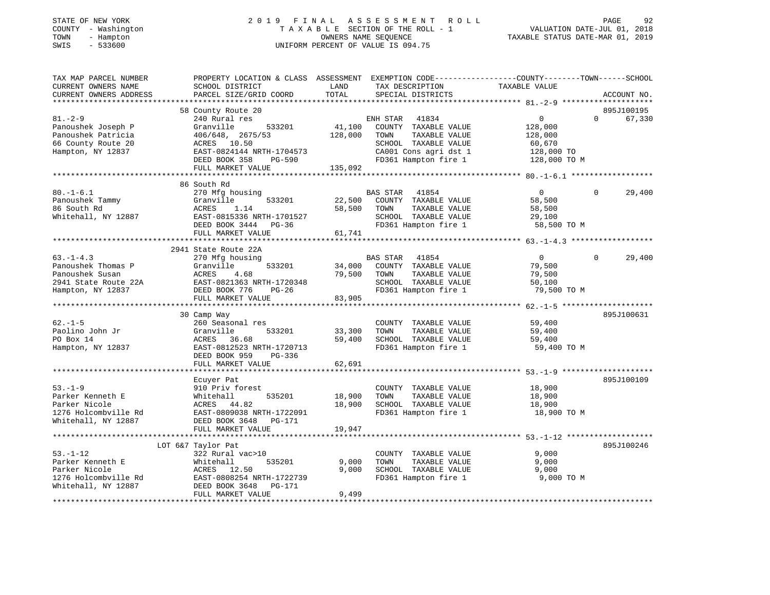| COUNTY - Washington<br>TOWN<br>- Hampton<br>SWIS<br>$-533600$ | TAXABLE SECTION OF THE ROLL - 1<br>OWNERS NAME SEQUENCE<br>UNIFORM PERCENT OF VALUE IS 094.75    |               | VALUATION DATE-JUL 01, 2018<br>TAXABLE STATUS DATE-MAR 01, 2019       |                       |                        |
|---------------------------------------------------------------|--------------------------------------------------------------------------------------------------|---------------|-----------------------------------------------------------------------|-----------------------|------------------------|
| TAX MAP PARCEL NUMBER                                         | PROPERTY LOCATION & CLASS ASSESSMENT EXEMPTION CODE----------------COUNTY-------TOWN------SCHOOL |               |                                                                       |                       |                        |
| CURRENT OWNERS NAME<br>CURRENT OWNERS ADDRESS                 | SCHOOL DISTRICT<br>PARCEL SIZE/GRID COORD                                                        | LAND<br>TOTAL | TAX DESCRIPTION<br>SPECIAL DISTRICTS                                  | TAXABLE VALUE         | ACCOUNT NO.            |
|                                                               |                                                                                                  |               |                                                                       |                       |                        |
|                                                               | 58 County Route 20                                                                               |               |                                                                       |                       | 895J100195             |
| $81. - 2 - 9$                                                 | 240 Rural res                                                                                    |               | ENH STAR 41834                                                        | $\overline{0}$        | $\Omega$<br>67,330     |
| Panoushek Joseph P                                            | 533201<br>Granville                                                                              |               | 41,100 COUNTY TAXABLE VALUE                                           | 128,000               |                        |
| Panoushek Patricia                                            | 406/648, 2675/53                                                                                 | 128,000 TOWN  | TAXABLE VALUE                                                         | 128,000               |                        |
| 66 County Route 20                                            | FUCTOR 1.50<br>RAST-0824144 NRTH-1704573<br>TITE POOK 358 PG-590                                 |               | SCHOOL TAXABLE VALUE                                                  | 60,670                |                        |
| Hampton, NY 12837                                             |                                                                                                  |               | CA001 Cons agri dst 1 128,000 TO<br>FD361 Hampton fire 1 128,000 TO M |                       |                        |
|                                                               |                                                                                                  |               |                                                                       |                       |                        |
|                                                               | FULL MARKET VALUE                                                                                | 135,092       |                                                                       |                       |                        |
|                                                               | 86 South Rd                                                                                      |               |                                                                       |                       |                        |
| $80. - 1 - 6.1$                                               | 270 Mfg housing                                                                                  |               | BAS STAR 41854                                                        | $\overline{0}$        | 29,400<br>$\mathbf{0}$ |
| Panoushek Tammy                                               | 533201<br>Granville                                                                              |               | 22,500 COUNTY TAXABLE VALUE                                           | 58,500                |                        |
| 86 South Rd                                                   | ACRES<br>1.14                                                                                    | 58,500        | TOWN<br>TAXABLE VALUE                                                 | 58,500                |                        |
|                                                               |                                                                                                  |               | SCHOOL TAXABLE VALUE                                                  | 29,100                |                        |
|                                                               |                                                                                                  |               | FD361 Hampton fire 1                                                  | 58,500 TO M           |                        |
|                                                               | FULL MARKET VALUE                                                                                | 61,741        |                                                                       |                       |                        |
|                                                               |                                                                                                  |               |                                                                       |                       |                        |
|                                                               | 2941 State Route 22A                                                                             |               |                                                                       |                       |                        |
| $63. -1 - 4.3$                                                | 270 Mfg housing                                                                                  |               | BAS STAR 41854                                                        | $\overline{0}$        | $\Omega$<br>29,400     |
| Panoushek Thomas P                                            | Granville<br>533201                                                                              |               | 34,000 COUNTY TAXABLE VALUE                                           | 79,500                |                        |
| Panoushek Susan                                               |                                                                                                  | 79,500 TOWN   | TAXABLE VALUE                                                         | 79,500                |                        |
| 2941 State Route 22A                                          |                                                                                                  |               | SCHOOL TAXABLE VALUE                                                  | 50,100                |                        |
| Hampton, NY 12837                                             | 333201<br>REAST-0821363 NRTH-1720348<br>DEED BOOK 776 PG-26<br>FULL MARKET VALUE                 | 83,905        | FD361 Hampton fire 1                                                  | 79,500 TO M           |                        |
|                                                               |                                                                                                  |               |                                                                       |                       |                        |
|                                                               | 30 Camp Way                                                                                      |               |                                                                       |                       | 895J100631             |
| $62. - 1 - 5$                                                 | 260 Seasonal res                                                                                 |               | COUNTY TAXABLE VALUE                                                  | 59,400                |                        |
| Paolino John Jr                                               | 533201                                                                                           | 33,300        | TAXABLE VALUE<br>TOWN                                                 | 59,400                |                        |
| PO Box 14                                                     | Granville<br>ACRES 36.68                                                                         | 59,400        | SCHOOL TAXABLE VALUE                                                  | 59,400                |                        |
| Hampton, NY 12837                                             | EAST-0812523 NRTH-1720713<br>DEED BOOK 959 PG-336                                                |               | FD361 Hampton fire 1                                                  | 59,400 TO M           |                        |
|                                                               |                                                                                                  |               |                                                                       |                       |                        |
|                                                               | FULL MARKET VALUE                                                                                | 62,691        |                                                                       |                       |                        |
|                                                               |                                                                                                  |               |                                                                       |                       |                        |
|                                                               | Ecuyer Pat                                                                                       |               |                                                                       |                       | 895J100109             |
| $53. - 1 - 9$                                                 | 910 Priv forest                                                                                  |               | COUNTY TAXABLE VALUE                                                  | 18,900                |                        |
| Parker Kenneth E                                              | 535201<br>Whitehall                                                                              | 18,900        | TOWN<br>TAXABLE VALUE                                                 | 18,900                |                        |
| Parker Nicole<br>1276 Holcombville Rd                         | ACRES 44.82                                                                                      | 18,900        | SCHOOL TAXABLE VALUE<br>FD361 Hampton fire 1                          | 18,900<br>18,900 TO M |                        |
| Whitehall, NY 12887                                           | EAST-0809038 NRTH-1722091<br>DEED BOOK 3648 PG-171<br>DEED BOOK 3648 PG-171                      |               |                                                                       |                       |                        |
|                                                               | FULL MARKET VALUE                                                                                | 19,947        |                                                                       |                       |                        |
|                                                               |                                                                                                  |               |                                                                       |                       |                        |
|                                                               | LOT 6&7 Taylor Pat                                                                               |               |                                                                       |                       | 895J100246             |
| $53. - 1 - 12$                                                | 322 Rural vac>10                                                                                 |               | COUNTY TAXABLE VALUE                                                  | 9,000                 |                        |
| Parker Kenneth E                                              | 535201                                                                                           | 9,000         | TOWN<br>TAXABLE VALUE                                                 | 9,000                 |                        |
| Parker Nicole                                                 | Whitehall<br>ACRES 12.50                                                                         | 9.000         | SCHOOL TAXABLE VALUE                                                  | 9,000                 |                        |
| 1276 Holcombville Rd                                          | EAST-0808254 NRTH-1722739                                                                        |               | FD361 Hampton fire 1                                                  | 9,000 TO M            |                        |
| Whitehall, NY 12887                                           | DEED BOOK 3648 PG-171                                                                            |               |                                                                       |                       |                        |
|                                                               | FULL MARKET VALUE                                                                                | 9.499         |                                                                       |                       |                        |

FULL MARKET VALUE 9,499 \*\*\*\*\*\*\*\*\*\*\*\*\*\*\*\*\*\*\*\*\*\*\*\*\*\*\*\*\*\*\*\*\*\*\*\*\*\*\*\*\*\*\*\*\*\*\*\*\*\*\*\*\*\*\*\*\*\*\*\*\*\*\*\*\*\*\*\*\*\*\*\*\*\*\*\*\*\*\*\*\*\*\*\*\*\*\*\*\*\*\*\*\*\*\*\*\*\*\*\*\*\*\*\*\*\*\*\*\*\*\*\*\*\*\*\*\*\*\*\*\*\*\*\*\*\*\*\*\*\*\*\*

92

# STATE OF NEW YORK 2 0 1 9 F I N A L A S S E S S M E N T R O L L PAGE 92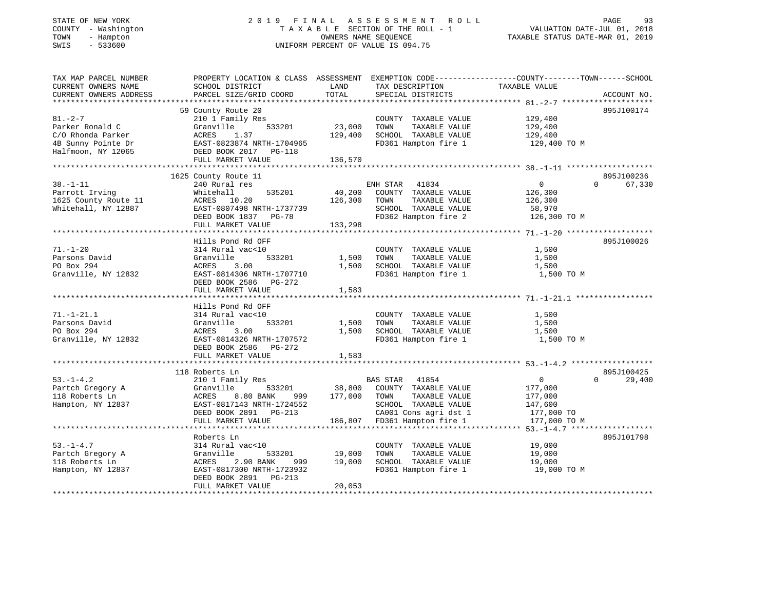# STATE OF NEW YORK 2 0 1 9 F I N A L A S S E S S M E N T R O L L PAGE 93 COUNTY - Washington T A X A B L E SECTION OF THE ROLL - 1 VALUATION DATE-JUL 01, 2018 TOWN - Hampton OWNERS NAME SEQUENCE TAXABLE STATUS DATE-MAR 01, 2019 SWIS - 533600 UNIFORM PERCENT OF VALUE IS 094.75

| TAX MAP PARCEL NUMBER  | PROPERTY LOCATION & CLASS ASSESSMENT EXEMPTION CODE----------------COUNTY-------TOWN-----SCHOOL |               |                                                       |                |                    |
|------------------------|-------------------------------------------------------------------------------------------------|---------------|-------------------------------------------------------|----------------|--------------------|
| CURRENT OWNERS NAME    | SCHOOL DISTRICT                                                                                 | LAND          | TAX DESCRIPTION                                       | TAXABLE VALUE  |                    |
| CURRENT OWNERS ADDRESS | PARCEL SIZE/GRID COORD                                                                          | TOTAL         | SPECIAL DISTRICTS                                     |                | ACCOUNT NO.        |
|                        |                                                                                                 |               |                                                       |                |                    |
|                        | 59 County Route 20                                                                              |               |                                                       |                | 895J100174         |
| $81. - 2 - 7$          | 210 1 Family Res                                                                                |               | COUNTY TAXABLE VALUE                                  | 129,400        |                    |
| Parker Ronald C        | 533201<br>Granville                                                                             | 23,000        | TAXABLE VALUE<br>TOWN                                 | 129,400        |                    |
| C/O Rhonda Parker      | 1.37<br>ACRES                                                                                   | 129,400       | SCHOOL TAXABLE VALUE                                  | 129,400        |                    |
| 4B Sunny Pointe Dr     | EAST-0823874 NRTH-1704965                                                                       |               | FD361 Hampton fire 1                                  | 129,400 TO M   |                    |
| Halfmoon, NY 12065     | DEED BOOK 2017 PG-118                                                                           |               |                                                       |                |                    |
|                        | FULL MARKET VALUE                                                                               | 136,570       |                                                       |                |                    |
|                        |                                                                                                 |               |                                                       |                |                    |
|                        | 1625 County Route 11                                                                            |               |                                                       |                | 895J100236         |
| $38. - 1 - 11$         | 240 Rural res                                                                                   |               | ENH STAR 41834                                        | 0              | $\Omega$<br>67,330 |
| Parrott Irving         | 535201<br>Whitehall                                                                             | 40,200        | COUNTY TAXABLE VALUE                                  | 126,300        |                    |
| 1625 County Route 11   | ACRES 10.20                                                                                     | 126,300       | TOWN<br>TAXABLE VALUE                                 | 126,300        |                    |
| Whitehall, NY 12887    | RURES<br>EAST-0807498 NRTH-1737739<br>CEER BOOK 1837 PG-78                                      |               | SCHOOL TAXABLE VALUE                                  | 58,970         |                    |
|                        |                                                                                                 |               | FD362 Hampton fire 2                                  | 126,300 TO M   |                    |
|                        | FULL MARKET VALUE                                                                               | 133,298       |                                                       |                |                    |
|                        |                                                                                                 |               |                                                       |                |                    |
|                        |                                                                                                 |               |                                                       |                | 895J100026         |
|                        | Hills Pond Rd OFF                                                                               |               |                                                       |                |                    |
| $71. - 1 - 20$         | 314 Rural vac<10                                                                                |               | COUNTY TAXABLE VALUE                                  | 1,500          |                    |
| Parsons David          | 533201<br>Granville                                                                             | 1,500         | TOWN<br>TAXABLE VALUE                                 | 1,500          |                    |
| PO Box 294             | 3.00<br>ACRES                                                                                   | 1,500         | SCHOOL TAXABLE VALUE                                  | 1,500          |                    |
| Granville, NY 12832    | EAST-0814306 NRTH-1707710                                                                       |               | FD361 Hampton fire 1                                  | 1,500 TO M     |                    |
|                        | DEED BOOK 2586 PG-272                                                                           |               |                                                       |                |                    |
|                        | FULL MARKET VALUE                                                                               | 1,583         |                                                       |                |                    |
|                        |                                                                                                 |               |                                                       |                |                    |
|                        | Hills Pond Rd OFF                                                                               |               |                                                       |                |                    |
| $71. - 1 - 21.1$       | 314 Rural vac<10                                                                                |               | COUNTY TAXABLE VALUE                                  | 1,500          |                    |
| Parsons David          | 533201<br>Granville                                                                             | 1,500         | TAXABLE VALUE<br>TOWN                                 | 1,500          |                    |
| PO Box 294             | 3.00<br>ACRES                                                                                   | 1,500         | SCHOOL TAXABLE VALUE                                  | 1,500          |                    |
| Granville, NY 12832    | EAST-0814326 NRTH-1707572                                                                       |               | FD361 Hampton fire 1                                  | 1,500 TO M     |                    |
|                        | DEED BOOK 2586 PG-272                                                                           |               |                                                       |                |                    |
|                        | FULL MARKET VALUE                                                                               | 1,583         |                                                       |                |                    |
|                        |                                                                                                 |               |                                                       |                |                    |
|                        | 118 Roberts Ln                                                                                  |               |                                                       |                | 895J100425         |
| $53. - 1 - 4.2$        | 210 1 Family Res                                                                                |               | <b>BAS STAR</b><br>41854                              | $\overline{0}$ | $\Omega$<br>29,400 |
| Partch Gregory A       | 533201<br>Granville                                                                             | 38,800        | COUNTY TAXABLE VALUE                                  | 177,000        |                    |
| 118 Roberts Ln         | ACRES<br>8.80 BANK<br>999                                                                       | 177,000       | TAXABLE VALUE<br>TOWN                                 | 177,000        |                    |
| Hampton, NY 12837      | EAST-0817143 NRTH-1724552                                                                       |               | SCHOOL TAXABLE VALUE                                  | 147,600        |                    |
|                        | DEED BOOK 2891 PG-213                                                                           |               |                                                       | 177,000 TO     |                    |
|                        | FULL MARKET VALUE                                                                               |               | CA001 Cons agri dst 1<br>186,807 FD361 Hampton fire 1 | 177,000 TO M   |                    |
|                        |                                                                                                 |               |                                                       |                |                    |
|                        | Roberts Ln                                                                                      |               |                                                       |                | 895J101798         |
| $53. - 1 - 4.7$        | 314 Rural vac<10                                                                                |               | COUNTY TAXABLE VALUE                                  | 19,000         |                    |
| Partch Gregory A       | Granville                                                                                       | 533201 19,000 | TOWN<br>TAXABLE VALUE                                 | 19,000         |                    |
| 118 Roberts Ln         | ACRES<br>2.90 BANK<br>999                                                                       | 19,000        | SCHOOL TAXABLE VALUE                                  | 19,000         |                    |
| Hampton, NY 12837      | EAST-0817300 NRTH-1723932                                                                       |               | FD361 Hampton fire 1                                  | 19,000 TO M    |                    |
|                        | DEED BOOK 2891<br>$PG-213$                                                                      |               |                                                       |                |                    |
|                        | FULL MARKET VALUE                                                                               | 20,053        |                                                       |                |                    |
|                        |                                                                                                 |               |                                                       |                |                    |
|                        |                                                                                                 |               |                                                       |                |                    |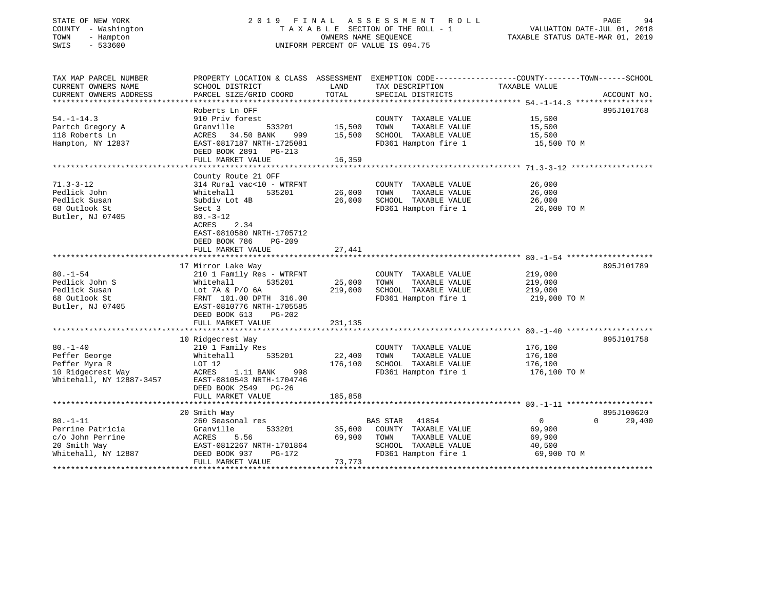#### STATE OF NEW YORK 2 0 1 9 F I N A L A S S E S S M E N T R O L L PAGE 94 COUNTY - Washington T A X A B L E SECTION OF THE ROLL - 1 VALUATION DATE-JUL 01, 2018 TOWN - Hampton OWNERS NAME SEQUENCE TAXABLE STATUS DATE-MAR 01, 2019 SWIS - 533600 UNIFORM PERCENT OF VALUE IS 094.75

| TAX MAP PARCEL NUMBER    | PROPERTY LOCATION & CLASS ASSESSMENT EXEMPTION CODE---------------COUNTY-------TOWN-----SCHOOL |         |                          |               |                    |
|--------------------------|------------------------------------------------------------------------------------------------|---------|--------------------------|---------------|--------------------|
| CURRENT OWNERS NAME      | SCHOOL DISTRICT                                                                                | LAND    | TAX DESCRIPTION          | TAXABLE VALUE |                    |
| CURRENT OWNERS ADDRESS   | PARCEL SIZE/GRID COORD                                                                         | TOTAL   | SPECIAL DISTRICTS        |               | ACCOUNT NO.        |
|                          |                                                                                                |         |                          |               |                    |
|                          | Roberts Ln OFF                                                                                 |         |                          |               | 895J101768         |
| $54. - 1 - 14.3$         | 910 Priv forest                                                                                |         | COUNTY TAXABLE VALUE     | 15,500        |                    |
| Partch Gregory A         | Granville<br>533201                                                                            | 15,500  | TOWN<br>TAXABLE VALUE    | 15,500        |                    |
| 118 Roberts Ln           | ACRES<br>34.50 BANK<br>999                                                                     | 15,500  | SCHOOL TAXABLE VALUE     | 15,500        |                    |
| Hampton, NY 12837        | EAST-0817187 NRTH-1725081                                                                      |         | FD361 Hampton fire 1     | 15,500 TO M   |                    |
|                          | DEED BOOK 2891<br>$PG-213$                                                                     |         |                          |               |                    |
|                          | FULL MARKET VALUE                                                                              | 16,359  |                          |               |                    |
|                          |                                                                                                |         |                          |               |                    |
|                          | County Route 21 OFF                                                                            |         |                          |               |                    |
| $71.3 - 3 - 12$          | 314 Rural vac<10 - WTRFNT                                                                      |         | COUNTY TAXABLE VALUE     | 26,000        |                    |
| Pedlick John             | Whitehall<br>535201                                                                            | 26,000  | TOWN<br>TAXABLE VALUE    | 26,000        |                    |
| Pedlick Susan            | Subdiv Lot 4B                                                                                  | 26,000  | SCHOOL TAXABLE VALUE     | 26,000        |                    |
| 68 Outlook St            | Sect 3                                                                                         |         | FD361 Hampton fire 1     | 26,000 TO M   |                    |
| Butler, NJ 07405         | $80. - 3 - 12$                                                                                 |         |                          |               |                    |
|                          | 2.34<br>ACRES                                                                                  |         |                          |               |                    |
|                          | EAST-0810580 NRTH-1705712                                                                      |         |                          |               |                    |
|                          | DEED BOOK 786<br>$PG-209$                                                                      |         |                          |               |                    |
|                          | FULL MARKET VALUE                                                                              | 27,441  |                          |               |                    |
|                          |                                                                                                |         |                          |               |                    |
|                          | 17 Mirror Lake Way                                                                             |         |                          |               | 895J101789         |
| $80. - 1 - 54$           | 210 1 Family Res - WTRFNT                                                                      |         | COUNTY TAXABLE VALUE     | 219,000       |                    |
| Pedlick John S           | Whitehall<br>535201                                                                            | 25,000  | TOWN<br>TAXABLE VALUE    | 219,000       |                    |
| Pedlick Susan            | Lot 7A & P/O 6A                                                                                | 219,000 | SCHOOL TAXABLE VALUE     | 219,000       |                    |
| 68 Outlook St            |                                                                                                |         | FD361 Hampton fire 1     | 219,000 TO M  |                    |
| Butler, NJ 07405         | FRNT 101.00 DPTH 316.00<br>EAST-0810776 NRTH-1705585                                           |         |                          |               |                    |
|                          | $PG-202$                                                                                       |         |                          |               |                    |
|                          | DEED BOOK 613                                                                                  |         |                          |               |                    |
|                          | FULL MARKET VALUE                                                                              | 231,135 |                          |               |                    |
|                          |                                                                                                |         |                          |               |                    |
|                          | 10 Ridgecrest Way                                                                              |         |                          |               | 895J101758         |
| $80. - 1 - 40$           | 210 1 Family Res                                                                               |         | COUNTY TAXABLE VALUE     | 176,100       |                    |
| Peffer George            | 535201<br>Whitehall                                                                            | 22,400  | TOWN<br>TAXABLE VALUE    | 176,100       |                    |
| Peffer Myra R            | LOT 12                                                                                         | 176,100 | SCHOOL TAXABLE VALUE     | 176,100       |                    |
| 10 Ridgecrest Way        | ACRES<br>1.11 BANK<br>998                                                                      |         | FD361 Hampton fire 1     | 176,100 TO M  |                    |
| Whitehall, NY 12887-3457 | EAST-0810543 NRTH-1704746                                                                      |         |                          |               |                    |
|                          | DEED BOOK 2549 PG-26                                                                           |         |                          |               |                    |
|                          | FULL MARKET VALUE                                                                              | 185,858 |                          |               |                    |
|                          |                                                                                                |         |                          |               |                    |
|                          | 20 Smith Way                                                                                   |         |                          |               | 895J100620         |
| $80. - 1 - 11$           | 260 Seasonal res                                                                               |         | <b>BAS STAR</b><br>41854 | $\Omega$      | 29,400<br>$\Omega$ |
| Perrine Patricia         | 533201<br>Granville                                                                            | 35,600  | COUNTY TAXABLE VALUE     | 69,900        |                    |
| c/o John Perrine         | 5.56<br>ACRES                                                                                  | 69,900  | TAXABLE VALUE<br>TOWN    | 69,900        |                    |
| 20 Smith Way             | EAST-0812267 NRTH-1701864                                                                      |         | SCHOOL TAXABLE VALUE     | 40,500        |                    |
| Whitehall, NY 12887      | DEED BOOK 937<br>PG-172                                                                        |         | FD361 Hampton fire 1     | 69,900 TO M   |                    |
|                          | FULL MARKET VALUE                                                                              | 73,773  |                          |               |                    |
|                          |                                                                                                |         |                          |               |                    |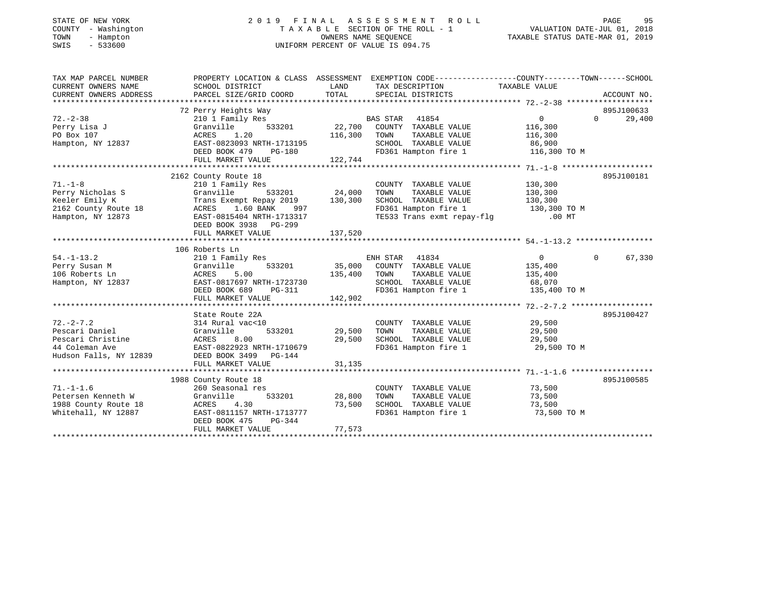# STATE OF NEW YORK 2 0 1 9 F I N A L A S S E S S M E N T R O L L PAGE 95 COUNTY - Washington T A X A B L E SECTION OF THE ROLL - 1 VALUATION DATE-JUL 01, 2018 TOWN - Hampton OWNERS NAME SEQUENCE TAXABLE STATUS DATE-MAR 01, 2019 SWIS - 533600 UNIFORM PERCENT OF VALUE IS 094.75

| TAX MAP PARCEL NUMBER                                    | PROPERTY LOCATION & CLASS ASSESSMENT EXEMPTION CODE---------------COUNTY-------TOWN-----SCHOOL |                     |                                                                   |                       |                    |
|----------------------------------------------------------|------------------------------------------------------------------------------------------------|---------------------|-------------------------------------------------------------------|-----------------------|--------------------|
| CURRENT OWNERS NAME                                      | SCHOOL DISTRICT                                                                                | LAND                | TAX DESCRIPTION TAXABLE VALUE                                     |                       |                    |
| CURRENT OWNERS ADDRESS                                   | PARCEL SIZE/GRID COORD                                                                         | TOTAL               | SPECIAL DISTRICTS                                                 |                       | ACCOUNT NO.        |
|                                                          |                                                                                                |                     |                                                                   |                       |                    |
|                                                          |                                                                                                |                     |                                                                   |                       | 895J100633         |
| $72. - 2 - 38$                                           |                                                                                                |                     |                                                                   | $\overline{0}$        | 29,400<br>$\Omega$ |
| Perry Lisa J                                             |                                                                                                |                     |                                                                   | 116,300               |                    |
| PO Box 107                                               | 1.20<br>ACRES                                                                                  | 116,300 TOWN        | TAXABLE VALUE 116,300                                             |                       |                    |
| Hampton, NY 12837                                        | EAST-0823093 NRTH-1713195                                                                      |                     | SCHOOL TAXABLE VALUE 86,900                                       |                       |                    |
|                                                          | DEED BOOK 479<br>PG-180                                                                        |                     | FD361 Hampton fire 1                                              | 116,300 TO M          |                    |
|                                                          | FULL MARKET VALUE                                                                              | 122,744             |                                                                   |                       |                    |
|                                                          |                                                                                                |                     |                                                                   |                       |                    |
|                                                          | 2162 County Route 18                                                                           |                     |                                                                   |                       | 895J100181         |
| $71. - 1 - 8$                                            | 210 1 Family Res                                                                               |                     | COUNTY TAXABLE VALUE 130,300                                      |                       |                    |
| Perry Nicholas S                                         |                                                                                                |                     | TOWN                                                              | TAXABLE VALUE 130,300 |                    |
| Keeler Emily K<br>Keeler Emily K<br>2162 County Route 18 | Granville 533201 24,000<br>Trans Exempt Repay 2019 130,300<br>ACRES 1.60 BANK 997              |                     | SCHOOL TAXABLE VALUE 130,300<br>FD361 Hampton fire 1 130,300 TO M |                       |                    |
|                                                          |                                                                                                |                     |                                                                   |                       |                    |
| Hampton, NY 12873                                        | EAST-0815404 NRTH-1713317                                                                      |                     | TE533 Trans exmt repay-flg .00 MT                                 |                       |                    |
|                                                          | DEED BOOK 3938 PG-299                                                                          |                     |                                                                   |                       |                    |
|                                                          |                                                                                                |                     |                                                                   |                       |                    |
|                                                          |                                                                                                |                     |                                                                   |                       |                    |
|                                                          | 106 Roberts Ln                                                                                 |                     |                                                                   |                       |                    |
| $54. - 1 - 13.2$                                         | 210 1 Family Res                                                                               |                     | ENH STAR 41834<br>533201 35,000 COUNTY TAXABLE VALUE 135,400      | $\overline{0}$        | 67,330<br>$\Omega$ |
| Perry Susan M                                            | Granville                                                                                      |                     |                                                                   |                       |                    |
| 106 Roberts Ln<br>106 Roberts Ln<br>Hampton, NY 12837    | ACRES<br>EAST-0<br>5.00<br>EAST-0817697 NRTH-1723730                                           | 135,400             | TOWN<br>TOWN TAXABLE VALUE 135,400<br>SCHOOL TAXABLE VALUE 68,070 |                       |                    |
|                                                          |                                                                                                | H-1723730<br>PG-311 | FD361 Hampton fire 1 135,400 TO M                                 |                       |                    |
|                                                          | DEED BOOK 689<br>FULL MARKET VALUE                                                             | 142,902             |                                                                   |                       |                    |
|                                                          |                                                                                                |                     |                                                                   |                       |                    |
|                                                          | State Route 22A                                                                                |                     |                                                                   |                       | 895J100427         |
| $72. - 2 - 7.2$                                          | 314 Rural vac<10                                                                               |                     | COUNTY TAXABLE VALUE                                              |                       |                    |
|                                                          | 533201                                                                                         | 29,500              | TAXABLE VALUE<br>TOWN                                             | $\frac{29}{29}$ , 500 |                    |
|                                                          |                                                                                                | 29,500              | SCHOOL TAXABLE VALUE 29,500                                       |                       |                    |
|                                                          |                                                                                                |                     | FD361 Hampton fire 1 29,500 TO M                                  |                       |                    |
|                                                          |                                                                                                |                     |                                                                   |                       |                    |
|                                                          | FULL MARKET VALUE                                                                              | 31,135              |                                                                   |                       |                    |
|                                                          |                                                                                                |                     |                                                                   |                       |                    |
|                                                          | 1988 County Route 18                                                                           |                     |                                                                   |                       | 895J100585         |
| $71. - 1 - 1.6$                                          | 260 Seasonal res                                                                               |                     | COUNTY TAXABLE VALUE 73,500                                       |                       |                    |
| Petersen Kenneth W                                       | Granville                                                                                      | 533201 28,800       | TOWN<br>TAXABLE VALUE                                             | 73,500                |                    |
| 1988 County Route 18                                     | ACRES 4.30                                                                                     | 73,500              |                                                                   | 73,500                |                    |
| Whitehall, NY 12887                                      | ACRES 4.30<br>EAST-0811157 NRTH-1713777                                                        |                     | SCHOOL TAXABLE VALUE<br>FD361 Hampton fire 1                      | 73,500 TO M           |                    |
|                                                          | DEED BOOK 475<br>PG-344                                                                        |                     |                                                                   |                       |                    |
|                                                          | FULL MARKET VALUE                                                                              | 77,573              |                                                                   |                       |                    |
|                                                          |                                                                                                |                     |                                                                   |                       |                    |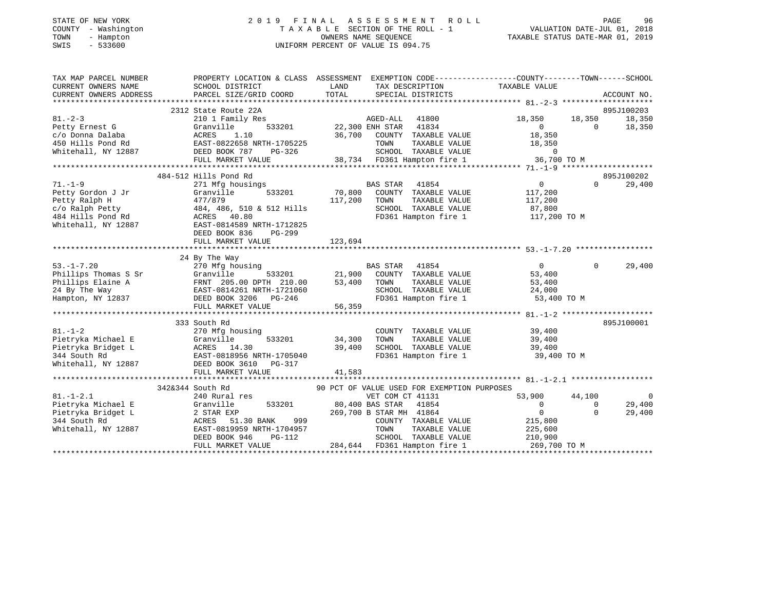## STATE OF NEW YORK 2 0 1 9 F I N A L A S S E S S M E N T R O L L PAGE 96 COUNTY - Washington T A X A B L E SECTION OF THE ROLL - 1 VALUATION DATE-JUL 01, 2018 TOWN - Hampton OWNERS NAME SEQUENCE TAXABLE STATUS DATE-MAR 01, 2019 SWIS - 533600 UNIFORM PERCENT OF VALUE IS 094.75

| TAX MAP PARCEL NUMBER       | PROPERTY LOCATION & CLASS ASSESSMENT EXEMPTION CODE----------------COUNTY-------TOWN------SCHOOL                                                                                                                                            |                        |                                                                             |                          |                      |               |
|-----------------------------|---------------------------------------------------------------------------------------------------------------------------------------------------------------------------------------------------------------------------------------------|------------------------|-----------------------------------------------------------------------------|--------------------------|----------------------|---------------|
| CURRENT OWNERS NAME         | SCHOOL DISTRICT                                                                                                                                                                                                                             |                        | LAND TAX DESCRIPTION                                                        | TAXABLE VALUE            |                      |               |
| CURRENT OWNERS ADDRESS      | PARCEL SIZE/GRID COORD TOTAL SPECIAL DISTRICTS                                                                                                                                                                                              |                        |                                                                             |                          |                      | ACCOUNT NO.   |
|                             |                                                                                                                                                                                                                                             |                        |                                                                             |                          |                      |               |
|                             | 2312 State Route 22A                                                                                                                                                                                                                        |                        |                                                                             |                          |                      | 895J100203    |
| $81 - 2 - 3$                | 210 1 Family Res                                                                                                                                                                                                                            |                        |                                                                             | 18,350 18,350            |                      | 18,350        |
|                             |                                                                                                                                                                                                                                             |                        |                                                                             |                          |                      |               |
|                             |                                                                                                                                                                                                                                             |                        |                                                                             |                          |                      |               |
|                             |                                                                                                                                                                                                                                             |                        |                                                                             |                          |                      |               |
|                             |                                                                                                                                                                                                                                             |                        |                                                                             |                          |                      |               |
|                             |                                                                                                                                                                                                                                             |                        |                                                                             |                          |                      |               |
|                             |                                                                                                                                                                                                                                             |                        |                                                                             |                          |                      |               |
|                             | 484-512 Hills Pond Rd                                                                                                                                                                                                                       |                        |                                                                             |                          |                      | 895J100202    |
| $71. - 1 - 9$               | 271 Mfg housings                                                                                                                                                                                                                            |                        | usings 633201 633201 633201 633201 633201 633201 633201 633201 634          |                          | $\Omega$             | 29,400        |
| Petty Gordon J Jr Granville |                                                                                                                                                                                                                                             |                        |                                                                             |                          |                      |               |
|                             |                                                                                                                                                                                                                                             | 117,200 TOWN           | TAXABLE VALUE                                                               | 117,200<br>87,800        |                      |               |
|                             |                                                                                                                                                                                                                                             |                        | SCHOOL TAXABLE VALUE                                                        |                          |                      |               |
|                             |                                                                                                                                                                                                                                             |                        | FD361 Hampton fire 1 117,200 TO M                                           |                          |                      |               |
|                             | Petty Ralph H $\begin{array}{lll} 477/879 \\ 2/0 & \text{Ralph Petty} \end{array}$<br>484, 486, 510 & 512 Hills<br>484 Hills Pond Rd ACRES 40.80<br>484 Hills Pond Rd ACRES 40.80<br>485T-0814589 NRTH-1712825<br>2825 DEED BOOK 836 PG-299 |                        |                                                                             |                          |                      |               |
|                             |                                                                                                                                                                                                                                             |                        |                                                                             |                          |                      |               |
|                             |                                                                                                                                                                                                                                             |                        |                                                                             |                          |                      |               |
|                             |                                                                                                                                                                                                                                             |                        |                                                                             |                          |                      |               |
|                             | 24 By The Way                                                                                                                                                                                                                               |                        |                                                                             |                          |                      |               |
| $53. -1 - 7.20$             |                                                                                                                                                                                                                                             |                        | ising<br>533201 633201 21,900 COUNTY TAXABLE VALUE                          | $\overline{0}$           |                      | 29,400        |
|                             |                                                                                                                                                                                                                                             |                        |                                                                             |                          |                      |               |
|                             |                                                                                                                                                                                                                                             |                        |                                                                             |                          |                      |               |
|                             |                                                                                                                                                                                                                                             |                        |                                                                             |                          |                      |               |
|                             |                                                                                                                                                                                                                                             |                        |                                                                             |                          |                      |               |
|                             |                                                                                                                                                                                                                                             |                        |                                                                             |                          |                      |               |
|                             |                                                                                                                                                                                                                                             |                        |                                                                             |                          |                      |               |
|                             | 333 South Rd                                                                                                                                                                                                                                |                        | COUNTY TAXABLE VALUE 39,400                                                 |                          |                      | 895J100001    |
| $81. - 1 - 2$               | 270 Mfg housing                                                                                                                                                                                                                             |                        |                                                                             |                          |                      |               |
|                             |                                                                                                                                                                                                                                             |                        |                                                                             |                          |                      |               |
|                             |                                                                                                                                                                                                                                             |                        |                                                                             |                          |                      |               |
|                             |                                                                                                                                                                                                                                             |                        |                                                                             |                          |                      |               |
|                             | Fietryka Michael E<br>Pietryka Bridget L (Franville 533201)<br>Pietryka Bridget L (Franville 533201)<br>239,400<br>244 South Rd EAST-0818956 NRTH-1705040<br>Whitehall, NY 12887 DEED BOOK 3610 PG-317<br>THE SOLUTE SONG SCHOOL TAXABLE V  |                        |                                                                             |                          |                      |               |
|                             |                                                                                                                                                                                                                                             |                        |                                                                             |                          |                      |               |
|                             |                                                                                                                                                                                                                                             |                        |                                                                             |                          |                      |               |
| $81. - 1 - 2.1$             | 342&344 South Rd                                                                                                                                                                                                                            |                        | 90 PCT OF VALUE USED FOR EXEMPTION PURPOSES<br>$V_{\text{RF}}$ com ct 41131 |                          |                      |               |
|                             | 240 Rural res                                                                                                                                                                                                                               |                        | VET COM CT 41131                                                            | 53,900<br>$\overline{0}$ | 44,100<br>$\bigcirc$ | - 0<br>29,400 |
|                             |                                                                                                                                                                                                                                             |                        | 533201 80,400 BAS STAR 41854                                                | $\overline{0}$           |                      |               |
|                             | 81.-1-2.1<br>Pietryka Michael E Granville 533201<br>Pietryka Bridget L 2 STAR EXP<br>344 South Rd ACRES 51.30 BANK 999<br>Whitehall, NY 12887<br>EAST-0819959 NRTH-1704957<br>FREET BOOK 946 PG-112                                         |                        | 269,700 B STAR MH 41864<br>COUNTY TAXABLE                                   |                          | $\Omega$             | 29,400        |
|                             |                                                                                                                                                                                                                                             |                        | COUNTY TAXABLE VALUE 215,800                                                |                          |                      |               |
|                             |                                                                                                                                                                                                                                             | $11 - 10490$<br>PG-112 |                                                                             |                          |                      |               |
|                             | DEED BOOK 946                                                                                                                                                                                                                               |                        | 284,644 FD361 Hampton fire 1                                                | 269,700 TO M             |                      |               |
|                             | FULL MARKET VALUE                                                                                                                                                                                                                           |                        |                                                                             |                          |                      |               |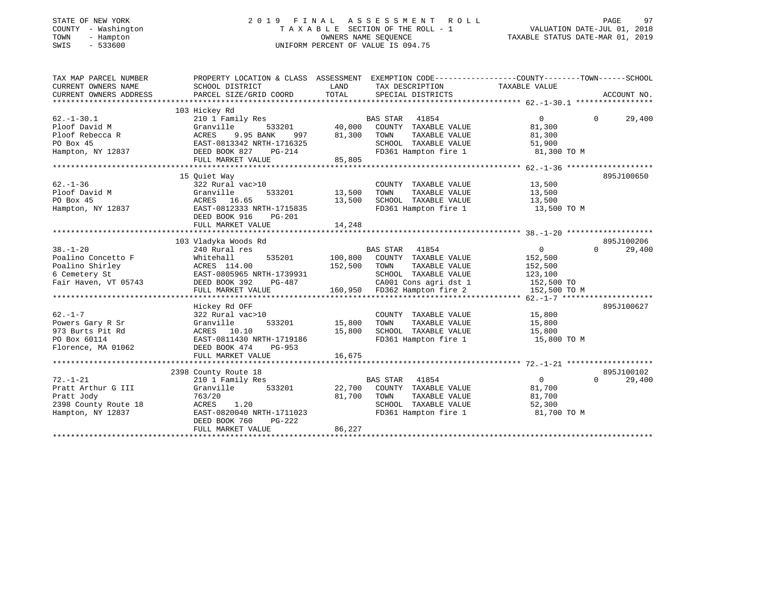### STATE OF NEW YORK 2 0 1 9 F I N A L A S S E S S M E N T R O L L PAGE 97 COUNTY - Washington T A X A B L E SECTION OF THE ROLL - 1 VALUATION DATE-JUL 01, 2018 TOWN - Hampton OWNERS NAME SEQUENCE TAXABLE STATUS DATE-MAR 01, 2019 SWIS - 533600 UNIFORM PERCENT OF VALUE IS 094.75

| PROPERTY LOCATION & CLASS ASSESSMENT EXEMPTION CODE---------------COUNTY-------TOWN------SCHOOL<br>TAX MAP PARCEL NUMBER                                                              |                        |
|---------------------------------------------------------------------------------------------------------------------------------------------------------------------------------------|------------------------|
| CURRENT OWNERS NAME<br>SCHOOL DISTRICT<br>LAND<br>TAX DESCRIPTION<br>TAXABLE VALUE                                                                                                    |                        |
| TOTAL<br>CURRENT OWNERS ADDRESS<br>PARCEL SIZE/GRID COORD<br>SPECIAL DISTRICTS                                                                                                        | ACCOUNT NO.            |
|                                                                                                                                                                                       |                        |
| 103 Hickey Rd                                                                                                                                                                         |                        |
| 210 1 Family Res<br>$62. - 1 - 30.1$<br>BAS STAR 41854<br>$\overline{0}$                                                                                                              | 29,400<br>$\Omega$     |
| Ploof David M<br>533201<br>40,000 COUNTY TAXABLE VALUE<br>81,300<br>Granville                                                                                                         |                        |
| 9.95 BANK<br>Ploof Rebecca R<br>ACRES<br>997<br>81,300<br>TOWN<br>TAXABLE VALUE<br>81,300                                                                                             |                        |
| SCHOOL TAXABLE VALUE<br>51,900                                                                                                                                                        |                        |
| PO Box 45<br>Hampton, NY 12837<br>Hampton, NY 12837<br>SEED BOOK 827 PG-214<br>The Contract Section PG-214<br>FD361 Hampton fire 1<br>81,300 TO M                                     |                        |
| FULL MARKET VALUE<br>85,805                                                                                                                                                           |                        |
|                                                                                                                                                                                       |                        |
| 15 Ouiet Way                                                                                                                                                                          | 895J100650             |
| $62 - 1 - 36$<br>COUNTY TAXABLE VALUE 13,500<br>322 Rural vac>10                                                                                                                      |                        |
| 533201 13,500<br>Ploof David M<br>Granville<br>TOWN<br>TAXABLE VALUE<br>13,500                                                                                                        |                        |
| PO Box 45<br>SCHOOL TAXABLE VALUE<br>FD361 Hampton fire 1<br>$\frac{13}{500}$<br>EAST-0812333 NRTH-1715835<br>DEED DOOL 11<br>13,500<br>13,500 TO M<br>PO Box 45<br>Hampton, NY 12837 |                        |
|                                                                                                                                                                                       |                        |
| DEED BOOK 916<br>PG-201                                                                                                                                                               |                        |
| 14,248<br>FULL MARKET VALUE                                                                                                                                                           |                        |
|                                                                                                                                                                                       |                        |
| 103 Vladyka Woods Rd                                                                                                                                                                  | 895J100206             |
| $38. - 1 - 20$<br>$\overline{0}$<br>240 Rural res<br>BAS STAR 41854<br>BAS STAR 41854<br>535201 100,800 COUNTY TAXABLE VALUE                                                          | 29,400<br>$\Omega$     |
| Poalino Concetto F<br>152,500<br>Whitehall                                                                                                                                            |                        |
| Poalino Shirley<br>152,500 TOWN<br>TAXABLE VALUE<br>152,500                                                                                                                           |                        |
| 6 Cemetery St<br>Fair Haven, VT 05743<br>PG-487<br>PG-487                                                                                                                             |                        |
| 739931 SCHOOL TAXABLE VALUE 123,100<br>-487 CA001 Cons agri dst 1 152,500 TO<br>160,950 FD362 Hampton fire 2 152,500 TO M                                                             |                        |
| FULL MARKET VALUE                                                                                                                                                                     |                        |
|                                                                                                                                                                                       |                        |
| Hickey Rd OFF                                                                                                                                                                         | 895J100627             |
| $62. -1 - 7$<br>COUNTY TAXABLE VALUE 15,800<br>322 Rural vac>10                                                                                                                       |                        |
| Powers Gary R Sr<br>533201 15,800<br>TAXABLE VALUE<br>Granville<br>TOWN<br>15,800                                                                                                     |                        |
| SCHOOL TAXABLE VALUE<br>973 Burts Pit Rd<br>ACRES 10.10<br>15,800<br>15,800<br>FD361 Hampton fire 1 15,800 TO M                                                                       |                        |
| EAST-0811430 NRTH-1719186<br>PO Box 60114                                                                                                                                             |                        |
| Florence, MA 01062<br>DEED BOOK 474<br>PG-953                                                                                                                                         |                        |
| 16,675<br>FULL MARKET VALUE                                                                                                                                                           |                        |
|                                                                                                                                                                                       |                        |
| 2398 County Route 18<br>$\overline{0}$                                                                                                                                                | 895J100102<br>$\Omega$ |
| $72. - 1 - 21$<br>BAS STAR 41854<br>210 1 Family Res<br>533201<br>22,700 COUNTY TAXABLE VALUE                                                                                         | 29,400                 |
| Pratt Arthur G III<br>Granville<br>81,700                                                                                                                                             |                        |
| 81,700 TOWN<br>TAXABLE VALUE<br>Pratt Jody<br>763/20<br>81,700                                                                                                                        |                        |
| 2398 County Route 18<br>ACRES 1.20<br>SCHOOL TAXABLE VALUE<br>FD361 Hampton fire 1<br>52,300<br>EAST-0820040 NRTH-1711023                                                             |                        |
| Hampton, NY 12837<br>81,700 TO M                                                                                                                                                      |                        |
| DEED BOOK 760<br>PG-222<br>86,227                                                                                                                                                     |                        |
| FULL MARKET VALUE                                                                                                                                                                     |                        |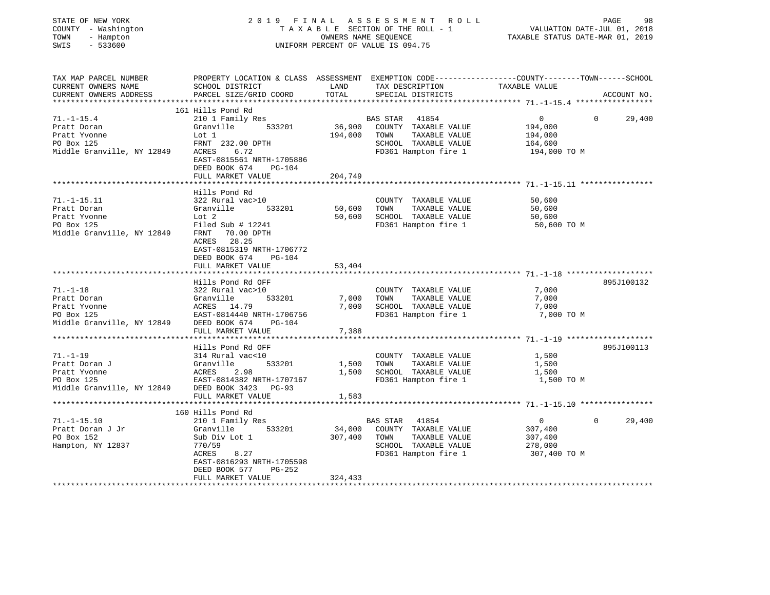| STATE OF NEW YORK<br>COUNTY - Washington<br>- Hampton<br>TOWN<br>$-533600$<br>SWIS                 | 2019 FINAL<br>TAXABLE SECTION OF THE ROLL - 1<br>UNIFORM PERCENT OF VALUE IS 094.75              | PAGE<br>VALUATION DATE-JUL 01, 2018<br>TAXABLE STATUS DATE-MAR 01, 2019 | 98                                           |                                                                                                                        |             |
|----------------------------------------------------------------------------------------------------|--------------------------------------------------------------------------------------------------|-------------------------------------------------------------------------|----------------------------------------------|------------------------------------------------------------------------------------------------------------------------|-------------|
| TAX MAP PARCEL NUMBER<br>CURRENT OWNERS NAME<br>CURRENT OWNERS ADDRESS<br>************************ | SCHOOL DISTRICT<br>PARCEL SIZE/GRID COORD                                                        | LAND<br>TOTAL                                                           | TAX DESCRIPTION<br>SPECIAL DISTRICTS         | PROPERTY LOCATION & CLASS ASSESSMENT EXEMPTION CODE---------------COUNTY-------TOWN-----SCHOOL<br><b>TAXABLE VALUE</b> | ACCOUNT NO. |
|                                                                                                    | 161 Hills Pond Rd                                                                                |                                                                         |                                              |                                                                                                                        |             |
| $71. - 1 - 15.4$                                                                                   | 210 1 Family Res                                                                                 |                                                                         | BAS STAR<br>41854                            | $\overline{0}$<br>0                                                                                                    | 29,400      |
| Pratt Doran                                                                                        | Granville<br>533201                                                                              | 36,900                                                                  | COUNTY TAXABLE VALUE                         | 194,000                                                                                                                |             |
| Pratt Yvonne                                                                                       | Lot 1                                                                                            | 194,000                                                                 | TOWN<br>TAXABLE VALUE                        | 194,000                                                                                                                |             |
| PO Box 125                                                                                         | FRNT 232.00 DPTH                                                                                 |                                                                         | SCHOOL TAXABLE VALUE                         | 164,600                                                                                                                |             |
| Middle Granville, NY 12849                                                                         | ACRES<br>6.72<br>EAST-0815561 NRTH-1705886<br>DEED BOOK 674<br>PG-104                            |                                                                         | FD361 Hampton fire 1                         | 194,000 TO M                                                                                                           |             |
|                                                                                                    | FULL MARKET VALUE                                                                                | 204,749                                                                 |                                              |                                                                                                                        |             |
|                                                                                                    |                                                                                                  |                                                                         |                                              |                                                                                                                        |             |
| $71. - 1 - 15.11$                                                                                  | Hills Pond Rd<br>322 Rural vac>10                                                                |                                                                         | COUNTY TAXABLE VALUE                         | 50,600                                                                                                                 |             |
| Pratt Doran                                                                                        | Granville<br>533201                                                                              | 50,600                                                                  | TAXABLE VALUE<br>TOWN                        | 50,600                                                                                                                 |             |
| Pratt Yvonne                                                                                       | Lot 2                                                                                            | 50,600                                                                  | SCHOOL TAXABLE VALUE                         | 50,600                                                                                                                 |             |
| PO Box 125                                                                                         | Filed Sub $# 12241$                                                                              |                                                                         | FD361 Hampton fire 1                         | 50,600 TO M                                                                                                            |             |
| Middle Granville, NY 12849                                                                         | FRNT<br>70.00 DPTH<br>ACRES 28.25<br>EAST-0815319 NRTH-1706772<br>DEED BOOK 674<br><b>PG-104</b> |                                                                         |                                              |                                                                                                                        |             |
|                                                                                                    | FULL MARKET VALUE                                                                                | 53,404                                                                  |                                              |                                                                                                                        |             |
|                                                                                                    |                                                                                                  |                                                                         |                                              |                                                                                                                        |             |
|                                                                                                    | Hills Pond Rd OFF                                                                                |                                                                         |                                              |                                                                                                                        | 895J100132  |
| $71. - 1 - 18$                                                                                     | 322 Rural vac>10                                                                                 |                                                                         | COUNTY TAXABLE VALUE                         | 7,000                                                                                                                  |             |
| Pratt Doran                                                                                        | Granville<br>533201                                                                              | 7,000                                                                   | TAXABLE VALUE<br>TOWN                        | 7,000                                                                                                                  |             |
| Pratt Yvonne<br>PO Box 125                                                                         | ACRES 14.79<br>EAST-0814440 NRTH-1706756                                                         | 7,000                                                                   | SCHOOL TAXABLE VALUE<br>FD361 Hampton fire 1 | 7,000<br>7,000 TO M                                                                                                    |             |
| Middle Granville, NY 12849                                                                         | DEED BOOK 674<br>PG-104                                                                          |                                                                         |                                              |                                                                                                                        |             |
|                                                                                                    | FULL MARKET VALUE                                                                                | 7,388                                                                   |                                              |                                                                                                                        |             |
|                                                                                                    |                                                                                                  |                                                                         |                                              | ********** 71. -1-19 ********************                                                                              |             |
|                                                                                                    | Hills Pond Rd OFF                                                                                |                                                                         |                                              |                                                                                                                        | 895J100113  |
| $71. - 1 - 19$                                                                                     | 314 Rural vac<10                                                                                 |                                                                         | COUNTY TAXABLE VALUE                         | 1,500                                                                                                                  |             |
| Pratt Doran J                                                                                      | Granville<br>533201                                                                              | 1,500                                                                   | TOWN<br>TAXABLE VALUE                        | 1,500                                                                                                                  |             |
| Pratt Yvonne                                                                                       | ACRES<br>2.98                                                                                    | 1,500                                                                   | SCHOOL TAXABLE VALUE                         | 1,500                                                                                                                  |             |
| PO Box 125<br>Middle Granville, NY 12849                                                           | EAST-0814382 NRTH-1707167<br>DEED BOOK 3423<br>$PG-93$                                           |                                                                         | FD361 Hampton fire 1                         | 1,500 TO M                                                                                                             |             |
|                                                                                                    | FULL MARKET VALUE                                                                                | 1,583                                                                   |                                              |                                                                                                                        |             |
|                                                                                                    |                                                                                                  |                                                                         |                                              |                                                                                                                        |             |
|                                                                                                    | 160 Hills Pond Rd                                                                                |                                                                         |                                              |                                                                                                                        |             |
| $71. -1 - 15.10$                                                                                   | 210 1 Family Res                                                                                 |                                                                         | <b>BAS STAR</b><br>41854                     | $\overline{0}$<br>$\Omega$                                                                                             | 29,400      |
| Pratt Doran J Jr                                                                                   | 533201<br>Granville                                                                              | 34,000                                                                  | COUNTY TAXABLE VALUE                         | 307,400                                                                                                                |             |
| PO Box 152                                                                                         | Sub Div Lot 1                                                                                    | 307,400                                                                 | TAXABLE VALUE<br>TOWN                        | 307,400                                                                                                                |             |
| Hampton, NY 12837                                                                                  | 770/59                                                                                           |                                                                         | SCHOOL TAXABLE VALUE                         | 278,000                                                                                                                |             |
|                                                                                                    | ACRES<br>8.27<br>EAST-0816293 NRTH-1705598                                                       |                                                                         | FD361 Hampton fire 1                         | 307,400 TO M                                                                                                           |             |
|                                                                                                    | $PG-252$<br>DEED BOOK 577                                                                        |                                                                         |                                              |                                                                                                                        |             |
|                                                                                                    | FULL MARKET VALUE                                                                                | 324,433                                                                 |                                              |                                                                                                                        |             |
| **********************                                                                             |                                                                                                  |                                                                         |                                              |                                                                                                                        |             |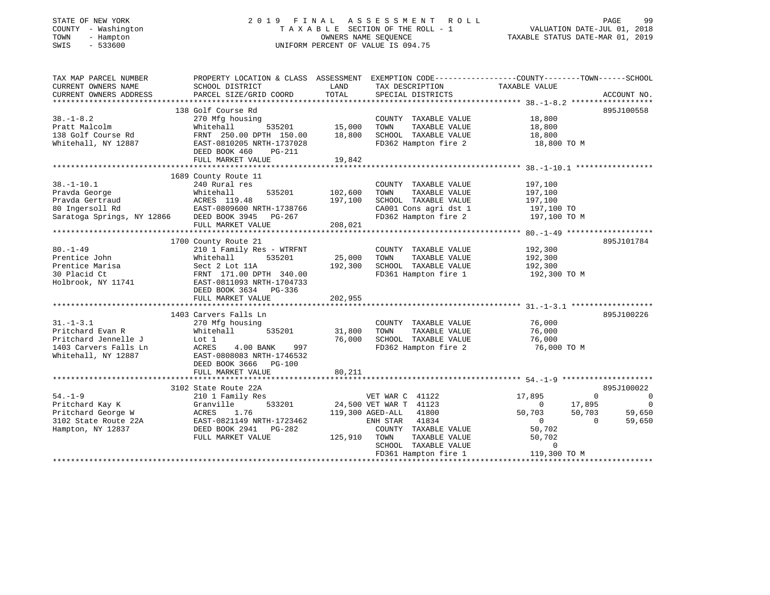| COUNTY - Washington<br>TOWN<br>- Hampton<br>$-533600$<br>SWIS | TAXABLE SECTION OF THE ROLL - 1<br>OWNERS NAME SEQUENCE<br>UNIFORM PERCENT OF VALUE IS 094.75    |                   |                                               | VALUATION DATE-JUL 01, 2018<br>TAXABLE STATUS DATE-MAR 01, 2019 |                            |
|---------------------------------------------------------------|--------------------------------------------------------------------------------------------------|-------------------|-----------------------------------------------|-----------------------------------------------------------------|----------------------------|
| TAX MAP PARCEL NUMBER                                         | PROPERTY LOCATION & CLASS ASSESSMENT EXEMPTION CODE----------------COUNTY-------TOWN------SCHOOL |                   |                                               |                                                                 |                            |
| CURRENT OWNERS NAME<br>CURRENT OWNERS ADDRESS                 | SCHOOL DISTRICT<br>PARCEL SIZE/GRID COORD                                                        | LAND<br>TOTAL     | TAX DESCRIPTION<br>SPECIAL DISTRICTS          | TAXABLE VALUE                                                   | ACCOUNT NO.                |
|                                                               |                                                                                                  |                   |                                               |                                                                 |                            |
|                                                               | 138 Golf Course Rd                                                                               |                   |                                               |                                                                 | 895J100558                 |
| $38. - 1 - 8.2$                                               | 270 Mfg housing                                                                                  |                   | COUNTY TAXABLE VALUE                          | 18,800                                                          |                            |
| Pratt Malcolm                                                 | 535201<br>Whitehall                                                                              | 15,000            | TAXABLE VALUE<br>TOWN                         | 18,800                                                          |                            |
| 138 Golf Course Rd                                            | FRNT 250.00 DPTH 150.00                                                                          | 18,800            | SCHOOL TAXABLE VALUE                          | 18,800                                                          |                            |
| Whitehall, NY 12887                                           | EAST-0810205 NRTH-1737028<br>DEED BOOK 460<br><b>PG-211</b>                                      |                   | FD362 Hampton fire 2                          | 18,800 TO M                                                     |                            |
|                                                               | FULL MARKET VALUE                                                                                | 19,842            |                                               |                                                                 |                            |
|                                                               |                                                                                                  |                   |                                               |                                                                 |                            |
|                                                               | 1689 County Route 11                                                                             |                   |                                               |                                                                 |                            |
| $38. - 1 - 10.1$                                              | 240 Rural res                                                                                    |                   | COUNTY TAXABLE VALUE                          | 197,100                                                         |                            |
| Pravda George                                                 | 535201<br>Whitehall                                                                              | 102,600           | TAXABLE VALUE<br>TOWN                         | 197,100                                                         |                            |
| Pravda Gertraud<br>80 Ingersoll Rd                            | ACRES 119.48<br>EAST-0809600 NRTH-1738766                                                        | 197,100           | SCHOOL TAXABLE VALUE<br>CA001 Cons agri dst 1 | 197,100<br>197,100 TO                                           |                            |
| Saratoga Springs, NY 12866 DEED BOOK 3945 PG-267              |                                                                                                  |                   | FD362 Hampton fire 2                          | 197,100 TO M                                                    |                            |
|                                                               | FULL MARKET VALUE                                                                                | 208,021           |                                               |                                                                 |                            |
|                                                               |                                                                                                  |                   |                                               |                                                                 |                            |
|                                                               | 1700 County Route 21                                                                             |                   |                                               |                                                                 | 895J101784                 |
| $80. - 1 - 49$                                                | 210 1 Family Res - WTRFNT                                                                        |                   | COUNTY TAXABLE VALUE                          | 192,300                                                         |                            |
| Prentice John<br>Prentice Marisa                              | Whitehall<br>535201<br>Sect 2 Lot 11A                                                            | 25,000<br>192,300 | TOWN<br>TAXABLE VALUE<br>SCHOOL TAXABLE VALUE | 192,300<br>192,300                                              |                            |
| 30 Placid Ct                                                  | FRNT 171.00 DPTH 340.00                                                                          |                   | FD361 Hampton fire 1                          | 192,300 TO M                                                    |                            |
| Holbrook, NY 11741                                            | EAST-0811093 NRTH-1704733                                                                        |                   |                                               |                                                                 |                            |
|                                                               | DEED BOOK 3634 PG-336                                                                            |                   |                                               |                                                                 |                            |
|                                                               | FULL MARKET VALUE                                                                                | 202,955           |                                               |                                                                 |                            |
|                                                               | 1403 Carvers Falls Ln                                                                            |                   |                                               |                                                                 | 895J100226                 |
| $31. - 1 - 3.1$                                               | 270 Mfg housing                                                                                  |                   | COUNTY TAXABLE VALUE                          | 76,000                                                          |                            |
| Pritchard Evan R                                              | Whitehall<br>535201                                                                              | 31,800            | TOWN<br>TAXABLE VALUE                         | 76,000                                                          |                            |
| Pritchard Jennelle J                                          | Lot 1                                                                                            | 76,000            | SCHOOL TAXABLE VALUE                          | 76,000                                                          |                            |
| 1403 Carvers Falls Ln                                         | ACRES<br>4.00 BANK<br>997                                                                        |                   | FD362 Hampton fire 2                          | 76,000 TO M                                                     |                            |
| Whitehall, NY 12887                                           | EAST-0808083 NRTH-1746532                                                                        |                   |                                               |                                                                 |                            |
|                                                               | DEED BOOK 3666 PG-100                                                                            |                   |                                               |                                                                 |                            |
|                                                               | FULL MARKET VALUE                                                                                | 80,211            |                                               |                                                                 |                            |
|                                                               | 3102 State Route 22A                                                                             |                   |                                               |                                                                 | 895J100022                 |
| $54. - 1 - 9$                                                 | 210 1 Family Res                                                                                 |                   | VET WAR C 41122                               | 17,895                                                          | $\Omega$<br>$\overline{0}$ |
| Pritchard Kay K                                               | 533201<br>Granville                                                                              |                   | 24,500 VET WAR T 41123                        | $\overline{0}$<br>17,895                                        | $\overline{0}$             |
| Pritchard George W                                            | ACRES<br>1.76                                                                                    |                   | 119,300 AGED-ALL<br>41800                     | 50,703<br>50,703                                                | 59,650                     |
| 3102 State Route 22A                                          | EAST-0821149 NRTH-1723462<br>$PG-282$                                                            |                   | 41834<br>ENH STAR                             | $\Omega$                                                        | $\Omega$<br>59,650         |
| Hampton, NY 12837                                             | DEED BOOK 2941<br>FULL MARKET VALUE                                                              | 125,910           | COUNTY TAXABLE VALUE<br>TOWN<br>TAXABLE VALUE | 50,702<br>50,702                                                |                            |
|                                                               |                                                                                                  |                   | SCHOOL TAXABLE VALUE                          | $\mathbf 0$                                                     |                            |
|                                                               |                                                                                                  |                   | FD361 Hampton fire 1                          | 119,300 TO M                                                    |                            |
|                                                               |                                                                                                  |                   |                                               |                                                                 |                            |

STATE OF NEW YORK 2 0 1 9 F I N A L A S S E S S M E N T R O L L PAGE 99

99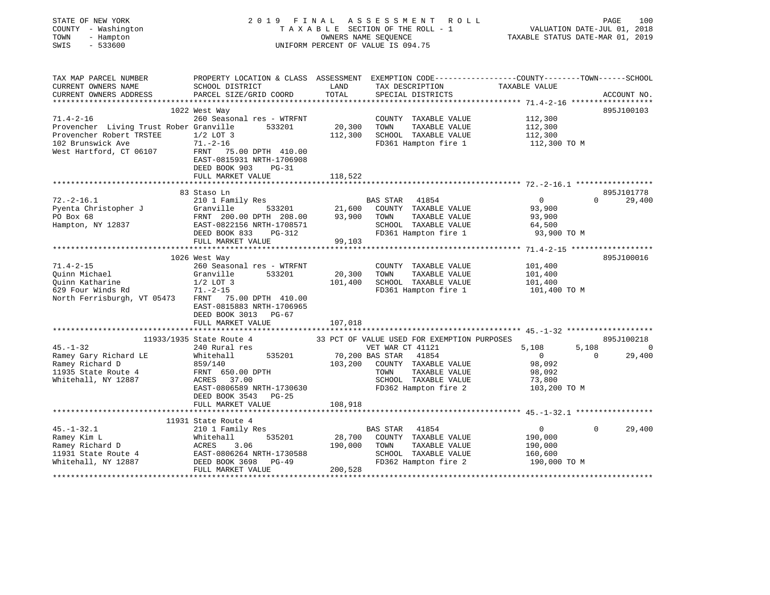| STATE OF NEW YORK<br>COUNTY - Washington<br>TOWN<br>- Hampton<br>$-533600$<br>SWIS |                                                                                                                                               | OWNERS NAME SEQUENCE | 2019 FINAL ASSESSMENT<br>R O L L<br>TAXABLE SECTION OF THE ROLL - 1<br>UNIFORM PERCENT OF VALUE IS 094.75 |                    | PAGE<br>100<br>VALUATION DATE-JUL 01, 2018<br>TAXABLE STATUS DATE-MAR 01, 2019 |
|------------------------------------------------------------------------------------|-----------------------------------------------------------------------------------------------------------------------------------------------|----------------------|-----------------------------------------------------------------------------------------------------------|--------------------|--------------------------------------------------------------------------------|
| TAX MAP PARCEL NUMBER<br>CURRENT OWNERS NAME<br>CURRENT OWNERS ADDRESS             | PROPERTY LOCATION & CLASS ASSESSMENT EXEMPTION CODE----------------COUNTY-------TOWN------SCHOOL<br>SCHOOL DISTRICT<br>PARCEL SIZE/GRID COORD | LAND<br>TOTAL        | TAX DESCRIPTION<br>SPECIAL DISTRICTS                                                                      | TAXABLE VALUE      | ACCOUNT NO.                                                                    |
|                                                                                    |                                                                                                                                               |                      |                                                                                                           |                    |                                                                                |
|                                                                                    | 1022 West Way                                                                                                                                 |                      |                                                                                                           |                    | 895J100103                                                                     |
| $71.4 - 2 - 16$<br>Provencher Living Trust Rober Granville                         | 260 Seasonal res - WTRFNT<br>533201                                                                                                           |                      | COUNTY TAXABLE VALUE<br>TOWN<br>TAXABLE VALUE                                                             | 112,300            |                                                                                |
| Provencher Robert TRSTEE                                                           | $1/2$ LOT 3                                                                                                                                   | 20,300<br>112,300    | SCHOOL TAXABLE VALUE                                                                                      | 112,300<br>112,300 |                                                                                |
| 102 Brunswick Ave                                                                  | $71. - 2 - 16$                                                                                                                                |                      | FD361 Hampton fire 1                                                                                      | 112,300 TO M       |                                                                                |
| West Hartford, CT 06107                                                            | FRNT 75.00 DPTH 410.00<br>EAST-0815931 NRTH-1706908                                                                                           |                      |                                                                                                           |                    |                                                                                |
|                                                                                    | DEED BOOK 903<br>$PG-31$                                                                                                                      |                      |                                                                                                           |                    |                                                                                |
|                                                                                    | FULL MARKET VALUE                                                                                                                             | 118,522              |                                                                                                           |                    |                                                                                |
|                                                                                    |                                                                                                                                               |                      |                                                                                                           |                    |                                                                                |
| $72. -2 - 16.1$                                                                    | 83 Staso Ln<br>210 1 Family Res                                                                                                               |                      | BAS STAR 41854                                                                                            | $\overline{0}$     | 895J101778<br>$\Omega$<br>29,400                                               |
| Pyenta Christopher J                                                               | Granville<br>533201                                                                                                                           | 21,600               | COUNTY TAXABLE VALUE                                                                                      | 93,900             |                                                                                |
| PO Box 68                                                                          | FRNT 200.00 DPTH 208.00                                                                                                                       | 93,900               | TAXABLE VALUE<br>TOWN                                                                                     | 93,900             |                                                                                |
| Hampton, NY 12837                                                                  | EAST-0822156 NRTH-1708571                                                                                                                     |                      | SCHOOL TAXABLE VALUE                                                                                      | 64,500             |                                                                                |
|                                                                                    | DEED BOOK 833<br>PG-312                                                                                                                       |                      | FD361 Hampton fire 1                                                                                      | 93,900 TO M        |                                                                                |
|                                                                                    | FULL MARKET VALUE                                                                                                                             | 99,103               |                                                                                                           |                    |                                                                                |
|                                                                                    |                                                                                                                                               |                      |                                                                                                           |                    |                                                                                |
| $71.4 - 2 - 15$                                                                    | 1026 West Way<br>260 Seasonal res - WTRFNT                                                                                                    |                      | COUNTY TAXABLE VALUE                                                                                      | 101,400            | 895J100016                                                                     |
| Ouinn Michael                                                                      | Granville<br>533201                                                                                                                           | 20,300               | TOWN<br>TAXABLE VALUE                                                                                     | 101,400            |                                                                                |
| Quinn Katharine                                                                    | $1/2$ LOT 3                                                                                                                                   | 101,400              | SCHOOL TAXABLE VALUE                                                                                      | 101,400            |                                                                                |
| 629 Four Winds Rd                                                                  | $71. - 2 - 15$                                                                                                                                |                      | FD361 Hampton fire 1                                                                                      | 101,400 TO M       |                                                                                |
| North Ferrisburgh, VT 05473                                                        | FRNT 75.00 DPTH 410.00<br>EAST-0815883 NRTH-1706965<br>DEED BOOK 3013<br>PG-67                                                                |                      |                                                                                                           |                    |                                                                                |
|                                                                                    | FULL MARKET VALUE                                                                                                                             | 107,018              |                                                                                                           |                    |                                                                                |
|                                                                                    | 11933/1935 State Route 4                                                                                                                      |                      | 33 PCT OF VALUE USED FOR EXEMPTION PURPOSES                                                               |                    | 895J100218                                                                     |
| $45. - 1 - 32$                                                                     | 240 Rural res                                                                                                                                 |                      | VET WAR CT 41121                                                                                          | 5,108              | 5,108<br>$\overline{0}$                                                        |
| Ramey Gary Richard LE                                                              | 535201<br>Whitehall                                                                                                                           |                      | 70,200 BAS STAR 41854                                                                                     | $\overline{0}$     | $\Omega$<br>29,400                                                             |
| Ramey Richard D                                                                    | 859/140                                                                                                                                       | 103,200              | COUNTY TAXABLE VALUE                                                                                      | 98,092             |                                                                                |
| 11935 State Route 4                                                                | FRNT 650.00 DPTH                                                                                                                              |                      | TOWN<br>TAXABLE VALUE                                                                                     | 98,092             |                                                                                |
| Whitehall, NY 12887                                                                | ACRES 37.00                                                                                                                                   |                      | SCHOOL TAXABLE VALUE                                                                                      | 73,800             |                                                                                |
|                                                                                    | EAST-0806589 NRTH-1730630<br>DEED BOOK 3543 PG-25<br>FULL MARKET VALUE                                                                        | 108,918              | FD362 Hampton fire 2                                                                                      | 103,200 TO M       |                                                                                |
|                                                                                    |                                                                                                                                               |                      |                                                                                                           |                    |                                                                                |
|                                                                                    | 11931 State Route 4                                                                                                                           |                      |                                                                                                           |                    |                                                                                |
| $45. - 1 - 32.1$                                                                   | 210 1 Family Res                                                                                                                              |                      | BAS STAR<br>41854                                                                                         | $\overline{0}$     | 29,400<br>$\Omega$                                                             |
| Ramey Kim L                                                                        | 535201<br>Whitehall                                                                                                                           | 28,700               | COUNTY TAXABLE VALUE                                                                                      | 190,000            |                                                                                |
| Ramey Richard D<br>Ramey Richard D                                                 | ACRES<br>3.06                                                                                                                                 | 190,000              | TOWN<br>TAXABLE VALUE                                                                                     | 190,000            |                                                                                |
| 11931 State Route 4                                                                | EAST-0806264 NRTH-1730588                                                                                                                     |                      | SCHOOL TAXABLE VALUE                                                                                      | 160,600            |                                                                                |
| Whitehall, NY 12887                                                                | DEED BOOK 3698<br>$PG-49$<br>FULL MARKET VALUE                                                                                                | 200,528              | FD362 Hampton fire 2                                                                                      | 190,000 TO M       |                                                                                |
|                                                                                    |                                                                                                                                               |                      |                                                                                                           |                    |                                                                                |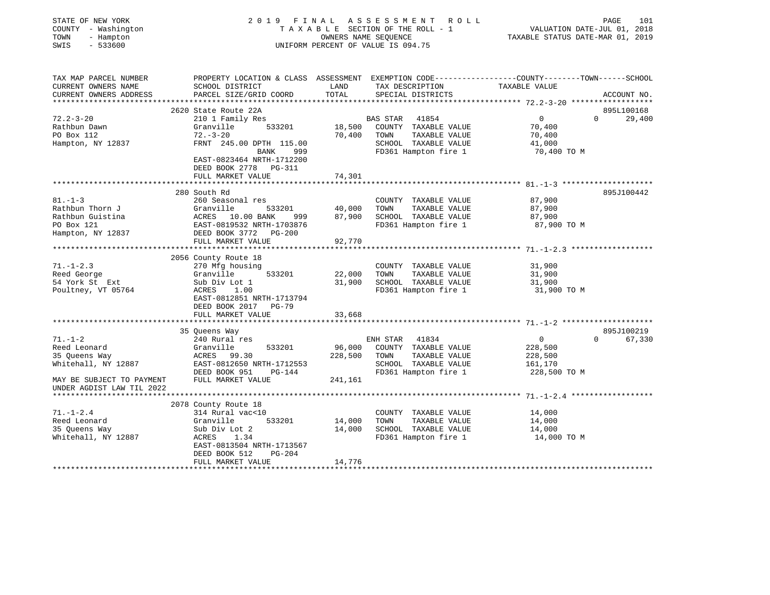| STATE OF NEW YORK<br>COUNTY - Washington<br>TOWN<br>- Hampton<br>$-533600$<br>SWIS |                                                |                              | 2019 FINAL ASSESSMENT ROLL<br>TAXABLE SECTION OF THE ROLL - 1<br>OWNERS NAME SEQUENCE<br>UNIFORM PERCENT OF VALUE IS 094.75 | PAGE<br>101<br>VALUATION DATE-JUL 01, 2018<br>TAXABLE STATUS DATE-MAR 01, 2019                  |
|------------------------------------------------------------------------------------|------------------------------------------------|------------------------------|-----------------------------------------------------------------------------------------------------------------------------|-------------------------------------------------------------------------------------------------|
| TAX MAP PARCEL NUMBER                                                              |                                                |                              |                                                                                                                             | PROPERTY LOCATION & CLASS ASSESSMENT EXEMPTION CODE---------------COUNTY-------TOWN------SCHOOL |
| CURRENT OWNERS NAME<br>CURRENT OWNERS ADDRESS<br>**********************            | SCHOOL DISTRICT<br>PARCEL SIZE/GRID COORD      | LAND<br>TOTAL                | TAX DESCRIPTION<br>SPECIAL DISTRICTS                                                                                        | TAXABLE VALUE<br>ACCOUNT NO.                                                                    |
|                                                                                    | 2620 State Route 22A                           |                              |                                                                                                                             | 895L100168                                                                                      |
| $72.2 - 3 - 20$                                                                    | 210 1 Family Res                               |                              | BAS STAR<br>41854                                                                                                           | $\overline{0}$<br>$\Omega$<br>29,400                                                            |
| Rathbun Dawn                                                                       | Granville<br>533201                            | 18,500                       | COUNTY TAXABLE VALUE                                                                                                        | 70,400                                                                                          |
| PO Box 112                                                                         | $72. - 3 - 20$                                 | 70,400                       | TOWN<br>TAXABLE VALUE                                                                                                       | 70,400                                                                                          |
| Hampton, NY 12837                                                                  | FRNT 245.00 DPTH 115.00                        |                              | SCHOOL TAXABLE VALUE                                                                                                        | 41,000                                                                                          |
|                                                                                    | BANK<br>999                                    |                              | FD361 Hampton fire 1                                                                                                        | 70,400 TO M                                                                                     |
|                                                                                    | EAST-0823464 NRTH-1712200                      |                              |                                                                                                                             |                                                                                                 |
|                                                                                    | DEED BOOK 2778 PG-311                          |                              |                                                                                                                             |                                                                                                 |
|                                                                                    | FULL MARKET VALUE                              | 74,301                       |                                                                                                                             |                                                                                                 |
|                                                                                    |                                                |                              |                                                                                                                             |                                                                                                 |
|                                                                                    | 280 South Rd                                   |                              |                                                                                                                             | 895J100442                                                                                      |
| $81. - 1 - 3$                                                                      | 260 Seasonal res                               |                              | COUNTY TAXABLE VALUE                                                                                                        | 87,900                                                                                          |
| Rathbun Thorn J                                                                    | Granville<br>533201                            | 40,000                       | TAXABLE VALUE<br>TOWN                                                                                                       | 87,900                                                                                          |
| Rathbun Guistina                                                                   | ACRES 10.00 BANK<br>999                        | 87,900                       | SCHOOL TAXABLE VALUE                                                                                                        | 87,900                                                                                          |
| PO Box 121                                                                         | EAST-0819532 NRTH-1703876                      |                              | FD361 Hampton fire 1                                                                                                        | 87,900 TO M                                                                                     |
| Hampton, NY 12837                                                                  | DEED BOOK 3772 PG-200                          |                              |                                                                                                                             |                                                                                                 |
|                                                                                    | FULL MARKET VALUE<br>************************* | 92,770                       |                                                                                                                             |                                                                                                 |
|                                                                                    |                                                |                              |                                                                                                                             |                                                                                                 |
|                                                                                    | 2056 County Route 18                           |                              |                                                                                                                             |                                                                                                 |
| $71. - 1 - 2.3$<br>Reed George                                                     | 270 Mfg housing<br>Granville<br>533201         | 22,000                       | COUNTY TAXABLE VALUE<br>TAXABLE VALUE<br>TOWN                                                                               | 31,900<br>31,900                                                                                |
| 54 York St Ext                                                                     | Sub Div Lot 1                                  | 31,900                       | SCHOOL TAXABLE VALUE                                                                                                        | 31,900                                                                                          |
| Poultney, VT 05764                                                                 | ACRES<br>1.00                                  |                              | FD361 Hampton fire 1                                                                                                        | 31,900 TO M                                                                                     |
|                                                                                    | EAST-0812851 NRTH-1713794                      |                              |                                                                                                                             |                                                                                                 |
|                                                                                    | DEED BOOK 2017<br>PG-79                        |                              |                                                                                                                             |                                                                                                 |
|                                                                                    | FULL MARKET VALUE                              | 33,668                       |                                                                                                                             |                                                                                                 |
|                                                                                    |                                                |                              |                                                                                                                             |                                                                                                 |
|                                                                                    | 35 Queens Way                                  |                              |                                                                                                                             | 895J100219                                                                                      |
| $71. - 1 - 2$                                                                      | 240 Rural res                                  |                              | ENH STAR<br>41834                                                                                                           | $\overline{0}$<br>$\Omega$<br>67,330                                                            |
| Reed Leonard                                                                       | Granville<br>533201                            | 96,000                       | COUNTY TAXABLE VALUE                                                                                                        | 228,500                                                                                         |
| 35 Queens Way                                                                      | ACRES 99.30                                    | 228,500                      | TAXABLE VALUE<br>TOWN                                                                                                       | 228,500                                                                                         |
| Whitehall, NY 12887                                                                | EAST-0812650 NRTH-1712553                      |                              | SCHOOL TAXABLE VALUE                                                                                                        | 161,170                                                                                         |
|                                                                                    | DEED BOOK 951<br>PG-144                        |                              | FD361 Hampton fire 1                                                                                                        | 228,500 TO M                                                                                    |
| MAY BE SUBJECT TO PAYMENT<br>UNDER AGDIST LAW TIL 2022                             | FULL MARKET VALUE                              | 241,161                      |                                                                                                                             |                                                                                                 |
|                                                                                    |                                                |                              |                                                                                                                             |                                                                                                 |
|                                                                                    | 2078 County Route 18                           |                              |                                                                                                                             |                                                                                                 |
| $71. - 1 - 2.4$                                                                    | 314 Rural vac<10                               |                              | COUNTY TAXABLE VALUE                                                                                                        | 14,000                                                                                          |
| Reed Leonard                                                                       | Granville<br>533201                            | 14,000                       | TOWN<br>TAXABLE VALUE                                                                                                       | 14,000                                                                                          |
| 35 Queens Way                                                                      | Sub Div Lot 2                                  | 14,000                       | SCHOOL TAXABLE VALUE                                                                                                        | 14,000                                                                                          |
| Whitehall, NY 12887                                                                | ACRES<br>1.34                                  |                              | FD361 Hampton fire 1                                                                                                        | 14,000 TO M                                                                                     |
|                                                                                    | EAST-0813504 NRTH-1713567                      |                              |                                                                                                                             |                                                                                                 |
|                                                                                    | DEED BOOK 512<br>PG-204                        |                              |                                                                                                                             |                                                                                                 |
|                                                                                    | FULL MARKET VALUE<br>***********************   | 14,776<br><b>+++++++++++</b> |                                                                                                                             |                                                                                                 |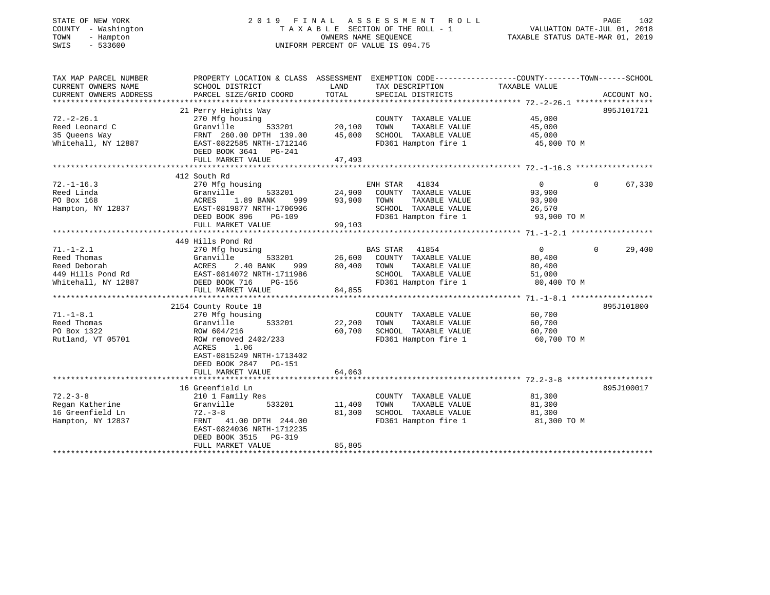# STATE OF NEW YORK 2 0 1 9 F I N A L A S S E S S M E N T R O L L PAGE 102 COUNTY - Washington T A X A B L E SECTION OF THE ROLL - 1 VALUATION DATE-JUL 01, 2018 TOWN - Hampton OWNERS NAME SEQUENCE TAXABLE STATUS DATE-MAR 01, 2019 SWIS - 533600 UNIFORM PERCENT OF VALUE IS 094.75

| TAX MAP PARCEL NUMBER                       | PROPERTY LOCATION & CLASS ASSESSMENT EXEMPTION CODE-----------------COUNTY-------TOWN------SCHOOL |        |                             |                |                    |
|---------------------------------------------|---------------------------------------------------------------------------------------------------|--------|-----------------------------|----------------|--------------------|
| CURRENT OWNERS NAME                         | SCHOOL DISTRICT                                                                                   | LAND   | TAX DESCRIPTION             | TAXABLE VALUE  |                    |
| CURRENT OWNERS ADDRESS                      | PARCEL SIZE/GRID COORD                                                                            | TOTAL  | SPECIAL DISTRICTS           |                | ACCOUNT NO.        |
|                                             |                                                                                                   |        |                             |                |                    |
|                                             | 21 Perry Heights Way                                                                              |        |                             |                | 895J101721         |
| $72. - 2 - 26.1$                            | 270 Mfg housing                                                                                   |        | COUNTY TAXABLE VALUE        | 45,000         |                    |
| Reed Leonard C                              | 533201<br>Granville                                                                               | 20,100 | TOWN<br>TAXABLE VALUE       | 45,000         |                    |
| 35 Queens Way                               | FRNT 260.00 DPTH 139.00                                                                           | 45,000 | SCHOOL TAXABLE VALUE        | 45,000         |                    |
| Whitehall, NY 12887                         | EAST-0822585 NRTH-1712146                                                                         |        | FD361 Hampton fire 1        | 45,000 TO M    |                    |
|                                             | DEED BOOK 3641 PG-241                                                                             |        |                             |                |                    |
|                                             | FULL MARKET VALUE                                                                                 | 47,493 |                             |                |                    |
|                                             |                                                                                                   |        |                             |                |                    |
|                                             | 412 South Rd                                                                                      |        |                             |                |                    |
| $72. - 1 - 16.3$                            | 270 Mfg housing                                                                                   |        | ENH STAR<br>41834           | $\overline{0}$ | 67,330<br>$\Omega$ |
| Reed Linda                                  | 533201<br>Granville                                                                               | 24,900 | COUNTY TAXABLE VALUE        | 93,900         |                    |
| PO Box 168                                  | 1.89 BANK<br>ACRES<br>999                                                                         | 93,900 | TOWN<br>TAXABLE VALUE       | 93,900         |                    |
| Hampton, NY 12837 EAST-0819877 NRTH-1706906 |                                                                                                   |        | SCHOOL TAXABLE VALUE        | 26,570         |                    |
|                                             | DEED BOOK 896<br>PG-109                                                                           |        | FD361 Hampton fire 1        | 93,900 TO M    |                    |
|                                             | FULL MARKET VALUE                                                                                 | 99,103 |                             |                |                    |
|                                             |                                                                                                   |        |                             |                |                    |
|                                             | 449 Hills Pond Rd                                                                                 |        |                             |                |                    |
| $71. - 1 - 2.1$                             | 270 Mfg housing                                                                                   |        | <b>BAS STAR</b><br>41854    | $\overline{0}$ | 29,400<br>$\Omega$ |
| Reed Thomas                                 | Granville<br>533201                                                                               |        |                             | 80,400         |                    |
|                                             |                                                                                                   |        | 26,600 COUNTY TAXABLE VALUE |                |                    |
| Reed Deborah                                | 2.40 BANK<br>ACRES<br>999                                                                         | 80,400 | TOWN<br>TAXABLE VALUE       | 80,400         |                    |
| 449 Hills Pond Rd                           | EAST-0814072 NRTH-1711986                                                                         |        | SCHOOL TAXABLE VALUE        | 51,000         |                    |
| Whitehall, NY 12887                         | DEED BOOK 716<br>PG-156                                                                           |        | FD361 Hampton fire 1        | 80,400 TO M    |                    |
|                                             | FULL MARKET VALUE                                                                                 | 84,855 |                             |                |                    |
|                                             |                                                                                                   |        |                             |                |                    |
|                                             | 2154 County Route 18                                                                              |        |                             |                | 895J101800         |
| $71. - 1 - 8.1$                             | 270 Mfg housing                                                                                   |        | COUNTY TAXABLE VALUE        | 60,700         |                    |
| Reed Thomas                                 | Granville<br>533201                                                                               | 22,200 | TAXABLE VALUE<br>TOWN       | 60,700         |                    |
| PO Box 1322                                 | ROW 604/216                                                                                       | 60,700 | SCHOOL TAXABLE VALUE        | 60,700         |                    |
| Rutland, VT 05701                           | ROW removed 2402/233                                                                              |        | FD361 Hampton fire 1        | 60,700 TO M    |                    |
|                                             | ACRES<br>1.06                                                                                     |        |                             |                |                    |
|                                             | EAST-0815249 NRTH-1713402                                                                         |        |                             |                |                    |
|                                             | DEED BOOK 2847 PG-151                                                                             |        |                             |                |                    |
|                                             | FULL MARKET VALUE                                                                                 | 64,063 |                             |                |                    |
|                                             |                                                                                                   |        |                             |                |                    |
|                                             | 16 Greenfield Ln                                                                                  |        |                             |                | 895J100017         |
| $72.2 - 3 - 8$                              | 210 1 Family Res                                                                                  |        | COUNTY TAXABLE VALUE        | 81,300         |                    |
| Regan Katherine                             | 533201<br>Granville                                                                               | 11,400 | TAXABLE VALUE<br>TOWN       | 81,300         |                    |
| 16 Greenfield Ln                            | $72. - 3 - 8$                                                                                     | 81,300 | SCHOOL TAXABLE VALUE        | 81,300         |                    |
| Hampton, NY 12837                           | FRNT 41.00 DPTH 244.00                                                                            |        | FD361 Hampton fire 1        | 81,300 TO M    |                    |
|                                             | EAST-0824036 NRTH-1712235                                                                         |        |                             |                |                    |
|                                             | DEED BOOK 3515<br>PG-319                                                                          |        |                             |                |                    |
|                                             | FULL MARKET VALUE                                                                                 | 85,805 |                             |                |                    |
|                                             |                                                                                                   |        |                             |                |                    |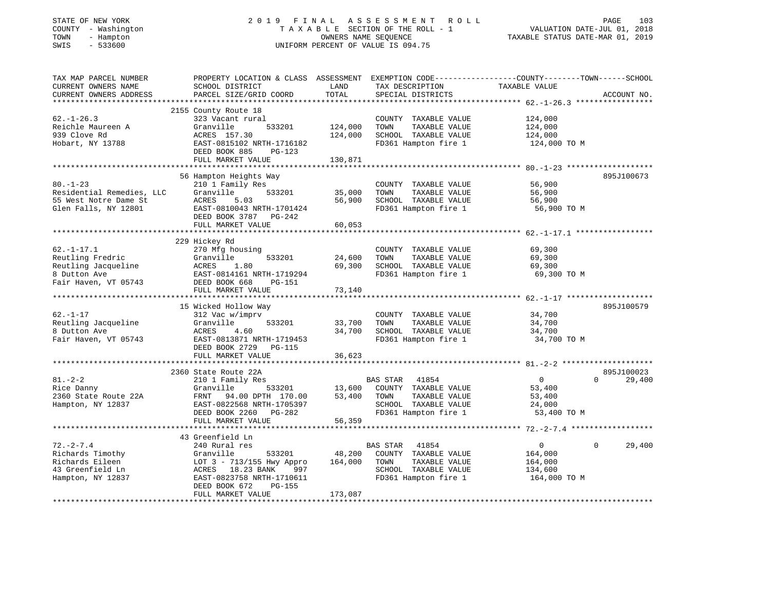# STATE OF NEW YORK 2 0 1 9 F I N A L A S S E S S M E N T R O L L PAGE 103 COUNTY - Washington T A X A B L E SECTION OF THE ROLL - 1 VALUATION DATE-JUL 01, 2018 TOWN - Hampton OWNERS NAME SEQUENCE TAXABLE STATUS DATE-MAR 01, 2019 SWIS - 533600 UNIFORM PERCENT OF VALUE IS 094.75

| TAX MAP PARCEL NUMBER                         | PROPERTY LOCATION & CLASS ASSESSMENT      |               |                                      | EXEMPTION CODE-----------------COUNTY-------TOWN------SCHOOL |                          |
|-----------------------------------------------|-------------------------------------------|---------------|--------------------------------------|--------------------------------------------------------------|--------------------------|
| CURRENT OWNERS NAME<br>CURRENT OWNERS ADDRESS | SCHOOL DISTRICT<br>PARCEL SIZE/GRID COORD | LAND<br>TOTAL | TAX DESCRIPTION<br>SPECIAL DISTRICTS | TAXABLE VALUE                                                | ACCOUNT NO.              |
|                                               |                                           |               |                                      |                                                              |                          |
|                                               | 2155 County Route 18                      |               |                                      |                                                              |                          |
| $62. - 1 - 26.3$                              | 323 Vacant rural                          |               | COUNTY TAXABLE VALUE                 | 124,000                                                      |                          |
| Reichle Maureen A                             | Granville<br>533201                       | 124,000       | TAXABLE VALUE<br>TOWN                | 124,000                                                      |                          |
| 939 Clove Rd                                  | ACRES 157.30                              | 124,000       | SCHOOL TAXABLE VALUE                 | 124,000                                                      |                          |
| Hobart, NY 13788                              | EAST-0815102 NRTH-1716182                 |               | FD361 Hampton fire 1                 | 124,000 TO M                                                 |                          |
|                                               | DEED BOOK 885<br>PG-123                   |               |                                      |                                                              |                          |
|                                               | FULL MARKET VALUE                         | 130,871       |                                      |                                                              |                          |
|                                               |                                           |               |                                      |                                                              |                          |
|                                               | 56 Hampton Heights Way                    |               |                                      |                                                              | 895J100673               |
| $80. - 1 - 23$                                | 210 1 Family Res                          |               | COUNTY TAXABLE VALUE                 | 56,900                                                       |                          |
| Residential Remedies, LLC                     | Granville<br>533201                       | 35,000        | TOWN<br>TAXABLE VALUE                | 56,900                                                       |                          |
| 55 West Notre Dame St                         | ACRES<br>5.03                             | 56,900        | SCHOOL TAXABLE VALUE                 | 56,900                                                       |                          |
| Glen Falls, NY 12801                          | EAST-0810043 NRTH-1701424                 |               | FD361 Hampton fire 1                 | 56,900 TO M                                                  |                          |
|                                               | DEED BOOK 3787 PG-242                     |               |                                      |                                                              |                          |
|                                               | FULL MARKET VALUE                         | 60,053        |                                      |                                                              |                          |
|                                               |                                           |               |                                      |                                                              |                          |
|                                               | 229 Hickey Rd                             |               |                                      |                                                              |                          |
| $62. - 1 - 17.1$                              | 270 Mfg housing                           |               | COUNTY TAXABLE VALUE                 | 69,300                                                       |                          |
| Reutling Fredric                              | 533201<br>Granville                       | 24,600        | TOWN<br>TAXABLE VALUE                | 69,300                                                       |                          |
| Reutling Jacqueline                           | ACRES<br>1.80                             | 69,300        | SCHOOL TAXABLE VALUE                 | 69,300                                                       |                          |
| 8 Dutton Ave                                  | EAST-0814161 NRTH-1719294                 |               | FD361 Hampton fire 1                 | 69,300 TO M                                                  |                          |
| Fair Haven, VT 05743 DEED BOOK 668            | PG-151                                    |               |                                      |                                                              |                          |
|                                               | FULL MARKET VALUE                         | 73,140        |                                      |                                                              |                          |
|                                               |                                           |               |                                      |                                                              |                          |
|                                               | 15 Wicked Hollow Way                      |               |                                      |                                                              | 895J100579               |
| $62. - 1 - 17$                                | 312 Vac w/imprv                           |               | COUNTY TAXABLE VALUE                 | 34,700                                                       |                          |
| Reutling Jacqueline                           | Granville<br>533201                       | 33,700        | TOWN<br>TAXABLE VALUE                | 34,700                                                       |                          |
| 8 Dutton Ave                                  | ACRES<br>4.60                             | 34,700        | SCHOOL TAXABLE VALUE                 | 34,700                                                       |                          |
| Fair Haven, VT 05743                          | EAST-0813871 NRTH-1719453                 |               | FD361 Hampton fire 1                 | 34,700 TO M                                                  |                          |
|                                               | DEED BOOK 2729 PG-115                     |               |                                      |                                                              |                          |
|                                               | FULL MARKET VALUE                         | 36,623        |                                      |                                                              |                          |
|                                               |                                           |               |                                      |                                                              |                          |
|                                               | 2360 State Route 22A                      |               |                                      |                                                              | 895J100023               |
| $81. - 2 - 2$                                 | 210 1 Family Res                          |               | BAS STAR<br>41854                    | $\overline{0}$                                               | $\Omega$<br>29,400       |
| Rice Danny                                    | Granville<br>533201                       | 13,600        | COUNTY TAXABLE VALUE                 | 53,400                                                       |                          |
| 2360 State Route 22A                          | FRNT<br>94.00 DPTH 170.00                 | 53,400        | TOWN<br>TAXABLE VALUE                | 53,400                                                       |                          |
| Hampton, NY 12837                             | EAST-0822568 NRTH-1705397                 |               | SCHOOL TAXABLE VALUE                 | 24,000                                                       |                          |
|                                               | DEED BOOK 2260 PG-282                     |               | FD361 Hampton fire 1                 | 53,400 TO M                                                  |                          |
|                                               | FULL MARKET VALUE                         | 56,359        |                                      |                                                              |                          |
|                                               |                                           |               |                                      |                                                              |                          |
|                                               | 43 Greenfield Ln                          |               |                                      |                                                              |                          |
| $72. - 2 - 7.4$                               | 240 Rural res                             |               | BAS STAR 41854                       | $\overline{0}$                                               | $\overline{0}$<br>29,400 |
| Richards Timothy                              | Granville<br>533201                       | 48,200        | COUNTY TAXABLE VALUE                 | 164,000                                                      |                          |
| Richards Eileen                               | LOT 3 - 713/155 Hwy Appro                 | 164,000       | TOWN<br>TAXABLE VALUE                | 164,000                                                      |                          |
| 43 Greenfield Ln                              | ACRES 18.23 BANK<br>997                   |               | SCHOOL TAXABLE VALUE                 | 134,600                                                      |                          |
| Hampton, NY 12837                             | EAST-0823758 NRTH-1710611                 |               | FD361 Hampton fire 1                 | 164,000 TO M                                                 |                          |
|                                               | DEED BOOK 672<br>PG-155                   |               |                                      |                                                              |                          |
|                                               | FULL MARKET VALUE                         | 173,087       |                                      |                                                              |                          |
|                                               |                                           |               |                                      |                                                              |                          |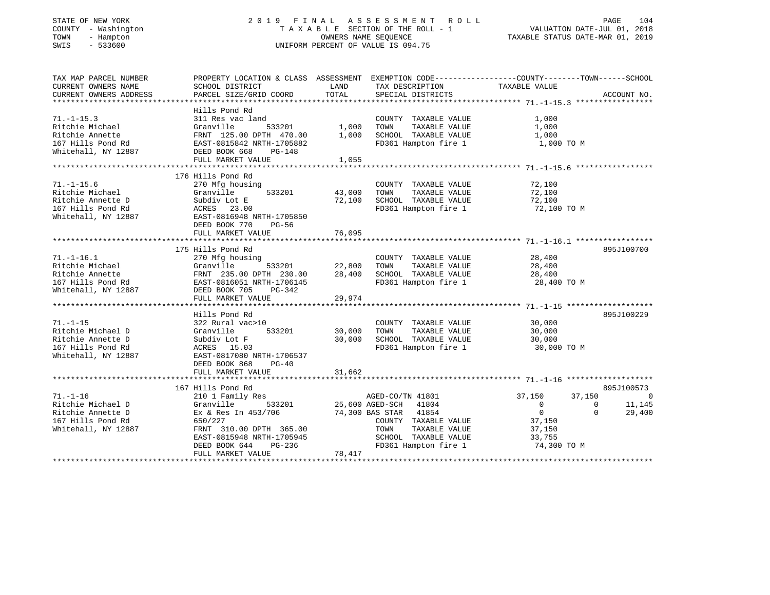## STATE OF NEW YORK 2 0 1 9 F I N A L A S S E S S M E N T R O L L PAGE 104 COUNTY - Washington T A X A B L E SECTION OF THE ROLL - 1 VALUATION DATE-JUL 01, 2018 TOWN - Hampton OWNERS NAME SEQUENCE TAXABLE STATUS DATE-MAR 01, 2019 SWIS - 533600 UNIFORM PERCENT OF VALUE IS 094.75

| TAX MAP PARCEL NUMBER         | PROPERTY LOCATION & CLASS ASSESSMENT EXEMPTION CODE----------------COUNTY--------TOWN------SCHOOL                                                                                                                                                                        |        |                                                                                        |                                  |                                                   |
|-------------------------------|--------------------------------------------------------------------------------------------------------------------------------------------------------------------------------------------------------------------------------------------------------------------------|--------|----------------------------------------------------------------------------------------|----------------------------------|---------------------------------------------------|
| CURRENT OWNERS NAME           | SCHOOL DISTRICT                                                                                                                                                                                                                                                          | LAND   | TAX DESCRIPTION                                                                        | TAXABLE VALUE                    |                                                   |
| CURRENT OWNERS ADDRESS        | PARCEL SIZE/GRID COORD                                                                                                                                                                                                                                                   | TOTAL  | SPECIAL DISTRICTS                                                                      |                                  | ACCOUNT NO.                                       |
|                               | Hills Pond Rd                                                                                                                                                                                                                                                            |        |                                                                                        |                                  |                                                   |
| $71. - 1 - 15.3$              | 311 Res vac land                                                                                                                                                                                                                                                         |        | COUNTY TAXABLE VALUE                                                                   | 1,000                            |                                                   |
|                               |                                                                                                                                                                                                                                                                          |        | TOWN<br>TAXABLE VALUE                                                                  | 1,000                            |                                                   |
|                               |                                                                                                                                                                                                                                                                          |        |                                                                                        |                                  |                                                   |
|                               |                                                                                                                                                                                                                                                                          |        | SCHOOL TAXABLE VALUE $1,000$<br>FD361 Hampton fire 1 $1,000$ TO M                      |                                  |                                                   |
|                               | Ritchie Michael Granville 533201 1,000<br>Ritchie Annette FRNT 125.00 DPTH 470.00 1,000<br>1,000<br>1,000<br>1,000<br>1,000<br>1,000<br>1,000<br>1,000<br>1,000<br>2,000<br>2,000<br>2,000<br>2,000<br>2,000<br>2,000<br>2,000<br>2,000<br>2,000<br>2,000<br>2,000<br>2, |        |                                                                                        |                                  |                                                   |
|                               | FULL MARKET VALUE                                                                                                                                                                                                                                                        | 1,055  |                                                                                        |                                  |                                                   |
|                               |                                                                                                                                                                                                                                                                          |        |                                                                                        |                                  |                                                   |
|                               | 176 Hills Pond Rd                                                                                                                                                                                                                                                        |        |                                                                                        |                                  |                                                   |
| $71. - 1 - 15.6$              | 270 Mfg housing                                                                                                                                                                                                                                                          |        | COUNTY TAXABLE VALUE                                                                   | 72,100                           |                                                   |
| Ritchie Michael               | 533201 43,000<br>Granville                                                                                                                                                                                                                                               |        | TAXABLE VALUE<br>TOWN                                                                  | 72,100                           |                                                   |
|                               |                                                                                                                                                                                                                                                                          | 72,100 | SCHOOL TAXABLE VALUE 72,100                                                            |                                  |                                                   |
|                               | xitchie Michael<br>Richie Annette D<br>167 Hills Pond Rd<br>167 Hills Pond Rd<br>167 Hills Pond Rd<br>168 Rockers 23.00<br>RAST-0816948 NRTH-1705850                                                                                                                     |        | FD361 Hampton fire 1 72,100 TO M                                                       |                                  |                                                   |
|                               |                                                                                                                                                                                                                                                                          |        |                                                                                        |                                  |                                                   |
|                               | DEED BOOK 770<br>PG-56                                                                                                                                                                                                                                                   |        |                                                                                        |                                  |                                                   |
|                               |                                                                                                                                                                                                                                                                          |        |                                                                                        |                                  |                                                   |
|                               |                                                                                                                                                                                                                                                                          |        |                                                                                        |                                  |                                                   |
|                               | 175 Hills Pond Rd                                                                                                                                                                                                                                                        |        |                                                                                        |                                  | 895J100700                                        |
| $71. - 1 - 16.1$              | 270 Mfg housing                                                                                                                                                                                                                                                          |        | COUNTY TAXABLE VALUE 28,400                                                            |                                  |                                                   |
|                               | $\frac{1}{22,800}$<br>90 DPTH 230.00 28,400                                                                                                                                                                                                                              |        | TOWN TAXABLE VALUE 28,400<br>SCHOOL TAXABLE VALUE 28,400                               |                                  |                                                   |
|                               |                                                                                                                                                                                                                                                                          |        |                                                                                        |                                  |                                                   |
|                               |                                                                                                                                                                                                                                                                          |        | FD361 Hampton fire 1 28,400 TO M                                                       |                                  |                                                   |
|                               | Princhle Michael (Franchille 1933201)<br>Ritchie Michael (FRNT 235.00 DPTH 230.00<br>167 Hills Pond Rd (FRNT 235.00 DPTH 230.00<br>2016 Mitchall, NY 12887 (POSED BOOK 705 PG-342<br>FINL: MARKET VALUE                                                                  |        |                                                                                        |                                  |                                                   |
|                               | FULL MARKET VALUE                                                                                                                                                                                                                                                        | 29,974 |                                                                                        |                                  |                                                   |
|                               |                                                                                                                                                                                                                                                                          |        |                                                                                        |                                  |                                                   |
|                               | Hills Pond Rd                                                                                                                                                                                                                                                            |        |                                                                                        |                                  | 895J100229                                        |
| $71. - 1 - 15$                |                                                                                                                                                                                                                                                                          |        | COUNTY TAXABLE VALUE<br>TOWN TAXABLE VALUE 30,000                                      |                                  |                                                   |
| Ritchie Michael D             |                                                                                                                                                                                                                                                                          |        |                                                                                        |                                  |                                                   |
| Ritchie Annette D             | Subdiv Lot F<br>ACRES 15.03<br>Subdiv Lot F<br>30,00<br>20PFS 15.03                                                                                                                                                                                                      | 30,000 | 10WN Increase value<br>SCHOOL TAXABLE VALUE 30,000<br>En261 Hampton fire 1 30,000 TO M |                                  |                                                   |
| 167 Hills Pond Rd             |                                                                                                                                                                                                                                                                          |        |                                                                                        |                                  |                                                   |
| Whitehall, NY 12887           | EAST-0817080 NRTH-1706537                                                                                                                                                                                                                                                |        |                                                                                        |                                  |                                                   |
|                               | DEED BOOK 868 PG-40                                                                                                                                                                                                                                                      |        |                                                                                        |                                  |                                                   |
|                               | FULL MARKET VALUE                                                                                                                                                                                                                                                        | 31,662 |                                                                                        |                                  |                                                   |
|                               | 167 Hills Pond Rd                                                                                                                                                                                                                                                        |        |                                                                                        |                                  | 895J100573                                        |
| $71. - 1 - 16$                | 210 1 Family Res<br>210 1 Family Res<br>333201 25,600 AGED-SCH 41804                                                                                                                                                                                                     |        |                                                                                        | 37,150<br>37,150                 |                                                   |
| 71.-1-10<br>Ritchie Michael D | Granville                                                                                                                                                                                                                                                                |        |                                                                                        | $\overline{0}$<br>$\overline{0}$ | $\begin{smallmatrix}&&&0\11,145\end{smallmatrix}$ |
| Ritchie Annette D             | Ex & Res In 453/706 74,300 BAS STAR 41854                                                                                                                                                                                                                                |        |                                                                                        | $\overline{0}$                   | $\Omega$<br>29,400                                |
| 167 Hills Pond Rd             | 650/227                                                                                                                                                                                                                                                                  |        | COUNTY TAXABLE VALUE                                                                   | 37,150                           |                                                   |
| Whitehall, NY 12887           | FRNT 310.00 DPTH 365.00                                                                                                                                                                                                                                                  |        | TAXABLE VALUE<br>TOWN                                                                  | 37,150                           |                                                   |
|                               |                                                                                                                                                                                                                                                                          |        |                                                                                        |                                  |                                                   |
|                               | EAST-0815948 NRTH-1705945<br>DEED BOOK 644 PG-236                                                                                                                                                                                                                        |        | SCHOOL TAXABLE VALUE 33,755<br>FD361 Hampton fire 1 74,300 TO M                        |                                  |                                                   |
|                               | FULL MARKET VALUE                                                                                                                                                                                                                                                        | 78,417 |                                                                                        |                                  |                                                   |
|                               |                                                                                                                                                                                                                                                                          |        |                                                                                        |                                  |                                                   |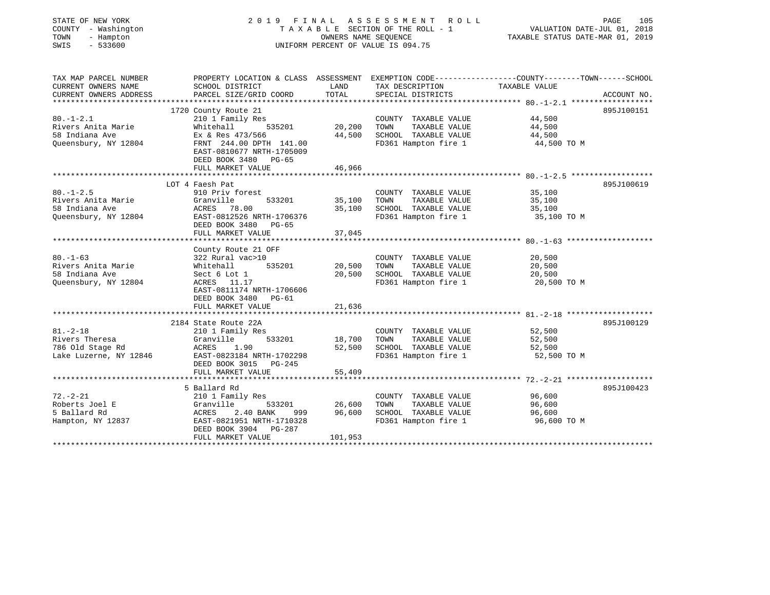| STATE OF NEW YORK<br>COUNTY - Washington<br>TOWN<br>- Hampton<br>$-533600$<br>SWIS | 2019 FINAL ASSESSMENT ROLL<br>TAXABLE SECTION OF THE ROLL - 1<br>UNIFORM PERCENT OF VALUE IS 094.75                                                                                      | PAGE<br>105<br>VALUATION DATE-JUL 01, 2018<br>TAXABLE STATUS DATE-MAR 01, 2019 |                                                                                               |                                                                                                                                 |
|------------------------------------------------------------------------------------|------------------------------------------------------------------------------------------------------------------------------------------------------------------------------------------|--------------------------------------------------------------------------------|-----------------------------------------------------------------------------------------------|---------------------------------------------------------------------------------------------------------------------------------|
| TAX MAP PARCEL NUMBER<br>CURRENT OWNERS NAME<br>CURRENT OWNERS ADDRESS             | SCHOOL DISTRICT<br>PARCEL SIZE/GRID COORD                                                                                                                                                | LAND<br>TOTAL                                                                  | TAX DESCRIPTION<br>SPECIAL DISTRICTS                                                          | PROPERTY LOCATION & CLASS ASSESSMENT EXEMPTION CODE---------------COUNTY-------TOWN------SCHOOL<br>TAXABLE VALUE<br>ACCOUNT NO. |
| $80. - 1 - 2.1$<br>Rivers Anita Marie<br>58 Indiana Ave<br>Oueensbury, NY 12804    | 1720 County Route 21<br>210 1 Family Res<br>Whitehall<br>535201<br>Ex & Res 473/566<br>FRNT 244.00 DPTH 141.00<br>EAST-0810677 NRTH-1705009<br>DEED BOOK 3480 PG-65<br>FULL MARKET VALUE | 20,200<br>44,500<br>46,966                                                     | COUNTY TAXABLE VALUE<br>TAXABLE VALUE<br>TOWN<br>SCHOOL TAXABLE VALUE<br>FD361 Hampton fire 1 | 895J100151<br>44,500<br>44,500<br>44,500<br>44,500 TO M                                                                         |
|                                                                                    |                                                                                                                                                                                          |                                                                                |                                                                                               |                                                                                                                                 |
| $80. - 1 - 2.5$<br>Rivers Anita Marie<br>58 Indiana Ave<br>Queensbury, NY 12804    | LOT 4 Faesh Pat<br>910 Priv forest<br>533201<br>Granville<br>ACRES<br>78.00<br>EAST-0812526 NRTH-1706376<br>DEED BOOK 3480<br>PG-65<br>FULL MARKET VALUE                                 | 35,100<br>35,100<br>37,045                                                     | COUNTY TAXABLE VALUE<br>TOWN<br>TAXABLE VALUE<br>SCHOOL TAXABLE VALUE<br>FD361 Hampton fire 1 | 895J100619<br>35,100<br>35,100<br>35,100<br>35,100 TO M                                                                         |
| $80. - 1 - 63$<br>Rivers Anita Marie<br>58 Indiana Ave<br>Queensbury, NY 12804     | County Route 21 OFF<br>322 Rural vac>10<br>535201<br>Whitehall<br>Sect 6 Lot 1<br>ACRES 11.17<br>EAST-0811174 NRTH-1706606<br>DEED BOOK 3480<br>PG-61<br>FULL MARKET VALUE               | 20,500<br>20,500<br>21,636                                                     | COUNTY TAXABLE VALUE<br>TAXABLE VALUE<br>TOWN<br>SCHOOL TAXABLE VALUE<br>FD361 Hampton fire 1 | 20,500<br>20,500<br>20,500<br>20,500 TO M                                                                                       |
|                                                                                    | 2184 State Route 22A                                                                                                                                                                     |                                                                                |                                                                                               | 895J100129                                                                                                                      |
| $81. - 2 - 18$<br>Rivers Theresa<br>786 Old Stage Rd<br>Lake Luzerne, NY 12846     | 210 1 Family Res<br>533201<br>Granville<br>ACRES<br>1.90<br>EAST-0823184 NRTH-1702298<br>DEED BOOK 3015<br>PG-245                                                                        | 18,700<br>52,500                                                               | COUNTY TAXABLE VALUE<br>TOWN<br>TAXABLE VALUE<br>SCHOOL TAXABLE VALUE<br>FD361 Hampton fire 1 | 52,500<br>52,500<br>52,500<br>52,500 TO M                                                                                       |
|                                                                                    | FULL MARKET VALUE                                                                                                                                                                        | 55,409                                                                         |                                                                                               |                                                                                                                                 |
|                                                                                    |                                                                                                                                                                                          |                                                                                |                                                                                               |                                                                                                                                 |
| $72. - 2 - 21$<br>Roberts Joel E<br>5 Ballard Rd<br>Hampton, NY 12837              | 5 Ballard Rd<br>210 1 Family Res<br>Granville<br>533201<br><b>ACRES</b><br>2.40 BANK<br>999<br>EAST-0821951 NRTH-1710328<br>DEED BOOK 3904<br>PG-287<br>FULL MARKET VALUE                | 26,600<br>96,600<br>101,953                                                    | COUNTY TAXABLE VALUE<br>TOWN<br>TAXABLE VALUE<br>SCHOOL TAXABLE VALUE<br>FD361 Hampton fire 1 | 895J100423<br>96,600<br>96,600<br>96,600<br>96,600 TO M                                                                         |
|                                                                                    |                                                                                                                                                                                          |                                                                                |                                                                                               |                                                                                                                                 |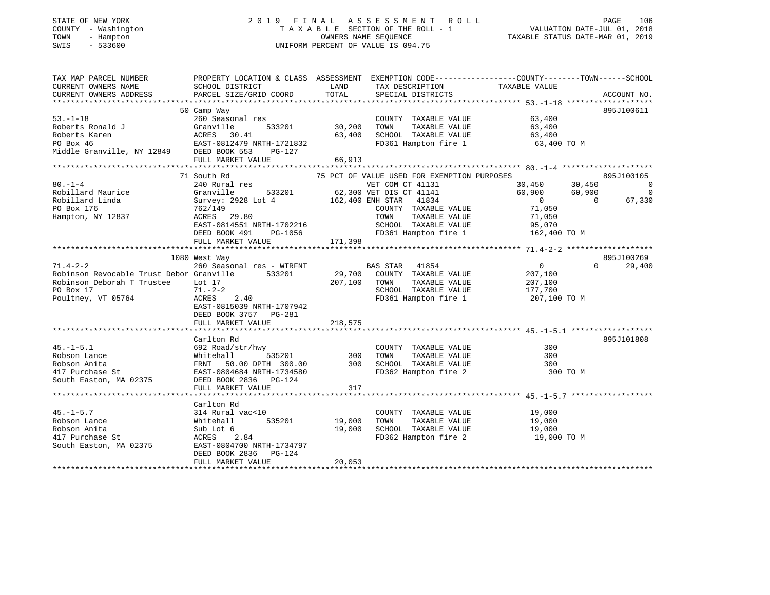# STATE OF NEW YORK 2 0 1 9 F I N A L A S S E S S M E N T R O L L PAGE 106 COUNTY - Washington T A X A B L E SECTION OF THE ROLL - 1 VALUATION DATE-JUL 01, 2018 TOWN - Hampton OWNERS NAME SEQUENCE TAXABLE STATUS DATE-MAR 01, 2019 SWIS - 533600 UNIFORM PERCENT OF VALUE IS 094.75

| TAX MAP PARCEL NUMBER                                                                                                                                                                                                                  | PROPERTY LOCATION & CLASS ASSESSMENT EXEMPTION CODE---------------COUNTY-------TOWN-----SCHOOL                                      |                    |                                                                           |                                                                                                                                               |                    |
|----------------------------------------------------------------------------------------------------------------------------------------------------------------------------------------------------------------------------------------|-------------------------------------------------------------------------------------------------------------------------------------|--------------------|---------------------------------------------------------------------------|-----------------------------------------------------------------------------------------------------------------------------------------------|--------------------|
| CURRENT OWNERS NAME                                                                                                                                                                                                                    | SCHOOL DISTRICT                                                                                                                     | LAND               | TAX DESCRIPTION                                                           | TAXABLE VALUE                                                                                                                                 |                    |
|                                                                                                                                                                                                                                        |                                                                                                                                     |                    | SPECIAL DISTRICTS                                                         |                                                                                                                                               | ACCOUNT NO.        |
|                                                                                                                                                                                                                                        |                                                                                                                                     |                    |                                                                           |                                                                                                                                               |                    |
|                                                                                                                                                                                                                                        | 50 Camp Way                                                                                                                         |                    |                                                                           |                                                                                                                                               | 895J100611         |
| $53. - 1 - 18$                                                                                                                                                                                                                         | 260 Seasonal res                                                                                                                    |                    | COUNTY TAXABLE VALUE 63,400                                               |                                                                                                                                               |                    |
|                                                                                                                                                                                                                                        | zou seasor<br>Granville                                                                                                             | 533201 30,200 TOWN | TAXABLE VALUE                                                             | 63,400                                                                                                                                        |                    |
|                                                                                                                                                                                                                                        |                                                                                                                                     |                    | $63,400$ SCHOOL TAXABLE VALUE 63,400                                      |                                                                                                                                               |                    |
|                                                                                                                                                                                                                                        |                                                                                                                                     |                    | FD361 Hampton fire 1                                                      | 63,400 TO M                                                                                                                                   |                    |
|                                                                                                                                                                                                                                        |                                                                                                                                     |                    |                                                                           |                                                                                                                                               |                    |
|                                                                                                                                                                                                                                        | FULL MARKET VALUE                                                                                                                   | 66,913             |                                                                           |                                                                                                                                               |                    |
|                                                                                                                                                                                                                                        |                                                                                                                                     |                    |                                                                           |                                                                                                                                               |                    |
|                                                                                                                                                                                                                                        | 71 South Rd                                                                                                                         |                    | 75 PCT OF VALUE USED FOR EXEMPTION PURPOSES                               |                                                                                                                                               | 895J100105         |
| $80 - 1 - 4$                                                                                                                                                                                                                           | 240 Rural res                                                                                                                       |                    |                                                                           | $\begin{array}{cccc} & & & & & & 895J100105 \\ 30,450 & & & 30,450 & & & 0 \\ 60,900 & & & 60,900 & & & 0 \\ 0 & & & & & 0 & & 0 \end{array}$ |                    |
|                                                                                                                                                                                                                                        |                                                                                                                                     |                    |                                                                           |                                                                                                                                               |                    |
| Robillard Maurice<br>Robillard Linda                                                                                                                                                                                                   | 240 Rural res<br>Granville 533201 62,300 VET DIS CT 41141<br>Survey: 2928 Lot 4 162,400 ENH STAR 41834                              |                    |                                                                           |                                                                                                                                               |                    |
| PO Box 176                                                                                                                                                                                                                             |                                                                                                                                     |                    | XH STAR THOUR<br>COUNTY TAXABLE VALUE 71,050<br>TOWN TAXARLE VALUE 71,050 |                                                                                                                                               |                    |
| Hampton, NY 12837                                                                                                                                                                                                                      | 762/149<br>ACRES 29.80                                                                                                              |                    |                                                                           |                                                                                                                                               |                    |
|                                                                                                                                                                                                                                        | ACRES 29.80 TOWN IAAADDE VALUE 95,070<br>EAST-0814551 NRTH-1702216 SCHOOL TAXABLE VALUE 95,070<br>FD361 Hampton fire 1 162,400 TO M |                    |                                                                           |                                                                                                                                               |                    |
|                                                                                                                                                                                                                                        |                                                                                                                                     |                    |                                                                           |                                                                                                                                               |                    |
|                                                                                                                                                                                                                                        | PG-1056<br>ALUE 171,398                                                                                                             |                    |                                                                           |                                                                                                                                               |                    |
|                                                                                                                                                                                                                                        | FULL MARKET VALUE                                                                                                                   |                    |                                                                           |                                                                                                                                               |                    |
|                                                                                                                                                                                                                                        |                                                                                                                                     |                    |                                                                           |                                                                                                                                               |                    |
|                                                                                                                                                                                                                                        | 1080 West Way                                                                                                                       |                    |                                                                           |                                                                                                                                               | 895J100269         |
| $71.4 - 2 - 2$                                                                                                                                                                                                                         | 260 Seasonal res - WTRFNT                                                                                                           |                    | <b>BAS STAR</b> 41854                                                     | $\overline{0}$                                                                                                                                | 29,400<br>$\Omega$ |
| extra - 1.00 COUNTY TAXABLE VALUE 207,100 COUNTY TAXABLE VALUE 207,100                                                                                                                                                                 |                                                                                                                                     |                    |                                                                           |                                                                                                                                               |                    |
| Robinson Deborah T Trustee Lot 17<br>no Box 17 7 1.-2-2                                                                                                                                                                                |                                                                                                                                     | 207,100 TOWN       | TAXABLE VALUE                                                             | 207,100<br>177,700                                                                                                                            |                    |
| PO Box 17                                                                                                                                                                                                                              | $71. - 2 - 2$                                                                                                                       |                    | SCHOOL TAXABLE VALUE                                                      |                                                                                                                                               |                    |
| Poultney, VT 05764                                                                                                                                                                                                                     | ACRES<br>2.40                                                                                                                       |                    |                                                                           | FD361 Hampton fire 1 207,100 TO M                                                                                                             |                    |
|                                                                                                                                                                                                                                        | EAST-0815039 NRTH-1707942                                                                                                           |                    |                                                                           |                                                                                                                                               |                    |
|                                                                                                                                                                                                                                        | DEED BOOK 3757 PG-281                                                                                                               |                    |                                                                           |                                                                                                                                               |                    |
|                                                                                                                                                                                                                                        |                                                                                                                                     |                    |                                                                           |                                                                                                                                               |                    |
|                                                                                                                                                                                                                                        |                                                                                                                                     |                    |                                                                           |                                                                                                                                               |                    |
|                                                                                                                                                                                                                                        | Carlton Rd                                                                                                                          |                    |                                                                           |                                                                                                                                               | 895J101808         |
|                                                                                                                                                                                                                                        |                                                                                                                                     |                    |                                                                           | 300                                                                                                                                           |                    |
| 45.-1-5.1<br>Robson Lance Whitehall 535201<br>Robson Anita FRNT 50.00 DPTH 300.00 300 SCHOOL TAXABLE VALUE<br>Robson Anita FRNT 50.00 DPTH 300.00 300 SCHOOL TAXABLE VALUE<br>417 Purchase St EAST-0804684 NRTH-1734580 FO-124<br>Sout |                                                                                                                                     |                    |                                                                           | 300                                                                                                                                           |                    |
|                                                                                                                                                                                                                                        |                                                                                                                                     |                    |                                                                           | 300                                                                                                                                           |                    |
|                                                                                                                                                                                                                                        |                                                                                                                                     |                    | FD362 Hampton fire 2                                                      | 300 TO M                                                                                                                                      |                    |
|                                                                                                                                                                                                                                        |                                                                                                                                     |                    |                                                                           |                                                                                                                                               |                    |
|                                                                                                                                                                                                                                        | FULL MARKET VALUE                                                                                                                   | 317                |                                                                           |                                                                                                                                               |                    |
|                                                                                                                                                                                                                                        |                                                                                                                                     |                    |                                                                           |                                                                                                                                               |                    |
|                                                                                                                                                                                                                                        | Carlton Rd                                                                                                                          |                    |                                                                           |                                                                                                                                               |                    |
| $45. - 1 - 5.7$                                                                                                                                                                                                                        | 314 Rural vac<10                                                                                                                    |                    | COUNTY TAXABLE VALUE 19,000                                               |                                                                                                                                               |                    |
| Robson Lance                                                                                                                                                                                                                           | 535201 19,000<br>Whitehall                                                                                                          |                    | TOWN                                                                      | TAXABLE VALUE 19,000                                                                                                                          |                    |
| Robson Anita                                                                                                                                                                                                                           | Sub Lot 6                                                                                                                           | 19,000             |                                                                           |                                                                                                                                               |                    |
| 417 Purchase St                                                                                                                                                                                                                        | ACRES 2.84                                                                                                                          |                    | SCHOOL TAXABLE VALUE 19,000<br>FD362 Hampton fire 2 19,000 TO M           |                                                                                                                                               |                    |
| South Easton, MA 02375                                                                                                                                                                                                                 | EAST-0804700 NRTH-1734797                                                                                                           |                    |                                                                           |                                                                                                                                               |                    |
|                                                                                                                                                                                                                                        | DEED BOOK 2836 PG-124                                                                                                               |                    |                                                                           |                                                                                                                                               |                    |
|                                                                                                                                                                                                                                        | FULL MARKET VALUE                                                                                                                   | 20,053             |                                                                           |                                                                                                                                               |                    |
|                                                                                                                                                                                                                                        |                                                                                                                                     |                    |                                                                           |                                                                                                                                               |                    |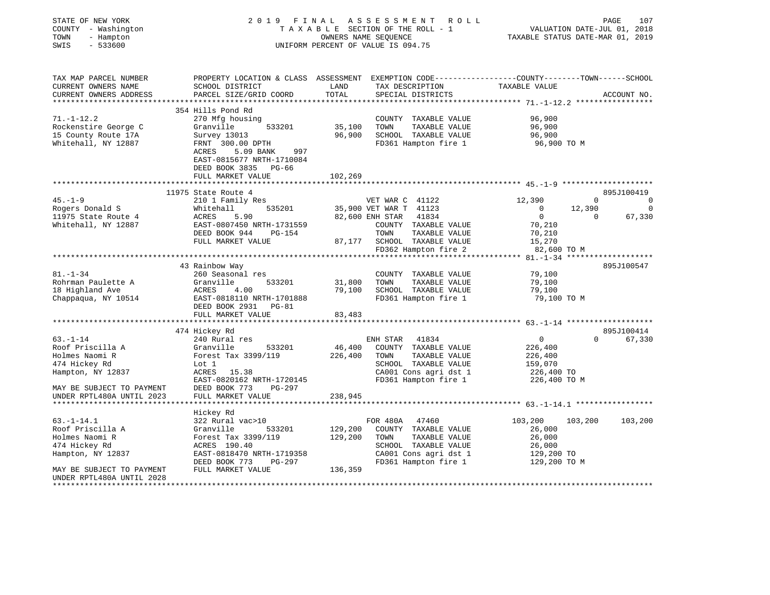| STATE OF NEW YORK<br>COUNTY - Washington                               | 2019<br>FINAL<br>TAXABLE SECTION OF THE ROLL - 1                                                                   | 107<br>R O L L<br>PAGE<br>VALUATION DATE-JUL 01, 2018<br>TAXABLE STATUS DATE-MAR 01, 2019 |                                                                                                                                         |                            |          |             |
|------------------------------------------------------------------------|--------------------------------------------------------------------------------------------------------------------|-------------------------------------------------------------------------------------------|-----------------------------------------------------------------------------------------------------------------------------------------|----------------------------|----------|-------------|
| TOWN<br>- Hampton<br>SWIS<br>$-533600$                                 | UNIFORM PERCENT OF VALUE IS 094.75                                                                                 |                                                                                           |                                                                                                                                         |                            |          |             |
| TAX MAP PARCEL NUMBER<br>CURRENT OWNERS NAME<br>CURRENT OWNERS ADDRESS | SCHOOL DISTRICT<br>PARCEL SIZE/GRID COORD                                                                          | LAND<br>TOTAL                                                                             | PROPERTY LOCATION & CLASS ASSESSMENT EXEMPTION CODE----------------COUNTY-------TOWN-----SCHOOL<br>TAX DESCRIPTION<br>SPECIAL DISTRICTS | TAXABLE VALUE              |          | ACCOUNT NO. |
|                                                                        |                                                                                                                    |                                                                                           |                                                                                                                                         |                            |          |             |
|                                                                        | 354 Hills Pond Rd                                                                                                  |                                                                                           |                                                                                                                                         |                            |          |             |
| $71. - 1 - 12.2$                                                       | 270 Mfg housing                                                                                                    |                                                                                           | COUNTY TAXABLE VALUE                                                                                                                    | 96,900                     |          |             |
| Rockenstire George C                                                   | Granville<br>533201                                                                                                | 35,100<br>96,900                                                                          | TOWN<br>TAXABLE VALUE                                                                                                                   | 96,900                     |          |             |
| 15 County Route 17A<br>Whitehall, NY 12887                             | Survey 13013<br>FRNT 300.00 DPTH<br>ACRES<br>5.09 BANK<br>997<br>EAST-0815677 NRTH-1710084<br>DEED BOOK 3835 PG-66 |                                                                                           | SCHOOL TAXABLE VALUE<br>FD361 Hampton fire 1                                                                                            | 96,900<br>96,900 TO M      |          |             |
|                                                                        | FULL MARKET VALUE                                                                                                  | 102,269                                                                                   |                                                                                                                                         |                            |          |             |
|                                                                        | 11975 State Route 4                                                                                                |                                                                                           |                                                                                                                                         |                            |          | 895J100419  |
| $45. - 1 - 9$                                                          | 210 1 Family Res                                                                                                   |                                                                                           | VET WAR C 41122                                                                                                                         | 12,390                     | $\Omega$ | $\mathbf 0$ |
| Rogers Donald S                                                        | Whitehall<br>535201                                                                                                |                                                                                           | 35,900 VET WAR T 41123                                                                                                                  | $\overline{0}$             | 12,390   | $\mathbf 0$ |
| 11975 State Route 4                                                    | ACRES<br>5.90                                                                                                      |                                                                                           | 82,600 ENH STAR<br>41834                                                                                                                | $\overline{0}$             | $\Omega$ | 67,330      |
| Whitehall, NY 12887                                                    | EAST-0807450 NRTH-1731559                                                                                          |                                                                                           | COUNTY TAXABLE VALUE                                                                                                                    | 70,210                     |          |             |
|                                                                        | DEED BOOK 944<br>PG-154                                                                                            |                                                                                           | TOWN<br>TAXABLE VALUE                                                                                                                   | 70,210                     |          |             |
|                                                                        | FULL MARKET VALUE                                                                                                  |                                                                                           | 87,177 SCHOOL TAXABLE VALUE<br>FD362 Hampton fire 2                                                                                     | 15,270<br>82,600 TO M      |          |             |
|                                                                        |                                                                                                                    |                                                                                           |                                                                                                                                         |                            |          |             |
|                                                                        | 43 Rainbow Way                                                                                                     |                                                                                           |                                                                                                                                         |                            |          | 895J100547  |
| $81. - 1 - 34$                                                         | 260 Seasonal res                                                                                                   |                                                                                           | COUNTY TAXABLE VALUE                                                                                                                    | 79,100                     |          |             |
| Rohrman Paulette A                                                     | 533201<br>Granville                                                                                                | 31,800                                                                                    | TOWN<br>TAXABLE VALUE                                                                                                                   | 79,100                     |          |             |
| 18 Highland Ave                                                        | ACRES<br>4.00                                                                                                      |                                                                                           | 79,100 SCHOOL TAXABLE VALUE                                                                                                             | 79,100                     |          |             |
| Chappaqua, NY 10514                                                    | EAST-0818110 NRTH-1701888<br>DEED BOOK 2931 PG-81<br>FULL MARKET VALUE                                             | 83,483                                                                                    | FD361 Hampton fire 1                                                                                                                    | 79,100 TO M                |          |             |
|                                                                        | **************************                                                                                         |                                                                                           |                                                                                                                                         |                            |          |             |
|                                                                        | 474 Hickey Rd                                                                                                      |                                                                                           |                                                                                                                                         |                            |          | 895J100414  |
| $63. - 1 - 14$                                                         | 240 Rural res                                                                                                      |                                                                                           | ENH STAR<br>41834                                                                                                                       | $\overline{0}$             | $\Omega$ | 67,330      |
| Roof Priscilla A                                                       | Granville<br>533201                                                                                                | 46,400                                                                                    | COUNTY TAXABLE VALUE                                                                                                                    | 226,400                    |          |             |
| Holmes Naomi R                                                         | Forest Tax 3399/119                                                                                                | 226,400                                                                                   | TAXABLE VALUE<br>TOWN                                                                                                                   | 226,400                    |          |             |
| 474 Hickey Rd                                                          | Lot 1                                                                                                              |                                                                                           | SCHOOL TAXABLE VALUE                                                                                                                    | 159,070                    |          |             |
| Hampton, NY 12837                                                      | ACRES 15.38                                                                                                        |                                                                                           | CA001 Cons agri dst 1<br>FD361 Hampton fire 1                                                                                           | 226,400 TO                 |          |             |
| MAY BE SUBJECT TO PAYMENT                                              | EAST-0820162 NRTH-1720145<br>DEED BOOK 773<br>PG-297                                                               |                                                                                           |                                                                                                                                         | 226,400 TO M               |          |             |
| UNDER RPTL480A UNTIL 2023                                              | FULL MARKET VALUE                                                                                                  | 238,945                                                                                   |                                                                                                                                         |                            |          |             |
|                                                                        | ****************                                                                                                   |                                                                                           |                                                                                                                                         |                            |          |             |
|                                                                        | Hickey Rd                                                                                                          |                                                                                           |                                                                                                                                         |                            |          |             |
| $63. - 1 - 14.1$                                                       | 322 Rural vac>10                                                                                                   |                                                                                           | FOR 480A<br>47460                                                                                                                       | 103,200                    | 103,200  | 103,200     |
| Roof Priscilla A                                                       | 533201<br>Granville                                                                                                | 129,200                                                                                   | COUNTY TAXABLE VALUE                                                                                                                    | 26,000                     |          |             |
| Holmes Naomi R                                                         | Forest Tax 3399/119                                                                                                | 129,200                                                                                   | TAXABLE VALUE<br>TOWN                                                                                                                   | 26,000                     |          |             |
| 474 Hickey Rd                                                          | ACRES 190.40<br>EAST-0818470 NRTH-1719358                                                                          |                                                                                           | SCHOOL TAXABLE VALUE                                                                                                                    | 26,000                     |          |             |
| Hampton, NY 12837                                                      | DEED BOOK 773<br>PG-297                                                                                            |                                                                                           | CA001 Cons agri dst 1<br>FD361 Hampton fire 1                                                                                           | 129,200 TO<br>129,200 TO M |          |             |
| MAY BE SUBJECT TO PAYMENT<br>UNDER RPTL480A UNTIL 2028                 | FULL MARKET VALUE                                                                                                  | 136,359                                                                                   |                                                                                                                                         |                            |          |             |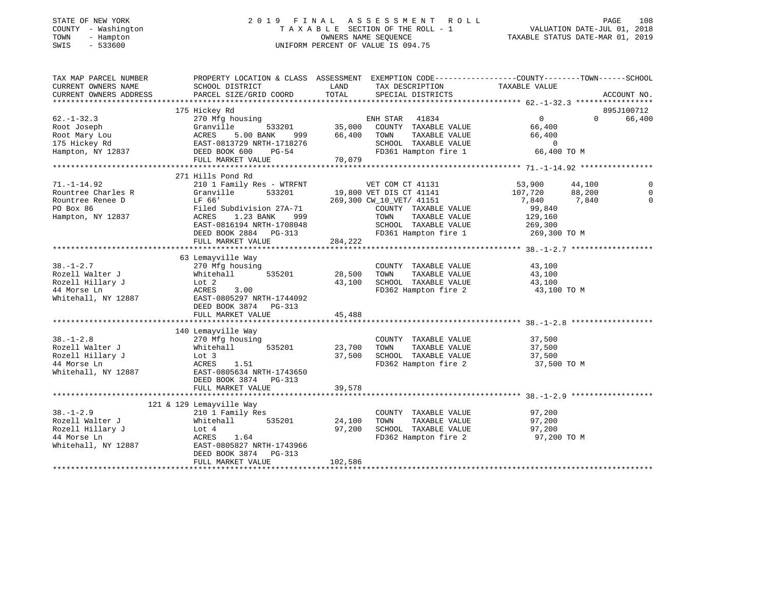| STATE OF NEW YORK<br>COUNTY - Washington<br>TOWN<br>- Hampton<br>$-533600$<br>SWIS                                                                                        | 2019 FINAL ASSESSMENT ROLL<br>TAXABLE SECTION OF THE ROLL - 1<br>UNIFORM PERCENT OF VALUE IS 094.75              | PAGE<br>108<br>VALUATION DATE-JUL 01, 2018<br>TAXABLE STATUS DATE-MAR 01, 2019 |                                                                                                                                                         |                                    |          |             |
|---------------------------------------------------------------------------------------------------------------------------------------------------------------------------|------------------------------------------------------------------------------------------------------------------|--------------------------------------------------------------------------------|---------------------------------------------------------------------------------------------------------------------------------------------------------|------------------------------------|----------|-------------|
| TAX MAP PARCEL NUMBER THE PROPERTY LOCATION & CLASS ASSESSMENT EXEMPTION CODE--------------COUNTY-------TOWN------SCHOOL<br>CURRENT OWNERS NAME<br>CURRENT OWNERS ADDRESS | SCHOOL DISTRICT<br>PARCEL SIZE/GRID COORD                                                                        |                                                                                |                                                                                                                                                         |                                    |          | ACCOUNT NO. |
|                                                                                                                                                                           |                                                                                                                  |                                                                                |                                                                                                                                                         |                                    |          |             |
|                                                                                                                                                                           | 175 Hickey Rd                                                                                                    |                                                                                |                                                                                                                                                         |                                    |          | 895J100712  |
| $62. - 1 - 32.3$<br>Root Joseph Granville<br>Root Mary Lou (ACRES 5.00<br>175 Hickey Rd (EAST-0813729 N<br>Hampton, NY 12837 (DEED BOOK 600                               | 270 Mfg housing<br>5.00 BANK<br>EAST-0813729 NRTH-1718276<br>DEED BOOK 600 PG-54<br>FULL MARKET VALUE 70,079     |                                                                                | ENH STAR 41834<br>533201 35,000 COUNTY TAXABLE VALUE<br>NNK 999 66,400 TOWN TAXABLE VALUE<br>SCHOOL TAXABLE VALUE 0<br>FD361 Hampton fire 1 66,400 TO M | $\overline{0}$<br>66,400<br>66,400 | $\Omega$ | 66,400      |
|                                                                                                                                                                           |                                                                                                                  |                                                                                |                                                                                                                                                         |                                    |          |             |
|                                                                                                                                                                           |                                                                                                                  |                                                                                |                                                                                                                                                         |                                    |          |             |
| $71. - 1 - 14.92$                                                                                                                                                         | 271 Hills Pond Rd<br>210 1 Family Res - WTRFNT                                                                   |                                                                                | VET COM CT 41131                                                                                                                                        | 53,900                             | 44,100   | $\Omega$    |
| Rountree Charles R<br>Rountree Renee D                                                                                                                                    | Granville<br>533201                                                                                              |                                                                                | 19,800 VET DIS CT 41141                                                                                                                                 | 107,720                            | 88,200   | $\Omega$    |
|                                                                                                                                                                           | LF 66'                                                                                                           |                                                                                | 269,300 CW_10_VET/ 41151                                                                                                                                | 7,840                              | 7,840    | $\Omega$    |
| PO Box 86                                                                                                                                                                 | Filed Subdivision 27A-71<br>ACRES     1.23 BANK      999                                                         |                                                                                | COUNTY TAXABLE VALUE                                                                                                                                    | 99,840                             |          |             |
| Hampton, NY 12837                                                                                                                                                         |                                                                                                                  |                                                                                | TOWN<br>TAXABLE VALUE                                                                                                                                   | 129,160                            |          |             |
|                                                                                                                                                                           |                                                                                                                  |                                                                                | SCHOOL TAXABLE VALUE 269,300<br>FD361 Hampton fire 1 269,300 TO M                                                                                       |                                    |          |             |
|                                                                                                                                                                           |                                                                                                                  | 284, 222                                                                       |                                                                                                                                                         |                                    |          |             |
|                                                                                                                                                                           | FULL MARKET VALUE                                                                                                |                                                                                |                                                                                                                                                         |                                    |          |             |
|                                                                                                                                                                           | 63 Lemayville Way                                                                                                |                                                                                |                                                                                                                                                         |                                    |          |             |
| $38. - 1 - 2.7$                                                                                                                                                           | 270 Mfg housing                                                                                                  |                                                                                | COUNTY TAXABLE VALUE                                                                                                                                    | 43,100                             |          |             |
| Rozell Walter J                                                                                                                                                           | 535201                                                                                                           | 28,500                                                                         | TAXABLE VALUE<br>TOWN                                                                                                                                   | 43,100                             |          |             |
| Rozell Hillary J<br>44 Morse In                                                                                                                                           |                                                                                                                  |                                                                                | 43,100 SCHOOL TAXABLE VALUE                                                                                                                             | 43,100                             |          |             |
| 44 Morse Ln<br>Whitehall, NY 12887                                                                                                                                        | 270 Mig housing<br>Whitehall 535201<br>Lot 2<br>ACRES 3.00<br>EAST-0805297 NRTH-1744092<br>DEED BOOK 3874 PG-313 |                                                                                | FD362 Hampton fire 2                                                                                                                                    | 43,100 TO M                        |          |             |
|                                                                                                                                                                           | FULL MARKET VALUE                                                                                                | 45,488                                                                         |                                                                                                                                                         |                                    |          |             |
|                                                                                                                                                                           |                                                                                                                  |                                                                                |                                                                                                                                                         |                                    |          |             |
| $38. - 1 - 2.8$                                                                                                                                                           | 140 Lemayville Way<br>270 Mfg housing                                                                            |                                                                                | COUNTY TAXABLE VALUE                                                                                                                                    | 37,500                             |          |             |
|                                                                                                                                                                           |                                                                                                                  | 23,700                                                                         | TAXABLE VALUE<br>TOWN                                                                                                                                   | 37,500                             |          |             |
|                                                                                                                                                                           |                                                                                                                  | 37,500                                                                         | SCHOOL TAXABLE VALUE                                                                                                                                    | 37,500                             |          |             |
| Rozell Walter J<br>Rozell Hillary J<br>44 Morse Ln<br>Whitehall, NY 12887<br>EAST-0805634 NRTH-1743650<br>Mhitehall, NY 12887<br>EAST-0805634 NRTH-1743650                | DEED BOOK 3874 PG-313                                                                                            |                                                                                | FD362 Hampton fire 2                                                                                                                                    | 37,500 TO M                        |          |             |
|                                                                                                                                                                           | FULL MARKET VALUE                                                                                                | 39,578                                                                         |                                                                                                                                                         |                                    |          |             |
|                                                                                                                                                                           | 121 & 129 Lemayville Way                                                                                         |                                                                                |                                                                                                                                                         |                                    |          |             |
| $38. - 1 - 2.9$<br>Rozell Walter J                                                                                                                                        | $210$ 1 Family Res<br>Whitehall 535201                                                                           | 24,100                                                                         | COUNTY TAXABLE VALUE<br>TAXABLE VALUE<br>TOWN                                                                                                           | 97,200<br>97,200                   |          |             |
| Rozell Hillary J                                                                                                                                                          | Lot 4                                                                                                            | 97,200                                                                         | SCHOOL TAXABLE VALUE                                                                                                                                    | 97,200                             |          |             |
| 44 Morse Ln                                                                                                                                                               | ACRES<br>1.64                                                                                                    |                                                                                | FD362 Hampton fire 2                                                                                                                                    | 97,200 TO M                        |          |             |
| Whitehall, NY 12887                                                                                                                                                       | EAST-0805827 NRTH-1743966                                                                                        |                                                                                |                                                                                                                                                         |                                    |          |             |

FULL MARKET VALUE 102,586 \*\*\*\*\*\*\*\*\*\*\*\*\*\*\*\*\*\*\*\*\*\*\*\*\*\*\*\*\*\*\*\*\*\*\*\*\*\*\*\*\*\*\*\*\*\*\*\*\*\*\*\*\*\*\*\*\*\*\*\*\*\*\*\*\*\*\*\*\*\*\*\*\*\*\*\*\*\*\*\*\*\*\*\*\*\*\*\*\*\*\*\*\*\*\*\*\*\*\*\*\*\*\*\*\*\*\*\*\*\*\*\*\*\*\*\*\*\*\*\*\*\*\*\*\*\*\*\*\*\*\*\*

DEED BOOK 3874 PG-313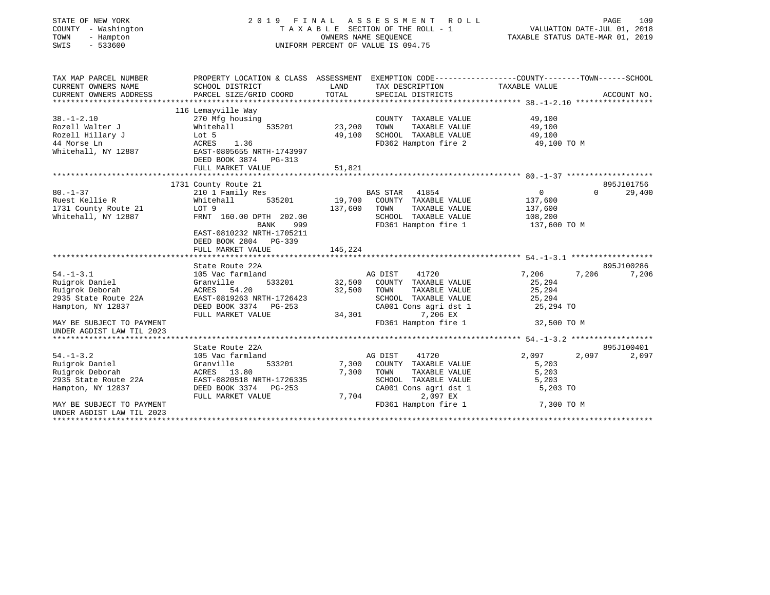| STATE OF NEW YORK<br>COUNTY - Washington<br>TOWN<br>- Hampton<br>$-533600$<br>SWIS |                                                                                                                    |         | 2019 FINAL ASSESSMENT ROLL<br>TAXABLE SECTION OF THE ROLL - 1<br>OWNERS NAME SEOUENCE<br>UNIFORM PERCENT OF VALUE IS 094.75 | VALUATION DATE-JUL 01, 2018<br>TAXABLE STATUS DATE-MAR 01, 2019 | PAGE<br>109         |
|------------------------------------------------------------------------------------|--------------------------------------------------------------------------------------------------------------------|---------|-----------------------------------------------------------------------------------------------------------------------------|-----------------------------------------------------------------|---------------------|
| TAX MAP PARCEL NUMBER<br>CURRENT OWNERS NAME                                       | PROPERTY LOCATION & CLASS ASSESSMENT EXEMPTION CODE---------------COUNTY-------TOWN------SCHOOL<br>SCHOOL DISTRICT | LAND    | TAX DESCRIPTION                                                                                                             | TAXABLE VALUE                                                   |                     |
| CURRENT OWNERS ADDRESS                                                             | PARCEL SIZE/GRID COORD                                                                                             | TOTAL   | SPECIAL DISTRICTS                                                                                                           |                                                                 | ACCOUNT NO.         |
|                                                                                    | 116 Lemayville Way                                                                                                 |         |                                                                                                                             |                                                                 |                     |
| $38. - 1 - 2.10$                                                                   | 270 Mfg housing                                                                                                    |         | COUNTY TAXABLE VALUE                                                                                                        | 49,100                                                          |                     |
| Rozell Walter J                                                                    | Whitehall<br>535201                                                                                                | 23,200  | TAXABLE VALUE<br>TOWN                                                                                                       | 49,100                                                          |                     |
| Rozell Hillary J                                                                   | Lot 5                                                                                                              | 49,100  | SCHOOL TAXABLE VALUE                                                                                                        | 49,100                                                          |                     |
| 44 Morse Ln                                                                        | ACRES<br>1.36                                                                                                      |         | FD362 Hampton fire 2                                                                                                        | 49,100 TO M                                                     |                     |
| Whitehall, NY 12887                                                                | EAST-0805655 NRTH-1743997<br>DEED BOOK 3874 PG-313                                                                 |         |                                                                                                                             |                                                                 |                     |
|                                                                                    | FULL MARKET VALUE                                                                                                  | 51,821  |                                                                                                                             |                                                                 |                     |
|                                                                                    |                                                                                                                    |         |                                                                                                                             |                                                                 |                     |
|                                                                                    | 1731 County Route 21                                                                                               |         |                                                                                                                             |                                                                 | 895J101756          |
| $80. - 1 - 37$<br>Ruest Kellie R                                                   | 210 1 Family Res<br>Whitehall<br>535201                                                                            | 19,700  | BAS STAR 41854<br>COUNTY TAXABLE VALUE                                                                                      | $\overline{0}$<br>137,600                                       | 29,400<br>$\Omega$  |
| 1731 County Route 21                                                               | LOT 9                                                                                                              | 137,600 | TAXABLE VALUE<br>TOWN                                                                                                       | 137,600                                                         |                     |
| Whitehall, NY 12887                                                                | FRNT 160.00 DPTH 202.00                                                                                            |         | SCHOOL TAXABLE VALUE                                                                                                        | 108,200                                                         |                     |
|                                                                                    | BANK<br>999                                                                                                        |         | FD361 Hampton fire 1                                                                                                        | 137,600 TO M                                                    |                     |
|                                                                                    | EAST-0810232 NRTH-1705211<br>DEED BOOK 2804 PG-339                                                                 |         |                                                                                                                             |                                                                 |                     |
|                                                                                    | FULL MARKET VALUE                                                                                                  | 145,224 |                                                                                                                             |                                                                 |                     |
|                                                                                    |                                                                                                                    |         |                                                                                                                             |                                                                 |                     |
|                                                                                    | State Route 22A                                                                                                    |         |                                                                                                                             |                                                                 | 895J100286          |
| $54. - 1 - 3.1$                                                                    | 105 Vac farmland                                                                                                   |         | AG DIST<br>41720                                                                                                            | 7,206<br>7,206                                                  | 7,206               |
| Ruigrok Daniel                                                                     | Granville<br>533201                                                                                                | 32,500  | COUNTY TAXABLE VALUE                                                                                                        | 25,294                                                          |                     |
| Ruigrok Deborah                                                                    | ACRES 54.20                                                                                                        | 32,500  | TOWN<br>TAXABLE VALUE                                                                                                       | 25,294                                                          |                     |
| 2935 State Route 22A                                                               | EAST-0819263 NRTH-1726423                                                                                          |         | SCHOOL TAXABLE VALUE                                                                                                        | 25,294                                                          |                     |
| Hampton, NY 12837                                                                  | DEED BOOK 3374 PG-253                                                                                              |         | CA001 Cons agri dst 1                                                                                                       | 25,294 TO                                                       |                     |
|                                                                                    | FULL MARKET VALUE                                                                                                  | 34,301  | 7,206 EX                                                                                                                    |                                                                 |                     |
| MAY BE SUBJECT TO PAYMENT<br>UNDER AGDIST LAW TIL 2023                             |                                                                                                                    |         | FD361 Hampton fire 1                                                                                                        | 32,500 TO M                                                     |                     |
|                                                                                    | State Route 22A                                                                                                    |         |                                                                                                                             |                                                                 |                     |
| $54. - 1 - 3.2$                                                                    | 105 Vac farmland                                                                                                   |         | AG DIST<br>41720                                                                                                            | 2,097<br>2,097                                                  | 895J100401<br>2,097 |
| Ruigrok Daniel                                                                     | Granville<br>533201                                                                                                | 7,300   | COUNTY TAXABLE VALUE                                                                                                        | 5,203                                                           |                     |
| Ruigrok Deborah                                                                    | ACRES 13.80                                                                                                        | 7,300   | TOWN<br>TAXABLE VALUE                                                                                                       | 5,203                                                           |                     |
| 2935 State Route 22A                                                               | EAST-0820518 NRTH-1726335                                                                                          |         | SCHOOL TAXABLE VALUE                                                                                                        | 5,203                                                           |                     |
| Hampton, NY 12837                                                                  | DEED BOOK 3374<br>$PG-253$                                                                                         |         | CA001 Cons agri dst 1                                                                                                       | 5,203 TO                                                        |                     |
|                                                                                    | FULL MARKET VALUE                                                                                                  | 7,704   | 2,097 EX                                                                                                                    |                                                                 |                     |
| MAY BE SUBJECT TO PAYMENT                                                          |                                                                                                                    |         | FD361 Hampton fire 1                                                                                                        | 7,300 TO M                                                      |                     |
| UNDER AGDIST LAW TIL 2023                                                          |                                                                                                                    |         |                                                                                                                             |                                                                 |                     |
|                                                                                    |                                                                                                                    |         |                                                                                                                             |                                                                 |                     |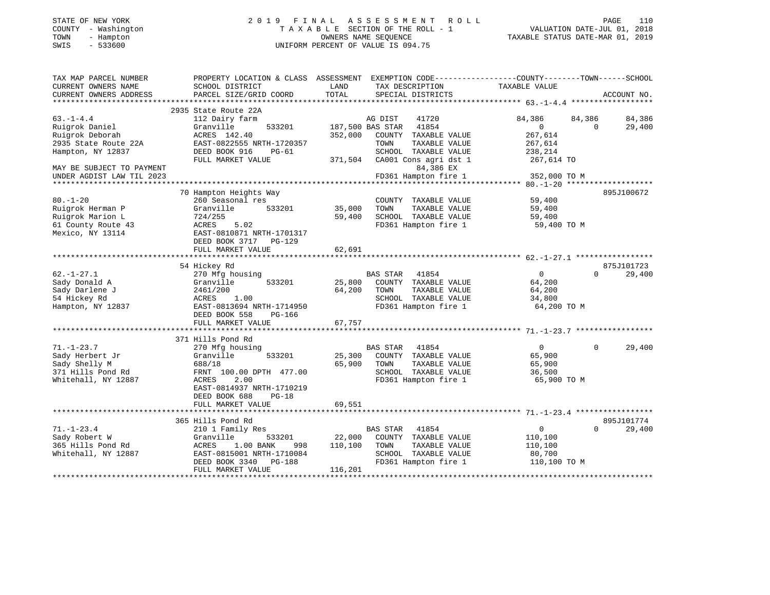| STATE OF NEW YORK |     |              |  |
|-------------------|-----|--------------|--|
| COUNTY            |     | - Washington |  |
| TOWN              | $-$ | Hampton      |  |
| CTTTTC            |     | E 22500      |  |

## STATE OF NEW YORK 2 0 1 9 F I N A L A S S E S S M E N T R O L L PAGE 110 COUNTY - Washington T A X A B L E SECTION OF THE ROLL - 1 VALUATION DATE-JUL 01, 2018 TOWN - Hampton OWNERS NAME SEQUENCE TAXABLE STATUS DATE-MAR 01, 2019 SWIS - 533600 UNIFORM PERCENT OF VALUE IS 094.75UNIFORM PERCENT OF VALUE IS 094.75

| TAX MAP PARCEL NUMBER     | PROPERTY LOCATION & CLASS ASSESSMENT EXEMPTION CODE---------------COUNTY-------TOWN------SCHOOL |         |                           |               |          |             |
|---------------------------|-------------------------------------------------------------------------------------------------|---------|---------------------------|---------------|----------|-------------|
| CURRENT OWNERS NAME       | SCHOOL DISTRICT                                                                                 | LAND    | TAX DESCRIPTION           | TAXABLE VALUE |          |             |
| CURRENT OWNERS ADDRESS    | PARCEL SIZE/GRID COORD                                                                          | TOTAL   | SPECIAL DISTRICTS         |               |          | ACCOUNT NO. |
|                           |                                                                                                 |         |                           |               |          |             |
|                           | 2935 State Route 22A                                                                            |         |                           |               |          |             |
| $63. -1 - 4.4$            | 112 Dairy farm                                                                                  |         | 41720<br>AG DIST          | 84,386        | 84,386   | 84,386      |
| Ruigrok Daniel            | Granville<br>533201                                                                             |         | 41854<br>187,500 BAS STAR | 0             | $\Omega$ | 29,400      |
| Ruigrok Deborah           | ACRES 142.40                                                                                    | 352,000 | COUNTY<br>TAXABLE VALUE   | 267,614       |          |             |
| 2935 State Route 22A      | EAST-0822555 NRTH-1720357                                                                       |         | TAXABLE VALUE<br>TOWN     | 267,614       |          |             |
| Hampton, NY 12837         | DEED BOOK 916<br>$PG-61$                                                                        |         | SCHOOL TAXABLE VALUE      | 238,214       |          |             |
|                           | FULL MARKET VALUE                                                                               | 371,504 | CA001 Cons agri dst 1     | 267,614 TO    |          |             |
| MAY BE SUBJECT TO PAYMENT |                                                                                                 |         | 84,386 EX                 |               |          |             |
| UNDER AGDIST LAW TIL 2023 |                                                                                                 |         | FD361 Hampton fire 1      | 352,000 TO M  |          |             |
|                           |                                                                                                 |         |                           |               |          |             |
|                           | 70 Hampton Heights Way                                                                          |         |                           |               |          | 895J100672  |
| $80. - 1 - 20$            | 260 Seasonal res                                                                                |         | COUNTY TAXABLE VALUE      | 59,400        |          |             |
| Ruigrok Herman P          | Granville<br>533201                                                                             | 35,000  | TAXABLE VALUE<br>TOWN     | 59,400        |          |             |
| Ruigrok Marion L          | 724/255                                                                                         | 59,400  | SCHOOL TAXABLE VALUE      | 59,400        |          |             |
| 61 County Route 43        | ACRES<br>5.02                                                                                   |         | FD361 Hampton fire 1      | 59,400 TO M   |          |             |
| Mexico, NY 13114          | EAST-0810871 NRTH-1701317                                                                       |         |                           |               |          |             |
|                           | DEED BOOK 3717<br>PG-129                                                                        |         |                           |               |          |             |
|                           | FULL MARKET VALUE                                                                               | 62,691  |                           |               |          |             |
|                           |                                                                                                 |         |                           |               |          |             |
|                           | 54 Hickey Rd                                                                                    |         |                           |               |          | 875J101723  |
| $62. - 1 - 27.1$          | 270 Mfg housing                                                                                 |         | 41854<br><b>BAS STAR</b>  | $\Omega$      | $\Omega$ | 29,400      |
| Sady Donald A             | 533201<br>Granville                                                                             | 25,800  | COUNTY TAXABLE VALUE      | 64,200        |          |             |
| Sady Darlene J            | 2461/200                                                                                        | 64,200  | TOWN<br>TAXABLE VALUE     | 64,200        |          |             |
| 54 Hickey Rd              | <b>ACRES</b><br>1.00                                                                            |         | SCHOOL TAXABLE VALUE      | 34,800        |          |             |
| Hampton, NY 12837         | EAST-0813694 NRTH-1714950<br>DEED BOOK 558<br>PG-166                                            |         | FD361 Hampton fire 1      | 64,200 TO M   |          |             |
|                           | FULL MARKET VALUE                                                                               | 67,757  |                           |               |          |             |
|                           |                                                                                                 |         |                           |               |          |             |
|                           | 371 Hills Pond Rd                                                                               |         |                           |               |          |             |
| $71. - 1 - 23.7$          | 270 Mfg housing                                                                                 |         | 41854<br><b>BAS STAR</b>  | $\Omega$      | $\Omega$ | 29,400      |
| Sady Herbert Jr           | Granville<br>533201                                                                             | 25,300  | COUNTY TAXABLE VALUE      | 65,900        |          |             |
| Sady Shelly M             | 688/18                                                                                          | 65,900  | TOWN<br>TAXABLE VALUE     | 65,900        |          |             |
| 371 Hills Pond Rd         | FRNT 100.00 DPTH 477.00                                                                         |         | SCHOOL TAXABLE VALUE      | 36,500        |          |             |
| Whitehall, NY 12887       | 2.00<br>ACRES                                                                                   |         | FD361 Hampton fire 1      | 65,900 TO M   |          |             |
|                           | EAST-0814937 NRTH-1710219                                                                       |         |                           |               |          |             |
|                           | DEED BOOK 688<br>$PG-18$                                                                        |         |                           |               |          |             |
|                           | FULL MARKET VALUE                                                                               | 69,551  |                           |               |          |             |
|                           |                                                                                                 |         |                           |               |          |             |
|                           | 365 Hills Pond Rd                                                                               |         |                           |               |          | 895J101774  |
| $71. - 1 - 23.4$          | 210 1 Family Res                                                                                |         | 41854<br><b>BAS STAR</b>  | $\Omega$      | $\Omega$ | 29,400      |
| Sady Robert W             | Granville<br>533201                                                                             | 22,000  | COUNTY<br>TAXABLE VALUE   | 110,100       |          |             |
| 365 Hills Pond Rd         | 1.00 BANK<br>ACRES<br>998                                                                       | 110,100 | TOWN<br>TAXABLE VALUE     | 110,100       |          |             |
| Whitehall, NY 12887       | EAST-0815001 NRTH-1710084                                                                       |         | SCHOOL TAXABLE VALUE      | 80,700        |          |             |
|                           | DEED BOOK 3340<br>PG-188                                                                        |         | FD361 Hampton fire 1      | 110,100 TO M  |          |             |
|                           | FULL MARKET VALUE                                                                               | 116,201 |                           |               |          |             |
|                           |                                                                                                 |         |                           |               |          |             |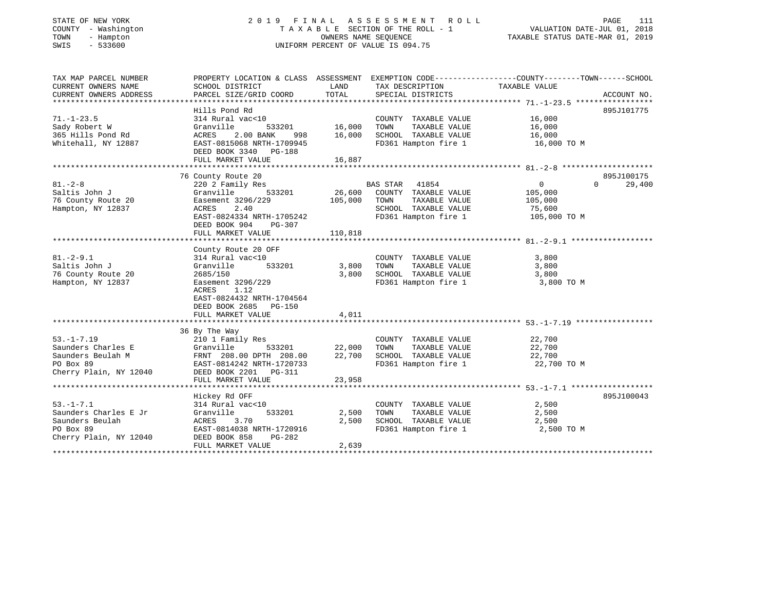# STATE OF NEW YORK 2 0 1 9 F I N A L A S S E S S M E N T R O L L PAGE 111 COUNTY - Washington T A X A B L E SECTION OF THE ROLL - 1 VALUATION DATE-JUL 01, 2018 TOWN - Hampton OWNERS NAME SEQUENCE TAXABLE STATUS DATE-MAR 01, 2019 SWIS - 533600 UNIFORM PERCENT OF VALUE IS 094.75

| TAX MAP PARCEL NUMBER  | PROPERTY LOCATION & CLASS ASSESSMENT EXEMPTION CODE---------------COUNTY-------TOWN------SCHOOL              |               |                                   |                |                    |
|------------------------|--------------------------------------------------------------------------------------------------------------|---------------|-----------------------------------|----------------|--------------------|
| CURRENT OWNERS NAME    | SCHOOL DISTRICT                                                                                              | LAND          | TAX DESCRIPTION                   | TAXABLE VALUE  |                    |
| CURRENT OWNERS ADDRESS | PARCEL SIZE/GRID COORD                                                                                       | TOTAL         | SPECIAL DISTRICTS                 |                | ACCOUNT NO.        |
|                        |                                                                                                              |               |                                   |                |                    |
|                        | Hills Pond Rd                                                                                                |               |                                   |                | 895J101775         |
| $71. - 1 - 23.5$       | 314 Rural vac<10                                                                                             |               | COUNTY TAXABLE VALUE              | 16,000         |                    |
| Sady Robert W          | Granville                                                                                                    | 533201 16,000 | TOWN<br>TAXABLE VALUE             | 16,000         |                    |
| 365 Hills Pond Rd      | ACRES<br>2.00 BANK                                                                                           | 998 16,000    | SCHOOL TAXABLE VALUE              | 16,000         |                    |
| Whitehall, NY 12887    | EAST-0815068 NRTH-1709945                                                                                    |               | FD361 Hampton fire 1              | 16,000 TO M    |                    |
|                        | DEED BOOK 3340 PG-188                                                                                        |               |                                   |                |                    |
|                        |                                                                                                              |               |                                   |                |                    |
|                        |                                                                                                              |               |                                   |                |                    |
|                        | 76 County Route 20                                                                                           |               |                                   |                | 895J100175         |
| $81. - 2 - 8$          | 220 2 Family Res                                                                                             |               | BAS STAR 41854                    | $\overline{0}$ | 29,400<br>$\Omega$ |
| Saltis John J          | 533201<br>Granville                                                                                          | 26,600        | COUNTY TAXABLE VALUE              | 105,000        |                    |
| 76 County Route 20     | Easement 3296/229                                                                                            | 105,000       | TOWN<br>TAXABLE VALUE             | 105,000        |                    |
| Hampton, NY 12837      | 2.40<br>ACRES                                                                                                |               | SCHOOL TAXABLE VALUE              | 75,600         |                    |
|                        | EAST-0824334 NRTH-1705242                                                                                    |               | FD361 Hampton fire 1 105,000 TO M |                |                    |
|                        | DEED BOOK 904<br>PG-307                                                                                      |               |                                   |                |                    |
|                        | FULL MARKET VALUE                                                                                            | 110,818       |                                   |                |                    |
|                        |                                                                                                              |               |                                   |                |                    |
|                        | County Route 20 OFF                                                                                          |               |                                   |                |                    |
| $81.-2-9.1$            | 314 Rural vac<10                                                                                             |               | COUNTY TAXABLE VALUE              | 3,800          |                    |
| Saltis John J          | 533201<br>Granville                                                                                          | 3,800         | TOWN<br>TAXABLE VALUE             | 3,800          |                    |
| 76 County Route 20     | 2685/150                                                                                                     | 3,800         | SCHOOL TAXABLE VALUE              | 3,800          |                    |
| Hampton, NY 12837      | Easement 3296/229                                                                                            |               | FD361 Hampton fire 1              | 3,800 TO M     |                    |
|                        | 1.12<br>ACRES                                                                                                |               |                                   |                |                    |
|                        | EAST-0824432 NRTH-1704564                                                                                    |               |                                   |                |                    |
|                        | DEED BOOK 2685 PG-150                                                                                        |               |                                   |                |                    |
|                        | FULL MARKET VALUE                                                                                            | 4,011         |                                   |                |                    |
|                        |                                                                                                              |               |                                   |                |                    |
|                        | 36 By The Way<br>210 1 Family Res<br>Granville 533201<br>FRNT 208.00 DPTH 208.00<br>EAST-0814242 NPTH 200.00 |               |                                   |                |                    |
| $53. -1 - 7.19$        |                                                                                                              |               | COUNTY TAXABLE VALUE              | 22,700         |                    |
| Saunders Charles E     | 533201                                                                                                       | 22,000        | TOWN<br>TAXABLE VALUE             | 22,700         |                    |
| Saunders Beulah M      |                                                                                                              | 22,700        | SCHOOL TAXABLE VALUE              | 22,700         |                    |
| PO Box 89              |                                                                                                              |               | FD361 Hampton fire 1              | 22,700 TO M    |                    |
| Cherry Plain, NY 12040 | DEED BOOK 2201 PG-311                                                                                        |               |                                   |                |                    |
|                        | FULL MARKET VALUE                                                                                            | 23,958        |                                   |                |                    |
|                        |                                                                                                              |               |                                   |                |                    |
|                        | Hickey Rd OFF                                                                                                |               |                                   |                | 895J100043         |
| $53. - 1 - 7.1$        | 314 Rural vac<10                                                                                             |               | COUNTY TAXABLE VALUE              | 2,500          |                    |
| Saunders Charles E Jr  | 533201<br>Granville                                                                                          | 2,500         | TAXABLE VALUE<br>TOWN             | 2,500          |                    |
| Saunders Beulah        | 3.70<br>ACRES                                                                                                | 2,500         | SCHOOL TAXABLE VALUE              | 2,500          |                    |
| PO Box 89              | EAST-0814038 NRTH-1720916                                                                                    |               | FD361 Hampton fire 1              | 2,500 TO M     |                    |
| Cherry Plain, NY 12040 | DEED BOOK 858<br>PG-282                                                                                      |               |                                   |                |                    |
|                        | FULL MARKET VALUE                                                                                            | 2,639         |                                   |                |                    |
|                        |                                                                                                              |               |                                   |                |                    |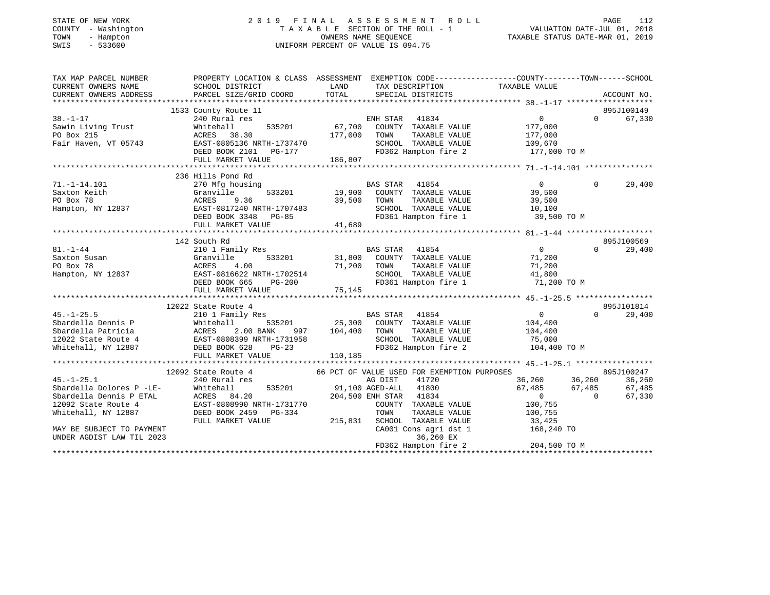| STATE OF NEW YORK<br>COUNTY - Washington<br>TOWN<br>- Hampton<br>$-533600$<br>SWIS |                                                                                                 |                | 2019 FINAL ASSESSMENT ROLL<br>TAXABLE SECTION OF THE ROLL - 1<br>OWNERS NAME SEOUENCE<br>UNIFORM PERCENT OF VALUE IS 094.75 | PAGE 112<br>VALUATION DATE-JUL 01, 2018<br>TAXABLE STATUS DATE 112 |                  |                      |
|------------------------------------------------------------------------------------|-------------------------------------------------------------------------------------------------|----------------|-----------------------------------------------------------------------------------------------------------------------------|--------------------------------------------------------------------|------------------|----------------------|
| TAX MAP PARCEL NUMBER                                                              | PROPERTY LOCATION & CLASS ASSESSMENT EXEMPTION CODE---------------COUNTY-------TOWN------SCHOOL |                |                                                                                                                             |                                                                    |                  |                      |
| CURRENT OWNERS NAME<br>CURRENT OWNERS ADDRESS                                      | SCHOOL DISTRICT<br>PARCEL SIZE/GRID COORD                                                       | LAND<br>TOTAL  | TAX DESCRIPTION<br>SPECIAL DISTRICTS                                                                                        | TAXABLE VALUE                                                      |                  | ACCOUNT NO.          |
|                                                                                    |                                                                                                 |                |                                                                                                                             |                                                                    |                  |                      |
|                                                                                    | 1533 County Route 11                                                                            |                |                                                                                                                             |                                                                    |                  | 895J100149           |
| $38. - 1 - 17$                                                                     | 240 Rural res                                                                                   |                | ENH STAR 41834                                                                                                              | 0                                                                  | $\Omega$         | 67,330               |
| Sawin Living Trust                                                                 | 535201<br>Whitehall                                                                             | 67,700         | COUNTY TAXABLE VALUE                                                                                                        | 177,000                                                            |                  |                      |
| PO Box 215                                                                         | ACRES 38.30                                                                                     | 177,000        | TAXABLE VALUE<br>TOWN                                                                                                       | 177,000                                                            |                  |                      |
| Fair Haven, VT 05743                                                               | EAST-0805136 NRTH-1737470                                                                       |                | SCHOOL TAXABLE VALUE                                                                                                        | 109,670                                                            |                  |                      |
|                                                                                    | DEED BOOK 2101    PG-177                                                                        | $\overline{a}$ | FD362 Hampton fire 2                                                                                                        | 177,000 TO M                                                       |                  |                      |
|                                                                                    | FULL MARKET VALUE                                                                               | 186,807        |                                                                                                                             |                                                                    |                  |                      |
|                                                                                    |                                                                                                 |                |                                                                                                                             |                                                                    |                  |                      |
|                                                                                    | 236 Hills Pond Rd                                                                               |                |                                                                                                                             |                                                                    |                  |                      |
| $71. -1 - 14.101$                                                                  | 270 Mfg housing                                                                                 |                | BAS STAR 41854                                                                                                              | $\overline{0}$                                                     | $\Omega$         | 29,400               |
| Saxton Keith                                                                       | Granville<br>533201                                                                             | 19,900         | COUNTY TAXABLE VALUE                                                                                                        | 39,500                                                             |                  |                      |
| PO Box 78                                                                          | ACRES<br>9.36                                                                                   | 39,500         | TOWN<br>TAXABLE VALUE                                                                                                       | 39,500                                                             |                  |                      |
| Hampton, NY 12837                                                                  |                                                                                                 |                | SCHOOL TAXABLE VALUE                                                                                                        | 10,100                                                             |                  |                      |
|                                                                                    |                                                                                                 |                | FD361 Hampton fire 1 39,500 TO M                                                                                            |                                                                    |                  |                      |
|                                                                                    | FULL MARKET VALUE                                                                               | 41,689         |                                                                                                                             |                                                                    |                  |                      |
|                                                                                    | 142 South Rd                                                                                    |                |                                                                                                                             |                                                                    |                  | 895J100569           |
| $81. - 1 - 44$                                                                     | 210 1 Family Res                                                                                |                | BAS STAR 41854                                                                                                              | $\overline{0}$                                                     | $\Omega$         | 29,400               |
| Saxton Susan                                                                       | 533201<br>Granville                                                                             | 31,800         | COUNTY TAXABLE VALUE                                                                                                        | 71,200                                                             |                  |                      |
| PO Box 78                                                                          | ACRES<br>4.00                                                                                   | 71,200         | TAXABLE VALUE<br>TOWN                                                                                                       | 71,200                                                             |                  |                      |
|                                                                                    | Hampton, NY 12837 EAST-0816622 NRTH-1702514                                                     |                | SCHOOL TAXABLE VALUE                                                                                                        | 41,800                                                             |                  |                      |
|                                                                                    | DEED BOOK 665<br>PG-200                                                                         |                | FD361 Hampton fire 1                                                                                                        | 71,200 TO M                                                        |                  |                      |
|                                                                                    | FULL MARKET VALUE                                                                               | 75,145         |                                                                                                                             |                                                                    |                  |                      |
|                                                                                    |                                                                                                 |                |                                                                                                                             |                                                                    |                  |                      |
|                                                                                    | 12022 State Route 4                                                                             |                |                                                                                                                             |                                                                    |                  | 895J101814           |
| $45. - 1 - 25.5$                                                                   | 210 1 Family Res                                                                                |                | <b>BAS STAR</b><br>41854                                                                                                    | $\overline{0}$                                                     | $\Omega$         | 29,400               |
| Sbardella Dennis P                                                                 | 535201<br>Whitehall                                                                             |                | 25,300 COUNTY TAXABLE VALUE                                                                                                 | 104,400                                                            |                  |                      |
| Sbardella Patricia                                                                 | ACRES<br>2.00 BANK<br>997                                                                       | 104,400        | TOWN<br>TAXABLE VALUE                                                                                                       | 104,400                                                            |                  |                      |
| 12022 State Route 4                                                                | EAST-0808399 NRTH-1731958                                                                       |                | SCHOOL TAXABLE VALUE                                                                                                        | 75,000                                                             |                  |                      |
| Whitehall, NY 12887                                                                | DEED BOOK 628<br>$PG-23$                                                                        |                | FD362 Hampton fire 2                                                                                                        | 104,400 TO M                                                       |                  |                      |
|                                                                                    | FULL MARKET VALUE                                                                               | 110,185        |                                                                                                                             |                                                                    |                  |                      |
|                                                                                    |                                                                                                 |                |                                                                                                                             |                                                                    |                  |                      |
| $45. - 1 - 25.1$                                                                   | 12092 State Route 4<br>240 Rural res                                                            |                | 66 PCT OF VALUE USED FOR EXEMPTION PURPOSES<br>AG DIST<br>41720                                                             | 36,260                                                             |                  | 895J100247<br>36,260 |
| Sbardella Dolores P -LE-                                                           | 535201<br>Whitehall                                                                             |                | 41800<br>91,100 AGED-ALL                                                                                                    | 67,485                                                             | 36,260<br>67.485 | 67,485               |
| Sbardella Dennis P ETAL                                                            | ACRES 84.20                                                                                     |                | 204,500 ENH STAR<br>41834                                                                                                   | $\Omega$                                                           | $\Omega$         | 67,330               |

12092 State Route 4 EAST-0808990 NRTH-1731770 COUNTY TAXABLE VALUE 100,755 Whitehall, NY 12887 DEED BOOK 2459 PG-334 TOWN TAXABLE VALUE 100,755 FULL MARKET VALUE 215,831 SCHOOL TAXABLE VALUE 33,425 MAY BE SUBJECT TO PAYMENT CAOL CONS AGRICULT CAOL CONSTRUCTED AND TO LARGE THE SUBJECT TO PAYMENT UNDER AGDIST LAW TIL 2023 36,260 EX FD362 Hampton fire 2 204,500 TO M

\*\*\*\*\*\*\*\*\*\*\*\*\*\*\*\*\*\*\*\*\*\*\*\*\*\*\*\*\*\*\*\*\*\*\*\*\*\*\*\*\*\*\*\*\*\*\*\*\*\*\*\*\*\*\*\*\*\*\*\*\*\*\*\*\*\*\*\*\*\*\*\*\*\*\*\*\*\*\*\*\*\*\*\*\*\*\*\*\*\*\*\*\*\*\*\*\*\*\*\*\*\*\*\*\*\*\*\*\*\*\*\*\*\*\*\*\*\*\*\*\*\*\*\*\*\*\*\*\*\*\*\*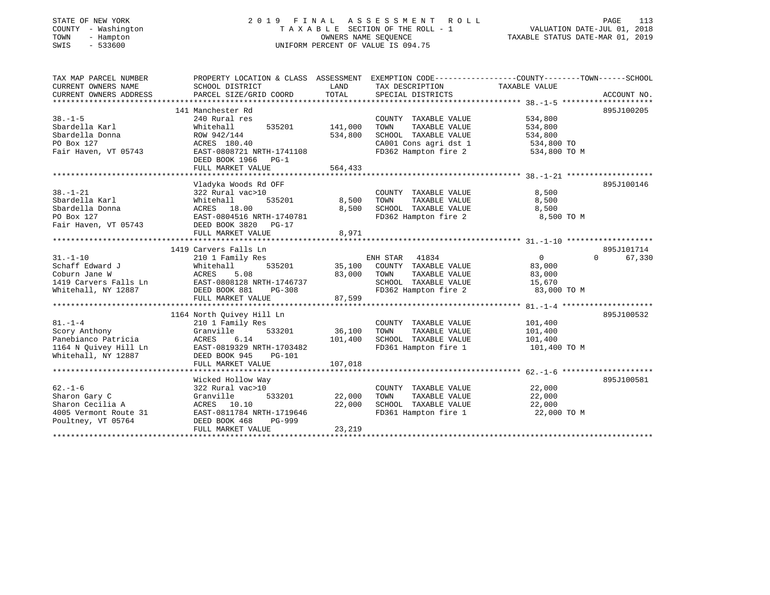# STATE OF NEW YORK 2 0 1 9 F I N A L A S S E S S M E N T R O L L PAGE 113 COUNTY - Washington T A X A B L E SECTION OF THE ROLL - 1 VALUATION DATE-JUL 01, 2018 TOWN - Hampton OWNERS NAME SEQUENCE TAXABLE STATUS DATE-MAR 01, 2019 SWIS - 533600 UNIFORM PERCENT OF VALUE IS 094.75

| TAX MAP PARCEL NUMBER                     | PROPERTY LOCATION & CLASS ASSESSMENT EXEMPTION CODE---------------COUNTY-------TOWN------SCHOOL                                                                      |             |                                                                     |                                              |                    |
|-------------------------------------------|----------------------------------------------------------------------------------------------------------------------------------------------------------------------|-------------|---------------------------------------------------------------------|----------------------------------------------|--------------------|
| CURRENT OWNERS NAME                       | SCHOOL DISTRICT                                                                                                                                                      | LAND        | TAX DESCRIPTION TAXABLE VALUE                                       |                                              |                    |
| CURRENT OWNERS ADDRESS                    | PARCEL SIZE/GRID COORD                                                                                                                                               | TOTAL       | SPECIAL DISTRICTS                                                   |                                              | ACCOUNT NO.        |
|                                           |                                                                                                                                                                      |             |                                                                     |                                              |                    |
|                                           | 141 Manchester Rd                                                                                                                                                    |             |                                                                     |                                              | 895J100205         |
| $38. - 1 - 5$                             | 240 Rural res                                                                                                                                                        |             | COUNTY TAXABLE VALUE                                                | 534,800                                      |                    |
| Sbardella Karl                            | 535201 141,000<br>Whitehall                                                                                                                                          |             | TAXABLE VALUE<br>TOWN                                               | 534,800                                      |                    |
| Sbardella Donna                           | ROW 942/144                                                                                                                                                          | 534,800     | SCHOOL TAXABLE VALUE                                                | 534,800                                      |                    |
| PO Box 127                                | ACRES 180.40                                                                                                                                                         |             | CA001 Cons agri dst 1 534,800 TO                                    |                                              |                    |
| Fair Haven, VT 05743                      | EAST-0808721 NRTH-1741108                                                                                                                                            |             | FD362 Hampton fire 2                                                | 534,800 TO M                                 |                    |
|                                           | DEED BOOK 1966 PG-1                                                                                                                                                  |             |                                                                     |                                              |                    |
|                                           | FULL MARKET VALUE                                                                                                                                                    | 564, 433    |                                                                     |                                              |                    |
|                                           |                                                                                                                                                                      |             |                                                                     |                                              |                    |
|                                           | Vladyka Woods Rd OFF                                                                                                                                                 |             |                                                                     |                                              | 895J100146         |
| $38. - 1 - 21$                            | 322 Rural vac>10                                                                                                                                                     |             | COUNTY TAXABLE VALUE                                                | 8,500                                        |                    |
| Sbardella Karl                            | 535201                                                                                                                                                               |             |                                                                     | 8,500                                        |                    |
| Sbardella Donna                           |                                                                                                                                                                      |             | 8,500    TOWN      TAXABLE VALUE<br>8,500    SCHOOL   TAXABLE VALUE | 8,500                                        |                    |
| PO Box 127                                | Whitehall 535201<br>ACRES 18.00<br>EAST-0804516 NRTH-1740781                                                                                                         |             | FD362 Hampton fire 2 8,500 TO M                                     |                                              |                    |
| Fair Haven, VT 05743 DEED BOOK 3820 PG-17 |                                                                                                                                                                      |             |                                                                     |                                              |                    |
|                                           | FULL MARKET VALUE                                                                                                                                                    | 8,971       |                                                                     |                                              |                    |
|                                           |                                                                                                                                                                      |             |                                                                     |                                              |                    |
|                                           | 1419 Carvers Falls Ln                                                                                                                                                |             |                                                                     |                                              | 895J101714         |
| $31. - 1 - 10$                            | 210 1 Family Res                                                                                                                                                     |             | ENH STAR 41834                                                      | $\overline{0}$                               | $\Omega$<br>67,330 |
|                                           |                                                                                                                                                                      |             | 535201 35,100 COUNTY TAXABLE VALUE 83,000                           |                                              |                    |
|                                           |                                                                                                                                                                      | 83,000 TOWN |                                                                     | TAXABLE VALUE 83,000<br>TAXABLE VALUE 15,670 |                    |
|                                           |                                                                                                                                                                      |             | SCHOOL TAXABLE VALUE                                                |                                              |                    |
|                                           | 31.-1-10<br>Schaff Edward J<br>Coburn Jane W<br>1419 Carvers Falls Ln<br>1419 Carvers Falls Ln<br>Whitehall, NY 12887<br>2008 B20000 MATH-1746737<br>2008 B31 PG-308 |             | PG-308 FD362 Hampton fire 2 83,000 TO M                             |                                              |                    |
|                                           | FULL MARKET VALUE                                                                                                                                                    | 87,599      |                                                                     |                                              |                    |
|                                           |                                                                                                                                                                      |             |                                                                     |                                              |                    |
|                                           | 1164 North Quivey Hill Ln                                                                                                                                            |             |                                                                     |                                              | 895J100532         |
| $81. - 1 - 4$                             | 210 1 Family Res                                                                                                                                                     |             | COUNTY TAXABLE VALUE                                                | 101,400                                      |                    |
|                                           | 533201 36,100 TOWN<br>Granville                                                                                                                                      |             | TAXABLE VALUE                                                       | 101,400                                      |                    |
|                                           | 6.14                                                                                                                                                                 | 101,400     | 1000 1AAABLE VALUE 101,400<br>SCHOOL TAXABLE VALUE 101,400          |                                              |                    |
|                                           | 1164 N Quivey Hill Ln EAST-0819329 NRTH-1703482                                                                                                                      |             | FD361 Hampton fire 1 101,400 TO M                                   |                                              |                    |
|                                           | Whitehall, NY 12887 DEED BOOK 945 PG-101                                                                                                                             |             |                                                                     |                                              |                    |
|                                           | FULL MARKET VALUE                                                                                                                                                    | 107,018     |                                                                     |                                              |                    |
|                                           |                                                                                                                                                                      |             |                                                                     |                                              |                    |
|                                           | Wicked Hollow Way                                                                                                                                                    |             |                                                                     |                                              | 895J100581         |
| $62 - 1 - 6$                              | 322 Rural vac>10                                                                                                                                                     |             | COUNTY TAXABLE VALUE 22,000                                         |                                              |                    |
| Sharon Gary C                             | 533201 22,000 TOWN<br>Granville                                                                                                                                      |             | TAXABLE VALUE                                                       | 22,000                                       |                    |
|                                           |                                                                                                                                                                      |             | SCHOOL TAXABLE VALUE 22,000                                         |                                              |                    |
|                                           |                                                                                                                                                                      |             | FD361 Hampton fire 1                                                | 22,000 TO M                                  |                    |
|                                           |                                                                                                                                                                      |             |                                                                     |                                              |                    |
|                                           | FULL MARKET VALUE                                                                                                                                                    | 23,219      |                                                                     |                                              |                    |
|                                           |                                                                                                                                                                      |             |                                                                     |                                              |                    |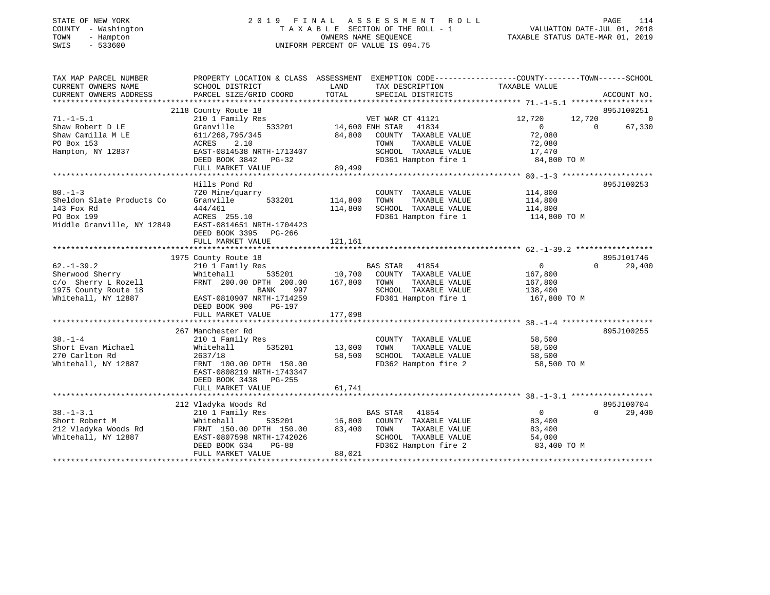| STATE OF NEW YORK<br>COUNTY<br>- Washington<br>TOWN<br>- Hampton<br>$-533600$<br>SWIS                                      | TAXABLE SECTION OF THE ROLL - 1 |         |                                    | $\begin{tabular}{lllllllllllllll} \hline 2&0&1&9&\text{F}\text{I}\text{N}\text{A}\text{L} &\text{A}\text{S}\text{S}\text{E}\text{S}\text{S}\text{M}\text{E}\text{N}\text{T} &\text{R}\text{O}\text{L}\text{L} &\text{PAGE} & 114 \\ & & & \text{T}\text{A}\text{X}\text{A}\text{B}\text{L}\text{E} &\text{SECTION OF THE ROLL} & -1 & & \text{VALUATION DATE-JUL}\text{01, 2018} \\ & & & & \text{OWNERS NAME SEQUENCE} & & & \text{TAXABLE STATUS DATE-MAR}\text$ |            |
|----------------------------------------------------------------------------------------------------------------------------|---------------------------------|---------|------------------------------------|--------------------------------------------------------------------------------------------------------------------------------------------------------------------------------------------------------------------------------------------------------------------------------------------------------------------------------------------------------------------------------------------------------------------------------------------------------------------|------------|
| TAX MAP PARCEL NUMBER THE PROPERTY LOCATION & CLASS ASSESSMENT EXEMPTION CODE---------------COUNTY--------TOWN------SCHOOL |                                 |         |                                    |                                                                                                                                                                                                                                                                                                                                                                                                                                                                    |            |
| CURRENT OWNERS NAME SCHOOL DISTRICT SOURCES LAND                                                                           |                                 |         | TAX DESCRIPTION TAXABLE VALUE      |                                                                                                                                                                                                                                                                                                                                                                                                                                                                    |            |
|                                                                                                                            |                                 |         |                                    |                                                                                                                                                                                                                                                                                                                                                                                                                                                                    |            |
|                                                                                                                            | 2118 County Route 18            |         |                                    |                                                                                                                                                                                                                                                                                                                                                                                                                                                                    | 895J100251 |
| $71. -1 - 5.1$                                                                                                             | 210 1 Family Res                |         |                                    |                                                                                                                                                                                                                                                                                                                                                                                                                                                                    |            |
|                                                                                                                            |                                 |         |                                    |                                                                                                                                                                                                                                                                                                                                                                                                                                                                    |            |
|                                                                                                                            |                                 |         | 84,800 COUNTY TAXABLE VALUE 72,080 |                                                                                                                                                                                                                                                                                                                                                                                                                                                                    |            |
|                                                                                                                            |                                 |         | TOWN                               | TAXABLE VALUE 72,080                                                                                                                                                                                                                                                                                                                                                                                                                                               |            |
|                                                                                                                            |                                 |         | SCHOOL TAXABLE VALUE 17,470        |                                                                                                                                                                                                                                                                                                                                                                                                                                                                    |            |
|                                                                                                                            | DEED BOOK 3842 PG-32            |         | FD361 Hampton fire 1 84,800 TO M   |                                                                                                                                                                                                                                                                                                                                                                                                                                                                    |            |
|                                                                                                                            | FULL MARKET VALUE 89,499        |         |                                    |                                                                                                                                                                                                                                                                                                                                                                                                                                                                    |            |
|                                                                                                                            |                                 |         |                                    |                                                                                                                                                                                                                                                                                                                                                                                                                                                                    |            |
|                                                                                                                            | Hills Pond Rd                   |         |                                    |                                                                                                                                                                                                                                                                                                                                                                                                                                                                    | 895J100253 |
| 80.-1-3 720 Mine/quarry                                                                                                    |                                 |         | COUNTY TAXABLE VALUE 114,800       |                                                                                                                                                                                                                                                                                                                                                                                                                                                                    |            |
| Sheldon Slate Products Co                                                                                                  | Granville 533201                | 114,800 | TAXABLE VALUE<br>TOWN              | 114,800                                                                                                                                                                                                                                                                                                                                                                                                                                                            |            |
| 143 Fox Rd                                                                                                                 | 444/461                         | 114,800 | SCHOOL TAXABLE VALUE 114,800       |                                                                                                                                                                                                                                                                                                                                                                                                                                                                    |            |
| PO Box 199                                                                                                                 | ACRES 255.10                    |         | FD361 Hampton fire 1 114,800 TO M  |                                                                                                                                                                                                                                                                                                                                                                                                                                                                    |            |
| Middle Granville, NY 12849                                                                                                 | EAST-0814651 NRTH-1704423       |         |                                    |                                                                                                                                                                                                                                                                                                                                                                                                                                                                    |            |
|                                                                                                                            | DEED BOOK 3395 PG-266           |         |                                    |                                                                                                                                                                                                                                                                                                                                                                                                                                                                    |            |
|                                                                                                                            | FULL MARKET VALUE               | 121,161 |                                    |                                                                                                                                                                                                                                                                                                                                                                                                                                                                    |            |
|                                                                                                                            |                                 |         |                                    |                                                                                                                                                                                                                                                                                                                                                                                                                                                                    |            |

|                      | 1975 County Route 18                                |                                              | 895J101746                           |
|----------------------|-----------------------------------------------------|----------------------------------------------|--------------------------------------|
| $62. -1 - 39.2$      | 210 1 Family Res 60 BAS STAR 41854                  |                                              | $\Omega$<br>29,400<br>0              |
| Sherwood Sherry      |                                                     | Whitehall 535201 10,700 COUNTY TAXABLE VALUE | 167,800                              |
|                      | c/o Sherry L Rozell FRNT 200.00 DPTH 200.00 167,800 | TOWN<br>TAXABLE VALUE                        | 167,800                              |
| 1975 County Route 18 | 997<br>BANK                                         | SCHOOL TAXABLE VALUE                         | 138,400                              |
|                      |                                                     | FD361 Hampton fire 1                         | 167,800 TO M                         |
|                      | DEED BOOK 900<br>PG-197                             |                                              |                                      |
|                      | FULL MARKET VALUE                                   | 177,098                                      |                                      |
|                      |                                                     |                                              |                                      |
|                      | 267 Manchester Rd                                   |                                              | 895J100255                           |
| $38 - 1 - 4$         | 210 1 Family Res                                    | COUNTY TAXABLE VALUE                         | 58,500                               |
| Short Evan Michael   | Whitehall<br>535201 13,000                          | TOWN<br>TAXABLE VALUE                        | 58,500                               |
| 270 Carlton Rd       | 2637/18                                             | 58,500<br>SCHOOL TAXABLE VALUE               | 58,500                               |
| Whitehall, NY 12887  | FRNT 100.00 DPTH 150.00                             | FD362 Hampton fire 2 58,500 TO M             |                                      |
|                      | EAST-0808219 NRTH-1743347                           |                                              |                                      |
|                      | DEED BOOK 3438 PG-255                               |                                              |                                      |
|                      | FULL MARKET VALUE                                   | 61,741                                       |                                      |
|                      |                                                     |                                              |                                      |
|                      | 212 Vladyka Woods Rd                                |                                              | 895J100704                           |
| $38. -1 - 3.1$       | 210 1 Family Res                                    | BAS STAR 41854                               | $\overline{0}$<br>29,400<br>$\Omega$ |
| Short Robert M       | Whitehall                                           | 535201 16,800 COUNTY TAXABLE VALUE           | 83,400                               |
|                      | 212 Vladyka Woods Rd FRNT 150.00 DPTH 150.00 83,400 | TOWN<br>TAXABLE VALUE                        | 83,400                               |
| Whitehall, NY 12887  | EAST-0807598 NRTH-1742026                           | TAXABLE VALUE<br>SCHOOL                      | 54,000                               |
|                      | DEED BOOK 634<br>$PG-88$                            | FD362 Hampton fire 2 83,400 TO M             |                                      |
|                      | FULL MARKET VALUE                                   | 88,021                                       |                                      |
|                      |                                                     |                                              |                                      |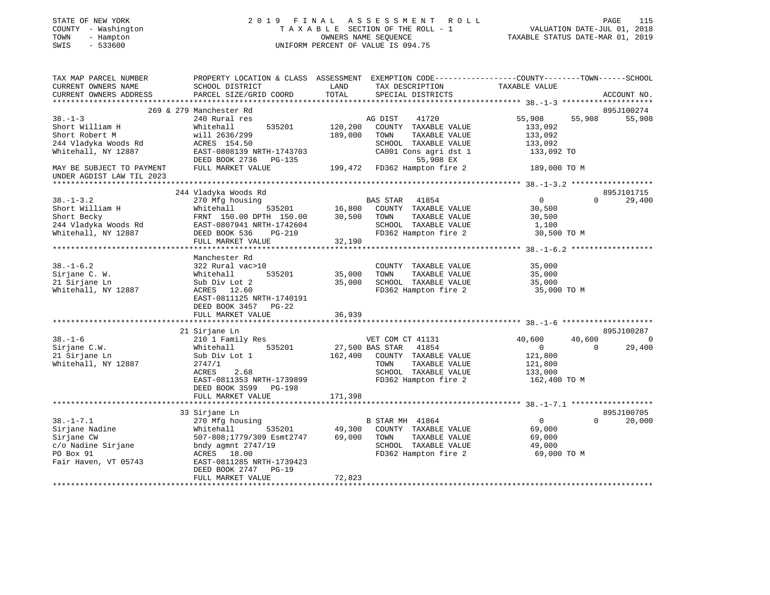| STATE OF NEW YORK         | 2019                                                                                            | FINAL   | A S S E S S M E N T<br>R O L L     |                                  | PAGE<br>115                 |
|---------------------------|-------------------------------------------------------------------------------------------------|---------|------------------------------------|----------------------------------|-----------------------------|
| COUNTY - Washington       |                                                                                                 |         | TAXABLE SECTION OF THE ROLL - 1    |                                  | VALUATION DATE-JUL 01, 2018 |
| TOWN<br>- Hampton         |                                                                                                 |         | OWNERS NAME SEQUENCE               | TAXABLE STATUS DATE-MAR 01, 2019 |                             |
| SWIS<br>$-533600$         |                                                                                                 |         | UNIFORM PERCENT OF VALUE IS 094.75 |                                  |                             |
| TAX MAP PARCEL NUMBER     | PROPERTY LOCATION & CLASS ASSESSMENT EXEMPTION CODE---------------COUNTY-------TOWN------SCHOOL |         |                                    |                                  |                             |
| CURRENT OWNERS NAME       | SCHOOL DISTRICT                                                                                 | LAND    | TAX DESCRIPTION                    | TAXABLE VALUE                    |                             |
| CURRENT OWNERS ADDRESS    | PARCEL SIZE/GRID COORD                                                                          | TOTAL   | SPECIAL DISTRICTS                  |                                  | ACCOUNT NO.                 |
|                           |                                                                                                 |         |                                    |                                  |                             |
|                           | 269 & 279 Manchester Rd                                                                         |         |                                    |                                  | 895J100274                  |
| $38. - 1 - 3$             | 240 Rural res                                                                                   |         | AG DIST<br>41720                   | 55,908                           | 55,908<br>55,908            |
| Short William H           | Whitehall<br>535201                                                                             | 120,200 | COUNTY TAXABLE VALUE               | 133,092                          |                             |
| Short Robert M            | will 2636/299                                                                                   | 189,000 | TOWN<br>TAXABLE VALUE              | 133,092                          |                             |
| 244 Vladyka Woods Rd      | ACRES 154.50                                                                                    |         | SCHOOL TAXABLE VALUE               | 133,092                          |                             |
| Whitehall, NY 12887       | EAST-0808139 NRTH-1743703                                                                       |         | CA001 Cons agri dst 1              | 133,092 TO                       |                             |
|                           | DEED BOOK 2736 PG-135                                                                           |         | 55,908 EX                          |                                  |                             |
| MAY BE SUBJECT TO PAYMENT | FULL MARKET VALUE                                                                               | 199,472 | FD362 Hampton fire 2               | 189,000 TO M                     |                             |
| UNDER AGDIST LAW TIL 2023 |                                                                                                 |         |                                    |                                  |                             |
|                           |                                                                                                 |         |                                    |                                  |                             |
|                           | 244 Vladyka Woods Rd                                                                            |         |                                    |                                  | 895J101715                  |
| $38. - 1 - 3.2$           | 270 Mfg housing                                                                                 |         | BAS STAR 41854                     | $\mathbf{0}$                     | $\Omega$<br>29,400          |
| Short William H           | Whitehall<br>535201                                                                             | 16,800  | COUNTY TAXABLE VALUE               | 30,500                           |                             |
| Short Becky               | FRNT 150.00 DPTH 150.00                                                                         | 30,500  | TOWN<br>TAXABLE VALUE              | 30,500                           |                             |
| 244 Vladyka Woods Rd      | EAST-0807941 NRTH-1742604                                                                       |         | SCHOOL TAXABLE VALUE               | 1,100                            |                             |
| Whitehall, NY 12887       | DEED BOOK 536<br><b>PG-210</b>                                                                  |         | FD362 Hampton fire 2               | 30,500 TO M                      |                             |
|                           | FULL MARKET VALUE                                                                               | 32,190  |                                    |                                  |                             |
|                           |                                                                                                 |         |                                    |                                  |                             |
|                           | Manchester Rd                                                                                   |         |                                    |                                  |                             |
| $38. - 1 - 6.2$           | 322 Rural vac>10                                                                                |         | COUNTY TAXABLE VALUE               | 35,000                           |                             |
| Sirjane C. W.             | 535201<br>Whitehall                                                                             | 35,000  | TOWN<br>TAXABLE VALUE              | 35,000                           |                             |
| 21 Sirjane Ln             | Sub Div Lot 2                                                                                   | 35,000  | SCHOOL TAXABLE VALUE               | 35,000                           |                             |
| Whitehall, NY 12887       | ACRES 12.60<br>EAST-0811125 NRTH-1740191                                                        |         | FD362 Hampton fire 2               | 35,000 TO M                      |                             |
|                           | DEED BOOK 3457 PG-22                                                                            |         |                                    |                                  |                             |
|                           | FULL MARKET VALUE                                                                               | 36,939  |                                    |                                  |                             |
|                           |                                                                                                 |         |                                    |                                  |                             |
|                           | 21 Sirjane Ln                                                                                   |         |                                    |                                  | 895J100287                  |
| $38. - 1 - 6$             | 210 1 Family Res                                                                                |         | VET COM CT 41131                   | 40,600                           | 40,600<br>$\overline{0}$    |
| Sirjane C.W.              | 535201<br>Whitehall                                                                             |         | 27,500 BAS STAR<br>41854           | $\overline{0}$                   | $\Omega$<br>29,400          |
| 21 Sirjane Ln             | Sub Div Lot 1                                                                                   | 162,400 | COUNTY TAXABLE VALUE               | 121,800                          |                             |
| Whitehall, NY 12887       | 2747/1                                                                                          |         | TOWN<br>TAXABLE VALUE              | 121,800                          |                             |
|                           | <b>ACRES</b><br>2.68                                                                            |         | SCHOOL TAXABLE VALUE               | 133,000                          |                             |
|                           | EAST-0811353 NRTH-1739899                                                                       |         | FD362 Hampton fire 2               | 162,400 TO M                     |                             |
|                           | DEED BOOK 3599 PG-198                                                                           |         |                                    |                                  |                             |
|                           | FULL MARKET VALUE                                                                               | 171,398 |                                    |                                  |                             |
|                           | *************************                                                                       |         |                                    |                                  |                             |
|                           | 33 Sirjane Ln                                                                                   |         |                                    |                                  | 895J100705                  |
| $38. - 1 - 7.1$           | 270 Mfg housing                                                                                 |         | B STAR MH 41864                    | $\overline{0}$                   | $\Omega$<br>20,000          |
| Sirjane Nadine            | 535201<br>Whitehall                                                                             | 49,300  | COUNTY TAXABLE VALUE               | 69,000                           |                             |
| Sirjane CW                | 507-808;1779/309 Esmt2747                                                                       | 69,000  | TAXABLE VALUE<br>TOWN              | 69,000                           |                             |
| c/o Nadine Sirjane        | bndy agmnt 2747/19                                                                              |         | SCHOOL TAXABLE VALUE               | 49,000                           |                             |
| PO Box 91                 | ACRES 18.00                                                                                     |         | FD362 Hampton fire 2               | 69,000 TO M                      |                             |
| Fair Haven, VT 05743      | EAST-0811285 NRTH-1739423                                                                       |         |                                    |                                  |                             |
|                           | DEED BOOK 2747<br>$PG-19$                                                                       |         |                                    |                                  |                             |

\*\*\*\*\*\*\*\*\*\*\*\*\*\*\*\*\*\*\*\*\*\*\*\*\*\*\*\*\*\*\*\*\*\*\*\*\*\*\*\*\*\*\*\*\*\*\*\*\*\*\*\*\*\*\*\*\*\*\*\*\*\*\*\*\*\*\*\*\*\*\*\*\*\*\*\*\*\*\*\*\*\*\*\*\*\*\*\*\*\*\*\*\*\*\*\*\*\*\*\*\*\*\*\*\*\*\*\*\*\*\*\*\*\*\*\*\*\*\*\*\*\*\*\*\*\*\*\*\*\*\*\*

FULL MARKET VALUE 72,823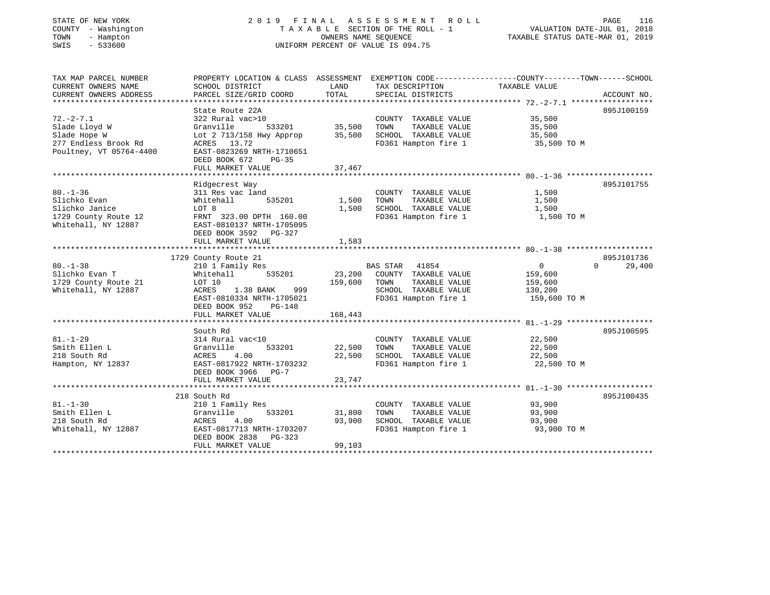| STATE OF NEW YORK<br>COUNTY - Washington<br>TOWN<br>- Hampton<br>$-533600$<br>SWIS |                                                     | OWNERS NAME SEQUENCE | 2019 FINAL ASSESSMENT ROLL<br>TAXABLE SECTION OF THE ROLL - 1<br>UNIFORM PERCENT OF VALUE IS 094.75 | VALUATION DATE-JUL 01, 2018<br>TAXABLE STATUS DATE-MAR 01, 2019                                                  | PAGE<br>116 |
|------------------------------------------------------------------------------------|-----------------------------------------------------|----------------------|-----------------------------------------------------------------------------------------------------|------------------------------------------------------------------------------------------------------------------|-------------|
| TAX MAP PARCEL NUMBER<br>CURRENT OWNERS NAME                                       | SCHOOL DISTRICT                                     | LAND                 | TAX DESCRIPTION                                                                                     | PROPERTY LOCATION & CLASS ASSESSMENT EXEMPTION CODE---------------COUNTY-------TOWN------SCHOOL<br>TAXABLE VALUE |             |
| CURRENT OWNERS ADDRESS                                                             | PARCEL SIZE/GRID COORD                              | TOTAL                | SPECIAL DISTRICTS                                                                                   |                                                                                                                  | ACCOUNT NO. |
|                                                                                    |                                                     |                      |                                                                                                     |                                                                                                                  |             |
|                                                                                    | State Route 22A                                     |                      |                                                                                                     |                                                                                                                  | 895J100159  |
| $72. - 2 - 7.1$<br>Slade Lloyd W                                                   | 322 Rural vac>10<br>Granville<br>533201             | 35,500               | COUNTY TAXABLE VALUE<br>TAXABLE VALUE<br>TOWN                                                       | 35,500<br>35,500                                                                                                 |             |
| Slade Hope W                                                                       | Lot 2 713/158 Hwy Approp                            | 35,500               | SCHOOL TAXABLE VALUE                                                                                | 35,500                                                                                                           |             |
| 277 Endless Brook Rd                                                               | ACRES 13.72                                         |                      | FD361 Hampton fire 1                                                                                | 35,500 TO M                                                                                                      |             |
| Poultney, VT 05764-4400                                                            | EAST-0823269 NRTH-1710651                           |                      |                                                                                                     |                                                                                                                  |             |
|                                                                                    | DEED BOOK 672<br>$PG-35$                            |                      |                                                                                                     |                                                                                                                  |             |
|                                                                                    | FULL MARKET VALUE<br>****************************** | 37,467               |                                                                                                     |                                                                                                                  |             |
|                                                                                    | Ridgecrest Way                                      |                      |                                                                                                     |                                                                                                                  | 895J101755  |
| $80. - 1 - 36$                                                                     | 311 Res vac land                                    |                      | COUNTY TAXABLE VALUE                                                                                | 1,500                                                                                                            |             |
| Slichko Evan                                                                       | 535201<br>Whitehall                                 | 1,500                | TAXABLE VALUE<br>TOWN                                                                               | 1,500                                                                                                            |             |
| Slichko Janice                                                                     | LOT 8                                               | 1,500                | SCHOOL TAXABLE VALUE                                                                                | 1,500                                                                                                            |             |
| 1729 County Route 12                                                               | FRNT 323.00 DPTH 160.00                             |                      | FD361 Hampton fire 1                                                                                | 1,500 TO M                                                                                                       |             |
| Whitehall, NY 12887                                                                | EAST-0810137 NRTH-1705095                           |                      |                                                                                                     |                                                                                                                  |             |
|                                                                                    | DEED BOOK 3592 PG-327                               |                      |                                                                                                     |                                                                                                                  |             |
|                                                                                    | FULL MARKET VALUE                                   | 1,583                |                                                                                                     |                                                                                                                  |             |
|                                                                                    | 1729 County Route 21                                |                      |                                                                                                     |                                                                                                                  | 895J101736  |
| $80. - 1 - 38$                                                                     | 210 1 Family Res                                    |                      | BAS STAR 41854                                                                                      | $\Omega$<br>$\overline{0}$                                                                                       | 29,400      |
| Slichko Evan T                                                                     | Whitehall 535201                                    |                      | 23,200 COUNTY TAXABLE VALUE                                                                         | 159,600                                                                                                          |             |
| 1729 County Route 21                                                               | LOT 10                                              | 159,600 TOWN         | TAXABLE VALUE                                                                                       | 159,600                                                                                                          |             |
| Whitehall, NY 12887                                                                | ACRES 1.38 BANK 999                                 |                      | SCHOOL TAXABLE VALUE                                                                                | 130,200                                                                                                          |             |
|                                                                                    | EAST-0810334 NRTH-1705021                           |                      | FD361 Hampton fire 1                                                                                | 159,600 TO M                                                                                                     |             |
|                                                                                    | DEED BOOK 952<br>PG-148<br>FULL MARKET VALUE        | 168,443              |                                                                                                     |                                                                                                                  |             |
|                                                                                    |                                                     |                      |                                                                                                     |                                                                                                                  |             |
|                                                                                    | South Rd                                            |                      |                                                                                                     |                                                                                                                  | 895J100595  |
| $81. - 1 - 29$                                                                     | 314 Rural vac<10                                    |                      | COUNTY TAXABLE VALUE                                                                                | 22,500                                                                                                           |             |
| Smith Ellen L                                                                      | Granville<br>533201                                 | 22,500               | TAXABLE VALUE<br>TOWN                                                                               | 22,500                                                                                                           |             |
| 218 South Rd                                                                       | ACRES<br>4.00                                       | 22,500               | SCHOOL TAXABLE VALUE                                                                                | 22,500                                                                                                           |             |
| Hampton, NY 12837                                                                  | EAST-0817922 NRTH-1703232                           |                      | FD361 Hampton fire 1                                                                                | 22,500 TO M                                                                                                      |             |
|                                                                                    | DEED BOOK 3966 PG-7<br>FULL MARKET VALUE            | 23,747               |                                                                                                     |                                                                                                                  |             |
|                                                                                    |                                                     |                      |                                                                                                     |                                                                                                                  |             |
|                                                                                    | 218 South Rd                                        |                      |                                                                                                     |                                                                                                                  | 895J100435  |
| $81. - 1 - 30$                                                                     | 210 1 Family Res                                    |                      | COUNTY TAXABLE VALUE                                                                                | 93,900                                                                                                           |             |
| Smith Ellen L                                                                      | Granville<br>533201                                 | 31,800               | TOWN<br>TAXABLE VALUE                                                                               | 93,900                                                                                                           |             |
| 218 South Rd                                                                       | 4.00<br>ACRES                                       | 93,900               | SCHOOL TAXABLE VALUE                                                                                | 93,900                                                                                                           |             |
| Whitehall, NY 12887                                                                | EAST-0817713 NRTH-1703207<br>DEED BOOK 2838 PG-323  |                      | FD361 Hampton fire 1                                                                                | 93,900 TO M                                                                                                      |             |
|                                                                                    | FULL MARKET VALUE                                   | 99,103               |                                                                                                     |                                                                                                                  |             |
|                                                                                    |                                                     |                      |                                                                                                     |                                                                                                                  |             |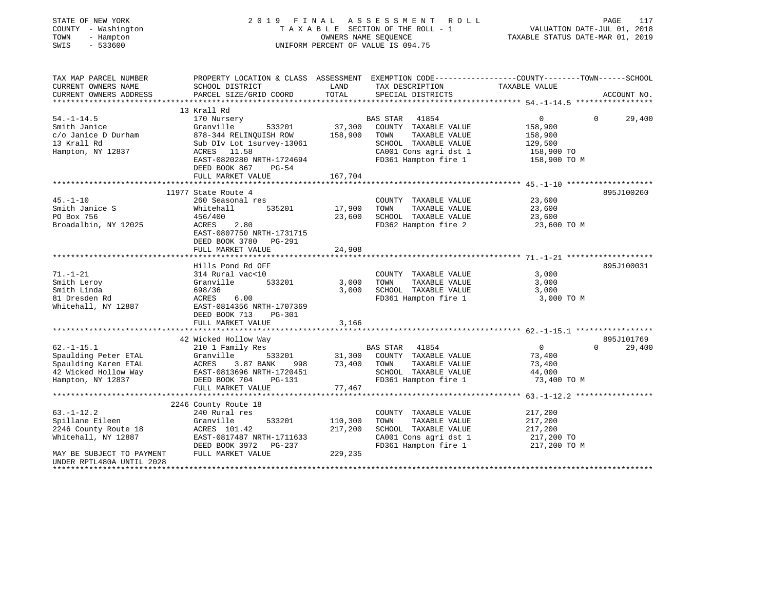| STATE OF NEW YORK<br>COUNTY - Washington<br>TOWN<br>- Hampton<br>SWIS<br>$-533600$                                                    |                                         |                | 2019 FINAL ASSESSMENT ROLL<br>UNIFORM PERCENT OF VALUE IS 094.75      | 117<br>PAGE                                                                                      |  |
|---------------------------------------------------------------------------------------------------------------------------------------|-----------------------------------------|----------------|-----------------------------------------------------------------------|--------------------------------------------------------------------------------------------------|--|
| TAX MAP PARCEL NUMBER<br>CURRENT OWNERS NAME                                                                                          | SCHOOL DISTRICT                         |                | LAND TAX DESCRIPTION TAXABLE VALUE                                    | PROPERTY LOCATION & CLASS ASSESSMENT EXEMPTION CODE----------------COUNTY-------TOWN------SCHOOL |  |
| CURRENT OWNERS ADDRESS                                                                                                                |                                         |                |                                                                       |                                                                                                  |  |
|                                                                                                                                       |                                         |                |                                                                       |                                                                                                  |  |
|                                                                                                                                       | 13 Krall Rd                             |                |                                                                       |                                                                                                  |  |
| $54. -1 - 14.5$                                                                                                                       | 170 Nursery                             |                | BAS STAR 41854                                                        | 29,400<br>$0 \qquad \qquad 0$                                                                    |  |
| Smith Janice                                                                                                                          | Granville                               |                | 533201 37,300 COUNTY TAXABLE VALUE                                    | 158,900                                                                                          |  |
| C/O Janice D Durham<br>13 Krall Rd<br>13 Krall Rd<br>13 Krall Rd<br>13 Krall Rd<br>14 Sub DIV Lot 1 survey-13061<br>15 ACRES<br>11 50 |                                         |                | TOWN<br>TAXABLE VALUE<br>SCHOOL TAXABLE VALUE                         | 158,900                                                                                          |  |
| Hampton, NY 12837                                                                                                                     | ACRES 11.58                             |                |                                                                       | 129,500<br>129,500<br>158,900 TO<br>158,900 TO                                                   |  |
|                                                                                                                                       | EAST-0820280 NRTH-1724694               |                | CA001 Cons agri dst 1 158,900 TO<br>FD361 Hampton fire 1 158,900 TO M |                                                                                                  |  |
|                                                                                                                                       | DEED BOOK 867 PG-54                     |                |                                                                       |                                                                                                  |  |
|                                                                                                                                       | FULL MARKET VALUE                       | 167,704        |                                                                       |                                                                                                  |  |
|                                                                                                                                       |                                         |                |                                                                       |                                                                                                  |  |
|                                                                                                                                       | 11977 State Route 4                     |                |                                                                       | 895J100260                                                                                       |  |
| $45. - 1 - 10$                                                                                                                        | 260 Seasonal res                        |                | COUNTY TAXABLE VALUE 23,600                                           |                                                                                                  |  |
| Smith Janice S                                                                                                                        | 535201 17,900 TOWN<br>Whitehall         |                | TAXABLE VALUE 23,600                                                  |                                                                                                  |  |
| PO Box 756                                                                                                                            | 456/400                                 | 23,600         | SCHOOL TAXABLE VALUE 23,600                                           |                                                                                                  |  |
| Broadalbin, NY 12025                                                                                                                  | ACRES 2.80<br>EAST-0807750 NRTH-1731715 |                | FD362 Hampton fire 2 23,600 TO M                                      |                                                                                                  |  |
|                                                                                                                                       | DEED BOOK 3780 PG-291                   |                |                                                                       |                                                                                                  |  |
|                                                                                                                                       | FULL MARKET VALUE                       | 24,908         |                                                                       |                                                                                                  |  |
|                                                                                                                                       |                                         |                |                                                                       |                                                                                                  |  |
|                                                                                                                                       | Hills Pond Rd OFF                       |                |                                                                       | 895J100031                                                                                       |  |
| $71. - 1 - 21$                                                                                                                        | 314 Rural vac<10                        |                | COUNTY TAXABLE VALUE                                                  | 3,000                                                                                            |  |
| Smith Leroy                                                                                                                           | Granville                               | $533201$ 3,000 | TAXABLE VALUE<br>TOWN                                                 | 3,000                                                                                            |  |
| Smith Linda                                                                                                                           | 698/36                                  | 3,000          | SCHOOL TAXABLE VALUE                                                  | 3,000                                                                                            |  |
| 81 Dresden Rd<br>Whitehall, NY 12887                                                                                                  | ACRES 6.00<br>EAST-0814356 NRTH-1707369 |                | FD361 Hampton fire 1                                                  | 3,000 TO M                                                                                       |  |

|                           | PG-301<br>DEED BOOK 713<br>FULL MARKET VALUE | 3,166                              |                    |
|---------------------------|----------------------------------------------|------------------------------------|--------------------|
|                           |                                              |                                    |                    |
|                           | 42 Wicked Hollow Way                         |                                    | 895J101769         |
| $62. - 1 - 15.1$          | 210 1 Family Res                             | 41854<br>BAS STAR                  | 29,400<br>$\Omega$ |
| Spaulding Peter ETAL      | Granville<br>533201                          | 31,300<br>COUNTY<br>TAXABLE VALUE  | 73,400             |
| Spaulding Karen ETAL      | ACRES 3.87 BANK<br>998                       | 73,400<br>TOWN<br>TAXABLE VALUE    | 73,400             |
| 42 Wicked Hollow Way      | EAST-0813696 NRTH-1720451                    | SCHOOL<br>TAXABLE VALUE            | 44,000             |
| Hampton, NY 12837         | DEED BOOK 704 PG-131                         | FD361 Hampton fire 1               | 73,400 TO M        |
|                           | FULL MARKET VALUE                            | 77.467                             |                    |
|                           |                                              |                                    |                    |
|                           | 2246 County Route 18                         |                                    |                    |
| $63. - 1 - 12.2$          | 240 Rural res                                | COUNTY<br>TAXABLE VALUE            | 217,200            |
| Spillane Eileen           | Granville<br>533201                          | 110,300<br>TAXABLE VALUE<br>TOWN   | 217,200            |
| 2246 County Route 18      | ACRES 101.42                                 | 217,200<br>TAXABLE VALUE<br>SCHOOL | 217,200            |
| Whitehall, NY 12887       | EAST-0817487 NRTH-1711633                    | CA001 Cons agri dst 1              | 217,200 TO         |
|                           | DEED BOOK 3972 PG-237                        | FD361 Hampton fire 1               | 217,200 TO M       |
| MAY BE SUBJECT TO PAYMENT | FULL MARKET VALUE                            | 229,235                            |                    |
| UNDER RPTL480A UNTIL 2028 |                                              |                                    |                    |
|                           |                                              |                                    |                    |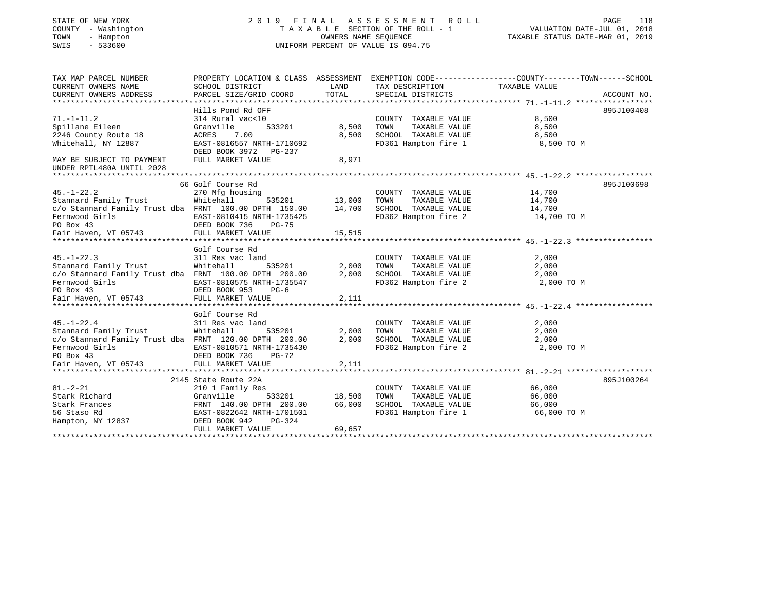| STATE OF NEW YORK<br>COUNTY - Washington<br>- Hampton<br>TOWN<br>$-533600$<br>SWIS |                                                       | OWNERS NAME SEQUENCE | 2019 FINAL ASSESSMENT<br>ROLL<br>TAXABLE SECTION OF THE ROLL - 1<br>UNIFORM PERCENT OF VALUE IS 094.75 | PAGE<br>118<br>VALUATION DATE-JUL 01, 2018<br>TAXABLE STATUS DATE-MAR 01, 2019                                    |
|------------------------------------------------------------------------------------|-------------------------------------------------------|----------------------|--------------------------------------------------------------------------------------------------------|-------------------------------------------------------------------------------------------------------------------|
| TAX MAP PARCEL NUMBER<br>CURRENT OWNERS NAME                                       | SCHOOL DISTRICT                                       | LAND                 | TAX DESCRIPTION                                                                                        | PROPERTY LOCATION & CLASS ASSESSMENT EXEMPTION CODE----------------COUNTY-------TOWN------SCHOOL<br>TAXABLE VALUE |
| CURRENT OWNERS ADDRESS<br>*************************                                | PARCEL SIZE/GRID COORD                                | TOTAL                | SPECIAL DISTRICTS                                                                                      | ACCOUNT NO.                                                                                                       |
|                                                                                    | Hills Pond Rd OFF                                     |                      |                                                                                                        | 895J100408                                                                                                        |
| $71. - 1 - 11.2$                                                                   | 314 Rural vac<10                                      |                      | COUNTY TAXABLE VALUE                                                                                   | 8,500                                                                                                             |
| Spillane Eileen                                                                    | 533201<br>Granville                                   | 8,500                | TAXABLE VALUE<br>TOWN                                                                                  | 8,500                                                                                                             |
| 2246 County Route 18                                                               | ACRES<br>7.00                                         | 8,500                | SCHOOL TAXABLE VALUE                                                                                   | 8,500                                                                                                             |
| Whitehall, NY 12887                                                                | EAST-0816557 NRTH-1710692<br>DEED BOOK 3972<br>PG-237 |                      | FD361 Hampton fire 1                                                                                   | 8,500 TO M                                                                                                        |
| MAY BE SUBJECT TO PAYMENT<br>UNDER RPTL480A UNTIL 2028                             | FULL MARKET VALUE                                     | 8,971                |                                                                                                        |                                                                                                                   |
|                                                                                    |                                                       |                      |                                                                                                        |                                                                                                                   |
| $45. - 1 - 22.2$                                                                   | 66 Golf Course Rd<br>270 Mfg housing                  |                      | COUNTY TAXABLE VALUE                                                                                   | 895J100698<br>14,700                                                                                              |
| Stannard Family Trust                                                              | Whitehall<br>535201                                   | 13,000               | TAXABLE VALUE<br>TOWN                                                                                  | 14,700                                                                                                            |
| c/o Stannard Family Trust dba FRNT 100.00 DPTH 150.00                              |                                                       | 14,700               | SCHOOL TAXABLE VALUE                                                                                   | 14,700                                                                                                            |
| Fernwood Girls                                                                     | EAST-0810415 NRTH-1735425                             |                      | FD362 Hampton fire 2                                                                                   | 14,700 TO M                                                                                                       |
| PO Box 43                                                                          | DEED BOOK 736<br>$PG-75$                              |                      |                                                                                                        |                                                                                                                   |
| Fair Haven, VT 05743                                                               | FULL MARKET VALUE                                     | 15,515               |                                                                                                        |                                                                                                                   |
|                                                                                    |                                                       |                      |                                                                                                        |                                                                                                                   |
| $45. - 1 - 22.3$                                                                   | Golf Course Rd<br>311 Res vac land                    |                      | COUNTY TAXABLE VALUE                                                                                   | 2,000                                                                                                             |
| Stannard Family Trust                                                              | Whitehall<br>535201                                   | 2,000                | TOWN<br>TAXABLE VALUE                                                                                  | 2,000                                                                                                             |
| c/o Stannard Family Trust dba FRNT 100.00 DPTH 200.00                              |                                                       | 2,000                | SCHOOL TAXABLE VALUE                                                                                   | 2,000                                                                                                             |
| Fernwood Girls                                                                     | EAST-0810575 NRTH-1735547                             |                      | FD362 Hampton fire 2                                                                                   | 2,000 TO M                                                                                                        |
| PO Box 43                                                                          | DEED BOOK 953<br>$PG-6$                               |                      |                                                                                                        |                                                                                                                   |
| Fair Haven, VT 05743                                                               | FULL MARKET VALUE                                     | 2,111                |                                                                                                        |                                                                                                                   |
|                                                                                    |                                                       |                      |                                                                                                        |                                                                                                                   |
| $45. - 1 - 22.4$                                                                   | Golf Course Rd<br>311 Res vac land                    |                      | COUNTY TAXABLE VALUE                                                                                   | 2,000                                                                                                             |
| Stannard Family Trust                                                              | Whitehall<br>535201                                   | 2,000                | TOWN<br>TAXABLE VALUE                                                                                  | 2,000                                                                                                             |
| c/o Stannard Family Trust dba FRNT 120.00 DPTH 200.00                              |                                                       | 2,000                | SCHOOL TAXABLE VALUE                                                                                   | 2,000                                                                                                             |
| Fernwood Girls                                                                     | EAST-0810571 NRTH-1735430                             |                      | FD362 Hampton fire 2                                                                                   | 2,000 TO M                                                                                                        |
| PO Box 43                                                                          | DEED BOOK 736<br>PG-72                                |                      |                                                                                                        |                                                                                                                   |
| Fair Haven, VT 05743                                                               | FULL MARKET VALUE                                     | 2,111                |                                                                                                        |                                                                                                                   |
|                                                                                    |                                                       |                      |                                                                                                        |                                                                                                                   |
|                                                                                    | 2145 State Route 22A                                  |                      |                                                                                                        | 895J100264                                                                                                        |
| $81. - 2 - 21$                                                                     | 210 1 Family Res                                      |                      | COUNTY TAXABLE VALUE                                                                                   | 66,000                                                                                                            |
| Stark Richard<br>Stark Frances                                                     | Granville<br>533201                                   | 18,500<br>66,000     | TAXABLE VALUE<br>TOWN<br>SCHOOL TAXABLE VALUE                                                          | 66,000<br>66,000                                                                                                  |
| 56 Staso Rd                                                                        | FRNT 140.00 DPTH 200.00<br>EAST-0822642 NRTH-1701501  |                      | FD361 Hampton fire 1                                                                                   | 66,000 TO M                                                                                                       |
| Hampton, NY 12837                                                                  | DEED BOOK 942<br>PG-324                               |                      |                                                                                                        |                                                                                                                   |
|                                                                                    | FULL MARKET VALUE                                     | 69,657               |                                                                                                        |                                                                                                                   |
|                                                                                    |                                                       |                      |                                                                                                        |                                                                                                                   |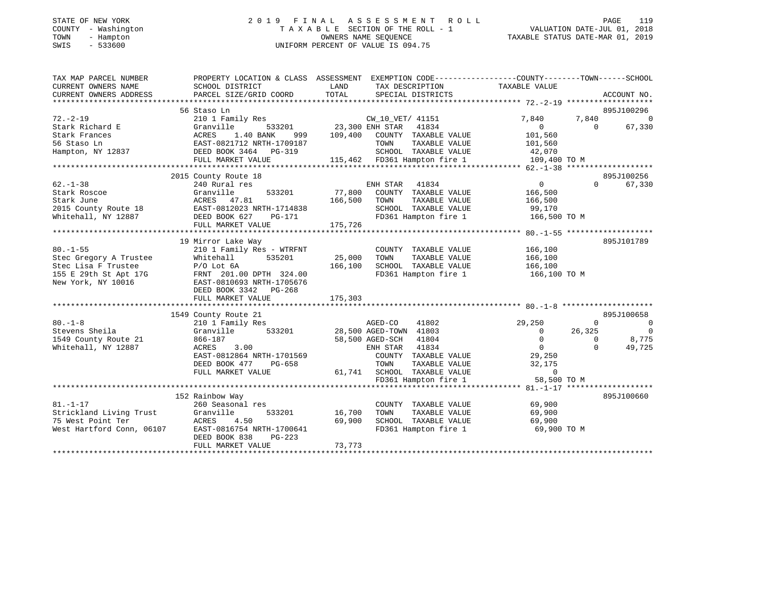# STATE OF NEW YORK 2 0 1 9 F I N A L A S S E S S M E N T R O L L PAGE 119 COUNTY - Washington T A X A B L E SECTION OF THE ROLL - 1 VALUATION DATE-JUL 01, 2018 TOWN - Hampton OWNERS NAME SEQUENCE TAXABLE STATUS DATE-MAR 01, 2019 SWIS - 533600 UNIFORM PERCENT OF VALUE IS 094.75

| 56 Staso Ln                                                                                                                                                                                                                                                                                                                                                                                                                                                  |                                                                                                                   |                                           |                                   |
|--------------------------------------------------------------------------------------------------------------------------------------------------------------------------------------------------------------------------------------------------------------------------------------------------------------------------------------------------------------------------------------------------------------------------------------------------------------|-------------------------------------------------------------------------------------------------------------------|-------------------------------------------|-----------------------------------|
|                                                                                                                                                                                                                                                                                                                                                                                                                                                              |                                                                                                                   |                                           | 895J100296                        |
| 210 1 Family Res<br>$72. - 2 - 19$<br>CW_10_VET/ 41151<br>533201 23,300 ENH STAR 41834<br>Stark Richard E<br>E<br>E<br>Cranville 533201<br>ACRES 1.40 BANK 999<br>EAST-0821712 NRTH-1709187<br>DEED BOOK 3464 PG-319<br>DEED BOOK 3464 PG-319<br>109,400 COUNTY TAXABLE VALUE<br>Stark Frances<br>56 Staso Ln<br>TOWN<br>TAXABLE VALUE<br>SCHOOL TAXABLE VALUE 42,070<br>115,462 FD361 Hampton fire 1 109,400 TO M<br>Hampton, NY 12837<br>FULL MARKET VALUE | 7,840<br>$\overline{0}$<br>101,560<br>101,560                                                                     | 7,840<br>$\Omega$                         | 0<br>67,330                       |
| 2015 County Route 18                                                                                                                                                                                                                                                                                                                                                                                                                                         |                                                                                                                   |                                           | 895J100256                        |
| $62. - 1 - 38$<br>ENH STAR<br>240 Rural res<br>41834<br>77,800<br>Stark Roscoe<br>Granville<br>533201<br>COUNTY TAXABLE VALUE<br>ACRES 47.81<br>Stark June<br>166,500<br>TAXABLE VALUE<br>TOWN<br>EAST-0812023 NRTH-1714838<br>DEED BOOK 627 PG-171<br>FULL MAPKET VALUE<br>2015 County Route 18<br>SCHOOL TAXABLE VALUE<br>Whitehall, NY 12887<br>FD361 Hampton fire 1<br>175,726<br>FULL MARKET VALUE                                                      | $\overline{0}$<br>166,500<br>166,500<br>99,170<br>166,500 TO M                                                    | $\Omega$                                  | 67,330                            |
| 19 Mirror Lake Way                                                                                                                                                                                                                                                                                                                                                                                                                                           |                                                                                                                   |                                           | 895J101789                        |
| $80. - 1 - 55$<br>210 1 Family Res - WTRFNT<br>COUNTY TAXABLE VALUE<br>535201<br>25,000<br>TAXABLE VALUE<br>Stec Gregory A Trustee<br>Whitehall<br>TOWN<br>P/O Lot 6A<br>FRNT 201.00 DPTH 324.00<br>EAST-0810693 NRTH-1705676<br>TIP ROOK 3342 PG-268<br>SCHOOL TAXABLE VALUE 166,100<br>Stec Lisa F Trustee<br>166,100<br>155 E 29th St Apt 17G<br>FD361 Hampton fire 1 166,100 TO M<br>New York, NY 10016<br>175,303<br>FULL MARKET VALUE                  | 166,100<br>166,100                                                                                                |                                           |                                   |
| 1549 County Route 21                                                                                                                                                                                                                                                                                                                                                                                                                                         |                                                                                                                   |                                           | 895J100658                        |
| $80. - 1 - 8$<br>AGED-CO<br>41802<br>210 1 Family Res<br>533201 28,500 AGED-TOWN 41803<br>Stevens Sheila<br>Granville<br>1549 County Route 21<br>58,500 AGED-SCH 41804<br>866-187<br>Whitehall, NY 12887<br>ACRES<br>3.00<br>ENH STAR 41834<br>EAST-0812864 NRTH-1701569<br>COUNTY TAXABLE VALUE<br>DEED BOOK 477<br>PG-658<br>TOWN<br>TAXABLE VALUE<br>61,741 SCHOOL TAXABLE VALUE<br>FULL MARKET VALUE<br>FD361 Hampton fire 1                             | 29,250<br>$\overline{0}$<br>$\overline{0}$<br>$\overline{0}$<br>29,250<br>32,175<br>$\overline{0}$<br>58,500 TO M | $\circ$<br>26,325<br>$\Omega$<br>$\Omega$ | - 0<br>$\circ$<br>8,775<br>49,725 |
|                                                                                                                                                                                                                                                                                                                                                                                                                                                              |                                                                                                                   |                                           |                                   |
| 152 Rainbow Way<br>$81. - 1 - 17$<br>260 Seasonal res<br>COUNTY TAXABLE VALUE<br>Strickland Living Trust<br>16,700<br>TAXABLE VALUE<br>Granville<br>533201<br>TOWN<br>75 West Point Ter<br>69,900<br>SCHOOL TAXABLE VALUE<br>ACRES<br>4.50<br>West Hartford Conn, 06107<br>EAST-0816754 NRTH-1700641<br>FD361 Hampton fire 1<br>DEED BOOK 838<br>PG-223<br>73,773<br>FULL MARKET VALUE                                                                       | 69,900<br>69,900<br>69,900<br>69,900 TO M                                                                         |                                           | 895J100660                        |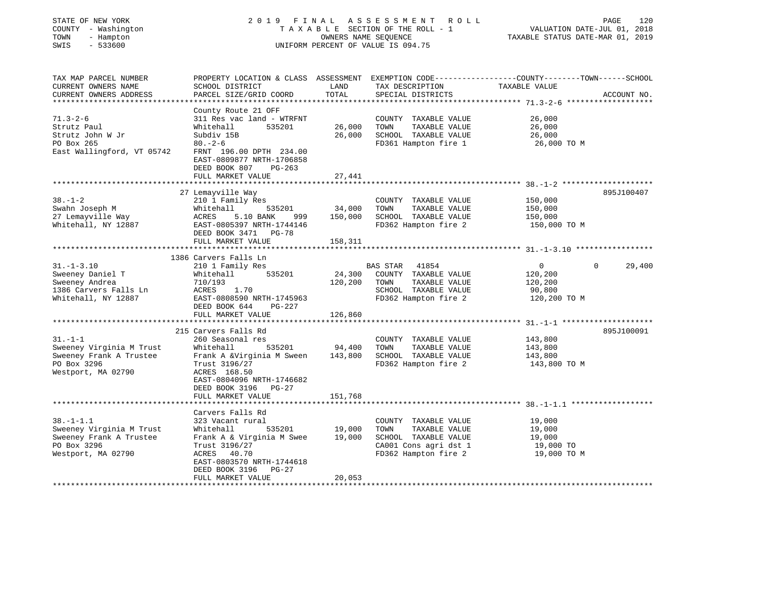| STATE OF NEW YORK<br>COUNTY - Washington<br>TOWN<br>- Hampton<br>SWIS<br>$-533600$ | 2019 FINAL                                                                                       |               | ASSESSMENT ROLL<br>TAXABLE SECTION OF THE ROLL - 1<br>OWNERS NAME SEQUENCE<br>UNIFORM PERCENT OF VALUE IS 094.75 | 120<br>PAGE<br>VALUATION DATE-JUL 01, 2018<br>TAXABLE STATUS DATE-MAR 01, 2019                                                  |
|------------------------------------------------------------------------------------|--------------------------------------------------------------------------------------------------|---------------|------------------------------------------------------------------------------------------------------------------|---------------------------------------------------------------------------------------------------------------------------------|
| TAX MAP PARCEL NUMBER<br>CURRENT OWNERS NAME<br>CURRENT OWNERS ADDRESS             | SCHOOL DISTRICT<br>PARCEL SIZE/GRID COORD                                                        | LAND<br>TOTAL | TAX DESCRIPTION<br>SPECIAL DISTRICTS                                                                             | PROPERTY LOCATION & CLASS ASSESSMENT EXEMPTION CODE---------------COUNTY-------TOWN------SCHOOL<br>TAXABLE VALUE<br>ACCOUNT NO. |
|                                                                                    | County Route 21 OFF                                                                              |               |                                                                                                                  |                                                                                                                                 |
| $71.3 - 2 - 6$                                                                     | 311 Res vac land - WTRFNT                                                                        |               | COUNTY TAXABLE VALUE                                                                                             | 26,000                                                                                                                          |
| Strutz Paul                                                                        | Whitehall<br>535201                                                                              | 26,000        | TOWN<br>TAXABLE VALUE                                                                                            | 26,000                                                                                                                          |
| Strutz John W Jr                                                                   | Subdiv 15B                                                                                       | 26,000        | SCHOOL TAXABLE VALUE                                                                                             | 26,000                                                                                                                          |
| PO Box 265<br>East Wallingford, VT 05742                                           | $80. - 2 - 6$<br>FRNT 196.00 DPTH 234.00<br>EAST-0809877 NRTH-1706858<br>DEED BOOK 807<br>PG-263 |               | FD361 Hampton fire 1                                                                                             | 26,000 TO M                                                                                                                     |
|                                                                                    | FULL MARKET VALUE                                                                                | 27,441        |                                                                                                                  |                                                                                                                                 |
|                                                                                    | 27 Lemayville Way                                                                                |               |                                                                                                                  | 895J100407                                                                                                                      |
| $38. - 1 - 2$                                                                      | 210 1 Family Res                                                                                 |               | COUNTY TAXABLE VALUE                                                                                             | 150,000                                                                                                                         |
| Swahn Joseph M                                                                     | 535201<br>Whitehall                                                                              | 34,000        | TOWN<br>TAXABLE VALUE                                                                                            | 150,000                                                                                                                         |
| 27 Lemayville Way                                                                  | ACRES<br>5.10 BANK 999                                                                           | 150,000       | SCHOOL TAXABLE VALUE                                                                                             | 150,000                                                                                                                         |
| Whitehall, NY 12887                                                                | EAST-0805397 NRTH-1744146<br>DEED BOOK 3471 PG-78                                                |               | FD362 Hampton fire 2                                                                                             | 150,000 TO M                                                                                                                    |
|                                                                                    | FULL MARKET VALUE                                                                                | 158,311       |                                                                                                                  |                                                                                                                                 |
|                                                                                    | 1386 Carvers Falls Ln                                                                            |               |                                                                                                                  |                                                                                                                                 |
| $31. - 1 - 3.10$                                                                   | 210 1 Family Res                                                                                 |               | BAS STAR 41854                                                                                                   | $\overline{0}$<br>$\Omega$<br>29,400                                                                                            |
| Sweeney Daniel T                                                                   | 535201<br>Whitehall                                                                              |               | 24,300 COUNTY TAXABLE VALUE                                                                                      | 120,200                                                                                                                         |
| Sweeney Andrea                                                                     | 710/193                                                                                          | 120,200       | TOWN<br>TAXABLE VALUE                                                                                            | 120,200                                                                                                                         |
| 1386 Carvers Falls Ln                                                              | ACRES<br>1.70                                                                                    |               | SCHOOL TAXABLE VALUE                                                                                             | 90,800                                                                                                                          |
| Whitehall, NY 12887                                                                | EAST-0808590 NRTH-1745963<br>DEED BOOK 644<br>PG-227<br>FULL MARKET VALUE                        | 126,860       | FD362 Hampton fire 2                                                                                             | 120,200 TO M                                                                                                                    |
|                                                                                    |                                                                                                  |               |                                                                                                                  |                                                                                                                                 |
|                                                                                    | 215 Carvers Falls Rd                                                                             |               |                                                                                                                  | 895J100091                                                                                                                      |
| $31. - 1 - 1$                                                                      | 260 Seasonal res                                                                                 |               | COUNTY TAXABLE VALUE                                                                                             | 143,800                                                                                                                         |
| Sweeney Virginia M Trust                                                           | Whitehall<br>535201                                                                              | 94,400        | TOWN<br>TAXABLE VALUE                                                                                            | 143,800                                                                                                                         |
| Sweeney Frank A Trustee                                                            | Frank A &Virginia M Sween 143,800                                                                |               | SCHOOL TAXABLE VALUE                                                                                             | 143,800                                                                                                                         |
| PO Box 3296                                                                        | Trust 3196/27                                                                                    |               | FD362 Hampton fire 2                                                                                             | 143,800 TO M                                                                                                                    |
| Westport, MA 02790                                                                 | ACRES 168.50                                                                                     |               |                                                                                                                  |                                                                                                                                 |
|                                                                                    | EAST-0804096 NRTH-1746682                                                                        |               |                                                                                                                  |                                                                                                                                 |
|                                                                                    | DEED BOOK 3196 PG-27                                                                             |               |                                                                                                                  |                                                                                                                                 |
|                                                                                    | FULL MARKET VALUE                                                                                | 151,768       |                                                                                                                  |                                                                                                                                 |
|                                                                                    |                                                                                                  |               |                                                                                                                  |                                                                                                                                 |
| $38. - 1 - 1.1$                                                                    | Carvers Falls Rd<br>323 Vacant rural                                                             |               |                                                                                                                  |                                                                                                                                 |
| Sweeney Virginia M Trust                                                           | Whitehall<br>535201                                                                              | 19,000        | COUNTY TAXABLE VALUE<br>TOWN<br>TAXABLE VALUE                                                                    | 19,000<br>19,000                                                                                                                |
| Sweeney Frank A Trustee                                                            | Frank A & Virginia M Swee                                                                        | 19,000        | SCHOOL TAXABLE VALUE                                                                                             | 19,000                                                                                                                          |
| PO Box 3296                                                                        | Trust 3196/27                                                                                    |               | CA001 Cons agri dst 1                                                                                            | 19,000 TO                                                                                                                       |
| Westport, MA 02790                                                                 | ACRES 40.70                                                                                      |               | FD362 Hampton fire 2                                                                                             | 19,000 TO M                                                                                                                     |
|                                                                                    | EAST-0803570 NRTH-1744618                                                                        |               |                                                                                                                  |                                                                                                                                 |
|                                                                                    | DEED BOOK 3196<br>PG-27                                                                          |               |                                                                                                                  |                                                                                                                                 |
|                                                                                    | FULL MARKET VALUE                                                                                | 20,053        |                                                                                                                  |                                                                                                                                 |
|                                                                                    |                                                                                                  |               |                                                                                                                  |                                                                                                                                 |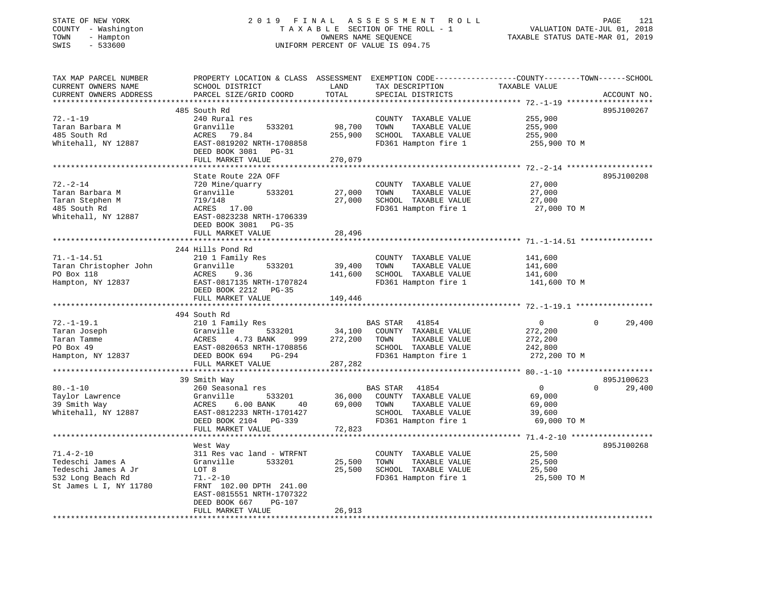# STATE OF NEW YORK 2 0 1 9 F I N A L A S S E S S M E N T R O L L PAGE 121 COUNTY - Washington T A X A B L E SECTION OF THE ROLL - 1 VALUATION DATE-JUL 01, 2018 TOWN - Hampton OWNERS NAME SEQUENCE TAXABLE STATUS DATE-MAR 01, 2019 SWIS - 533600 UNIFORM PERCENT OF VALUE IS 094.75

| TAX MAP PARCEL NUMBER  | PROPERTY LOCATION & CLASS ASSESSMENT |               | EXEMPTION CODE-----------------COUNTY-------TOWN------SCHOOL |                |                    |
|------------------------|--------------------------------------|---------------|--------------------------------------------------------------|----------------|--------------------|
| CURRENT OWNERS NAME    | SCHOOL DISTRICT                      | LAND          | TAX DESCRIPTION                                              | TAXABLE VALUE  |                    |
| CURRENT OWNERS ADDRESS | PARCEL SIZE/GRID COORD               | TOTAL         | SPECIAL DISTRICTS                                            |                | ACCOUNT NO.        |
|                        |                                      |               |                                                              |                |                    |
|                        | 485 South Rd                         |               |                                                              |                | 895J100267         |
| $72. - 1 - 19$         | 240 Rural res                        |               | COUNTY TAXABLE VALUE                                         | 255,900        |                    |
|                        | Granville<br>533201                  | 98,700        | TOWN                                                         |                |                    |
| Taran Barbara M        |                                      |               | TAXABLE VALUE                                                | 255,900        |                    |
| 485 South Rd           | ACRES 79.84                          | 255,900       | SCHOOL TAXABLE VALUE                                         | 255,900        |                    |
| Whitehall, NY 12887    | EAST-0819202 NRTH-1708858            |               | FD361 Hampton fire 1                                         | 255,900 TO M   |                    |
|                        | DEED BOOK 3081 PG-31                 |               |                                                              |                |                    |
|                        | FULL MARKET VALUE                    | 270,079       |                                                              |                |                    |
|                        |                                      |               |                                                              |                |                    |
|                        | State Route 22A OFF                  |               |                                                              |                | 895J100208         |
| $72. - 2 - 14$         | 720 Mine/quarry                      |               | COUNTY TAXABLE VALUE                                         | 27,000         |                    |
| Taran Barbara M        | 533201<br>Granville                  | 27,000        | TOWN<br>TAXABLE VALUE                                        | 27,000         |                    |
| Taran Stephen M        | 719/148                              | 27,000        | SCHOOL TAXABLE VALUE                                         | 27,000         |                    |
| 485 South Rd           | ACRES 17.00                          |               | FD361 Hampton fire 1                                         | 27,000 TO M    |                    |
| Whitehall, NY 12887    | EAST-0823238 NRTH-1706339            |               |                                                              |                |                    |
|                        | DEED BOOK 3081 PG-35                 |               |                                                              |                |                    |
|                        | FULL MARKET VALUE                    | 28,496        |                                                              |                |                    |
|                        |                                      |               |                                                              |                |                    |
|                        |                                      |               |                                                              |                |                    |
|                        | 244 Hills Pond Rd                    |               |                                                              |                |                    |
| $71. - 1 - 14.51$      | 210 1 Family Res                     |               | COUNTY TAXABLE VALUE                                         | 141,600        |                    |
| Taran Christopher John | Granville<br>533201                  | 39,400        | TOWN<br>TAXABLE VALUE                                        | 141,600        |                    |
| PO Box 118             | ACRES<br>9.36                        | 141,600       | SCHOOL TAXABLE VALUE                                         | 141,600        |                    |
| Hampton, NY 12837      | EAST-0817135 NRTH-1707824            |               | FD361 Hampton fire 1                                         | 141,600 TO M   |                    |
|                        | DEED BOOK 2212 PG-35                 |               |                                                              |                |                    |
|                        | FULL MARKET VALUE                    | 149,446       |                                                              |                |                    |
|                        |                                      |               |                                                              |                |                    |
|                        | 494 South Rd                         |               |                                                              |                |                    |
| $72. - 1 - 19.1$       | 210 1 Family Res                     |               | BAS STAR 41854                                               | $\overline{0}$ | $\Omega$<br>29,400 |
| Taran Joseph           | Granville                            | 533201 34,100 | COUNTY TAXABLE VALUE                                         | 272,200        |                    |
| Taran Tamme            | 4.73 BANK<br>ACRES<br>999            | 272,200 TOWN  | TAXABLE VALUE                                                | 272,200        |                    |
| PO Box 49              | EAST-0820653 NRTH-1708856            |               | SCHOOL TAXABLE VALUE                                         | 242,800        |                    |
| Hampton, NY 12837      | DEED BOOK 694<br>PG-294              |               | FD361 Hampton fire 1                                         | 272,200 TO M   |                    |
|                        | FULL MARKET VALUE                    | 287,282       |                                                              |                |                    |
|                        |                                      |               |                                                              |                |                    |
|                        |                                      |               |                                                              |                | 895J100623         |
|                        | 39 Smith Way                         |               |                                                              |                |                    |
| $80. - 1 - 10$         | 260 Seasonal res                     |               | BAS STAR 41854                                               | $\overline{0}$ | 29,400<br>$\Omega$ |
| Taylor Lawrence        | Granville<br>533201                  | 36,000        | COUNTY TAXABLE VALUE                                         | 69,000         |                    |
| 39 Smith Way           | $6.00$ BANK<br>ACRES<br>40           | 69,000 TOWN   | TAXABLE VALUE                                                | 69,000         |                    |
| Whitehall, NY 12887    | EAST-0812233 NRTH-1701427            |               | SCHOOL TAXABLE VALUE                                         | 39,600         |                    |
|                        | DEED BOOK 2104 PG-339                |               | FD361 Hampton fire 1                                         | 69,000 TO M    |                    |
|                        | FULL MARKET VALUE                    | 72,823        |                                                              |                |                    |
|                        |                                      |               |                                                              |                |                    |
|                        | West Way                             |               |                                                              |                | 895J100268         |
| $71.4 - 2 - 10$        | 311 Res vac land - WTRFNT            |               | COUNTY TAXABLE VALUE                                         | 25,500         |                    |
| Tedeschi James A       | Granville<br>533201                  | 25,500        | TOWN<br>TAXABLE VALUE                                        | 25,500         |                    |
| Tedeschi James A Jr    | LOT 8                                | 25,500        | SCHOOL TAXABLE VALUE                                         | 25,500         |                    |
| 532 Long Beach Rd      | $71. - 2 - 10$                       |               | FD361 Hampton fire 1                                         | 25,500 TO M    |                    |
| St James L I, NY 11780 | FRNT 102.00 DPTH 241.00              |               |                                                              |                |                    |
|                        | EAST-0815551 NRTH-1707322            |               |                                                              |                |                    |
|                        |                                      |               |                                                              |                |                    |
|                        | PG-107<br>DEED BOOK 667              |               |                                                              |                |                    |
|                        | FULL MARKET VALUE                    | 26,913        |                                                              |                |                    |
|                        |                                      |               |                                                              |                |                    |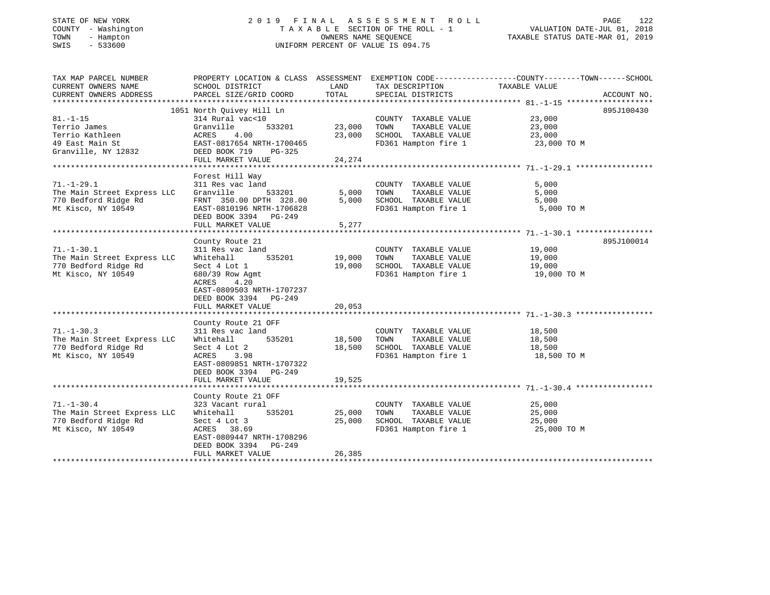| STATE OF NEW YORK<br>COUNTY - Washington<br>TOWN<br>- Hampton<br>$-533600$<br>SWIS | 2019                                                 | FINAL<br>OWNERS NAME SEQUENCE | A S S E S S M E N T<br>R O L L<br>TAXABLE SECTION OF THE ROLL - 1<br>UNIFORM PERCENT OF VALUE IS 094.75 | PAGE<br>122<br>VALUATION DATE-JUL 01, 2018<br>TAXABLE STATUS DATE-MAR 01, 2019                 |
|------------------------------------------------------------------------------------|------------------------------------------------------|-------------------------------|---------------------------------------------------------------------------------------------------------|------------------------------------------------------------------------------------------------|
|                                                                                    |                                                      |                               |                                                                                                         |                                                                                                |
| TAX MAP PARCEL NUMBER                                                              |                                                      |                               |                                                                                                         | PROPERTY LOCATION & CLASS ASSESSMENT EXEMPTION CODE---------------COUNTY-------TOWN-----SCHOOL |
| CURRENT OWNERS NAME                                                                | SCHOOL DISTRICT                                      | LAND                          | TAX DESCRIPTION                                                                                         | TAXABLE VALUE                                                                                  |
| CURRENT OWNERS ADDRESS                                                             | PARCEL SIZE/GRID COORD                               | TOTAL                         | SPECIAL DISTRICTS                                                                                       | ACCOUNT NO.                                                                                    |
|                                                                                    |                                                      |                               |                                                                                                         |                                                                                                |
|                                                                                    | 1051 North Quivey Hill Ln                            |                               |                                                                                                         | 895J100430                                                                                     |
| $81. - 1 - 15$                                                                     | 314 Rural vac<10                                     |                               | COUNTY TAXABLE VALUE                                                                                    | 23,000                                                                                         |
| Terrio James<br>Terrio Kathleen                                                    | Granville<br>533201                                  | 23,000                        | TOWN<br>TAXABLE VALUE                                                                                   | 23,000                                                                                         |
| 49 East Main St                                                                    | 4.00<br>ACRES                                        | 23,000                        | SCHOOL TAXABLE VALUE                                                                                    | 23,000                                                                                         |
| Granville, NY 12832                                                                | EAST-0817654 NRTH-1700465<br>DEED BOOK 719<br>PG-325 |                               | FD361 Hampton fire 1                                                                                    | 23,000 TO M                                                                                    |
|                                                                                    | FULL MARKET VALUE                                    | 24,274                        |                                                                                                         |                                                                                                |
|                                                                                    |                                                      |                               |                                                                                                         |                                                                                                |
|                                                                                    | Forest Hill Way                                      |                               |                                                                                                         |                                                                                                |
| $71. - 1 - 29.1$                                                                   | 311 Res vac land                                     |                               | COUNTY TAXABLE VALUE                                                                                    | 5,000                                                                                          |
| The Main Street Express LLC                                                        | Granville<br>533201                                  | 5,000                         | TOWN<br>TAXABLE VALUE                                                                                   | 5,000                                                                                          |
| 770 Bedford Ridge Rd                                                               | FRNT 350.00 DPTH 328.00                              | 5,000                         | SCHOOL TAXABLE VALUE                                                                                    | 5,000                                                                                          |
| Mt Kisco, NY 10549                                                                 | EAST-0810196 NRTH-1706828                            |                               | FD361 Hampton fire 1                                                                                    | 5,000 TO M                                                                                     |
|                                                                                    | DEED BOOK 3394 PG-249                                |                               |                                                                                                         |                                                                                                |
|                                                                                    | FULL MARKET VALUE                                    | 5,277                         |                                                                                                         |                                                                                                |
|                                                                                    |                                                      |                               |                                                                                                         |                                                                                                |
|                                                                                    | County Route 21                                      |                               |                                                                                                         | 895J100014                                                                                     |
| $71. - 1 - 30.1$                                                                   | 311 Res vac land                                     |                               | COUNTY TAXABLE VALUE                                                                                    | 19,000                                                                                         |
| The Main Street Express LLC                                                        | 535201<br>Whitehall                                  | 19,000                        | TOWN<br>TAXABLE VALUE                                                                                   | 19,000                                                                                         |
| 770 Bedford Ridge Rd                                                               | Sect 4 Lot 1                                         | 19,000                        | SCHOOL TAXABLE VALUE                                                                                    | 19,000                                                                                         |
| Mt Kisco, NY 10549                                                                 | 680/39 Row Agmt                                      |                               | FD361 Hampton fire 1                                                                                    | 19,000 TO M                                                                                    |
|                                                                                    | 4.20<br>ACRES                                        |                               |                                                                                                         |                                                                                                |
|                                                                                    | EAST-0809503 NRTH-1707237                            |                               |                                                                                                         |                                                                                                |
|                                                                                    | DEED BOOK 3394 PG-249<br>FULL MARKET VALUE           | 20,053                        |                                                                                                         |                                                                                                |
|                                                                                    |                                                      |                               |                                                                                                         |                                                                                                |
|                                                                                    | County Route 21 OFF                                  |                               |                                                                                                         |                                                                                                |
| $71. - 1 - 30.3$                                                                   | 311 Res vac land                                     |                               | COUNTY TAXABLE VALUE                                                                                    | 18,500                                                                                         |
| The Main Street Express LLC                                                        | 535201<br>Whitehall                                  | 18,500                        | TOWN<br>TAXABLE VALUE                                                                                   | 18,500                                                                                         |
| 770 Bedford Ridge Rd                                                               | Sect 4 Lot 2                                         | 18,500                        | SCHOOL TAXABLE VALUE                                                                                    | 18,500                                                                                         |
| Mt Kisco, NY 10549                                                                 | ACRES<br>3.98                                        |                               | FD361 Hampton fire 1                                                                                    | 18,500 TO M                                                                                    |
|                                                                                    | EAST-0809851 NRTH-1707322                            |                               |                                                                                                         |                                                                                                |
|                                                                                    | DEED BOOK 3394 PG-249                                |                               |                                                                                                         |                                                                                                |
|                                                                                    | FULL MARKET VALUE                                    | 19,525                        |                                                                                                         |                                                                                                |
|                                                                                    |                                                      |                               |                                                                                                         |                                                                                                |
|                                                                                    | County Route 21 OFF                                  |                               |                                                                                                         |                                                                                                |
| $71. - 1 - 30.4$                                                                   | 323 Vacant rural                                     |                               | COUNTY TAXABLE VALUE                                                                                    | 25,000                                                                                         |
| The Main Street Express LLC                                                        | Whitehall<br>535201                                  | 25,000                        | TOWN<br>TAXABLE VALUE                                                                                   | 25,000                                                                                         |
| 770 Bedford Ridge Rd                                                               | Sect 4 Lot 3                                         | 25,000                        | SCHOOL TAXABLE VALUE                                                                                    | 25,000                                                                                         |
| Mt Kisco, NY 10549                                                                 | ACRES 38.69                                          |                               | FD361 Hampton fire 1                                                                                    | 25,000 TO M                                                                                    |
|                                                                                    | EAST-0809447 NRTH-1708296                            |                               |                                                                                                         |                                                                                                |
|                                                                                    | DEED BOOK 3394 PG-249                                |                               |                                                                                                         |                                                                                                |
|                                                                                    | FULL MARKET VALUE                                    | 26,385                        |                                                                                                         |                                                                                                |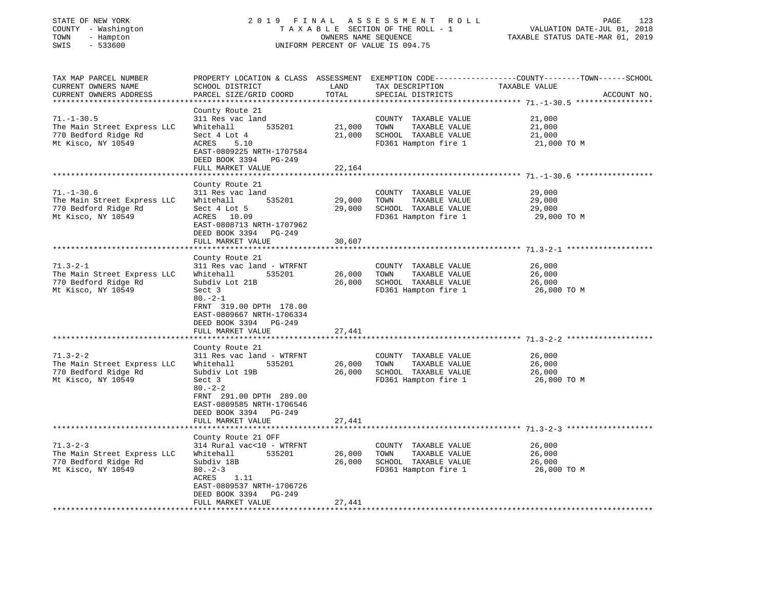| STATE OF NEW YORK<br>COUNTY - Washington<br>TOWN<br>- Hampton<br>$-533600$<br>SWIS            | 2019 FINAL                                                                                                                                                                                                                                       | OWNERS NAME SEQUENCE                    | A S S E S S M E N T<br>ROLL<br>TAXABLE SECTION OF THE ROLL - 1<br>UNIFORM PERCENT OF VALUE IS 094.75 | 123<br>PAGE<br>2018<br>VALUATION DATE-JUL 01,<br>TAXABLE STATUS DATE-MAR 01, 2019            |
|-----------------------------------------------------------------------------------------------|--------------------------------------------------------------------------------------------------------------------------------------------------------------------------------------------------------------------------------------------------|-----------------------------------------|------------------------------------------------------------------------------------------------------|----------------------------------------------------------------------------------------------|
| TAX MAP PARCEL NUMBER<br>CURRENT OWNERS NAME<br>CURRENT OWNERS ADDRESS                        | PROPERTY LOCATION & CLASS ASSESSMENT<br>SCHOOL DISTRICT<br>PARCEL SIZE/GRID COORD<br>*****************                                                                                                                                           | LAND<br>TOTAL<br>* * * * * * * * * * *  | TAX DESCRIPTION<br>SPECIAL DISTRICTS                                                                 | EXEMPTION CODE-----------------COUNTY-------TOWN------SCHOOL<br>TAXABLE VALUE<br>ACCOUNT NO. |
| $71. - 1 - 30.5$<br>The Main Street Express LLC<br>770 Bedford Ridge Rd<br>Mt Kisco, NY 10549 | County Route 21<br>311 Res vac land<br>535201<br>Whitehall<br>Sect 4 Lot 4<br>ACRES<br>5.10<br>EAST-0809225 NRTH-1707584<br>DEED BOOK 3394 PG-249<br>FULL MARKET VALUE                                                                           | 21,000<br>21,000<br>22,164              | COUNTY TAXABLE VALUE<br>TOWN<br>TAXABLE VALUE<br>SCHOOL TAXABLE VALUE<br>FD361 Hampton fire 1        | 21,000<br>21,000<br>21,000<br>21,000 TO M                                                    |
|                                                                                               | *******************                                                                                                                                                                                                                              | **************                          |                                                                                                      | ************************************ 71.-1-30.6 ******************                           |
| $71. - 1 - 30.6$<br>The Main Street Express LLC<br>770 Bedford Ridge Rd<br>Mt Kisco, NY 10549 | County Route 21<br>311 Res vac land<br>535201<br>Whitehall<br>Sect 4 Lot 5<br>ACRES 10.09<br>EAST-0808713 NRTH-1707962<br>DEED BOOK 3394<br>PG-249                                                                                               | 29,000<br>29,000                        | COUNTY TAXABLE VALUE<br>TOWN<br>TAXABLE VALUE<br>SCHOOL TAXABLE VALUE<br>FD361 Hampton fire 1        | 29,000<br>29,000<br>29,000<br>29,000 TO M                                                    |
|                                                                                               | FULL MARKET VALUE                                                                                                                                                                                                                                | 30,607                                  |                                                                                                      |                                                                                              |
| $71.3 - 2 - 1$<br>The Main Street Express LLC<br>770 Bedford Ridge Rd<br>Mt Kisco, NY 10549   | ***********************<br>County Route 21<br>311 Res vac land - WTRFNT<br>Whitehall<br>535201<br>Subdiv Lot 21B<br>Sect 3<br>$80. -2 - 1$<br>FRNT 319.00 DPTH 178.00<br>EAST-0809667 NRTH-1706334<br>DEED BOOK 3394 PG-249<br>FULL MARKET VALUE | *********<br>26,000<br>26,000<br>27,441 | COUNTY TAXABLE VALUE<br>TOWN<br>TAXABLE VALUE<br>SCHOOL TAXABLE VALUE<br>FD361 Hampton fire 1        | 26,000<br>26,000<br>26,000<br>26,000 TO M                                                    |
|                                                                                               | *******************                                                                                                                                                                                                                              |                                         |                                                                                                      |                                                                                              |
| $71.3 - 2 - 2$<br>The Main Street Express LLC<br>770 Bedford Ridge Rd<br>Mt Kisco, NY 10549   | County Route 21<br>311 Res vac land - WTRFNT<br>Whitehall<br>535201<br>Subdiv Lot 19B<br>Sect 3<br>$80 - 2 - 2$<br>FRNT 291.00 DPTH 289.00<br>EAST-0809585 NRTH-1706546<br>DEED BOOK 3394<br>PG-249                                              | 26,000<br>26,000                        | COUNTY TAXABLE VALUE<br>TOWN<br>TAXABLE VALUE<br>SCHOOL TAXABLE VALUE<br>FD361 Hampton fire 1        | 26,000<br>26,000<br>26,000<br>26,000 TO M                                                    |
|                                                                                               | FULL MARKET VALUE                                                                                                                                                                                                                                | 27,441                                  |                                                                                                      |                                                                                              |
|                                                                                               |                                                                                                                                                                                                                                                  |                                         |                                                                                                      |                                                                                              |
| $71.3 - 2 - 3$<br>The Main Street Express LLC<br>770 Bedford Ridge Rd<br>Mt Kisco, NY 10549   | County Route 21 OFF<br>314 Rural vac<10 - WTRFNT<br>Whitehall<br>535201<br>Subdiv 18B<br>$80 - 2 - 3$<br>ACRES<br>1.11<br>EAST-0809537 NRTH-1706726<br>DEED BOOK 3394<br>PG-249                                                                  | 26,000<br>26,000                        | COUNTY TAXABLE VALUE<br>TOWN<br>TAXABLE VALUE<br>SCHOOL TAXABLE VALUE<br>FD361 Hampton fire 1        | 26,000<br>26,000<br>26,000<br>26,000 TO M                                                    |
|                                                                                               | FULL MARKET VALUE                                                                                                                                                                                                                                | 27,441<br>· * * * * * * * * * * ·       |                                                                                                      |                                                                                              |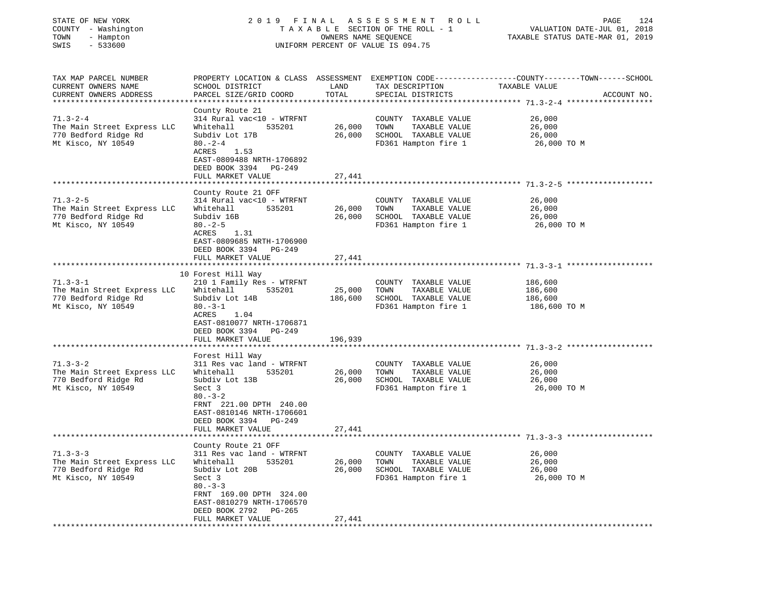| STATE OF NEW YORK<br>COUNTY - Washington<br>TOWN<br>- Hampton<br>$-533600$<br>SWIS          |                                                                                                                                                                                                      | OWNERS NAME SEQUENCE  | 2019 FINAL ASSESSMENT ROLL<br>TAXABLE SECTION OF THE ROLL - 1<br>UNIFORM PERCENT OF VALUE IS 094.75   | 124<br>PAGE<br>VALUATION DATE-JUL 01, 2018<br>TAXABLE STATUS DATE-MAR 01, 2019                                                  |
|---------------------------------------------------------------------------------------------|------------------------------------------------------------------------------------------------------------------------------------------------------------------------------------------------------|-----------------------|-------------------------------------------------------------------------------------------------------|---------------------------------------------------------------------------------------------------------------------------------|
| TAX MAP PARCEL NUMBER<br>CURRENT OWNERS NAME<br>CURRENT OWNERS ADDRESS                      | SCHOOL DISTRICT<br>PARCEL SIZE/GRID COORD                                                                                                                                                            | LAND<br>TOTAL         | TAX DESCRIPTION<br>SPECIAL DISTRICTS                                                                  | PROPERTY LOCATION & CLASS ASSESSMENT EXEMPTION CODE---------------COUNTY-------TOWN------SCHOOL<br>TAXABLE VALUE<br>ACCOUNT NO. |
| $71.3 - 2 - 4$<br>The Main Street Express LLC<br>770 Bedford Ridge Rd<br>Mt Kisco, NY 10549 | County Route 21<br>314 Rural vac<10 - WTRFNT<br>Whitehall<br>535201<br>Subdiv Lot 17B<br>$80. - 2 - 4$<br>ACRES<br>1.53<br>EAST-0809488 NRTH-1706892<br>DEED BOOK 3394 PG-249<br>FULL MARKET VALUE   | 26,000 TOWN<br>27,441 | COUNTY TAXABLE VALUE<br>TAXABLE VALUE<br>26,000 SCHOOL TAXABLE VALUE<br>FD361 Hampton fire 1          | 26,000<br>26,000<br>26,000<br>26,000 TO M                                                                                       |
|                                                                                             |                                                                                                                                                                                                      |                       |                                                                                                       |                                                                                                                                 |
| $71.3 - 2 - 5$<br>The Main Street Express LLC<br>770 Bedford Ridge Rd<br>Mt Kisco, NY 10549 | County Route 21 OFF<br>314 Rural vac<10 - WTRFNT<br>Whitehall<br>535201<br>Subdiv 16B<br>$80. - 2 - 5$<br>ACRES<br>1.31<br>EAST-0809685 NRTH-1706900                                                 | 26,000<br>26,000      | COUNTY TAXABLE VALUE<br>TOWN<br>TAXABLE VALUE<br>SCHOOL TAXABLE VALUE<br>FD361 Hampton fire 1         | 26,000<br>26,000<br>26,000<br>26,000 TO M                                                                                       |
|                                                                                             | DEED BOOK 3394 PG-249<br>FULL MARKET VALUE                                                                                                                                                           | 27,441                |                                                                                                       |                                                                                                                                 |
| $71.3 - 3 - 1$<br>The Main Street Express LLC<br>770 Bedford Ridge Rd<br>Mt Kisco, NY 10549 | 10 Forest Hill Way<br>210 1 Family Res - WTRFNT<br>Whitehall<br>535201<br>Subdiv Lot 14B<br>$80. -3 - 1$<br>ACRES<br>1.04<br>EAST-0810077 NRTH-1706871<br>DEED BOOK 3394 PG-249<br>FULL MARKET VALUE | 25,000<br>196,939     | COUNTY TAXABLE VALUE<br>TOWN<br>TAXABLE VALUE<br>186,600 SCHOOL TAXABLE VALUE<br>FD361 Hampton fire 1 | 186,600<br>186,600<br>186,600<br>186,600 TO M                                                                                   |
|                                                                                             |                                                                                                                                                                                                      |                       |                                                                                                       |                                                                                                                                 |
| $71.3 - 3 - 2$<br>The Main Street Express LLC<br>770 Bedford Ridge Rd<br>Mt Kisco, NY 10549 | Forest Hill Way<br>311 Res vac land - WTRFNT<br>Whitehall<br>535201<br>Subdiv Lot 13B<br>Sect 3<br>$80 - 3 - 2$<br>FRNT 221.00 DPTH 240.00<br>EAST-0810146 NRTH-1706601<br>DEED BOOK 3394 PG-249     | 26,000                | COUNTY TAXABLE VALUE<br>TAXABLE VALUE<br>TOWN<br>26,000 SCHOOL TAXABLE VALUE<br>FD361 Hampton fire 1  | 26,000<br>26,000<br>26,000<br>26,000 TO M                                                                                       |
|                                                                                             | FULL MARKET VALUE                                                                                                                                                                                    | 27,441                |                                                                                                       |                                                                                                                                 |
| $71.3 - 3 - 3$                                                                              | County Route 21 OFF<br>311 Res vac land - WTRFNT<br>Whitehall<br>535201                                                                                                                              | 26,000                | COUNTY TAXABLE VALUE                                                                                  | 26,000                                                                                                                          |
| The Main Street Express LLC<br>770 Bedford Ridge Rd<br>Mt Kisco, NY 10549                   | Subdiv Lot 20B<br>Sect 3<br>$80 - 3 - 3$<br>FRNT 169.00 DPTH 324.00<br>EAST-0810279 NRTH-1706570<br>DEED BOOK 2792<br>PG-265<br>FULL MARKET VALUE                                                    | 26,000<br>27,441      | TOWN<br>TAXABLE VALUE<br>SCHOOL TAXABLE VALUE<br>FD361 Hampton fire 1                                 | 26,000<br>26,000<br>26,000 TO M                                                                                                 |
| **************                                                                              |                                                                                                                                                                                                      |                       |                                                                                                       |                                                                                                                                 |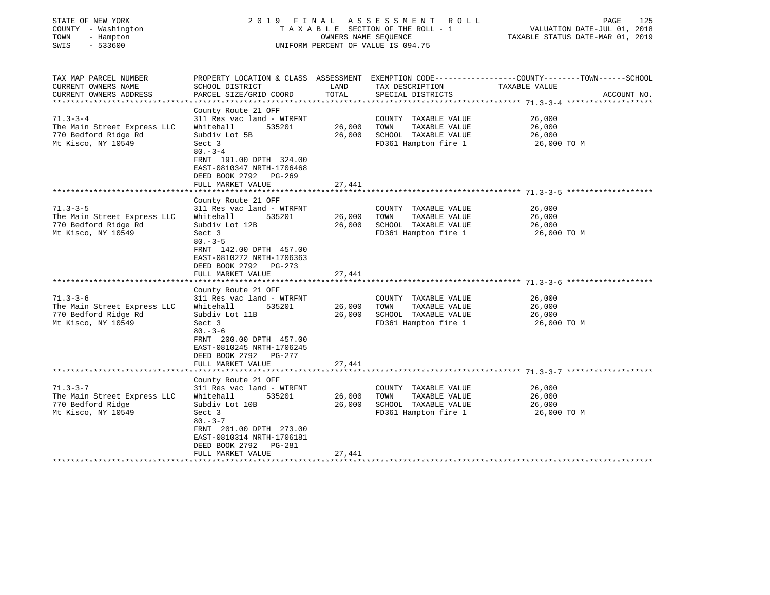| STATE OF NEW YORK<br>COUNTY - Washington<br>TOWN<br>- Hampton<br>SWIS<br>$-533600$          | 2019 FINAL                                                                                                                                                                 | OWNERS NAME SEQUENCE | ASSESSMENT ROLL<br>TAXABLE SECTION OF THE ROLL - 1<br>UNIFORM PERCENT OF VALUE IS 094.75      | PAGE<br>125<br>VALUATION DATE-JUL 01, 2018<br>TAXABLE STATUS DATE-MAR 01, 2019                                  |
|---------------------------------------------------------------------------------------------|----------------------------------------------------------------------------------------------------------------------------------------------------------------------------|----------------------|-----------------------------------------------------------------------------------------------|-----------------------------------------------------------------------------------------------------------------|
| TAX MAP PARCEL NUMBER<br>CURRENT OWNERS NAME                                                | SCHOOL DISTRICT                                                                                                                                                            | LAND                 | TAX DESCRIPTION                                                                               | PROPERTY LOCATION & CLASS ASSESSMENT EXEMPTION CODE---------------COUNTY-------TOWN-----SCHOOL<br>TAXABLE VALUE |
| CURRENT OWNERS ADDRESS                                                                      | PARCEL SIZE/GRID COORD                                                                                                                                                     | TOTAL                | SPECIAL DISTRICTS                                                                             | ACCOUNT NO.                                                                                                     |
| $71.3 - 3 - 4$<br>The Main Street Express LLC<br>770 Bedford Ridge Rd<br>Mt Kisco, NY 10549 | County Route 21 OFF<br>311 Res vac land - WTRFNT<br>Whitehall<br>535201<br>Subdiv Lot 5B<br>Sect 3<br>$80 - 3 - 4$<br>FRNT 191.00 DPTH 324.00<br>EAST-0810347 NRTH-1706468 | 26,000<br>26,000     | COUNTY TAXABLE VALUE<br>TOWN<br>TAXABLE VALUE<br>SCHOOL TAXABLE VALUE<br>FD361 Hampton fire 1 | 26,000<br>26,000<br>26,000<br>26,000 TO M                                                                       |
|                                                                                             | DEED BOOK 2792 PG-269<br>FULL MARKET VALUE                                                                                                                                 | 27,441               |                                                                                               |                                                                                                                 |
|                                                                                             |                                                                                                                                                                            |                      |                                                                                               |                                                                                                                 |
|                                                                                             | County Route 21 OFF                                                                                                                                                        |                      |                                                                                               |                                                                                                                 |
| $71.3 - 3 - 5$<br>The Main Street Express LLC<br>770 Bedford Ridge Rd<br>Mt Kisco, NY 10549 | 311 Res vac land - WTRFNT<br>Whitehall<br>535201<br>Subdiv Lot 12B<br>Sect 3                                                                                               | 26,000<br>26,000     | COUNTY TAXABLE VALUE<br>TOWN<br>TAXABLE VALUE<br>SCHOOL TAXABLE VALUE<br>FD361 Hampton fire 1 | 26,000<br>26,000<br>26,000<br>26,000 TO M                                                                       |
|                                                                                             | $80 - 3 - 5$<br>FRNT 142.00 DPTH 457.00<br>EAST-0810272 NRTH-1706363<br>DEED BOOK 2792 PG-273<br>FULL MARKET VALUE                                                         | 27,441               |                                                                                               |                                                                                                                 |
|                                                                                             |                                                                                                                                                                            |                      |                                                                                               |                                                                                                                 |
| $71.3 - 3 - 6$<br>The Main Street Express LLC<br>770 Bedford Ridge Rd<br>Mt Kisco, NY 10549 | County Route 21 OFF<br>311 Res vac land - WTRFNT<br>Whitehall<br>535201<br>Subdiv Lot 11B<br>Sect 3<br>$80. - 3 - 6$                                                       | 26,000<br>26,000     | COUNTY TAXABLE VALUE<br>TAXABLE VALUE<br>TOWN<br>SCHOOL TAXABLE VALUE<br>FD361 Hampton fire 1 | 26,000<br>26,000<br>26,000<br>26,000 TO M                                                                       |
|                                                                                             | FRNT 200.00 DPTH 457.00<br>EAST-0810245 NRTH-1706245<br>DEED BOOK 2792<br>PG-277<br>FULL MARKET VALUE                                                                      | 27,441               |                                                                                               |                                                                                                                 |
|                                                                                             | County Route 21 OFF                                                                                                                                                        |                      |                                                                                               |                                                                                                                 |
| $71.3 - 3 - 7$<br>The Main Street Express LLC<br>770 Bedford Ridge<br>Mt Kisco, NY 10549    | 311 Res vac land - WTRFNT<br>Whitehall<br>535201<br>Subdiv Lot 10B<br>Sect 3<br>$80. - 3 - 7$                                                                              | 26,000<br>26,000     | COUNTY TAXABLE VALUE<br>TOWN<br>TAXABLE VALUE<br>SCHOOL TAXABLE VALUE<br>FD361 Hampton fire 1 | 26,000<br>26,000<br>26,000<br>26,000 TO M                                                                       |
|                                                                                             | FRNT 201.00 DPTH 273.00<br>EAST-0810314 NRTH-1706181<br>DEED BOOK 2792<br>PG-281<br>FULL MARKET VALUE                                                                      | 27,441               |                                                                                               |                                                                                                                 |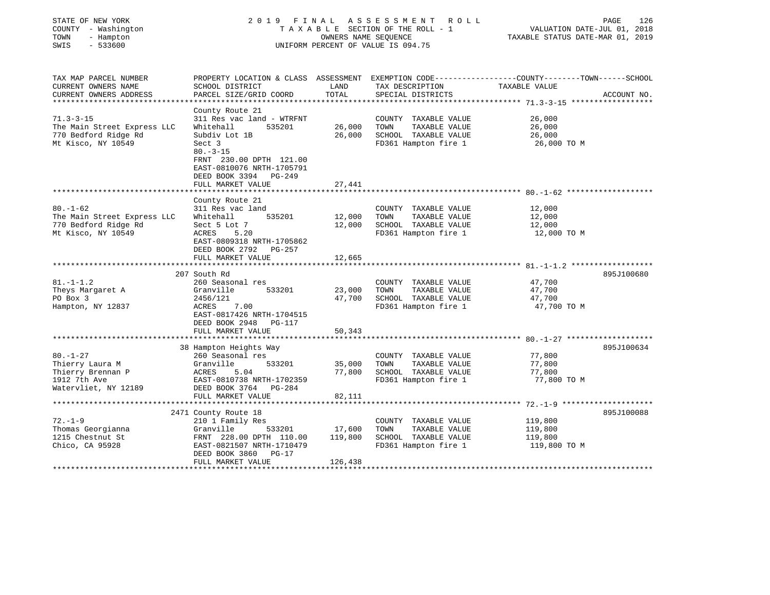| STATE OF NEW YORK<br>COUNTY - Washington<br>TOWN<br>- Hampton<br>SWIS<br>$-533600$ | 2019                                           | FINAL             | A S S E S S M E N T<br>R O L L<br>TAXABLE SECTION OF THE ROLL - 1<br>OWNERS NAME SEQUENCE<br>UNIFORM PERCENT OF VALUE IS 094.75 | PAGE<br>VALUATION DATE-JUL 01, 2018<br>TAXABLE STATUS DATE-MAR 01, 2019                         | 126 |
|------------------------------------------------------------------------------------|------------------------------------------------|-------------------|---------------------------------------------------------------------------------------------------------------------------------|-------------------------------------------------------------------------------------------------|-----|
|                                                                                    |                                                |                   |                                                                                                                                 |                                                                                                 |     |
| TAX MAP PARCEL NUMBER                                                              |                                                |                   |                                                                                                                                 | PROPERTY LOCATION & CLASS ASSESSMENT EXEMPTION CODE---------------COUNTY-------TOWN------SCHOOL |     |
| CURRENT OWNERS NAME                                                                | SCHOOL DISTRICT                                | LAND              | TAX DESCRIPTION                                                                                                                 | TAXABLE VALUE                                                                                   |     |
| CURRENT OWNERS ADDRESS                                                             | PARCEL SIZE/GRID COORD                         | TOTAL             | SPECIAL DISTRICTS                                                                                                               | ACCOUNT NO.                                                                                     |     |
|                                                                                    |                                                |                   |                                                                                                                                 |                                                                                                 |     |
| $71.3 - 3 - 15$                                                                    | County Route 21<br>311 Res vac land - WTRFNT   |                   |                                                                                                                                 | 26,000                                                                                          |     |
| The Main Street Express LLC                                                        | Whitehall<br>535201                            | 26,000            | COUNTY TAXABLE VALUE<br>TOWN<br>TAXABLE VALUE                                                                                   | 26,000                                                                                          |     |
| 770 Bedford Ridge Rd                                                               | Subdiv Lot 1B                                  | 26,000            | SCHOOL TAXABLE VALUE                                                                                                            | 26,000                                                                                          |     |
| Mt Kisco, NY 10549                                                                 | Sect 3                                         |                   | FD361 Hampton fire 1                                                                                                            | 26,000 TO M                                                                                     |     |
|                                                                                    | $80. - 3 - 15$                                 |                   |                                                                                                                                 |                                                                                                 |     |
|                                                                                    | FRNT 230.00 DPTH 121.00                        |                   |                                                                                                                                 |                                                                                                 |     |
|                                                                                    | EAST-0810076 NRTH-1705791                      |                   |                                                                                                                                 |                                                                                                 |     |
|                                                                                    | DEED BOOK 3394 PG-249                          |                   |                                                                                                                                 |                                                                                                 |     |
|                                                                                    | FULL MARKET VALUE                              | 27,441            |                                                                                                                                 |                                                                                                 |     |
|                                                                                    |                                                |                   |                                                                                                                                 |                                                                                                 |     |
|                                                                                    | County Route 21                                |                   |                                                                                                                                 |                                                                                                 |     |
| $80. - 1 - 62$                                                                     | 311 Res vac land                               |                   | COUNTY TAXABLE VALUE                                                                                                            | 12,000                                                                                          |     |
| The Main Street Express LLC                                                        | 535201<br>Whitehall                            | 12,000            | TOWN<br>TAXABLE VALUE                                                                                                           | 12,000                                                                                          |     |
| 770 Bedford Ridge Rd                                                               | Sect 5 Lot 7                                   | 12,000            | SCHOOL TAXABLE VALUE                                                                                                            | 12,000                                                                                          |     |
| Mt Kisco, NY 10549                                                                 | ACRES<br>5.20                                  |                   | FD361 Hampton fire 1                                                                                                            | 12,000 TO M                                                                                     |     |
|                                                                                    | EAST-0809318 NRTH-1705862                      |                   |                                                                                                                                 |                                                                                                 |     |
|                                                                                    | DEED BOOK 2792<br>PG-257                       |                   |                                                                                                                                 |                                                                                                 |     |
|                                                                                    | FULL MARKET VALUE<br>**********************    | 12,665            |                                                                                                                                 |                                                                                                 |     |
|                                                                                    | 207 South Rd                                   |                   |                                                                                                                                 | 895J100680                                                                                      |     |
| $81. - 1 - 1.2$                                                                    | 260 Seasonal res                               |                   | COUNTY TAXABLE VALUE                                                                                                            | 47,700                                                                                          |     |
| Theys Margaret A                                                                   | 533201<br>Granville                            | 23,000            | TOWN<br>TAXABLE VALUE                                                                                                           | 47,700                                                                                          |     |
| PO Box 3                                                                           | 2456/121                                       | 47,700            | SCHOOL TAXABLE VALUE                                                                                                            | 47,700                                                                                          |     |
| Hampton, NY 12837                                                                  | ACRES<br>7.00                                  |                   | FD361 Hampton fire 1                                                                                                            | 47,700 TO M                                                                                     |     |
|                                                                                    | EAST-0817426 NRTH-1704515                      |                   |                                                                                                                                 |                                                                                                 |     |
|                                                                                    | DEED BOOK 2948<br>PG-117                       |                   |                                                                                                                                 |                                                                                                 |     |
|                                                                                    | FULL MARKET VALUE                              | 50,343            |                                                                                                                                 |                                                                                                 |     |
|                                                                                    |                                                |                   |                                                                                                                                 |                                                                                                 |     |
|                                                                                    | 38 Hampton Heights Way                         |                   |                                                                                                                                 | 895J100634                                                                                      |     |
| $80. - 1 - 27$                                                                     | 260 Seasonal res                               |                   | COUNTY TAXABLE VALUE                                                                                                            | 77,800                                                                                          |     |
| Thierry Laura M                                                                    | 533201<br>Granville                            | 35,000            | TOWN<br>TAXABLE VALUE                                                                                                           | 77,800                                                                                          |     |
| Thierry Brennan P                                                                  | ACRES<br>5.04                                  | 77,800            | SCHOOL TAXABLE VALUE                                                                                                            | 77,800                                                                                          |     |
| 1912 7th Ave                                                                       | EAST-0810738 NRTH-1702359                      |                   | FD361 Hampton fire 1                                                                                                            | 77,800 TO M                                                                                     |     |
| Watervliet, NY 12189                                                               | DEED BOOK 3764<br>PG-284                       |                   |                                                                                                                                 |                                                                                                 |     |
|                                                                                    | FULL MARKET VALUE                              | 82,111            |                                                                                                                                 |                                                                                                 |     |
|                                                                                    |                                                |                   |                                                                                                                                 |                                                                                                 |     |
|                                                                                    | 2471 County Route 18                           |                   |                                                                                                                                 | 895J100088                                                                                      |     |
| $72. - 1 - 9$                                                                      | 210 1 Family Res                               |                   | COUNTY TAXABLE VALUE<br>TOWN                                                                                                    | 119,800                                                                                         |     |
| Thomas Georgianna<br>1215 Chestnut St                                              | Granville<br>533201<br>FRNT 228.00 DPTH 110.00 | 17,600<br>119,800 | TAXABLE VALUE<br>SCHOOL TAXABLE VALUE                                                                                           | 119,800<br>119,800                                                                              |     |
| Chico, CA 95928                                                                    | EAST-0821507 NRTH-1710479                      |                   | FD361 Hampton fire 1                                                                                                            | 119,800 TO M                                                                                    |     |
|                                                                                    | DEED BOOK 3860<br>PG-17                        |                   |                                                                                                                                 |                                                                                                 |     |
|                                                                                    | FULL MARKET VALUE                              | 126,438           |                                                                                                                                 |                                                                                                 |     |
|                                                                                    |                                                |                   |                                                                                                                                 |                                                                                                 |     |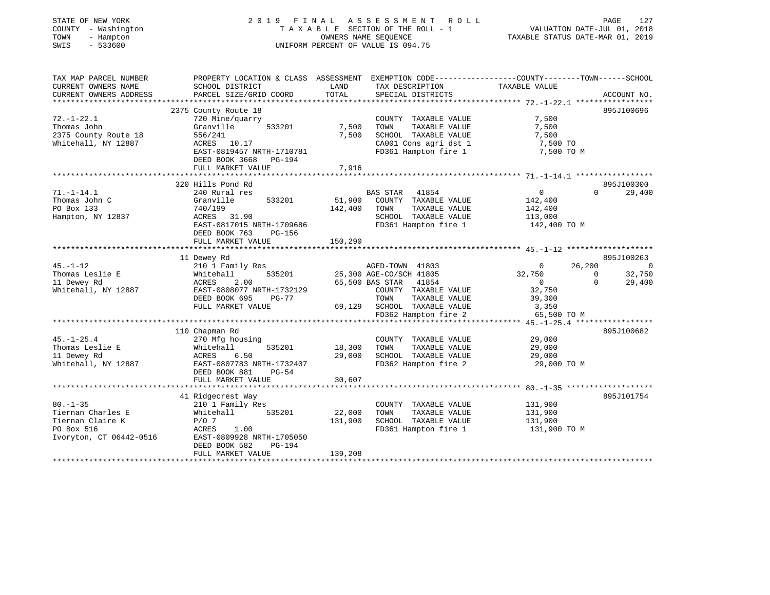| STATE OF NEW YORK<br>COUNTY - Washington<br>- Hampton<br>TOWN<br>$-533600$<br>SWIS | 2019 FINAL                                                                                      | OWNERS NAME SEQUENCE | A S S E S S M E N T<br>R O L L<br>TAXABLE SECTION OF THE ROLL - 1<br>UNIFORM PERCENT OF VALUE IS 094.75 | TAXABLE STATUS DATE-MAR 01, 2019 | PAGE<br>127<br>VALUATION DATE-JUL 01, 2018 |
|------------------------------------------------------------------------------------|-------------------------------------------------------------------------------------------------|----------------------|---------------------------------------------------------------------------------------------------------|----------------------------------|--------------------------------------------|
| TAX MAP PARCEL NUMBER                                                              | PROPERTY LOCATION & CLASS ASSESSMENT EXEMPTION CODE---------------COUNTY-------TOWN------SCHOOL |                      |                                                                                                         |                                  |                                            |
| CURRENT OWNERS NAME                                                                | SCHOOL DISTRICT                                                                                 | LAND                 | TAX DESCRIPTION                                                                                         | TAXABLE VALUE                    |                                            |
| CURRENT OWNERS ADDRESS                                                             | PARCEL SIZE/GRID COORD                                                                          | TOTAL                | SPECIAL DISTRICTS                                                                                       |                                  | ACCOUNT NO.                                |
|                                                                                    | 2375 County Route 18                                                                            |                      |                                                                                                         |                                  | 895J100696                                 |
| $72. - 1 - 22.1$                                                                   | 720 Mine/quarry                                                                                 |                      | COUNTY TAXABLE VALUE                                                                                    | 7,500                            |                                            |
| Thomas John                                                                        | Granville<br>533201                                                                             | 7,500                | TOWN<br>TAXABLE VALUE                                                                                   | 7,500                            |                                            |
| 2375 County Route 18                                                               | 556/241                                                                                         | 7,500                | SCHOOL TAXABLE VALUE                                                                                    | 7,500                            |                                            |
| Whitehall, NY 12887                                                                | ACRES 10.17                                                                                     |                      | CA001 Cons agri dst 1                                                                                   | 7,500 TO                         |                                            |
|                                                                                    | EAST-0819457 NRTH-1710781<br>DEED BOOK 3668 PG-194                                              |                      | FD361 Hampton fire 1                                                                                    | 7,500 TO M                       |                                            |
|                                                                                    | FULL MARKET VALUE                                                                               | 7,916                |                                                                                                         |                                  |                                            |
|                                                                                    |                                                                                                 |                      |                                                                                                         |                                  |                                            |
| $71. - 1 - 14.1$                                                                   | 320 Hills Pond Rd<br>240 Rural res                                                              |                      | BAS STAR 41854                                                                                          | $\overline{0}$                   | 895J100300<br>$\Omega$                     |
| Thomas John C                                                                      | 533201<br>Granville                                                                             | 51,900               | COUNTY TAXABLE VALUE                                                                                    | 142,400                          | 29,400                                     |
| PO Box 133                                                                         | 740/199                                                                                         | 142,400              | TOWN<br>TAXABLE VALUE                                                                                   | 142,400                          |                                            |
| Hampton, NY 12837                                                                  | ACRES 31.90                                                                                     |                      | SCHOOL TAXABLE VALUE                                                                                    | 113,000                          |                                            |
|                                                                                    | EAST-0817015 NRTH-1709686                                                                       |                      | FD361 Hampton fire 1                                                                                    | 142,400 TO M                     |                                            |
|                                                                                    | DEED BOOK 763<br>PG-156                                                                         |                      |                                                                                                         |                                  |                                            |
|                                                                                    | FULL MARKET VALUE                                                                               | 150,290              |                                                                                                         |                                  |                                            |
|                                                                                    | ************************                                                                        |                      |                                                                                                         |                                  |                                            |
| $45. - 1 - 12$                                                                     | 11 Dewey Rd                                                                                     |                      |                                                                                                         | 26,200                           | 895J100263                                 |
| Thomas Leslie E                                                                    | 210 1 Family Res<br>535201<br>Whitehall                                                         |                      | AGED-TOWN 41803<br>25,300 AGE-CO/SCH 41805                                                              | $\mathbf{0}$<br>32,750           | $\overline{\phantom{0}}$<br>32,750<br>0    |
| 11 Dewey Rd                                                                        | ACRES<br>2.00                                                                                   |                      | 65,500 BAS STAR 41854                                                                                   | $\sim$ 0                         | $\Omega$<br>29,400                         |
| Whitehall, NY 12887                                                                | EAST-0808077 NRTH-1732129                                                                       |                      | COUNTY TAXABLE VALUE                                                                                    | 32,750                           |                                            |
|                                                                                    | DEED BOOK 695<br>$PG-77$                                                                        |                      | TAXABLE VALUE<br>TOWN                                                                                   | 39,300                           |                                            |
|                                                                                    | FULL MARKET VALUE                                                                               | 69,129               | SCHOOL TAXABLE VALUE                                                                                    | 3,350                            |                                            |
|                                                                                    |                                                                                                 |                      | FD362 Hampton fire 2                                                                                    | 65,500 TO M                      |                                            |
|                                                                                    |                                                                                                 |                      |                                                                                                         |                                  |                                            |
|                                                                                    | 110 Chapman Rd                                                                                  |                      |                                                                                                         |                                  | 895J100682                                 |
| $45. - 1 - 25.4$                                                                   | 270 Mfg housing                                                                                 |                      | COUNTY TAXABLE VALUE                                                                                    | 29,000                           |                                            |
| Thomas Leslie E                                                                    | Whitehall<br>535201                                                                             | 18,300               | TOWN<br>TAXABLE VALUE<br>SCHOOL TAXABLE VALUE                                                           | 29,000                           |                                            |
| 11 Dewey Rd<br>Whitehall, NY 12887                                                 | ACRES<br>6.50<br>EAST-0807783 NRTH-1732407                                                      | 29,000               | FD362 Hampton fire 2                                                                                    | 29,000<br>29,000 TO M            |                                            |
|                                                                                    | DEED BOOK 881<br>$PG-54$                                                                        |                      |                                                                                                         |                                  |                                            |
|                                                                                    | FULL MARKET VALUE                                                                               | 30,607               |                                                                                                         |                                  |                                            |
|                                                                                    | ***********************                                                                         |                      |                                                                                                         |                                  |                                            |
|                                                                                    | 41 Ridgecrest Way                                                                               |                      |                                                                                                         |                                  | 895J101754                                 |
| $80. - 1 - 35$                                                                     | 210 1 Family Res                                                                                |                      | COUNTY TAXABLE VALUE                                                                                    | 131,900                          |                                            |
| Tiernan Charles E                                                                  | Whitehall<br>535201                                                                             | 22,000               | TOWN<br>TAXABLE VALUE                                                                                   | 131,900                          |                                            |
| Tiernan Claire K                                                                   | $P/O$ 7                                                                                         | 131,900              | SCHOOL TAXABLE VALUE                                                                                    | 131,900                          |                                            |
| PO Box 516                                                                         | ACRES<br>1.00                                                                                   |                      | FD361 Hampton fire 1                                                                                    | 131,900 TO M                     |                                            |
| Ivoryton, CT 06442-0516                                                            | EAST-0809928 NRTH-1705050<br>PG-194<br>DEED BOOK 582                                            |                      |                                                                                                         |                                  |                                            |
| **********************                                                             | FULL MARKET VALUE                                                                               | 139,208              |                                                                                                         |                                  |                                            |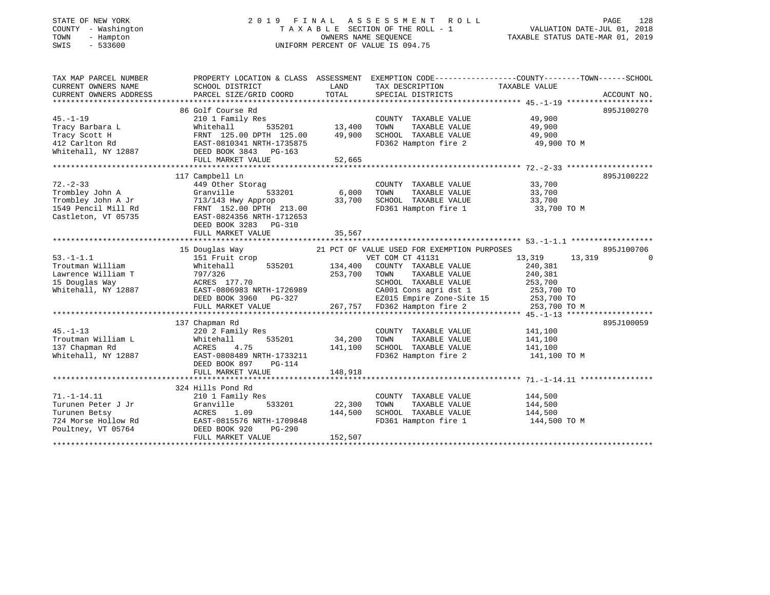## STATE OF NEW YORK 2 0 1 9 F I N A L A S S E S S M E N T R O L L PAGE 128 COUNTY - Washington T A X A B L E SECTION OF THE ROLL - 1 VALUATION DATE-JUL 01, 2018 TOWN - Hampton OWNERS NAME SEQUENCE TAXABLE STATUS DATE-MAR 01, 2019 SWIS - 533600 UNIFORM PERCENT OF VALUE IS 094.75UNIFORM PERCENT OF VALUE IS 094.75

| TAX MAP PARCEL NUMBER            |                                                                                                                                                                                                                                                |         |                                                                 | PROPERTY LOCATION & CLASS ASSESSMENT EXEMPTION CODE----------------COUNTY-------TOWN------SCHOOL |            |
|----------------------------------|------------------------------------------------------------------------------------------------------------------------------------------------------------------------------------------------------------------------------------------------|---------|-----------------------------------------------------------------|--------------------------------------------------------------------------------------------------|------------|
| CURRENT OWNERS NAME              | SCHOOL DISTRICT                                                                                                                                                                                                                                | LAND    | TAX DESCRIPTION                                                 | TAXABLE VALUE                                                                                    |            |
|                                  | CURRENT UNNERS APPESS TO BOOTHY THE COORD TOTAL SEECIAL DISTRICTS ACCOUNT NO.<br>CURRENT OWNERS ADDRESS PARCEL SIZE/GRID COORD TOTAL SEECIAL DISTRICTS ACCOUNT NO.                                                                             |         |                                                                 |                                                                                                  |            |
|                                  |                                                                                                                                                                                                                                                |         |                                                                 |                                                                                                  |            |
|                                  | 86 Golf Course Rd                                                                                                                                                                                                                              |         |                                                                 |                                                                                                  | 895J100270 |
| $45. -1 - 19$                    | 210 1 Family Res                                                                                                                                                                                                                               |         | COUNTY TAXABLE VALUE 49,900                                     |                                                                                                  |            |
|                                  |                                                                                                                                                                                                                                                |         | TOWN                                                            | TAXABLE VALUE 49,900                                                                             |            |
|                                  |                                                                                                                                                                                                                                                |         | SCHOOL TAXABLE VALUE 49,900<br>FD362 Hampton fire 2 49,900 TO M |                                                                                                  |            |
|                                  |                                                                                                                                                                                                                                                |         |                                                                 |                                                                                                  |            |
|                                  |                                                                                                                                                                                                                                                |         |                                                                 |                                                                                                  |            |
|                                  |                                                                                                                                                                                                                                                |         |                                                                 |                                                                                                  |            |
|                                  |                                                                                                                                                                                                                                                |         |                                                                 |                                                                                                  |            |
| $72. - 2 - 33$                   | 117 Campbell Ln                                                                                                                                                                                                                                |         |                                                                 |                                                                                                  | 895J100222 |
|                                  | 449 Other Storag                                                                                                                                                                                                                               |         | COUNTY TAXABLE VALUE<br>TAXABLE VALUE                           | 33,700                                                                                           |            |
|                                  |                                                                                                                                                                                                                                                |         | TOWN                                                            | 33,700                                                                                           |            |
|                                  |                                                                                                                                                                                                                                                |         |                                                                 | SCHOOL TAXABLE VALUE 33,700<br>FD361 Hampton fire 1 33,700 TO M                                  |            |
|                                  |                                                                                                                                                                                                                                                |         |                                                                 |                                                                                                  |            |
|                                  |                                                                                                                                                                                                                                                |         |                                                                 |                                                                                                  |            |
|                                  | 72.-2-33<br>Trombley John A<br>Trombley John A Jr 713/143 Hwy Approp 33,700<br>1549 Pencil Mill Rd FRNT 152.00 DPTH 213.00<br>Castleton, VT 05735<br>FRNT 152.00 DPTH 213.00<br>EAST-0824356 NRTH-1712653<br>FRNT 152.00 DPTH 213.00<br>CAST-0 |         |                                                                 |                                                                                                  |            |
|                                  | FULL MARKET VALUE                                                                                                                                                                                                                              | 35,567  |                                                                 |                                                                                                  |            |
|                                  |                                                                                                                                                                                                                                                |         |                                                                 |                                                                                                  | 895J100706 |
| $53. - 1 - 1.1$                  | 15 Douglas Way<br>151 Fruit crop                                                                                                                                                                                                               |         | 21 PCT OF VALUE USED FOR EXEMPTION PURPOSES<br>VET COM CT 41131 | 13,319 13,319                                                                                    | $\Omega$   |
|                                  |                                                                                                                                                                                                                                                |         |                                                                 |                                                                                                  |            |
|                                  |                                                                                                                                                                                                                                                |         |                                                                 | 240,381                                                                                          |            |
|                                  |                                                                                                                                                                                                                                                |         | SCHOOL TAXABLE VALUE 253,700                                    | 240,381                                                                                          |            |
|                                  |                                                                                                                                                                                                                                                |         |                                                                 |                                                                                                  |            |
|                                  |                                                                                                                                                                                                                                                |         |                                                                 |                                                                                                  |            |
|                                  | Froutman Whitehall 535201 134,400 COUNTY TAXABLE VALUE<br>Lawrence William T 797/326 253,700 TOWN TAXABLE VALUE<br>15 Douglas Way ACRES 177.70 SCHOOL TAXABLE VALUE<br>Whitehall, NY 12887 EAST-0806983 NRTH-1726989 CA001 Cons agri           |         |                                                                 |                                                                                                  |            |
|                                  |                                                                                                                                                                                                                                                |         |                                                                 |                                                                                                  |            |
|                                  | 137 Chapman Rd                                                                                                                                                                                                                                 |         |                                                                 |                                                                                                  | 895J100059 |
| $45. - 1 - 13$                   | 220 2 Family Res                                                                                                                                                                                                                               |         | COUNTY TAXABLE VALUE 141,100                                    |                                                                                                  |            |
|                                  | 535201                                                                                                                                                                                                                                         | 34,200  |                                                                 |                                                                                                  |            |
|                                  |                                                                                                                                                                                                                                                | 141,100 | TOWN       TAXABLE  VALUE<br>SCHOOL    TAXABLE  VALUE           | 141,100<br>141,100                                                                               |            |
|                                  |                                                                                                                                                                                                                                                |         |                                                                 | FD362 Hampton fire 2 141,100 TO M                                                                |            |
|                                  |                                                                                                                                                                                                                                                |         |                                                                 |                                                                                                  |            |
|                                  | Whitehall, NY 12887<br>Whitehall, NY 12887<br>DEED BOOK 897 PG-114<br>FULL MARKET VALUE                                                                                                                                                        | 148,918 |                                                                 |                                                                                                  |            |
|                                  |                                                                                                                                                                                                                                                |         |                                                                 |                                                                                                  |            |
|                                  | 324 Hills Pond Rd                                                                                                                                                                                                                              |         |                                                                 |                                                                                                  |            |
| 71.-1-14.11                      | 210 1 Family Res                                                                                                                                                                                                                               |         | COUNTY TAXABLE VALUE 144,500                                    |                                                                                                  |            |
|                                  |                                                                                                                                                                                                                                                | 22,300  |                                                                 |                                                                                                  |            |
|                                  |                                                                                                                                                                                                                                                | 144,500 | TOWN TAXABLE VALUE 144,500<br>SCHOOL TAXABLE VALUE 144,500      |                                                                                                  |            |
|                                  |                                                                                                                                                                                                                                                |         | FD361 Hampton fire 1 144,500 TO M                               |                                                                                                  |            |
| Poultney, VT 05764 DEED BOOK 920 | PG-290                                                                                                                                                                                                                                         |         |                                                                 |                                                                                                  |            |
|                                  | FULL MARKET VALUE                                                                                                                                                                                                                              | 152,507 |                                                                 |                                                                                                  |            |
|                                  |                                                                                                                                                                                                                                                |         |                                                                 |                                                                                                  |            |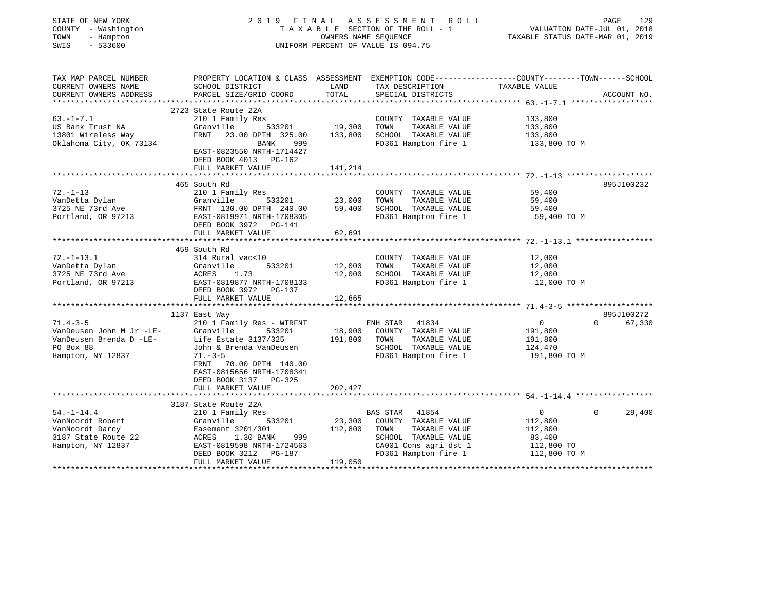| STATE OF NEW YORK<br>COUNTY - Washington<br>TOWN<br>- Hampton<br>$-533600$<br>SWIS                      |                                                                                                                                                                                                                    |                              | 2019 FINAL ASSESSMENT ROLL<br>TAXABLE SECTION OF THE ROLL - 1<br>OWNERS NAME SEQUENCE<br>UNIFORM PERCENT OF VALUE IS 094.75              | VALUATION DATE-JUL 01, 2018<br>TAXABLE STATUS DATE-MAR 01, 2019                                                  | PAGE<br>129          |
|---------------------------------------------------------------------------------------------------------|--------------------------------------------------------------------------------------------------------------------------------------------------------------------------------------------------------------------|------------------------------|------------------------------------------------------------------------------------------------------------------------------------------|------------------------------------------------------------------------------------------------------------------|----------------------|
| TAX MAP PARCEL NUMBER<br>CURRENT OWNERS NAME<br>CURRENT OWNERS ADDRESS<br>**********************        | SCHOOL DISTRICT<br>PARCEL SIZE/GRID COORD                                                                                                                                                                          | LAND<br>TOTAL                | TAX DESCRIPTION<br>SPECIAL DISTRICTS                                                                                                     | PROPERTY LOCATION & CLASS ASSESSMENT EXEMPTION CODE---------------COUNTY-------TOWN------SCHOOL<br>TAXABLE VALUE | ACCOUNT NO.          |
| $63. - 1 - 7.1$<br>US Bank Trust NA<br>13801 Wireless Way<br>Oklahoma City, OK 73134                    | 2723 State Route 22A<br>210 1 Family Res<br>Granville<br>533201<br>FRNT 23.00 DPTH 325.00<br>BANK<br>999<br>EAST-0823550 NRTH-1714427<br>DEED BOOK 4013 PG-162<br>FULL MARKET VALUE                                | 19,300<br>133,800<br>141,214 | COUNTY TAXABLE VALUE<br>TOWN<br>TAXABLE VALUE<br>SCHOOL TAXABLE VALUE<br>FD361 Hampton fire 1                                            | 133,800<br>133,800<br>133,800<br>133,800 TO M                                                                    |                      |
|                                                                                                         |                                                                                                                                                                                                                    |                              |                                                                                                                                          |                                                                                                                  |                      |
| $72. - 1 - 13$<br>VanDetta Dylan<br>3725 NE 73rd Ave                                                    | 465 South Rd<br>210 1 Family Res<br>533201<br>Granville<br>FRNT 130.00 DPTH 240.00<br>Portland, OR 97213 EAST-0819971 NRTH-1708305<br>DEED BOOK 3972 PG-141<br>FULL MARKET VALUE                                   | 23,000<br>59,400<br>62,691   | COUNTY TAXABLE VALUE<br>TOWN<br>TAXABLE VALUE<br>SCHOOL TAXABLE VALUE<br>FD361 Hampton fire 1                                            | 59,400<br>59,400<br>59,400<br>59,400 TO M                                                                        | 895J100232           |
|                                                                                                         |                                                                                                                                                                                                                    |                              |                                                                                                                                          |                                                                                                                  |                      |
| $72. - 1 - 13.1$<br>VanDetta Dylan<br>3725 NE 73rd Ave<br>Portland, OR 97213                            | 459 South Rd<br>314 Rural vac<10<br>Granville<br>533201<br>Granvi<br>ACRES<br>1.73<br>EAST-0819877 NRTH-1708133<br>DEED BOOK 3972 PG-137<br>FULL MARKET VALUE                                                      | 12,000<br>12,000<br>12,665   | COUNTY TAXABLE VALUE<br>TOWN<br>TAXABLE VALUE<br>SCHOOL TAXABLE VALUE<br>FD361 Hampton fire 1                                            | 12,000<br>12,000<br>12,000<br>12,000 TO M                                                                        |                      |
|                                                                                                         |                                                                                                                                                                                                                    |                              |                                                                                                                                          |                                                                                                                  |                      |
| $71.4 - 3 - 5$<br>VanDeusen John M Jr -LE-<br>VanDeusen Brenda D -LE-<br>PO Box 88<br>Hampton, NY 12837 | 1137 East Way<br>210 1 Family Res - WTRFNT<br>Granville 533201<br>Life Estate 3137/325<br>John & Brenda VanDeusen<br>$71. - 3 - 5$<br>FRNT 70.00 DPTH 140.00<br>EAST-0815656 NRTH-1708341<br>DEED BOOK 3137 PG-325 | 191,800                      | ENH STAR 41834<br>18,900 COUNTY TAXABLE VALUE<br>TOWN<br>TAXABLE VALUE<br>SCHOOL TAXABLE VALUE<br>FD361 Hampton fire 1                   | $\Omega$<br>$\overline{0}$<br>191,800<br>191,800<br>124,470<br>191,800 TO M                                      | 895J100272<br>67,330 |
|                                                                                                         | FULL MARKET VALUE                                                                                                                                                                                                  | 202,427                      |                                                                                                                                          |                                                                                                                  |                      |
|                                                                                                         |                                                                                                                                                                                                                    |                              |                                                                                                                                          |                                                                                                                  |                      |
| $54. - 1 - 14.4$<br>VanNoordt Robert<br>VanNoordt Darcy<br>3187 State Route 22<br>Hampton, NY 12837     | 3187 State Route 22A<br>210 1 Family Res<br>Granville<br>533201<br>Easement 3201/301<br>1.30 BANK<br>ACRES<br>999<br>EAST-0819598 NRTH-1724563<br>DEED BOOK 3212<br>PG-187<br>FULL MARKET VALUE                    | 23,300<br>112,800<br>119,050 | BAS STAR 41854<br>COUNTY TAXABLE VALUE<br>TOWN<br>TAXABLE VALUE<br>SCHOOL TAXABLE VALUE<br>CA001 Cons agri dst 1<br>FD361 Hampton fire 1 | $\mathbf{0}$<br>$\Omega$<br>112,800<br>112,800<br>83,400<br>112,800 TO<br>112,800 TO M                           | 29,400               |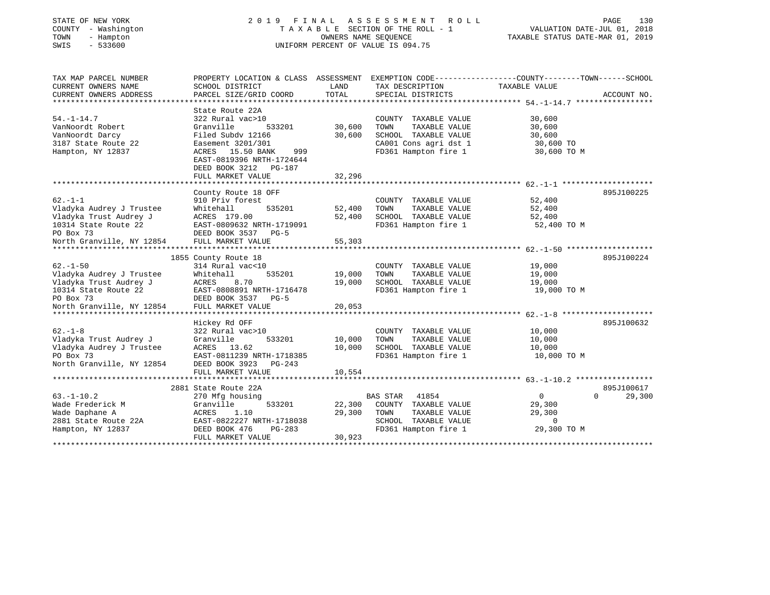# STATE OF NEW YORK 2 0 1 9 F I N A L A S S E S S M E N T R O L L PAGE 130 COUNTY - Washington T A X A B L E SECTION OF THE ROLL - 1 VALUATION DATE-JUL 01, 2018 TOWN - Hampton OWNERS NAME SEQUENCE TAXABLE STATUS DATE-MAR 01, 2019 SWIS - 533600 UNIFORM PERCENT OF VALUE IS 094.75

| TAX MAP PARCEL NUMBER     | PROPERTY LOCATION & CLASS ASSESSMENT EXEMPTION CODE---------------COUNTY-------TOWN-----SCHOOL |        |                          |                |                    |
|---------------------------|------------------------------------------------------------------------------------------------|--------|--------------------------|----------------|--------------------|
| CURRENT OWNERS NAME       | SCHOOL DISTRICT                                                                                | LAND   | TAX DESCRIPTION          | TAXABLE VALUE  |                    |
| CURRENT OWNERS ADDRESS    | PARCEL SIZE/GRID COORD                                                                         | TOTAL  | SPECIAL DISTRICTS        |                | ACCOUNT NO.        |
|                           |                                                                                                |        |                          |                |                    |
|                           | State Route 22A                                                                                |        |                          |                |                    |
| $54. - 1 - 14.7$          | 322 Rural vac>10                                                                               |        | COUNTY TAXABLE VALUE     | 30,600         |                    |
| VanNoordt Robert          | 533201<br>Granville                                                                            | 30,600 | TAXABLE VALUE<br>TOWN    | 30,600         |                    |
| VanNoordt Darcy           | Filed Subdy 12166                                                                              | 30,600 | SCHOOL TAXABLE VALUE     | 30,600         |                    |
| 3187 State Route 22       | Easement 3201/301                                                                              |        | CA001 Cons agri dst 1    | 30,600 TO      |                    |
| Hampton, NY 12837         | 999<br>ACRES 15.50 BANK                                                                        |        | FD361 Hampton fire 1     | 30,600 TO M    |                    |
|                           | EAST-0819396 NRTH-1724644                                                                      |        |                          |                |                    |
|                           | DEED BOOK 3212 PG-187                                                                          |        |                          |                |                    |
|                           | FULL MARKET VALUE                                                                              | 32,296 |                          |                |                    |
|                           |                                                                                                |        |                          |                |                    |
|                           | County Route 18 OFF                                                                            |        |                          |                | 895J100225         |
| $62. -1 -1$               | 910 Priv forest                                                                                |        | COUNTY TAXABLE VALUE     | 52,400         |                    |
| Vladyka Audrey J Trustee  | Whitehall<br>535201                                                                            | 52,400 | TOWN<br>TAXABLE VALUE    | 52,400         |                    |
| Vladyka Trust Audrey J    | ACRES 179.00                                                                                   | 52,400 | SCHOOL TAXABLE VALUE     | 52,400         |                    |
| 10314 State Route 22      | EAST-0809632 NRTH-1719091                                                                      |        | FD361 Hampton fire 1     | 52,400 TO M    |                    |
| PO Box 73                 | DEED BOOK 3537 PG-5                                                                            |        |                          |                |                    |
| North Granville, NY 12854 | FULL MARKET VALUE                                                                              | 55,303 |                          |                |                    |
|                           |                                                                                                |        |                          |                |                    |
|                           | 1855 County Route 18                                                                           |        |                          |                | 895J100224         |
| $62. - 1 - 50$            | 314 Rural vac<10                                                                               |        | COUNTY TAXABLE VALUE     | 19,000         |                    |
| Vladyka Audrey J Trustee  | 535201<br>Whitehall                                                                            | 19,000 | TOWN<br>TAXABLE VALUE    | 19,000         |                    |
| Vladyka Trust Audrey J    | 8.70<br>ACRES                                                                                  | 19,000 | SCHOOL TAXABLE VALUE     | 19,000         |                    |
| 10314 State Route 22      | EAST-0808891 NRTH-1716478                                                                      |        | FD361 Hampton fire 1     | 19,000 TO M    |                    |
| PO Box 73                 | DEED BOOK 3537 PG-5                                                                            |        |                          |                |                    |
|                           |                                                                                                |        |                          |                |                    |
|                           |                                                                                                |        |                          |                |                    |
|                           | Hickey Rd OFF                                                                                  |        |                          |                | 895J100632         |
| $62. - 1 - 8$             | 322 Rural vac>10                                                                               |        | COUNTY TAXABLE VALUE     | 10,000         |                    |
| Vladyka Trust Audrey J    | 533201<br>Granville                                                                            | 10,000 | TOWN<br>TAXABLE VALUE    | 10,000         |                    |
| Vladyka Audrey J Trustee  | ACRES 13.62                                                                                    | 10,000 | SCHOOL TAXABLE VALUE     | 10,000         |                    |
| PO Box 73                 | EAST-0811239 NRTH-1718385                                                                      |        | FD361 Hampton fire 1     | 10,000 TO M    |                    |
| North Granville, NY 12854 | DEED BOOK 3923<br>PG-243                                                                       |        |                          |                |                    |
|                           | FULL MARKET VALUE                                                                              | 10,554 |                          |                |                    |
|                           |                                                                                                |        |                          |                |                    |
|                           | 2881 State Route 22A                                                                           |        |                          |                | 895J100617         |
| $63. - 1 - 10.2$          | 270 Mfg housing                                                                                |        | <b>BAS STAR</b><br>41854 | $\overline{0}$ | 29,300<br>$\Omega$ |
| Wade Frederick M          | Granville<br>533201                                                                            | 22,300 | COUNTY TAXABLE VALUE     | 29,300         |                    |
| Wade Daphane A            | ACRES<br>1.10                                                                                  | 29,300 | TOWN<br>TAXABLE VALUE    | 29,300         |                    |
| 2881 State Route 22A      | EAST-0822227 NRTH-1718038                                                                      |        | SCHOOL TAXABLE VALUE     | $\mathbf 0$    |                    |
| Hampton, NY 12837         | $PG-283$<br>DEED BOOK 476                                                                      |        | FD361 Hampton fire 1     | 29,300 TO M    |                    |
|                           | FULL MARKET VALUE                                                                              | 30,923 |                          |                |                    |
|                           |                                                                                                |        |                          |                |                    |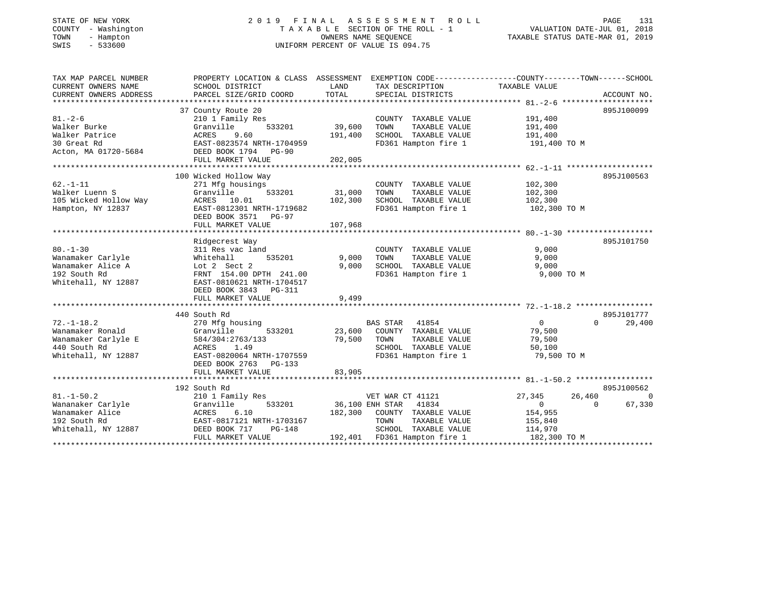# STATE OF NEW YORK 2 0 1 9 F I N A L A S S E S S M E N T R O L L PAGE 131 COUNTY - Washington T A X A B L E SECTION OF THE ROLL - 1 VALUATION DATE-JUL 01, 2018 TOWN - Hampton OWNERS NAME SEQUENCE TAXABLE STATUS DATE-MAR 01, 2019 SWIS - 533600 UNIFORM PERCENT OF VALUE IS 094.75

| TAX MAP PARCEL NUMBER  | PROPERTY LOCATION & CLASS ASSESSMENT EXEMPTION CODE---------------COUNTY-------TOWN------SCHOOL |                 |                              |                  |                    |
|------------------------|-------------------------------------------------------------------------------------------------|-----------------|------------------------------|------------------|--------------------|
| CURRENT OWNERS NAME    | SCHOOL DISTRICT                                                                                 | LAND            | TAX DESCRIPTION              | TAXABLE VALUE    |                    |
| CURRENT OWNERS ADDRESS | PARCEL SIZE/GRID COORD                                                                          | TOTAL           | SPECIAL DISTRICTS            |                  | ACCOUNT NO.        |
|                        |                                                                                                 |                 |                              |                  |                    |
|                        | 37 County Route 20                                                                              |                 |                              |                  | 895J100099         |
| $81 - 2 - 6$           | 210 1 Family Res                                                                                |                 | COUNTY TAXABLE VALUE         | 191,400          |                    |
| Walker Burke           | Granville<br>533201                                                                             | 39,600          | TOWN<br>TAXABLE VALUE        | 191,400          |                    |
| Walker Patrice         | ACRES<br>9.60                                                                                   | 191,400         | SCHOOL TAXABLE VALUE         | 191,400          |                    |
| 30 Great Rd            | EAST-0823574 NRTH-1704959                                                                       |                 | FD361 Hampton fire 1         | 191,400 TO M     |                    |
| Acton, MA 01720-5684   | DEED BOOK 1794 PG-90                                                                            |                 |                              |                  |                    |
|                        | FULL MARKET VALUE                                                                               | 202,005         |                              |                  |                    |
|                        |                                                                                                 |                 |                              |                  |                    |
|                        |                                                                                                 |                 |                              |                  |                    |
|                        | 100 Wicked Hollow Way                                                                           |                 |                              |                  | 895J100563         |
| $62. -1 - 11$          | 271 Mfg housings                                                                                |                 | COUNTY TAXABLE VALUE         | 102,300          |                    |
| Walker Luenn S         | Granville<br>533201                                                                             | 31,000          | TOWN<br>TAXABLE VALUE        | 102,300          |                    |
| 105 Wicked Hollow Way  | ACRES 10.01                                                                                     | 102,300         | SCHOOL TAXABLE VALUE         | 102,300          |                    |
| Hampton, NY 12837      | EAST-0812301 NRTH-1719682                                                                       |                 | FD361 Hampton fire 1         | 102,300 TO M     |                    |
|                        | DEED BOOK 3571 PG-97                                                                            |                 |                              |                  |                    |
|                        | FULL MARKET VALUE                                                                               | 107,968         |                              |                  |                    |
|                        |                                                                                                 |                 |                              |                  |                    |
|                        | Ridgecrest Way                                                                                  |                 |                              |                  | 895J101750         |
| $80. - 1 - 30$         | 311 Res vac land                                                                                |                 | COUNTY TAXABLE VALUE         | 9,000            |                    |
| Wanamaker Carlyle      | 535201<br>Whitehall                                                                             | 9,000           | TAXABLE VALUE<br>TOWN        | 9,000            |                    |
| Wanamaker Alice A      | Lot 2 Sect 2                                                                                    | 9,000           | SCHOOL TAXABLE VALUE         | 9,000            |                    |
| 192 South Rd           | FRNT 154.00 DPTH 241.00                                                                         |                 | FD361 Hampton fire 1         | 9,000 TO M       |                    |
| Whitehall, NY 12887    | EAST-0810621 NRTH-1704517                                                                       |                 |                              |                  |                    |
|                        | DEED BOOK 3843 PG-311                                                                           |                 |                              |                  |                    |
|                        | FULL MARKET VALUE                                                                               | 9,499           |                              |                  |                    |
|                        |                                                                                                 |                 |                              |                  |                    |
|                        | 440 South Rd                                                                                    |                 |                              |                  | 895J101777         |
| $72. - 1 - 18.2$       | 270 Mfg housing                                                                                 |                 | BAS STAR 41854               | 0                | $\Omega$<br>29,400 |
| Wanamaker Ronald       | 533201<br>Granville                                                                             | 23,600          | COUNTY TAXABLE VALUE         | 79,500           |                    |
| Wanamaker Carlyle E    | 584/304:2763/133                                                                                | 79,500          | TAXABLE VALUE<br>TOWN        | 79,500           |                    |
| 440 South Rd           | ACRES<br>1.49                                                                                   |                 | SCHOOL TAXABLE VALUE         | 50,100           |                    |
| Whitehall, NY 12887    | EAST-0820064 NRTH-1707559                                                                       |                 | FD361 Hampton fire 1         | 79,500 TO M      |                    |
|                        | DEED BOOK 2763<br>PG-133                                                                        |                 |                              |                  |                    |
|                        |                                                                                                 | 83,905          |                              |                  |                    |
|                        | FULL MARKET VALUE                                                                               |                 |                              |                  |                    |
|                        |                                                                                                 |                 |                              |                  |                    |
|                        | 192 South Rd                                                                                    |                 |                              |                  | 895J100562         |
| $81. - 1 - 50.2$       | 210 1 Family Res                                                                                |                 | VET WAR CT 41121             | 27,345<br>26,460 | $\Omega$           |
| Wananaker Carlyle      | 533201<br>Granville                                                                             | 36,100 ENH STAR | 41834                        | $\Omega$         | 67,330<br>$\Omega$ |
| Wanamaker Alice        | ACRES 6.10                                                                                      | 182,300         | COUNTY TAXABLE VALUE         | 154,955          |                    |
| 192 South Rd           | EAST-0817121 NRTH-1703167                                                                       |                 | TOWN<br>TAXABLE VALUE        | 155,840          |                    |
| Whitehall, NY 12887    | DEED BOOK 717<br>$PG-148$                                                                       |                 | SCHOOL TAXABLE VALUE         | 114,970          |                    |
|                        | FULL MARKET VALUE                                                                               |                 | 192,401 FD361 Hampton fire 1 | 182,300 TO M     |                    |
|                        |                                                                                                 |                 |                              |                  |                    |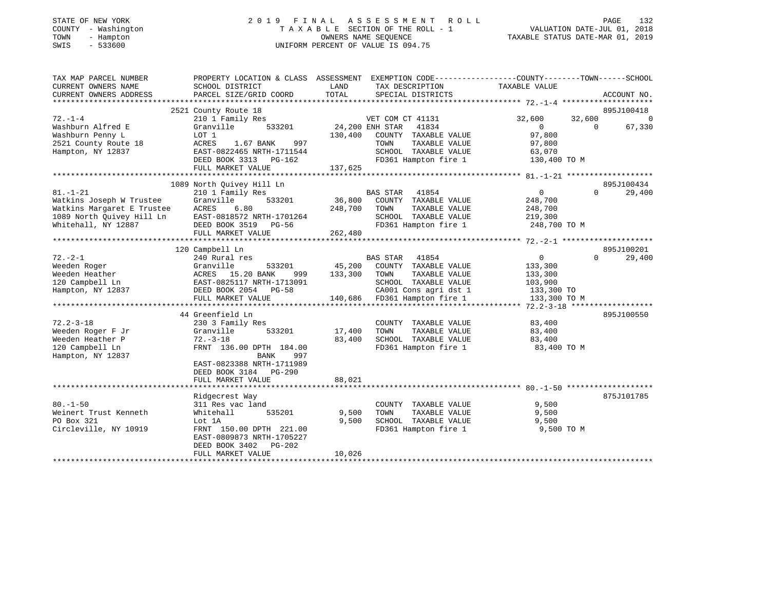# STATE OF NEW YORK 2 0 1 9 F I N A L A S S E S S M E N T R O L L PAGE 132 COUNTY - Washington T A X A B L E SECTION OF THE ROLL - 1 VALUATION DATE-JUL 01, 2018 TOWN - Hampton OWNERS NAME SEQUENCE TAXABLE STATUS DATE-MAR 01, 2019 SWIS - 533600 UNIFORM PERCENT OF VALUE IS 094.75

| TAX MAP PARCEL NUMBER                                                                                                                       |                                                                   | PROPERTY LOCATION & CLASS ASSESSMENT EXEMPTION CODE----------------COUNTY-------TOWN------SCHOOL |                                   |                |
|---------------------------------------------------------------------------------------------------------------------------------------------|-------------------------------------------------------------------|--------------------------------------------------------------------------------------------------|-----------------------------------|----------------|
| CURRENT OWNERS NAME                                                                                                                         | SCHOOL DISTRICT                                                   | LAND<br>TAX DESCRIPTION                                                                          | TAXABLE VALUE                     |                |
| CURRENT OWNERS ADDRESS                                                                                                                      | PARCEL SIZE/GRID COORD                                            | TOTAL<br>SPECIAL DISTRICTS                                                                       |                                   | ACCOUNT NO.    |
|                                                                                                                                             |                                                                   |                                                                                                  |                                   |                |
|                                                                                                                                             | 2521 County Route 18                                              |                                                                                                  |                                   | 895J100418     |
| $72. - 1 - 4$                                                                                                                               | 210 1 Family Res                                                  | VET COM CT 41131                                                                                 | 32,600<br>32,600                  | $\overline{0}$ |
| Washburn Alfred E                                                                                                                           | 533201<br>Granville                                               | 24,200 ENH STAR<br>41834                                                                         | $\overline{0}$<br>$\Omega$        | 67,330         |
| Washburn Penny L                                                                                                                            | LOT 1                                                             | 130,400 COUNTY TAXABLE VALUE                                                                     | 97,800                            |                |
| 2521 County Route 18                                                                                                                        | ACRES<br>1.67 BANK<br>997                                         | TAXABLE VALUE<br>TOWN                                                                            | 97,800                            |                |
| Hampton, NY 12837                                                                                                                           | EAST-0822465 NRTH-1711544                                         | SCHOOL TAXABLE VALUE                                                                             | 63,070                            |                |
|                                                                                                                                             | DEED BOOK 3313 PG-162                                             | FD361 Hampton fire 1                                                                             | 130,400 TO M                      |                |
|                                                                                                                                             | FULL MARKET VALUE                                                 | 137,625                                                                                          |                                   |                |
|                                                                                                                                             |                                                                   |                                                                                                  |                                   |                |
|                                                                                                                                             | 1089 North Ouivey Hill Ln                                         |                                                                                                  |                                   | 895J100434     |
| $81. - 1 - 21$                                                                                                                              | 210 1 Family Res                                                  | BAS STAR<br>41854                                                                                | $\overline{0}$<br>$\Omega$        | 29,400         |
| Watkins Joseph W Trustee                                                                                                                    | 533201<br>Granville                                               | 36,800 COUNTY TAXABLE VALUE                                                                      | 248,700                           |                |
| Watkins Margaret E Trustee                                                                                                                  | ACRES<br>6.80                                                     | 248,700 TOWN<br>TAXABLE VALUE                                                                    | 248,700                           |                |
| 1089 North Quivey Hill Ln                                                                                                                   |                                                                   | SCHOOL TAXABLE VALUE 219,300                                                                     |                                   |                |
| Whitehall, NY 12887                                                                                                                         | ACRES b.bu<br>EAST-0818572 NRTH-1701264<br>--- --- --- 2519 PG-56 |                                                                                                  | FD361 Hampton fire 1 248,700 TO M |                |
|                                                                                                                                             | FULL MARKET VALUE                                                 | 262,480                                                                                          |                                   |                |
|                                                                                                                                             |                                                                   |                                                                                                  |                                   |                |
|                                                                                                                                             | 120 Campbell Ln                                                   |                                                                                                  |                                   | 895J100201     |
| $72. - 2 - 1$                                                                                                                               | 240 Rural res                                                     | BAS STAR<br>41854                                                                                | $0 \qquad \qquad$<br>$\Omega$     | 29,400         |
| Weeden Roger                                                                                                                                | Granville<br>533201                                               | 45,200 COUNTY TAXABLE VALUE                                                                      | 133,300                           |                |
|                                                                                                                                             |                                                                   | 999 133,300 TOWN<br>TAXABLE VALUE                                                                | 133,300                           |                |
| Needen Heather Maria (1988)<br>120 Campbell Ln (1987–1988)<br>Hampton, NY 12837 (1988)<br>12837 (1988)<br>12837 (1988) DEED BOOK 2054 PG-58 | EAST-0825117 NRTH-1713091                                         | SCHOOL TAXABLE VALUE                                                                             | 103,900                           |                |
|                                                                                                                                             |                                                                   | CA001 Cons agri dst 1 133,300 TO                                                                 |                                   |                |
|                                                                                                                                             | FULL MARKET VALUE                                                 | 140,686 FD361 Hampton fire 1                                                                     | 133,300 TO M                      |                |
|                                                                                                                                             |                                                                   |                                                                                                  |                                   |                |
|                                                                                                                                             | 44 Greenfield Ln                                                  |                                                                                                  |                                   | 895J100550     |
| $72.2 - 3 - 18$                                                                                                                             | 230 3 Family Res                                                  | COUNTY TAXABLE VALUE                                                                             | 83,400                            |                |
| Weeden Roger F Jr                                                                                                                           | 533201<br>Granville                                               | 17,400<br>TAXABLE VALUE<br>TOWN                                                                  | 83,400                            |                |
| Weeden Heather P                                                                                                                            | $72. - 3 - 18$                                                    | 83,400<br>SCHOOL TAXABLE VALUE                                                                   | 83,400                            |                |
| 120 Campbell Ln                                                                                                                             | FRNT 136.00 DPTH 184.00                                           | FD361 Hampton fire 1                                                                             | 83,400 TO M                       |                |
| Hampton, NY 12837                                                                                                                           | 997<br>BANK                                                       |                                                                                                  |                                   |                |
|                                                                                                                                             | EAST-0823388 NRTH-1711989                                         |                                                                                                  |                                   |                |
|                                                                                                                                             | DEED BOOK 3184 PG-290                                             |                                                                                                  |                                   |                |
|                                                                                                                                             | FULL MARKET VALUE                                                 | 88,021                                                                                           |                                   |                |
|                                                                                                                                             |                                                                   |                                                                                                  |                                   |                |
|                                                                                                                                             | Ridgecrest Way                                                    |                                                                                                  |                                   | 875J101785     |
| $80. - 1 - 50$                                                                                                                              | 311 Res vac land                                                  | COUNTY TAXABLE VALUE                                                                             | 9,500                             |                |
| Weinert Trust Kenneth                                                                                                                       | Whitehall<br>535201                                               | 9,500<br>TAXABLE VALUE<br>TOWN                                                                   | 9,500                             |                |
| PO Box 321                                                                                                                                  | Lot 1A                                                            | 9,500<br>SCHOOL TAXABLE VALUE                                                                    | 9,500                             |                |
| Circleville, NY 10919                                                                                                                       | FRNT 150.00 DPTH 221.00                                           |                                                                                                  | FD361 Hampton fire 1 9,500 TO M   |                |
|                                                                                                                                             | EAST-0809873 NRTH-1705227                                         |                                                                                                  |                                   |                |
|                                                                                                                                             | DEED BOOK 3402<br>PG-202                                          |                                                                                                  |                                   |                |
|                                                                                                                                             | FULL MARKET VALUE                                                 | 10,026                                                                                           |                                   |                |
|                                                                                                                                             |                                                                   |                                                                                                  |                                   |                |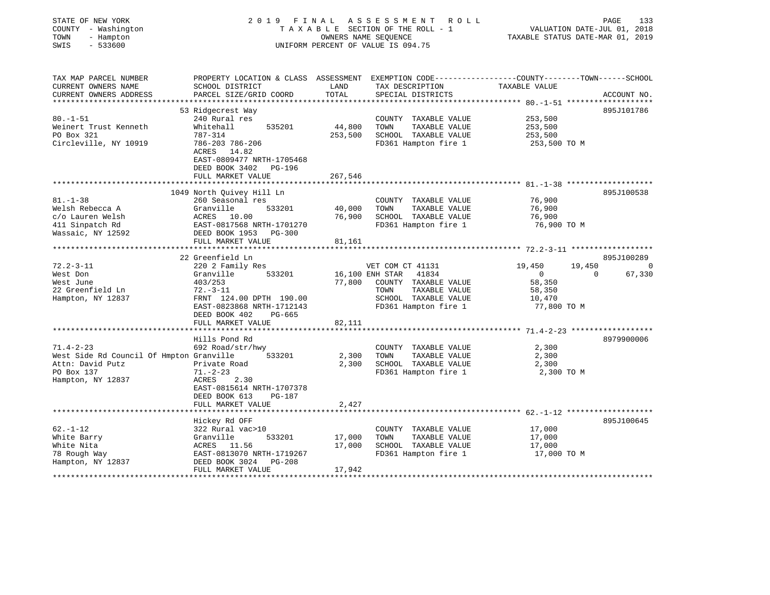| STATE OF NEW YORK<br>COUNTY - Washington<br>- Hampton<br>TOWN<br>$-533600$<br>SWIS |                                                                                      | OWNERS NAME SEQUENCE         | 2019 FINAL ASSESSMENT<br>R O L L<br>TAXABLE SECTION OF THE ROLL - 1<br>UNIFORM PERCENT OF VALUE IS 094.75 | PAGE<br>133<br>VALUATION DATE-JUL 01, 2018<br>TAXABLE STATUS DATE-MAR 01, 2019                                                  |
|------------------------------------------------------------------------------------|--------------------------------------------------------------------------------------|------------------------------|-----------------------------------------------------------------------------------------------------------|---------------------------------------------------------------------------------------------------------------------------------|
| TAX MAP PARCEL NUMBER<br>CURRENT OWNERS NAME<br>CURRENT OWNERS ADDRESS             | SCHOOL DISTRICT<br>PARCEL SIZE/GRID COORD                                            | LAND<br>TOTAL                | TAX DESCRIPTION<br>SPECIAL DISTRICTS                                                                      | PROPERTY LOCATION & CLASS ASSESSMENT EXEMPTION CODE---------------COUNTY-------TOWN------SCHOOL<br>TAXABLE VALUE<br>ACCOUNT NO. |
|                                                                                    | 53 Ridgecrest Way                                                                    |                              |                                                                                                           | 895J101786                                                                                                                      |
| $80. - 1 - 51$                                                                     | 240 Rural res                                                                        |                              | COUNTY TAXABLE VALUE                                                                                      | 253,500                                                                                                                         |
| Weinert Trust Kenneth                                                              | Whitehall<br>535201                                                                  | 44,800                       | TOWN<br>TAXABLE VALUE                                                                                     | 253,500                                                                                                                         |
| PO Box 321                                                                         | 787-314                                                                              | 253,500                      | SCHOOL TAXABLE VALUE                                                                                      | 253,500                                                                                                                         |
| Circleville, NY 10919                                                              | 786-203 786-206<br>ACRES 14.82<br>EAST-0809477 NRTH-1705468<br>DEED BOOK 3402 PG-196 |                              | FD361 Hampton fire 1                                                                                      | 253,500 TO M                                                                                                                    |
|                                                                                    | FULL MARKET VALUE                                                                    | 267,546<br>* * * * * * * * * |                                                                                                           | ********************* 81.-1-38 ********************                                                                             |
|                                                                                    | 1049 North Quivey Hill Ln                                                            |                              |                                                                                                           | 895J100538                                                                                                                      |
| $81. - 1 - 38$                                                                     | 260 Seasonal res                                                                     |                              | COUNTY TAXABLE VALUE                                                                                      | 76,900                                                                                                                          |
| Welsh Rebecca A                                                                    | Granville<br>533201                                                                  | 40,000                       | TOWN<br>TAXABLE VALUE                                                                                     | 76,900                                                                                                                          |
| c/o Lauren Welsh                                                                   | ACRES 10.00                                                                          | 76,900                       | SCHOOL TAXABLE VALUE                                                                                      | 76,900                                                                                                                          |
| 411 Sinpatch Rd                                                                    | EAST-0817568 NRTH-1701270                                                            |                              | FD361 Hampton fire 1                                                                                      | 76,900 TO M                                                                                                                     |
| Wassaic, NY 12592                                                                  | DEED BOOK 1953 PG-300                                                                |                              |                                                                                                           |                                                                                                                                 |
|                                                                                    | FULL MARKET VALUE<br>***************************                                     | 81,161                       |                                                                                                           |                                                                                                                                 |
|                                                                                    | 22 Greenfield Ln                                                                     |                              |                                                                                                           | 895J100289                                                                                                                      |
| $72.2 - 3 - 11$                                                                    | 220 2 Family Res                                                                     |                              | VET COM CT 41131                                                                                          | 19,450<br>19,450<br>$\Omega$                                                                                                    |
| West Don                                                                           | Granville<br>533201                                                                  |                              | 16,100 ENH STAR 41834                                                                                     | 67,330<br>$\overline{0}$<br>0                                                                                                   |
| West June                                                                          | 403/253                                                                              | 77,800                       | COUNTY TAXABLE VALUE                                                                                      | 58,350                                                                                                                          |
| 22 Greenfield Ln                                                                   | $72.-3-11$                                                                           |                              | TAXABLE VALUE<br>TOWN                                                                                     | 58,350                                                                                                                          |
| Hampton, NY 12837                                                                  | FRNT 124.00 DPTH 190.00                                                              |                              | SCHOOL TAXABLE VALUE                                                                                      | 10,470                                                                                                                          |
|                                                                                    | EAST-0823868 NRTH-1712143<br>DEED BOOK 402<br>PG-665                                 |                              | FD361 Hampton fire 1                                                                                      | 77,800 TO M                                                                                                                     |
|                                                                                    | FULL MARKET VALUE                                                                    | 82,111                       |                                                                                                           |                                                                                                                                 |
|                                                                                    | **********************                                                               |                              |                                                                                                           |                                                                                                                                 |
|                                                                                    | Hills Pond Rd                                                                        |                              |                                                                                                           | 8979900006                                                                                                                      |
| $71.4 - 2 - 23$                                                                    | 692 Road/str/hwy                                                                     |                              | COUNTY TAXABLE VALUE                                                                                      | 2,300                                                                                                                           |
| West Side Rd Council Of Hmpton Granville                                           | 533201                                                                               | 2,300                        | TOWN<br>TAXABLE VALUE                                                                                     | 2,300                                                                                                                           |
| Attn: David Putz                                                                   | Private Road                                                                         | 2,300                        | SCHOOL TAXABLE VALUE                                                                                      | 2,300                                                                                                                           |
| PO Box 137<br>Hampton, NY 12837                                                    | $71. - 2 - 23$<br>2.30<br>ACRES                                                      |                              | FD361 Hampton fire 1                                                                                      | 2,300 TO M                                                                                                                      |
|                                                                                    | EAST-0815614 NRTH-1707378                                                            |                              |                                                                                                           |                                                                                                                                 |
|                                                                                    | DEED BOOK 613<br><b>PG-187</b>                                                       |                              |                                                                                                           |                                                                                                                                 |
|                                                                                    | FULL MARKET VALUE                                                                    | 2,427                        |                                                                                                           |                                                                                                                                 |
|                                                                                    | *************************                                                            |                              |                                                                                                           |                                                                                                                                 |
|                                                                                    | Hickey Rd OFF                                                                        |                              |                                                                                                           | 895J100645                                                                                                                      |
| $62. - 1 - 12$                                                                     | 322 Rural vac>10                                                                     |                              | COUNTY TAXABLE VALUE                                                                                      | 17,000                                                                                                                          |
| White Barry<br>White Nita                                                          | Granville<br>533201<br>ACRES 11.56                                                   | 17,000<br>17,000             | TOWN<br>TAXABLE VALUE<br>SCHOOL TAXABLE VALUE                                                             | 17,000<br>17,000                                                                                                                |
| 78 Rough Way                                                                       | EAST-0813070 NRTH-1719267                                                            |                              | FD361 Hampton fire 1                                                                                      | 17,000 TO M                                                                                                                     |
| Hampton, NY 12837                                                                  | $PG-208$<br>DEED BOOK 3024                                                           |                              |                                                                                                           |                                                                                                                                 |
|                                                                                    | FULL MARKET VALUE                                                                    | 17,942                       |                                                                                                           |                                                                                                                                 |
|                                                                                    |                                                                                      |                              |                                                                                                           |                                                                                                                                 |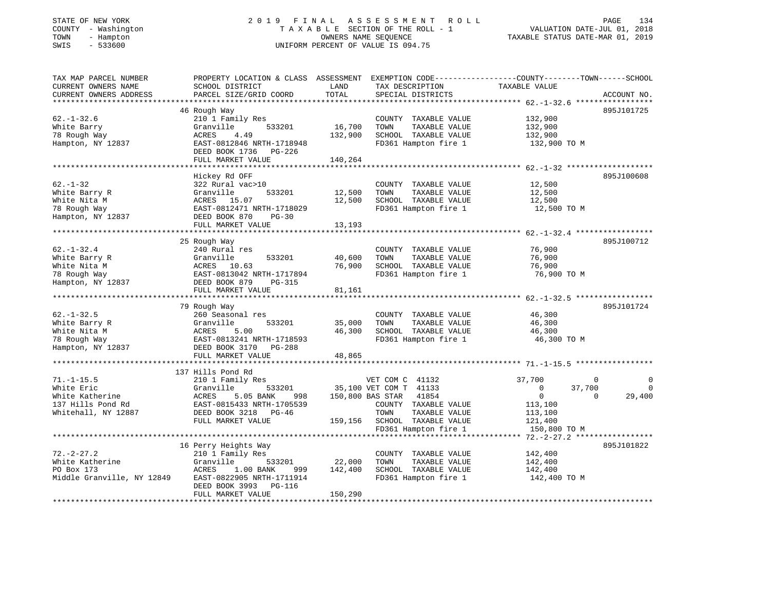# STATE OF NEW YORK 2 0 1 9 F I N A L A S S E S S M E N T R O L L PAGE 134 COUNTY - Washington T A X A B L E SECTION OF THE ROLL - 1 VALUATION DATE-JUL 01, 2018 TOWN - Hampton OWNERS NAME SEQUENCE TAXABLE STATUS DATE-MAR 01, 2019 SWIS - 533600 UNIFORM PERCENT OF VALUE IS 094.75

| TAX MAP PARCEL NUMBER                                   | PROPERTY LOCATION & CLASS ASSESSMENT         |                          |                                                |                          |                    |
|---------------------------------------------------------|----------------------------------------------|--------------------------|------------------------------------------------|--------------------------|--------------------|
| CURRENT OWNERS NAME                                     | SCHOOL DISTRICT                              | LAND                     | TAX DESCRIPTION                                | TAXABLE VALUE            |                    |
| CURRENT OWNERS ADDRESS                                  | PARCEL SIZE/GRID COORD                       | TOTAL                    | SPECIAL DISTRICTS                              |                          | ACCOUNT NO.        |
|                                                         |                                              |                          |                                                |                          |                    |
|                                                         | 46 Rough Way                                 |                          |                                                |                          | 895J101725         |
| $62. - 1 - 32.6$                                        | 210 1 Family Res                             |                          | COUNTY TAXABLE VALUE                           | 132,900                  |                    |
| White Barry                                             | 533201<br>Granville                          | 16,700                   | TAXABLE VALUE<br>TOWN                          | 132,900                  |                    |
| 78 Rough Way                                            | ACRES<br>4.49                                | 132,900                  | SCHOOL TAXABLE VALUE                           | 132,900                  |                    |
| Hampton, NY 12837                                       | EAST-0812846 NRTH-1718948                    |                          | FD361 Hampton fire 1                           | 132,900 TO M             |                    |
|                                                         | DEED BOOK 1736 PG-226                        |                          |                                                |                          |                    |
|                                                         | FULL MARKET VALUE                            | 140,264                  |                                                |                          |                    |
|                                                         |                                              |                          |                                                |                          |                    |
|                                                         | Hickey Rd OFF                                |                          |                                                |                          | 895J100608         |
| $62. - 1 - 32$                                          | 322 Rural vac>10                             |                          | COUNTY TAXABLE VALUE                           | 12,500                   |                    |
| White Barry R                                           | 533201<br>Granville                          | 12,500                   | TAXABLE VALUE<br>TOWN                          | 12,500                   |                    |
| White Nita M                                            | 15.07<br>ACRES                               | 12,500                   | SCHOOL TAXABLE VALUE                           | 12,500                   |                    |
| 78 Rough Way                                            | EAST-0812471 NRTH-1718029                    |                          | FD361 Hampton fire 1                           | 12,500 TO M              |                    |
| Hampton, NY 12837                                       | DEED BOOK 870<br>$PG-30$                     |                          |                                                |                          |                    |
|                                                         | FULL MARKET VALUE                            | 13,193                   |                                                |                          |                    |
|                                                         |                                              |                          |                                                |                          |                    |
|                                                         | 25 Rough Way                                 |                          |                                                |                          | 895J100712         |
| $62. - 1 - 32.4$                                        | 240 Rural res                                |                          | COUNTY TAXABLE VALUE                           | 76,900                   |                    |
| White Barry R                                           | Granville<br>533201                          | 40,600                   | TOWN<br>TAXABLE VALUE                          | 76,900                   |                    |
|                                                         |                                              | 76,900                   | SCHOOL TAXABLE VALUE                           |                          |                    |
| White Nita M                                            | ACRES 10.63<br>EAST-0813042 NRTH-1717894     |                          | FD361 Hampton fire 1                           | 76,900<br>76,900 TO M    |                    |
| 78 Rough Way                                            |                                              |                          |                                                |                          |                    |
| Hampton, NY 12837                                       | DEED BOOK 879<br>PG-315<br>FULL MARKET VALUE |                          |                                                |                          |                    |
|                                                         | ********************************             | 81,161<br>************** | *********************************** 62.-1-32.5 |                          |                    |
|                                                         | 79 Rough Way                                 |                          |                                                |                          | 895J101724         |
| $62. - 1 - 32.5$                                        | 260 Seasonal res                             |                          | COUNTY TAXABLE VALUE                           | 46,300                   |                    |
| White Barry R                                           | Granville<br>533201                          | 35,000                   | TOWN                                           | 46,300                   |                    |
|                                                         |                                              |                          | TAXABLE VALUE                                  |                          |                    |
| White Nita M                                            | 5.00<br>ACRES                                | 46,300                   | SCHOOL TAXABLE VALUE                           | 46,300                   |                    |
| 78 Rough Way<br>Hampton, NY 12837 DEED BOOK 3170 PG-288 | EAST-0813241 NRTH-1718593                    |                          | FD361 Hampton fire 1                           | 46,300 TO M              |                    |
|                                                         |                                              |                          |                                                |                          |                    |
|                                                         | FULL MARKET VALUE                            | 48,865                   |                                                |                          |                    |
|                                                         |                                              |                          |                                                |                          |                    |
|                                                         | 137 Hills Pond Rd                            |                          |                                                |                          |                    |
| $71. - 1 - 15.5$                                        | 210 1 Family Res                             |                          | VET COM C 41132                                | 37,700                   | 0                  |
| White Eric                                              | Granville<br>533201                          |                          | 35,100 VET COM T 41133                         | $\overline{0}$<br>37,700 | $\Omega$           |
| White Katherine                                         | 5.05 BANK<br>ACRES<br>998                    |                          | 150,800 BAS STAR 41854                         | $\overline{0}$           | 29,400<br>$\Omega$ |
| 137 Hills Pond Rd                                       | EAST-0815433 NRTH-1705539                    |                          | COUNTY TAXABLE VALUE                           | 113,100                  |                    |
| Whitehall, NY 12887                                     | DEED BOOK 3218 PG-46                         |                          | TOWN<br>TAXABLE VALUE                          | 113,100                  |                    |
|                                                         | FULL MARKET VALUE                            |                          | 159,156 SCHOOL TAXABLE VALUE                   | 121,400                  |                    |
|                                                         |                                              |                          | FD361 Hampton fire 1                           | 150,800 TO M             |                    |
|                                                         |                                              |                          |                                                |                          |                    |
|                                                         | 16 Perry Heights Way                         |                          |                                                |                          | 895J101822         |
| $72. - 2 - 27.2$                                        | 210 1 Family Res                             |                          | COUNTY TAXABLE VALUE                           | 142,400                  |                    |
| White Katherine                                         | Granville<br>533201                          | 22,000                   | TAXABLE VALUE<br>TOWN                          | 142,400                  |                    |
| PO Box 173                                              | ACRES<br>1.00 BANK<br>999                    | 142,400                  | SCHOOL TAXABLE VALUE                           | 142,400                  |                    |
| Middle Granville, NY 12849                              | EAST-0822905 NRTH-1711914                    |                          | FD361 Hampton fire 1                           | 142,400 TO M             |                    |
|                                                         | DEED BOOK 3993<br>PG-116                     |                          |                                                |                          |                    |
|                                                         | FULL MARKET VALUE                            | 150,290                  |                                                |                          |                    |
|                                                         |                                              |                          |                                                |                          |                    |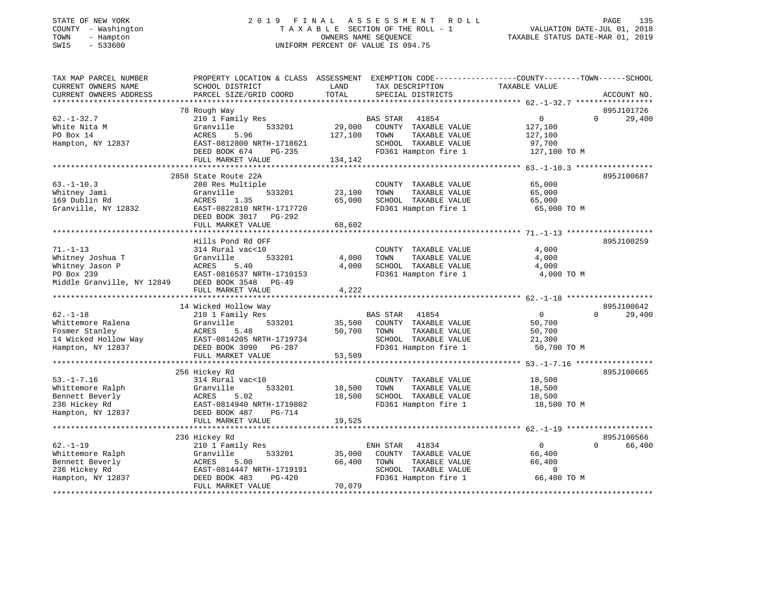## STATE OF NEW YORK 2 0 1 9 F I N A L A S S E S S M E N T R O L L PAGE 135 COUNTY - Washington T A X A B L E SECTION OF THE ROLL - 1 VALUATION DATE-JUL 01, 2018 TOWN - Hampton OWNERS NAME SEQUENCE TAXABLE STATUS DATE-MAR 01, 2019 SWIS - 533600 UNIFORM PERCENT OF VALUE IS 094.75

| TAX MAP PARCEL NUMBER      | PROPERTY LOCATION & CLASS ASSESSMENT EXEMPTION CODE----------------COUNTY-------TOWN------SCHOOL |         |                       |                |                    |
|----------------------------|--------------------------------------------------------------------------------------------------|---------|-----------------------|----------------|--------------------|
| CURRENT OWNERS NAME        | SCHOOL DISTRICT                                                                                  | LAND    | TAX DESCRIPTION       | TAXABLE VALUE  |                    |
| CURRENT OWNERS ADDRESS     | PARCEL SIZE/GRID COORD                                                                           | TOTAL   | SPECIAL DISTRICTS     |                | ACCOUNT NO.        |
|                            |                                                                                                  |         |                       |                |                    |
|                            | 78 Rough Way                                                                                     |         |                       |                | 895J101726         |
| $62. - 1 - 32.7$           | 210 1 Family Res                                                                                 |         | BAS STAR 41854        | $\mathbf 0$    | 29,400<br>$\Omega$ |
| White Nita M               | Granville<br>533201                                                                              | 29,000  | COUNTY TAXABLE VALUE  | 127,100        |                    |
| PO Box 14                  | 5.96<br>ACRES                                                                                    | 127,100 | TOWN<br>TAXABLE VALUE | 127,100        |                    |
| Hampton, NY 12837          | EAST-0812800 NRTH-1718621                                                                        |         | SCHOOL TAXABLE VALUE  | 97,700         |                    |
|                            | DEED BOOK 674<br>$PG-235$                                                                        |         | FD361 Hampton fire 1  | 127,100 TO M   |                    |
|                            |                                                                                                  |         |                       |                |                    |
|                            | FULL MARKET VALUE                                                                                | 134,142 |                       |                |                    |
|                            |                                                                                                  |         |                       |                |                    |
|                            | 2858 State Route 22A                                                                             |         |                       |                | 895J100687         |
| $63. -1 - 10.3$            | 280 Res Multiple                                                                                 |         | COUNTY TAXABLE VALUE  | 65,000         |                    |
| Whitney Jami               | Granville<br>533201                                                                              | 23,100  | TOWN<br>TAXABLE VALUE | 65,000         |                    |
| 169 Dublin Rd              | ACRES<br>1.35                                                                                    | 65,000  | SCHOOL TAXABLE VALUE  | 65,000         |                    |
| Granville, NY 12832        | EAST-0822810 NRTH-1717720                                                                        |         | FD361 Hampton fire 1  | 65,000 TO M    |                    |
|                            | DEED BOOK 3017 PG-292                                                                            |         |                       |                |                    |
|                            | FULL MARKET VALUE                                                                                | 68,602  |                       |                |                    |
|                            |                                                                                                  |         |                       |                |                    |
|                            | Hills Pond Rd OFF                                                                                |         |                       |                | 895J100259         |
| $71. - 1 - 13$             | 314 Rural vac<10                                                                                 |         | COUNTY TAXABLE VALUE  | 4,000          |                    |
| Whitney Joshua T           | Granville<br>533201                                                                              | 4,000   | TAXABLE VALUE<br>TOWN | 4,000          |                    |
| Whitney Jason P            | ACRES<br>5.40                                                                                    | 4,000   | SCHOOL TAXABLE VALUE  | 4,000          |                    |
| PO Box 239                 | EAST-0816537 NRTH-1710153                                                                        |         | FD361 Hampton fire 1  | 4,000 TO M     |                    |
| Middle Granville, NY 12849 | DEED BOOK 3548 PG-49                                                                             |         |                       |                |                    |
|                            | FULL MARKET VALUE                                                                                | 4,222   |                       |                |                    |
|                            |                                                                                                  |         |                       |                |                    |
|                            | 14 Wicked Hollow Way                                                                             |         |                       |                | 895J100642         |
| $62. - 1 - 18$             | 210 1 Family Res                                                                                 |         | BAS STAR<br>41854     | $\overline{0}$ | $\Omega$<br>29,400 |
| Whittemore Ralena          | 533201<br>Granville                                                                              | 35,500  | COUNTY TAXABLE VALUE  | 50,700         |                    |
| Fosmer Stanley             | ACRES<br>5.48                                                                                    | 50,700  | TAXABLE VALUE<br>TOWN | 50,700         |                    |
| 14 Wicked Hollow Way       | EAST-0814205 NRTH-1719734                                                                        |         | SCHOOL TAXABLE VALUE  | 21,300         |                    |
| Hampton, NY 12837          | DEED BOOK 3090 PG-287                                                                            |         | FD361 Hampton fire 1  | 50,700 TO M    |                    |
|                            | FULL MARKET VALUE                                                                                | 53,509  |                       |                |                    |
|                            |                                                                                                  |         |                       |                |                    |
|                            |                                                                                                  |         |                       |                | 895J100665         |
|                            | 256 Hickey Rd                                                                                    |         |                       |                |                    |
| $53. - 1 - 7.16$           | 314 Rural vac<10                                                                                 |         | COUNTY TAXABLE VALUE  | 18,500         |                    |
| Whittemore Ralph           | Granville<br>533201                                                                              | 18,500  | TOWN<br>TAXABLE VALUE | 18,500         |                    |
| Bennett Beverly            | ACRES<br>5.02                                                                                    | 18,500  | SCHOOL TAXABLE VALUE  | 18,500         |                    |
| 236 Hickey Rd              | EAST-0814940 NRTH-1719802                                                                        |         | FD361 Hampton fire 1  | 18,500 TO M    |                    |
| Hampton, NY 12837          | DEED BOOK 487<br>PG-714                                                                          |         |                       |                |                    |
|                            | FULL MARKET VALUE                                                                                | 19,525  |                       |                |                    |
|                            |                                                                                                  |         |                       |                |                    |
|                            | 236 Hickey Rd                                                                                    |         |                       |                | 895J100566         |
| $62. - 1 - 19$             | 210 1 Family Res                                                                                 |         | ENH STAR<br>41834     | $\overline{0}$ | $\Omega$<br>66,400 |
| Whittemore Ralph           | 533201<br>Granville                                                                              | 35,000  | COUNTY TAXABLE VALUE  | 66,400         |                    |
| Bennett Beverly            | ACRES<br>5.00                                                                                    | 66,400  | TAXABLE VALUE<br>TOWN | 66,400         |                    |
| 236 Hickey Rd              | EAST-0814447 NRTH-1719191                                                                        |         | SCHOOL TAXABLE VALUE  | $\overline{0}$ |                    |
| Hampton, NY 12837          | DEED BOOK 483<br>PG-420                                                                          |         | FD361 Hampton fire 1  | 66,400 TO M    |                    |
|                            | FULL MARKET VALUE                                                                                | 70,079  |                       |                |                    |
|                            |                                                                                                  |         |                       |                |                    |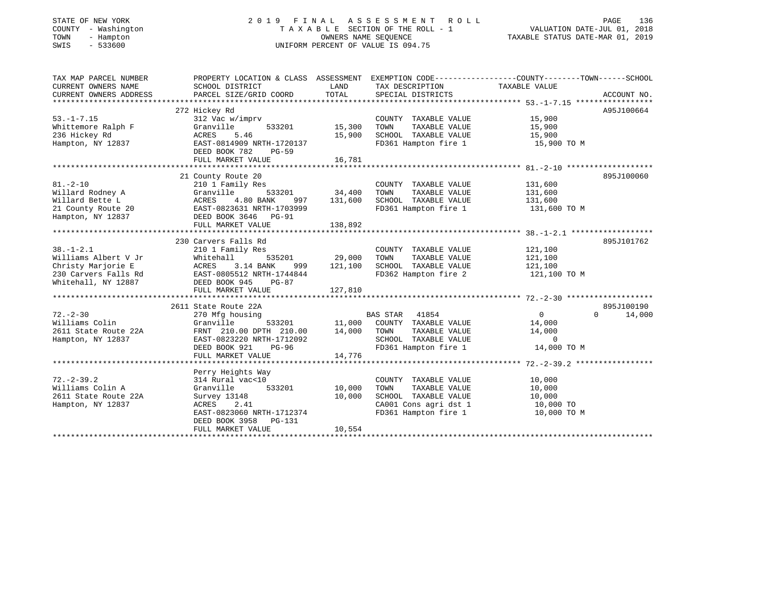## STATE OF NEW YORK 2 0 1 9 F I N A L A S S E S S M E N T R O L L PAGE 136 COUNTY - Washington T A X A B L E SECTION OF THE ROLL - 1 VALUATION DATE-JUL 01, 2018 TOWN - Hampton OWNERS NAME SEQUENCE TAXABLE STATUS DATE-MAR 01, 2019 SWIS - 533600 UNIFORM PERCENT OF VALUE IS 094.75

| TAX MAP PARCEL NUMBER                                                                                                             | PROPERTY LOCATION & CLASS ASSESSMENT EXEMPTION CODE---------------COUNTY-------TOWN-----SCHOOL |               |                                                                |                          |                             |
|-----------------------------------------------------------------------------------------------------------------------------------|------------------------------------------------------------------------------------------------|---------------|----------------------------------------------------------------|--------------------------|-----------------------------|
| CURRENT OWNERS NAME                                                                                                               | SCHOOL DISTRICT                                                                                | LAND          | TAX DESCRIPTION                                                | TAXABLE VALUE            |                             |
| CURRENT OWNERS ADDRESS                                                                                                            | PARCEL SIZE/GRID COORD                                                                         | TOTAL         | SPECIAL DISTRICTS                                              |                          | ACCOUNT NO.                 |
|                                                                                                                                   |                                                                                                |               |                                                                |                          |                             |
|                                                                                                                                   | 272 Hickey Rd                                                                                  |               |                                                                |                          | A95J100664                  |
| $53. - 1 - 7.15$                                                                                                                  | 312 Vac w/imprv                                                                                |               | COUNTY TAXABLE VALUE                                           | 15,900                   |                             |
| Whittemore Ralph F                                                                                                                | Granville<br>533201                                                                            | 15,300        | TAXABLE VALUE<br>TOWN                                          | $-7,900$<br>15,900<br>15 |                             |
| 236 Hickey Rd                                                                                                                     | 5.46<br>ACRES                                                                                  | 15,900        | SCHOOL TAXABLE VALUE                                           |                          |                             |
| Hampton, NY 12837                                                                                                                 | EAST-0814909 NRTH-1720137                                                                      |               | FD361 Hampton fire 1 15,900 TO M                               |                          |                             |
|                                                                                                                                   | DEED BOOK 782<br>PG-59                                                                         | 16,781        |                                                                |                          |                             |
|                                                                                                                                   | FULL MARKET VALUE                                                                              |               |                                                                |                          |                             |
|                                                                                                                                   | 21 County Route 20                                                                             |               |                                                                |                          | 895J100060                  |
| $81. - 2 - 10$                                                                                                                    | 210 1 Family Res                                                                               |               | COUNTY TAXABLE VALUE                                           | 131,600                  |                             |
| Willard Rodney A                                                                                                                  | Granville                                                                                      | 533201 34,400 | TOWN<br>TAXABLE VALUE                                          | 131,600                  |                             |
|                                                                                                                                   |                                                                                                | 997 131,600   | SCHOOL TAXABLE VALUE 131,600                                   |                          |                             |
| Willard Bette L                       ACRES     4.80 BANK       997<br>21 County Route 20               EAST-0823631 NRTH-1703999 |                                                                                                |               | FD361 Hampton fire 1                                           | 131,600 TO M             |                             |
| Hampton, NY 12837 DEED BOOK 3646 PG-91                                                                                            |                                                                                                |               |                                                                |                          |                             |
|                                                                                                                                   |                                                                                                |               |                                                                |                          |                             |
|                                                                                                                                   |                                                                                                |               |                                                                |                          |                             |
|                                                                                                                                   | 230 Carvers Falls Rd                                                                           |               |                                                                |                          | 895J101762                  |
| $38. - 1 - 2.1$                                                                                                                   | 210 1 Family Res                                                                               |               | COUNTY TAXABLE VALUE                                           | 121,100                  |                             |
| Williams Albert V Jr                                                                                                              | 535201<br>Whitehall                                                                            | 29,000        | TOWN<br>TAXABLE VALUE                                          | 121,100                  |                             |
| Christy Marjorie E                                                                                                                | ACRES 3.14 BANK<br>999                                                                         | 121,100       | SCHOOL TAXABLE VALUE 121,100                                   |                          |                             |
| 230 Carvers Falls Rd<br>Whitehall, NY 12887<br>DEED BOOK 945 PG-87                                                                |                                                                                                |               | FD362 Hampton fire 2 121,100 TO M                              |                          |                             |
|                                                                                                                                   |                                                                                                |               |                                                                |                          |                             |
|                                                                                                                                   | FULL MARKET VALUE                                                                              | 127,810       |                                                                |                          |                             |
|                                                                                                                                   |                                                                                                |               |                                                                |                          |                             |
|                                                                                                                                   | 2611 State Route 22A                                                                           |               |                                                                |                          | 895J100190                  |
| $72. - 2 - 30$                                                                                                                    | 270 Mfg housing                                                                                |               | BAS STAR 41854<br>533201 11,000 COUNTY TAXABLE VALUE           | 0                        | $0 \qquad \qquad$<br>14,000 |
| Williams Colin                                                                                                                    | Granville                                                                                      |               |                                                                | 14,000                   |                             |
| 2611 State Route 22A                                                                                                              | FRNT 210.00 DPTH 210.00                                                                        | 14,000        | TOWN<br>TAXABLE VALUE                                          | 14,000<br>$\sim$ 0       |                             |
| Hampton, NY 12837                                                                                                                 | EAST-0823220 NRTH-1712092                                                                      |               | SCHOOL TAXABLE VALUE                                           |                          |                             |
|                                                                                                                                   | DEED BOOK 921<br>PG-96<br>FULL MARKET VALUE                                                    | 14,776        | FD361 Hampton fire 1                                           | 14,000 TO M              |                             |
|                                                                                                                                   |                                                                                                |               |                                                                |                          |                             |
|                                                                                                                                   | Perry Heights Way                                                                              |               |                                                                |                          |                             |
| $72. - 2 - 39.2$                                                                                                                  | 314 Rural vac<10                                                                               |               | COUNTY TAXABLE VALUE                                           | 10,000                   |                             |
| Williams Colin A                                                                                                                  | 533201<br>Granville                                                                            | 10,000        | TOWN<br>TAXABLE VALUE                                          | 10,000                   |                             |
| 2611 State Route 22A                                                                                                              | Survey 13148                                                                                   | 10,000        | SCHOOL TAXABLE VALUE                                           | 10,000                   |                             |
| Hampton, NY 12837                                                                                                                 | 2.41<br>ACRES                                                                                  |               | SCHOOL TAXABLE VALUE 10,000<br>CA001 Cons agri dst 1 10,000 TO |                          |                             |
|                                                                                                                                   | EAST-0823060 NRTH-1712374                                                                      |               | FD361 Hampton fire 1                                           | 10,000 TO M              |                             |
|                                                                                                                                   | DEED BOOK 3958 PG-131                                                                          |               |                                                                |                          |                             |
|                                                                                                                                   | FULL MARKET VALUE                                                                              | 10,554        |                                                                |                          |                             |
|                                                                                                                                   |                                                                                                |               |                                                                |                          |                             |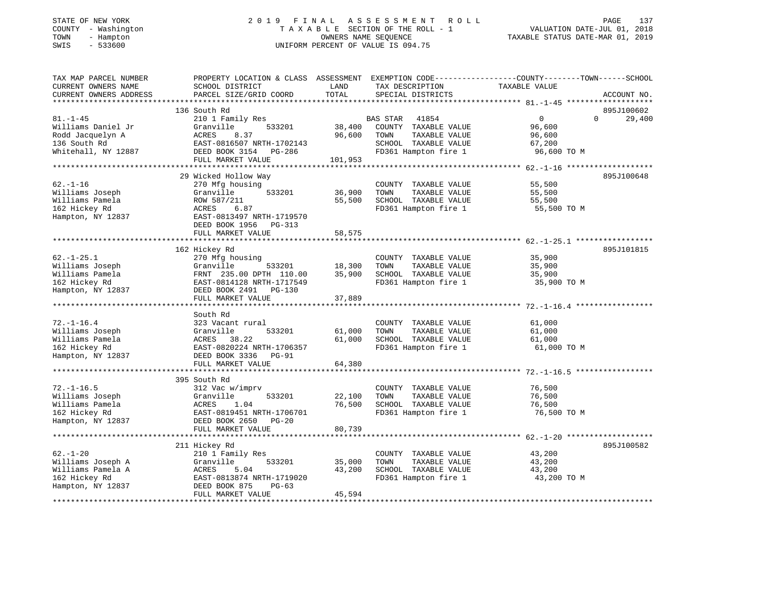# STATE OF NEW YORK 2 0 1 9 F I N A L A S S E S S M E N T R O L L PAGE 137 COUNTY - Washington T A X A B L E SECTION OF THE ROLL - 1 VALUATION DATE-JUL 01, 2018 TOWN - Hampton OWNERS NAME SEQUENCE TAXABLE STATUS DATE-MAR 01, 2019 SWIS - 533600 UNIFORM PERCENT OF VALUE IS 094.75

| TAX MAP PARCEL NUMBER  | PROPERTY LOCATION & CLASS ASSESSMENT EXEMPTION CODE---------------COUNTY-------TOWN-----SCHOOL |              |                       |                       |                    |
|------------------------|------------------------------------------------------------------------------------------------|--------------|-----------------------|-----------------------|--------------------|
| CURRENT OWNERS NAME    | SCHOOL DISTRICT                                                                                | LAND         | TAX DESCRIPTION       | TAXABLE VALUE         |                    |
| CURRENT OWNERS ADDRESS | PARCEL SIZE/GRID COORD                                                                         | TOTAL        | SPECIAL DISTRICTS     |                       | ACCOUNT NO.        |
|                        |                                                                                                |              |                       |                       |                    |
|                        | 136 South Rd                                                                                   |              |                       |                       | 895J100602         |
| $81. - 1 - 45$         | 210 1 Family Res                                                                               |              | BAS STAR 41854        | $\mathbf{0}$          | 29,400<br>$\Omega$ |
| Williams Daniel Jr     | Granville<br>533201                                                                            | 38,400       | COUNTY TAXABLE VALUE  | 96,600                |                    |
| Rodd Jacquelyn A       | 8.37<br>ACRES                                                                                  | 96,600       | TAXABLE VALUE<br>TOWN | 96,600                |                    |
| 136 South Rd           | EAST-0816507 NRTH-1702143                                                                      |              | SCHOOL TAXABLE VALUE  | 67,200                |                    |
| Whitehall, NY 12887    | DEED BOOK 3154 PG-286                                                                          |              | FD361 Hampton fire 1  | 96,600 TO M           |                    |
|                        | FULL MARKET VALUE                                                                              | 101,953      |                       |                       |                    |
|                        |                                                                                                |              |                       |                       |                    |
|                        | 29 Wicked Hollow Way                                                                           |              |                       |                       | 895J100648         |
| $62. - 1 - 16$         | 270 Mfg housing                                                                                |              | COUNTY TAXABLE VALUE  | 55,500                |                    |
| Williams Joseph        | Granville<br>533201                                                                            | 36,900       | TOWN<br>TAXABLE VALUE | 55,500                |                    |
| Williams Pamela        | ROW 587/211                                                                                    | 55,500       | SCHOOL TAXABLE VALUE  | 55,500                |                    |
| 162 Hickey Rd          | ACRES<br>6.87                                                                                  |              | FD361 Hampton fire 1  | 55,500 TO M           |                    |
|                        |                                                                                                |              |                       |                       |                    |
| Hampton, NY 12837      | EAST-0813497 NRTH-1719570                                                                      |              |                       |                       |                    |
|                        | DEED BOOK 1956 PG-313                                                                          |              |                       |                       |                    |
|                        | FULL MARKET VALUE                                                                              | 58,575       |                       |                       |                    |
|                        |                                                                                                |              |                       |                       |                    |
|                        | 162 Hickey Rd                                                                                  |              |                       |                       | 895J101815         |
| $62. - 1 - 25.1$       | 270 Mfg housing                                                                                |              | COUNTY TAXABLE VALUE  | 35,900                |                    |
| Williams Joseph        | Granville<br>533201                                                                            | 18,300       | TAXABLE VALUE<br>TOWN | 35,900                |                    |
| Williams Pamela        | FRNT 235.00 DPTH 110.00                                                                        | 35,900       | SCHOOL TAXABLE VALUE  | 35,900                |                    |
| 162 Hickey Rd          | EAST-0814128 NRTH-1717549                                                                      |              | FD361 Hampton fire 1  | 35,900 TO M           |                    |
| Hampton, NY 12837      | DEED BOOK 2491 PG-130                                                                          |              |                       |                       |                    |
|                        | FULL MARKET VALUE                                                                              | 37,889       |                       |                       |                    |
|                        |                                                                                                |              |                       |                       |                    |
|                        | South Rd                                                                                       |              |                       |                       |                    |
| $72. - 1 - 16.4$       | 323 Vacant rural                                                                               |              | COUNTY TAXABLE VALUE  | 61,000                |                    |
| Williams Joseph        | 533201<br>Granville                                                                            | 61,000       | TAXABLE VALUE<br>TOWN | 61,000                |                    |
| Williams Pamela        | 38.22<br>ACRES                                                                                 | 61,000       | SCHOOL TAXABLE VALUE  | 61,000                |                    |
| 162 Hickey Rd          | EAST-0820224 NRTH-1706357                                                                      |              | FD361 Hampton fire 1  | 61,000 TO M           |                    |
| Hampton, NY 12837      | DEED BOOK 3336 PG-91                                                                           |              |                       |                       |                    |
|                        | FULL MARKET VALUE                                                                              | 64,380       |                       |                       |                    |
|                        | ***************************                                                                    | ************ |                       | ********** 72.-1-16.5 |                    |
|                        | 395 South Rd                                                                                   |              |                       |                       |                    |
| $72. - 1 - 16.5$       | 312 Vac w/imprv                                                                                |              | COUNTY TAXABLE VALUE  | 76,500                |                    |
| Williams Joseph        | 533201<br>Granville                                                                            | 22,100       | TAXABLE VALUE<br>TOWN | 76,500                |                    |
| Williams Pamela        | ACRES<br>1.04                                                                                  | 76,500       | SCHOOL TAXABLE VALUE  | 76,500                |                    |
| 162 Hickey Rd          | EAST-0819451 NRTH-1706701                                                                      |              | FD361 Hampton fire 1  | 76,500 TO M           |                    |
| Hampton, NY 12837      | DEED BOOK 2650 PG-20                                                                           |              |                       |                       |                    |
|                        | FULL MARKET VALUE                                                                              | 80,739       |                       |                       |                    |
|                        |                                                                                                |              |                       |                       |                    |
|                        | 211 Hickey Rd                                                                                  |              |                       |                       | 895J100582         |
| $62. - 1 - 20$         | 210 1 Family Res                                                                               |              | COUNTY TAXABLE VALUE  | 43,200                |                    |
| Williams Joseph A      | Granville<br>533201                                                                            | 35,000       | TAXABLE VALUE<br>TOWN | 43,200                |                    |
| Williams Pamela A      | 5.04<br>ACRES                                                                                  | 43,200       | SCHOOL TAXABLE VALUE  | 43,200                |                    |
| 162 Hickey Rd          | EAST-0813874 NRTH-1719020                                                                      |              | FD361 Hampton fire 1  | 43,200 TO M           |                    |
| Hampton, NY 12837      | DEED BOOK 875<br>$PG-63$                                                                       |              |                       |                       |                    |
|                        | FULL MARKET VALUE                                                                              | 45,594       |                       |                       |                    |
|                        |                                                                                                |              |                       |                       |                    |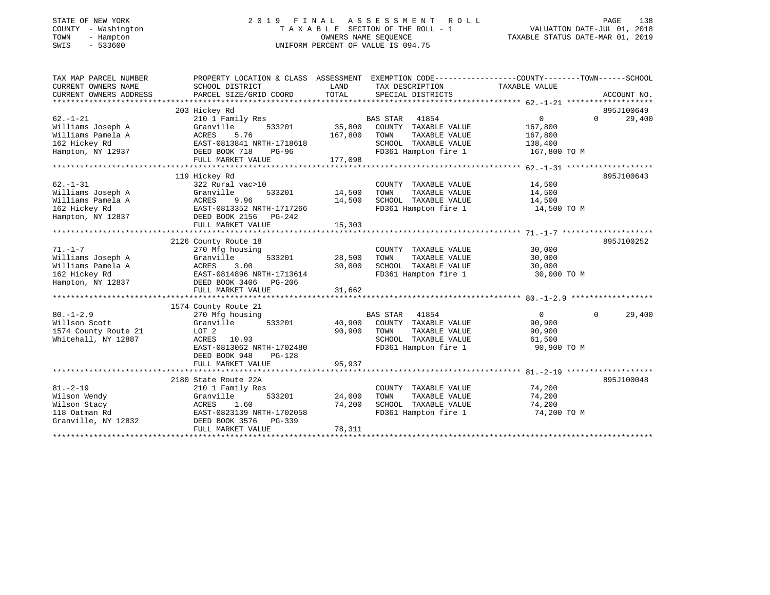| STATE OF NEW YORK |        |              |
|-------------------|--------|--------------|
| COUNTY            |        | - Washington |
| TOWN              | $\sim$ | Hampton      |
| CM T C            |        | $-533600$    |

## STATE OF NEW YORK 2 0 1 9 F I N A L A S S E S S M E N T R O L L PAGE 138 COUNTY - Washington T A X A B L E SECTION OF THE ROLL - 1 VALUATION DATE-JUL 01, 2018 TOWN - Hampton OWNERS NAME SEQUENCE TAXABLE STATUS DATE-MAR 01, 2019 SWIS - 533600 UNIFORM PERCENT OF VALUE IS 094.75

| TAX MAP PARCEL NUMBER  | PROPERTY LOCATION & CLASS ASSESSMENT |         | EXEMPTION CODE-----------------COUNTY-------TOWN------SCHOOL |                   |                    |
|------------------------|--------------------------------------|---------|--------------------------------------------------------------|-------------------|--------------------|
| CURRENT OWNERS NAME    | SCHOOL DISTRICT                      | LAND    | TAX DESCRIPTION                                              | TAXABLE VALUE     |                    |
| CURRENT OWNERS ADDRESS | PARCEL SIZE/GRID COORD               | TOTAL   | SPECIAL DISTRICTS                                            |                   | ACCOUNT NO.        |
|                        |                                      |         |                                                              |                   |                    |
|                        | 203 Hickey Rd                        |         |                                                              |                   | 895J100649         |
| $62. - 1 - 21$         | 210 1 Family Res                     |         | <b>BAS STAR</b><br>41854                                     | $0 \qquad \qquad$ | $\Omega$<br>29,400 |
| Williams Joseph A      | 533201<br>Granville                  | 35,800  | COUNTY TAXABLE VALUE                                         | 167,800           |                    |
| Williams Pamela A      | ACRES<br>5.76                        | 167,800 | TAXABLE VALUE<br>TOWN                                        | 167,800           |                    |
| 162 Hickey Rd          | EAST-0813841 NRTH-1718618            |         | SCHOOL TAXABLE VALUE                                         | 138,400           |                    |
| Hampton, NY 12937      | DEED BOOK 718<br>PG-96               |         | FD361 Hampton fire 1                                         | 167,800 TO M      |                    |
|                        | FULL MARKET VALUE                    | 177,098 |                                                              |                   |                    |
|                        |                                      |         |                                                              |                   |                    |
|                        | 119 Hickey Rd                        |         |                                                              |                   | 895J100643         |
| $62. - 1 - 31$         | 322 Rural vac>10                     |         | COUNTY TAXABLE VALUE                                         | 14,500            |                    |
| Williams Joseph A      | Granville<br>533201                  | 14,500  | TOWN<br>TAXABLE VALUE                                        | 14,500            |                    |
| Williams Pamela A      | ACRES<br>9.96                        | 14,500  | SCHOOL TAXABLE VALUE                                         | 14,500            |                    |
| 162 Hickey Rd          | EAST-0813352 NRTH-1717266            |         | FD361 Hampton fire 1                                         | 14,500 TO M       |                    |
| Hampton, NY 12837      | DEED BOOK 2156 PG-242                |         |                                                              |                   |                    |
|                        | FULL MARKET VALUE                    | 15,303  |                                                              |                   |                    |
|                        |                                      |         |                                                              |                   |                    |
|                        | 2126 County Route 18                 |         |                                                              |                   | 895J100252         |
| $71. - 1 - 7$          | 270 Mfg housing                      |         | COUNTY TAXABLE VALUE                                         | 30,000            |                    |
| Williams Joseph A      | Granville<br>533201                  | 28,500  | TOWN<br>TAXABLE VALUE                                        | 30,000            |                    |
| Williams Pamela A      | 3.00<br>ACRES                        | 30,000  | SCHOOL TAXABLE VALUE                                         | 30,000            |                    |
| 162 Hickey Rd          | EAST-0814896 NRTH-1713614            |         | FD361 Hampton fire 1                                         | 30,000 TO M       |                    |
| Hampton, NY 12837      | DEED BOOK 3406<br>PG-206             |         |                                                              |                   |                    |
|                        | FULL MARKET VALUE                    | 31,662  |                                                              |                   |                    |
|                        |                                      |         |                                                              |                   |                    |
|                        | 1574 County Route 21                 |         |                                                              |                   |                    |
| $80. - 1 - 2.9$        | 270 Mfg housing                      |         | <b>BAS STAR</b><br>41854                                     | $\overline{0}$    | 29,400<br>$\Omega$ |
| Willson Scott          | Granville<br>533201                  | 40,900  | COUNTY TAXABLE VALUE                                         | 90,900            |                    |
| 1574 County Route 21   | LOT <sub>2</sub>                     | 90,900  | TOWN<br>TAXABLE VALUE                                        | 90,900            |                    |
| Whitehall, NY 12887    | ACRES 10.93                          |         | SCHOOL TAXABLE VALUE                                         | 61,500            |                    |
|                        | EAST-0813062 NRTH-1702480            |         | FD361 Hampton fire 1                                         | 90,900 TO M       |                    |
|                        | $PG-128$<br>DEED BOOK 948            |         |                                                              |                   |                    |
|                        | FULL MARKET VALUE                    | 95,937  |                                                              |                   |                    |
|                        |                                      |         |                                                              |                   |                    |
|                        | 2180 State Route 22A                 |         |                                                              |                   | 895J100048         |
| $81. - 2 - 19$         | 210 1 Family Res                     |         | COUNTY TAXABLE VALUE                                         | 74,200            |                    |
| Wilson Wendy           | 533201<br>Granville                  | 24,000  | TOWN<br>TAXABLE VALUE                                        | 74,200            |                    |
| Wilson Stacy           | 1.60<br>ACRES                        | 74,200  | SCHOOL TAXABLE VALUE                                         | 74,200            |                    |
| 118 Oatman Rd          | EAST-0823139 NRTH-1702058            |         | FD361 Hampton fire 1                                         | 74,200 TO M       |                    |
| Granville, NY 12832    | DEED BOOK 3576<br>PG-339             |         |                                                              |                   |                    |
|                        | FULL MARKET VALUE                    | 78,311  |                                                              |                   |                    |
|                        |                                      |         |                                                              |                   |                    |
|                        |                                      |         |                                                              |                   |                    |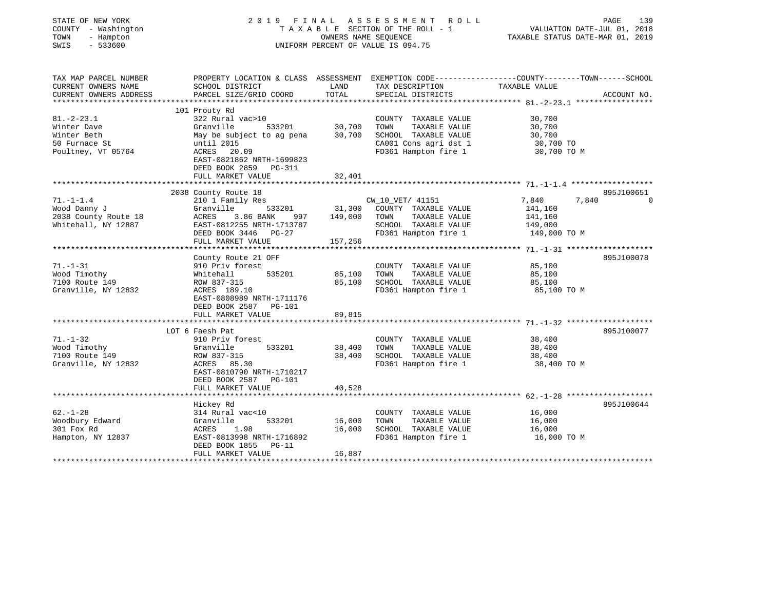| STATE OF NEW YORK<br>COUNTY - Washington<br>TOWN<br>- Hampton<br>$-533600$<br>SWIS |                                                                   | OWNERS NAME SEQUENCE  | 2019 FINAL ASSESSMENT ROLL<br>TAXABLE SECTION OF THE ROLL - 1<br>UNIFORM PERCENT OF VALUE IS 094.75 | PAGE<br>VALUATION DATE-JUL 01, 2018<br>TAXABLE STATUS DATE-MAR 01, 2019                         | 139                    |
|------------------------------------------------------------------------------------|-------------------------------------------------------------------|-----------------------|-----------------------------------------------------------------------------------------------------|-------------------------------------------------------------------------------------------------|------------------------|
| TAX MAP PARCEL NUMBER                                                              |                                                                   |                       |                                                                                                     | PROPERTY LOCATION & CLASS ASSESSMENT EXEMPTION CODE---------------COUNTY-------TOWN------SCHOOL |                        |
| CURRENT OWNERS NAME<br>CURRENT OWNERS ADDRESS                                      | SCHOOL DISTRICT<br>PARCEL SIZE/GRID COORD                         | LAND<br>TOTAL         | TAX DESCRIPTION<br>SPECIAL DISTRICTS                                                                | TAXABLE VALUE                                                                                   | ACCOUNT NO.            |
|                                                                                    |                                                                   |                       |                                                                                                     |                                                                                                 |                        |
|                                                                                    | 101 Prouty Rd                                                     |                       |                                                                                                     |                                                                                                 |                        |
| $81. - 2 - 23.1$                                                                   | 322 Rural vac>10                                                  |                       | COUNTY TAXABLE VALUE                                                                                | 30,700                                                                                          |                        |
| Winter Dave                                                                        | Granville<br>533201                                               | 30,700                | TOWN<br>TAXABLE VALUE                                                                               | 30,700                                                                                          |                        |
| Winter Beth                                                                        | May be subject to ag pena                                         | 30,700                | SCHOOL TAXABLE VALUE                                                                                | 30,700                                                                                          |                        |
| 50 Furnace St                                                                      | until 2015                                                        |                       | CA001 Cons agri dst 1                                                                               | 30,700 TO                                                                                       |                        |
| Poultney, VT 05764                                                                 | ACRES 20.09<br>EAST-0821862 NRTH-1699823<br>DEED BOOK 2859 PG-311 |                       | FD361 Hampton fire 1                                                                                | 30,700 TO M                                                                                     |                        |
|                                                                                    | FULL MARKET VALUE                                                 | 32,401                |                                                                                                     |                                                                                                 |                        |
|                                                                                    |                                                                   |                       |                                                                                                     |                                                                                                 |                        |
|                                                                                    | 2038 County Route 18                                              |                       |                                                                                                     |                                                                                                 | 895J100651<br>$\Omega$ |
| $71. - 1 - 1.4$                                                                    | 210 1 Family Res                                                  |                       | CW_10_VET/ 41151                                                                                    | 7,840<br>7,840                                                                                  |                        |
| Wood Danny J<br>2038 County Route 18                                               | Granville<br>533201<br>ACRES<br>3.86 BANK<br>997                  | 31,300<br>149,000     | COUNTY TAXABLE VALUE<br>TOWN<br>TAXABLE VALUE                                                       | 141,160<br>141,160                                                                              |                        |
| Whitehall, NY 12887                                                                | EAST-0812255 NRTH-1713787                                         |                       | SCHOOL TAXABLE VALUE                                                                                | 149,000                                                                                         |                        |
|                                                                                    | DEED BOOK 3446 PG-27                                              |                       | FD361 Hampton fire 1                                                                                | 149,000 TO M                                                                                    |                        |
|                                                                                    | FULL MARKET VALUE                                                 | 157,256               |                                                                                                     |                                                                                                 |                        |
|                                                                                    | **********************                                            |                       |                                                                                                     | ************** 71.-1-31 *******************                                                     |                        |
|                                                                                    | County Route 21 OFF                                               |                       |                                                                                                     |                                                                                                 | 895J100078             |
| $71. - 1 - 31$                                                                     | 910 Priv forest                                                   |                       | COUNTY TAXABLE VALUE                                                                                | 85,100                                                                                          |                        |
| Wood Timothy                                                                       | 535201<br>Whitehall                                               | 85,100                | TOWN<br>TAXABLE VALUE                                                                               | 85,100                                                                                          |                        |
| 7100 Route 149                                                                     | ROW 837-315                                                       | 85,100                | SCHOOL TAXABLE VALUE                                                                                | 85,100                                                                                          |                        |
| Granville, NY 12832                                                                | ACRES 189.10                                                      |                       | FD361 Hampton fire 1                                                                                | 85,100 TO M                                                                                     |                        |
|                                                                                    | EAST-0808989 NRTH-1711176                                         |                       |                                                                                                     |                                                                                                 |                        |
|                                                                                    | DEED BOOK 2587 PG-101                                             |                       |                                                                                                     |                                                                                                 |                        |
|                                                                                    | FULL MARKET VALUE<br>***************************                  | 89,815<br>*********** |                                                                                                     |                                                                                                 |                        |
|                                                                                    | LOT 6 Faesh Pat                                                   |                       |                                                                                                     |                                                                                                 | 895J100077             |
| $71. - 1 - 32$                                                                     | 910 Priv forest                                                   |                       | COUNTY TAXABLE VALUE                                                                                | 38,400                                                                                          |                        |
| Wood Timothy                                                                       | 533201<br>Granville                                               | 38,400                | TOWN<br>TAXABLE VALUE                                                                               | 38,400                                                                                          |                        |
| 7100 Route 149                                                                     | ROW 837-315                                                       | 38,400                | SCHOOL TAXABLE VALUE                                                                                | 38,400                                                                                          |                        |
| Granville, NY 12832                                                                | ACRES 85.30                                                       |                       | FD361 Hampton fire 1                                                                                | 38,400 TO M                                                                                     |                        |
|                                                                                    | EAST-0810790 NRTH-1710217                                         |                       |                                                                                                     |                                                                                                 |                        |
|                                                                                    | DEED BOOK 2587 PG-101                                             |                       |                                                                                                     |                                                                                                 |                        |
|                                                                                    | FULL MARKET VALUE                                                 | 40,528                |                                                                                                     |                                                                                                 |                        |
|                                                                                    | *****************************                                     | **************        |                                                                                                     |                                                                                                 |                        |
|                                                                                    | Hickey Rd                                                         |                       |                                                                                                     |                                                                                                 | 895J100644             |
| $62 - 1 - 28$                                                                      | 314 Rural vac<10                                                  |                       | COUNTY TAXABLE VALUE                                                                                | 16,000                                                                                          |                        |
| Woodbury Edward                                                                    | 533201<br>Granville                                               | 16,000                | TOWN<br>TAXABLE VALUE                                                                               | 16,000                                                                                          |                        |
| 301 Fox Rd                                                                         | ACRES<br>1.98                                                     | 16,000                | SCHOOL TAXABLE VALUE                                                                                | 16,000                                                                                          |                        |
| Hampton, NY 12837                                                                  | EAST-0813998 NRTH-1716892<br>DEED BOOK 1855<br>$PG-11$            |                       | FD361 Hampton fire 1                                                                                | 16,000 TO M                                                                                     |                        |
|                                                                                    | FULL MARKET VALUE                                                 | 16,887                |                                                                                                     |                                                                                                 |                        |
|                                                                                    |                                                                   |                       |                                                                                                     |                                                                                                 |                        |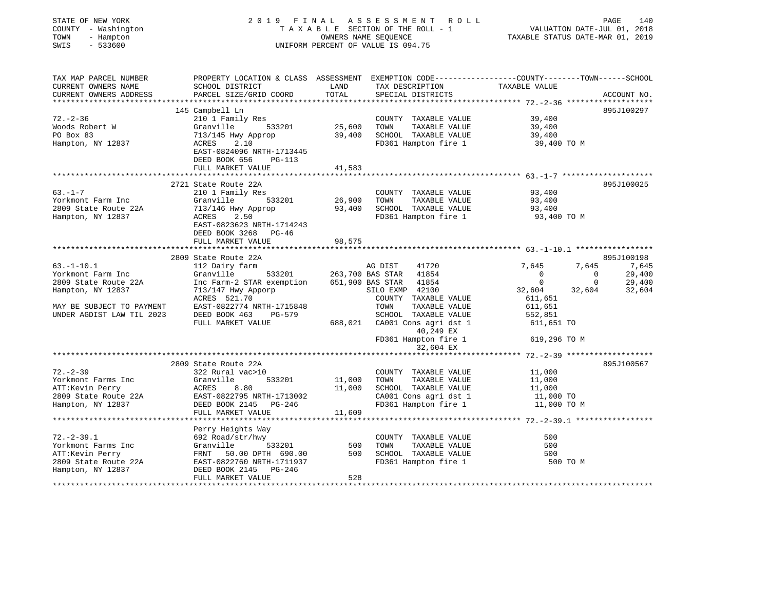| STATE OF NEW YORK<br>COUNTY - Washington<br>TOWN<br>- Hampton<br>$-533600$<br>SWIS |                                                                                                                                               |               | 2019 FINAL ASSESSMENT ROLL<br>T A X A B L E SECTION OF THE ROLL - 1<br>OWNERS NAME SEQUENCE<br>UNIFORM PERCENT OF VALUE IS 094.75 | VALUATION DATE-JUL 01, 2018<br>TAXABLE STATUS DATE-MAR 01, 2019 | 140<br>PAGE     |
|------------------------------------------------------------------------------------|-----------------------------------------------------------------------------------------------------------------------------------------------|---------------|-----------------------------------------------------------------------------------------------------------------------------------|-----------------------------------------------------------------|-----------------|
| TAX MAP PARCEL NUMBER<br>CURRENT OWNERS NAME<br>CURRENT OWNERS ADDRESS             | PROPERTY LOCATION & CLASS ASSESSMENT EXEMPTION CODE----------------COUNTY-------TOWN------SCHOOL<br>SCHOOL DISTRICT<br>PARCEL SIZE/GRID COORD | LAND<br>TOTAL | TAX DESCRIPTION TAXABLE VALUE<br>SPECIAL DISTRICTS                                                                                |                                                                 | ACCOUNT NO.     |
|                                                                                    | 145 Campbell Ln                                                                                                                               |               |                                                                                                                                   |                                                                 | 895J100297      |
| $72. - 2 - 36$                                                                     | 210 1 Family Res                                                                                                                              |               | COUNTY TAXABLE VALUE                                                                                                              | 39,400                                                          |                 |
| V2.-2<br>Woods Robert W                                                            | Granville 533201                                                                                                                              | 25,600        | TOWN TAXABLE VALUE                                                                                                                | 39,400                                                          |                 |
|                                                                                    | 713/145 Hwy Approp                                                                                                                            |               | 39,400 SCHOOL TAXABLE VALUE                                                                                                       | 39,400                                                          |                 |
| Hampton, NY 12837                                                                  | ACRES<br>2.10<br>EAST-0824096 NRTH-1713445<br>DEED BOOK 656 PG-113                                                                            |               | FD361 Hampton fire 1                                                                                                              | 39,400 TO M                                                     |                 |
|                                                                                    | FULL MARKET VALUE                                                                                                                             | 41,583        |                                                                                                                                   |                                                                 |                 |
|                                                                                    |                                                                                                                                               |               |                                                                                                                                   |                                                                 |                 |
| $63. - 1 - 7$                                                                      | 2721 State Route 22A<br>210 1 Family Res                                                                                                      |               | COUNTY TAXABLE VALUE                                                                                                              | 93,400                                                          | 895J100025      |
| Yorkmont Farm Inc                                                                  | Granville $533201$ 26,900                                                                                                                     |               | TOWN<br>TAXABLE VALUE                                                                                                             | 93,400                                                          |                 |
| 2809 State Route 22A                                                               | $713/146$ Hwy Approp<br>ACRES 250                                                                                                             |               | 93,400 SCHOOL TAXABLE VALUE                                                                                                       | 93,400                                                          |                 |
| Hampton, NY 12837                                                                  | ACRES 2.50<br>EAST-0823623 NRTH-1714243<br>DEED BOOK 3268 PG-46                                                                               |               | FD361 Hampton fire 1                                                                                                              | 93,400 TO M                                                     |                 |
|                                                                                    | FULL MARKET VALUE                                                                                                                             | 98,575        |                                                                                                                                   |                                                                 |                 |
|                                                                                    |                                                                                                                                               |               |                                                                                                                                   |                                                                 |                 |
|                                                                                    | 2809 State Route 22A                                                                                                                          |               |                                                                                                                                   |                                                                 | 895J100198      |
| $63. -1 - 10.1$<br>Yorkmont Farm Inc                                               | 112 Dairy farm<br>Granville                                                                                                                   |               | AG DIST<br>41720<br>533201 263,700 BAS STAR 41854                                                                                 | 7,645<br>7,645<br>$\overline{0}$                                | 7,645<br>29,400 |
| 2809 State Route 22A                                                               | Granville $551,900$ BAS STAR 41854<br>Inc Farm-2 STAR exemption $651,900$ BAS STAR 41854                                                      |               |                                                                                                                                   | $\begin{array}{c}0\\0\\32,604\end{array}$<br>$\overline{0}$     | 29,400          |
| Hampton, NY 12837                                                                  | 713/147 Hwy Apporp                                                                                                                            |               | SILO EXMP 42100                                                                                                                   | 32,604                                                          | 32,604          |
|                                                                                    | ACRES 521.70                                                                                                                                  |               | COUNTY TAXABLE VALUE                                                                                                              | 611,651                                                         |                 |
| MAY BE SUBJECT TO PAYMENT                                                          | EAST-0822774 NRTH-1715848                                                                                                                     |               | TOWN<br>TAXABLE VALUE                                                                                                             | 611,651                                                         |                 |
| UNDER AGDIST LAW TIL 2023                                                          | DEED BOOK 463 PG-579                                                                                                                          |               | SCHOOL TAXABLE VALUE                                                                                                              | 552,851                                                         |                 |
|                                                                                    | FULL MARKET VALUE                                                                                                                             |               | 688,021 CA001 Cons agri dst 1<br>40,249 EX                                                                                        | 611,651 TO                                                      |                 |
|                                                                                    |                                                                                                                                               |               | FD361 Hampton fire 1 619,296 TO M                                                                                                 |                                                                 |                 |
|                                                                                    |                                                                                                                                               |               | 32,604 EX                                                                                                                         |                                                                 |                 |
|                                                                                    |                                                                                                                                               |               |                                                                                                                                   |                                                                 |                 |
|                                                                                    | 2809 State Route 22A                                                                                                                          |               |                                                                                                                                   |                                                                 | 895J100567      |
| $72. - 2 - 39$                                                                     | 322 Rural vac>10                                                                                                                              |               | COUNTY TAXABLE VALUE                                                                                                              | 11,000                                                          |                 |
| Yorkmont Farms Inc                                                                 | Granville 533201<br>ACRES 8.80<br>EAST-0822795 NRTH-1713002<br>DEED BOOK 2145 PG-246                                                          |               | 11,000 TOWN TAXABLE VALUE                                                                                                         | 11,000                                                          |                 |
| ATT:Kevin Perry<br>2809 State Route 22A                                            |                                                                                                                                               |               | 11,000 SCHOOL TAXABLE VALUE                                                                                                       | 11,000<br>11,000 TO                                             |                 |
| Hampton, NY 12837                                                                  |                                                                                                                                               |               | CA001 Cons agri dst 1<br>FD361 Hampton fire 1                                                                                     | 11,000 TO M                                                     |                 |
|                                                                                    | FULL MARKET VALUE                                                                                                                             | 11,609        |                                                                                                                                   |                                                                 |                 |
|                                                                                    |                                                                                                                                               |               |                                                                                                                                   |                                                                 |                 |
|                                                                                    | Perry Heights Way                                                                                                                             |               |                                                                                                                                   |                                                                 |                 |
| $72. - 2 - 39.1$                                                                   |                                                                                                                                               |               | COUNTY TAXABLE VALUE                                                                                                              | 500                                                             |                 |
| Yorkmont Farms Inc                                                                 | 533201                                                                                                                                        | 500           | TAXABLE VALUE<br>TOWN                                                                                                             | 500                                                             |                 |
| ATT:Kevin Perry                                                                    |                                                                                                                                               | 500           | SCHOOL TAXABLE VALUE                                                                                                              | 500                                                             |                 |
| 2809 State Route 22A                                                               |                                                                                                                                               |               | FD361 Hampton fire 1                                                                                                              | 500 TO M                                                        |                 |
| Hampton, NY 12837                                                                  | 692 Road / 501.<br>Granville 533201<br>FRNT 50.00 DPTH 690.00<br>EAST-0822760 NRTH-1711937<br>DEED BOOK 2145 PG-246<br>----- MARKET VALUE     | 528           |                                                                                                                                   |                                                                 |                 |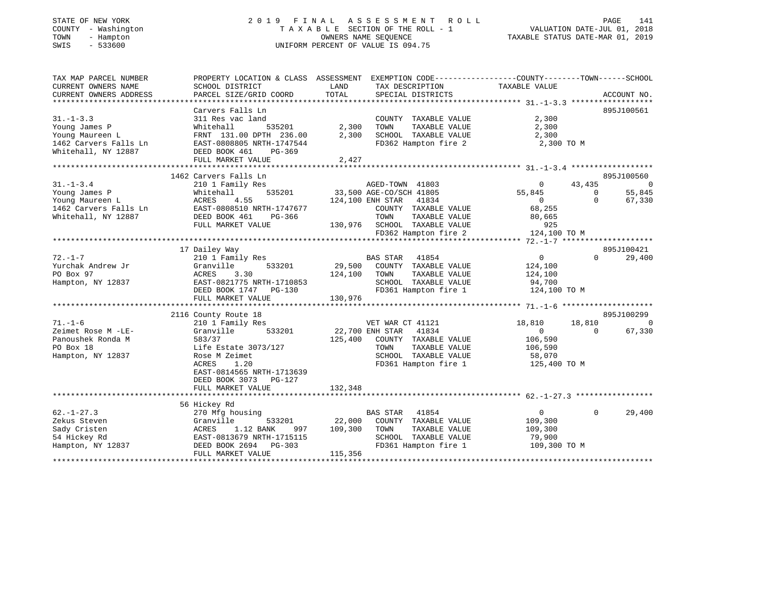| STATE OF NEW YORK<br>- Washington<br>COUNTY<br>TOWN<br>- Hampton<br>$-533600$<br>SWIS | 2019 FINAL ASSESSMENT ROLL<br>TAXABLE SECTION OF THE ROLL - 1<br>UNIFORM PERCENT OF VALUE IS 094.75 | VALUATION DATE-JUL 01,<br>TAXABLE STATUS DATE-MAR 01, 2019 | PAGE<br>141<br>2018                                        |                    |                          |
|---------------------------------------------------------------------------------------|-----------------------------------------------------------------------------------------------------|------------------------------------------------------------|------------------------------------------------------------|--------------------|--------------------------|
| TAX MAP PARCEL NUMBER                                                                 | PROPERTY LOCATION & CLASS ASSESSMENT                                                                |                                                            | EXEMPTION CODE----------------COUNTY-------TOWN-----SCHOOL |                    |                          |
| CURRENT OWNERS NAME                                                                   | SCHOOL DISTRICT                                                                                     | LAND                                                       | TAX DESCRIPTION                                            | TAXABLE VALUE      |                          |
| CURRENT OWNERS ADDRESS                                                                | PARCEL SIZE/GRID COORD                                                                              | TOTAL                                                      | SPECIAL DISTRICTS                                          |                    | ACCOUNT NO.              |
|                                                                                       |                                                                                                     |                                                            |                                                            |                    |                          |
|                                                                                       | Carvers Falls Ln                                                                                    |                                                            |                                                            |                    | 895J100561               |
| $31. - 1 - 3.3$                                                                       | 311 Res vac land                                                                                    |                                                            | COUNTY<br>TAXABLE VALUE                                    | 2,300              |                          |
| Young James P                                                                         | Whitehall<br>535201                                                                                 | 2,300                                                      | TAXABLE VALUE<br>TOWN                                      | 2,300              |                          |
| Young Maureen L                                                                       | FRNT 131.00 DPTH 236.00                                                                             | 2,300                                                      | TAXABLE VALUE<br>SCHOOL                                    | 2,300              |                          |
| 1462 Carvers Falls Ln                                                                 | EAST-0808805 NRTH-1747544                                                                           |                                                            | FD362 Hampton fire 2                                       | 2,300 TO M         |                          |
| Whitehall, NY 12887                                                                   | DEED BOOK 461<br>PG-369                                                                             |                                                            |                                                            |                    |                          |
|                                                                                       | FULL MARKET VALUE                                                                                   | 2,427                                                      |                                                            |                    |                          |
|                                                                                       |                                                                                                     |                                                            |                                                            |                    |                          |
|                                                                                       | 1462 Carvers Falls Ln                                                                               |                                                            |                                                            |                    | 895J100560               |
| $31. - 1 - 3.4$                                                                       | 210 1 Family Res                                                                                    |                                                            | AGED-TOWN 41803                                            | 43,435<br>$\Omega$ | $\overline{\phantom{0}}$ |
| Young James P                                                                         | Whitehall<br>535201                                                                                 |                                                            | 33,500 AGE-CO/SCH 41805                                    | 55,845             | 55,845<br>$\Omega$       |
| Young Maureen L                                                                       | 4.55<br>ACRES                                                                                       |                                                            | 41834<br>124,100 ENH STAR                                  | $\Omega$           | 67,330<br>$\Omega$       |
| 1462 Carvers Falls Ln RAST-0808510 NRTH-1747677                                       |                                                                                                     |                                                            | COUNTY TAXARLE VALUE                                       | 68 255             |                          |

| 1462 Carvers Fails LM | LASI-0808510 NKIH-1747077  | COUNTY TAXABLE VALUE              | 00, 455                            |  |  |
|-----------------------|----------------------------|-----------------------------------|------------------------------------|--|--|
| Whitehall, NY 12887   | DEED BOOK 461<br>PG-366    | TOWN<br>TAXABLE VALUE             | 80,665                             |  |  |
|                       | FULL MARKET VALUE          | 130,976<br>SCHOOL TAXABLE VALUE   | 925                                |  |  |
|                       |                            | FD362 Hampton fire 2              | 124,100 TO M                       |  |  |
|                       |                            |                                   |                                    |  |  |
|                       | 17 Dailey Way              |                                   | 895J100421                         |  |  |
| $72. - 1 - 7$         | 210 1 Family Res           | 41854<br><b>BAS STAR</b>          | $\mathbf 0$<br>$\circ$<br>29,400   |  |  |
| Yurchak Andrew Jr     | Granville<br>533201        | 29,500<br>COUNTY<br>TAXABLE VALUE | 124,100                            |  |  |
| PO Box 97             | ACRES 3.30                 | 124,100<br>TOWN<br>TAXABLE VALUE  | 124,100                            |  |  |
| Hampton, NY 12837     | EAST-0821775 NRTH-1710853  | TAXABLE VALUE<br>SCHOOL           | 94,700                             |  |  |
|                       | DEED BOOK 1747 PG-130      | FD361 Hampton fire 1              | 124,100 TO M                       |  |  |
|                       | FULL MARKET VALUE          | 130,976                           |                                    |  |  |
|                       |                            |                                   |                                    |  |  |
|                       | 2116 County Route 18       |                                   | 895J100299                         |  |  |
| $71. - 1 - 6$         | 210 1 Family Res           | VET WAR CT 41121                  | 18,810<br>18,810<br>$\overline{0}$ |  |  |
| Zeimet Rose M -LE-    | Granville<br>533201        | 22,700 ENH STAR<br>41834          | $\Omega$<br>67,330<br>$\Omega$     |  |  |
| Panoushek Ronda M     | 583/37                     | 125,400<br>COUNTY TAXABLE VALUE   | 106,590                            |  |  |
| PO Box 18             | Life Estate 3073/127       | TOWN<br>TAXABLE VALUE             | 106,590                            |  |  |
| Hampton, NY 12837     | Rose M Zeimet              | SCHOOL<br>TAXABLE VALUE           | 58,070                             |  |  |
|                       | 1.20<br>ACRES              | FD361 Hampton fire 1              | 125,400 TO M                       |  |  |
|                       | EAST-0814565 NRTH-1713639  |                                   |                                    |  |  |
|                       | DEED BOOK 3073 PG-127      |                                   |                                    |  |  |
|                       | FULL MARKET VALUE          | 132,348                           |                                    |  |  |
|                       |                            |                                   |                                    |  |  |
|                       | 56 Hickey Rd               |                                   |                                    |  |  |
| $62. - 1 - 27.3$      | 270 Mfg housing            | <b>BAS STAR</b><br>41854          | 29,400<br>$\Omega$<br>$\Omega$     |  |  |
| Zekus Steven          | Granville<br>533201        | 22,000<br>COUNTY<br>TAXABLE VALUE | 109,300                            |  |  |
| Sady Cristen          | 1.12 BANK<br>ACRES<br>997  | TOWN<br>109,300<br>TAXABLE VALUE  | 109,300                            |  |  |
| 54 Hickey Rd          | EAST-0813679 NRTH-1715115  | TAXABLE VALUE<br>SCHOOL           | 79,900                             |  |  |
| Hampton, NY 12837     | DEED BOOK 2694<br>$PG-303$ | FD361 Hampton fire 1              | 109,300 TO M                       |  |  |
|                       | FULL MARKET VALUE          | 115,356                           |                                    |  |  |

\*\*\*\*\*\*\*\*\*\*\*\*\*\*\*\*\*\*\*\*\*\*\*\*\*\*\*\*\*\*\*\*\*\*\*\*\*\*\*\*\*\*\*\*\*\*\*\*\*\*\*\*\*\*\*\*\*\*\*\*\*\*\*\*\*\*\*\*\*\*\*\*\*\*\*\*\*\*\*\*\*\*\*\*\*\*\*\*\*\*\*\*\*\*\*\*\*\*\*\*\*\*\*\*\*\*\*\*\*\*\*\*\*\*\*\*\*\*\*\*\*\*\*\*\*\*\*\*\*\*\*\*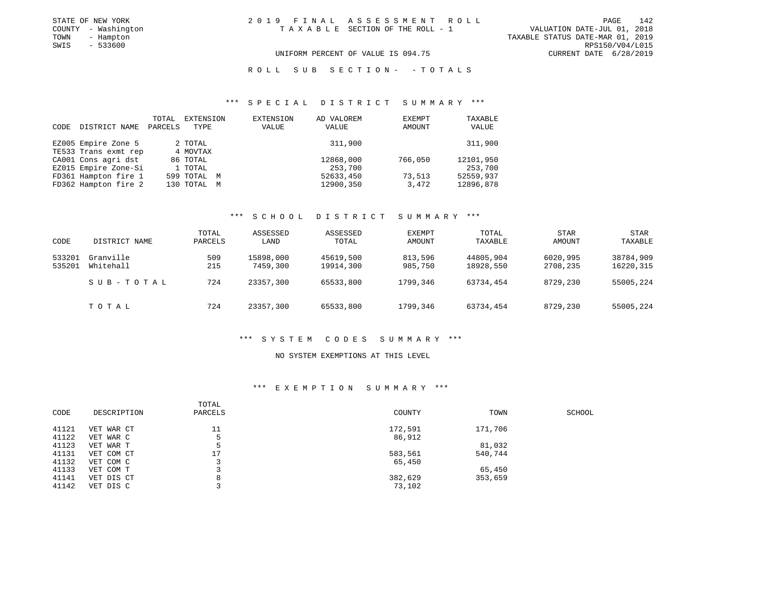| STATE OF NEW YORK   | 2019 FINAL ASSESSMENT ROLL         | 142<br>PAGE                      |
|---------------------|------------------------------------|----------------------------------|
| COUNTY - Washington | TAXABLE SECTION OF THE ROLL - 1    | VALUATION DATE-JUL 01, 2018      |
| TOWN<br>- Hampton   |                                    | TAXABLE STATUS DATE-MAR 01, 2019 |
| $-533600$<br>SWIS   |                                    | RPS150/V04/L015                  |
|                     | UNIFORM PERCENT OF VALUE IS 094.75 | CURRENT DATE 6/28/2019           |

R O L L S U B S E C T I O N - - T O T A L S

### \*\*\* S P E C I A L D I S T R I C T S U M M A R Y \*\*\*

| CODE | DISTRICT NAME        | TOTAL<br>PARCELS | EXTENSION<br>TYPE | EXTENSION<br>VALUE | AD VALOREM<br>VALUE | EXEMPT<br>AMOUNT | TAXABLE<br>VALUE |
|------|----------------------|------------------|-------------------|--------------------|---------------------|------------------|------------------|
|      | EZ005 Empire Zone 5  |                  | 2 TOTAL           |                    | 311,900             |                  | 311,900          |
|      | TE533 Trans exmt rep |                  | 4 MOVTAX          |                    |                     |                  |                  |
|      | CA001 Cons agri dst  |                  | 86 TOTAL          |                    | 12868,000           | 766,050          | 12101,950        |
|      | EZ015 Empire Zone-Si |                  | 1 TOTAL           |                    | 253,700             |                  | 253,700          |
|      | FD361 Hampton fire 1 |                  | 599 TOTAL M       |                    | 52633,450           | 73,513           | 52559,937        |
|      | FD362 Hampton fire 2 |                  | 130 TOTAL M       |                    | 12900,350           | 3,472            | 12896,878        |

### \*\*\* S C H O O L D I S T R I C T S U M M A R Y \*\*\*

| CODE             | DISTRICT NAME          | TOTAL<br>PARCELS | ASSESSED<br>LAND      | ASSESSED<br>TOTAL      | EXEMPT<br>AMOUNT   | <b>TOTAL</b><br>TAXABLE | <b>STAR</b><br>AMOUNT | STAR<br>TAXABLE        |
|------------------|------------------------|------------------|-----------------------|------------------------|--------------------|-------------------------|-----------------------|------------------------|
| 533201<br>535201 | Granville<br>Whitehall | 509<br>215       | 15898,000<br>7459,300 | 45619,500<br>19914,300 | 813,596<br>985,750 | 44805,904<br>18928,550  | 6020,995<br>2708,235  | 38784,909<br>16220,315 |
|                  | SUB-TOTAL              | 724              | 23357,300             | 65533,800              | 1799,346           | 63734,454               | 8729,230              | 55005,224              |
|                  | TOTAL                  | 724              | 23357,300             | 65533,800              | 1799,346           | 63734,454               | 8729,230              | 55005,224              |

#### \*\*\* S Y S T E M C O D E S S U M M A R Y \*\*\*

#### NO SYSTEM EXEMPTIONS AT THIS LEVEL

#### \*\*\* E X E M P T I O N S U M M A R Y \*\*\*

|       |             | TOTAL   |         |         |        |
|-------|-------------|---------|---------|---------|--------|
| CODE  | DESCRIPTION | PARCELS | COUNTY  | TOWN    | SCHOOL |
| 41121 | VET WAR CT  | 11      | 172,591 | 171,706 |        |
| 41122 | VET WAR C   |         | 86,912  |         |        |
| 41123 | VET WAR T   |         |         | 81,032  |        |
| 41131 | VET COM CT  | 17      | 583,561 | 540,744 |        |
| 41132 | VET COM C   |         | 65,450  |         |        |
| 41133 | VET COM T   |         |         | 65,450  |        |
| 41141 | VET DIS CT  | 8       | 382,629 | 353,659 |        |
| 41142 | VET DIS C   |         | 73,102  |         |        |
|       |             |         |         |         |        |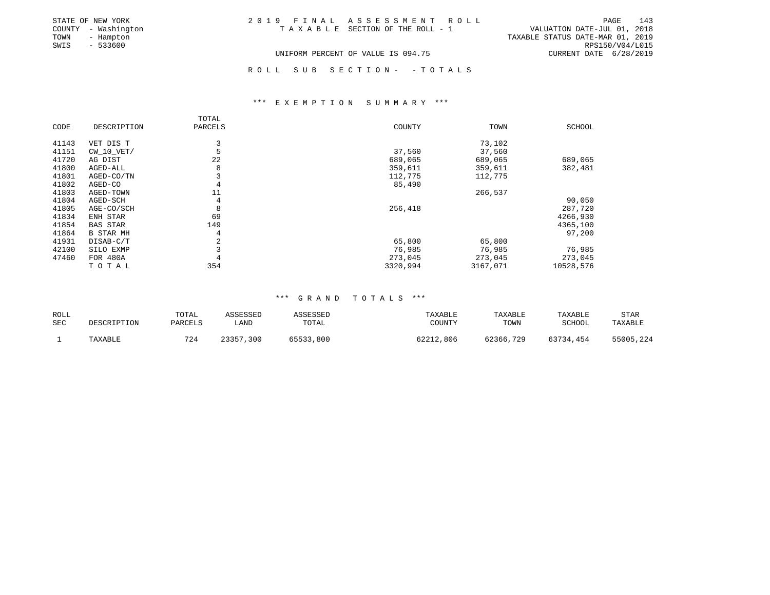|      | STATE OF NEW YORK   | 2019 FINAL ASSESSMENT ROLL                                     | PAGE                   | 143 |
|------|---------------------|----------------------------------------------------------------|------------------------|-----|
|      | COUNTY - Washington | VALUATION DATE-JUL 01, 2018<br>TAXABLE SECTION OF THE ROLL - 1 |                        |     |
| TOWN | - Hampton           | TAXABLE STATUS DATE-MAR 01, 2019                               |                        |     |
| SWIS | - 533600            |                                                                | RPS150/V04/L015        |     |
|      |                     | UNIFORM PERCENT OF VALUE IS 094.75                             | CURRENT DATE 6/28/2019 |     |

R O L L S U B S E C T I O N - - T O T A L S

### \*\*\* E X E M P T I O N S U M M A R Y \*\*\*

|       |                  | TOTAL   |          |          |           |
|-------|------------------|---------|----------|----------|-----------|
| CODE  | DESCRIPTION      | PARCELS | COUNTY   | TOWN     | SCHOOL    |
| 41143 | VET DIS T        | 3       |          | 73,102   |           |
| 41151 | $CW$ 10 $VET/$   |         | 37,560   | 37,560   |           |
| 41720 | AG DIST          | 22      | 689,065  | 689,065  | 689,065   |
| 41800 | AGED-ALL         | 8       | 359,611  | 359,611  | 382,481   |
| 41801 | AGED-CO/TN       |         | 112,775  | 112,775  |           |
| 41802 | AGED-CO          | 4       | 85,490   |          |           |
| 41803 | AGED-TOWN        | 11      |          | 266,537  |           |
| 41804 | AGED-SCH         | 4       |          |          | 90,050    |
| 41805 | AGE-CO/SCH       | 8       | 256,418  |          | 287,720   |
| 41834 | ENH STAR         | 69      |          |          | 4266,930  |
| 41854 | <b>BAS STAR</b>  | 149     |          |          | 4365,100  |
| 41864 | <b>B STAR MH</b> | 4       |          |          | 97,200    |
| 41931 | DISAB-C/T        | 2       | 65,800   | 65,800   |           |
| 42100 | SILO EXMP        |         | 76,985   | 76,985   | 76,985    |
| 47460 | FOR 480A         |         | 273,045  | 273,045  | 273,045   |
|       | TOTAL            | 354     | 3320,994 | 3167,071 | 10528,576 |

### \*\*\* G R A N D T O T A L S \*\*\*

| ROLL<br>SEC | DESCRIPTION | TOTAL<br>PARCELS | ASSESSED<br>LAND | ASSESSED<br>TOTAL | TAXABLE<br>COUNTY | TAXABLE<br>TOWN | TAXABLE<br>SCHOOL | STAR<br>TAXABLE |
|-------------|-------------|------------------|------------------|-------------------|-------------------|-----------------|-------------------|-----------------|
|             | TAXABLE     | 724              | 23357<br>,300    | 65533,800         | 62212,806         | 62366,729       | 63734,454         | 55005,224       |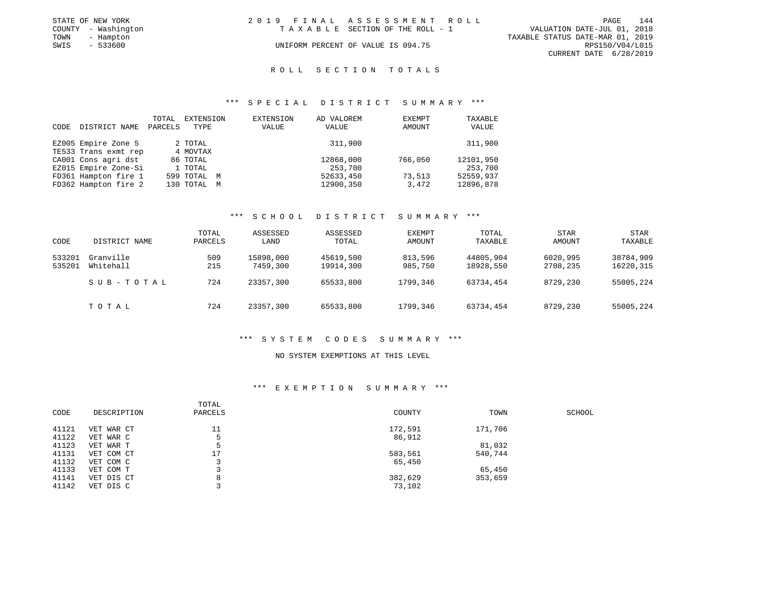|      | STATE OF NEW YORK   | 2019 FINAL ASSESSMENT ROLL |                                    |                                  |                        | <b>PAGE</b> | 144 |
|------|---------------------|----------------------------|------------------------------------|----------------------------------|------------------------|-------------|-----|
|      | COUNTY - Washington |                            | TAXABLE SECTION OF THE ROLL - 1    | VALUATION DATE-JUL 01, 2018      |                        |             |     |
| TOWN | - Hampton           |                            |                                    | TAXABLE STATUS DATE-MAR 01, 2019 |                        |             |     |
| SWIS | - 533600            |                            | UNIFORM PERCENT OF VALUE IS 094.75 |                                  | RPS150/V04/L015        |             |     |
|      |                     |                            |                                    |                                  | CURRENT DATE 6/28/2019 |             |     |

#### R O L L S E C T I O N T O T A L S

### \*\*\* S P E C I A L D I S T R I C T S U M M A R Y \*\*\*

| CODE | DISTRICT NAME        | TOTAL<br>PARCELS | EXTENSION<br>TYPE | EXTENSION<br>VALUE | AD VALOREM<br>VALUE | EXEMPT<br>AMOUNT | TAXABLE<br>VALUE |
|------|----------------------|------------------|-------------------|--------------------|---------------------|------------------|------------------|
|      | EZ005 Empire Zone 5  |                  | 2 TOTAL           |                    | 311,900             |                  | 311,900          |
|      | TE533 Trans exmt rep |                  | 4 MOVTAX          |                    |                     |                  |                  |
|      | CA001 Cons agri dst  |                  | 86 TOTAL          |                    | 12868,000           | 766,050          | 12101,950        |
|      | EZ015 Empire Zone-Si |                  | 1 TOTAL           |                    | 253,700             |                  | 253,700          |
|      | FD361 Hampton fire 1 |                  | 599 TOTAL M       |                    | 52633,450           | 73,513           | 52559,937        |
|      | FD362 Hampton fire 2 |                  | 130 TOTAL M       |                    | 12900,350           | 3,472            | 12896,878        |

### \*\*\* S C H O O L D I S T R I C T S U M M A R Y \*\*\*

| CODE             | DISTRICT NAME          | TOTAL<br>PARCELS | ASSESSED<br>LAND      | ASSESSED<br>TOTAL      | <b>EXEMPT</b><br>AMOUNT | TOTAL<br>TAXABLE       | STAR<br><b>AMOUNT</b> | STAR<br>TAXABLE        |
|------------------|------------------------|------------------|-----------------------|------------------------|-------------------------|------------------------|-----------------------|------------------------|
| 533201<br>535201 | Granville<br>Whitehall | 509<br>215       | 15898,000<br>7459,300 | 45619,500<br>19914,300 | 813,596<br>985,750      | 44805,904<br>18928,550 | 6020,995<br>2708,235  | 38784,909<br>16220,315 |
|                  | SUB-TOTAL              | 724              | 23357,300             | 65533,800              | 1799,346                | 63734,454              | 8729,230              | 55005,224              |
|                  | TOTAL                  | 724              | 23357,300             | 65533,800              | 1799,346                | 63734,454              | 8729,230              | 55005,224              |

#### \*\*\* S Y S T E M C O D E S S U M M A R Y \*\*\*

#### NO SYSTEM EXEMPTIONS AT THIS LEVEL

### \*\*\* E X E M P T I O N S U M M A R Y \*\*\*

| CODE<br>DESCRIPTION<br>PARCELS<br>COUNTY<br>TOWN<br>SCHOOL |  |
|------------------------------------------------------------|--|
|                                                            |  |
| 11<br>41121<br>172,591<br>171,706<br>VET WAR CT            |  |
| 41122<br>86,912<br>VET WAR C                               |  |
| 81,032<br>41123<br>VET WAR T                               |  |
| 41131<br>17<br>540,744<br>583,561<br>VET COM CT            |  |
| 41132<br>65,450<br>VET COM C                               |  |
| 41133<br>65,450<br>VET COM T                               |  |
| 41141<br>382,629<br>353,659<br>VET DIS CT<br>8             |  |
| 41142<br>73,102<br>VET DIS C                               |  |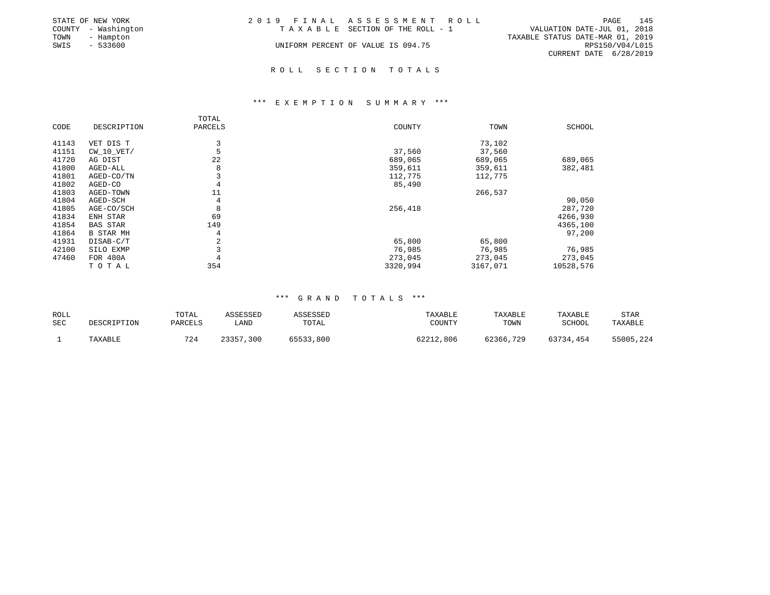|      | STATE OF NEW YORK   | 2019 FINAL ASSESSMENT ROLL |                                    |                                  |                        | PAGE | 145 |
|------|---------------------|----------------------------|------------------------------------|----------------------------------|------------------------|------|-----|
|      | COUNTY - Washington |                            | TAXABLE SECTION OF THE ROLL - 1    | VALUATION DATE-JUL 01, 2018      |                        |      |     |
| TOWN | - Hampton           |                            |                                    | TAXABLE STATUS DATE-MAR 01, 2019 |                        |      |     |
| SWIS | - 533600            |                            | UNIFORM PERCENT OF VALUE IS 094.75 |                                  | RPS150/V04/L015        |      |     |
|      |                     |                            |                                    |                                  | CURRENT DATE 6/28/2019 |      |     |

### \*\*\* E X E M P T I O N S U M M A R Y \*\*\*

|       |                  | TOTAL   |          |          |           |
|-------|------------------|---------|----------|----------|-----------|
| CODE  | DESCRIPTION      | PARCELS | COUNTY   | TOWN     | SCHOOL    |
| 41143 | VET DIS T        | 3       |          | 73,102   |           |
| 41151 | CW 10 VET/       |         | 37,560   | 37,560   |           |
| 41720 | AG DIST          | 22      | 689,065  | 689,065  | 689,065   |
| 41800 | AGED-ALL         | 8       | 359,611  | 359,611  | 382,481   |
| 41801 | AGED-CO/TN       |         | 112,775  | 112,775  |           |
| 41802 | AGED-CO          | 4       | 85,490   |          |           |
| 41803 | AGED-TOWN        | 11      |          | 266,537  |           |
| 41804 | AGED-SCH         | 4       |          |          | 90,050    |
| 41805 | AGE-CO/SCH       | 8       | 256,418  |          | 287,720   |
| 41834 | ENH STAR         | 69      |          |          | 4266,930  |
| 41854 | <b>BAS STAR</b>  | 149     |          |          | 4365,100  |
| 41864 | <b>B STAR MH</b> | 4       |          |          | 97,200    |
| 41931 | DISAB-C/T        | 2       | 65,800   | 65,800   |           |
| 42100 | SILO EXMP        |         | 76,985   | 76,985   | 76,985    |
| 47460 | FOR 480A         |         | 273,045  | 273,045  | 273,045   |
|       | TOTAL            | 354     | 3320,994 | 3167,071 | 10528,576 |

| ROLL<br>SEC | DESCRIPTION | TOTAL<br>PARCELS | ASSESSED<br>LAND | ASSESSED<br>TOTAL | TAXABLE<br>COUNTY | TAXABLE<br>TOWN | TAXABLE<br>SCHOOL | STAR<br>TAXABLE |
|-------------|-------------|------------------|------------------|-------------------|-------------------|-----------------|-------------------|-----------------|
|             | TAXABLE     | 724              | 23357,300        | 65533,800         | 62212,806         | 62366,729       | 63734,454         | 55005,224       |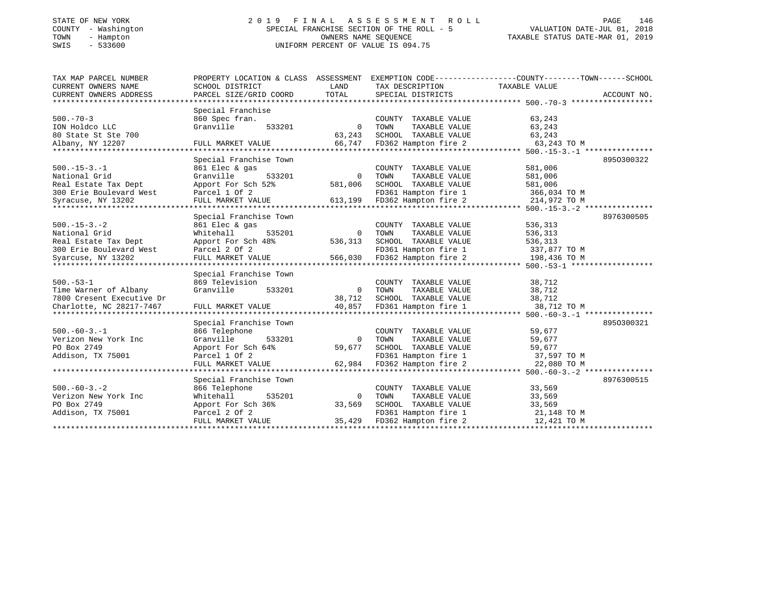### STATE OF NEW YORK 2 0 1 9 F I N A L A S S E S S M E N T R O L L PAGE 146 COUNTY - Washington SPECIAL FRANCHISE SECTION OF THE ROLL - 5 VALUATION DATE-JUL 01, 2018 TOWN - Hampton OWNERS NAME SEQUENCE TAXABLE STATUS DATE-MAR 01, 2019 SWIS - 533600 UNIFORM PERCENT OF VALUE IS 094.75UNIFORM PERCENT OF VALUE IS 094.75

| TAX MAP PARCEL NUMBER     | PROPERTY LOCATION & CLASS ASSESSMENT |          |                       | EXEMPTION CODE-----------------COUNTY-------TOWN-----SCHOOL |
|---------------------------|--------------------------------------|----------|-----------------------|-------------------------------------------------------------|
| CURRENT OWNERS NAME       | SCHOOL DISTRICT                      | LAND     | TAX DESCRIPTION       | TAXABLE VALUE                                               |
| CURRENT OWNERS ADDRESS    | PARCEL SIZE/GRID COORD               | TOTAL    | SPECIAL DISTRICTS     | ACCOUNT NO.                                                 |
| ****************          |                                      |          |                       |                                                             |
|                           | Special Franchise                    |          |                       |                                                             |
| $500. - 70 - 3$           | 860 Spec fran.                       |          | COUNTY TAXABLE VALUE  | 63,243                                                      |
| ION Holdco LLC            | Granville<br>533201                  | $\Omega$ | TAXABLE VALUE<br>TOWN | 63,243                                                      |
| 80 State St Ste 700       |                                      | 63,243   | SCHOOL TAXABLE VALUE  | 63,243                                                      |
| Albany, NY 12207          | FULL MARKET VALUE                    | 66,747   | FD362 Hampton fire 2  | 63,243 TO M                                                 |
|                           |                                      |          |                       |                                                             |
|                           | Special Franchise Town               |          |                       | 8950300322                                                  |
| $500. -15 - 3. -1$        | 861 Elec & gas                       |          | COUNTY TAXABLE VALUE  | 581,006                                                     |
| National Grid             | Granville<br>533201                  | $\circ$  | TOWN<br>TAXABLE VALUE | 581,006                                                     |
| Real Estate Tax Dept      | Apport For Sch 52%                   | 581,006  | SCHOOL TAXABLE VALUE  | 581,006                                                     |
| 300 Erie Boulevard West   | Parcel 1 Of 2                        |          | FD361 Hampton fire 1  | 366,034 TO M                                                |
| Syracuse, NY 13202        | FULL MARKET VALUE                    | 613,199  | FD362 Hampton fire 2  | 214,972 TO M                                                |
| ************************* |                                      |          |                       |                                                             |
|                           | Special Franchise Town               |          |                       | 8976300505                                                  |
| $500. -15 - 3. -2$        | 861 Elec & gas                       |          | COUNTY TAXABLE VALUE  | 536,313                                                     |
| National Grid             | Whitehall<br>535201                  | $\Omega$ | TOWN<br>TAXABLE VALUE | 536,313                                                     |
| Real Estate Tax Dept      | Apport For Sch 48%                   | 536,313  | SCHOOL TAXABLE VALUE  | 536,313                                                     |
| 300 Erie Boulevard West   | Parcel 2 Of 2                        |          | FD361 Hampton fire 1  | 337,877 TO M                                                |
| Syarcuse, NY 13202        | FULL MARKET VALUE                    | 566,030  | FD362 Hampton fire 2  | 198,436 TO M                                                |
|                           |                                      |          |                       |                                                             |
|                           | Special Franchise Town               |          |                       |                                                             |
| $500. - 53 - 1$           | 869 Television                       |          | COUNTY TAXABLE VALUE  | 38,712                                                      |
| Time Warner of Albany     | Granville<br>533201                  | $\Omega$ | TOWN<br>TAXABLE VALUE | 38,712                                                      |
| 7800 Cresent Executive Dr |                                      | 38,712   | SCHOOL TAXABLE VALUE  | 38,712                                                      |
| Charlotte, NC 28217-7467  | FULL MARKET VALUE                    | 40,857   | FD361 Hampton fire 1  | 38,712 TO M                                                 |
|                           |                                      |          |                       |                                                             |
|                           | Special Franchise Town               |          |                       | 8950300321                                                  |
| $500. -60 - 3. - 1$       | 866 Telephone                        |          | COUNTY TAXABLE VALUE  | 59,677                                                      |
| Verizon New York Inc      | 533201<br>Granville                  | $\Omega$ | TOWN<br>TAXABLE VALUE | 59,677                                                      |
| PO Box 2749               | Apport For Sch 64%                   | 59,677   | SCHOOL TAXABLE VALUE  | 59,677                                                      |
| Addison, TX 75001         | Parcel 1 Of 2                        |          | FD361 Hampton fire 1  | 37,597 TO M                                                 |
|                           | FULL MARKET VALUE                    | 62,984   | FD362 Hampton fire 2  | 22,080 TO M                                                 |
|                           |                                      |          |                       |                                                             |
|                           | Special Franchise Town               |          |                       | 8976300515                                                  |
| $500. -60 - 3. -2$        | 866 Telephone                        |          | COUNTY TAXABLE VALUE  | 33,569                                                      |
| Verizon New York Inc      | 535201<br>Whitehall                  | $\Omega$ | TOWN<br>TAXABLE VALUE | 33,569                                                      |
| PO Box 2749               | Apport For Sch 36%                   | 33,569   | SCHOOL TAXABLE VALUE  | 33,569                                                      |
| Addison, TX 75001         | Parcel 2 Of 2                        |          | FD361 Hampton fire 1  | 21,148 TO M                                                 |
|                           | FULL MARKET VALUE                    | 35,429   | FD362 Hampton fire 2  | 12,421 TO M                                                 |
|                           |                                      |          |                       |                                                             |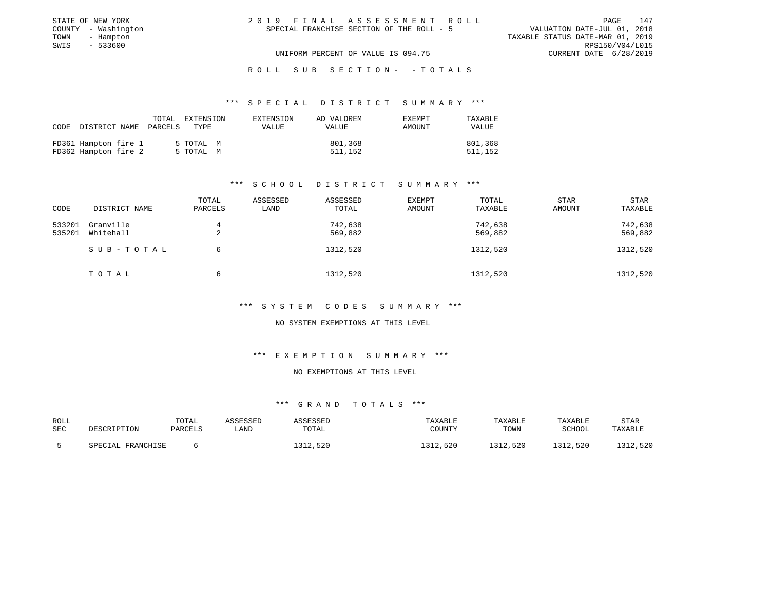| STATE OF NEW YORK   | 2019 FINAL ASSESSMENT ROLL                | 147<br>PAGE                      |
|---------------------|-------------------------------------------|----------------------------------|
| COUNTY - Washington | SPECIAL FRANCHISE SECTION OF THE ROLL - 5 | VALUATION DATE-JUL 01, 2018      |
| TOWN<br>- Hampton   |                                           | TAXABLE STATUS DATE-MAR 01, 2019 |
| SWIS<br>- 533600    |                                           | RPS150/V04/L015                  |
|                     | UNIFORM PERCENT OF VALUE IS 094.75        | CURRENT DATE 6/28/2019           |
|                     |                                           |                                  |

### \*\*\* S P E C I A L D I S T R I C T S U M M A R Y \*\*\*

| CODE                                         | TOTAL EXTENSION        | EXTENSION | AD VALOREM         | <b>EXEMPT</b> | TAXABLE            |
|----------------------------------------------|------------------------|-----------|--------------------|---------------|--------------------|
| DISTRICT NAME PARCELS                        | TYPE                   | VALUE     | VALUE              | AMOUNT        | VALUE              |
| FD361 Hampton fire 1<br>FD362 Hampton fire 2 | 5 TOTAL M<br>5 TOTAL M |           | 801,368<br>511,152 |               | 801,368<br>511,152 |

### \*\*\* S C H O O L D I S T R I C T S U M M A R Y \*\*\*

| CODE   | DISTRICT NAME | TOTAL<br>PARCELS | ASSESSED<br>LAND | ASSESSED<br>TOTAL | <b>EXEMPT</b><br>AMOUNT | TOTAL<br>TAXABLE | <b>STAR</b><br>AMOUNT | STAR<br>TAXABLE |
|--------|---------------|------------------|------------------|-------------------|-------------------------|------------------|-----------------------|-----------------|
|        |               |                  |                  |                   |                         |                  |                       |                 |
| 533201 | Granville     | 4                |                  | 742,638           |                         | 742,638          |                       | 742,638         |
| 535201 | Whitehall     | 2                |                  | 569,882           |                         | 569,882          |                       | 569,882         |
|        | SUB-TOTAL     | 6                |                  | 1312,520          |                         | 1312,520         |                       | 1312,520        |
|        | TOTAL         | 6                |                  | 1312,520          |                         | 1312,520         |                       | 1312,520        |

### \*\*\* S Y S T E M C O D E S S U M M A R Y \*\*\*

#### NO SYSTEM EXEMPTIONS AT THIS LEVEL

#### \*\*\* E X E M P T I O N S U M M A R Y \*\*\*

#### NO EXEMPTIONS AT THIS LEVEL

| ROLL |                   | TOTAL   | ASSESSED | ASSESSED | TAXABLE  | TAXABLE  | TAXABLE       | STAR     |
|------|-------------------|---------|----------|----------|----------|----------|---------------|----------|
| SEC  | DESCRIPTION       | PARCELS | LAND     | TOTAL    | COUNTY   | TOWN     | <b>SCHOOL</b> | TAXABLE  |
|      | SPECIAL FRANCHISE |         |          | 1312,520 | 1312,520 | 1312,520 | 1312,520      | 1312,520 |
|      |                   |         |          |          |          |          |               |          |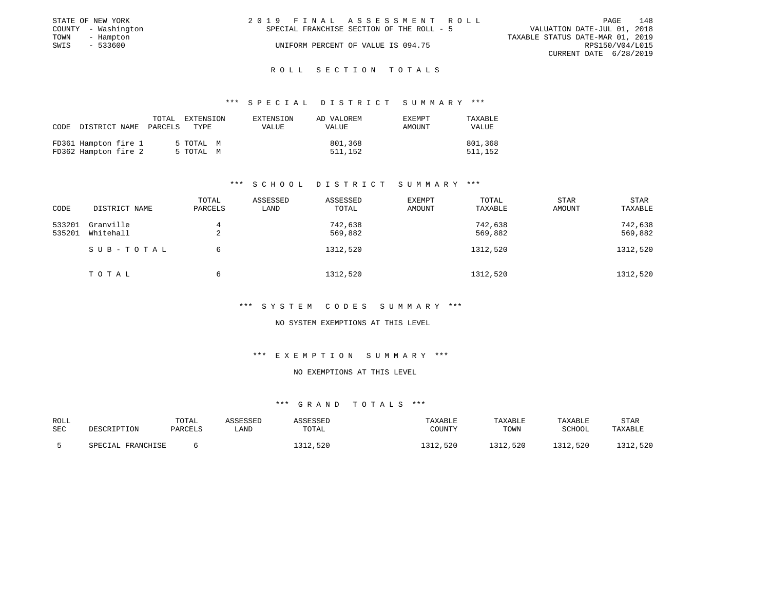| 2019 FINAL ASSESSMENT ROLL                | 148<br>PAGE                      |
|-------------------------------------------|----------------------------------|
| SPECIAL FRANCHISE SECTION OF THE ROLL - 5 | VALUATION DATE-JUL 01, 2018      |
|                                           | TAXABLE STATUS DATE-MAR 01, 2019 |
| UNIFORM PERCENT OF VALUE IS 094.75        | RPS150/V04/L015                  |
|                                           | CURRENT DATE 6/28/2019           |
|                                           |                                  |

### \*\*\* S P E C I A L D I S T R I C T S U M M A R Y \*\*\*

| CODE | DISTRICT NAME                                | PARCELS | TOTAL EXTENSION<br>TYPE | EXTENSION<br><b>VALUE</b> | AD VALOREM<br>VALUE | <b>EXEMPT</b><br>AMOUNT | TAXABLE<br>VALUE   |
|------|----------------------------------------------|---------|-------------------------|---------------------------|---------------------|-------------------------|--------------------|
|      | FD361 Hampton fire 1<br>FD362 Hampton fire 2 |         | 5 TOTAL M<br>5 TOTAL M  |                           | 801,368<br>511,152  |                         | 801,368<br>511,152 |

### \*\*\* S C H O O L D I S T R I C T S U M M A R Y \*\*\*

|        |               | TOTAL         | ASSESSED | ASSESSED | <b>EXEMPT</b> | TOTAL    | <b>STAR</b> | STAR     |
|--------|---------------|---------------|----------|----------|---------------|----------|-------------|----------|
| CODE   | DISTRICT NAME | PARCELS       | LAND     | TOTAL    | <b>AMOUNT</b> | TAXABLE  | AMOUNT      | TAXABLE  |
| 533201 | Granville     | 4             |          | 742,638  |               | 742,638  |             | 742,638  |
| 535201 | Whitehall     | $\Omega$<br>△ |          | 569,882  |               | 569,882  |             | 569,882  |
|        | SUB-TOTAL     | 6             |          | 1312,520 |               | 1312,520 |             | 1312,520 |
|        | TOTAL         | 6             |          | 1312,520 |               | 1312,520 |             | 1312,520 |

### \*\*\* S Y S T E M C O D E S S U M M A R Y \*\*\*

#### NO SYSTEM EXEMPTIONS AT THIS LEVEL

#### \*\*\* E X E M P T I O N S U M M A R Y \*\*\*

#### NO EXEMPTIONS AT THIS LEVEL

| ROLL                      | TOTAL     | ASSESSED | <b><i>ASSESSED</i></b> | TAXABLE            | TAXABLE  | TAXABLE      | STAR     |
|---------------------------|-----------|----------|------------------------|--------------------|----------|--------------|----------|
| <b>SEC</b><br>DESCRIPTION | PARCELS   | LAND     | TOTAL                  | COUNTY             | TOWN     | SCHOOL       | TAXABLE  |
| SPECIAL                   | FRANCHISE |          | 1312,520               | <b>CCC</b><br>.520 | 1312,520 | .520<br>1212 | 1312,520 |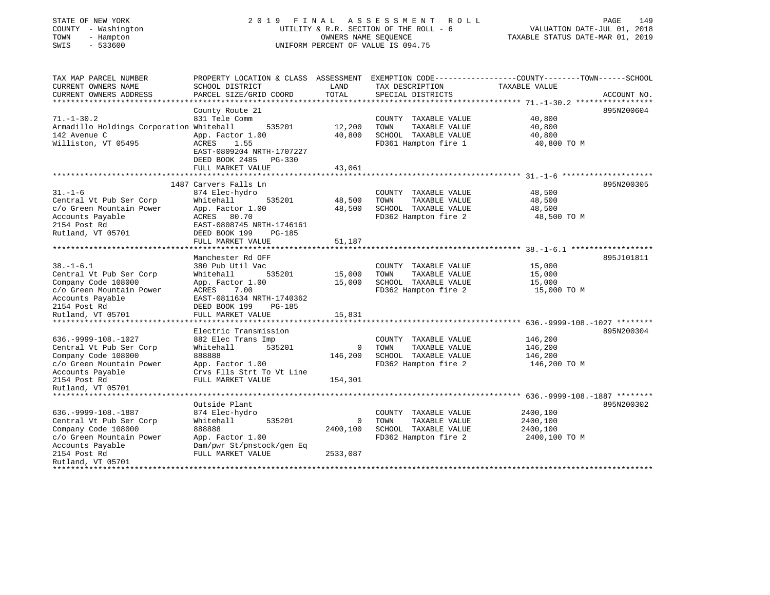| STATE OF NEW YORK<br>COUNTY - Washington<br>TOWN<br>- Hampton<br>SWIS<br>$-533600$                                                                               | 2019 FINAL                                                                                                                                                | OWNERS NAME SEQUENCE       | A S S E S S M E N T<br>R O L L<br>UTILITY & R.R. SECTION OF THE ROLL - 6<br>UNIFORM PERCENT OF VALUE IS 094.75 | PAGE<br>149<br>VALUATION DATE-JUL 01, 2018<br>TAXABLE STATUS DATE-MAR 01, 2019                                                   |
|------------------------------------------------------------------------------------------------------------------------------------------------------------------|-----------------------------------------------------------------------------------------------------------------------------------------------------------|----------------------------|----------------------------------------------------------------------------------------------------------------|----------------------------------------------------------------------------------------------------------------------------------|
| TAX MAP PARCEL NUMBER<br>CURRENT OWNERS NAME<br>CURRENT OWNERS ADDRESS<br>**********************                                                                 | SCHOOL DISTRICT<br>PARCEL SIZE/GRID COORD                                                                                                                 | LAND<br>TOTAL              | TAX DESCRIPTION<br>SPECIAL DISTRICTS                                                                           | PROPERTY LOCATION & CLASS ASSESSMENT EXEMPTION CODE----------------COUNTY-------TOWN------SCHOOL<br>TAXABLE VALUE<br>ACCOUNT NO. |
| $71. - 1 - 30.2$<br>Armadillo Holdings Corporation Whitehall<br>142 Avenue C<br>Williston, VT 05495                                                              | County Route 21<br>831 Tele Comm<br>535201<br>App. Factor 1.00<br>ACRES 1.55<br>EAST-0809204 NRTH-1707227<br>DEED BOOK 2485 PG-330<br>FULL MARKET VALUE   | 12,200<br>40,800<br>43,061 | COUNTY TAXABLE VALUE<br>TOWN<br>TAXABLE VALUE<br>SCHOOL TAXABLE VALUE<br>FD361 Hampton fire 1                  | 895N200604<br>40,800<br>40,800<br>40,800<br>40,800 TO M                                                                          |
|                                                                                                                                                                  |                                                                                                                                                           |                            |                                                                                                                |                                                                                                                                  |
| $31. - 1 - 6$<br>Central Vt Pub Ser Corp<br>c/o Green Mountain Power<br>Accounts Payable<br>2154 Post Rd<br>Rutland, VT 05701                                    | 1487 Carvers Falls Ln<br>874 Elec-hydro<br>Whitehall<br>535201<br>App. Factor 1.00<br>ACRES 80.70<br>EAST-0808745 NRTH-1746161<br>DEED BOOK 199<br>PG-185 | 48,500<br>48,500           | COUNTY TAXABLE VALUE<br>TOWN<br>TAXABLE VALUE<br>SCHOOL TAXABLE VALUE<br>FD362 Hampton fire 2                  | 895N200305<br>48,500<br>48,500<br>48,500<br>48,500 TO M                                                                          |
|                                                                                                                                                                  | FULL MARKET VALUE                                                                                                                                         | 51,187                     |                                                                                                                |                                                                                                                                  |
| $38. - 1 - 6.1$<br>Central Vt Pub Ser Corp<br>Company Code 108000                                                                                                | Manchester Rd OFF<br>380 Pub Util Vac<br>Whitehall<br>535201<br>App. Factor 1.00                                                                          | 15,000<br>15,000           | COUNTY TAXABLE VALUE<br>TAXABLE VALUE<br>TOWN<br>SCHOOL TAXABLE VALUE                                          | 895J101811<br>15,000<br>15,000<br>15,000                                                                                         |
| c/o Green Mountain Power<br>Accounts Payable<br>2154 Post Rd<br>Rutland, VT 05701                                                                                | ACRES<br>7.00<br>EAST-0811634 NRTH-1740362<br>DEED BOOK 199<br>PG-185<br>FULL MARKET VALUE                                                                | 15,831                     | FD362 Hampton fire 2                                                                                           | 15,000 TO M                                                                                                                      |
| $636. -9999 - 108. -1027$<br>Central Vt Pub Ser Corp<br>Company Code 108000<br>c/o Green Mountain Power<br>Accounts Payable<br>2154 Post Rd<br>Rutland, VT 05701 | Electric Transmission<br>882 Elec Trans Imp<br>Whitehall<br>535201<br>888888<br>App. Factor 1.00<br>Crvs Flls Strt To Vt Line<br>FULL MARKET VALUE        | 0<br>146,200<br>154,301    | COUNTY TAXABLE VALUE<br>TOWN<br>TAXABLE VALUE<br>SCHOOL TAXABLE VALUE<br>FD362 Hampton fire 2                  | 895N200304<br>146,200<br>146,200<br>146,200<br>146,200 TO M                                                                      |
| *******************                                                                                                                                              | **************************                                                                                                                                |                            |                                                                                                                |                                                                                                                                  |
| 636. - 9999 - 108. - 1887<br>Central Vt Pub Ser Corp                                                                                                             | Outside Plant<br>874 Elec-hydro<br>Whitehall<br>535201                                                                                                    | $\circ$                    | COUNTY TAXABLE VALUE<br>TOWN<br>TAXABLE VALUE                                                                  | 895N200302<br>2400,100<br>2400,100                                                                                               |
| Company Code 108000<br>c/o Green Mountain Power<br>Accounts Payable<br>2154 Post Rd<br>Rutland, VT 05701                                                         | 888888<br>App. Factor 1.00<br>Dam/pwr St/pnstock/gen Eq<br>FULL MARKET VALUE                                                                              | 2400,100<br>2533,087       | SCHOOL TAXABLE VALUE<br>FD362 Hampton fire 2                                                                   | 2400,100<br>2400,100 TO M                                                                                                        |
| + + + + + + + + + + + + + + + + +                                                                                                                                |                                                                                                                                                           |                            |                                                                                                                |                                                                                                                                  |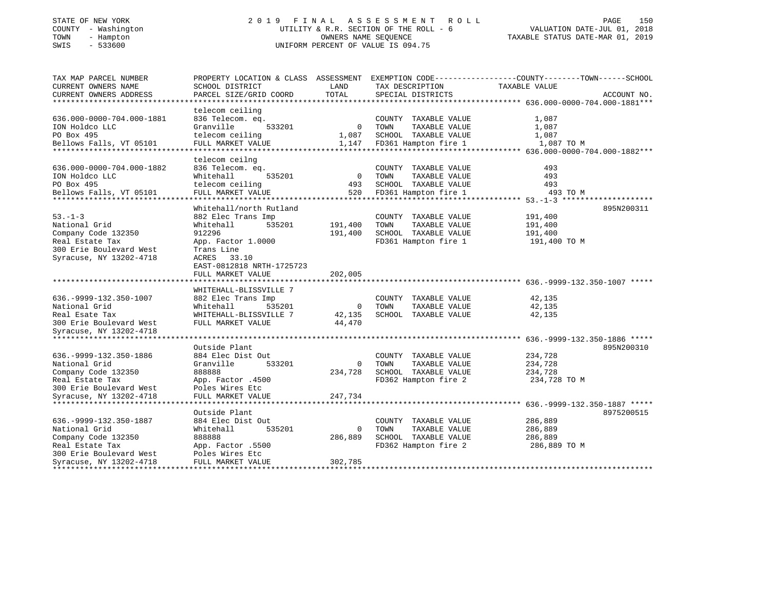### STATE OF NEW YORK 2019 FINAL ASSESSMENT ROLL PAGE 150 COUNTY - Washington  $UIILITY & R.R.$  SECTION OF THE ROLL - 6<br>TOWN - Hampton DWNERS NAME SEQUENCE TOWN - Hampton OWNERS NAME SEQUENCE TAXABLE STATUS DATE-MAR 01, 2019 SWIS - 533600 UNIFORM PERCENT OF VALUE IS 094.75

VALUATION DATE-JUL 01, 2018

| TAX MAP PARCEL NUMBER         | PROPERTY LOCATION & CLASS ASSESSMENT EXEMPTION CODE---------------COUNTY-------TOWN------SCHOOL |                          |                            |               |             |
|-------------------------------|-------------------------------------------------------------------------------------------------|--------------------------|----------------------------|---------------|-------------|
| CURRENT OWNERS NAME           | SCHOOL DISTRICT                                                                                 | LAND                     | TAX DESCRIPTION            | TAXABLE VALUE |             |
| CURRENT OWNERS ADDRESS        | PARCEL SIZE/GRID COORD                                                                          | TOTAL                    | SPECIAL DISTRICTS          |               | ACCOUNT NO. |
|                               |                                                                                                 |                          |                            |               |             |
|                               | telecom ceiling                                                                                 |                          |                            |               |             |
| 636.000-0000-704.000-1881     | 836 Telecom. eq.                                                                                |                          | COUNTY TAXABLE VALUE       | 1,087         |             |
| ION Holdco LLC                | Granville<br>533201                                                                             |                          | 0 TOWN<br>TAXABLE VALUE    | 1,087         |             |
| PO Box 495                    | telecom ceiling                                                                                 | 1,087                    | SCHOOL TAXABLE VALUE       | 1,087         |             |
| Bellows Falls, VT 05101       | FULL MARKET VALUE                                                                               |                          | 1,147 FD361 Hampton fire 1 | 1,087 TO M    |             |
|                               |                                                                                                 |                          |                            |               |             |
|                               | telecom ceilng                                                                                  |                          |                            |               |             |
| 636.000-0000-704.000-1882     | 836 Telecom. eq.                                                                                |                          | COUNTY TAXABLE VALUE       | 493           |             |
| ION Holdco LLC                | 535201<br>Whitehall                                                                             | $\overline{\phantom{0}}$ | TOWN<br>TAXABLE VALUE      | 493           |             |
| PO Box 495                    | telecom ceiling                                                                                 | 493                      | SCHOOL TAXABLE VALUE       | 493           |             |
| Bellows Falls, VT 05101       | FULL MARKET VALUE                                                                               | 520                      | FD361 Hampton fire 1       | 493 TO M      |             |
|                               |                                                                                                 |                          |                            |               |             |
|                               | Whitehall/north Rutland                                                                         |                          |                            |               | 895N200311  |
| $53. -1 - 3$                  | 882 Elec Trans Imp                                                                              |                          | COUNTY TAXABLE VALUE       | 191,400       |             |
| National Grid                 | Whitehall<br>535201                                                                             | 191,400                  | TAXABLE VALUE<br>TOWN      | 191,400       |             |
| Company Code 132350           | 912296                                                                                          | 191,400                  | SCHOOL TAXABLE VALUE       | 191,400       |             |
| Real Estate Tax               | App. Factor 1.0000                                                                              |                          | FD361 Hampton fire 1       | 191,400 TO M  |             |
| 300 Erie Boulevard West       | Trans Line                                                                                      |                          |                            |               |             |
| Syracuse, NY 13202-4718       | ACRES 33.10                                                                                     |                          |                            |               |             |
|                               | EAST-0812818 NRTH-1725723                                                                       |                          |                            |               |             |
|                               | FULL MARKET VALUE                                                                               | 202,005                  |                            |               |             |
|                               | ************************                                                                        | ************             |                            |               |             |
|                               | WHITEHALL-BLISSVILLE 7                                                                          |                          |                            |               |             |
| 636. - 9999 - 132. 350 - 1007 | 882 Elec Trans Imp                                                                              |                          | COUNTY TAXABLE VALUE       | 42,135        |             |
| National Grid                 | Whitehall<br>535201                                                                             | $\overline{0}$           | TOWN<br>TAXABLE VALUE      | 42,135        |             |
| Real Esate Tax                | WHITEHALL-BLISSVILLE 7                                                                          | 42,135                   | SCHOOL TAXABLE VALUE       | 42,135        |             |
| 300 Erie Boulevard West       | FULL MARKET VALUE                                                                               | 44,470                   |                            |               |             |
| Syracuse, NY 13202-4718       |                                                                                                 |                          |                            |               |             |
|                               |                                                                                                 |                          |                            |               |             |
|                               | Outside Plant                                                                                   |                          |                            |               | 895N200310  |
| 636. - 9999 - 132. 350 - 1886 | 884 Elec Dist Out                                                                               |                          | COUNTY TAXABLE VALUE       | 234,728       |             |
| National Grid                 | Granville<br>533201                                                                             | $\overline{0}$           | TOWN<br>TAXABLE VALUE      | 234,728       |             |
| Company Code 132350           | 888888                                                                                          | 234,728                  | SCHOOL TAXABLE VALUE       | 234,728       |             |
| Real Estate Tax               | App. Factor .4500                                                                               |                          | FD362 Hampton fire 2       | 234,728 TO M  |             |
| 300 Erie Boulevard West       | Poles Wires Etc                                                                                 |                          |                            |               |             |
| Syracuse, NY 13202-4718       | FULL MARKET VALUE                                                                               | 247,734                  |                            |               |             |
|                               |                                                                                                 |                          |                            |               |             |
|                               | Outside Plant                                                                                   |                          |                            |               | 8975200515  |
| 636. - 9999 - 132. 350 - 1887 | 884 Elec Dist Out                                                                               |                          | COUNTY TAXABLE VALUE       | 286,889       |             |
| National Grid                 | 535201<br>Whitehall                                                                             | $\Omega$                 | TAXABLE VALUE<br>TOWN      | 286,889       |             |
| Company Code 132350           | 888888                                                                                          | 286,889                  | SCHOOL TAXABLE VALUE       | 286,889       |             |
| Real Estate Tax               | App. Factor .5500                                                                               |                          | FD362 Hampton fire 2       | 286,889 TO M  |             |
| 300 Erie Boulevard West       | Poles Wires Etc                                                                                 |                          |                            |               |             |
| Syracuse, NY 13202-4718       | FULL MARKET VALUE                                                                               | 302,785                  |                            |               |             |
|                               |                                                                                                 |                          |                            |               |             |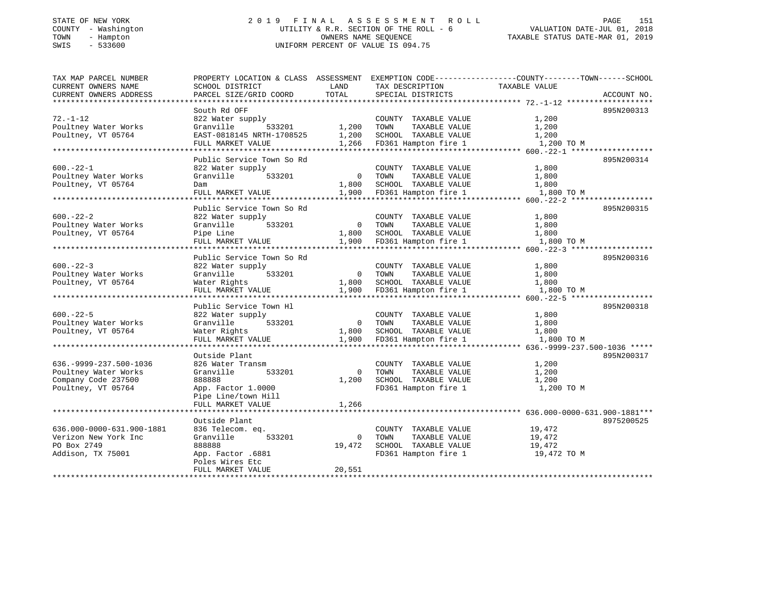## STATE OF NEW YORK 2 0 1 9 F I N A L A S S E S S M E N T R O L L PAGE 151 COUNTY - Washington UTILITY & R.R. SECTION OF THE ROLL - 6 VALUATION DATE-JUL 01, 2018 TOWN - Hampton OWNERS NAME SEQUENCE TAXABLE STATUS DATE-MAR 01, 2019 SWIS - 533600 UNIFORM PERCENT OF VALUE IS 094.75

| TAX MAP PARCEL NUMBER         | PROPERTY LOCATION & CLASS ASSESSMENT EXEMPTION CODE---------------COUNTY-------TOWN------SCHOOL |                |                            |               |             |
|-------------------------------|-------------------------------------------------------------------------------------------------|----------------|----------------------------|---------------|-------------|
| CURRENT OWNERS NAME           | SCHOOL DISTRICT                                                                                 | LAND           | TAX DESCRIPTION            | TAXABLE VALUE |             |
| CURRENT OWNERS ADDRESS        | PARCEL SIZE/GRID COORD                                                                          | TOTAL          | SPECIAL DISTRICTS          |               | ACCOUNT NO. |
|                               |                                                                                                 |                |                            |               |             |
|                               | South Rd OFF                                                                                    |                |                            |               | 895N200313  |
| $72. - 1 - 12$                | 822 Water supply                                                                                |                | COUNTY TAXABLE VALUE       | 1,200         |             |
| Poultney Water Works          | 533201<br>Granville                                                                             | 1,200 TOWN     | TAXABLE VALUE              | 1,200         |             |
| Poultney, VT 05764            | EAST-0818145 NRTH-1708525 1,200 SCHOOL TAXABLE VALUE                                            |                |                            | 1,200         |             |
|                               | FULL MARKET VALUE                                                                               |                | 1,266 FD361 Hampton fire 1 | 1,200 TO M    |             |
|                               |                                                                                                 |                |                            |               |             |
|                               | Public Service Town So Rd                                                                       |                |                            |               | 895N200314  |
| $600. -22 - 1$                | 822 Water supply                                                                                |                | COUNTY TAXABLE VALUE       | 1,800         |             |
| Poultney Water Works          | Granville<br>533201                                                                             | 0 TOWN         | TAXABLE VALUE              | 1,800         |             |
| Poultney, VT 05764            | Dam                                                                                             | 1,800          | SCHOOL TAXABLE VALUE       | 1,800         |             |
|                               | FULL MARKET VALUE                                                                               | 1,900          | FD361 Hampton fire 1       | 1,800 TO M    |             |
|                               |                                                                                                 |                |                            |               |             |
|                               | Public Service Town So Rd                                                                       |                |                            |               | 895N200315  |
| $600 - 22 - 2$                | 822 Water supply                                                                                |                | COUNTY TAXABLE VALUE       | 1,800         |             |
| Poultney Water Works          | Granville<br>533201                                                                             |                | 0 TOWN<br>TAXABLE VALUE    | 1,800         |             |
| Poultney, VT 05764            | Pipe Line                                                                                       |                | 1,800 SCHOOL TAXABLE VALUE | 1,800         |             |
|                               | FULL MARKET VALUE                                                                               |                | 1,900 FD361 Hampton fire 1 | 1,800 TO M    |             |
|                               | Public Service Town So Rd                                                                       |                |                            |               | 895N200316  |
| $600 - 22 - 3$                | 822 Water supply                                                                                |                | COUNTY TAXABLE VALUE       | 1,800         |             |
| Poultney Water Works          | Granville<br>533201                                                                             | 0 TOWN         | TAXABLE VALUE              | 1,800         |             |
| Poultney, VT 05764            | Water Rights                                                                                    | 1,800          | SCHOOL TAXABLE VALUE       | 1,800         |             |
|                               | FULL MARKET VALUE                                                                               | 1,900          | FD361 Hampton fire 1       | 1,800 TO M    |             |
|                               |                                                                                                 |                |                            |               |             |
|                               | Public Service Town Hl                                                                          |                |                            |               | 895N200318  |
| $600 - 22 - 5$                | 822 Water supply                                                                                |                | COUNTY TAXABLE VALUE       | 1,800         |             |
| Poultney Water Works          | 533201<br>Granville                                                                             |                | 0 TOWN<br>TAXABLE VALUE    | 1,800         |             |
| Poultney, VT 05764            | Water Rights                                                                                    |                | 1,800 SCHOOL TAXABLE VALUE | 1,800         |             |
|                               | FULL MARKET VALUE                                                                               | 1,900          | FD361 Hampton fire 1       | 1,800 TO M    |             |
|                               |                                                                                                 |                |                            |               |             |
|                               | Outside Plant                                                                                   |                |                            |               | 895N200317  |
| 636. - 9999 - 237. 500 - 1036 | 826 Water Transm                                                                                |                | COUNTY TAXABLE VALUE       | 1,200         |             |
| Poultney Water Works          | Granville<br>533201                                                                             | $\overline{0}$ | TAXABLE VALUE<br>TOWN      | 1,200         |             |
| Company Code 237500           | 888888                                                                                          | 1,200          | SCHOOL TAXABLE VALUE       | 1,200         |             |
| Poultney, VT 05764            | App. Factor 1.0000                                                                              |                | FD361 Hampton fire 1       | 1,200 TO M    |             |
|                               | Pipe Line/town Hill                                                                             |                |                            |               |             |
|                               | FULL MARKET VALUE                                                                               | 1,266          |                            |               |             |
|                               |                                                                                                 |                |                            |               |             |
|                               | Outside Plant                                                                                   |                |                            |               | 8975200525  |
| 636.000-0000-631.900-1881     | 836 Telecom. eq.                                                                                |                | COUNTY TAXABLE VALUE       | 19,472        |             |
| Verizon New York Inc          | 533201<br>Granville                                                                             | $\mathbf{0}$   | TOWN<br>TAXABLE VALUE      | 19,472        |             |
| PO Box 2749                   | 888888                                                                                          | 19,472         | SCHOOL TAXABLE VALUE       | 19,472        |             |
| Addison, TX 75001             | App. Factor .6881                                                                               |                | FD361 Hampton fire 1       | 19,472 TO M   |             |
|                               | Poles Wires Etc                                                                                 |                |                            |               |             |
|                               | FULL MARKET VALUE                                                                               | 20,551         |                            |               |             |
|                               |                                                                                                 |                |                            |               |             |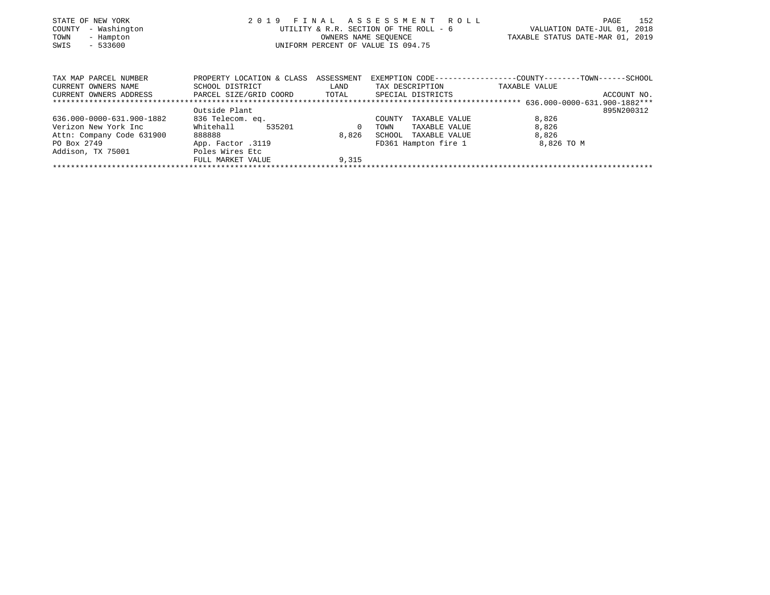| STATE OF NEW YORK<br>- Washington<br>COUNTY<br>TOWN<br>- Hampton<br>$-533600$<br>SWIS | 2019<br>FINAL             | ASSESSMENT<br>R O L L<br>UTILITY & R.R. SECTION OF THE ROLL - 6<br>OWNERS NAME SEOUENCE<br>UNIFORM PERCENT OF VALUE IS 094.75 | 152<br>PAGE<br>VALUATION DATE-JUL 01,<br>2018<br>TAXABLE STATUS DATE-MAR 01, 2019 |                                            |
|---------------------------------------------------------------------------------------|---------------------------|-------------------------------------------------------------------------------------------------------------------------------|-----------------------------------------------------------------------------------|--------------------------------------------|
| TAX MAP PARCEL NUMBER                                                                 | PROPERTY LOCATION & CLASS | ASSESSMENT                                                                                                                    | EXEMPTION CODE--                                                                  | -----------COUNTY---------TOWN------SCHOOL |
| CURRENT OWNERS NAME                                                                   | SCHOOL DISTRICT           | LAND                                                                                                                          | TAX DESCRIPTION                                                                   | TAXABLE VALUE                              |
| CURRENT OWNERS ADDRESS                                                                | PARCEL SIZE/GRID COORD    | TOTAL                                                                                                                         | SPECIAL DISTRICTS                                                                 | ACCOUNT NO.                                |
|                                                                                       |                           |                                                                                                                               |                                                                                   |                                            |
|                                                                                       | Outside Plant             |                                                                                                                               |                                                                                   | 895N200312                                 |
| 636.000-0000-631.900-1882                                                             | 836 Telecom. eq.          |                                                                                                                               | TAXABLE VALUE<br>COUNTY                                                           | 8,826                                      |
| Verizon New York Inc                                                                  | Whitehall<br>535201       |                                                                                                                               | TOWN<br>TAXABLE VALUE                                                             | 8,826                                      |
| Attn: Company Code 631900                                                             | 888888                    | 8,826                                                                                                                         | SCHOOL<br>TAXABLE VALUE                                                           | 8,826                                      |
| PO Box 2749                                                                           | App. Factor .3119         |                                                                                                                               | FD361 Hampton fire 1                                                              | 8,826 TO M                                 |
| Addison, TX 75001                                                                     | Poles Wires Etc           |                                                                                                                               |                                                                                   |                                            |
|                                                                                       | FULL MARKET VALUE         | 9,315                                                                                                                         |                                                                                   |                                            |
|                                                                                       |                           |                                                                                                                               |                                                                                   |                                            |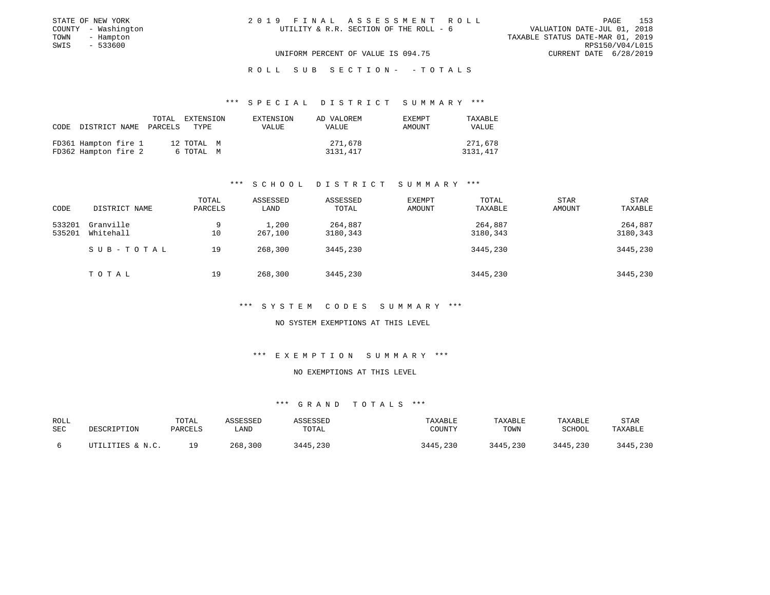| STATE OF NEW YORK   | 2019 FINAL ASSESSMENT ROLL             | 153<br>PAGE                      |
|---------------------|----------------------------------------|----------------------------------|
| COUNTY - Washington | UTILITY & R.R. SECTION OF THE ROLL - 6 | VALUATION DATE-JUL 01, 2018      |
| TOWN<br>- Hampton   |                                        | TAXABLE STATUS DATE-MAR 01, 2019 |
| SWIS<br>- 533600    |                                        | RPS150/V04/L015                  |
|                     | UNIFORM PERCENT OF VALUE IS 094.75     | CURRENT DATE 6/28/2019           |
|                     |                                        |                                  |

### \*\*\* S P E C I A L D I S T R I C T S U M M A R Y \*\*\*

| CODE DISTRICT NAME PARCELS |  | TOTAL EXTENSION<br>TYPE | EXTENSION<br>VALUE | AD VALOREM<br><b>VALUE</b> | <b>EXEMPT</b><br>AMOUNT | TAXABLE<br>VALUE |
|----------------------------|--|-------------------------|--------------------|----------------------------|-------------------------|------------------|
| FD361 Hampton fire 1       |  | 12 TOTAL M              |                    | 271,678                    |                         | 271,678          |
| FD362 Hampton fire 2       |  | 6 TOTAL M               |                    | 3131,417                   |                         | 3131,417         |

### \*\*\* S C H O O L D I S T R I C T S U M M A R Y \*\*\*

|        |               | TOTAL   | ASSESSED | ASSESSED | <b>EXEMPT</b> | TOTAL    | STAR          | STAR     |
|--------|---------------|---------|----------|----------|---------------|----------|---------------|----------|
| CODE   | DISTRICT NAME | PARCELS | LAND     | TOTAL    | AMOUNT        | TAXABLE  | <b>AMOUNT</b> | TAXABLE  |
| 533201 | Granville     | 9       | 1,200    | 264,887  |               | 264,887  |               | 264,887  |
| 535201 | Whitehall     | 10      | 267,100  | 3180,343 |               | 3180,343 |               | 3180,343 |
|        | SUB-TOTAL     | 19      | 268,300  | 3445,230 |               | 3445,230 |               | 3445,230 |
|        | TOTAL         | 19      | 268,300  | 3445,230 |               | 3445,230 |               | 3445,230 |

### \*\*\* S Y S T E M C O D E S S U M M A R Y \*\*\*

#### NO SYSTEM EXEMPTIONS AT THIS LEVEL

#### \*\*\* E X E M P T I O N S U M M A R Y \*\*\*

#### NO EXEMPTIONS AT THIS LEVEL

| ROLL       |                  | TOTAL   | ASSESSED | ASSESSED | TAXABLE  | TAXABLE  | TAXABLE       | STAR     |
|------------|------------------|---------|----------|----------|----------|----------|---------------|----------|
| <b>SEC</b> | DESCRIPTION      | PARCELS | LAND     | TOTAL    | COUNTY   | TOWN     | <b>SCHOOL</b> | TAXABLE  |
|            |                  |         |          |          |          |          |               |          |
|            | UTILITIES & N.C. | 1 Q     | 268,300  | 3445,230 | 3445,230 | 3445,230 | 3445,230      | 3445,230 |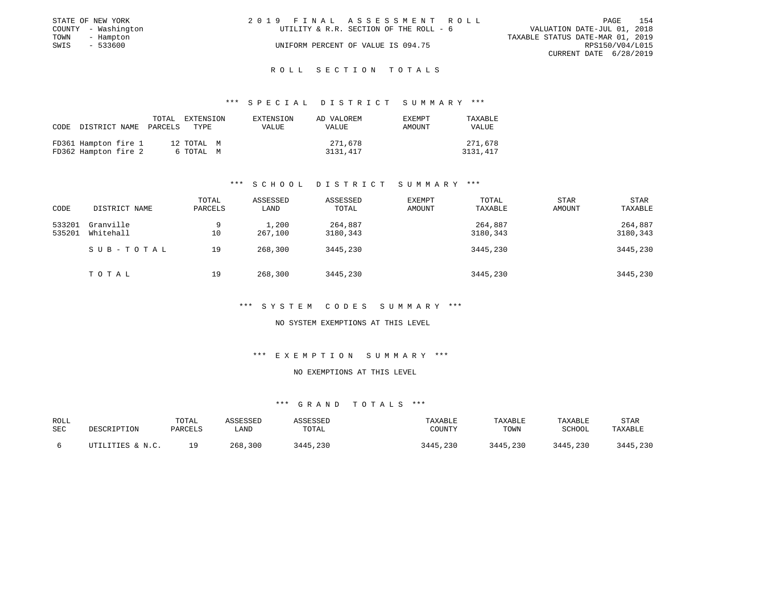|      | STATE OF NEW YORK   | 2019 FINAL ASSESSMENT ROLL             | 154<br>PAGE                      |
|------|---------------------|----------------------------------------|----------------------------------|
|      | COUNTY - Washington | UTILITY & R.R. SECTION OF THE ROLL - 6 | VALUATION DATE-JUL 01, 2018      |
| TOWN | - Hampton           |                                        | TAXABLE STATUS DATE-MAR 01, 2019 |
| SWIS | $-533600$           | UNIFORM PERCENT OF VALUE IS 094.75     | RPS150/V04/L015                  |
|      |                     |                                        | CURRENT DATE 6/28/2019           |

### \*\*\* S P E C I A L D I S T R I C T S U M M A R Y \*\*\*

| CODE | DISTRICT NAME                                | PARCELS | TOTAL EXTENSION<br>TYPE | EXTENSION<br>VALUE | AD VALOREM<br>VALUE | <b>EXEMPT</b><br>AMOUNT | TAXABLE<br>VALUE    |
|------|----------------------------------------------|---------|-------------------------|--------------------|---------------------|-------------------------|---------------------|
|      | FD361 Hampton fire 1<br>FD362 Hampton fire 2 |         | 12 TOTAL M<br>6 TOTAL M |                    | 271,678<br>3131,417 |                         | 271,678<br>3131,417 |

### \*\*\* S C H O O L D I S T R I C T S U M M A R Y \*\*\*

|        |               | TOTAL   | ASSESSED | ASSESSED | <b>EXEMPT</b> | TOTAL    | STAR   | <b>STAR</b> |
|--------|---------------|---------|----------|----------|---------------|----------|--------|-------------|
| CODE   | DISTRICT NAME | PARCELS | LAND     | TOTAL    | AMOUNT        | TAXABLE  | AMOUNT | TAXABLE     |
| 533201 | Granville     | 9       | 1,200    | 264,887  |               | 264,887  |        | 264,887     |
| 535201 | Whitehall     | 10      | 267,100  | 3180,343 |               | 3180,343 |        | 3180,343    |
|        | SUB-TOTAL     | 19      | 268,300  | 3445,230 |               | 3445,230 |        | 3445,230    |
|        | TOTAL         | 19      | 268,300  | 3445,230 |               | 3445,230 |        | 3445,230    |

### \*\*\* S Y S T E M C O D E S S U M M A R Y \*\*\*

#### NO SYSTEM EXEMPTIONS AT THIS LEVEL

### \*\*\* E X E M P T I O N S U M M A R Y \*\*\*

#### NO EXEMPTIONS AT THIS LEVEL

| ROLL |                  | TOTAL   | ASSESSED | ASSESSED | TAXABLE  | TAXABLE  | TAXABLE  | STAR     |
|------|------------------|---------|----------|----------|----------|----------|----------|----------|
| SEC  | DESCRIPTION      | PARCELS | LAND     | TOTAL    | COUNTY   | TOWN     | SCHOOL   | TAXABLE  |
|      | UTILITIES & N.C. | 1 Q     | 268,300  | 3445,230 | 3445,230 | 3445,230 | 3445,230 | 3445,230 |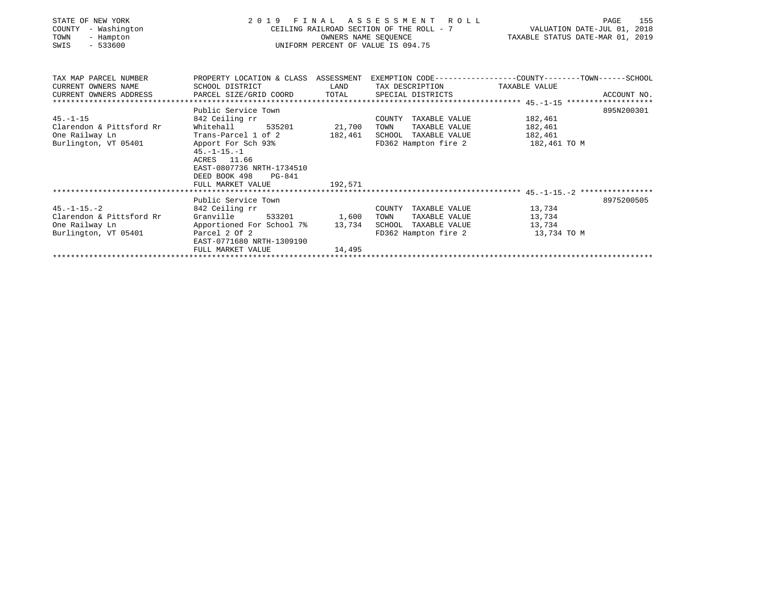| STATE OF NEW YORK<br>COUNTY<br>- Washington<br>TOWN<br>- Hampton<br>$-533600$<br>SWIS | 2019 FINAL ASSESSMENT ROLL<br>CEILING RAILROAD SECTION OF THE ROLL - 7<br>UNIFORM PERCENT OF VALUE IS 094.75    | 155<br>PAGE<br>VALUATION DATE-JUL 01, 2018<br>TAXABLE STATUS DATE-MAR 01, 2019 |                               |              |             |
|---------------------------------------------------------------------------------------|-----------------------------------------------------------------------------------------------------------------|--------------------------------------------------------------------------------|-------------------------------|--------------|-------------|
| TAX MAP PARCEL NUMBER                                                                 | PROPERTY LOCATION & CLASS ASSESSMENT EXEMPTION CODE----------------COUNTY-------TOWN------SCHOOL                |                                                                                |                               |              |             |
| CURRENT OWNERS NAME                                                                   | SCHOOL DISTRICT                                                                                                 | LAND                                                                           | TAX DESCRIPTION TAXABLE VALUE |              |             |
| CURRENT OWNERS ADDRESS PARCEL SIZE/GRID COORD TOTAL                                   |                                                                                                                 |                                                                                | SPECIAL DISTRICTS             |              | ACCOUNT NO. |
|                                                                                       | Public Service Town                                                                                             |                                                                                |                               |              | 895N200301  |
| $45. - 1 - 15$                                                                        | 842 Ceiling rr                                                                                                  |                                                                                | COUNTY TAXABLE VALUE          | 182,461      |             |
| Clarendon & Pittsford Rr                                                              | Whitehall<br>535201                                                                                             | 21,700                                                                         | TAXABLE VALUE<br>TOWN         | 182,461      |             |
| One Railway Ln                                                                        |                                                                                                                 |                                                                                |                               | 182,461      |             |
| Burlington, VT 05401                                                                  | Apport For Sch 93%<br>$45. -1 - 15. - 1$<br>ACRES 11.66<br>EAST-0807736 NRTH-1734510<br>DEED BOOK 498<br>PG-841 |                                                                                | FD362 Hampton fire 2          | 182,461 TO M |             |
|                                                                                       | FULL MARKET VALUE                                                                                               | 192,571                                                                        |                               |              |             |
|                                                                                       |                                                                                                                 |                                                                                |                               |              |             |
| $45. - 1 - 15. - 2$                                                                   | Public Service Town<br>842 Ceiling rr                                                                           |                                                                                | COUNTY TAXABLE VALUE          | 13,734       | 8975200505  |
| Clarendon & Pittsford Rr                                                              | Granville                                                                                                       | 533201 1,600                                                                   | TOWN<br>TAXABLE VALUE         | 13,734       |             |
| One Railway Ln                                                                        | Apportioned For School 7%                                                                                       | 13,734                                                                         | SCHOOL TAXABLE VALUE          | 13,734       |             |
| Burlington, VT 05401                                                                  | Parcel 2 Of 2<br>EAST-0771680 NRTH-1309190                                                                      |                                                                                | FD362 Hampton fire 2          | 13,734 TO M  |             |
|                                                                                       | FULL MARKET VALUE                                                                                               | 14,495                                                                         |                               |              |             |
|                                                                                       |                                                                                                                 |                                                                                |                               |              |             |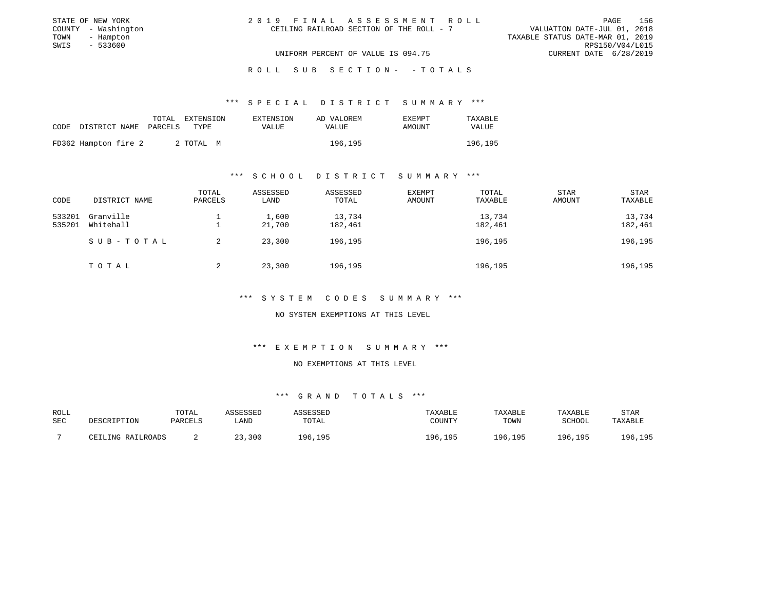|      | STATE OF NEW YORK   | 2019 FINAL ASSESSMENT ROLL               |                                  | PAGE | 156 |
|------|---------------------|------------------------------------------|----------------------------------|------|-----|
|      | COUNTY - Washington | CEILING RAILROAD SECTION OF THE ROLL - 7 | VALUATION DATE-JUL 01, 2018      |      |     |
| TOWN | - Hampton           |                                          | TAXABLE STATUS DATE-MAR 01, 2019 |      |     |
| SWIS | - 533600            |                                          | RPS150/V04/L015                  |      |     |
|      |                     | UNIFORM PERCENT OF VALUE IS 094.75       | CURRENT DATE 6/28/2019           |      |     |
|      |                     |                                          |                                  |      |     |

### \*\*\* S P E C I A L D I S T R I C T S U M M A R Y \*\*\*

|                      | TOTAL.  | EXTENSION | EXTENSION | AD VALOREM   | <b>EXEMPT</b> | TAXABLE |
|----------------------|---------|-----------|-----------|--------------|---------------|---------|
| CODE DISTRICT NAME   | PARCELS | TYPE      | VALUE     | <b>VALUE</b> | AMOUNT        | VALUE   |
|                      |         |           |           |              |               |         |
| FD362 Hampton fire 2 |         | 2 TOTAL M |           | 196,195      |               | 196,195 |

### \*\*\* S C H O O L D I S T R I C T S U M M A R Y \*\*\*

| CODE                | DISTRICT NAME | TOTAL<br>PARCELS | ASSESSED<br>LAND | ASSESSED<br>TOTAL | <b>EXEMPT</b><br>AMOUNT | TOTAL<br>TAXABLE | <b>STAR</b><br><b>AMOUNT</b> | <b>STAR</b><br>TAXABLE |
|---------------------|---------------|------------------|------------------|-------------------|-------------------------|------------------|------------------------------|------------------------|
| 533201              | Granville     |                  | 1,600            | 13,734            |                         | 13,734           |                              | 13,734                 |
| Whitehall<br>535201 |               | 21,700           | 182,461          |                   | 182,461                 |                  | 182,461                      |                        |
|                     | SUB-TOTAL     | 2                | 23,300           | 196,195           |                         | 196,195          |                              | 196,195                |
|                     | TOTAL         | 2                | 23,300           | 196,195           |                         | 196,195          |                              | 196,195                |

### \*\*\* S Y S T E M C O D E S S U M M A R Y \*\*\*

NO SYSTEM EXEMPTIONS AT THIS LEVEL

#### \*\*\* E X E M P T I O N S U M M A R Y \*\*\*

#### NO EXEMPTIONS AT THIS LEVEL

| ROLL<br><b>SEC</b> | DESCRIPTION       | TOTAL<br>PARCELS | ASSESSED<br>LAND | ASSESSED<br>TOTAL | TAXABLE<br>COUNTY | TAXABLE<br>TOWN | TAXABLE<br>SCHOOL | STAR<br>TAXABLE |
|--------------------|-------------------|------------------|------------------|-------------------|-------------------|-----------------|-------------------|-----------------|
|                    | CEILING RAILROADS |                  | 23,300           | 196,195           | 196,195           | 196,195         | 196.195           | 196,195         |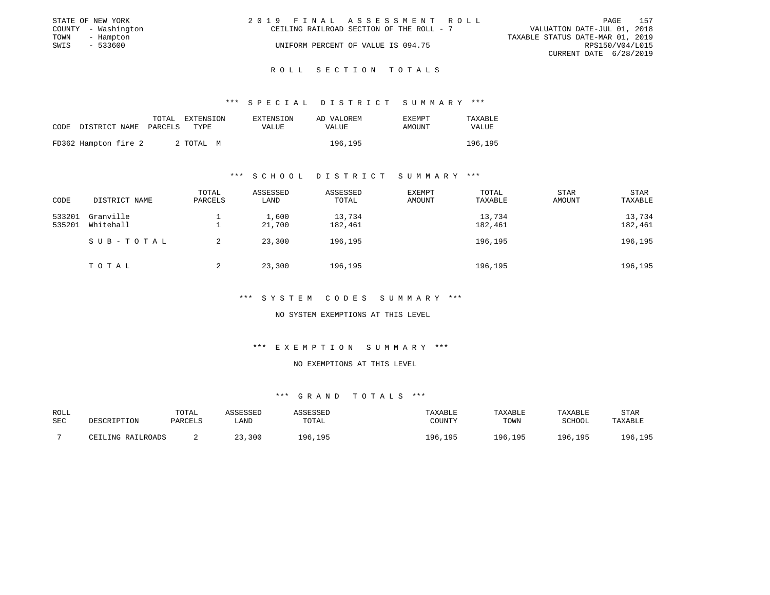|      | STATE OF NEW YORK   | 2019 FINAL ASSESSMENT ROLL                                              | PAGE            | 157 |
|------|---------------------|-------------------------------------------------------------------------|-----------------|-----|
|      | COUNTY - Washington | VALUATION DATE-JUL 01, 2018<br>CEILING RAILROAD SECTION OF THE ROLL - 7 |                 |     |
| TOWN | - Hampton           | TAXABLE STATUS DATE-MAR 01, 2019                                        |                 |     |
| SWIS | - 533600            | UNIFORM PERCENT OF VALUE IS 094.75                                      | RPS150/V04/L015 |     |
|      |                     | CURRENT DATE 6/28/2019                                                  |                 |     |
|      |                     |                                                                         |                 |     |

### \*\*\* S P E C I A L D I S T R I C T S U M M A R Y \*\*\*

|      |                      | TOTAL.  | EXTENSION | EXTENSION | AD VALOREM | <b>EXEMPT</b> | TAXABLE |
|------|----------------------|---------|-----------|-----------|------------|---------------|---------|
| CODE | DISTRICT NAME        | PARCELS | TYPE      | VALUE     | VALUE      | <b>AMOUNT</b> | VALUE   |
|      |                      |         |           |           |            |               |         |
|      | FD362 Hampton fire 2 |         | 2 TOTAL M |           | 196,195    |               | 196,195 |

### \*\*\* S C H O O L D I S T R I C T S U M M A R Y \*\*\*

| CODE             | DISTRICT NAME          | TOTAL<br>PARCELS | ASSESSED<br>LAND | ASSESSED<br>TOTAL | <b>EXEMPT</b><br>AMOUNT | TOTAL<br>TAXABLE  | <b>STAR</b><br>AMOUNT | STAR<br>TAXABLE   |
|------------------|------------------------|------------------|------------------|-------------------|-------------------------|-------------------|-----------------------|-------------------|
| 533201<br>535201 | Granville<br>Whitehall |                  | 1,600<br>21,700  | 13,734<br>182,461 |                         | 13,734<br>182,461 |                       | 13,734<br>182,461 |
|                  | SUB-TOTAL              | 2                | 23,300           | 196,195           |                         | 196,195           |                       | 196,195           |
|                  | TOTAL                  | 2                | 23,300           | 196,195           |                         | 196,195           |                       | 196,195           |

### \*\*\* S Y S T E M C O D E S S U M M A R Y \*\*\*

NO SYSTEM EXEMPTIONS AT THIS LEVEL

### \*\*\* E X E M P T I O N S U M M A R Y \*\*\*

#### NO EXEMPTIONS AT THIS LEVEL

| ROLL<br><b>SEC</b> | DESCRIPTION       | TOTAL<br>PARCELS | ASSESSED<br>LAND | ASSESSED<br>TOTAL | TAXABLE<br>COUNTY | TAXABLE<br>TOWN | TAXABLE<br>SCHOOL | STAR<br>TAXABLE |
|--------------------|-------------------|------------------|------------------|-------------------|-------------------|-----------------|-------------------|-----------------|
|                    | CEILING RAILROADS |                  | 23,300           | 196,195           | 196,195           | 196,195         | 196.195           | 196,195         |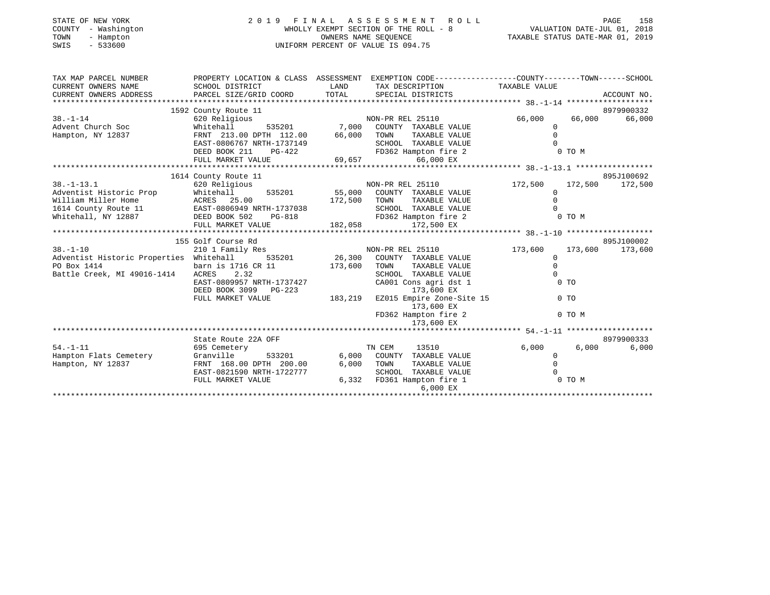| STATE OF NEW YORK   | 2019 FINAL ASSESSMENT ROLL            | 158<br>PAGE                      |
|---------------------|---------------------------------------|----------------------------------|
| COUNTY - Washington | WHOLLY EXEMPT SECTION OF THE ROLL - 8 | VALUATION DATE-JUL 01, 2018      |
| TOWN<br>- Hampton   | OWNERS NAME SEOUENCE                  | TAXABLE STATUS DATE-MAR 01, 2019 |
| - 533600<br>SWIS    | UNIFORM PERCENT OF VALUE IS 094.75    |                                  |
|                     |                                       |                                  |
|                     |                                       |                                  |

| TAX MAP PARCEL NUMBER                                                                                                                                                                                                                | PROPERTY LOCATION & CLASS ASSESSMENT EXEMPTION CODE----------------COUNTY-------TOWN------SCHOOL               |                                                                                                                      |                                   |              |        |                 |
|--------------------------------------------------------------------------------------------------------------------------------------------------------------------------------------------------------------------------------------|----------------------------------------------------------------------------------------------------------------|----------------------------------------------------------------------------------------------------------------------|-----------------------------------|--------------|--------|-----------------|
| CURRENT OWNERS NAME                                                                                                                                                                                                                  | SCHOOL DISTRICT                                                                                                | <b>EXAMPLE EXAMPLE THE EXAMPLE EXAMPLE EXAMPLE EXAMPLE EXAMPLE EXAMPLE EXAMPLE EXAMPLE EXAMPLE EXAMPLE EXAMPLE E</b> | TAX DESCRIPTION TAXABLE VALUE     |              |        |                 |
| CURRENT OWNERS ADDRESS                                                                                                                                                                                                               |                                                                                                                |                                                                                                                      |                                   |              |        |                 |
|                                                                                                                                                                                                                                      |                                                                                                                |                                                                                                                      |                                   |              |        |                 |
|                                                                                                                                                                                                                                      | 1592 County Route 11                                                                                           |                                                                                                                      |                                   |              |        | 8979900332      |
| $38. - 1 - 14$                                                                                                                                                                                                                       | 620 Religious                                                                                                  |                                                                                                                      | NON-PR REL 25110                  | 66,000       | 66,000 | 66,000          |
| Advent Church Soc                                                                                                                                                                                                                    | Whitehall                                                                                                      |                                                                                                                      | 535201 7,000 COUNTY TAXABLE VALUE | $\Omega$     |        |                 |
| Hampton, NY 12837                                                                                                                                                                                                                    | FRNT 213.00 DPTH 112.00 66,000 TOWN                                                                            |                                                                                                                      | TAXABLE VALUE                     | $\Omega$     |        |                 |
|                                                                                                                                                                                                                                      | EAST-0806767 NRTH-1737149                                                                                      |                                                                                                                      | SCHOOL TAXABLE VALUE              |              |        |                 |
|                                                                                                                                                                                                                                      | DEED BOOK 211 PG-422                                                                                           |                                                                                                                      | FD362 Hampton fire 2              |              | 0 TO M |                 |
|                                                                                                                                                                                                                                      | FULL MARKET VALUE                                                                                              | 69,657                                                                                                               | 66,000 EX                         |              |        |                 |
|                                                                                                                                                                                                                                      |                                                                                                                |                                                                                                                      |                                   |              |        |                 |
|                                                                                                                                                                                                                                      | 1614 County Route 11                                                                                           |                                                                                                                      |                                   |              |        | 895J100692      |
| $38. - 1 - 13.1$                                                                                                                                                                                                                     | 620 Religious                                                                                                  |                                                                                                                      | NON-PR REL 25110                  | 172,500      |        | 172,500 172,500 |
| Adventist Historic Prop                                                                                                                                                                                                              | Whitehall 535201 55,000 COUNTY TAXABLE VALUE                                                                   |                                                                                                                      |                                   | $\Omega$     |        |                 |
|                                                                                                                                                                                                                                      |                                                                                                                |                                                                                                                      | TAXABLE VALUE                     | $\Omega$     |        |                 |
| Adventist Historic Prop Mhitehall 535201 55,000 COUNTY TAXABLE VALUE<br>William Miller Home ACRES 25.00 172,500 TOWN TAXABLE VALUE<br>1614 County Route 11 EAST-0806949 NRTH-1737038 5CHOOL TAXABLE VALUE<br>Whitehall, NY 12887 DEE |                                                                                                                |                                                                                                                      | SCHOOL TAXABLE VALUE              |              |        |                 |
|                                                                                                                                                                                                                                      |                                                                                                                |                                                                                                                      |                                   |              | 0 TO M |                 |
|                                                                                                                                                                                                                                      |                                                                                                                |                                                                                                                      |                                   |              |        |                 |
|                                                                                                                                                                                                                                      | 155 Golf Course Rd                                                                                             |                                                                                                                      |                                   |              |        | 895J100002      |
| $38. - 1 - 10$                                                                                                                                                                                                                       |                                                                                                                |                                                                                                                      | NON-PR REL 25110                  | 173,600      |        | 173,600 173,600 |
| Adventist Historic Properties Whitehall 535201 26,300 COUNTY TAXABLE VALUE                                                                                                                                                           | 210 1 Family Res                                                                                               |                                                                                                                      |                                   | $\mathbf{0}$ |        |                 |
|                                                                                                                                                                                                                                      |                                                                                                                | 173,600                                                                                                              | TAXABLE VALUE<br>TOWN             | $\mathbf 0$  |        |                 |
| PO Box 1414<br>Battle Creek, MI 49016-1414                                                                                                                                                                                           | barn is 1716 CR 11<br>ACRES 2.32                                                                               |                                                                                                                      | SCHOOL TAXABLE VALUE              | $\mathbf 0$  |        |                 |
|                                                                                                                                                                                                                                      | EAST-0809957 NRTH-1737427                                                                                      |                                                                                                                      | CA001 Cons agri dst 1             |              | $0$ TO |                 |
|                                                                                                                                                                                                                                      |                                                                                                                |                                                                                                                      |                                   |              |        |                 |
|                                                                                                                                                                                                                                      | DEED BOOK 3099 PG-223 183,219 EZ015 Empire Zone-Site 15<br>FULL MARKET VALUE 183,219 EZ015 Empire Zone-Site 15 |                                                                                                                      |                                   |              | $0$ TO |                 |
|                                                                                                                                                                                                                                      |                                                                                                                |                                                                                                                      | 173,600 EX                        |              |        |                 |
|                                                                                                                                                                                                                                      |                                                                                                                |                                                                                                                      | FD362 Hampton fire 2              |              | 0 TO M |                 |
|                                                                                                                                                                                                                                      |                                                                                                                |                                                                                                                      | 173,600 EX                        |              |        |                 |
|                                                                                                                                                                                                                                      |                                                                                                                |                                                                                                                      |                                   |              |        |                 |
|                                                                                                                                                                                                                                      | State Route 22A OFF                                                                                            |                                                                                                                      |                                   |              |        | 8979900333      |
| $54. - 1 - 11$                                                                                                                                                                                                                       | 695 Cemetery                                                                                                   |                                                                                                                      | TN CEM<br>13510                   | 6,000        | 6,000  | 6,000           |
| Hampton Flats Cemetery                                                                                                                                                                                                               | 533201<br>Granville                                                                                            |                                                                                                                      | 6,000 COUNTY TAXABLE VALUE        | 0            |        |                 |
| Hampton, NY 12837                                                                                                                                                                                                                    | FRNT 168.00 DPTH 200.00                                                                                        | 6,000                                                                                                                | TAXABLE VALUE<br>TOWN             |              |        |                 |
|                                                                                                                                                                                                                                      | EAST-0821590 NRTH-1722777                                                                                      |                                                                                                                      | SCHOOL TAXABLE VALUE              |              |        |                 |
|                                                                                                                                                                                                                                      | FULL MARKET VALUE                                                                                              |                                                                                                                      | 6,332 FD361 Hampton fire 1        |              | 0 TO M |                 |
|                                                                                                                                                                                                                                      |                                                                                                                |                                                                                                                      | 6,000 EX                          |              |        |                 |
|                                                                                                                                                                                                                                      |                                                                                                                |                                                                                                                      |                                   |              |        |                 |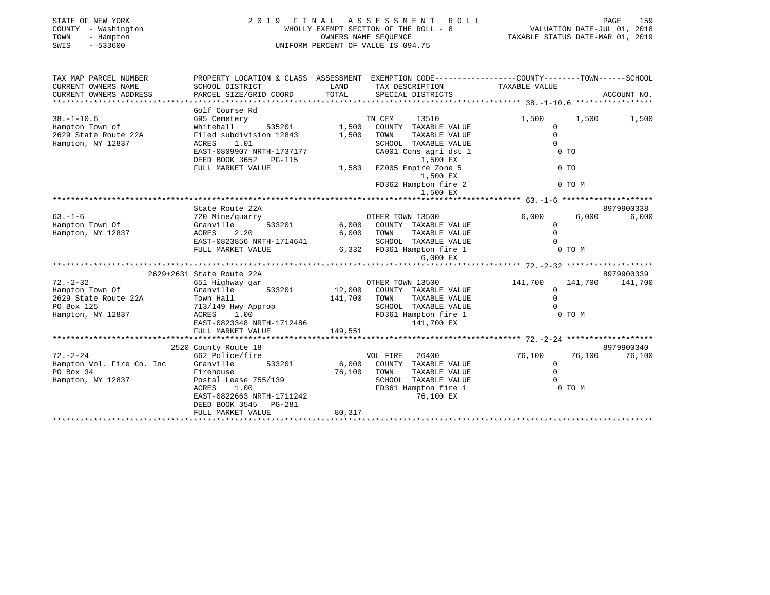| - Washington<br>COUNTY<br>TOWN<br>- Hampton<br>SWIS<br>$-533600$ |                                                    |               | WHOLLY EXEMPT SECTION OF THE ROLL - 8<br>OWNERS NAME SEOUENCE<br>UNIFORM PERCENT OF VALUE IS 094.75 | VALUATION DATE-JUL 01, 2018<br>TAXABLE STATUS DATE-MAR 01, 2019                                 |             |
|------------------------------------------------------------------|----------------------------------------------------|---------------|-----------------------------------------------------------------------------------------------------|-------------------------------------------------------------------------------------------------|-------------|
| TAX MAP PARCEL NUMBER                                            |                                                    |               |                                                                                                     | PROPERTY LOCATION & CLASS ASSESSMENT EXEMPTION CODE---------------COUNTY-------TOWN------SCHOOL |             |
| CURRENT OWNERS NAME<br>CURRENT OWNERS ADDRESS                    | SCHOOL DISTRICT<br>PARCEL SIZE/GRID COORD          | LAND<br>TOTAL | TAX DESCRIPTION<br>SPECIAL DISTRICTS                                                                | TAXABLE VALUE                                                                                   | ACCOUNT NO. |
|                                                                  |                                                    |               |                                                                                                     |                                                                                                 |             |
|                                                                  | Golf Course Rd                                     |               |                                                                                                     |                                                                                                 |             |
| $38. - 1 - 10.6$                                                 | 695 Cemetery                                       |               | TN CEM<br>13510                                                                                     | 1,500<br>1,500                                                                                  | 1,500       |
| Hampton Town of                                                  | Whitehall<br>535201                                | 1,500         | COUNTY TAXABLE VALUE                                                                                | $\mathbf 0$                                                                                     |             |
| 2629 State Route 22A                                             | Filed subdivision 12843                            | 1,500         | TAXABLE VALUE<br>TOWN                                                                               | $\Omega$                                                                                        |             |
| Hampton, NY 12837                                                | ACRES<br>1.01                                      |               | SCHOOL TAXABLE VALUE                                                                                | $\Omega$                                                                                        |             |
|                                                                  | EAST-0809907 NRTH-1737177<br>DEED BOOK 3652 PG-115 |               | CA001 Cons agri dst 1<br>1,500 EX                                                                   | $0$ TO                                                                                          |             |
|                                                                  | FULL MARKET VALUE                                  | 1,583         | EZ005 Empire Zone 5                                                                                 | $0$ TO                                                                                          |             |
|                                                                  |                                                    |               | 1,500 EX                                                                                            |                                                                                                 |             |
|                                                                  |                                                    |               | FD362 Hampton fire 2                                                                                | 0 TO M                                                                                          |             |
|                                                                  |                                                    |               | 1,500 EX                                                                                            |                                                                                                 |             |
|                                                                  |                                                    |               |                                                                                                     |                                                                                                 |             |
|                                                                  | State Route 22A                                    |               |                                                                                                     |                                                                                                 | 8979900338  |
| $63. -1 - 6$                                                     | 720 Mine/quarry                                    |               | OTHER TOWN 13500                                                                                    | 6,000<br>6,000                                                                                  | 6,000       |
| Hampton Town Of                                                  | Granville<br>533201                                | 6,000         | COUNTY TAXABLE VALUE                                                                                | $\Omega$                                                                                        |             |
| Hampton, NY 12837                                                | ACRES<br>2.20<br>EAST-0823856 NRTH-1714641         | 6.000         | TAXABLE VALUE<br>TOWN                                                                               | $\Omega$<br>$\cap$                                                                              |             |
|                                                                  | FULL MARKET VALUE                                  |               | SCHOOL TAXABLE VALUE<br>6,332 FD361 Hampton fire 1                                                  | 0 TO M                                                                                          |             |
|                                                                  |                                                    |               | 6,000 EX                                                                                            |                                                                                                 |             |
|                                                                  |                                                    |               |                                                                                                     |                                                                                                 |             |
|                                                                  | 2629+2631 State Route 22A                          |               |                                                                                                     |                                                                                                 | 8979900339  |
| $72. - 2 - 32$                                                   | 651 Highway gar                                    |               | OTHER TOWN 13500                                                                                    | 141,700<br>141,700                                                                              | 141,700     |
| Hampton Town Of                                                  | Granville<br>533201                                | 12,000        | COUNTY TAXABLE VALUE                                                                                | $\Omega$                                                                                        |             |
| 2629 State Route 22A                                             | Town Hall                                          | 141,700       | TOWN<br>TAXABLE VALUE                                                                               | $\Omega$                                                                                        |             |
| PO Box 125                                                       | 713/149 Hwy Approp                                 |               | SCHOOL TAXABLE VALUE                                                                                |                                                                                                 |             |
| Hampton, NY 12837                                                | 1.00<br>ACRES                                      |               | FD361 Hampton fire 1                                                                                | 0 TO M                                                                                          |             |
|                                                                  | EAST-0823348 NRTH-1712486<br>FULL MARKET VALUE     | 149,551       | 141,700 EX                                                                                          |                                                                                                 |             |
|                                                                  |                                                    |               |                                                                                                     |                                                                                                 |             |
|                                                                  | 2520 County Route 18                               |               |                                                                                                     |                                                                                                 | 8979900340  |
| $72. - 2 - 24$                                                   | 662 Police/fire                                    |               | VOL FIRE<br>26400                                                                                   | 76,100<br>76,100                                                                                | 76,100      |
| Hampton Vol. Fire Co. Inc                                        | 533201<br>Granville                                | 6,000         | COUNTY TAXABLE VALUE                                                                                | 0                                                                                               |             |
| PO Box 34                                                        | Firehouse                                          | 76,100        | TAXABLE VALUE<br>TOWN                                                                               | $\mathbf 0$                                                                                     |             |
| Hampton, NY 12837                                                | Postal Lease 755/139                               |               | SCHOOL TAXABLE VALUE                                                                                | $\Omega$                                                                                        |             |
|                                                                  | ACRES<br>1.00                                      |               | FD361 Hampton fire 1                                                                                | 0 TO M                                                                                          |             |
|                                                                  | EAST-0822663 NRTH-1711242                          |               | 76,100 EX                                                                                           |                                                                                                 |             |

\*\*\*\*\*\*\*\*\*\*\*\*\*\*\*\*\*\*\*\*\*\*\*\*\*\*\*\*\*\*\*\*\*\*\*\*\*\*\*\*\*\*\*\*\*\*\*\*\*\*\*\*\*\*\*\*\*\*\*\*\*\*\*\*\*\*\*\*\*\*\*\*\*\*\*\*\*\*\*\*\*\*\*\*\*\*\*\*\*\*\*\*\*\*\*\*\*\*\*\*\*\*\*\*\*\*\*\*\*\*\*\*\*\*\*\*\*\*\*\*\*\*\*\*\*\*\*\*\*\*\*\*

PAGE 159

STATE OF NEW YORK 2 0 1 9 F I N A L A S S E S S M E N T R O L L

DEED BOOK 3545 PG-281

FULL MARKET VALUE 80,317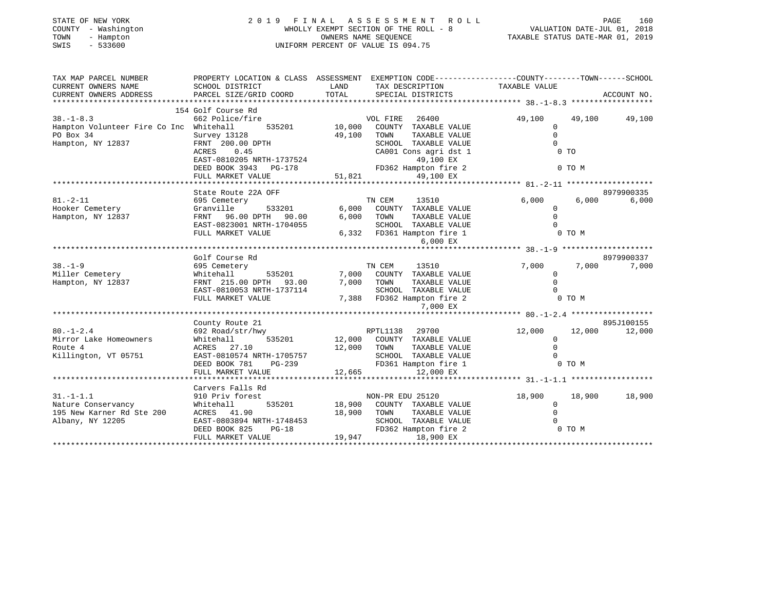| STATE OF NEW YORK<br>- Washington<br>COUNTY<br>TOWN<br>- Hampton<br>$-533600$<br>SWIS | 2019<br>FINAL<br>WHOLLY EXEMPT SECTION OF THE ROLL - 8<br>UNIFORM PERCENT OF VALUE IS 094.75 | PAGE<br>VALUATION DATE-JUL 01, 2018<br>TAXABLE STATUS DATE-MAR 01, 2019 | 160                     |                                                              |             |
|---------------------------------------------------------------------------------------|----------------------------------------------------------------------------------------------|-------------------------------------------------------------------------|-------------------------|--------------------------------------------------------------|-------------|
| TAX MAP PARCEL NUMBER                                                                 | PROPERTY LOCATION & CLASS                                                                    | ASSESSMENT                                                              |                         | EXEMPTION CODE-----------------COUNTY-------TOWN------SCHOOL |             |
| CURRENT OWNERS NAME                                                                   | SCHOOL DISTRICT                                                                              | LAND                                                                    | TAX DESCRIPTION         | TAXABLE VALUE                                                |             |
| CURRENT OWNERS ADDRESS                                                                | PARCEL SIZE/GRID COORD                                                                       | TOTAL                                                                   | SPECIAL DISTRICTS       |                                                              | ACCOUNT NO. |
|                                                                                       |                                                                                              |                                                                         |                         |                                                              |             |
|                                                                                       | 154 Golf Course Rd                                                                           |                                                                         |                         |                                                              |             |
| $38. - 1 - 8.3$                                                                       | 662 Police/fire                                                                              |                                                                         | 26400<br>VOL FIRE       | 49,100<br>49,100                                             | 49,100      |
| Hampton Volunteer Fire Co Inc                                                         | Whitehall<br>535201                                                                          | 10,000                                                                  | COUNTY<br>TAXABLE VALUE |                                                              |             |
| PO Box 34                                                                             | Survey 13128                                                                                 | 49,100                                                                  | TAXABLE VALUE<br>TOWN   |                                                              |             |
| Hampton, NY 12837                                                                     | FRNT 200.00 DPTH                                                                             |                                                                         | SCHOOL<br>TAXABLE VALUE |                                                              |             |
|                                                                                       | 0.45<br>ACRES                                                                                |                                                                         | CA001 Cons agri dst 1   | $0$ TO                                                       |             |
|                                                                                       | EAST-0810205 NRTH-1737524                                                                    |                                                                         | 49,100 EX               |                                                              |             |
|                                                                                       | DEED BOOK 3943<br>PG-178                                                                     |                                                                         | FD362 Hampton fire 2    | 0 TO M                                                       |             |
|                                                                                       | FULL MARKET VALUE                                                                            | 51,821                                                                  | 49,100 EX               |                                                              |             |

|                           | State Route 22A OFF       |        |                                    |        |        | 8979900335 |
|---------------------------|---------------------------|--------|------------------------------------|--------|--------|------------|
| $81. - 2 - 11$            | 695 Cemetery              |        | TN CEM<br>13510                    | 6,000  | 6,000  | 6,000      |
| Hooker Cemetery           | Granville<br>533201       | 6,000  | TAXABLE VALUE<br>COUNTY            |        |        |            |
| Hampton, NY 12837         | FRNT 96.00 DPTH 90.00     | 6,000  | TOWN<br>TAXABLE VALUE              |        |        |            |
|                           | EAST-0823001 NRTH-1704055 |        | SCHOOL TAXABLE VALUE               |        |        |            |
|                           | FULL MARKET VALUE         | 6,332  | FD361 Hampton fire 1               |        | 0 TO M |            |
|                           |                           |        | 6,000 EX                           |        |        |            |
|                           |                           |        |                                    |        |        |            |
|                           | Golf Course Rd            |        |                                    |        |        | 8979900337 |
| $38. - 1 - 9$             | 695 Cemetery              |        | 13510<br>TN CEM                    | 7,000  | 7,000  | 7,000      |
| Miller Cemetery           | Whitehall<br>535201       | 7,000  | COUNTY<br>TAXABLE VALUE            |        |        |            |
| Hampton, NY 12837         | FRNT 215.00 DPTH 93.00    | 7,000  | TOWN<br>TAXABLE VALUE              |        |        |            |
|                           | EAST-0810053 NRTH-1737114 |        | TAXABLE VALUE<br>SCHOOL            |        |        |            |
|                           | FULL MARKET VALUE         | 7,388  | FD362 Hampton fire 2               |        | 0 TO M |            |
|                           |                           |        | 7,000 EX                           |        |        |            |
|                           |                           |        |                                    |        |        |            |
|                           | County Route 21           |        |                                    |        |        | 895J100155 |
| $80. - 1 - 2.4$           | 692 Road/str/hwy          |        | RPTL1138<br>29700                  | 12,000 | 12,000 | 12,000     |
| Mirror Lake Homeowners    | Whitehall                 |        | 535201 12,000 COUNTY TAXABLE VALUE |        |        |            |
| Route 4                   | ACRES 27.10               | 12,000 | TAXABLE VALUE<br>TOWN              |        |        |            |
| Killington, VT 05751      | EAST-0810574 NRTH-1705757 |        | TAXABLE VALUE<br>SCHOOL            |        |        |            |
|                           | DEED BOOK 781<br>PG-239   |        | FD361 Hampton fire 1               |        | 0 TO M |            |
|                           | FULL MARKET VALUE         | 12,665 | 12,000 EX                          |        |        |            |
|                           |                           |        |                                    |        |        |            |
|                           | Carvers Falls Rd          |        |                                    |        |        |            |
| $31. - 1 - 1.1$           | 910 Priv forest           |        | NON-PR EDU 25120                   | 18,900 | 18,900 | 18,900     |
| Nature Conservancy        | Whitehall<br>535201       | 18,900 | COUNTY TAXABLE VALUE               |        |        |            |
| 195 New Karner Rd Ste 200 | ACRES 41.90               | 18,900 | TAXABLE VALUE<br>TOWN              |        |        |            |
| Albany, NY 12205          | EAST-0803894 NRTH-1748453 |        | TAXABLE VALUE<br>SCHOOL            |        |        |            |
|                           | DEED BOOK 825<br>$PG-18$  |        | FD362 Hampton fire 2               |        | 0 TO M |            |

\*\*\*\*\*\*\*\*\*\*\*\*\*\*\*\*\*\*\*\*\*\*\*\*\*\*\*\*\*\*\*\*\*\*\*\*\*\*\*\*\*\*\*\*\*\*\*\*\*\*\*\*\*\*\*\*\*\*\*\*\*\*\*\*\*\*\*\*\*\*\*\*\*\*\*\*\*\*\*\*\*\*\*\*\*\*\*\*\*\*\*\*\*\*\*\*\*\*\*\*\*\*\*\*\*\*\*\*\*\*\*\*\*\*\*\*\*\*\*\*\*\*\*\*\*\*\*\*\*\*\*\*

FULL MARKET VALUE 19,947 18,900 EX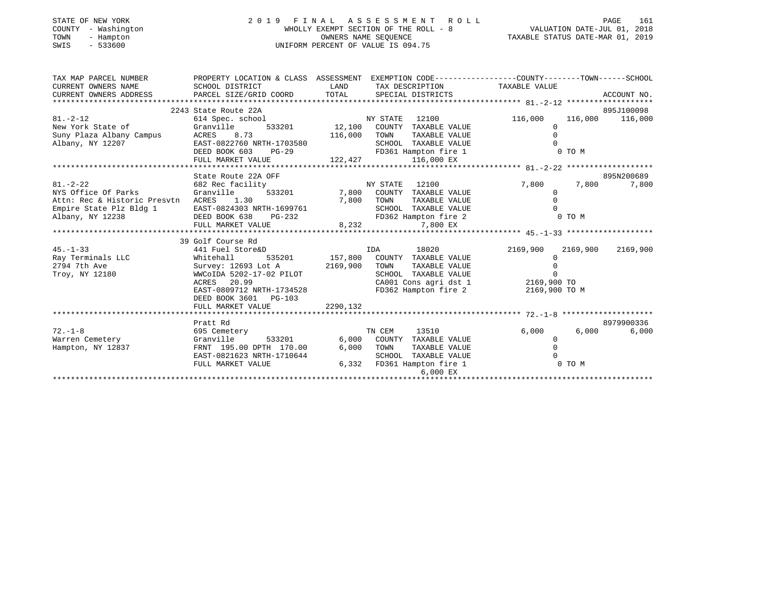| STATE OF NEW YORK<br>COUNTY - Washington<br>- Hampton<br>TOWN<br>SWIS<br>- 533600 | UNIFORM PERCENT OF VALUE IS 094.75 | 2019 FINAL ASSESSMENT ROLL<br>WHOLLY EXEMPT SECTION OF THE ROLL - 8<br>OWNERS NAME SEOUENCE     | - 161<br>PAGE<br>VALUATION DATE-JUL 01, 2018<br>TAXABLE STATUS DATE-MAR 01, 2019 |  |
|-----------------------------------------------------------------------------------|------------------------------------|-------------------------------------------------------------------------------------------------|----------------------------------------------------------------------------------|--|
| TAX MAP PARCEL NUMBER                                                             |                                    | PROPERTY LOCATION & CLASS ASSESSMENT EXEMPTION CODE---------------COUNTY-------TOWN------SCHOOL |                                                                                  |  |

| CURRENT OWNERS NAME                | SCHOOL DISTRICT<br><b>EXAMPLE SERVICE SERVICE SERVICE SERVICE SERVICE SERVICE SERVICE SERVICE SERVICE SERVICE SERVICE SERVICE SERVICE</b> |          |          | TAX DESCRIPTION                     | TAXABLE VALUE                     |          |                 |
|------------------------------------|-------------------------------------------------------------------------------------------------------------------------------------------|----------|----------|-------------------------------------|-----------------------------------|----------|-----------------|
| CURRENT OWNERS ADDRESS             | PARCEL SIZE/GRID COORD                                                                                                                    | TOTAL    |          | SPECIAL DISTRICTS                   |                                   |          | ACCOUNT NO.     |
|                                    |                                                                                                                                           |          |          |                                     |                                   |          |                 |
|                                    | 2243 State Route 22A                                                                                                                      |          |          |                                     |                                   |          | 895J100098      |
| $81. - 2 - 12$                     | 614 Spec. school                                                                                                                          |          | NY STATE | 12100                               | 116,000                           |          | 116,000 116,000 |
| New York State of                  | Granville<br>533201                                                                                                                       |          |          | 12,100 COUNTY TAXABLE VALUE         | $\Omega$                          |          |                 |
| Suny Plaza Albany Campus           | ACRES 8.73                                                                                                                                | 116,000  | TOWN     | TAXABLE VALUE                       |                                   |          |                 |
| Albany, NY 12207                   | EAST-0822760 NRTH-1703580                                                                                                                 |          |          | SCHOOL TAXABLE VALUE                |                                   |          |                 |
|                                    | IRTH-1703580<br>PG-29<br>DEED BOOK 603                                                                                                    |          |          | FD361 Hampton fire 1                |                                   | 0 TO M   |                 |
|                                    | FULL MARKET VALUE                                                                                                                         |          |          | $122,427$ $116,000$ EX              |                                   |          |                 |
|                                    |                                                                                                                                           |          |          |                                     |                                   |          |                 |
|                                    | State Route 22A OFF                                                                                                                       |          |          |                                     |                                   |          | 895N200689      |
| $81. - 2 - 22$                     | 682 Rec facility                                                                                                                          | NY STATE |          | 12100                               | 7,800                             | 7,800    | 7,800           |
| NYS Office Of Parks                | Granville                                                                                                                                 |          |          | 533201 7,800 COUNTY TAXABLE VALUE   | $\mathbf{0}$                      |          |                 |
| Attn: Rec & Historic Presvtn ACRES | 1.30                                                                                                                                      | 7,800    | TOWN     | TAXABLE VALUE                       |                                   |          |                 |
| Empire State Plz Bldg 1            | EAST-0824303 NRTH-1699761                                                                                                                 |          |          | SCHOOL TAXABLE VALUE                |                                   |          |                 |
| Albany, NY 12238                   | DEED BOOK 638<br>$PG-232$                                                                                                                 |          |          | FD362 Hampton fire 2                |                                   | 0 TO M   |                 |
|                                    | FULL MARKET VALUE                                                                                                                         | 8,232    |          | 7,800 EX                            |                                   |          |                 |
|                                    |                                                                                                                                           |          |          |                                     |                                   |          |                 |
|                                    | 39 Golf Course Rd                                                                                                                         |          |          |                                     |                                   |          |                 |
| $45. - 1 - 33$                     | 441 Fuel Store&D                                                                                                                          |          | IDA      | 18020                               | 2169,900                          | 2169,900 | 2169,900        |
| Ray Terminals LLC                  | Whitehall                                                                                                                                 |          |          | 535201 157,800 COUNTY TAXABLE VALUE | 0                                 |          |                 |
| 2794 7th Ave                       | Survey: 12693 Lot A                                                                                                                       | 2169,900 | TOWN     | TAXABLE VALUE                       |                                   |          |                 |
| Troy, NY 12180                     | WWCoIDA 5202-17-02 PILOT                                                                                                                  |          |          | SCHOOL TAXABLE VALUE                |                                   |          |                 |
|                                    | ACRES 20.99                                                                                                                               |          |          |                                     | CA001 Cons agri dst 1 2169,900 TO |          |                 |
|                                    | EAST-0809712 NRTH-1734528                                                                                                                 |          |          | FD362 Hampton fire 2                | 2169,900 TO M                     |          |                 |
|                                    | DEED BOOK 3601 PG-103                                                                                                                     |          |          |                                     |                                   |          |                 |
|                                    | FULL MARKET VALUE                                                                                                                         | 2290,132 |          |                                     |                                   |          |                 |
|                                    |                                                                                                                                           |          |          |                                     |                                   |          |                 |
|                                    | Pratt Rd                                                                                                                                  |          |          |                                     |                                   |          | 8979900336      |
| $72. - 1 - 8$                      | 695 Cemetery                                                                                                                              |          | TN CEM   | 13510                               | 6,000                             | 6,000    | 6,000           |
| Warren Cemetery                    | Granville<br>533201                                                                                                                       |          |          | 6,000 COUNTY TAXABLE VALUE          | $\mathbf{0}$                      |          |                 |
| Hampton, NY 12837                  | FRNT 195.00 DPTH 170.00                                                                                                                   | 6,000    | TOWN     | TAXABLE VALUE                       |                                   |          |                 |
|                                    | EAST-0821623 NRTH-1710644                                                                                                                 |          |          | SCHOOL TAXABLE VALUE                |                                   |          |                 |
|                                    | FULL MARKET VALUE                                                                                                                         |          |          | 6,332 FD361 Hampton fire 1          |                                   | 0 TO M   |                 |
|                                    |                                                                                                                                           |          |          | 6,000 EX                            |                                   |          |                 |
|                                    |                                                                                                                                           |          |          |                                     |                                   |          |                 |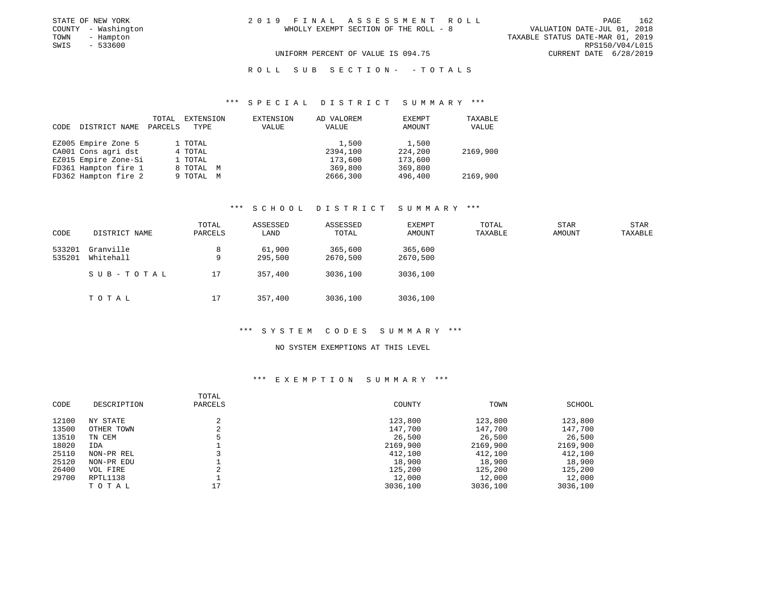| STATE OF NEW YORK   | 2019 FINAL ASSESSMENT ROLL            | 162<br>PAGE                      |
|---------------------|---------------------------------------|----------------------------------|
| COUNTY - Washington | WHOLLY EXEMPT SECTION OF THE ROLL - 8 | VALUATION DATE-JUL 01, 2018      |
| TOWN<br>- Hampton   |                                       | TAXABLE STATUS DATE-MAR 01, 2019 |
| SWIS<br>- 533600    |                                       | RPS150/V04/L015                  |
|                     | UNIFORM PERCENT OF VALUE IS 094.75    | CURRENT DATE 6/28/2019           |

### \*\*\* S P E C I A L D I S T R I C T S U M M A R Y \*\*\*

| CODE | DISTRICT NAME        | TOTAL<br>PARCELS | EXTENSION<br>TYPE | EXTENSION<br>VALUE | AD VALOREM<br>VALUE | <b>EXEMPT</b><br>AMOUNT | TAXABLE<br>VALUE |
|------|----------------------|------------------|-------------------|--------------------|---------------------|-------------------------|------------------|
|      | EZ005 Empire Zone 5  |                  | 1 TOTAL           |                    | 1,500               | 1,500                   |                  |
|      | CA001 Cons agri dst  |                  | 4 TOTAL           |                    | 2394,100            | 224,200                 | 2169,900         |
|      | EZ015 Empire Zone-Si |                  | 1 TOTAL           |                    | 173,600             | 173,600                 |                  |
|      | FD361 Hampton fire 1 |                  | 8 TOTAL M         |                    | 369,800             | 369,800                 |                  |
|      | FD362 Hampton fire 2 |                  | 9 TOTAL M         |                    | 2666,300            | 496,400                 | 2169,900         |

#### \*\*\* S C H O O L D I S T R I C T S U M M A R Y \*\*\*

| CODE             | DISTRICT NAME          | TOTAL<br>PARCELS | ASSESSED<br>LAND  | ASSESSED<br>TOTAL   | EXEMPT<br>AMOUNT    | TOTAL<br>TAXABLE | <b>STAR</b><br>AMOUNT | STAR<br>TAXABLE |
|------------------|------------------------|------------------|-------------------|---------------------|---------------------|------------------|-----------------------|-----------------|
| 533201<br>535201 | Granville<br>Whitehall | 8<br>9           | 61,900<br>295,500 | 365,600<br>2670,500 | 365,600<br>2670,500 |                  |                       |                 |
|                  | SUB-TOTAL              | 17               | 357,400           | 3036,100            | 3036,100            |                  |                       |                 |
|                  | TOTAL                  | 17               | 357,400           | 3036,100            | 3036,100            |                  |                       |                 |

#### \*\*\* S Y S T E M C O D E S S U M M A R Y \*\*\*

### NO SYSTEM EXEMPTIONS AT THIS LEVEL

### \*\*\* E X E M P T I O N S U M M A R Y \*\*\*

| CODE  | DESCRIPTION | TOTAL<br>PARCELS         | COUNTY   | TOWN     | SCHOOL   |
|-------|-------------|--------------------------|----------|----------|----------|
| 12100 | NY STATE    |                          | 123,800  | 123,800  | 123,800  |
| 13500 | OTHER TOWN  | $\overline{\phantom{a}}$ | 147,700  | 147,700  | 147,700  |
| 13510 | TN CEM      |                          | 26,500   | 26,500   | 26,500   |
| 18020 | IDA         |                          | 2169,900 | 2169,900 | 2169,900 |
| 25110 | NON-PR REL  |                          | 412,100  | 412,100  | 412,100  |
| 25120 | NON-PR EDU  |                          | 18,900   | 18,900   | 18,900   |
| 26400 | VOL FIRE    | $\Omega$                 | 125,200  | 125,200  | 125,200  |
| 29700 | RPTL1138    |                          | 12,000   | 12,000   | 12,000   |
|       | TOTAL       | 17                       | 3036,100 | 3036,100 | 3036,100 |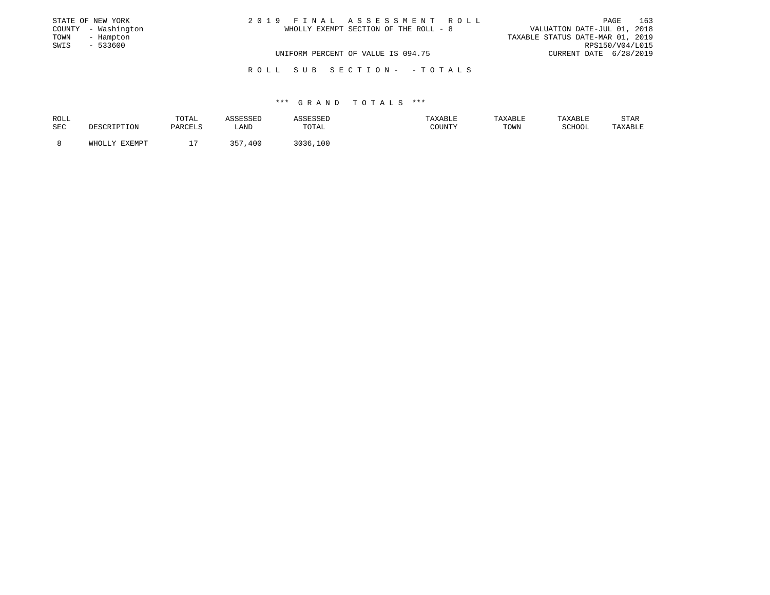|      | STATE OF NEW YORK   | 2019 FINAL ASSESSMENT ROLL            | PAGE                             | 163 |
|------|---------------------|---------------------------------------|----------------------------------|-----|
|      | COUNTY - Washington | WHOLLY EXEMPT SECTION OF THE ROLL - 8 | VALUATION DATE-JUL 01, 2018      |     |
| TOWN | - Hampton           |                                       | TAXABLE STATUS DATE-MAR 01, 2019 |     |
| SWIS | - 533600            |                                       | RPS150/V04/L015                  |     |
|      |                     | UNIFORM PERCENT OF VALUE IS 094.75    | CURRENT DATE 6/28/2019           |     |
|      |                     |                                       |                                  |     |

| ROLL |               | TOTAL    | תםכפתנ | חים כישי ביטה | <b>AXABLF</b> | TAXABLE |        | STAR    |
|------|---------------|----------|--------|---------------|---------------|---------|--------|---------|
| SEC  | RIPTION.      | PARCELS  | LAND   | TOTAL         | COUNTY        | TOWN    | SCHOOL | TAXABLE |
|      | WHOLLY EXEMPT | --       | 357    | るいろど<br>.100  |               |         |        |         |
|      |               | <u>ـ</u> | 400    |               |               |         |        |         |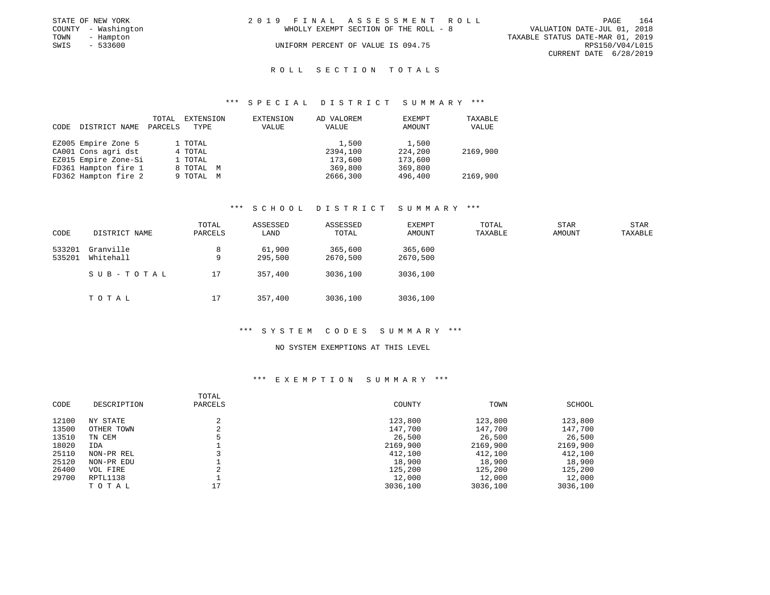|      | STATE OF NEW YORK   | 2019 FINAL ASSESSMENT ROLL |                                       |                                  |                        | <b>PAGE</b> | 164 |
|------|---------------------|----------------------------|---------------------------------------|----------------------------------|------------------------|-------------|-----|
|      | COUNTY - Washington |                            | WHOLLY EXEMPT SECTION OF THE ROLL - 8 | VALUATION DATE-JUL 01, 2018      |                        |             |     |
| TOWN | - Hampton           |                            |                                       | TAXABLE STATUS DATE-MAR 01, 2019 |                        |             |     |
| SWIS | - 533600            |                            | UNIFORM PERCENT OF VALUE IS 094.75    |                                  | RPS150/V04/L015        |             |     |
|      |                     |                            |                                       |                                  | CURRENT DATE 6/28/2019 |             |     |

### \*\*\* S P E C I A L D I S T R I C T S U M M A R Y \*\*\*

| CODE | DISTRICT NAME        | TOTAL<br>PARCELS | EXTENSION<br>TYPE | EXTENSION<br>VALUE | AD VALOREM<br>VALUE | EXEMPT<br><b>AMOUNT</b> | TAXABLE<br>VALUE |
|------|----------------------|------------------|-------------------|--------------------|---------------------|-------------------------|------------------|
|      | EZ005 Empire Zone 5  |                  | 1 TOTAL           |                    | 1,500               | 1,500                   |                  |
|      | CA001 Cons agri dst  |                  | 4 TOTAL           |                    | 2394,100            | 224,200                 | 2169,900         |
|      | EZ015 Empire Zone-Si |                  | 1 TOTAL           |                    | 173,600             | 173,600                 |                  |
|      | FD361 Hampton fire 1 |                  | 8 TOTAL M         |                    | 369,800             | 369,800                 |                  |
|      | FD362 Hampton fire 2 |                  | 9 TOTAL M         |                    | 2666,300            | 496,400                 | 2169,900         |

#### \*\*\* S C H O O L D I S T R I C T S U M M A R Y \*\*\*

| CODE             | DISTRICT NAME          | TOTAL<br>PARCELS | ASSESSED<br>LAND  | ASSESSED<br>TOTAL   | <b>EXEMPT</b><br>AMOUNT | TOTAL<br>TAXABLE | <b>STAR</b><br>AMOUNT | STAR<br>TAXABLE |
|------------------|------------------------|------------------|-------------------|---------------------|-------------------------|------------------|-----------------------|-----------------|
| 533201<br>535201 | Granville<br>Whitehall | 8<br>9           | 61,900<br>295,500 | 365,600<br>2670,500 | 365,600<br>2670,500     |                  |                       |                 |
|                  | SUB-TOTAL              | 17               | 357,400           | 3036,100            | 3036,100                |                  |                       |                 |
|                  | TOTAL                  | 17               | 357,400           | 3036,100            | 3036,100                |                  |                       |                 |

#### \*\*\* S Y S T E M C O D E S S U M M A R Y \*\*\*

#### NO SYSTEM EXEMPTIONS AT THIS LEVEL

### \*\*\* E X E M P T I O N S U M M A R Y \*\*\*

| CODE  | DESCRIPTION | TOTAL<br>PARCELS | COUNTY   | TOWN     | SCHOOL   |
|-------|-------------|------------------|----------|----------|----------|
| 12100 | NY STATE    |                  | 123,800  | 123,800  | 123,800  |
| 13500 | OTHER TOWN  |                  | 147,700  | 147,700  | 147,700  |
| 13510 | TN CEM      |                  | 26,500   | 26,500   | 26,500   |
| 18020 | IDA         |                  | 2169,900 | 2169,900 | 2169,900 |
| 25110 | NON-PR REL  |                  | 412,100  | 412,100  | 412,100  |
| 25120 | NON-PR EDU  |                  | 18,900   | 18,900   | 18,900   |
| 26400 | VOL FIRE    |                  | 125,200  | 125,200  | 125,200  |
| 29700 | RPTL1138    |                  | 12,000   | 12,000   | 12,000   |
|       | TOTAL       | 17               | 3036,100 | 3036,100 | 3036,100 |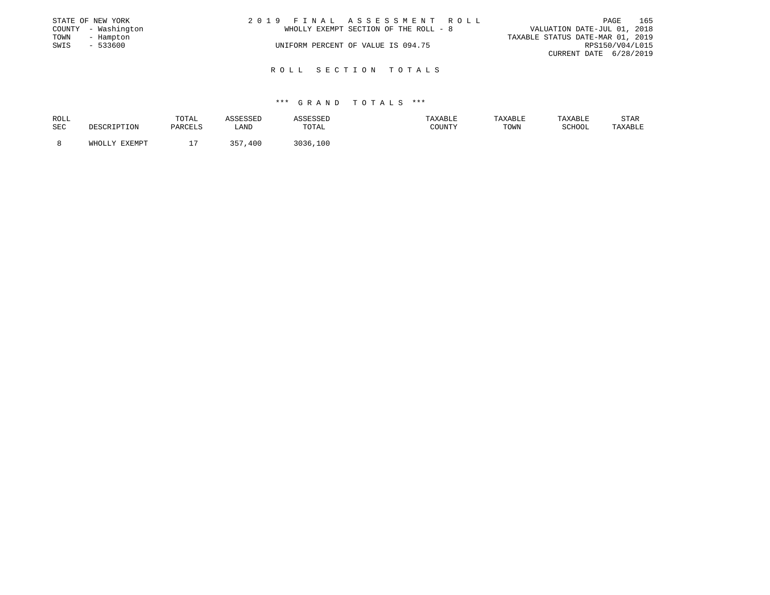|      | STATE OF NEW YORK   | 2019 FINAL ASSESSMENT ROLL |                                       |                                  |                        | PAGE | 165 |
|------|---------------------|----------------------------|---------------------------------------|----------------------------------|------------------------|------|-----|
|      | COUNTY - Washington |                            | WHOLLY EXEMPT SECTION OF THE ROLL - 8 | VALUATION DATE-JUL 01, 2018      |                        |      |     |
| TOWN | - Hampton           |                            |                                       | TAXABLE STATUS DATE-MAR 01, 2019 |                        |      |     |
| SWIS | $-533600$           |                            | UNIFORM PERCENT OF VALUE IS 094.75    |                                  | RPS150/V04/L015        |      |     |
|      |                     |                            |                                       |                                  | CURRENT DATE 6/28/2019 |      |     |
|      |                     |                            |                                       |                                  |                        |      |     |

| ROLL |               | TOTAL   | SSESSED    | ASSESSED       | <b>AXABLE</b> | TAXABLE | TAXABLE | STAR    |
|------|---------------|---------|------------|----------------|---------------|---------|---------|---------|
| SEC  |               | PARCELS | LAND       | TOTAL          | COUNTY        | TOWN    | SCHOOL  | TAXABLE |
|      |               | -       |            |                |               |         |         |         |
|      | WHOLLY EXEMPT |         | 257<br>400 | 3 U 3 E<br>100 |               |         |         |         |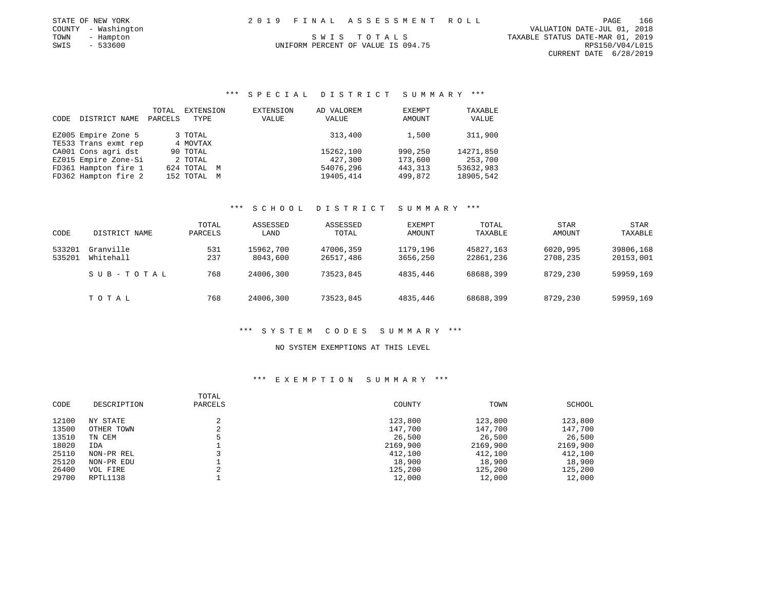| STATE OF NEW YORK |  | 2019 FINAL ASSESSMENT ROLL | PAGE | 166 |
|-------------------|--|----------------------------|------|-----|

 COUNTY - Washington VALUATION DATE-JUL 01, 2018 TOWN - Hampton S W I S T O T A L S TAXABLE STATUS DATE-MAR 01, 2019 CURRENT DATE 6/28/2019

# UNIFORM PERCENT OF VALUE IS 094.75

### \*\*\* S P E C I A L D I S T R I C T S U M M A R Y \*\*\*

|      |                      | TOTAL   | <b>EXTENSION</b> | <b>EXTENSION</b> | AD VALOREM | EXEMPT   | TAXABLE   |
|------|----------------------|---------|------------------|------------------|------------|----------|-----------|
| CODE | DISTRICT NAME        | PARCELS | TYPE             | VALUE            | VALUE      | AMOUNT   | VALUE     |
|      |                      |         |                  |                  |            |          |           |
|      | EZ005 Empire Zone 5  |         | 3 TOTAL          |                  | 313,400    | 1,500    | 311,900   |
|      | TE533 Trans exmt rep |         | 4 MOVTAX         |                  |            |          |           |
|      | CA001 Cons agri dst  |         | 90 TOTAL         |                  | 15262,100  | 990,250  | 14271,850 |
|      | EZ015 Empire Zone-Si |         | 2 TOTAL          |                  | 427,300    | 173,600  | 253,700   |
|      | FD361 Hampton fire 1 |         | 624 TOTAL M      |                  | 54076,296  | 443, 313 | 53632,983 |
|      | FD362 Hampton fire 2 |         | 152 TOTAL M      |                  | 19405,414  | 499,872  | 18905,542 |

#### \*\*\* S C H O O L D I S T R I C T S U M M A R Y \*\*\*

| CODE             | DISTRICT NAME          | TOTAL<br>PARCELS | ASSESSED<br>LAND      | ASSESSED<br>TOTAL      | EXEMPT<br>AMOUNT     | TOTAL<br>TAXABLE       | <b>STAR</b><br>AMOUNT | STAR<br>TAXABLE        |
|------------------|------------------------|------------------|-----------------------|------------------------|----------------------|------------------------|-----------------------|------------------------|
| 533201<br>535201 | Granville<br>Whitehall | 531<br>237       | 15962,700<br>8043,600 | 47006,359<br>26517,486 | 1179,196<br>3656,250 | 45827.163<br>22861,236 | 6020,995<br>2708,235  | 39806,168<br>20153,001 |
|                  | SUB-TOTAL              | 768              | 24006,300             | 73523,845              | 4835,446             | 68688,399              | 8729,230              | 59959,169              |
|                  | TOTAL                  | 768              | 24006,300             | 73523,845              | 4835,446             | 68688,399              | 8729,230              | 59959,169              |

#### \*\*\* S Y S T E M C O D E S S U M M A R Y \*\*\*

### NO SYSTEM EXEMPTIONS AT THIS LEVEL

### \*\*\* E X E M P T I O N S U M M A R Y \*\*\*

| CODE  | DESCRIPTION | TOTAL<br>PARCELS | COUNTY   | TOWN     | SCHOOL   |
|-------|-------------|------------------|----------|----------|----------|
|       |             |                  |          |          |          |
| 12100 | NY STATE    |                  | 123,800  | 123,800  | 123,800  |
| 13500 | OTHER TOWN  | △                | 147,700  | 147,700  | 147,700  |
| 13510 | TN CEM      |                  | 26,500   | 26,500   | 26,500   |
| 18020 | IDA         |                  | 2169,900 | 2169,900 | 2169,900 |
| 25110 | NON-PR REL  |                  | 412,100  | 412,100  | 412,100  |
| 25120 | NON-PR EDU  |                  | 18,900   | 18,900   | 18,900   |
| 26400 | VOL FIRE    |                  | 125,200  | 125,200  | 125,200  |
| 29700 | RPTL1138    |                  | 12,000   | 12,000   | 12,000   |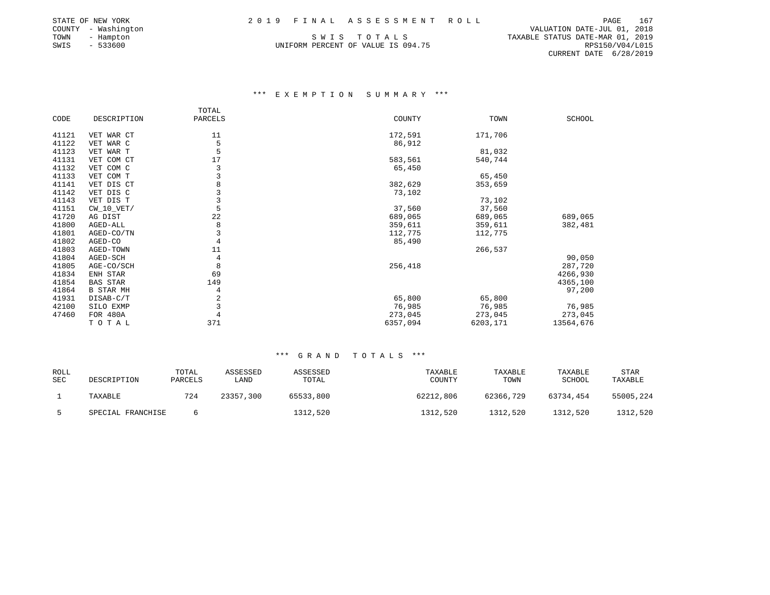|  |  |  |  |  |  |  |  |  |  |  |  |  |  |  |  |  |  |  |  | 2019 FINAL ASSESSMENT ROLI |  |  |  |
|--|--|--|--|--|--|--|--|--|--|--|--|--|--|--|--|--|--|--|--|----------------------------|--|--|--|
|--|--|--|--|--|--|--|--|--|--|--|--|--|--|--|--|--|--|--|--|----------------------------|--|--|--|

UNIFORM PERCENT OF VALUE IS 094.75

STATE OF NEW YORK 2 0 1 9 F I N A L A S S E S S M E N T R O L L PAGE 167 COUNTY - Washington VALUATION DATE-JUL 01, 2018 TOWN - Hampton S W I S T O T A L S TAXABLE STATUS DATE-MAR 01, 2019 CURRENT DATE 6/28/2019

### \*\*\* E X E M P T I O N S U M M A R Y \*\*\*

|       |                  | TOTAL   |          |          |           |
|-------|------------------|---------|----------|----------|-----------|
| CODE  | DESCRIPTION      | PARCELS | COUNTY   | TOWN     | SCHOOL    |
|       |                  |         |          |          |           |
| 41121 | VET WAR CT       | 11      | 172,591  | 171,706  |           |
| 41122 | VET WAR C        | 5       | 86,912   |          |           |
| 41123 | VET WAR T        |         |          | 81,032   |           |
| 41131 | VET COM CT       | 17      | 583,561  | 540,744  |           |
| 41132 | VET COM C        | 3       | 65,450   |          |           |
| 41133 | VET COM T        | 3       |          | 65,450   |           |
| 41141 | VET DIS CT       | 8       | 382,629  | 353,659  |           |
| 41142 | VET DIS C        | 3       | 73,102   |          |           |
| 41143 | VET DIS T        | 3       |          | 73,102   |           |
| 41151 | $CW_10_VET/$     | 5       | 37,560   | 37,560   |           |
| 41720 | AG DIST          | 22      | 689,065  | 689,065  | 689,065   |
| 41800 | AGED-ALL         | 8       | 359,611  | 359,611  | 382,481   |
| 41801 | AGED-CO/TN       | 3       | 112,775  | 112,775  |           |
| 41802 | AGED-CO          | 4       | 85,490   |          |           |
| 41803 | AGED-TOWN        | 11      |          | 266,537  |           |
| 41804 | AGED-SCH         | 4       |          |          | 90,050    |
| 41805 | AGE-CO/SCH       | 8       | 256,418  |          | 287,720   |
| 41834 | ENH STAR         | 69      |          |          | 4266,930  |
| 41854 | <b>BAS STAR</b>  | 149     |          |          | 4365,100  |
| 41864 | <b>B STAR MH</b> | 4       |          |          | 97,200    |
| 41931 | DISAB-C/T        | 2       | 65,800   | 65,800   |           |
| 42100 | SILO EXMP        | 3       | 76,985   | 76,985   | 76,985    |
| 47460 | FOR 480A         | 4       | 273,045  | 273,045  | 273,045   |
|       | TOTAL            | 371     | 6357,094 | 6203,171 | 13564,676 |

| <b>ROLL</b><br><b>SEC</b> | DESCRIPTION       | TOTAL<br>PARCELS | ASSESSED<br>LAND | ASSESSED<br>TOTAL | TAXABLE<br>COUNTY | TAXABLE<br>TOWN | TAXABLE<br>SCHOOL | <b>STAR</b><br>TAXABLE |
|---------------------------|-------------------|------------------|------------------|-------------------|-------------------|-----------------|-------------------|------------------------|
|                           | TAXABLE           | 724              | 23357,300        | 65533,800         | 62212,806         | 62366,729       | 63734,454         | 55005,224              |
|                           | SPECIAL FRANCHISE |                  |                  | 1312,520          | 1312,520          | 1312,520        | 1312,520          | 1312,520               |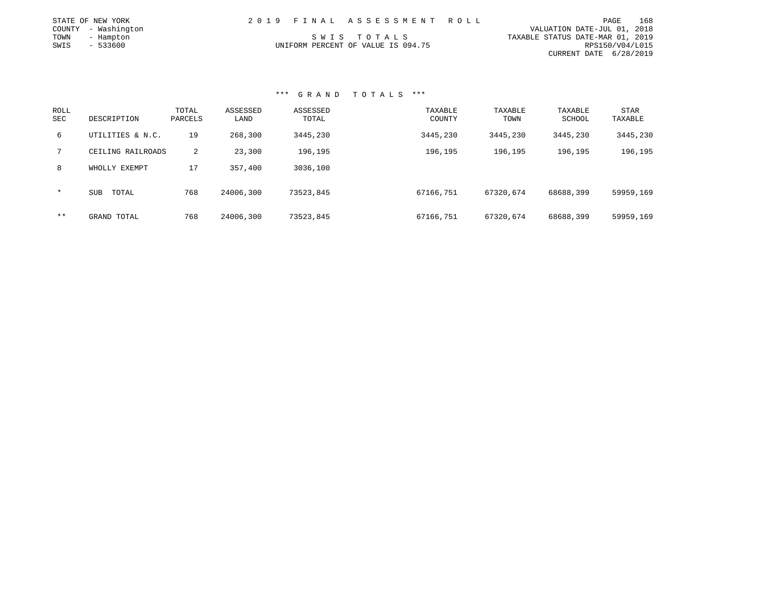|      | STATE OF NEW YORK   |  | 2019 FINAL ASSESSMENT ROLL         |                                  | PAGE                   | 168 |
|------|---------------------|--|------------------------------------|----------------------------------|------------------------|-----|
|      | COUNTY - Washington |  |                                    | VALUATION DATE-JUL 01, 2018      |                        |     |
| TOWN | - Hampton           |  | SWIS TOTALS                        | TAXABLE STATUS DATE-MAR 01, 2019 |                        |     |
| SWIS | - 533600            |  | UNIFORM PERCENT OF VALUE IS 094.75 |                                  | RPS150/V04/L015        |     |
|      |                     |  |                                    |                                  | CURRENT DATE 6/28/2019 |     |

| ROLL<br><b>SEC</b> | DESCRIPTION         | TOTAL<br>PARCELS | ASSESSED<br>LAND | ASSESSED<br>TOTAL | TAXABLE<br>COUNTY | TAXABLE<br>TOWN | TAXABLE<br>SCHOOL | <b>STAR</b><br>TAXABLE |
|--------------------|---------------------|------------------|------------------|-------------------|-------------------|-----------------|-------------------|------------------------|
| 6                  | UTILITIES & N.C.    | 19               | 268,300          | 3445,230          | 3445,230          | 3445,230        | 3445,230          | 3445,230               |
| 7                  | CEILING RAILROADS   | $\overline{2}$   | 23,300           | 196,195           | 196,195           | 196,195         | 196,195           | 196,195                |
| 8                  | WHOLLY EXEMPT       | 17               | 357,400          | 3036,100          |                   |                 |                   |                        |
| $\star$            | <b>SUB</b><br>TOTAL | 768              | 24006,300        | 73523,845         | 67166,751         | 67320,674       | 68688,399         | 59959,169              |
| $***$              | GRAND TOTAL         | 768              | 24006,300        | 73523,845         | 67166,751         | 67320,674       | 68688,399         | 59959,169              |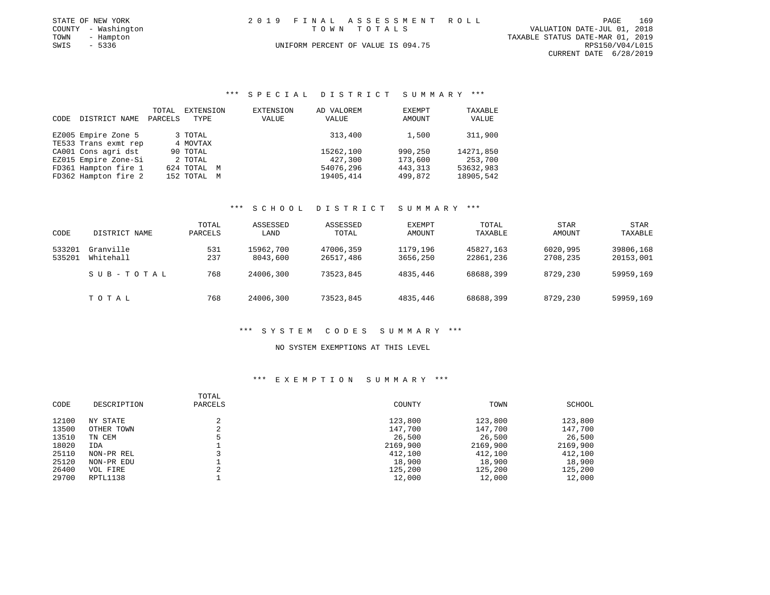|      | STATE OF NEW YORK   | 2019 FINAL ASSESSMENT ROLL         | PAGE                        | 169 |
|------|---------------------|------------------------------------|-----------------------------|-----|
|      | COUNTY - Washington | TOWN TOTALS                        | VALUATION DATE-JUL 01, 2018 |     |
| TOWN | - Hampton           | TAXABLE STATUS DATE-MAR 01, 2019   |                             |     |
| SWIS | $-5336$             | UNIFORM PERCENT OF VALUE IS 094.75 | RPS150/V04/L015             |     |
|      |                     |                                    | CURRENT DATE 6/28/2019      |     |

### \*\*\* S P E C I A L D I S T R I C T S U M M A R Y \*\*\*

|      |                      | TOTAL   | EXTENSION   | EXTENSION | AD VALOREM | <b>EXEMPT</b> | TAXABLE   |
|------|----------------------|---------|-------------|-----------|------------|---------------|-----------|
| CODE | DISTRICT NAME        | PARCELS | TYPE        | VALUE     | VALUE      | AMOUNT        | VALUE     |
|      |                      |         |             |           |            |               |           |
|      | EZ005 Empire Zone 5  |         | 3 TOTAL     |           | 313,400    | 1,500         | 311,900   |
|      | TE533 Trans exmt rep |         | 4 MOVTAX    |           |            |               |           |
|      | CA001 Cons agri dst  |         | 90 TOTAL    |           | 15262,100  | 990,250       | 14271,850 |
|      | EZ015 Empire Zone-Si |         | 2 TOTAL     |           | 427,300    | 173,600       | 253,700   |
|      | FD361 Hampton fire 1 |         | 624 TOTAL M |           | 54076,296  | 443, 313      | 53632,983 |
|      | FD362 Hampton fire 2 |         | 152 TOTAL M |           | 19405,414  | 499,872       | 18905,542 |

#### \*\*\* S C H O O L D I S T R I C T S U M M A R Y \*\*\*

| CODE             | DISTRICT NAME          | TOTAL<br>PARCELS | ASSESSED<br>LAND      | ASSESSED<br>TOTAL      | EXEMPT<br>AMOUNT     | TOTAL<br>TAXABLE       | <b>STAR</b><br>AMOUNT | STAR<br>TAXABLE        |
|------------------|------------------------|------------------|-----------------------|------------------------|----------------------|------------------------|-----------------------|------------------------|
| 533201<br>535201 | Granville<br>Whitehall | 531<br>237       | 15962,700<br>8043,600 | 47006,359<br>26517,486 | 1179,196<br>3656,250 | 45827.163<br>22861,236 | 6020,995<br>2708,235  | 39806,168<br>20153,001 |
|                  | SUB-TOTAL              | 768              | 24006,300             | 73523,845              | 4835,446             | 68688,399              | 8729,230              | 59959,169              |
|                  | TOTAL                  | 768              | 24006,300             | 73523,845              | 4835,446             | 68688,399              | 8729,230              | 59959,169              |

#### \*\*\* S Y S T E M C O D E S S U M M A R Y \*\*\*

#### NO SYSTEM EXEMPTIONS AT THIS LEVEL

### \*\*\* E X E M P T I O N S U M M A R Y \*\*\*

|       |             | TOTAL   |          |          |          |
|-------|-------------|---------|----------|----------|----------|
| CODE  | DESCRIPTION | PARCELS | COUNTY   | TOWN     | SCHOOL   |
| 12100 | NY STATE    |         | 123,800  | 123,800  | 123,800  |
| 13500 | OTHER TOWN  |         | 147,700  | 147,700  | 147,700  |
| 13510 | TN CEM      |         | 26,500   | 26,500   | 26,500   |
| 18020 | IDA         |         | 2169,900 | 2169,900 | 2169,900 |
| 25110 | NON-PR REL  |         | 412,100  | 412,100  | 412,100  |
| 25120 | NON-PR EDU  |         | 18,900   | 18,900   | 18,900   |
| 26400 | VOL FIRE    |         | 125,200  | 125,200  | 125,200  |
| 29700 | RPTL1138    |         | 12,000   | 12,000   | 12,000   |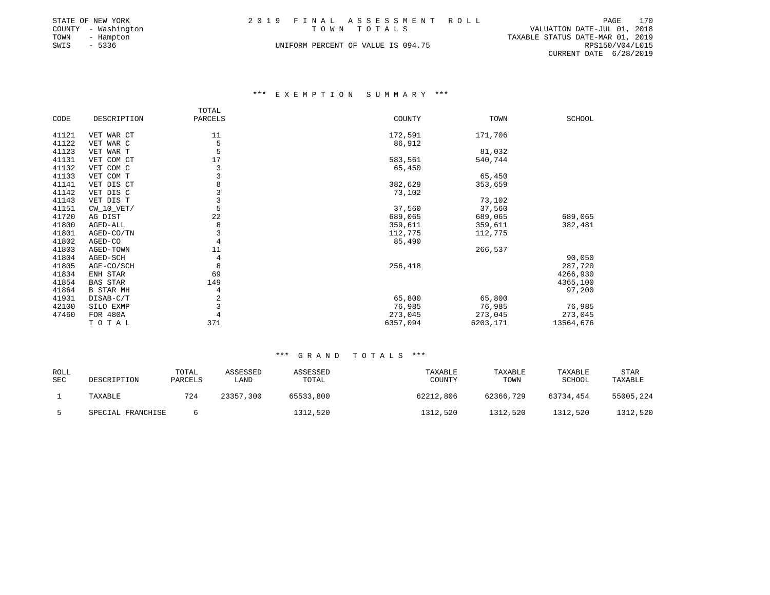|      | STATE OF NEW YORK   | 2019 FINAL ASSESSMENT ROLL                 | PAGE                   | 170 |
|------|---------------------|--------------------------------------------|------------------------|-----|
|      | COUNTY - Washington | VALUATION DATE-JUL 01, 2018<br>TOWN TOTALS |                        |     |
|      | TOWN - Hampton      | TAXABLE STATUS DATE-MAR 01, 2019           |                        |     |
| SWIS | - 5336              | UNIFORM PERCENT OF VALUE IS 094.75         | RPS150/V04/L015        |     |
|      |                     |                                            | CURRENT DATE 6/28/2019 |     |

### \*\*\* E X E M P T I O N S U M M A R Y \*\*\*

|       |                  | TOTAL   |          |          |               |
|-------|------------------|---------|----------|----------|---------------|
| CODE  | DESCRIPTION      | PARCELS | COUNTY   | TOWN     | <b>SCHOOL</b> |
|       |                  |         |          |          |               |
| 41121 | VET WAR CT       | 11      | 172,591  | 171,706  |               |
| 41122 | VET WAR C        | 5       | 86,912   |          |               |
| 41123 | VET WAR T        | 5       |          | 81,032   |               |
| 41131 | VET COM CT       | 17      | 583,561  | 540,744  |               |
| 41132 | VET COM C        | 3       | 65,450   |          |               |
| 41133 | VET COM T        | 3       |          | 65,450   |               |
| 41141 | VET DIS CT       | 8       | 382,629  | 353,659  |               |
| 41142 | VET DIS C        | 3       | 73,102   |          |               |
| 41143 | VET DIS T        | 3       |          | 73,102   |               |
| 41151 | $CW_10_VET/$     | 5       | 37,560   | 37,560   |               |
| 41720 | AG DIST          | 22      | 689,065  | 689,065  | 689,065       |
| 41800 | AGED-ALL         | 8       | 359,611  | 359,611  | 382,481       |
| 41801 | AGED-CO/TN       | 3       | 112,775  | 112,775  |               |
| 41802 | AGED-CO          | 4       | 85,490   |          |               |
| 41803 | AGED-TOWN        | 11      |          | 266,537  |               |
| 41804 | AGED-SCH         | 4       |          |          | 90,050        |
| 41805 | AGE-CO/SCH       | 8       | 256,418  |          | 287,720       |
| 41834 | ENH STAR         | 69      |          |          | 4266,930      |
| 41854 | BAS STAR         | 149     |          |          | 4365,100      |
| 41864 | <b>B STAR MH</b> | 4       |          |          | 97,200        |
| 41931 | DISAB-C/T        | 2       | 65,800   | 65,800   |               |
| 42100 | SILO EXMP        | 3       | 76,985   | 76,985   | 76,985        |
| 47460 | FOR 480A         | 4       | 273,045  | 273,045  | 273,045       |
|       | TOTAL            | 371     | 6357,094 | 6203,171 | 13564,676     |
|       |                  |         |          |          |               |

| ROLL<br><b>SEC</b> | DESCRIPTION       | TOTAL<br>PARCELS | ASSESSED<br>LAND | ASSESSED<br>TOTAL | TAXABLE<br>COUNTY | TAXABLE<br>TOWN | TAXABLE<br>SCHOOL | <b>STAR</b><br>TAXABLE |
|--------------------|-------------------|------------------|------------------|-------------------|-------------------|-----------------|-------------------|------------------------|
|                    | TAXABLE           | 724              | 23357,300        | 65533,800         | 62212,806         | 62366,729       | 63734,454         | 55005,224              |
|                    | SPECIAL FRANCHISE |                  |                  | 1312,520          | 1312,520          | 1312,520        | 1312,520          | 1312,520               |